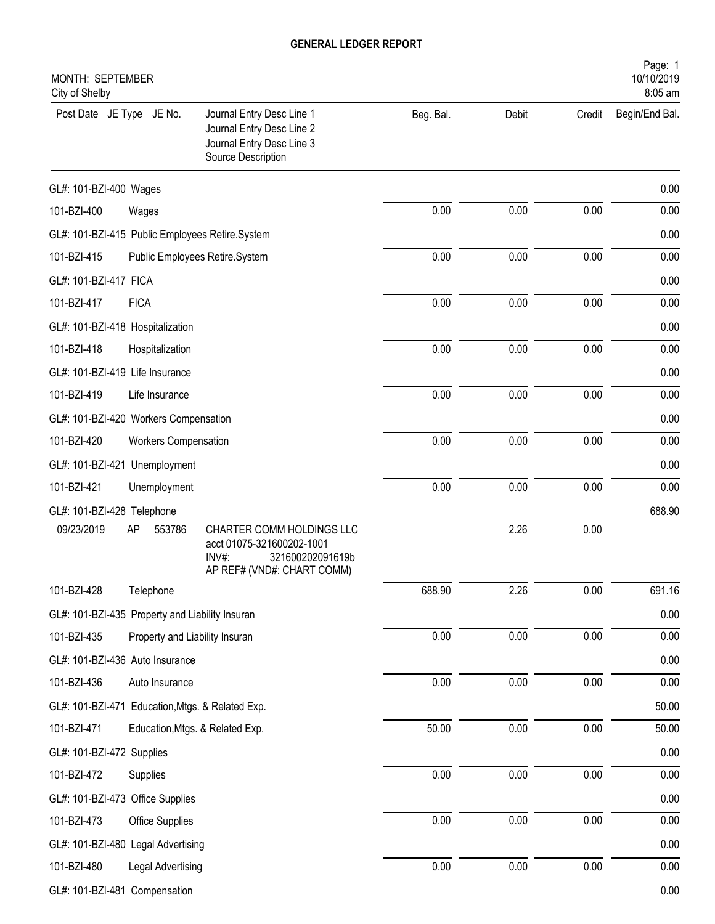| City of Shelby                                   | Page: 1<br>MONTH: SEPTEMBER<br>10/10/2019<br>8:05 am |                                                                                                                      |           |          |          |                |  |  |
|--------------------------------------------------|------------------------------------------------------|----------------------------------------------------------------------------------------------------------------------|-----------|----------|----------|----------------|--|--|
| Post Date JE Type JE No.                         |                                                      | Journal Entry Desc Line 1<br>Journal Entry Desc Line 2<br>Journal Entry Desc Line 3<br>Source Description            | Beg. Bal. | Debit    | Credit   | Begin/End Bal. |  |  |
| GL#: 101-BZI-400 Wages                           |                                                      |                                                                                                                      |           |          |          | 0.00           |  |  |
| 101-BZI-400                                      | Wages                                                |                                                                                                                      | 0.00      | 0.00     | 0.00     | 0.00           |  |  |
| GL#: 101-BZI-415 Public Employees Retire.System  |                                                      |                                                                                                                      |           |          |          | 0.00           |  |  |
| 101-BZI-415                                      |                                                      | Public Employees Retire.System                                                                                       | 0.00      | 0.00     | 0.00     | 0.00           |  |  |
| GL#: 101-BZI-417 FICA                            |                                                      |                                                                                                                      |           |          |          | 0.00           |  |  |
| 101-BZI-417                                      | <b>FICA</b>                                          |                                                                                                                      | 0.00      | 0.00     | 0.00     | 0.00           |  |  |
| GL#: 101-BZI-418 Hospitalization                 |                                                      |                                                                                                                      |           |          |          | 0.00           |  |  |
| 101-BZI-418                                      | Hospitalization                                      |                                                                                                                      | 0.00      | 0.00     | 0.00     | 0.00           |  |  |
| GL#: 101-BZI-419 Life Insurance                  |                                                      |                                                                                                                      |           |          |          | 0.00           |  |  |
| 101-BZI-419                                      | Life Insurance                                       |                                                                                                                      | 0.00      | 0.00     | 0.00     | 0.00           |  |  |
| GL#: 101-BZI-420 Workers Compensation            |                                                      |                                                                                                                      |           |          |          | 0.00           |  |  |
| 101-BZI-420                                      | <b>Workers Compensation</b>                          |                                                                                                                      | 0.00      | 0.00     | 0.00     | 0.00           |  |  |
| GL#: 101-BZI-421 Unemployment                    |                                                      |                                                                                                                      |           |          |          | 0.00           |  |  |
| 101-BZI-421                                      | Unemployment                                         |                                                                                                                      | 0.00      | 0.00     | 0.00     | 0.00           |  |  |
| GL#: 101-BZI-428 Telephone                       |                                                      |                                                                                                                      |           |          |          | 688.90         |  |  |
| 09/23/2019                                       | 553786<br>AP                                         | CHARTER COMM HOLDINGS LLC<br>acct 01075-321600202-1001<br>$INV#$ :<br>321600202091619b<br>AP REF# (VND#: CHART COMM) |           | 2.26     | 0.00     |                |  |  |
| 101-BZI-428                                      | Telephone                                            |                                                                                                                      | 688.90    | 2.26     | $0.00\,$ | 691.16         |  |  |
| GL#: 101-BZI-435 Property and Liability Insuran  |                                                      |                                                                                                                      |           |          |          | 0.00           |  |  |
| 101-BZI-435                                      | Property and Liability Insuran                       |                                                                                                                      | 0.00      | 0.00     | 0.00     | 0.00           |  |  |
| GL#: 101-BZI-436 Auto Insurance                  |                                                      |                                                                                                                      |           |          |          | 0.00           |  |  |
| 101-BZI-436                                      | Auto Insurance                                       |                                                                                                                      | 0.00      | 0.00     | $0.00\,$ | 0.00           |  |  |
| GL#: 101-BZI-471 Education, Mtgs. & Related Exp. |                                                      |                                                                                                                      |           |          |          | 50.00          |  |  |
| 101-BZI-471                                      |                                                      | Education, Mtgs. & Related Exp.                                                                                      | 50.00     | 0.00     | 0.00     | 50.00          |  |  |
| GL#: 101-BZI-472 Supplies                        |                                                      |                                                                                                                      |           |          |          | 0.00           |  |  |
| 101-BZI-472                                      | Supplies                                             |                                                                                                                      | $0.00\,$  | 0.00     | 0.00     | 0.00           |  |  |
| GL#: 101-BZI-473 Office Supplies                 |                                                      |                                                                                                                      |           |          |          | 0.00           |  |  |
| 101-BZI-473                                      | Office Supplies                                      |                                                                                                                      | 0.00      | 0.00     | $0.00\,$ | 0.00           |  |  |
| GL#: 101-BZI-480 Legal Advertising               |                                                      |                                                                                                                      |           |          |          | 0.00           |  |  |
| 101-BZI-480                                      | Legal Advertising                                    |                                                                                                                      | 0.00      | $0.00\,$ | 0.00     | 0.00           |  |  |
| GL#: 101-BZI-481 Compensation                    |                                                      |                                                                                                                      |           |          |          | 0.00           |  |  |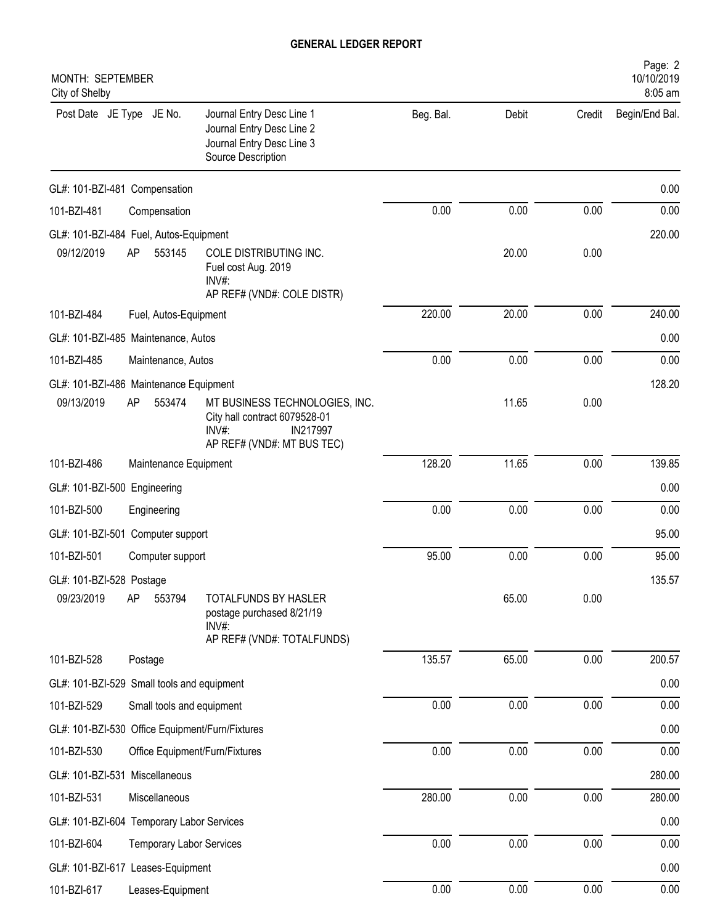| MONTH: SEPTEMBER<br>City of Shelby              |                                 |                                                                                                                    |           |       |        | Page: 2<br>10/10/2019<br>8:05 am |
|-------------------------------------------------|---------------------------------|--------------------------------------------------------------------------------------------------------------------|-----------|-------|--------|----------------------------------|
| Post Date JE Type JE No.                        |                                 | Journal Entry Desc Line 1<br>Journal Entry Desc Line 2<br>Journal Entry Desc Line 3<br>Source Description          | Beg. Bal. | Debit | Credit | Begin/End Bal.                   |
| GL#: 101-BZI-481 Compensation                   |                                 |                                                                                                                    |           |       |        | 0.00                             |
| 101-BZI-481                                     | Compensation                    |                                                                                                                    | 0.00      | 0.00  | 0.00   | 0.00                             |
| GL#: 101-BZI-484 Fuel, Autos-Equipment          |                                 |                                                                                                                    |           |       |        | 220.00                           |
| AP<br>09/12/2019                                | 553145                          | COLE DISTRIBUTING INC.<br>Fuel cost Aug. 2019<br>INV#:<br>AP REF# (VND#: COLE DISTR)                               |           | 20.00 | 0.00   |                                  |
| 101-BZI-484                                     | Fuel, Autos-Equipment           |                                                                                                                    | 220.00    | 20.00 | 0.00   | 240.00                           |
| GL#: 101-BZI-485 Maintenance, Autos             |                                 |                                                                                                                    |           |       |        | 0.00                             |
| 101-BZI-485                                     | Maintenance, Autos              |                                                                                                                    | 0.00      | 0.00  | 0.00   | 0.00                             |
| GL#: 101-BZI-486 Maintenance Equipment          |                                 |                                                                                                                    |           |       |        | 128.20                           |
| 09/13/2019<br>AP                                | 553474                          | MT BUSINESS TECHNOLOGIES, INC.<br>City hall contract 6079528-01<br>INV#:<br>IN217997<br>AP REF# (VND#: MT BUS TEC) |           | 11.65 | 0.00   |                                  |
| 101-BZI-486                                     | Maintenance Equipment           |                                                                                                                    | 128.20    | 11.65 | 0.00   | 139.85                           |
| GL#: 101-BZI-500 Engineering                    |                                 |                                                                                                                    |           |       |        | 0.00                             |
| 101-BZI-500                                     | Engineering                     |                                                                                                                    | 0.00      | 0.00  | 0.00   | 0.00                             |
| GL#: 101-BZI-501 Computer support               |                                 |                                                                                                                    |           |       |        | 95.00                            |
| 101-BZI-501                                     | Computer support                |                                                                                                                    | 95.00     | 0.00  | 0.00   | 95.00                            |
| GL#: 101-BZI-528 Postage                        |                                 |                                                                                                                    |           |       |        | 135.57                           |
| AP<br>09/23/2019                                | 553794                          | TOTALFUNDS BY HASLER<br>postage purchased 8/21/19<br>INV#:<br>AP REF# (VND#: TOTALFUNDS)                           |           | 65.00 | 0.00   |                                  |
| 101-BZI-528                                     | Postage                         |                                                                                                                    | 135.57    | 65.00 | 0.00   | 200.57                           |
| GL#: 101-BZI-529 Small tools and equipment      |                                 |                                                                                                                    |           |       |        | 0.00                             |
| 101-BZI-529                                     | Small tools and equipment       |                                                                                                                    | 0.00      | 0.00  | 0.00   | 0.00                             |
| GL#: 101-BZI-530 Office Equipment/Furn/Fixtures |                                 |                                                                                                                    |           |       |        | 0.00                             |
| 101-BZI-530                                     | Office Equipment/Furn/Fixtures  |                                                                                                                    | 0.00      | 0.00  | 0.00   | 0.00                             |
| GL#: 101-BZI-531 Miscellaneous                  |                                 |                                                                                                                    |           |       |        | 280.00                           |
| 101-BZI-531                                     | Miscellaneous                   |                                                                                                                    | 280.00    | 0.00  | 0.00   | 280.00                           |
| GL#: 101-BZI-604 Temporary Labor Services       |                                 |                                                                                                                    |           |       |        | 0.00                             |
| 101-BZI-604                                     | <b>Temporary Labor Services</b> |                                                                                                                    | 0.00      | 0.00  | 0.00   | 0.00                             |
| GL#: 101-BZI-617 Leases-Equipment               |                                 |                                                                                                                    |           |       |        | 0.00                             |
| 101-BZI-617                                     | Leases-Equipment                |                                                                                                                    | 0.00      | 0.00  | 0.00   | 0.00                             |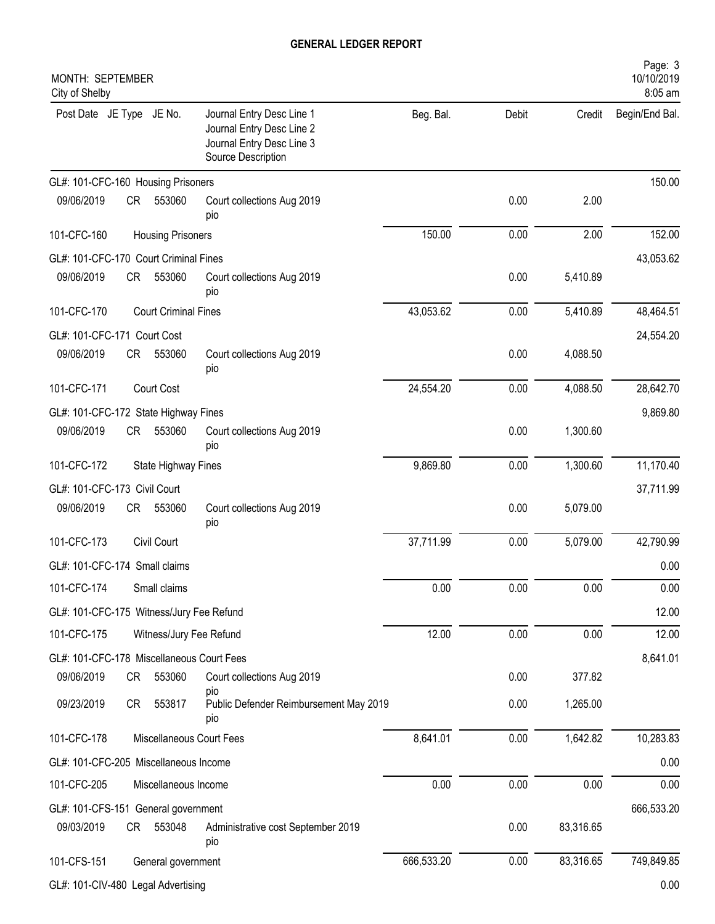| MONTH: SEPTEMBER<br>City of Shelby        |    |                             |                                                                                                           |            |       |           | Page: 3<br>10/10/2019<br>8:05 am |
|-------------------------------------------|----|-----------------------------|-----------------------------------------------------------------------------------------------------------|------------|-------|-----------|----------------------------------|
| Post Date JE Type JE No.                  |    |                             | Journal Entry Desc Line 1<br>Journal Entry Desc Line 2<br>Journal Entry Desc Line 3<br>Source Description | Beg. Bal.  | Debit | Credit    | Begin/End Bal.                   |
| GL#: 101-CFC-160 Housing Prisoners        |    |                             |                                                                                                           |            |       |           | 150.00                           |
| 09/06/2019                                | CR | 553060                      | Court collections Aug 2019<br>pio                                                                         |            | 0.00  | 2.00      |                                  |
| 101-CFC-160                               |    | <b>Housing Prisoners</b>    |                                                                                                           | 150.00     | 0.00  | 2.00      | 152.00                           |
| GL#: 101-CFC-170 Court Criminal Fines     |    |                             |                                                                                                           |            |       |           | 43,053.62                        |
| 09/06/2019                                | CR | 553060                      | Court collections Aug 2019<br>pio                                                                         |            | 0.00  | 5,410.89  |                                  |
| 101-CFC-170                               |    | <b>Court Criminal Fines</b> |                                                                                                           | 43,053.62  | 0.00  | 5,410.89  | 48,464.51                        |
| GL#: 101-CFC-171 Court Cost               |    |                             |                                                                                                           |            |       |           | 24,554.20                        |
| 09/06/2019                                | CR | 553060                      | Court collections Aug 2019<br>pio                                                                         |            | 0.00  | 4,088.50  |                                  |
| 101-CFC-171                               |    | Court Cost                  |                                                                                                           | 24,554.20  | 0.00  | 4,088.50  | 28,642.70                        |
| GL#: 101-CFC-172 State Highway Fines      |    |                             |                                                                                                           |            |       |           | 9,869.80                         |
| 09/06/2019                                | CR | 553060                      | Court collections Aug 2019<br>pio                                                                         |            | 0.00  | 1,300.60  |                                  |
| 101-CFC-172                               |    | State Highway Fines         |                                                                                                           | 9,869.80   | 0.00  | 1,300.60  | 11,170.40                        |
| GL#: 101-CFC-173 Civil Court              |    |                             |                                                                                                           |            |       |           | 37,711.99                        |
| 09/06/2019                                | CR | 553060                      | Court collections Aug 2019<br>pio                                                                         |            | 0.00  | 5,079.00  |                                  |
| 101-CFC-173                               |    | Civil Court                 |                                                                                                           | 37,711.99  | 0.00  | 5,079.00  | 42,790.99                        |
| GL#: 101-CFC-174 Small claims             |    |                             |                                                                                                           |            |       |           | 0.00                             |
| 101-CFC-174                               |    | Small claims                |                                                                                                           | 0.00       | 0.00  | 0.00      | 0.00                             |
| GL#: 101-CFC-175 Witness/Jury Fee Refund  |    |                             |                                                                                                           |            |       |           | 12.00                            |
| 101-CFC-175                               |    | Witness/Jury Fee Refund     |                                                                                                           | 12.00      | 0.00  | 0.00      | 12.00                            |
| GL#: 101-CFC-178 Miscellaneous Court Fees |    |                             |                                                                                                           |            |       |           | 8,641.01                         |
| 09/06/2019                                | CR | 553060                      | Court collections Aug 2019                                                                                |            | 0.00  | 377.82    |                                  |
| 09/23/2019                                | CR | 553817                      | pio<br>Public Defender Reimbursement May 2019<br>pio                                                      |            | 0.00  | 1,265.00  |                                  |
| 101-CFC-178                               |    |                             | Miscellaneous Court Fees                                                                                  | 8,641.01   | 0.00  | 1,642.82  | 10,283.83                        |
| GL#: 101-CFC-205 Miscellaneous Income     |    |                             |                                                                                                           |            |       |           | 0.00                             |
| 101-CFC-205                               |    | Miscellaneous Income        |                                                                                                           | 0.00       | 0.00  | 0.00      | 0.00                             |
| GL#: 101-CFS-151 General government       |    |                             |                                                                                                           |            |       |           | 666,533.20                       |
| 09/03/2019                                | CR | 553048                      | Administrative cost September 2019<br>pio                                                                 |            | 0.00  | 83,316.65 |                                  |
| 101-CFS-151                               |    | General government          |                                                                                                           | 666,533.20 | 0.00  | 83,316.65 | 749,849.85                       |
| GL#: 101-CIV-480 Legal Advertising        |    |                             |                                                                                                           |            |       |           | 0.00                             |
|                                           |    |                             |                                                                                                           |            |       |           |                                  |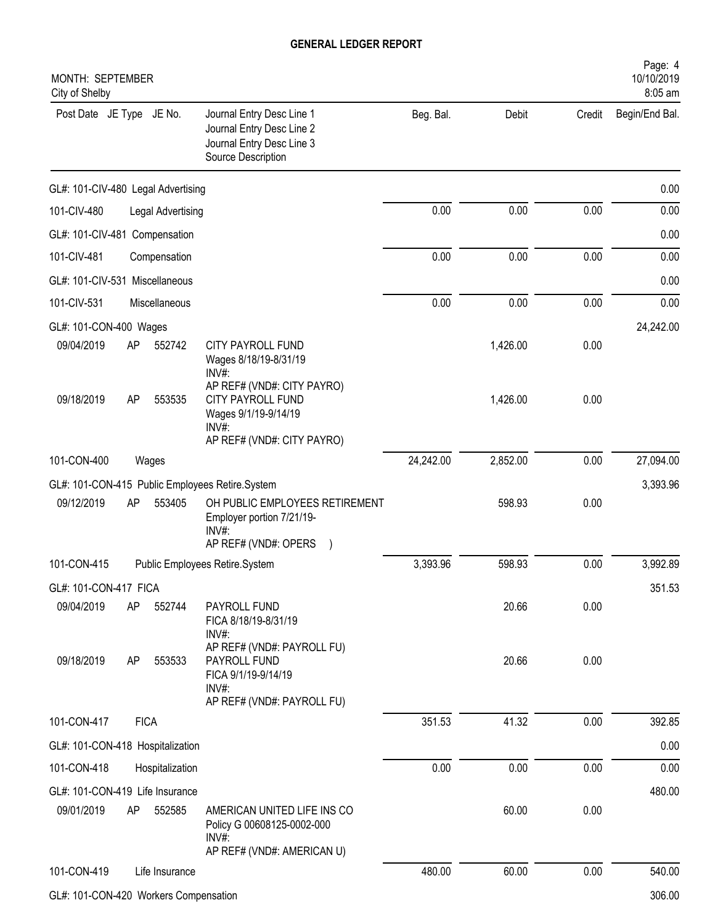| MONTH: SEPTEMBER<br>City of Shelby            |    |                   |                                                                                                           |           |          |        | Page: 4<br>10/10/2019<br>8:05 am |
|-----------------------------------------------|----|-------------------|-----------------------------------------------------------------------------------------------------------|-----------|----------|--------|----------------------------------|
| Post Date JE Type JE No.                      |    |                   | Journal Entry Desc Line 1<br>Journal Entry Desc Line 2<br>Journal Entry Desc Line 3<br>Source Description | Beg. Bal. | Debit    | Credit | Begin/End Bal.                   |
| GL#: 101-CIV-480 Legal Advertising            |    |                   |                                                                                                           |           |          |        | 0.00                             |
| 101-CIV-480                                   |    | Legal Advertising |                                                                                                           | 0.00      | 0.00     | 0.00   | 0.00                             |
| GL#: 101-CIV-481 Compensation                 |    |                   |                                                                                                           |           |          |        | 0.00                             |
| 101-CIV-481                                   |    | Compensation      |                                                                                                           | 0.00      | 0.00     | 0.00   | 0.00                             |
| GL#: 101-CIV-531 Miscellaneous                |    |                   |                                                                                                           |           |          |        | 0.00                             |
| 101-CIV-531                                   |    | Miscellaneous     |                                                                                                           | 0.00      | 0.00     | 0.00   | 0.00                             |
| GL#: 101-CON-400 Wages                        |    |                   |                                                                                                           |           |          |        | 24,242.00                        |
| 09/04/2019                                    | AP | 552742            | CITY PAYROLL FUND<br>Wages 8/18/19-8/31/19<br>INV#:                                                       |           | 1,426.00 | 0.00   |                                  |
| 09/18/2019                                    | AP | 553535            | AP REF# (VND#: CITY PAYRO)<br>CITY PAYROLL FUND<br>Wages 9/1/19-9/14/19<br>INV#:                          |           | 1,426.00 | 0.00   |                                  |
|                                               |    |                   | AP REF# (VND#: CITY PAYRO)                                                                                |           |          |        |                                  |
| 101-CON-400                                   |    | Wages             |                                                                                                           | 24,242.00 | 2,852.00 | 0.00   | 27,094.00                        |
|                                               |    |                   | GL#: 101-CON-415 Public Employees Retire.System                                                           |           |          |        | 3,393.96                         |
| 09/12/2019                                    | AP | 553405            | OH PUBLIC EMPLOYEES RETIREMENT<br>Employer portion 7/21/19-<br>INV#<br>AP REF# (VND#: OPERS               |           | 598.93   | 0.00   |                                  |
| 101-CON-415                                   |    |                   | Public Employees Retire.System                                                                            | 3,393.96  | 598.93   | 0.00   | 3,992.89                         |
| GL#: 101-CON-417 FICA                         |    |                   |                                                                                                           |           |          |        | 351.53                           |
| 09/04/2019                                    | AP | 552744            | PAYROLL FUND<br>FICA 8/18/19-8/31/19<br>$INV#$ :                                                          |           | 20.66    | 0.00   |                                  |
| 09/18/2019                                    | AP | 553533            | AP REF# (VND#: PAYROLL FU)<br>PAYROLL FUND<br>FICA 9/1/19-9/14/19<br>INV#:                                |           | 20.66    | 0.00   |                                  |
|                                               |    |                   | AP REF# (VND#: PAYROLL FU)                                                                                |           |          |        |                                  |
| 101-CON-417                                   |    | <b>FICA</b>       |                                                                                                           | 351.53    | 41.32    | 0.00   | 392.85                           |
| GL#: 101-CON-418 Hospitalization              |    |                   |                                                                                                           |           |          |        | 0.00                             |
| 101-CON-418                                   |    | Hospitalization   |                                                                                                           | 0.00      | 0.00     | 0.00   | 0.00                             |
| GL#: 101-CON-419 Life Insurance<br>09/01/2019 | AP | 552585            | AMERICAN UNITED LIFE INS CO<br>Policy G 00608125-0002-000<br>INV#:                                        |           | 60.00    | 0.00   | 480.00                           |
|                                               |    |                   | AP REF# (VND#: AMERICAN U)                                                                                |           |          |        |                                  |
| 101-CON-419                                   |    | Life Insurance    |                                                                                                           | 480.00    | 60.00    | 0.00   | 540.00                           |

GL#: 101-CON-420 Workers Compensation 306.00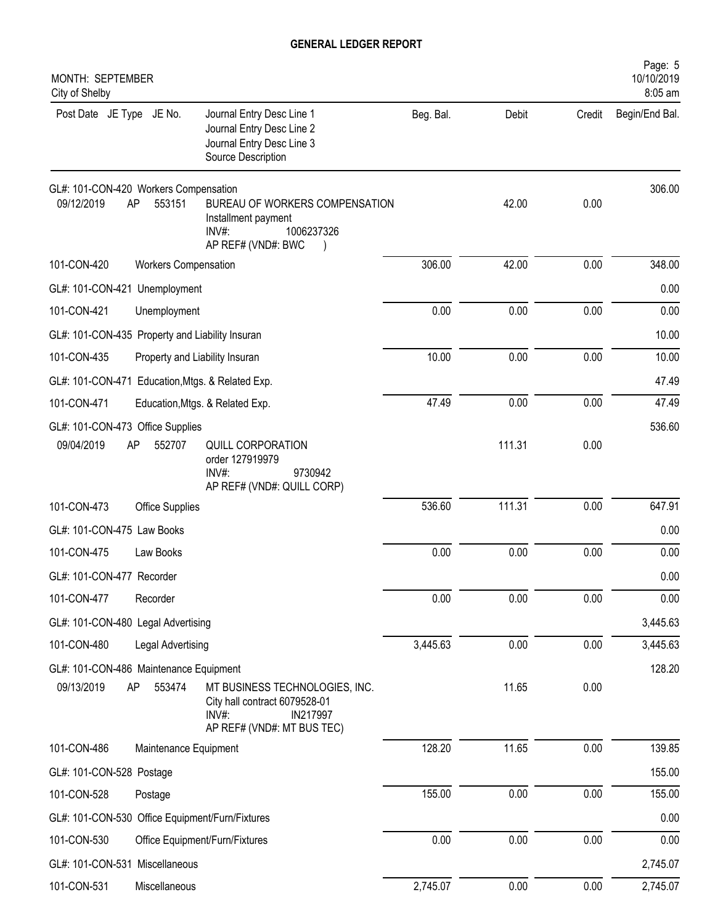| MONTH: SEPTEMBER<br>City of Shelby                  |                                |                                                                                                                    |           |        |        | Page: 5<br>10/10/2019<br>8:05 am |
|-----------------------------------------------------|--------------------------------|--------------------------------------------------------------------------------------------------------------------|-----------|--------|--------|----------------------------------|
| Post Date JE Type JE No.                            |                                | Journal Entry Desc Line 1<br>Journal Entry Desc Line 2<br>Journal Entry Desc Line 3<br>Source Description          | Beg. Bal. | Debit  | Credit | Begin/End Bal.                   |
| GL#: 101-CON-420 Workers Compensation<br>09/12/2019 | AP<br>553151                   | BUREAU OF WORKERS COMPENSATION<br>Installment payment<br>1006237326<br>$INV#$ :<br>AP REF# (VND#: BWC              |           | 42.00  | 0.00   | 306.00                           |
| 101-CON-420                                         | <b>Workers Compensation</b>    |                                                                                                                    | 306.00    | 42.00  | 0.00   | 348.00                           |
| GL#: 101-CON-421 Unemployment                       |                                |                                                                                                                    |           |        |        | 0.00                             |
| 101-CON-421                                         | Unemployment                   |                                                                                                                    | 0.00      | 0.00   | 0.00   | 0.00                             |
| GL#: 101-CON-435 Property and Liability Insuran     |                                |                                                                                                                    |           |        |        | 10.00                            |
| 101-CON-435                                         | Property and Liability Insuran |                                                                                                                    | 10.00     | 0.00   | 0.00   | 10.00                            |
| GL#: 101-CON-471 Education, Mtgs. & Related Exp.    |                                |                                                                                                                    |           |        |        | 47.49                            |
| 101-CON-471                                         |                                | Education, Mtgs. & Related Exp.                                                                                    | 47.49     | 0.00   | 0.00   | 47.49                            |
| GL#: 101-CON-473 Office Supplies<br>09/04/2019      | 552707<br>AP                   | QUILL CORPORATION<br>order 127919979<br>$INV#$ :<br>9730942<br>AP REF# (VND#: QUILL CORP)                          |           | 111.31 | 0.00   | 536.60                           |
| 101-CON-473                                         | <b>Office Supplies</b>         |                                                                                                                    | 536.60    | 111.31 | 0.00   | 647.91                           |
| GL#: 101-CON-475 Law Books                          |                                |                                                                                                                    |           |        |        | 0.00                             |
| 101-CON-475                                         | Law Books                      |                                                                                                                    | 0.00      | 0.00   | 0.00   | 0.00                             |
| GL#: 101-CON-477 Recorder                           |                                |                                                                                                                    |           |        |        | 0.00                             |
| 101-CON-477                                         | Recorder                       |                                                                                                                    | 0.00      | 0.00   | 0.00   | 0.00                             |
| GL#: 101-CON-480 Legal Advertising                  |                                |                                                                                                                    |           |        |        | 3,445.63                         |
| 101-CON-480                                         | Legal Advertising              |                                                                                                                    | 3,445.63  | 0.00   | 0.00   | 3,445.63                         |
| GL#: 101-CON-486 Maintenance Equipment              |                                |                                                                                                                    |           |        |        | 128.20                           |
| 09/13/2019                                          | AP<br>553474                   | MT BUSINESS TECHNOLOGIES, INC.<br>City hall contract 6079528-01<br>INV#:<br>IN217997<br>AP REF# (VND#: MT BUS TEC) |           | 11.65  | 0.00   |                                  |
| 101-CON-486                                         | Maintenance Equipment          |                                                                                                                    | 128.20    | 11.65  | 0.00   | 139.85                           |
| GL#: 101-CON-528 Postage                            |                                |                                                                                                                    |           |        |        | 155.00                           |
| 101-CON-528                                         | Postage                        |                                                                                                                    | 155.00    | 0.00   | 0.00   | 155.00                           |
| GL#: 101-CON-530 Office Equipment/Furn/Fixtures     |                                |                                                                                                                    |           |        |        | 0.00                             |
| 101-CON-530                                         |                                | Office Equipment/Furn/Fixtures                                                                                     | 0.00      | 0.00   | 0.00   | 0.00                             |
| GL#: 101-CON-531 Miscellaneous                      |                                |                                                                                                                    |           |        |        | 2,745.07                         |
| 101-CON-531                                         | Miscellaneous                  |                                                                                                                    | 2,745.07  | 0.00   | 0.00   | 2,745.07                         |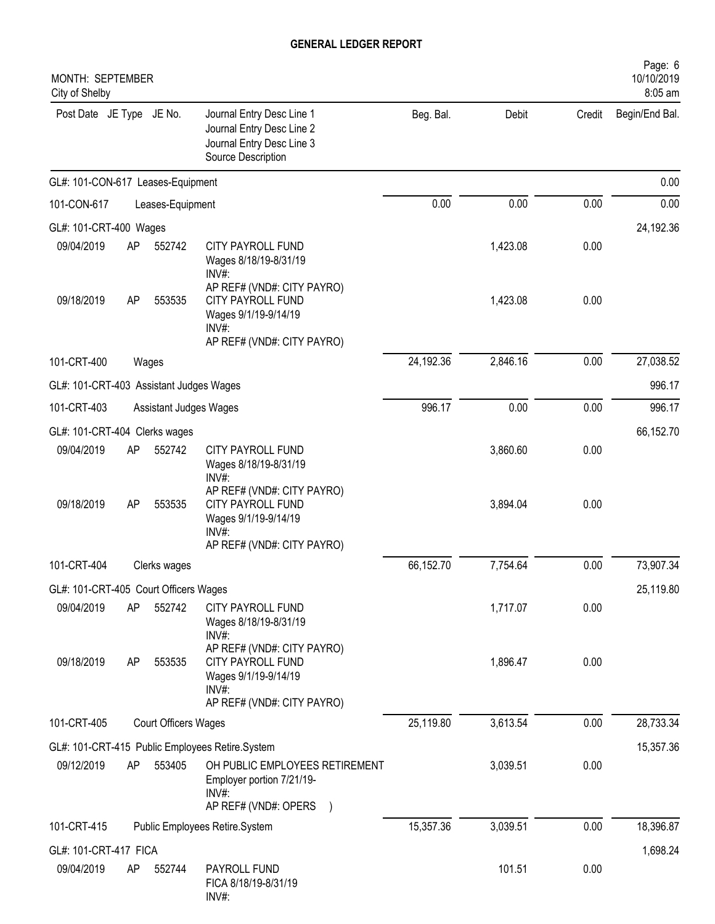| MONTH: SEPTEMBER<br>City of Shelby                  |    |                        |                                                                                                                            |           |          |        | Page: 6<br>10/10/2019<br>8:05 am |
|-----------------------------------------------------|----|------------------------|----------------------------------------------------------------------------------------------------------------------------|-----------|----------|--------|----------------------------------|
| Post Date JE Type JE No.                            |    |                        | Journal Entry Desc Line 1<br>Journal Entry Desc Line 2<br>Journal Entry Desc Line 3<br>Source Description                  | Beg. Bal. | Debit    | Credit | Begin/End Bal.                   |
| GL#: 101-CON-617 Leases-Equipment                   |    |                        |                                                                                                                            |           |          |        | 0.00                             |
| 101-CON-617                                         |    | Leases-Equipment       |                                                                                                                            | 0.00      | 0.00     | 0.00   | 0.00                             |
| GL#: 101-CRT-400 Wages                              |    |                        |                                                                                                                            |           |          |        | 24,192.36                        |
| 09/04/2019                                          | AP | 552742                 | CITY PAYROLL FUND<br>Wages 8/18/19-8/31/19<br>INV#:                                                                        |           | 1,423.08 | 0.00   |                                  |
| 09/18/2019                                          | AP | 553535                 | AP REF# (VND#: CITY PAYRO)<br><b>CITY PAYROLL FUND</b><br>Wages 9/1/19-9/14/19<br>$INV#$ :<br>AP REF# (VND#: CITY PAYRO)   |           | 1,423.08 | 0.00   |                                  |
| 101-CRT-400                                         |    | Wages                  |                                                                                                                            | 24,192.36 | 2,846.16 | 0.00   | 27,038.52                        |
| GL#: 101-CRT-403 Assistant Judges Wages             |    |                        |                                                                                                                            |           |          |        | 996.17                           |
| 101-CRT-403                                         |    | Assistant Judges Wages |                                                                                                                            | 996.17    | 0.00     | 0.00   | 996.17                           |
| GL#: 101-CRT-404 Clerks wages                       |    |                        |                                                                                                                            |           |          |        | 66,152.70                        |
| 09/04/2019                                          | AP | 552742                 | <b>CITY PAYROLL FUND</b><br>Wages 8/18/19-8/31/19<br>INV#:                                                                 |           | 3,860.60 | 0.00   |                                  |
| 09/18/2019                                          | AP | 553535                 | AP REF# (VND#: CITY PAYRO)<br>CITY PAYROLL FUND<br>Wages 9/1/19-9/14/19<br>$INV#$ :                                        |           | 3,894.04 | 0.00   |                                  |
| 101-CRT-404                                         |    | Clerks wages           | AP REF# (VND#: CITY PAYRO)                                                                                                 | 66,152.70 | 7,754.64 | 0.00   | 73,907.34                        |
|                                                     |    |                        |                                                                                                                            |           |          |        |                                  |
| GL#: 101-CRT-405 Court Officers Wages<br>09/04/2019 | AP | 552742                 | CITY PAYROLL FUND<br>Wages 8/18/19-8/31/19                                                                                 |           | 1,717.07 | 0.00   | 25,119.80                        |
| 09/18/2019                                          | AP | 553535                 | $INV#$ :<br>AP REF# (VND#: CITY PAYRO)<br>CITY PAYROLL FUND<br>Wages 9/1/19-9/14/19<br>INV#:<br>AP REF# (VND#: CITY PAYRO) |           | 1,896.47 | 0.00   |                                  |
| 101-CRT-405                                         |    | Court Officers Wages   |                                                                                                                            | 25,119.80 | 3,613.54 | 0.00   | 28,733.34                        |
|                                                     |    |                        | GL#: 101-CRT-415 Public Employees Retire.System                                                                            |           |          |        | 15,357.36                        |
| 09/12/2019                                          | AP | 553405                 | OH PUBLIC EMPLOYEES RETIREMENT<br>Employer portion 7/21/19-<br>$INV#$ :<br>AP REF# (VND#: OPERS )                          |           | 3,039.51 | 0.00   |                                  |
| 101-CRT-415                                         |    |                        | Public Employees Retire.System                                                                                             | 15,357.36 | 3,039.51 | 0.00   | 18,396.87                        |
| GL#: 101-CRT-417 FICA                               |    |                        |                                                                                                                            |           |          |        | 1,698.24                         |
| 09/04/2019                                          | AP | 552744                 | PAYROLL FUND<br>FICA 8/18/19-8/31/19<br>INV#:                                                                              |           | 101.51   | 0.00   |                                  |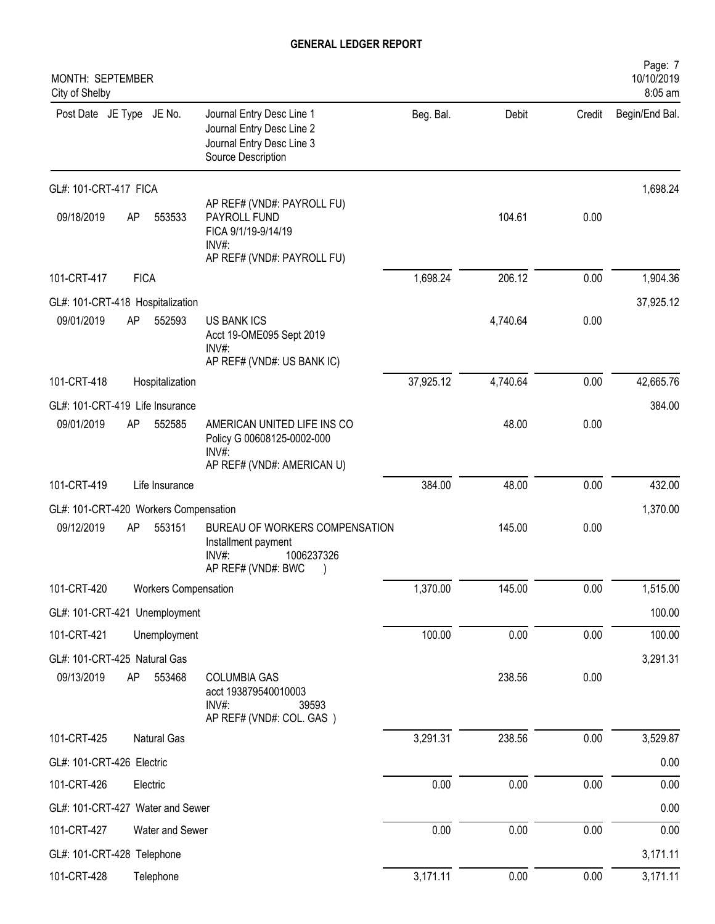| MONTH: SEPTEMBER<br>City of Shelby    |             |                             |                                                                                                             |           |          |          | Page: 7<br>10/10/2019<br>8:05 am |
|---------------------------------------|-------------|-----------------------------|-------------------------------------------------------------------------------------------------------------|-----------|----------|----------|----------------------------------|
| Post Date JE Type JE No.              |             |                             | Journal Entry Desc Line 1<br>Journal Entry Desc Line 2<br>Journal Entry Desc Line 3<br>Source Description   | Beg. Bal. | Debit    | Credit   | Begin/End Bal.                   |
| GL#: 101-CRT-417 FICA                 |             |                             |                                                                                                             |           |          |          | 1,698.24                         |
| 09/18/2019                            | AP          | 553533                      | AP REF# (VND#: PAYROLL FU)<br>PAYROLL FUND<br>FICA 9/1/19-9/14/19<br>$INV#$ :<br>AP REF# (VND#: PAYROLL FU) |           | 104.61   | 0.00     |                                  |
| 101-CRT-417                           | <b>FICA</b> |                             |                                                                                                             | 1,698.24  | 206.12   | 0.00     | 1,904.36                         |
| GL#: 101-CRT-418 Hospitalization      |             |                             |                                                                                                             |           |          |          | 37,925.12                        |
| 09/01/2019                            | AP          | 552593                      | <b>US BANK ICS</b><br>Acct 19-OME095 Sept 2019<br>$INV#$ :<br>AP REF# (VND#: US BANK IC)                    |           | 4,740.64 | 0.00     |                                  |
| 101-CRT-418                           |             | Hospitalization             |                                                                                                             | 37,925.12 | 4,740.64 | 0.00     | 42,665.76                        |
| GL#: 101-CRT-419 Life Insurance       |             |                             |                                                                                                             |           |          |          | 384.00                           |
| 09/01/2019                            | AP          | 552585                      | AMERICAN UNITED LIFE INS CO<br>Policy G 00608125-0002-000<br>INV#:                                          |           | 48.00    | 0.00     |                                  |
| 101-CRT-419                           |             | Life Insurance              | AP REF# (VND#: AMERICAN U)                                                                                  | 384.00    | 48.00    | 0.00     | 432.00                           |
| GL#: 101-CRT-420 Workers Compensation |             |                             |                                                                                                             |           |          |          | 1,370.00                         |
| 09/12/2019                            | AP          | 553151                      | BUREAU OF WORKERS COMPENSATION<br>Installment payment<br>$INV#$ :<br>1006237326<br>AP REF# (VND#: BWC       |           | 145.00   | 0.00     |                                  |
| 101-CRT-420                           |             | <b>Workers Compensation</b> |                                                                                                             | 1,370.00  | 145.00   | 0.00     | 1,515.00                         |
| GL#: 101-CRT-421 Unemployment         |             |                             |                                                                                                             |           |          |          | 100.00                           |
| 101-CRT-421                           |             | Unemployment                |                                                                                                             | 100.00    | 0.00     | $0.00\,$ | 100.00                           |
| GL#: 101-CRT-425 Natural Gas          |             |                             |                                                                                                             |           |          |          | 3,291.31                         |
| 09/13/2019                            | AP          | 553468                      | <b>COLUMBIA GAS</b><br>acct 193879540010003<br>$INV#$ :<br>39593<br>AP REF# (VND#: COL. GAS)                |           | 238.56   | 0.00     |                                  |
| 101-CRT-425                           |             | Natural Gas                 |                                                                                                             | 3,291.31  | 238.56   | 0.00     | 3,529.87                         |
| GL#: 101-CRT-426 Electric             |             |                             |                                                                                                             |           |          |          | 0.00                             |
| 101-CRT-426                           |             | Electric                    |                                                                                                             | 0.00      | 0.00     | 0.00     | 0.00                             |
| GL#: 101-CRT-427 Water and Sewer      |             |                             |                                                                                                             |           |          |          | 0.00                             |
| 101-CRT-427                           |             | Water and Sewer             |                                                                                                             | 0.00      | 0.00     | 0.00     | 0.00                             |
| GL#: 101-CRT-428 Telephone            |             |                             |                                                                                                             |           |          |          | 3,171.11                         |
| 101-CRT-428                           |             | Telephone                   |                                                                                                             | 3,171.11  | 0.00     | 0.00     | 3,171.11                         |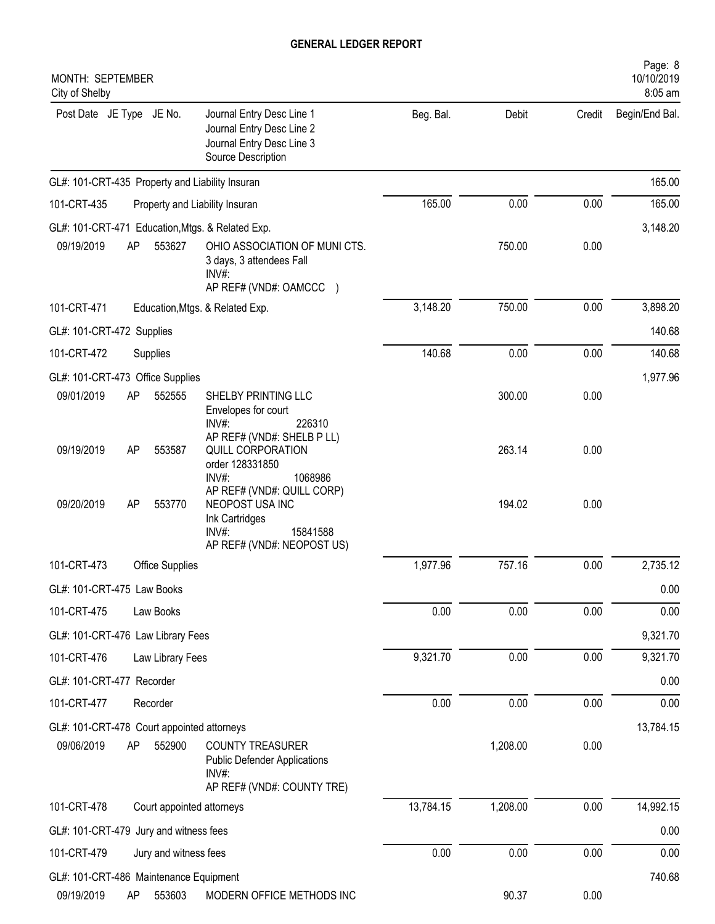| MONTH: SEPTEMBER<br>City of Shelby                                                                                                               |           |          |        | Page: 8<br>10/10/2019<br>8:05 am |
|--------------------------------------------------------------------------------------------------------------------------------------------------|-----------|----------|--------|----------------------------------|
| Post Date JE Type JE No.<br>Journal Entry Desc Line 1<br>Journal Entry Desc Line 2<br>Journal Entry Desc Line 3<br>Source Description            | Beg. Bal. | Debit    | Credit | Begin/End Bal.                   |
| GL#: 101-CRT-435 Property and Liability Insuran                                                                                                  |           |          |        | 165.00                           |
| 101-CRT-435<br>Property and Liability Insuran                                                                                                    | 165.00    | 0.00     | 0.00   | 165.00                           |
| GL#: 101-CRT-471 Education, Mtgs. & Related Exp.                                                                                                 |           |          |        | 3,148.20                         |
| 09/19/2019<br>AP<br>553627<br>OHIO ASSOCIATION OF MUNICTS.<br>3 days, 3 attendees Fall<br>$INV#$ :<br>AP REF# (VND#: OAMCCC )                    |           | 750.00   | 0.00   |                                  |
| 101-CRT-471<br>Education, Mtgs. & Related Exp.                                                                                                   | 3,148.20  | 750.00   | 0.00   | 3,898.20                         |
| GL#: 101-CRT-472 Supplies                                                                                                                        |           |          |        | 140.68                           |
| 101-CRT-472<br>Supplies                                                                                                                          | 140.68    | 0.00     | 0.00   | 140.68                           |
| GL#: 101-CRT-473 Office Supplies                                                                                                                 |           |          |        | 1,977.96                         |
| 09/01/2019<br>552555<br>AP<br>SHELBY PRINTING LLC<br>Envelopes for court<br>$INV#$ :<br>226310                                                   |           | 300.00   | 0.00   |                                  |
| AP REF# (VND#: SHELB P LL)<br>09/19/2019<br>AP<br>553587<br>QUILL CORPORATION<br>order 128331850<br>INV#:<br>1068986                             |           | 263.14   | 0.00   |                                  |
| AP REF# (VND#: QUILL CORP)<br>09/20/2019<br>553770<br>NEOPOST USA INC<br>AP<br>Ink Cartridges<br>INV#:<br>15841588<br>AP REF# (VND#: NEOPOST US) |           | 194.02   | 0.00   |                                  |
| 101-CRT-473<br><b>Office Supplies</b>                                                                                                            | 1,977.96  | 757.16   | 0.00   | 2,735.12                         |
| GL#: 101-CRT-475 Law Books                                                                                                                       |           |          |        | 0.00                             |
| 101-CRT-475<br>Law Books                                                                                                                         | 0.00      | 0.00     | 0.00   | 0.00                             |
| GL#: 101-CRT-476 Law Library Fees                                                                                                                |           |          |        | 9,321.70                         |
| 101-CRT-476<br>Law Library Fees                                                                                                                  | 9,321.70  | 0.00     | 0.00   | 9,321.70                         |
| GL#: 101-CRT-477 Recorder                                                                                                                        |           |          |        | 0.00                             |
| 101-CRT-477<br>Recorder                                                                                                                          | 0.00      | 0.00     | 0.00   | 0.00                             |
| GL#: 101-CRT-478 Court appointed attorneys                                                                                                       |           |          |        | 13,784.15                        |
| 09/06/2019<br>552900<br><b>COUNTY TREASURER</b><br>AP<br><b>Public Defender Applications</b><br>$INV#$ :<br>AP REF# (VND#: COUNTY TRE)           |           | 1,208.00 | 0.00   |                                  |
| 101-CRT-478<br>Court appointed attorneys                                                                                                         | 13,784.15 | 1,208.00 | 0.00   | 14,992.15                        |
| GL#: 101-CRT-479 Jury and witness fees                                                                                                           |           |          |        | 0.00                             |
| 101-CRT-479<br>Jury and witness fees                                                                                                             | 0.00      | 0.00     | 0.00   | 0.00                             |
| GL#: 101-CRT-486 Maintenance Equipment                                                                                                           |           |          |        | 740.68                           |
| 09/19/2019<br>MODERN OFFICE METHODS INC<br>AP<br>553603                                                                                          |           | 90.37    | 0.00   |                                  |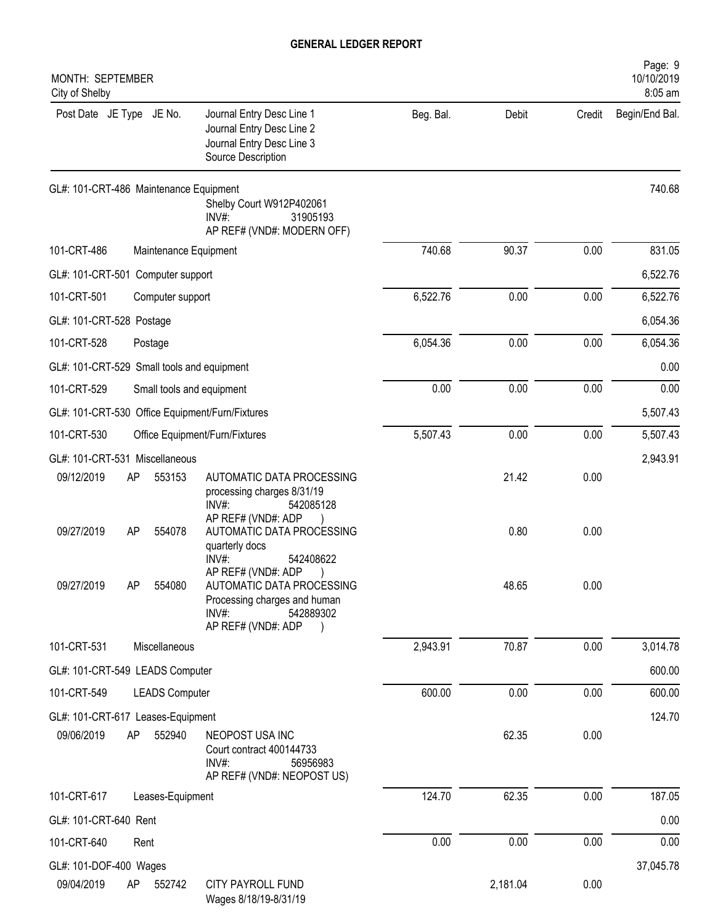| MONTH: SEPTEMBER<br>City of Shelby                           |                                                                                                                    |           |          |        | Page: 9<br>10/10/2019<br>8:05 am |
|--------------------------------------------------------------|--------------------------------------------------------------------------------------------------------------------|-----------|----------|--------|----------------------------------|
| Post Date JE Type JE No.<br>Source Description               | Journal Entry Desc Line 1<br>Journal Entry Desc Line 2<br>Journal Entry Desc Line 3                                | Beg. Bal. | Debit    | Credit | Begin/End Bal.                   |
| GL#: 101-CRT-486 Maintenance Equipment<br>$INV#$ :           | Shelby Court W912P402061<br>31905193<br>AP REF# (VND#: MODERN OFF)                                                 |           |          |        | 740.68                           |
| 101-CRT-486<br>Maintenance Equipment                         |                                                                                                                    | 740.68    | 90.37    | 0.00   | 831.05                           |
| GL#: 101-CRT-501 Computer support                            |                                                                                                                    |           |          |        | 6,522.76                         |
| 101-CRT-501<br>Computer support                              |                                                                                                                    | 6,522.76  | 0.00     | 0.00   | 6,522.76                         |
| GL#: 101-CRT-528 Postage                                     |                                                                                                                    |           |          |        | 6,054.36                         |
| 101-CRT-528<br>Postage                                       |                                                                                                                    | 6,054.36  | 0.00     | 0.00   | 6,054.36                         |
| GL#: 101-CRT-529 Small tools and equipment                   |                                                                                                                    |           |          |        | 0.00                             |
| 101-CRT-529<br>Small tools and equipment                     |                                                                                                                    | 0.00      | 0.00     | 0.00   | 0.00                             |
| GL#: 101-CRT-530 Office Equipment/Furn/Fixtures              |                                                                                                                    |           |          |        | 5,507.43                         |
| 101-CRT-530<br>Office Equipment/Furn/Fixtures                |                                                                                                                    | 5,507.43  | 0.00     | 0.00   | 5,507.43                         |
| GL#: 101-CRT-531 Miscellaneous                               |                                                                                                                    |           |          |        | 2,943.91                         |
| 09/12/2019<br>AP<br>553153<br>INV#:                          | AUTOMATIC DATA PROCESSING<br>processing charges 8/31/19<br>542085128                                               |           | 21.42    | 0.00   |                                  |
| 09/27/2019<br>554078<br><b>AP</b><br>quarterly docs<br>INV#: | AP REF# (VND#: ADP<br>AUTOMATIC DATA PROCESSING<br>542408622                                                       |           | 0.80     | 0.00   |                                  |
| 09/27/2019<br>554080<br>AP<br>$INV#$ :                       | AP REF# (VND#: ADP<br>AUTOMATIC DATA PROCESSING<br>Processing charges and human<br>542889302<br>AP REF# (VND#: ADP |           | 48.65    | 0.00   |                                  |
| 101-CRT-531<br>Miscellaneous                                 |                                                                                                                    | 2,943.91  | 70.87    | 0.00   | 3,014.78                         |
| GL#: 101-CRT-549 LEADS Computer                              |                                                                                                                    |           |          |        | 600.00                           |
| 101-CRT-549<br><b>LEADS Computer</b>                         |                                                                                                                    | 600.00    | 0.00     | 0.00   | 600.00                           |
| GL#: 101-CRT-617 Leases-Equipment                            |                                                                                                                    |           |          |        | 124.70                           |
| AP<br>552940<br>09/06/2019<br>$INV#$ :                       | NEOPOST USA INC<br>Court contract 400144733<br>56956983<br>AP REF# (VND#: NEOPOST US)                              |           | 62.35    | 0.00   |                                  |
| 101-CRT-617<br>Leases-Equipment                              |                                                                                                                    | 124.70    | 62.35    | 0.00   | 187.05                           |
| GL#: 101-CRT-640 Rent                                        |                                                                                                                    |           |          |        | 0.00                             |
| 101-CRT-640<br>Rent                                          |                                                                                                                    | 0.00      | 0.00     | 0.00   | 0.00                             |
| GL#: 101-DOF-400 Wages                                       |                                                                                                                    |           |          |        | 37,045.78                        |
| 09/04/2019<br>552742<br>AP                                   | CITY PAYROLL FUND<br>Wages 8/18/19-8/31/19                                                                         |           | 2,181.04 | 0.00   |                                  |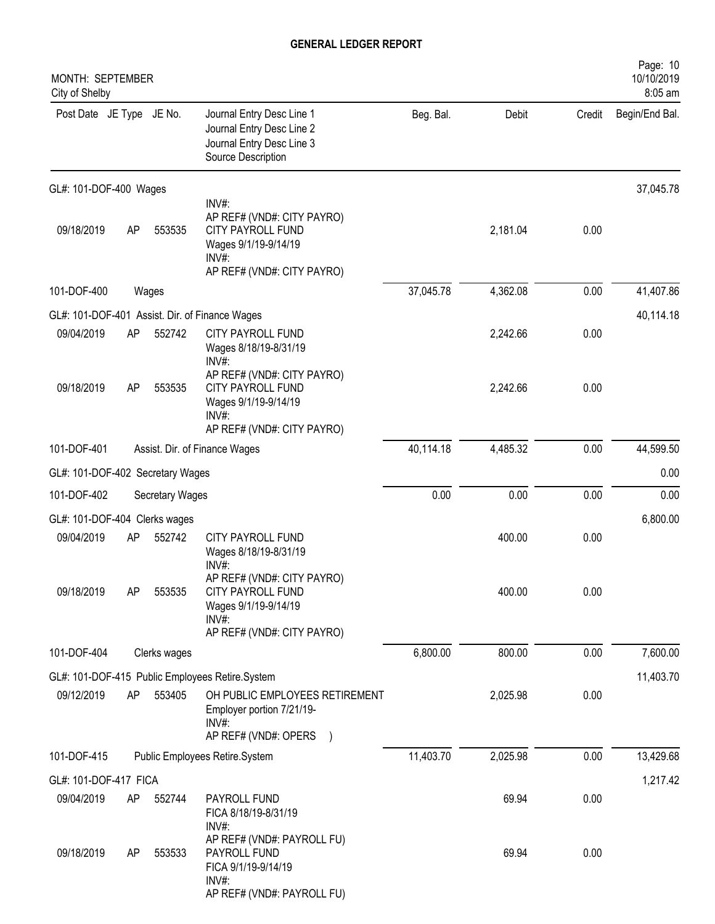| MONTH: SEPTEMBER<br>City of Shelby |    |                 |                                                                                                                         |           |          |        | Page: 10<br>10/10/2019<br>8:05 am |
|------------------------------------|----|-----------------|-------------------------------------------------------------------------------------------------------------------------|-----------|----------|--------|-----------------------------------|
| Post Date JE Type JE No.           |    |                 | Journal Entry Desc Line 1<br>Journal Entry Desc Line 2<br>Journal Entry Desc Line 3<br>Source Description               | Beg. Bal. | Debit    | Credit | Begin/End Bal.                    |
| GL#: 101-DOF-400 Wages             |    |                 |                                                                                                                         |           |          |        | 37,045.78                         |
| 09/18/2019                         | AP | 553535          | INV#:<br>AP REF# (VND#: CITY PAYRO)<br>CITY PAYROLL FUND<br>Wages 9/1/19-9/14/19<br>INV#:<br>AP REF# (VND#: CITY PAYRO) |           | 2,181.04 | 0.00   |                                   |
| 101-DOF-400                        |    | Wages           |                                                                                                                         | 37,045.78 | 4,362.08 | 0.00   | 41,407.86                         |
|                                    |    |                 | GL#: 101-DOF-401 Assist. Dir. of Finance Wages                                                                          |           |          |        | 40,114.18                         |
| 09/04/2019                         | AP | 552742          | CITY PAYROLL FUND<br>Wages 8/18/19-8/31/19<br>$INV#$ :                                                                  |           | 2,242.66 | 0.00   |                                   |
| 09/18/2019                         | AP | 553535          | AP REF# (VND#: CITY PAYRO)<br><b>CITY PAYROLL FUND</b><br>Wages 9/1/19-9/14/19<br>INV#<br>AP REF# (VND#: CITY PAYRO)    |           | 2,242.66 | 0.00   |                                   |
| 101-DOF-401                        |    |                 | Assist. Dir. of Finance Wages                                                                                           | 40,114.18 | 4,485.32 | 0.00   | 44,599.50                         |
| GL#: 101-DOF-402 Secretary Wages   |    |                 |                                                                                                                         |           |          |        | 0.00                              |
| 101-DOF-402                        |    | Secretary Wages |                                                                                                                         | 0.00      | 0.00     | 0.00   | 0.00                              |
| GL#: 101-DOF-404 Clerks wages      |    |                 |                                                                                                                         |           |          |        | 6,800.00                          |
| 09/04/2019                         | AP | 552742          | CITY PAYROLL FUND<br>Wages 8/18/19-8/31/19<br>INV#:                                                                     |           | 400.00   | 0.00   |                                   |
| 09/18/2019                         | AP | 553535          | AP REF# (VND#: CITY PAYRO)<br>CITY PAYROLL FUND<br>Wages 9/1/19-9/14/19<br>$INV#$ :                                     |           | 400.00   | 0.00   |                                   |
| 101-DOF-404                        |    |                 | AP REF# (VND#: CITY PAYRO)                                                                                              | 6,800.00  | 800.00   | 0.00   | 7,600.00                          |
|                                    |    | Clerks wages    |                                                                                                                         |           |          |        |                                   |
| 09/12/2019                         | AP | 553405          | GL#: 101-DOF-415 Public Employees Retire.System<br>OH PUBLIC EMPLOYEES RETIREMENT<br>Employer portion 7/21/19-<br>INV#: |           | 2,025.98 | 0.00   | 11,403.70                         |
|                                    |    |                 | AP REF# (VND#: OPERS )                                                                                                  |           |          |        |                                   |
| 101-DOF-415                        |    |                 | Public Employees Retire.System                                                                                          | 11,403.70 | 2,025.98 | 0.00   | 13,429.68                         |
| GL#: 101-DOF-417 FICA              |    |                 |                                                                                                                         |           |          |        | 1,217.42                          |
| 09/04/2019                         | AP | 552744          | PAYROLL FUND<br>FICA 8/18/19-8/31/19<br>INV#:                                                                           |           | 69.94    | 0.00   |                                   |
| 09/18/2019                         | AP | 553533          | AP REF# (VND#: PAYROLL FU)<br>PAYROLL FUND<br>FICA 9/1/19-9/14/19<br>INV#:<br>AP REF# (VND#: PAYROLL FU)                |           | 69.94    | 0.00   |                                   |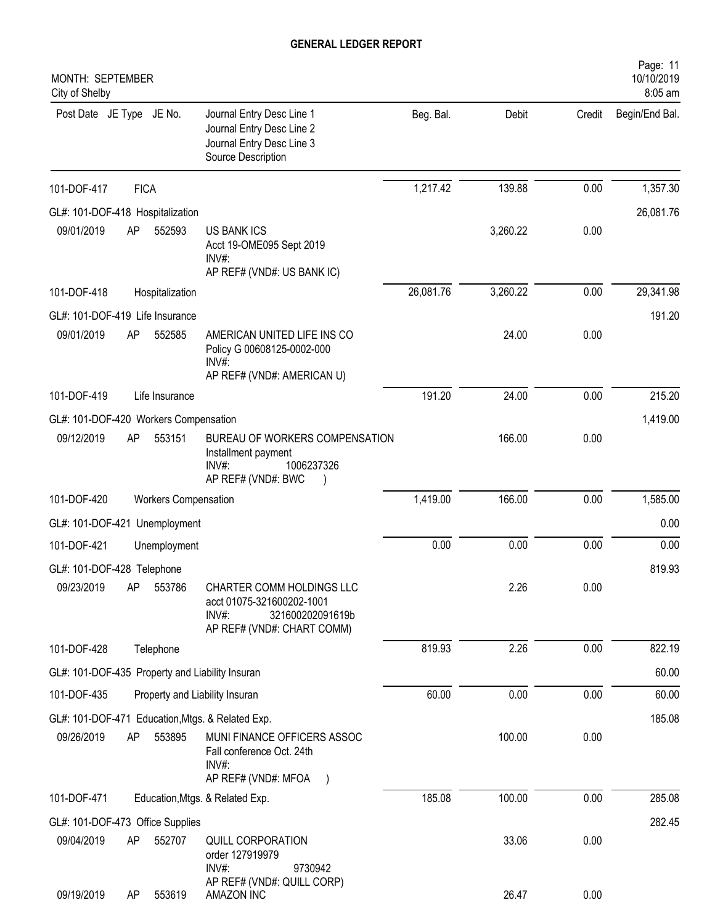| MONTH: SEPTEMBER<br>City of Shelby                                                                                                              |           |          |        | Page: 11<br>10/10/2019<br>8:05 am |
|-------------------------------------------------------------------------------------------------------------------------------------------------|-----------|----------|--------|-----------------------------------|
| Journal Entry Desc Line 1<br>Post Date JE Type JE No.<br>Journal Entry Desc Line 2<br>Journal Entry Desc Line 3<br>Source Description           | Beg. Bal. | Debit    | Credit | Begin/End Bal.                    |
| <b>FICA</b><br>101-DOF-417                                                                                                                      | 1,217.42  | 139.88   | 0.00   | 1,357.30                          |
| GL#: 101-DOF-418 Hospitalization                                                                                                                |           |          |        | 26,081.76                         |
| 09/01/2019<br>AP<br>552593<br><b>US BANK ICS</b><br>Acct 19-OME095 Sept 2019<br>$INV#$ :<br>AP REF# (VND#: US BANK IC)                          |           | 3,260.22 | 0.00   |                                   |
| 101-DOF-418<br>Hospitalization                                                                                                                  | 26,081.76 | 3,260.22 | 0.00   | 29,341.98                         |
| GL#: 101-DOF-419 Life Insurance                                                                                                                 |           |          |        | 191.20                            |
| 09/01/2019<br>AP<br>552585<br>AMERICAN UNITED LIFE INS CO<br>Policy G 00608125-0002-000<br>INV#:<br>AP REF# (VND#: AMERICAN U)                  |           | 24.00    | 0.00   |                                   |
| 101-DOF-419<br>Life Insurance                                                                                                                   | 191.20    | 24.00    | 0.00   | 215.20                            |
| GL#: 101-DOF-420 Workers Compensation                                                                                                           |           |          |        | 1,419.00                          |
| 09/12/2019<br>553151<br>AP<br>BUREAU OF WORKERS COMPENSATION<br>Installment payment<br>$INV#$ :<br>1006237326<br>AP REF# (VND#: BWC             |           | 166.00   | 0.00   |                                   |
| 101-DOF-420<br><b>Workers Compensation</b>                                                                                                      | 1,419.00  | 166.00   | 0.00   | 1,585.00                          |
| GL#: 101-DOF-421 Unemployment                                                                                                                   |           |          |        | 0.00                              |
| 101-DOF-421<br>Unemployment                                                                                                                     | 0.00      | 0.00     | 0.00   | 0.00                              |
| GL#: 101-DOF-428 Telephone                                                                                                                      |           |          |        | 819.93                            |
| AP<br>09/23/2019<br>553786<br>CHARTER COMM HOLDINGS LLC<br>acct 01075-321600202-1001<br>INV#:<br>321600202091619b<br>AP REF# (VND#: CHART COMM) |           | 2.26     | 0.00   |                                   |
| 101-DOF-428<br>Telephone                                                                                                                        | 819.93    | 2.26     | 0.00   | 822.19                            |
| GL#: 101-DOF-435 Property and Liability Insuran                                                                                                 |           |          |        | 60.00                             |
| 101-DOF-435<br>Property and Liability Insuran                                                                                                   | 60.00     | 0.00     | 0.00   | 60.00                             |
| GL#: 101-DOF-471 Education, Mtgs. & Related Exp.                                                                                                |           |          |        | 185.08                            |
| 09/26/2019<br>AP<br>553895<br>MUNI FINANCE OFFICERS ASSOC<br>Fall conference Oct. 24th<br>INV#:<br>AP REF# (VND#: MFOA<br>$\rightarrow$         |           | 100.00   | 0.00   |                                   |
| 101-DOF-471<br>Education, Mtgs. & Related Exp.                                                                                                  | 185.08    | 100.00   | 0.00   | 285.08                            |
| GL#: 101-DOF-473 Office Supplies                                                                                                                |           |          |        | 282.45                            |
| 09/04/2019<br>552707<br>QUILL CORPORATION<br>AP<br>order 127919979<br>$INV#$ :<br>9730942                                                       |           | 33.06    | 0.00   |                                   |
| AP REF# (VND#: QUILL CORP)<br>09/19/2019<br>553619<br>AMAZON INC<br>AP                                                                          |           | 26.47    | 0.00   |                                   |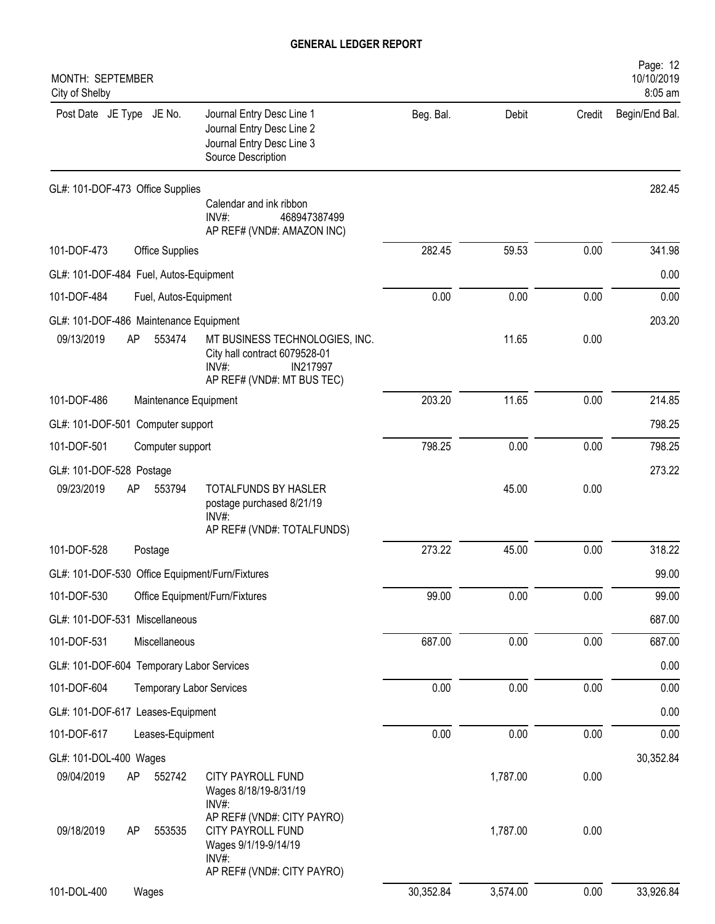| MONTH: SEPTEMBER<br>City of Shelby                                   |                                                                                                                       |           |          |        | Page: 12<br>10/10/2019<br>8:05 am |
|----------------------------------------------------------------------|-----------------------------------------------------------------------------------------------------------------------|-----------|----------|--------|-----------------------------------|
| Post Date JE Type JE No.                                             | Journal Entry Desc Line 1<br>Journal Entry Desc Line 2<br>Journal Entry Desc Line 3<br>Source Description             | Beg. Bal. | Debit    | Credit | Begin/End Bal.                    |
| GL#: 101-DOF-473 Office Supplies                                     | Calendar and ink ribbon<br>$INV#$ :<br>468947387499<br>AP REF# (VND#: AMAZON INC)                                     |           |          |        | 282.45                            |
| 101-DOF-473<br>Office Supplies                                       |                                                                                                                       | 282.45    | 59.53    | 0.00   | 341.98                            |
| GL#: 101-DOF-484 Fuel, Autos-Equipment                               |                                                                                                                       |           |          |        | 0.00                              |
| 101-DOF-484<br>Fuel, Autos-Equipment                                 |                                                                                                                       | 0.00      | 0.00     | 0.00   | 0.00                              |
| GL#: 101-DOF-486 Maintenance Equipment<br>09/13/2019<br>AP<br>553474 | MT BUSINESS TECHNOLOGIES, INC.<br>City hall contract 6079528-01<br>$INV#$ :<br>IN217997<br>AP REF# (VND#: MT BUS TEC) |           | 11.65    | 0.00   | 203.20                            |
| 101-DOF-486<br>Maintenance Equipment                                 |                                                                                                                       | 203.20    | 11.65    | 0.00   | 214.85                            |
| GL#: 101-DOF-501 Computer support                                    |                                                                                                                       |           |          |        | 798.25                            |
| 101-DOF-501<br>Computer support                                      |                                                                                                                       | 798.25    | 0.00     | 0.00   | 798.25                            |
| GL#: 101-DOF-528 Postage                                             |                                                                                                                       |           |          |        | 273.22                            |
| 09/23/2019<br>AP<br>553794                                           | TOTALFUNDS BY HASLER<br>postage purchased 8/21/19<br>$INV#$ :<br>AP REF# (VND#: TOTALFUNDS)                           |           | 45.00    | 0.00   |                                   |
| 101-DOF-528<br>Postage                                               |                                                                                                                       | 273.22    | 45.00    | 0.00   | 318.22                            |
| GL#: 101-DOF-530 Office Equipment/Furn/Fixtures                      |                                                                                                                       |           |          |        | 99.00                             |
| 101-DOF-530                                                          | Office Equipment/Furn/Fixtures                                                                                        | 99.00     | 0.00     | 0.00   | 99.00                             |
| GL#: 101-DOF-531 Miscellaneous                                       |                                                                                                                       |           |          |        | 687.00                            |
| 101-DOF-531<br>Miscellaneous                                         |                                                                                                                       | 687.00    | 0.00     | 0.00   | 687.00                            |
| GL#: 101-DOF-604 Temporary Labor Services                            |                                                                                                                       |           |          |        | 0.00                              |
| 101-DOF-604<br><b>Temporary Labor Services</b>                       |                                                                                                                       | 0.00      | 0.00     | 0.00   | 0.00                              |
| GL#: 101-DOF-617 Leases-Equipment                                    |                                                                                                                       |           |          |        | 0.00                              |
| 101-DOF-617<br>Leases-Equipment                                      |                                                                                                                       | 0.00      | 0.00     | 0.00   | 0.00                              |
| GL#: 101-DOL-400 Wages                                               |                                                                                                                       |           |          |        | 30,352.84                         |
| 09/04/2019<br>AP<br>552742                                           | CITY PAYROLL FUND<br>Wages 8/18/19-8/31/19<br>INV#:<br>AP REF# (VND#: CITY PAYRO)                                     |           | 1,787.00 | 0.00   |                                   |
| 09/18/2019<br>553535<br>AP                                           | CITY PAYROLL FUND<br>Wages 9/1/19-9/14/19<br>$INV#$ :<br>AP REF# (VND#: CITY PAYRO)                                   |           | 1,787.00 | 0.00   |                                   |
| 101-DOL-400<br>Wages                                                 |                                                                                                                       | 30,352.84 | 3,574.00 | 0.00   | 33,926.84                         |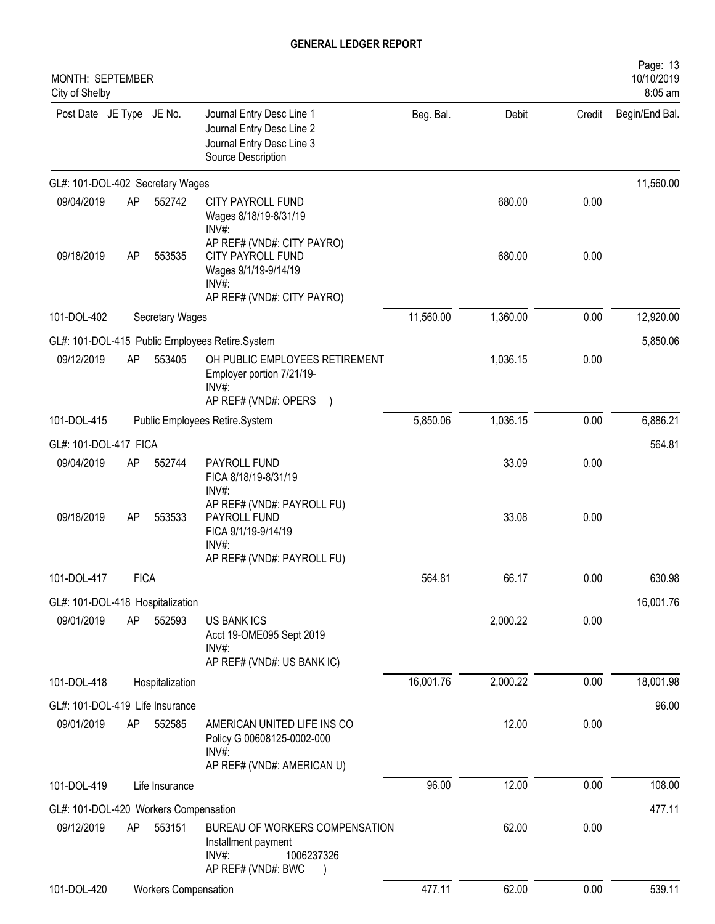| MONTH: SEPTEMBER<br>City of Shelby            |             |                        |                                                                                                                      |           |          |        | Page: 13<br>10/10/2019<br>8:05 am |
|-----------------------------------------------|-------------|------------------------|----------------------------------------------------------------------------------------------------------------------|-----------|----------|--------|-----------------------------------|
| Post Date JE Type JE No.                      |             |                        | Journal Entry Desc Line 1<br>Journal Entry Desc Line 2<br>Journal Entry Desc Line 3<br>Source Description            | Beg. Bal. | Debit    | Credit | Begin/End Bal.                    |
| GL#: 101-DOL-402 Secretary Wages              |             |                        |                                                                                                                      |           |          |        | 11,560.00                         |
| 09/04/2019                                    | AP          | 552742                 | CITY PAYROLL FUND<br>Wages 8/18/19-8/31/19<br>INV#:                                                                  |           | 680.00   | 0.00   |                                   |
| 09/18/2019                                    | AP          | 553535                 | AP REF# (VND#: CITY PAYRO)<br><b>CITY PAYROLL FUND</b><br>Wages 9/1/19-9/14/19<br>INV#<br>AP REF# (VND#: CITY PAYRO) |           | 680.00   | 0.00   |                                   |
| 101-DOL-402                                   |             | <b>Secretary Wages</b> |                                                                                                                      | 11,560.00 | 1,360.00 | 0.00   | 12,920.00                         |
|                                               |             |                        | GL#: 101-DOL-415 Public Employees Retire.System                                                                      |           |          |        | 5,850.06                          |
| 09/12/2019                                    | AP          | 553405                 | OH PUBLIC EMPLOYEES RETIREMENT<br>Employer portion 7/21/19-<br>INV#:                                                 |           | 1,036.15 | 0.00   |                                   |
|                                               |             |                        | AP REF# (VND#: OPERS                                                                                                 |           |          |        |                                   |
| 101-DOL-415                                   |             |                        | Public Employees Retire.System                                                                                       | 5,850.06  | 1,036.15 | 0.00   | 6,886.21                          |
| GL#: 101-DOL-417 FICA                         |             |                        |                                                                                                                      |           |          |        | 564.81                            |
| 09/04/2019                                    | AP          | 552744                 | PAYROLL FUND<br>FICA 8/18/19-8/31/19<br>INV#:                                                                        |           | 33.09    | 0.00   |                                   |
| 09/18/2019                                    | AP          | 553533                 | AP REF# (VND#: PAYROLL FU)<br>PAYROLL FUND<br>FICA 9/1/19-9/14/19<br>INV#:                                           |           | 33.08    | 0.00   |                                   |
|                                               |             |                        | AP REF# (VND#: PAYROLL FU)                                                                                           |           |          |        |                                   |
| 101-DOL-417                                   | <b>FICA</b> |                        |                                                                                                                      | 564.81    | 66.17    | 0.00   | 630.98                            |
| GL#: 101-DOL-418 Hospitalization              |             |                        |                                                                                                                      |           |          |        | 16,001.76                         |
| 09/01/2019                                    | AP          | 552593                 | <b>US BANK ICS</b><br>Acct 19-OME095 Sept 2019<br>$INV#$ :                                                           |           | 2,000.22 | 0.00   |                                   |
| 101-DOL-418                                   |             | Hospitalization        | AP REF# (VND#: US BANK IC)                                                                                           | 16,001.76 | 2,000.22 | 0.00   | 18,001.98                         |
|                                               |             |                        |                                                                                                                      |           |          |        |                                   |
| GL#: 101-DOL-419 Life Insurance<br>09/01/2019 | AP          | 552585                 | AMERICAN UNITED LIFE INS CO<br>Policy G 00608125-0002-000<br>$INV#$ :<br>AP REF# (VND#: AMERICAN U)                  |           | 12.00    | 0.00   | 96.00                             |
| 101-DOL-419                                   |             | Life Insurance         |                                                                                                                      | 96.00     | 12.00    | 0.00   | 108.00                            |
| GL#: 101-DOL-420 Workers Compensation         |             |                        |                                                                                                                      |           |          |        | 477.11                            |
| 09/12/2019                                    | AP          | 553151                 | BUREAU OF WORKERS COMPENSATION<br>Installment payment<br>$INV#$ :<br>1006237326<br>AP REF# (VND#: BWC                |           | 62.00    | 0.00   |                                   |
| 101-DOL-420                                   |             | Workers Compensation   |                                                                                                                      | 477.11    | 62.00    | 0.00   | 539.11                            |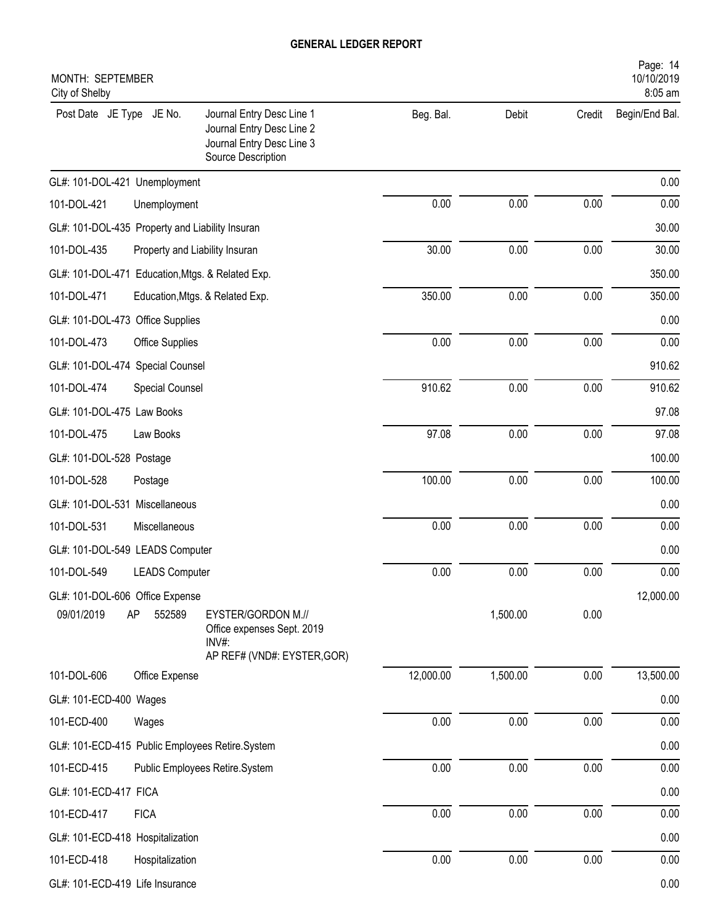| MONTH: SEPTEMBER<br>City of Shelby               |                                                                                                           |           |          |        | Page: 14<br>10/10/2019<br>8:05 am |
|--------------------------------------------------|-----------------------------------------------------------------------------------------------------------|-----------|----------|--------|-----------------------------------|
| Post Date JE Type JE No.                         | Journal Entry Desc Line 1<br>Journal Entry Desc Line 2<br>Journal Entry Desc Line 3<br>Source Description | Beg. Bal. | Debit    | Credit | Begin/End Bal.                    |
| GL#: 101-DOL-421 Unemployment                    |                                                                                                           |           |          |        | 0.00                              |
| 101-DOL-421<br>Unemployment                      |                                                                                                           | 0.00      | 0.00     | 0.00   | 0.00                              |
| GL#: 101-DOL-435 Property and Liability Insuran  |                                                                                                           |           |          |        | 30.00                             |
| 101-DOL-435                                      | Property and Liability Insuran                                                                            | 30.00     | 0.00     | 0.00   | 30.00                             |
| GL#: 101-DOL-471 Education, Mtgs. & Related Exp. |                                                                                                           |           |          |        | 350.00                            |
| 101-DOL-471                                      | Education, Mtgs. & Related Exp.                                                                           | 350.00    | 0.00     | 0.00   | 350.00                            |
| GL#: 101-DOL-473 Office Supplies                 |                                                                                                           |           |          |        | 0.00                              |
| 101-DOL-473<br>Office Supplies                   |                                                                                                           | 0.00      | 0.00     | 0.00   | 0.00                              |
| GL#: 101-DOL-474 Special Counsel                 |                                                                                                           |           |          |        | 910.62                            |
| 101-DOL-474<br>Special Counsel                   |                                                                                                           | 910.62    | 0.00     | 0.00   | 910.62                            |
| GL#: 101-DOL-475 Law Books                       |                                                                                                           |           |          |        | 97.08                             |
| 101-DOL-475<br>Law Books                         |                                                                                                           | 97.08     | 0.00     | 0.00   | 97.08                             |
| GL#: 101-DOL-528 Postage                         |                                                                                                           |           |          |        | 100.00                            |
| 101-DOL-528<br>Postage                           |                                                                                                           | 100.00    | 0.00     | 0.00   | 100.00                            |
| GL#: 101-DOL-531 Miscellaneous                   |                                                                                                           |           |          |        | 0.00                              |
| 101-DOL-531<br>Miscellaneous                     |                                                                                                           | 0.00      | 0.00     | 0.00   | 0.00                              |
| GL#: 101-DOL-549 LEADS Computer                  |                                                                                                           |           |          |        | 0.00                              |
| 101-DOL-549<br><b>LEADS Computer</b>             |                                                                                                           | 0.00      | 0.00     | 0.00   | 0.00                              |
| GL#: 101-DOL-606 Office Expense                  |                                                                                                           |           |          |        | 12,000.00                         |
| 09/01/2019<br>AP<br>552589                       | EYSTER/GORDON M.//<br>Office expenses Sept. 2019<br>$INV#$ :<br>AP REF# (VND#: EYSTER, GOR)               |           | 1,500.00 | 0.00   |                                   |
| 101-DOL-606<br>Office Expense                    |                                                                                                           | 12,000.00 | 1,500.00 | 0.00   | 13,500.00                         |
| GL#: 101-ECD-400 Wages                           |                                                                                                           |           |          |        | 0.00                              |
| 101-ECD-400<br>Wages                             |                                                                                                           | 0.00      | 0.00     | 0.00   | 0.00                              |
| GL#: 101-ECD-415 Public Employees Retire.System  |                                                                                                           |           |          |        | 0.00                              |
| 101-ECD-415                                      | Public Employees Retire.System                                                                            | 0.00      | 0.00     | 0.00   | 0.00                              |
| GL#: 101-ECD-417 FICA                            |                                                                                                           |           |          |        | 0.00                              |
| 101-ECD-417<br><b>FICA</b>                       |                                                                                                           | 0.00      | 0.00     | 0.00   | 0.00                              |
| GL#: 101-ECD-418 Hospitalization                 |                                                                                                           |           |          |        | 0.00                              |
| 101-ECD-418<br>Hospitalization                   |                                                                                                           | 0.00      | 0.00     | 0.00   | 0.00                              |
| GL#: 101-ECD-419 Life Insurance                  |                                                                                                           |           |          |        | 0.00                              |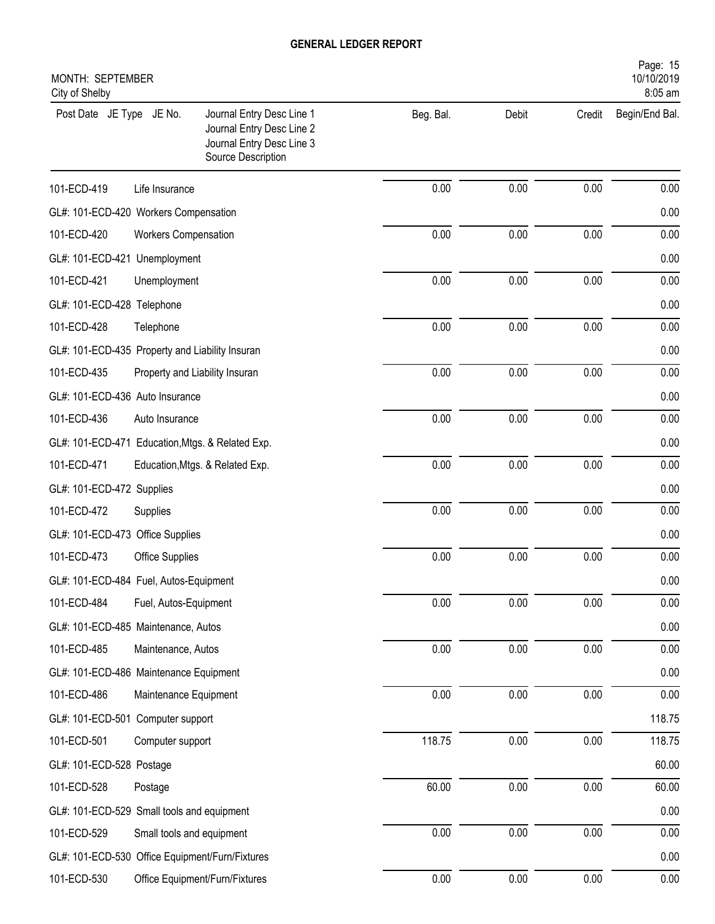| Page: 15<br>10/10/2019<br>MONTH: SEPTEMBER<br>City of Shelby<br>8:05 am |                             |                                                                                                           |           |       |          |                |  |  |  |
|-------------------------------------------------------------------------|-----------------------------|-----------------------------------------------------------------------------------------------------------|-----------|-------|----------|----------------|--|--|--|
| Post Date JE Type JE No.                                                |                             | Journal Entry Desc Line 1<br>Journal Entry Desc Line 2<br>Journal Entry Desc Line 3<br>Source Description | Beg. Bal. | Debit | Credit   | Begin/End Bal. |  |  |  |
| 101-ECD-419                                                             | Life Insurance              |                                                                                                           | 0.00      | 0.00  | 0.00     | 0.00           |  |  |  |
| GL#: 101-ECD-420 Workers Compensation                                   |                             |                                                                                                           |           |       |          | 0.00           |  |  |  |
| 101-ECD-420                                                             | <b>Workers Compensation</b> |                                                                                                           | 0.00      | 0.00  | 0.00     | 0.00           |  |  |  |
| GL#: 101-ECD-421 Unemployment                                           |                             |                                                                                                           |           |       |          | 0.00           |  |  |  |
| 101-ECD-421                                                             | Unemployment                |                                                                                                           | 0.00      | 0.00  | 0.00     | 0.00           |  |  |  |
| GL#: 101-ECD-428 Telephone                                              |                             |                                                                                                           |           |       |          | 0.00           |  |  |  |
| 101-ECD-428                                                             | Telephone                   |                                                                                                           | 0.00      | 0.00  | 0.00     | 0.00           |  |  |  |
| GL#: 101-ECD-435 Property and Liability Insuran                         |                             |                                                                                                           |           |       |          | 0.00           |  |  |  |
| 101-ECD-435                                                             |                             | Property and Liability Insuran                                                                            | 0.00      | 0.00  | 0.00     | 0.00           |  |  |  |
| GL#: 101-ECD-436 Auto Insurance                                         |                             |                                                                                                           |           |       |          | 0.00           |  |  |  |
| 101-ECD-436                                                             | Auto Insurance              |                                                                                                           | 0.00      | 0.00  | 0.00     | 0.00           |  |  |  |
| GL#: 101-ECD-471 Education, Mtgs. & Related Exp.                        |                             |                                                                                                           |           |       |          | 0.00           |  |  |  |
| 101-ECD-471                                                             |                             | Education, Mtgs. & Related Exp.                                                                           | 0.00      | 0.00  | 0.00     | 0.00           |  |  |  |
| GL#: 101-ECD-472 Supplies                                               |                             |                                                                                                           |           |       |          | 0.00           |  |  |  |
| 101-ECD-472                                                             | Supplies                    |                                                                                                           | 0.00      | 0.00  | 0.00     | 0.00           |  |  |  |
| GL#: 101-ECD-473 Office Supplies                                        |                             |                                                                                                           |           |       |          | 0.00           |  |  |  |
| 101-ECD-473                                                             | Office Supplies             |                                                                                                           | 0.00      | 0.00  | 0.00     | 0.00           |  |  |  |
| GL#: 101-ECD-484 Fuel, Autos-Equipment                                  |                             |                                                                                                           |           |       |          | 0.00           |  |  |  |
| 101-ECD-484                                                             | Fuel, Autos-Equipment       |                                                                                                           | 0.00      | 0.00  | 0.00     | 0.00           |  |  |  |
| GL#: 101-ECD-485 Maintenance, Autos                                     |                             |                                                                                                           |           |       |          | 0.00           |  |  |  |
| 101-ECD-485                                                             | Maintenance, Autos          |                                                                                                           | 0.00      | 0.00  | 0.00     | 0.00           |  |  |  |
| GL#: 101-ECD-486 Maintenance Equipment                                  |                             |                                                                                                           |           |       |          | 0.00           |  |  |  |
| 101-ECD-486                                                             | Maintenance Equipment       |                                                                                                           | 0.00      | 0.00  | $0.00\,$ | 0.00           |  |  |  |
| GL#: 101-ECD-501 Computer support                                       |                             |                                                                                                           |           |       |          | 118.75         |  |  |  |
| 101-ECD-501                                                             | Computer support            |                                                                                                           | 118.75    | 0.00  | 0.00     | 118.75         |  |  |  |
| GL#: 101-ECD-528 Postage                                                |                             |                                                                                                           |           |       |          | 60.00          |  |  |  |
| 101-ECD-528                                                             | Postage                     |                                                                                                           | 60.00     | 0.00  | $0.00\,$ | 60.00          |  |  |  |
| GL#: 101-ECD-529 Small tools and equipment                              |                             |                                                                                                           |           |       |          | 0.00           |  |  |  |
| 101-ECD-529                                                             | Small tools and equipment   |                                                                                                           | 0.00      | 0.00  | 0.00     | 0.00           |  |  |  |
| GL#: 101-ECD-530 Office Equipment/Furn/Fixtures                         |                             |                                                                                                           |           |       |          | 0.00           |  |  |  |
| 101-ECD-530                                                             |                             | Office Equipment/Furn/Fixtures                                                                            | 0.00      | 0.00  | 0.00     | 0.00           |  |  |  |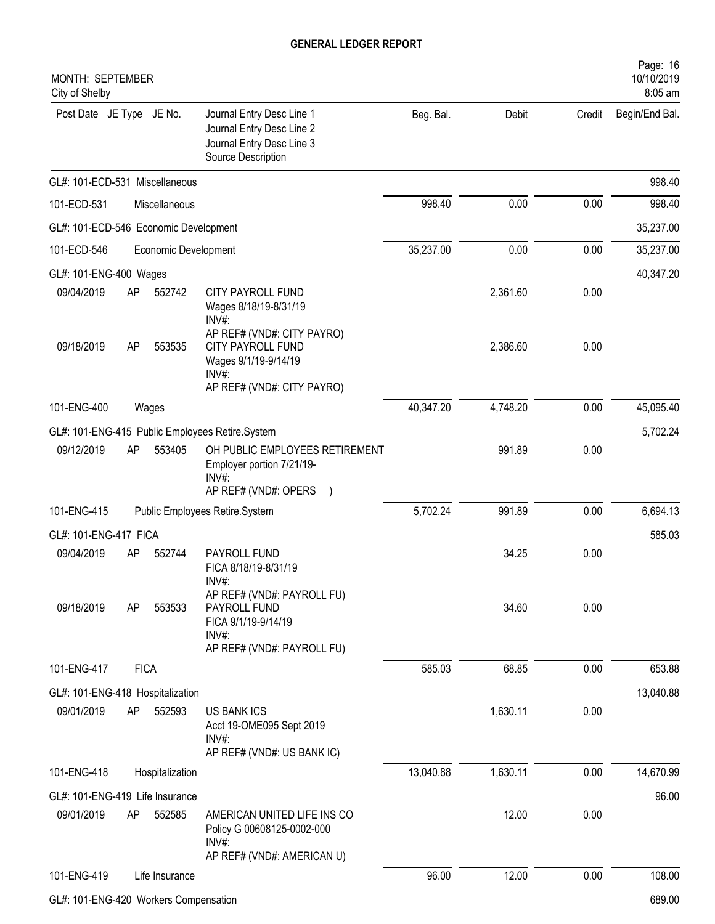| MONTH: SEPTEMBER<br>City of Shelby              |    |                      |                                                                                                                       |           |          |        | Page: 16<br>10/10/2019<br>8:05 am |
|-------------------------------------------------|----|----------------------|-----------------------------------------------------------------------------------------------------------------------|-----------|----------|--------|-----------------------------------|
| Post Date JE Type JE No.                        |    |                      | Journal Entry Desc Line 1<br>Journal Entry Desc Line 2<br>Journal Entry Desc Line 3<br>Source Description             | Beg. Bal. | Debit    | Credit | Begin/End Bal.                    |
| GL#: 101-ECD-531 Miscellaneous                  |    |                      |                                                                                                                       |           |          |        | 998.40                            |
| 101-ECD-531                                     |    | Miscellaneous        |                                                                                                                       | 998.40    | 0.00     | 0.00   | 998.40                            |
| GL#: 101-ECD-546 Economic Development           |    |                      |                                                                                                                       |           |          |        | 35,237.00                         |
| 101-ECD-546                                     |    | Economic Development |                                                                                                                       | 35,237.00 | 0.00     | 0.00   | 35,237.00                         |
| GL#: 101-ENG-400 Wages                          |    |                      |                                                                                                                       |           |          |        | 40,347.20                         |
| 09/04/2019                                      | AP | 552742               | <b>CITY PAYROLL FUND</b><br>Wages 8/18/19-8/31/19<br>$INV#$ :                                                         |           | 2,361.60 | 0.00   |                                   |
| 09/18/2019                                      | AP | 553535               | AP REF# (VND#: CITY PAYRO)<br><b>CITY PAYROLL FUND</b><br>Wages 9/1/19-9/14/19<br>INV#:<br>AP REF# (VND#: CITY PAYRO) |           | 2,386.60 | 0.00   |                                   |
| 101-ENG-400                                     |    | Wages                |                                                                                                                       | 40,347.20 | 4,748.20 | 0.00   | 45,095.40                         |
| GL#: 101-ENG-415 Public Employees Retire.System |    |                      |                                                                                                                       |           |          |        | 5,702.24                          |
| 09/12/2019                                      | AP | 553405               | OH PUBLIC EMPLOYEES RETIREMENT<br>Employer portion 7/21/19-<br>$INV#$ :<br>AP REF# (VND#: OPERS                       |           | 991.89   | 0.00   |                                   |
| 101-ENG-415                                     |    |                      | Public Employees Retire.System                                                                                        | 5,702.24  | 991.89   | 0.00   | 6,694.13                          |
| GL#: 101-ENG-417 FICA                           |    |                      |                                                                                                                       |           |          |        | 585.03                            |
| 09/04/2019                                      | AP | 552744               | PAYROLL FUND<br>FICA 8/18/19-8/31/19<br>INV#:                                                                         |           | 34.25    | 0.00   |                                   |
| 09/18/2019                                      | AP | 553533               | AP REF# (VND#: PAYROLL FU)<br>PAYROLL FUND<br>FICA 9/1/19-9/14/19<br>INV#:<br>AP REF# (VND#: PAYROLL FU)              |           | 34.60    | 0.00   |                                   |
| 101-ENG-417                                     |    | <b>FICA</b>          |                                                                                                                       | 585.03    | 68.85    | 0.00   | 653.88                            |
| GL#: 101-ENG-418 Hospitalization                |    |                      |                                                                                                                       |           |          |        | 13,040.88                         |
| 09/01/2019                                      | AP | 552593               | <b>US BANK ICS</b><br>Acct 19-OME095 Sept 2019<br>INV#:<br>AP REF# (VND#: US BANK IC)                                 |           | 1,630.11 | 0.00   |                                   |
| 101-ENG-418                                     |    | Hospitalization      |                                                                                                                       | 13,040.88 | 1,630.11 | 0.00   | 14,670.99                         |
| GL#: 101-ENG-419 Life Insurance                 |    |                      |                                                                                                                       |           |          |        | 96.00                             |
| 09/01/2019                                      | AP | 552585               | AMERICAN UNITED LIFE INS CO<br>Policy G 00608125-0002-000<br>INV#:<br>AP REF# (VND#: AMERICAN U)                      |           | 12.00    | 0.00   |                                   |
| 101-ENG-419                                     |    | Life Insurance       |                                                                                                                       | 96.00     | 12.00    | 0.00   | 108.00                            |
| GL#: 101-ENG-420 Workers Compensation           |    |                      |                                                                                                                       |           |          |        | 689.00                            |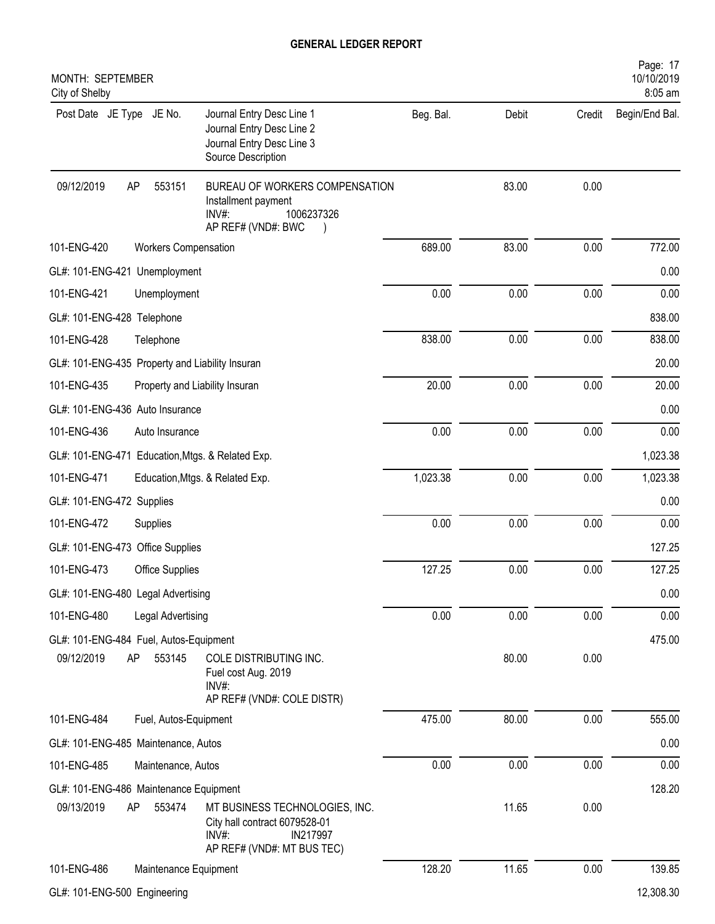| MONTH: SEPTEMBER<br>City of Shelby                                                                                                                              |           |       |        | Page: 17<br>10/10/2019<br>8:05 am |
|-----------------------------------------------------------------------------------------------------------------------------------------------------------------|-----------|-------|--------|-----------------------------------|
| Post Date JE Type JE No.<br>Journal Entry Desc Line 1<br>Journal Entry Desc Line 2<br>Journal Entry Desc Line 3<br>Source Description                           | Beg. Bal. | Debit | Credit | Begin/End Bal.                    |
| 09/12/2019<br>AP<br>553151<br>BUREAU OF WORKERS COMPENSATION<br>Installment payment<br>1006237326<br>INV#:<br>AP REF# (VND#: BWC                                |           | 83.00 | 0.00   |                                   |
| 101-ENG-420<br><b>Workers Compensation</b>                                                                                                                      | 689.00    | 83.00 | 0.00   | 772.00                            |
| GL#: 101-ENG-421 Unemployment                                                                                                                                   |           |       |        | 0.00                              |
| 101-ENG-421<br>Unemployment                                                                                                                                     | 0.00      | 0.00  | 0.00   | 0.00                              |
| GL#: 101-ENG-428 Telephone                                                                                                                                      |           |       |        | 838.00                            |
| 101-ENG-428<br>Telephone                                                                                                                                        | 838.00    | 0.00  | 0.00   | 838.00                            |
| GL#: 101-ENG-435 Property and Liability Insuran                                                                                                                 |           |       |        | 20.00                             |
| 101-ENG-435<br>Property and Liability Insuran                                                                                                                   | 20.00     | 0.00  | 0.00   | 20.00                             |
| GL#: 101-ENG-436 Auto Insurance                                                                                                                                 |           |       |        | 0.00                              |
| 101-ENG-436<br>Auto Insurance                                                                                                                                   | 0.00      | 0.00  | 0.00   | 0.00                              |
| GL#: 101-ENG-471 Education, Mtgs. & Related Exp.                                                                                                                |           |       |        | 1,023.38                          |
| 101-ENG-471<br>Education, Mtgs. & Related Exp.                                                                                                                  | 1,023.38  | 0.00  | 0.00   | 1,023.38                          |
| GL#: 101-ENG-472 Supplies                                                                                                                                       |           |       |        | 0.00                              |
| 101-ENG-472<br>Supplies                                                                                                                                         | 0.00      | 0.00  | 0.00   | 0.00                              |
| GL#: 101-ENG-473 Office Supplies                                                                                                                                |           |       |        | 127.25                            |
| 101-ENG-473<br>Office Supplies                                                                                                                                  | 127.25    | 0.00  | 0.00   | 127.25                            |
| GL#: 101-ENG-480 Legal Advertising                                                                                                                              |           |       |        | 0.00                              |
| 101-ENG-480<br>Legal Advertising                                                                                                                                | 0.00      | 0.00  | 0.00   | 0.00                              |
| GL#: 101-ENG-484 Fuel, Autos-Equipment<br>09/12/2019<br>AP<br>553145<br>COLE DISTRIBUTING INC.<br>Fuel cost Aug. 2019<br>$INV#$ :<br>AP REF# (VND#: COLE DISTR) |           | 80.00 | 0.00   | 475.00                            |
| 101-ENG-484<br>Fuel, Autos-Equipment                                                                                                                            | 475.00    | 80.00 | 0.00   | 555.00                            |
| GL#: 101-ENG-485 Maintenance, Autos                                                                                                                             |           |       |        | 0.00                              |
| 101-ENG-485<br>Maintenance, Autos                                                                                                                               | 0.00      | 0.00  | 0.00   | 0.00                              |
| GL#: 101-ENG-486 Maintenance Equipment                                                                                                                          |           |       |        | 128.20                            |
| 09/13/2019<br>AP<br>553474<br>MT BUSINESS TECHNOLOGIES, INC.<br>City hall contract 6079528-01<br>INV#:<br>IN217997<br>AP REF# (VND#: MT BUS TEC)                |           | 11.65 | 0.00   |                                   |
| 101-ENG-486<br>Maintenance Equipment                                                                                                                            | 128.20    | 11.65 | 0.00   | 139.85                            |
| GL#: 101-ENG-500 Engineering                                                                                                                                    |           |       |        | 12,308.30                         |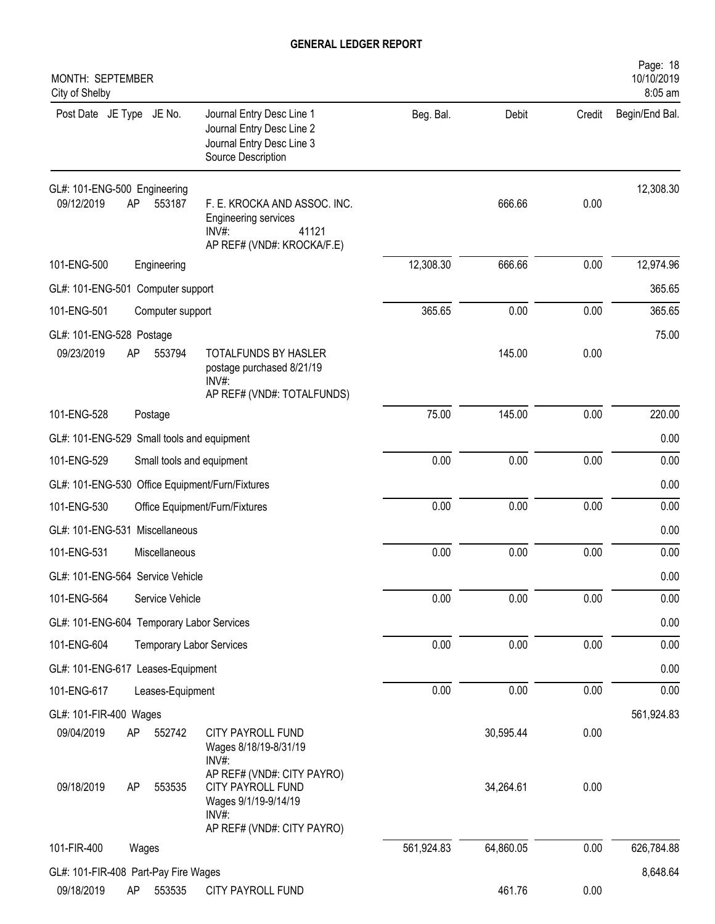| MONTH: SEPTEMBER<br>City of Shelby                         |                                                                                                                |            |           |        | Page: 18<br>10/10/2019<br>8:05 am |
|------------------------------------------------------------|----------------------------------------------------------------------------------------------------------------|------------|-----------|--------|-----------------------------------|
| Post Date JE Type JE No.                                   | Journal Entry Desc Line 1<br>Journal Entry Desc Line 2<br>Journal Entry Desc Line 3<br>Source Description      | Beg. Bal.  | Debit     | Credit | Begin/End Bal.                    |
| GL#: 101-ENG-500 Engineering<br>09/12/2019<br>AP<br>553187 | F. E. KROCKA AND ASSOC. INC.<br>Engineering services<br>41121<br>$INV#$ :<br>AP REF# (VND#: KROCKA/F.E)        |            | 666.66    | 0.00   | 12,308.30                         |
| 101-ENG-500<br>Engineering                                 |                                                                                                                | 12,308.30  | 666.66    | 0.00   | 12,974.96                         |
| GL#: 101-ENG-501 Computer support                          |                                                                                                                |            |           |        | 365.65                            |
| 101-ENG-501<br>Computer support                            |                                                                                                                | 365.65     | 0.00      | 0.00   | 365.65                            |
| GL#: 101-ENG-528 Postage<br>09/23/2019<br>AP<br>553794     | TOTALFUNDS BY HASLER<br>postage purchased 8/21/19<br>$INV#$ :<br>AP REF# (VND#: TOTALFUNDS)                    |            | 145.00    | 0.00   | 75.00                             |
| 101-ENG-528<br>Postage                                     |                                                                                                                | 75.00      | 145.00    | 0.00   | 220.00                            |
| GL#: 101-ENG-529 Small tools and equipment                 |                                                                                                                |            |           |        | 0.00                              |
| 101-ENG-529                                                | Small tools and equipment                                                                                      | 0.00       | 0.00      | 0.00   | 0.00                              |
| GL#: 101-ENG-530 Office Equipment/Furn/Fixtures            |                                                                                                                |            |           |        | 0.00                              |
| 101-ENG-530                                                | Office Equipment/Furn/Fixtures                                                                                 | 0.00       | 0.00      | 0.00   | 0.00                              |
| GL#: 101-ENG-531 Miscellaneous                             |                                                                                                                |            |           |        | 0.00                              |
| 101-ENG-531<br>Miscellaneous                               |                                                                                                                | 0.00       | 0.00      | 0.00   | 0.00                              |
| GL#: 101-ENG-564 Service Vehicle                           |                                                                                                                |            |           |        | 0.00                              |
| 101-ENG-564<br>Service Vehicle                             |                                                                                                                | 0.00       | 0.00      | 0.00   | 0.00                              |
| GL#: 101-ENG-604 Temporary Labor Services                  |                                                                                                                |            |           |        | 0.00                              |
| 101-ENG-604                                                | <b>Temporary Labor Services</b>                                                                                | 0.00       | 0.00      | 0.00   | 0.00                              |
| GL#: 101-ENG-617 Leases-Equipment                          |                                                                                                                |            |           |        | 0.00                              |
| 101-ENG-617<br>Leases-Equipment                            |                                                                                                                | 0.00       | 0.00      | 0.00   | 0.00                              |
| GL#: 101-FIR-400 Wages                                     |                                                                                                                |            |           |        | 561,924.83                        |
| 09/04/2019<br>AP<br>552742                                 | <b>CITY PAYROLL FUND</b><br>Wages 8/18/19-8/31/19<br>INV#:                                                     |            | 30,595.44 | 0.00   |                                   |
| 09/18/2019<br>AP<br>553535                                 | AP REF# (VND#: CITY PAYRO)<br>CITY PAYROLL FUND<br>Wages 9/1/19-9/14/19<br>INV#:<br>AP REF# (VND#: CITY PAYRO) |            | 34,264.61 | 0.00   |                                   |
| 101-FIR-400<br>Wages                                       |                                                                                                                | 561,924.83 | 64,860.05 | 0.00   | 626,784.88                        |
| GL#: 101-FIR-408 Part-Pay Fire Wages                       |                                                                                                                |            |           |        | 8,648.64                          |
| 09/18/2019<br>553535<br>AP                                 | CITY PAYROLL FUND                                                                                              |            | 461.76    | 0.00   |                                   |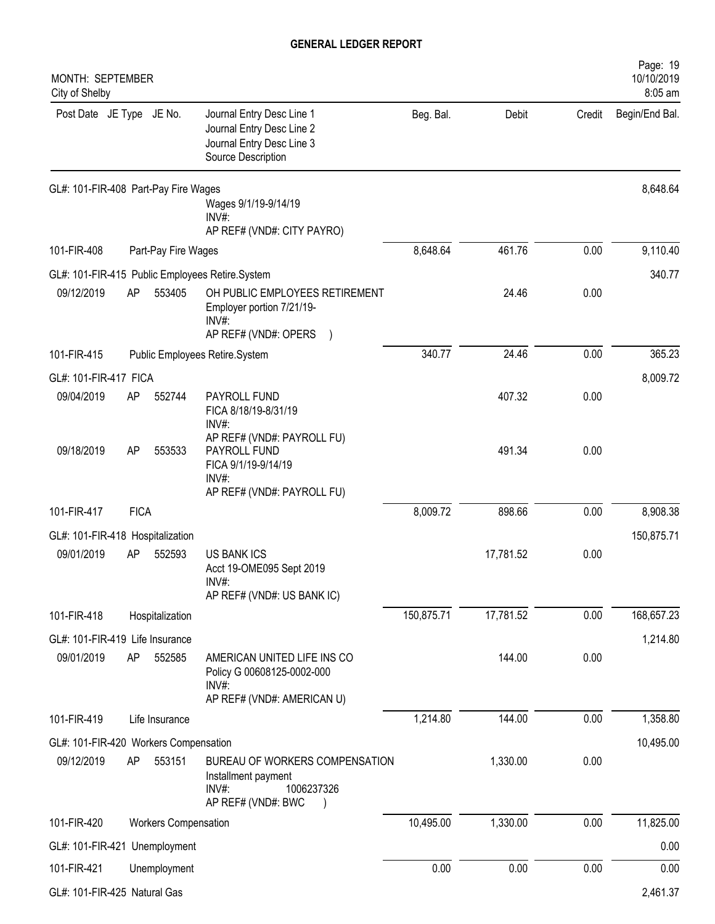| MONTH: SEPTEMBER<br>City of Shelby    |             |                             |                                                                                                           |            |           |        | Page: 19<br>10/10/2019<br>8:05 am |
|---------------------------------------|-------------|-----------------------------|-----------------------------------------------------------------------------------------------------------|------------|-----------|--------|-----------------------------------|
| Post Date JE Type JE No.              |             |                             | Journal Entry Desc Line 1<br>Journal Entry Desc Line 2<br>Journal Entry Desc Line 3<br>Source Description | Beg. Bal.  | Debit     | Credit | Begin/End Bal.                    |
| GL#: 101-FIR-408 Part-Pay Fire Wages  |             |                             | Wages 9/1/19-9/14/19<br>$INV#$ :<br>AP REF# (VND#: CITY PAYRO)                                            |            |           |        | 8,648.64                          |
| 101-FIR-408<br>Part-Pay Fire Wages    |             |                             |                                                                                                           | 8,648.64   | 461.76    | 0.00   | 9,110.40                          |
|                                       |             |                             | GL#: 101-FIR-415 Public Employees Retire.System                                                           |            |           |        | 340.77                            |
| 09/12/2019                            | AP          | 553405                      | OH PUBLIC EMPLOYEES RETIREMENT<br>Employer portion 7/21/19-<br>$INV#$ :<br>AP REF# (VND#: OPERS           |            | 24.46     | 0.00   |                                   |
| 101-FIR-415                           |             |                             | Public Employees Retire.System                                                                            | 340.77     | 24.46     | 0.00   | 365.23                            |
| GL#: 101-FIR-417 FICA                 |             |                             |                                                                                                           |            |           |        | 8,009.72                          |
| 09/04/2019                            | AP          | 552744                      | PAYROLL FUND<br>FICA 8/18/19-8/31/19<br>$INV#$ :                                                          |            | 407.32    | 0.00   |                                   |
| 09/18/2019                            | AP          | 553533                      | AP REF# (VND#: PAYROLL FU)<br>PAYROLL FUND<br>FICA 9/1/19-9/14/19<br>$INV#$ :                             |            | 491.34    | 0.00   |                                   |
|                                       |             |                             | AP REF# (VND#: PAYROLL FU)                                                                                |            |           |        |                                   |
| 101-FIR-417                           | <b>FICA</b> |                             |                                                                                                           | 8,009.72   | 898.66    | 0.00   | 8,908.38                          |
| GL#: 101-FIR-418 Hospitalization      |             |                             |                                                                                                           |            |           |        | 150,875.71                        |
| 09/01/2019                            | AP          | 552593                      | <b>US BANK ICS</b><br>Acct 19-OME095 Sept 2019<br>INV#:                                                   |            | 17,781.52 | 0.00   |                                   |
|                                       |             |                             | AP REF# (VND#: US BANK IC)                                                                                |            |           |        |                                   |
| 101-FIR-418                           |             | Hospitalization             |                                                                                                           | 150,875.71 | 17,781.52 | 0.00   | 168,657.23                        |
| GL#: 101-FIR-419 Life Insurance       |             |                             |                                                                                                           |            |           |        | 1,214.80                          |
| 09/01/2019                            | AP          | 552585                      | AMERICAN UNITED LIFE INS CO<br>Policy G 00608125-0002-000<br>INV#:                                        |            | 144.00    | 0.00   |                                   |
|                                       |             |                             | AP REF# (VND#: AMERICAN U)                                                                                |            |           |        |                                   |
| 101-FIR-419                           |             | Life Insurance              |                                                                                                           | 1,214.80   | 144.00    | 0.00   | 1,358.80                          |
| GL#: 101-FIR-420 Workers Compensation |             |                             |                                                                                                           |            |           |        | 10,495.00                         |
| 09/12/2019                            | AP          | 553151                      | BUREAU OF WORKERS COMPENSATION<br>Installment payment<br>INV#:<br>1006237326<br>AP REF# (VND#: BWC        |            | 1,330.00  | 0.00   |                                   |
| 101-FIR-420                           |             | <b>Workers Compensation</b> |                                                                                                           | 10,495.00  | 1,330.00  | 0.00   | 11,825.00                         |
| GL#: 101-FIR-421 Unemployment         |             |                             |                                                                                                           |            |           |        | 0.00                              |
| 101-FIR-421                           |             | Unemployment                |                                                                                                           | 0.00       | 0.00      | 0.00   | 0.00                              |
| GL#: 101-FIR-425 Natural Gas          |             |                             |                                                                                                           |            |           |        | 2,461.37                          |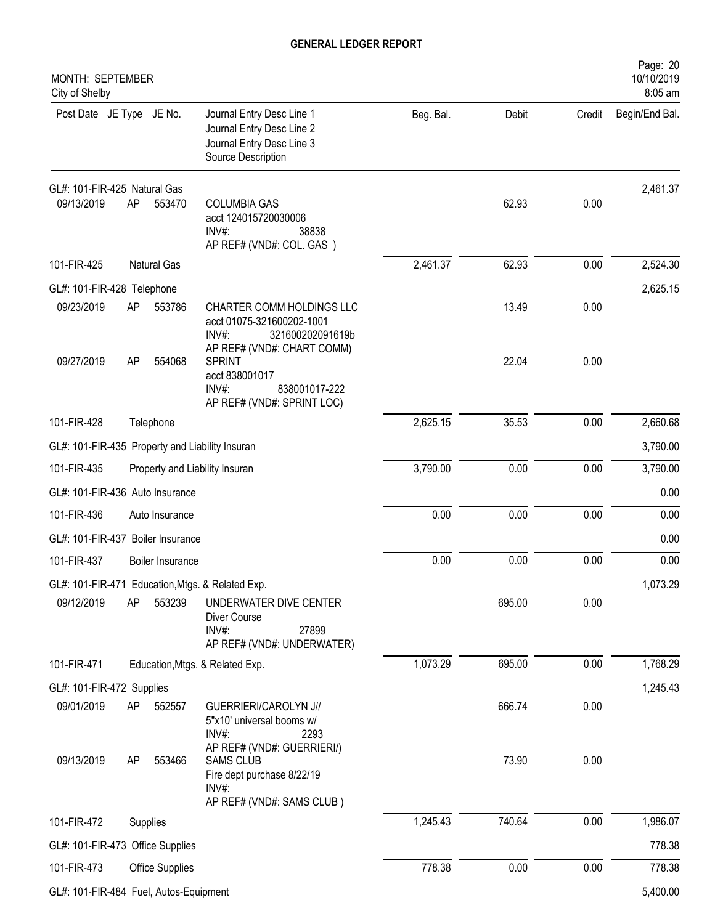| MONTH: SEPTEMBER<br>City of Shelby              |    |                    |                                                                                                                    |           |        |        | Page: 20<br>10/10/2019<br>8:05 am |
|-------------------------------------------------|----|--------------------|--------------------------------------------------------------------------------------------------------------------|-----------|--------|--------|-----------------------------------|
| Post Date JE Type JE No.                        |    |                    | Journal Entry Desc Line 1<br>Journal Entry Desc Line 2<br>Journal Entry Desc Line 3<br>Source Description          | Beg. Bal. | Debit  | Credit | Begin/End Bal.                    |
| GL#: 101-FIR-425 Natural Gas                    |    |                    |                                                                                                                    |           |        |        | 2,461.37                          |
| 09/13/2019                                      | AP | 553470             | <b>COLUMBIA GAS</b><br>acct 124015720030006<br>INV#:<br>38838<br>AP REF# (VND#: COL. GAS)                          |           | 62.93  | 0.00   |                                   |
| 101-FIR-425                                     |    | <b>Natural Gas</b> |                                                                                                                    | 2,461.37  | 62.93  | 0.00   | 2,524.30                          |
| GL#: 101-FIR-428 Telephone                      |    |                    |                                                                                                                    |           |        |        | 2,625.15                          |
| 09/23/2019                                      | AP | 553786             | CHARTER COMM HOLDINGS LLC<br>acct 01075-321600202-1001<br>INV#:<br>321600202091619b<br>AP REF# (VND#: CHART COMM)  |           | 13.49  | 0.00   |                                   |
| 09/27/2019                                      | AP | 554068             | <b>SPRINT</b><br>acct 838001017<br>$INV#$ :<br>838001017-222<br>AP REF# (VND#: SPRINT LOC)                         |           | 22.04  | 0.00   |                                   |
| 101-FIR-428                                     |    | Telephone          |                                                                                                                    | 2,625.15  | 35.53  | 0.00   | 2,660.68                          |
| GL#: 101-FIR-435 Property and Liability Insuran |    |                    |                                                                                                                    |           |        |        | 3,790.00                          |
| 101-FIR-435                                     |    |                    | Property and Liability Insuran                                                                                     | 3,790.00  | 0.00   | 0.00   | 3,790.00                          |
| GL#: 101-FIR-436 Auto Insurance                 |    |                    |                                                                                                                    |           |        |        | 0.00                              |
| 101-FIR-436                                     |    | Auto Insurance     |                                                                                                                    | 0.00      | 0.00   | 0.00   | 0.00                              |
| GL#: 101-FIR-437 Boiler Insurance               |    |                    |                                                                                                                    |           |        |        | 0.00                              |
| 101-FIR-437                                     |    | Boiler Insurance   |                                                                                                                    | 0.00      | 0.00   | 0.00   | 0.00                              |
|                                                 |    |                    | GL#: 101-FIR-471 Education, Mtgs. & Related Exp.                                                                   |           |        |        | 1,073.29                          |
| 09/12/2019                                      | AP | 553239             | UNDERWATER DIVE CENTER<br>Diver Course<br>INV#:<br>27899<br>AP REF# (VND#: UNDERWATER)                             |           | 695.00 | 0.00   |                                   |
| 101-FIR-471                                     |    |                    | Education, Mtgs. & Related Exp.                                                                                    | 1,073.29  | 695.00 | 0.00   | 1,768.29                          |
| GL#: 101-FIR-472 Supplies                       |    |                    |                                                                                                                    |           |        |        | 1,245.43                          |
| 09/01/2019                                      | AP | 552557             | GUERRIERI/CAROLYN J//<br>5"x10' universal booms w/<br>$INV#$ :<br>2293                                             |           | 666.74 | 0.00   |                                   |
| 09/13/2019                                      | AP | 553466             | AP REF# (VND#: GUERRIERI/)<br><b>SAMS CLUB</b><br>Fire dept purchase 8/22/19<br>INV#:<br>AP REF# (VND#: SAMS CLUB) |           | 73.90  | 0.00   |                                   |
| 101-FIR-472                                     |    | Supplies           |                                                                                                                    | 1,245.43  | 740.64 | 0.00   | 1,986.07                          |
| GL#: 101-FIR-473 Office Supplies                |    |                    |                                                                                                                    |           |        |        | 778.38                            |
| 101-FIR-473                                     |    | Office Supplies    |                                                                                                                    | 778.38    | 0.00   | 0.00   | 778.38                            |
| GL#: 101-FIR-484 Fuel, Autos-Equipment          |    |                    |                                                                                                                    |           |        |        | 5,400.00                          |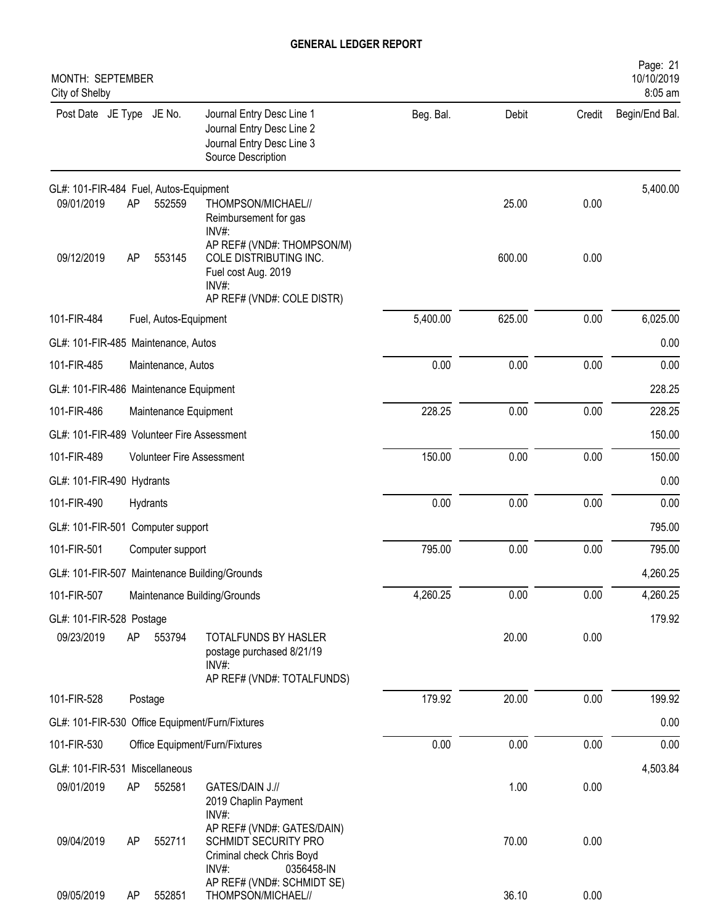| MONTH: SEPTEMBER<br>City of Shelby         |    |                       |                                                                                                                       |           |        |        | Page: 21<br>10/10/2019<br>8:05 am |
|--------------------------------------------|----|-----------------------|-----------------------------------------------------------------------------------------------------------------------|-----------|--------|--------|-----------------------------------|
| Post Date JE Type JE No.                   |    |                       | Journal Entry Desc Line 1<br>Journal Entry Desc Line 2<br>Journal Entry Desc Line 3<br>Source Description             | Beg. Bal. | Debit  | Credit | Begin/End Bal.                    |
| GL#: 101-FIR-484 Fuel, Autos-Equipment     |    |                       |                                                                                                                       |           |        |        | 5,400.00                          |
| 09/01/2019                                 | AP | 552559                | THOMPSON/MICHAEL//<br>Reimbursement for gas<br>INV#:                                                                  |           | 25.00  | 0.00   |                                   |
| 09/12/2019                                 | AP | 553145                | AP REF# (VND#: THOMPSON/M)<br>COLE DISTRIBUTING INC.<br>Fuel cost Aug. 2019<br>$INV#$ :<br>AP REF# (VND#: COLE DISTR) |           | 600.00 | 0.00   |                                   |
| 101-FIR-484                                |    | Fuel, Autos-Equipment |                                                                                                                       | 5,400.00  | 625.00 | 0.00   | 6,025.00                          |
| GL#: 101-FIR-485 Maintenance, Autos        |    |                       |                                                                                                                       |           |        |        | 0.00                              |
| 101-FIR-485                                |    | Maintenance, Autos    |                                                                                                                       | 0.00      | 0.00   | 0.00   | 0.00                              |
| GL#: 101-FIR-486 Maintenance Equipment     |    |                       |                                                                                                                       |           |        |        | 228.25                            |
| 101-FIR-486                                |    | Maintenance Equipment |                                                                                                                       | 228.25    | 0.00   | 0.00   | 228.25                            |
| GL#: 101-FIR-489 Volunteer Fire Assessment |    |                       |                                                                                                                       |           |        |        | 150.00                            |
| 101-FIR-489                                |    |                       | <b>Volunteer Fire Assessment</b>                                                                                      | 150.00    | 0.00   | 0.00   | 150.00                            |
| GL#: 101-FIR-490 Hydrants                  |    |                       |                                                                                                                       |           |        |        | 0.00                              |
| 101-FIR-490                                |    | Hydrants              |                                                                                                                       | 0.00      | 0.00   | 0.00   | 0.00                              |
| GL#: 101-FIR-501 Computer support          |    |                       |                                                                                                                       |           |        |        | 795.00                            |
| 101-FIR-501                                |    | Computer support      |                                                                                                                       | 795.00    | 0.00   | 0.00   | 795.00                            |
|                                            |    |                       | GL#: 101-FIR-507 Maintenance Building/Grounds                                                                         |           |        |        | 4,260.25                          |
| 101-FIR-507                                |    |                       | Maintenance Building/Grounds                                                                                          | 4,260.25  | 0.00   | 0.00   | 4,260.25                          |
| GL#: 101-FIR-528 Postage                   |    |                       |                                                                                                                       |           |        |        | 179.92                            |
| 09/23/2019                                 | AP | 553794                | TOTALFUNDS BY HASLER<br>postage purchased 8/21/19<br>$INV#$ :                                                         |           | 20.00  | 0.00   |                                   |
|                                            |    |                       | AP REF# (VND#: TOTALFUNDS)                                                                                            |           |        |        |                                   |
| 101-FIR-528                                |    | Postage               |                                                                                                                       | 179.92    | 20.00  | 0.00   | 199.92                            |
|                                            |    |                       | GL#: 101-FIR-530 Office Equipment/Furn/Fixtures                                                                       |           |        |        | 0.00                              |
| 101-FIR-530                                |    |                       | Office Equipment/Furn/Fixtures                                                                                        | 0.00      | 0.00   | 0.00   | 0.00                              |
| GL#: 101-FIR-531 Miscellaneous             |    |                       |                                                                                                                       |           |        |        | 4,503.84                          |
| 09/01/2019                                 | AP | 552581                | GATES/DAIN J.//<br>2019 Chaplin Payment<br>$INV#$ :                                                                   |           | 1.00   | 0.00   |                                   |
| 09/04/2019                                 | AP | 552711                | AP REF# (VND#: GATES/DAIN)<br>SCHMIDT SECURITY PRO<br>Criminal check Chris Boyd<br>$INV#$ :<br>0356458-IN             |           | 70.00  | 0.00   |                                   |
| 09/05/2019                                 | AP | 552851                | AP REF# (VND#: SCHMIDT SE)<br>THOMPSON/MICHAEL//                                                                      |           | 36.10  | 0.00   |                                   |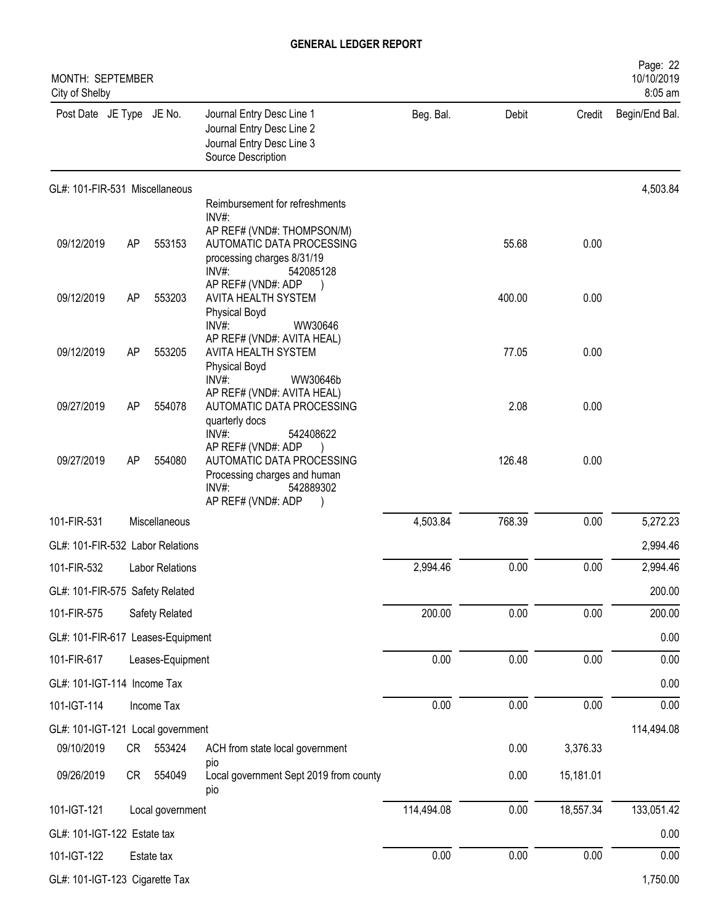| MONTH: SEPTEMBER<br>City of Shelby |    |                        |                                                                                                                                                        |            |        |           | Page: 22<br>10/10/2019<br>8:05 am |
|------------------------------------|----|------------------------|--------------------------------------------------------------------------------------------------------------------------------------------------------|------------|--------|-----------|-----------------------------------|
| Post Date JE Type JE No.           |    |                        | Journal Entry Desc Line 1<br>Journal Entry Desc Line 2<br>Journal Entry Desc Line 3<br>Source Description                                              | Beg. Bal.  | Debit  | Credit    | Begin/End Bal.                    |
| GL#: 101-FIR-531 Miscellaneous     |    |                        |                                                                                                                                                        |            |        |           | 4,503.84                          |
| 09/12/2019                         | AP | 553153                 | Reimbursement for refreshments<br>INV#:<br>AP REF# (VND#: THOMPSON/M)<br>AUTOMATIC DATA PROCESSING<br>processing charges 8/31/19<br>INV#:<br>542085128 |            | 55.68  | 0.00      |                                   |
| 09/12/2019                         | AP | 553203                 | AP REF# (VND#: ADP<br>AVITA HEALTH SYSTEM<br><b>Physical Boyd</b>                                                                                      |            | 400.00 | 0.00      |                                   |
| 09/12/2019                         | AP | 553205                 | INV#:<br>WW30646<br>AP REF# (VND#: AVITA HEAL)<br>AVITA HEALTH SYSTEM<br><b>Physical Boyd</b><br>INV#:<br>WW30646b                                     |            | 77.05  | 0.00      |                                   |
| 09/27/2019                         | AP | 554078                 | AP REF# (VND#: AVITA HEAL)<br>AUTOMATIC DATA PROCESSING<br>quarterly docs<br>INV#:<br>542408622                                                        |            | 2.08   | 0.00      |                                   |
| 09/27/2019                         | AP | 554080                 | AP REF# (VND#: ADP<br>AUTOMATIC DATA PROCESSING<br>Processing charges and human<br>INV#:<br>542889302<br>AP REF# (VND#: ADP                            |            | 126.48 | 0.00      |                                   |
| 101-FIR-531                        |    | Miscellaneous          |                                                                                                                                                        | 4,503.84   | 768.39 | 0.00      | 5,272.23                          |
| GL#: 101-FIR-532 Labor Relations   |    |                        |                                                                                                                                                        |            |        |           | 2,994.46                          |
| 101-FIR-532                        |    | <b>Labor Relations</b> |                                                                                                                                                        | 2,994.46   | 0.00   | 0.00      | 2,994.46                          |
| GL#: 101-FIR-575 Safety Related    |    |                        |                                                                                                                                                        |            |        |           | 200.00                            |
| 101-FIR-575                        |    | Safety Related         |                                                                                                                                                        | 200.00     | 0.00   | 0.00      | 200.00                            |
| GL#: 101-FIR-617 Leases-Equipment  |    |                        |                                                                                                                                                        |            |        |           | 0.00                              |
| 101-FIR-617                        |    | Leases-Equipment       |                                                                                                                                                        | 0.00       | 0.00   | 0.00      | 0.00                              |
| GL#: 101-IGT-114 Income Tax        |    |                        |                                                                                                                                                        |            |        |           | 0.00                              |
| 101-IGT-114                        |    | Income Tax             |                                                                                                                                                        | 0.00       | 0.00   | 0.00      | 0.00                              |
| GL#: 101-IGT-121 Local government  |    |                        |                                                                                                                                                        |            |        |           | 114,494.08                        |
| 09/10/2019                         | CR | 553424                 | ACH from state local government                                                                                                                        |            | 0.00   | 3,376.33  |                                   |
| 09/26/2019                         | CR | 554049                 | pio<br>Local government Sept 2019 from county<br>pio                                                                                                   |            | 0.00   | 15,181.01 |                                   |
| 101-IGT-121                        |    | Local government       |                                                                                                                                                        | 114,494.08 | 0.00   | 18,557.34 | 133,051.42                        |
| GL#: 101-IGT-122 Estate tax        |    |                        |                                                                                                                                                        |            |        |           | 0.00                              |
| 101-IGT-122                        |    | Estate tax             |                                                                                                                                                        | 0.00       | 0.00   | 0.00      | 0.00                              |
| GL#: 101-IGT-123 Cigarette Tax     |    |                        |                                                                                                                                                        |            |        |           | 1,750.00                          |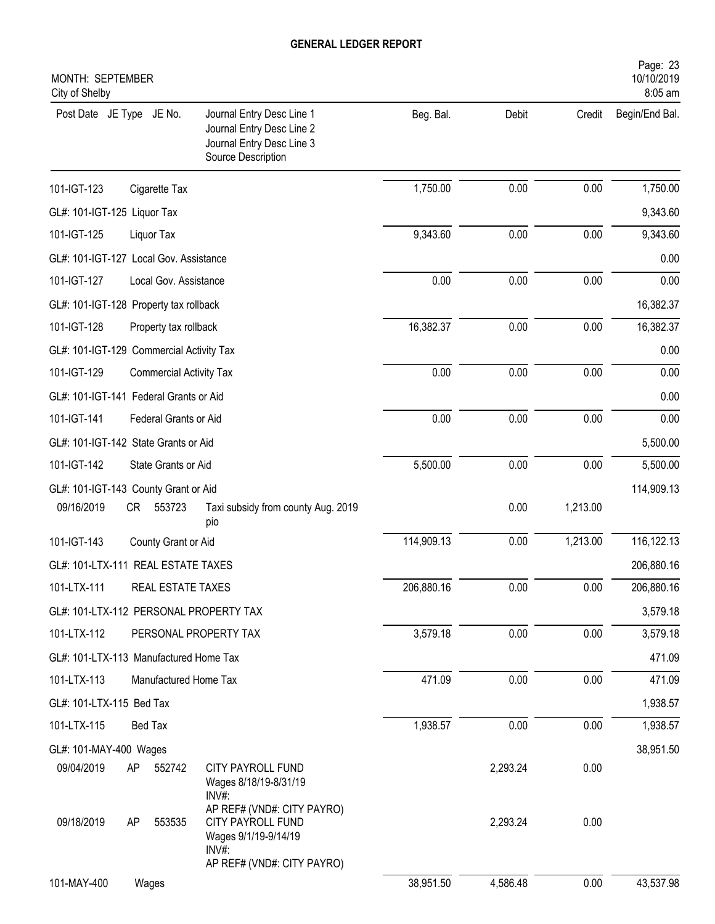| MONTH: SEPTEMBER<br>City of Shelby       |                                                                                                                   |            |          |          | Page: 23<br>10/10/2019<br>8:05 am |
|------------------------------------------|-------------------------------------------------------------------------------------------------------------------|------------|----------|----------|-----------------------------------|
| Post Date JE Type JE No.                 | Journal Entry Desc Line 1<br>Journal Entry Desc Line 2<br>Journal Entry Desc Line 3<br>Source Description         | Beg. Bal.  | Debit    | Credit   | Begin/End Bal.                    |
| 101-IGT-123<br>Cigarette Tax             |                                                                                                                   | 1,750.00   | 0.00     | 0.00     | 1,750.00                          |
| GL#: 101-IGT-125 Liquor Tax              |                                                                                                                   |            |          |          | 9,343.60                          |
| 101-IGT-125<br>Liquor Tax                |                                                                                                                   | 9,343.60   | 0.00     | 0.00     | 9,343.60                          |
| GL#: 101-IGT-127 Local Gov. Assistance   |                                                                                                                   |            |          |          | 0.00                              |
| 101-IGT-127                              | Local Gov. Assistance                                                                                             | 0.00       | 0.00     | 0.00     | 0.00                              |
| GL#: 101-IGT-128 Property tax rollback   |                                                                                                                   |            |          |          | 16,382.37                         |
| 101-IGT-128<br>Property tax rollback     |                                                                                                                   | 16,382.37  | 0.00     | 0.00     | 16,382.37                         |
| GL#: 101-IGT-129 Commercial Activity Tax |                                                                                                                   |            |          |          | 0.00                              |
| 101-IGT-129                              | <b>Commercial Activity Tax</b>                                                                                    | 0.00       | 0.00     | 0.00     | 0.00                              |
| GL#: 101-IGT-141 Federal Grants or Aid   |                                                                                                                   |            |          |          | 0.00                              |
| 101-IGT-141<br>Federal Grants or Aid     |                                                                                                                   | 0.00       | 0.00     | 0.00     | 0.00                              |
| GL#: 101-IGT-142 State Grants or Aid     |                                                                                                                   |            |          |          | 5,500.00                          |
| 101-IGT-142<br>State Grants or Aid       |                                                                                                                   | 5,500.00   | 0.00     | 0.00     | 5,500.00                          |
| GL#: 101-IGT-143 County Grant or Aid     |                                                                                                                   |            |          |          | 114,909.13                        |
| 09/16/2019<br><b>CR</b><br>553723        | Taxi subsidy from county Aug. 2019<br>pio                                                                         |            | 0.00     | 1,213.00 |                                   |
| 101-IGT-143<br>County Grant or Aid       |                                                                                                                   | 114,909.13 | 0.00     | 1,213.00 | 116,122.13                        |
| GL#: 101-LTX-111 REAL ESTATE TAXES       |                                                                                                                   |            |          |          | 206,880.16                        |
| 101-LTX-111                              | REAL ESTATE TAXES                                                                                                 | 206,880.16 | 0.00     | 0.00     | 206,880.16                        |
| GL#: 101-LTX-112 PERSONAL PROPERTY TAX   |                                                                                                                   |            |          |          | 3,579.18                          |
| 101-LTX-112                              | PERSONAL PROPERTY TAX                                                                                             | 3,579.18   | 0.00     | 0.00     | 3,579.18                          |
| GL#: 101-LTX-113 Manufactured Home Tax   |                                                                                                                   |            |          |          | 471.09                            |
| 101-LTX-113                              | Manufactured Home Tax                                                                                             | 471.09     | 0.00     | 0.00     | 471.09                            |
| GL#: 101-LTX-115 Bed Tax                 |                                                                                                                   |            |          |          | 1,938.57                          |
| 101-LTX-115<br><b>Bed Tax</b>            |                                                                                                                   | 1,938.57   | 0.00     | 0.00     | 1,938.57                          |
| GL#: 101-MAY-400 Wages                   |                                                                                                                   |            |          |          | 38,951.50                         |
| 09/04/2019<br>AP<br>552742               | CITY PAYROLL FUND<br>Wages 8/18/19-8/31/19<br>$INV#$ :                                                            |            | 2,293.24 | 0.00     |                                   |
| 09/18/2019<br>553535<br>AP               | AP REF# (VND#: CITY PAYRO)<br>CITY PAYROLL FUND<br>Wages 9/1/19-9/14/19<br>$INV#$ :<br>AP REF# (VND#: CITY PAYRO) |            | 2,293.24 | 0.00     |                                   |
| 101-MAY-400<br>Wages                     |                                                                                                                   | 38,951.50  | 4,586.48 | 0.00     | 43,537.98                         |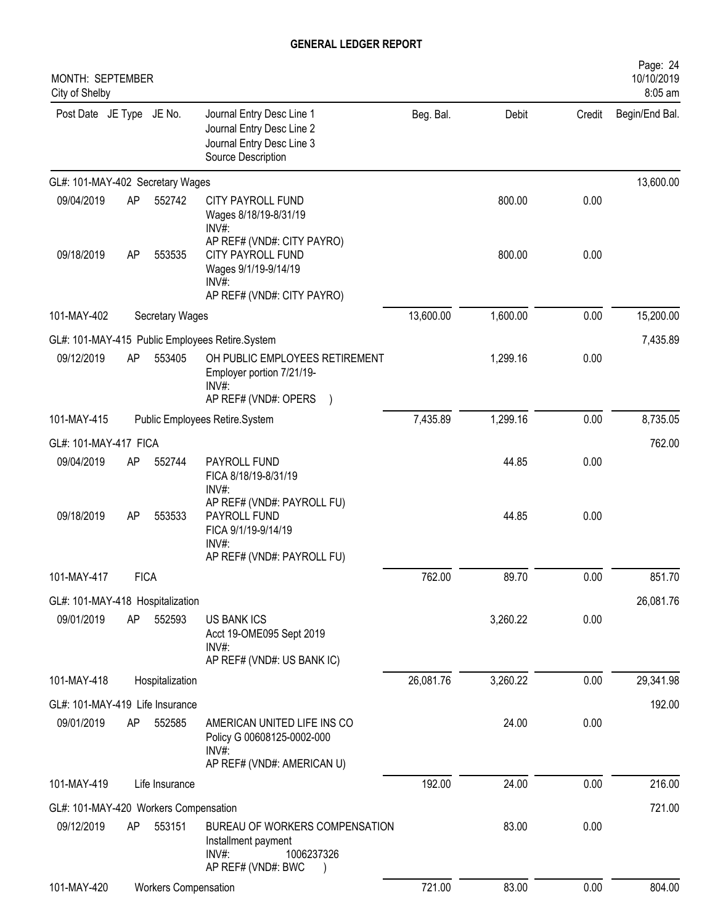| MONTH: SEPTEMBER<br>City of Shelby    |             |                             |                                                                                                                        |           |          |        | Page: 24<br>10/10/2019<br>8:05 am |
|---------------------------------------|-------------|-----------------------------|------------------------------------------------------------------------------------------------------------------------|-----------|----------|--------|-----------------------------------|
| Post Date JE Type JE No.              |             |                             | Journal Entry Desc Line 1<br>Journal Entry Desc Line 2<br>Journal Entry Desc Line 3<br>Source Description              | Beg. Bal. | Debit    | Credit | Begin/End Bal.                    |
| GL#: 101-MAY-402 Secretary Wages      |             |                             |                                                                                                                        |           |          |        | 13,600.00                         |
| 09/04/2019                            | AP          | 552742                      | <b>CITY PAYROLL FUND</b><br>Wages 8/18/19-8/31/19<br>INV#:                                                             |           | 800.00   | 0.00   |                                   |
| 09/18/2019                            | AP          | 553535                      | AP REF# (VND#: CITY PAYRO)<br>CITY PAYROLL FUND<br>Wages 9/1/19-9/14/19<br>$INV#$ :                                    |           | 800.00   | 0.00   |                                   |
| 101-MAY-402                           |             | <b>Secretary Wages</b>      | AP REF# (VND#: CITY PAYRO)                                                                                             | 13,600.00 | 1,600.00 | 0.00   | 15,200.00                         |
|                                       |             |                             |                                                                                                                        |           |          |        |                                   |
| 09/12/2019                            | AP          | 553405                      | GL#: 101-MAY-415 Public Employees Retire.System<br>OH PUBLIC EMPLOYEES RETIREMENT<br>Employer portion 7/21/19-<br>INV# |           | 1,299.16 | 0.00   | 7,435.89                          |
|                                       |             |                             | AP REF# (VND#: OPERS )                                                                                                 |           |          |        |                                   |
| 101-MAY-415                           |             |                             | Public Employees Retire.System                                                                                         | 7,435.89  | 1,299.16 | 0.00   | 8,735.05                          |
| GL#: 101-MAY-417 FICA                 |             |                             |                                                                                                                        |           | 44.85    |        | 762.00                            |
| 09/04/2019                            | AP          | 552744                      | PAYROLL FUND<br>FICA 8/18/19-8/31/19<br>INV#:                                                                          |           |          | 0.00   |                                   |
| 09/18/2019                            | AP          | 553533                      | AP REF# (VND#: PAYROLL FU)<br>PAYROLL FUND<br>FICA 9/1/19-9/14/19<br>$INV#$ :                                          |           | 44.85    | 0.00   |                                   |
|                                       |             |                             | AP REF# (VND#: PAYROLL FU)                                                                                             |           |          |        |                                   |
| 101-MAY-417                           | <b>FICA</b> |                             |                                                                                                                        | 762.00    | 89.70    | 0.00   | 851.70                            |
| GL#: 101-MAY-418 Hospitalization      |             |                             |                                                                                                                        |           |          |        | 26,081.76                         |
| 09/01/2019                            | AP          | 552593                      | <b>US BANK ICS</b><br>Acct 19-OME095 Sept 2019<br>$INV#$ :<br>AP REF# (VND#: US BANK IC)                               |           | 3,260.22 | 0.00   |                                   |
| 101-MAY-418                           |             | Hospitalization             |                                                                                                                        | 26,081.76 | 3,260.22 | 0.00   | 29,341.98                         |
| GL#: 101-MAY-419 Life Insurance       |             |                             |                                                                                                                        |           |          |        | 192.00                            |
| 09/01/2019                            | AP          | 552585                      | AMERICAN UNITED LIFE INS CO<br>Policy G 00608125-0002-000<br>$INV#$ :<br>AP REF# (VND#: AMERICAN U)                    |           | 24.00    | 0.00   |                                   |
| 101-MAY-419                           |             | Life Insurance              |                                                                                                                        | 192.00    | 24.00    | 0.00   | 216.00                            |
| GL#: 101-MAY-420 Workers Compensation |             |                             |                                                                                                                        |           |          |        | 721.00                            |
| 09/12/2019                            | AP          | 553151                      | BUREAU OF WORKERS COMPENSATION<br>Installment payment<br>INV#:<br>1006237326<br>AP REF# (VND#: BWC                     |           | 83.00    | 0.00   |                                   |
| 101-MAY-420                           |             | <b>Workers Compensation</b> |                                                                                                                        | 721.00    | 83.00    | 0.00   | 804.00                            |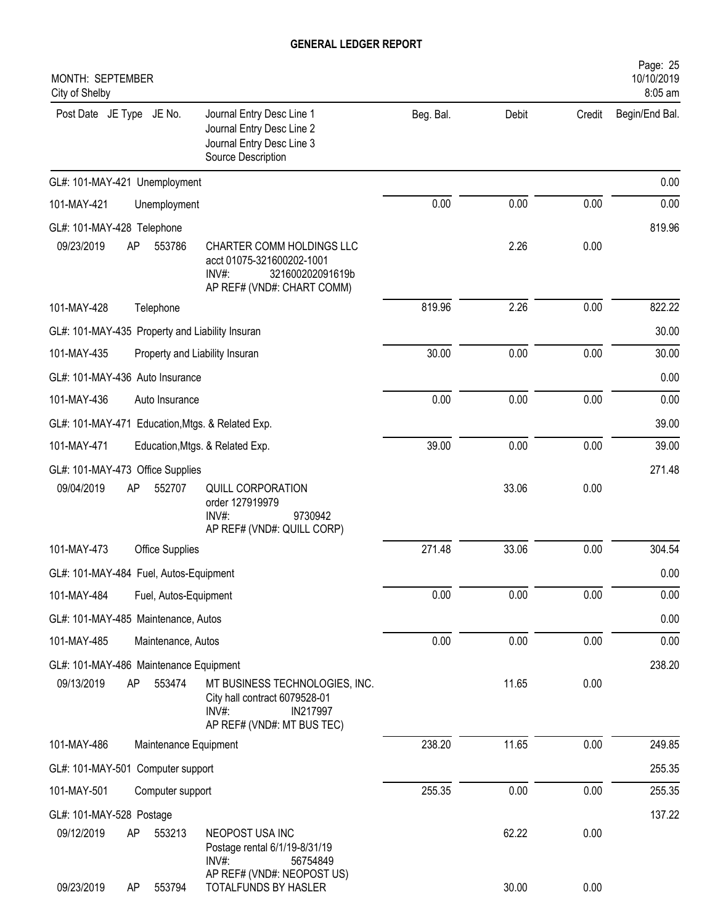| MONTH: SEPTEMBER<br>City of Shelby                                                                                                                                 |           |       |        | Page: 25<br>10/10/2019<br>8:05 am |
|--------------------------------------------------------------------------------------------------------------------------------------------------------------------|-----------|-------|--------|-----------------------------------|
| Post Date JE Type JE No.<br>Journal Entry Desc Line 1<br>Journal Entry Desc Line 2<br>Journal Entry Desc Line 3<br>Source Description                              | Beg. Bal. | Debit | Credit | Begin/End Bal.                    |
| GL#: 101-MAY-421 Unemployment                                                                                                                                      |           |       |        | 0.00                              |
| 101-MAY-421<br>Unemployment                                                                                                                                        | 0.00      | 0.00  | 0.00   | 0.00                              |
| GL#: 101-MAY-428 Telephone                                                                                                                                         |           |       |        | 819.96                            |
| 09/23/2019<br>AP<br>553786<br>CHARTER COMM HOLDINGS LLC<br>acct 01075-321600202-1001<br>$INV#$ :<br>321600202091619b<br>AP REF# (VND#: CHART COMM)                 |           | 2.26  | 0.00   |                                   |
| 101-MAY-428<br>Telephone                                                                                                                                           | 819.96    | 2.26  | 0.00   | 822.22                            |
| GL#: 101-MAY-435 Property and Liability Insuran                                                                                                                    |           |       |        | 30.00                             |
| 101-MAY-435<br>Property and Liability Insuran                                                                                                                      | 30.00     | 0.00  | 0.00   | 30.00                             |
| GL#: 101-MAY-436 Auto Insurance                                                                                                                                    |           |       |        | 0.00                              |
| 101-MAY-436<br>Auto Insurance                                                                                                                                      | 0.00      | 0.00  | 0.00   | 0.00                              |
| GL#: 101-MAY-471 Education, Mtgs. & Related Exp.                                                                                                                   |           |       |        | 39.00                             |
| 101-MAY-471<br>Education, Mtgs. & Related Exp.                                                                                                                     | 39.00     | 0.00  | 0.00   | 39.00                             |
| GL#: 101-MAY-473 Office Supplies<br>09/04/2019<br>552707<br>AP<br><b>QUILL CORPORATION</b><br>order 127919979<br>$INV#$ :<br>9730942<br>AP REF# (VND#: QUILL CORP) |           | 33.06 | 0.00   | 271.48                            |
| 101-MAY-473<br>Office Supplies                                                                                                                                     | 271.48    | 33.06 | 0.00   | 304.54                            |
| GL#: 101-MAY-484 Fuel, Autos-Equipment                                                                                                                             |           |       |        | 0.00                              |
| 101-MAY-484<br>Fuel, Autos-Equipment                                                                                                                               | 0.00      | 0.00  | 0.00   | 0.00                              |
| GL#: 101-MAY-485 Maintenance, Autos                                                                                                                                |           |       |        | 0.00                              |
| 101-MAY-485<br>Maintenance, Autos                                                                                                                                  | 0.00      | 0.00  | 0.00   | 0.00                              |
| GL#: 101-MAY-486 Maintenance Equipment                                                                                                                             |           |       |        | 238.20                            |
| 553474<br>09/13/2019<br>AP<br>MT BUSINESS TECHNOLOGIES, INC.<br>City hall contract 6079528-01<br>INV#<br>IN217997<br>AP REF# (VND#: MT BUS TEC)                    |           | 11.65 | 0.00   |                                   |
| 101-MAY-486<br>Maintenance Equipment                                                                                                                               | 238.20    | 11.65 | 0.00   | 249.85                            |
| GL#: 101-MAY-501 Computer support                                                                                                                                  |           |       |        | 255.35                            |
| 101-MAY-501<br>Computer support                                                                                                                                    | 255.35    | 0.00  | 0.00   | 255.35                            |
| GL#: 101-MAY-528 Postage                                                                                                                                           |           |       |        | 137.22                            |
| 09/12/2019<br>553213<br>NEOPOST USA INC<br>AP<br>Postage rental 6/1/19-8/31/19<br>INV#:<br>56754849                                                                |           | 62.22 | 0.00   |                                   |
| AP REF# (VND#: NEOPOST US)<br>09/23/2019<br>553794<br>TOTALFUNDS BY HASLER<br>AP                                                                                   |           | 30.00 | 0.00   |                                   |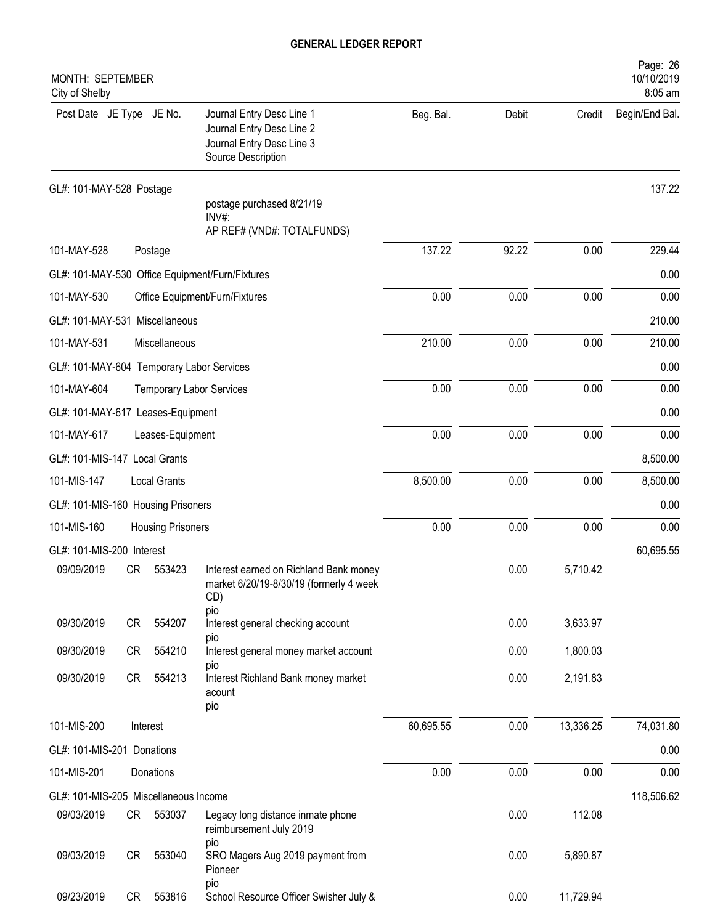| <b>MONTH: SEPTEMBER</b><br>City of Shelby |           |                          |                                                                                                           |           |       |           | Page: 26<br>10/10/2019<br>8:05 am |
|-------------------------------------------|-----------|--------------------------|-----------------------------------------------------------------------------------------------------------|-----------|-------|-----------|-----------------------------------|
| Post Date JE Type JE No.                  |           |                          | Journal Entry Desc Line 1<br>Journal Entry Desc Line 2<br>Journal Entry Desc Line 3<br>Source Description | Beg. Bal. | Debit | Credit    | Begin/End Bal.                    |
| GL#: 101-MAY-528 Postage                  |           |                          |                                                                                                           |           |       |           | 137.22                            |
|                                           |           |                          | postage purchased 8/21/19<br>$INV#$ :<br>AP REF# (VND#: TOTALFUNDS)                                       |           |       |           |                                   |
| 101-MAY-528                               |           | Postage                  |                                                                                                           | 137.22    | 92.22 | 0.00      | 229.44                            |
|                                           |           |                          | GL#: 101-MAY-530 Office Equipment/Furn/Fixtures                                                           |           |       |           | 0.00                              |
| 101-MAY-530                               |           |                          | Office Equipment/Furn/Fixtures                                                                            | 0.00      | 0.00  | 0.00      | 0.00                              |
| GL#: 101-MAY-531 Miscellaneous            |           |                          |                                                                                                           |           |       |           | 210.00                            |
| 101-MAY-531                               |           | Miscellaneous            |                                                                                                           | 210.00    | 0.00  | 0.00      | 210.00                            |
| GL#: 101-MAY-604 Temporary Labor Services |           |                          |                                                                                                           |           |       |           | 0.00                              |
| 101-MAY-604                               |           |                          | <b>Temporary Labor Services</b>                                                                           | 0.00      | 0.00  | 0.00      | 0.00                              |
| GL#: 101-MAY-617 Leases-Equipment         |           |                          |                                                                                                           |           |       |           | 0.00                              |
| 101-MAY-617                               |           | Leases-Equipment         |                                                                                                           | 0.00      | 0.00  | 0.00      | 0.00                              |
| GL#: 101-MIS-147 Local Grants             |           |                          |                                                                                                           |           |       |           | 8,500.00                          |
| 101-MIS-147                               |           | <b>Local Grants</b>      |                                                                                                           | 8,500.00  | 0.00  | 0.00      | 8,500.00                          |
| GL#: 101-MIS-160 Housing Prisoners        |           |                          |                                                                                                           |           |       |           | 0.00                              |
| 101-MIS-160                               |           | <b>Housing Prisoners</b> |                                                                                                           | 0.00      | 0.00  | 0.00      | 0.00                              |
| GL#: 101-MIS-200 Interest                 |           |                          |                                                                                                           |           |       |           | 60,695.55                         |
| 09/09/2019                                | CR        | 553423                   | Interest earned on Richland Bank money<br>market 6/20/19-8/30/19 (formerly 4 week<br>CD)<br>pio           |           | 0.00  | 5,710.42  |                                   |
| 09/30/2019                                | CR        | 554207                   | Interest general checking account                                                                         |           | 0.00  | 3,633.97  |                                   |
| 09/30/2019                                | <b>CR</b> | 554210                   | pio<br>Interest general money market account                                                              |           | 0.00  | 1,800.03  |                                   |
| 09/30/2019                                | CR        | 554213                   | pio<br>Interest Richland Bank money market<br>acount<br>pio                                               |           | 0.00  | 2,191.83  |                                   |
| 101-MIS-200                               |           | Interest                 |                                                                                                           | 60,695.55 | 0.00  | 13,336.25 | 74,031.80                         |
| GL#: 101-MIS-201 Donations                |           |                          |                                                                                                           |           |       |           | 0.00                              |
| 101-MIS-201                               |           | Donations                |                                                                                                           | 0.00      | 0.00  | 0.00      | 0.00                              |
| GL#: 101-MIS-205 Miscellaneous Income     |           |                          |                                                                                                           |           |       |           | 118,506.62                        |
| 09/03/2019                                |           | CR 553037                | Legacy long distance inmate phone<br>reimbursement July 2019                                              |           | 0.00  | 112.08    |                                   |
| 09/03/2019                                | <b>CR</b> | 553040                   | pio<br>SRO Magers Aug 2019 payment from<br>Pioneer                                                        |           | 0.00  | 5,890.87  |                                   |
| 09/23/2019                                | CR        | 553816                   | pio<br>School Resource Officer Swisher July &                                                             |           | 0.00  | 11,729.94 |                                   |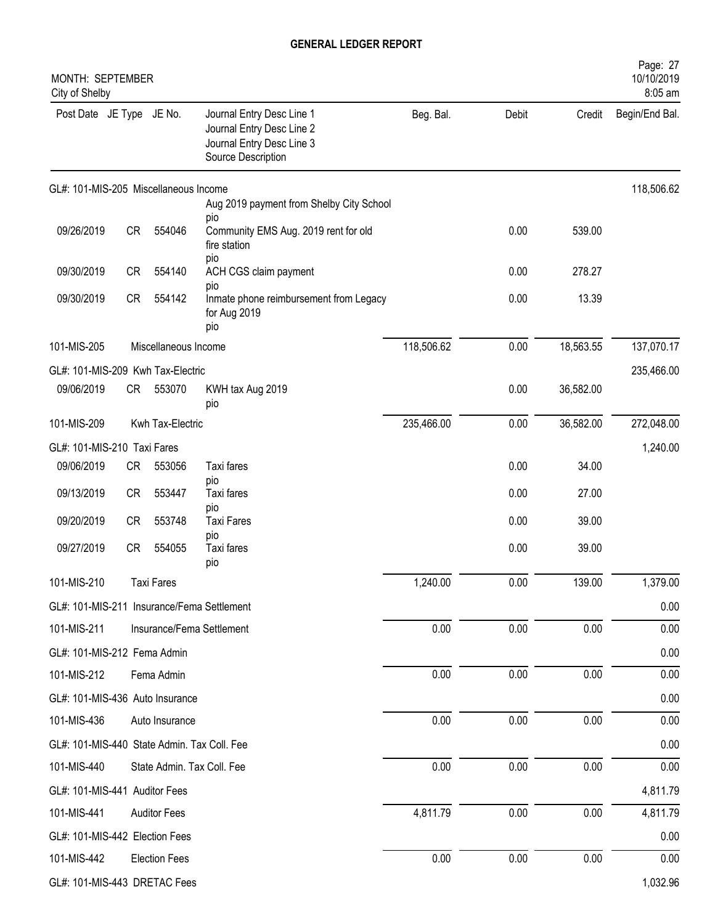| MONTH: SEPTEMBER<br>City of Shelby          |           |                      |                                                                                                           |            |       |           | Page: 27<br>10/10/2019<br>8:05 am |
|---------------------------------------------|-----------|----------------------|-----------------------------------------------------------------------------------------------------------|------------|-------|-----------|-----------------------------------|
| Post Date JE Type JE No.                    |           |                      | Journal Entry Desc Line 1<br>Journal Entry Desc Line 2<br>Journal Entry Desc Line 3<br>Source Description | Beg. Bal.  | Debit | Credit    | Begin/End Bal.                    |
| GL#: 101-MIS-205 Miscellaneous Income       |           |                      | Aug 2019 payment from Shelby City School                                                                  |            |       |           | 118,506.62                        |
| 09/26/2019                                  | CR        | 554046               | pio<br>Community EMS Aug. 2019 rent for old<br>fire station                                               |            | 0.00  | 539.00    |                                   |
| 09/30/2019                                  | <b>CR</b> | 554140               | pio<br>ACH CGS claim payment                                                                              |            | 0.00  | 278.27    |                                   |
| 09/30/2019                                  | CR        | 554142               | pio<br>Inmate phone reimbursement from Legacy<br>for Aug 2019<br>pio                                      |            | 0.00  | 13.39     |                                   |
| 101-MIS-205                                 |           | Miscellaneous Income |                                                                                                           | 118,506.62 | 0.00  | 18,563.55 | 137,070.17                        |
| GL#: 101-MIS-209 Kwh Tax-Electric           |           |                      |                                                                                                           |            |       |           | 235,466.00                        |
| 09/06/2019                                  | CR        | 553070               | KWH tax Aug 2019<br>pio                                                                                   |            | 0.00  | 36,582.00 |                                   |
| 101-MIS-209                                 |           | Kwh Tax-Electric     |                                                                                                           | 235,466.00 | 0.00  | 36,582.00 | 272,048.00                        |
| GL#: 101-MIS-210 Taxi Fares                 |           |                      |                                                                                                           |            |       |           | 1,240.00                          |
| 09/06/2019                                  | CR        | 553056               | Taxi fares                                                                                                |            | 0.00  | 34.00     |                                   |
| 09/13/2019                                  | <b>CR</b> | 553447               | pio<br>Taxi fares<br>pio                                                                                  |            | 0.00  | 27.00     |                                   |
| 09/20/2019                                  | CR        | 553748               | <b>Taxi Fares</b>                                                                                         |            | 0.00  | 39.00     |                                   |
| 09/27/2019                                  | <b>CR</b> | 554055               | pio<br>Taxi fares<br>pio                                                                                  |            | 0.00  | 39.00     |                                   |
| 101-MIS-210                                 |           | <b>Taxi Fares</b>    |                                                                                                           | 1,240.00   | 0.00  | 139.00    | 1,379.00                          |
|                                             |           |                      | GL#: 101-MIS-211 Insurance/Fema Settlement                                                                |            |       |           | 0.00                              |
| 101-MIS-211                                 |           |                      | Insurance/Fema Settlement                                                                                 | 0.00       | 0.00  | 0.00      | 0.00                              |
| GL#: 101-MIS-212 Fema Admin                 |           |                      |                                                                                                           |            |       |           | 0.00                              |
| 101-MIS-212                                 |           | Fema Admin           |                                                                                                           | 0.00       | 0.00  | 0.00      | 0.00                              |
| GL#: 101-MIS-436 Auto Insurance             |           |                      |                                                                                                           |            |       |           | 0.00                              |
| 101-MIS-436                                 |           | Auto Insurance       |                                                                                                           | 0.00       | 0.00  | 0.00      | 0.00                              |
| GL#: 101-MIS-440 State Admin. Tax Coll. Fee |           |                      |                                                                                                           |            |       |           | 0.00                              |
| 101-MIS-440                                 |           |                      | State Admin. Tax Coll. Fee                                                                                | 0.00       | 0.00  | 0.00      | 0.00                              |
| GL#: 101-MIS-441 Auditor Fees               |           |                      |                                                                                                           |            |       |           | 4,811.79                          |
| 101-MIS-441                                 |           | <b>Auditor Fees</b>  |                                                                                                           | 4,811.79   | 0.00  | 0.00      | 4,811.79                          |
| GL#: 101-MIS-442 Election Fees              |           |                      |                                                                                                           |            |       |           | 0.00                              |
| 101-MIS-442                                 |           | <b>Election Fees</b> |                                                                                                           | 0.00       | 0.00  | 0.00      | 0.00                              |
| GL#: 101-MIS-443 DRETAC Fees                |           |                      |                                                                                                           |            |       |           | 1,032.96                          |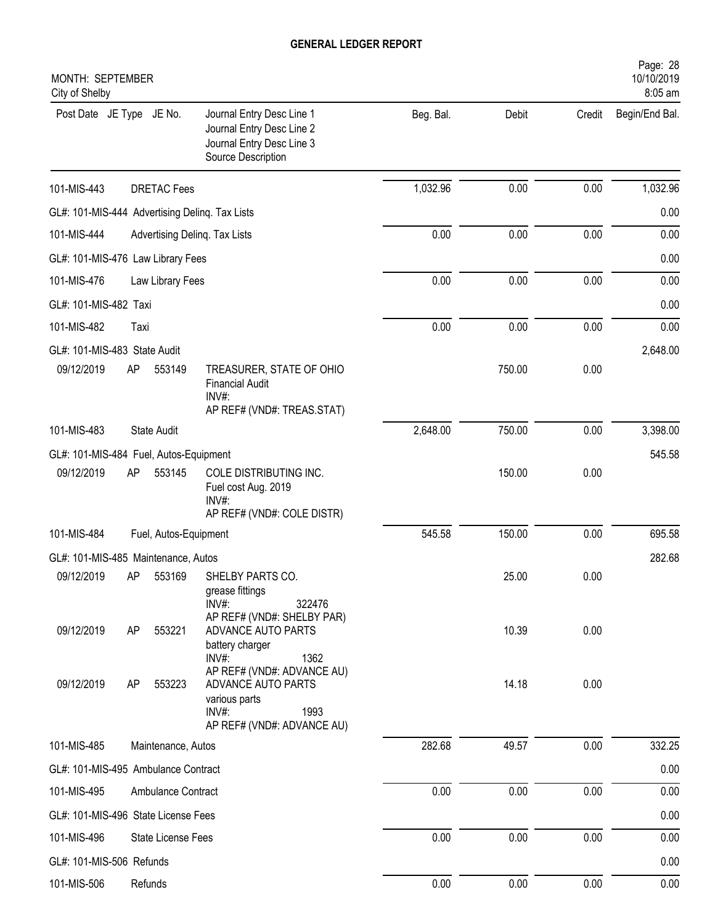| MONTH: SEPTEMBER<br>City of Shelby             |                       |                                                                                                                  |           |        |        | Page: 28<br>10/10/2019<br>8:05 am |
|------------------------------------------------|-----------------------|------------------------------------------------------------------------------------------------------------------|-----------|--------|--------|-----------------------------------|
| Post Date JE Type JE No.                       |                       | Journal Entry Desc Line 1<br>Journal Entry Desc Line 2<br>Journal Entry Desc Line 3<br>Source Description        | Beg. Bal. | Debit  | Credit | Begin/End Bal.                    |
| 101-MIS-443                                    | <b>DRETAC Fees</b>    |                                                                                                                  | 1,032.96  | 0.00   | 0.00   | 1,032.96                          |
| GL#: 101-MIS-444 Advertising Delinq. Tax Lists |                       |                                                                                                                  |           |        |        | 0.00                              |
| 101-MIS-444                                    |                       | Advertising Deling. Tax Lists                                                                                    | 0.00      | 0.00   | 0.00   | 0.00                              |
| GL#: 101-MIS-476 Law Library Fees              |                       |                                                                                                                  |           |        |        | 0.00                              |
| 101-MIS-476                                    | Law Library Fees      |                                                                                                                  | 0.00      | 0.00   | 0.00   | 0.00                              |
| GL#: 101-MIS-482 Taxi                          |                       |                                                                                                                  |           |        |        | 0.00                              |
| 101-MIS-482                                    | Taxi                  |                                                                                                                  | 0.00      | 0.00   | 0.00   | 0.00                              |
| GL#: 101-MIS-483 State Audit                   |                       |                                                                                                                  |           |        |        | 2,648.00                          |
| 09/12/2019                                     | AP<br>553149          | TREASURER, STATE OF OHIO<br><b>Financial Audit</b><br>$INV#$ :<br>AP REF# (VND#: TREAS.STAT)                     |           | 750.00 | 0.00   |                                   |
| 101-MIS-483                                    | State Audit           |                                                                                                                  | 2,648.00  | 750.00 | 0.00   | 3,398.00                          |
| GL#: 101-MIS-484 Fuel, Autos-Equipment         |                       |                                                                                                                  |           |        |        | 545.58                            |
| 09/12/2019                                     | 553145<br>AP          | COLE DISTRIBUTING INC.<br>Fuel cost Aug. 2019<br>$INV#$ :<br>AP REF# (VND#: COLE DISTR)                          |           | 150.00 | 0.00   |                                   |
| 101-MIS-484                                    | Fuel, Autos-Equipment |                                                                                                                  | 545.58    | 150.00 | 0.00   | 695.58                            |
| GL#: 101-MIS-485 Maintenance, Autos            |                       |                                                                                                                  |           |        |        | 282.68                            |
| 09/12/2019                                     | AP<br>553169          | SHELBY PARTS CO.<br>grease fittings<br>INV#:<br>322476                                                           |           | 25.00  | 0.00   |                                   |
| 09/12/2019                                     | 553221<br>AP          | AP REF# (VND#: SHELBY PAR)<br>ADVANCE AUTO PARTS<br>battery charger<br>INV#:<br>1362                             |           | 10.39  | 0.00   |                                   |
| 09/12/2019                                     | 553223<br>AP          | AP REF# (VND#: ADVANCE AU)<br>ADVANCE AUTO PARTS<br>various parts<br>INV#:<br>1993<br>AP REF# (VND#: ADVANCE AU) |           | 14.18  | 0.00   |                                   |
| 101-MIS-485                                    | Maintenance, Autos    |                                                                                                                  | 282.68    | 49.57  | 0.00   | 332.25                            |
| GL#: 101-MIS-495 Ambulance Contract            |                       |                                                                                                                  |           |        |        | 0.00                              |
| 101-MIS-495                                    | Ambulance Contract    |                                                                                                                  | 0.00      | 0.00   | 0.00   | 0.00                              |
| GL#: 101-MIS-496 State License Fees            |                       |                                                                                                                  |           |        |        | 0.00                              |
| 101-MIS-496                                    | State License Fees    |                                                                                                                  | 0.00      | 0.00   | 0.00   | 0.00                              |
| GL#: 101-MIS-506 Refunds                       |                       |                                                                                                                  |           |        |        | 0.00                              |
| 101-MIS-506                                    | Refunds               |                                                                                                                  | 0.00      | 0.00   | 0.00   | 0.00                              |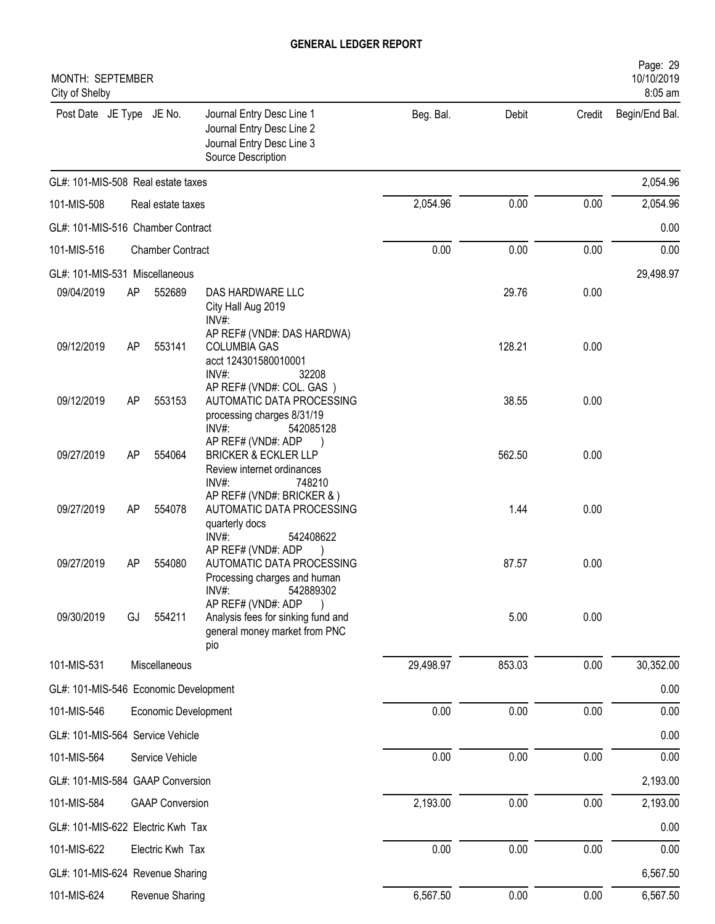| <b>MONTH: SEPTEMBER</b><br>City of Shelby |           |                         |                                                                                                           |           |        |        | Page: 29<br>10/10/2019<br>8:05 am |
|-------------------------------------------|-----------|-------------------------|-----------------------------------------------------------------------------------------------------------|-----------|--------|--------|-----------------------------------|
| Post Date JE Type JE No.                  |           |                         | Journal Entry Desc Line 1<br>Journal Entry Desc Line 2<br>Journal Entry Desc Line 3<br>Source Description | Beg. Bal. | Debit  | Credit | Begin/End Bal.                    |
| GL#: 101-MIS-508 Real estate taxes        |           |                         |                                                                                                           |           |        |        | 2,054.96                          |
| 101-MIS-508                               |           | Real estate taxes       |                                                                                                           | 2,054.96  | 0.00   | 0.00   | 2,054.96                          |
| GL#: 101-MIS-516 Chamber Contract         |           |                         |                                                                                                           |           |        |        | 0.00                              |
| 101-MIS-516                               |           | <b>Chamber Contract</b> |                                                                                                           | 0.00      | 0.00   | 0.00   | 0.00                              |
| GL#: 101-MIS-531 Miscellaneous            |           |                         |                                                                                                           |           |        |        | 29,498.97                         |
| 09/04/2019                                | AP        | 552689                  | DAS HARDWARE LLC<br>City Hall Aug 2019<br>INV#:                                                           |           | 29.76  | 0.00   |                                   |
| 09/12/2019                                | AP        | 553141                  | AP REF# (VND#: DAS HARDWA)<br><b>COLUMBIA GAS</b><br>acct 124301580010001<br>INV#:<br>32208               |           | 128.21 | 0.00   |                                   |
| 09/12/2019                                | AP        | 553153                  | AP REF# (VND#: COL. GAS)<br>AUTOMATIC DATA PROCESSING<br>processing charges 8/31/19<br>INV#:<br>542085128 |           | 38.55  | 0.00   |                                   |
| 09/27/2019                                | AP        | 554064                  | AP REF# (VND#: ADP<br><b>BRICKER &amp; ECKLER LLP</b><br>Review internet ordinances<br>INV#:<br>748210    |           | 562.50 | 0.00   |                                   |
| 09/27/2019                                | AP        | 554078                  | AP REF# (VND#: BRICKER & )<br>AUTOMATIC DATA PROCESSING<br>quarterly docs<br>INV#:<br>542408622           |           | 1.44   | 0.00   |                                   |
| 09/27/2019                                | <b>AP</b> | 554080                  | AP REF# (VND#: ADP<br>AUTOMATIC DATA PROCESSING<br>Processing charges and human<br>INV#:<br>542889302     |           | 87.57  | 0.00   |                                   |
| 09/30/2019                                | GJ        | 554211                  | AP REF# (VND#: ADP<br>Analysis fees for sinking fund and<br>general money market from PNC<br>pio          |           | 5.00   | 0.00   |                                   |
| 101-MIS-531                               |           | Miscellaneous           |                                                                                                           | 29,498.97 | 853.03 | 0.00   | 30,352.00                         |
| GL#: 101-MIS-546 Economic Development     |           |                         |                                                                                                           |           |        |        | 0.00                              |
| 101-MIS-546                               |           | Economic Development    |                                                                                                           | 0.00      | 0.00   | 0.00   | 0.00                              |
| GL#: 101-MIS-564 Service Vehicle          |           |                         |                                                                                                           |           |        |        | 0.00                              |
| 101-MIS-564                               |           | Service Vehicle         |                                                                                                           | 0.00      | 0.00   | 0.00   | 0.00                              |
| GL#: 101-MIS-584 GAAP Conversion          |           |                         |                                                                                                           |           |        |        | 2,193.00                          |
| 101-MIS-584                               |           | <b>GAAP Conversion</b>  |                                                                                                           | 2,193.00  | 0.00   | 0.00   | 2,193.00                          |
| GL#: 101-MIS-622 Electric Kwh Tax         |           |                         |                                                                                                           |           |        |        | 0.00                              |
| 101-MIS-622                               |           | Electric Kwh Tax        |                                                                                                           | 0.00      | 0.00   | 0.00   | 0.00                              |
| GL#: 101-MIS-624 Revenue Sharing          |           |                         |                                                                                                           |           |        |        | 6,567.50                          |
| 101-MIS-624                               |           | Revenue Sharing         |                                                                                                           | 6,567.50  | 0.00   | 0.00   | 6,567.50                          |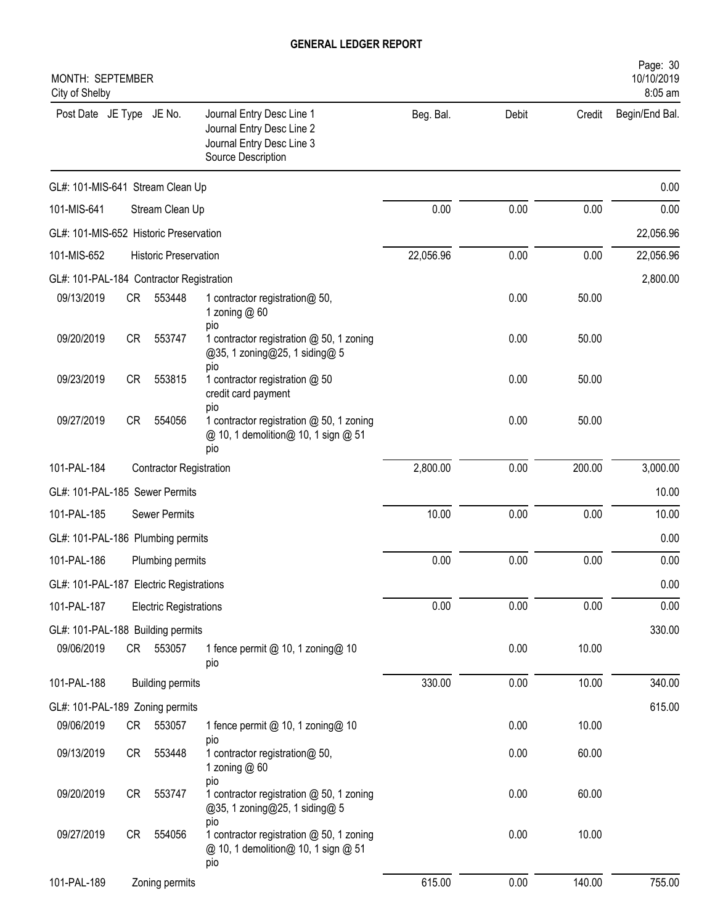| MONTH: SEPTEMBER<br>City of Shelby       |           |                                |                                                                                                           |           |       |        | Page: 30<br>10/10/2019<br>8:05 am |
|------------------------------------------|-----------|--------------------------------|-----------------------------------------------------------------------------------------------------------|-----------|-------|--------|-----------------------------------|
| Post Date JE Type JE No.                 |           |                                | Journal Entry Desc Line 1<br>Journal Entry Desc Line 2<br>Journal Entry Desc Line 3<br>Source Description | Beg. Bal. | Debit | Credit | Begin/End Bal.                    |
| GL#: 101-MIS-641 Stream Clean Up         |           |                                |                                                                                                           |           |       |        | 0.00                              |
| 101-MIS-641                              |           | Stream Clean Up                |                                                                                                           | 0.00      | 0.00  | 0.00   | 0.00                              |
| GL#: 101-MIS-652 Historic Preservation   |           |                                |                                                                                                           |           |       |        | 22,056.96                         |
| 101-MIS-652                              |           | <b>Historic Preservation</b>   |                                                                                                           | 22,056.96 | 0.00  | 0.00   | 22,056.96                         |
| GL#: 101-PAL-184 Contractor Registration |           |                                |                                                                                                           |           |       |        | 2,800.00                          |
| 09/13/2019                               | CR —      | 553448                         | 1 contractor registration@ 50,<br>1 zoning $@60$<br>pio                                                   |           | 0.00  | 50.00  |                                   |
| 09/20/2019                               | <b>CR</b> | 553747                         | 1 contractor registration @ 50, 1 zoning<br>@35, 1 zoning@25, 1 siding@ 5<br>pio                          |           | 0.00  | 50.00  |                                   |
| 09/23/2019                               | <b>CR</b> | 553815                         | 1 contractor registration @ 50<br>credit card payment<br>pio                                              |           | 0.00  | 50.00  |                                   |
| 09/27/2019                               | <b>CR</b> | 554056                         | 1 contractor registration @ 50, 1 zoning<br>@ 10, 1 demolition@ 10, 1 sign @ 51<br>pio                    |           | 0.00  | 50.00  |                                   |
| 101-PAL-184                              |           | <b>Contractor Registration</b> |                                                                                                           | 2,800.00  | 0.00  | 200.00 | 3,000.00                          |
| GL#: 101-PAL-185 Sewer Permits           |           |                                |                                                                                                           |           |       |        | 10.00                             |
| 101-PAL-185                              |           | <b>Sewer Permits</b>           |                                                                                                           | 10.00     | 0.00  | 0.00   | 10.00                             |
| GL#: 101-PAL-186 Plumbing permits        |           |                                |                                                                                                           |           |       |        | 0.00                              |
| 101-PAL-186                              |           | Plumbing permits               |                                                                                                           | 0.00      | 0.00  | 0.00   | 0.00                              |
| GL#: 101-PAL-187 Electric Registrations  |           |                                |                                                                                                           |           |       |        | 0.00                              |
| 101-PAL-187                              |           | <b>Electric Registrations</b>  |                                                                                                           | 0.00      | 0.00  | 0.00   | 0.00                              |
| GL#: 101-PAL-188 Building permits        |           |                                |                                                                                                           |           |       |        | 330.00                            |
| 09/06/2019                               |           | CR 553057                      | 1 fence permit @ 10, 1 zoning@ 10<br>pio                                                                  |           | 0.00  | 10.00  |                                   |
| 101-PAL-188                              |           | <b>Building permits</b>        |                                                                                                           | 330.00    | 0.00  | 10.00  | 340.00                            |
| GL#: 101-PAL-189 Zoning permits          |           |                                |                                                                                                           |           |       |        | 615.00                            |
| 09/06/2019                               | CR        | 553057                         | 1 fence permit @ 10, 1 zoning@ 10                                                                         |           | 0.00  | 10.00  |                                   |
| 09/13/2019                               | CR        | 553448                         | pio<br>1 contractor registration@ 50,<br>1 zoning $@60$                                                   |           | 0.00  | 60.00  |                                   |
| 09/20/2019                               | CR        | 553747                         | pio<br>1 contractor registration @ 50, 1 zoning<br>@35, 1 zoning@25, 1 siding@ 5                          |           | 0.00  | 60.00  |                                   |
| 09/27/2019                               | CR        | 554056                         | pio<br>1 contractor registration @ 50, 1 zoning<br>@ 10, 1 demolition@ 10, 1 sign @ 51<br>pio             |           | 0.00  | 10.00  |                                   |
| 101-PAL-189                              |           | Zoning permits                 |                                                                                                           | 615.00    | 0.00  | 140.00 | 755.00                            |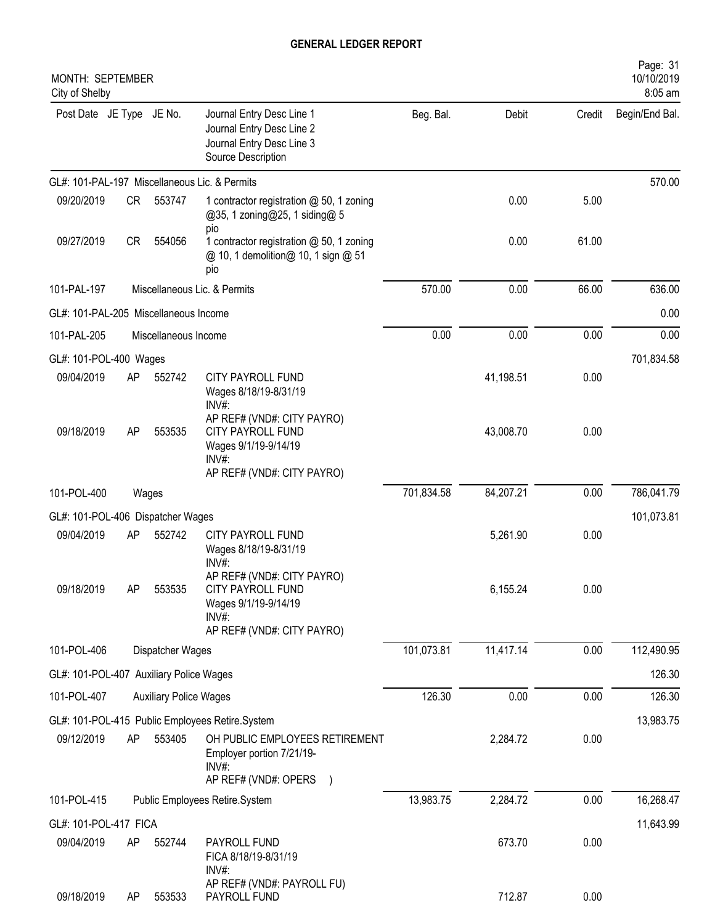| MONTH: SEPTEMBER<br>City of Shelby      |           |                               |                                                                                                                |            |           |        | Page: 31<br>10/10/2019<br>8:05 am |
|-----------------------------------------|-----------|-------------------------------|----------------------------------------------------------------------------------------------------------------|------------|-----------|--------|-----------------------------------|
| Post Date JE Type JE No.                |           |                               | Journal Entry Desc Line 1<br>Journal Entry Desc Line 2<br>Journal Entry Desc Line 3<br>Source Description      | Beg. Bal.  | Debit     | Credit | Begin/End Bal.                    |
|                                         |           |                               | GL#: 101-PAL-197 Miscellaneous Lic. & Permits                                                                  |            |           |        | 570.00                            |
| 09/20/2019                              | <b>CR</b> | 553747                        | 1 contractor registration @ 50, 1 zoning<br>@35, 1 zoning@25, 1 siding@ 5<br>pio                               |            | 0.00      | 5.00   |                                   |
| 09/27/2019                              | <b>CR</b> | 554056                        | 1 contractor registration @ 50, 1 zoning<br>@ 10, 1 demolition@ 10, 1 sign @ 51<br>pio                         |            | 0.00      | 61.00  |                                   |
| 101-PAL-197                             |           |                               | Miscellaneous Lic. & Permits                                                                                   | 570.00     | 0.00      | 66.00  | 636.00                            |
| GL#: 101-PAL-205 Miscellaneous Income   |           |                               |                                                                                                                |            |           |        | 0.00                              |
| 101-PAL-205                             |           | Miscellaneous Income          |                                                                                                                | 0.00       | 0.00      | 0.00   | 0.00                              |
| GL#: 101-POL-400 Wages                  |           |                               |                                                                                                                |            |           |        | 701,834.58                        |
| 09/04/2019                              | AP        | 552742                        | CITY PAYROLL FUND<br>Wages 8/18/19-8/31/19<br>INV#:                                                            |            | 41,198.51 | 0.00   |                                   |
| 09/18/2019                              | AP        | 553535                        | AP REF# (VND#: CITY PAYRO)<br>CITY PAYROLL FUND<br>Wages 9/1/19-9/14/19<br>INV#:<br>AP REF# (VND#: CITY PAYRO) |            | 43,008.70 | 0.00   |                                   |
| 101-POL-400                             |           | Wages                         |                                                                                                                | 701,834.58 | 84,207.21 | 0.00   | 786,041.79                        |
| GL#: 101-POL-406 Dispatcher Wages       |           |                               |                                                                                                                |            |           |        | 101,073.81                        |
| 09/04/2019                              | AP        | 552742                        | CITY PAYROLL FUND<br>Wages 8/18/19-8/31/19<br>INV#:                                                            |            | 5,261.90  | 0.00   |                                   |
| 09/18/2019                              | AP        | 553535                        | AP REF# (VND#: CITY PAYRO)<br>CITY PAYROLL FUND<br>Wages 9/1/19-9/14/19<br>INV#:<br>AP REF# (VND#: CITY PAYRO) |            | 6,155.24  | 0.00   |                                   |
| 101-POL-406                             |           | Dispatcher Wages              |                                                                                                                | 101,073.81 | 11,417.14 | 0.00   | 112,490.95                        |
| GL#: 101-POL-407 Auxiliary Police Wages |           |                               |                                                                                                                |            |           |        | 126.30                            |
| 101-POL-407                             |           | <b>Auxiliary Police Wages</b> |                                                                                                                | 126.30     | 0.00      | 0.00   | 126.30                            |
|                                         |           |                               | GL#: 101-POL-415 Public Employees Retire.System                                                                |            |           |        | 13,983.75                         |
| 09/12/2019                              | AP        | 553405                        | OH PUBLIC EMPLOYEES RETIREMENT<br>Employer portion 7/21/19-<br>INV#:<br>AP REF# (VND#: OPERS )                 |            | 2,284.72  | 0.00   |                                   |
| 101-POL-415                             |           |                               | Public Employees Retire.System                                                                                 | 13,983.75  | 2,284.72  | 0.00   | 16,268.47                         |
| GL#: 101-POL-417 FICA                   |           |                               |                                                                                                                |            |           |        | 11,643.99                         |
| 09/04/2019                              | AP        | 552744                        | PAYROLL FUND<br>FICA 8/18/19-8/31/19<br>$INV#$ :                                                               |            | 673.70    | 0.00   |                                   |
| 09/18/2019                              | AP        | 553533                        | AP REF# (VND#: PAYROLL FU)<br>PAYROLL FUND                                                                     |            | 712.87    | 0.00   |                                   |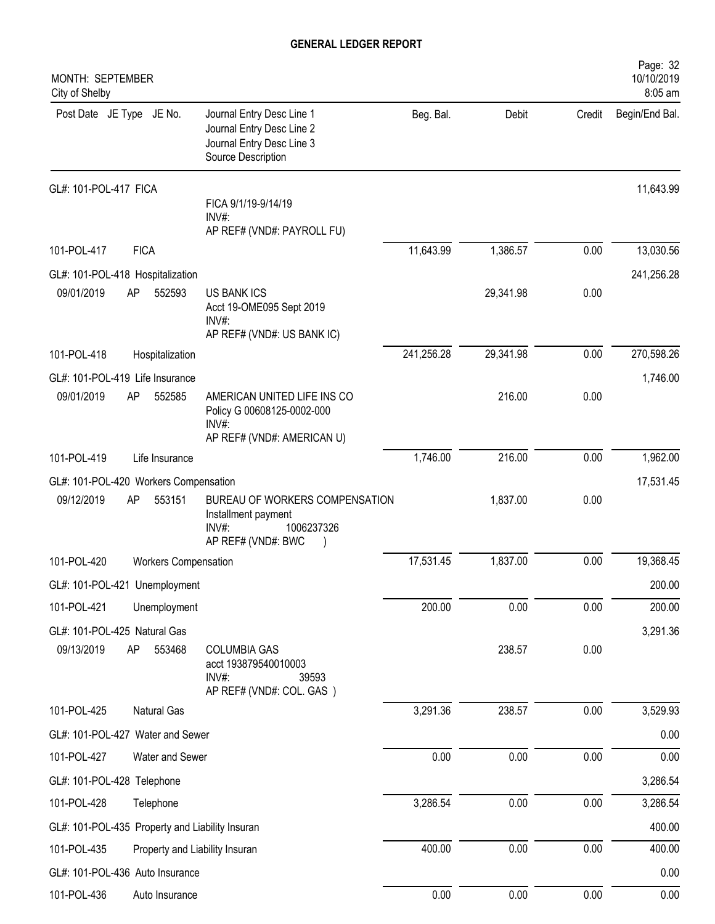| MONTH: SEPTEMBER<br>City of Shelby              |             |                      |                                                                                                           |            |           |        | Page: 32<br>10/10/2019<br>8:05 am |
|-------------------------------------------------|-------------|----------------------|-----------------------------------------------------------------------------------------------------------|------------|-----------|--------|-----------------------------------|
| Post Date JE Type JE No.                        |             |                      | Journal Entry Desc Line 1<br>Journal Entry Desc Line 2<br>Journal Entry Desc Line 3<br>Source Description | Beg. Bal.  | Debit     | Credit | Begin/End Bal.                    |
| GL#: 101-POL-417 FICA                           |             |                      | FICA 9/1/19-9/14/19                                                                                       |            |           |        | 11,643.99                         |
|                                                 |             |                      | INV#:<br>AP REF# (VND#: PAYROLL FU)                                                                       |            |           |        |                                   |
| 101-POL-417                                     | <b>FICA</b> |                      |                                                                                                           | 11,643.99  | 1,386.57  | 0.00   | 13,030.56                         |
| GL#: 101-POL-418 Hospitalization                |             |                      |                                                                                                           |            |           |        | 241,256.28                        |
| 09/01/2019                                      | AP          | 552593               | <b>US BANK ICS</b><br>Acct 19-OME095 Sept 2019<br>INV#:                                                   |            | 29,341.98 | 0.00   |                                   |
|                                                 |             |                      | AP REF# (VND#: US BANK IC)                                                                                |            |           |        |                                   |
| 101-POL-418                                     |             | Hospitalization      |                                                                                                           | 241,256.28 | 29,341.98 | 0.00   | 270,598.26                        |
| GL#: 101-POL-419 Life Insurance                 |             |                      |                                                                                                           |            |           |        | 1,746.00                          |
| 09/01/2019                                      | AP          | 552585               | AMERICAN UNITED LIFE INS CO<br>Policy G 00608125-0002-000<br>INV#:                                        |            | 216.00    | 0.00   |                                   |
|                                                 |             |                      | AP REF# (VND#: AMERICAN U)                                                                                |            |           |        |                                   |
| 101-POL-419                                     |             | Life Insurance       |                                                                                                           | 1,746.00   | 216.00    | 0.00   | 1,962.00                          |
| GL#: 101-POL-420 Workers Compensation           |             |                      |                                                                                                           |            |           |        | 17,531.45                         |
| 09/12/2019                                      | AP          | 553151               | BUREAU OF WORKERS COMPENSATION<br>Installment payment<br>1006237326<br>$INV#$ :<br>AP REF# (VND#: BWC     |            | 1,837.00  | 0.00   |                                   |
| 101-POL-420                                     |             | Workers Compensation |                                                                                                           | 17,531.45  | 1,837.00  | 0.00   | 19,368.45                         |
| GL#: 101-POL-421 Unemployment                   |             |                      |                                                                                                           |            |           |        | 200.00                            |
| 101-POL-421                                     |             | Unemployment         |                                                                                                           | 200.00     | 0.00      | 0.00   | 200.00                            |
| GL#: 101-POL-425 Natural Gas                    |             |                      |                                                                                                           |            |           |        | 3,291.36                          |
| 09/13/2019                                      | AP          | 553468               | <b>COLUMBIA GAS</b><br>acct 193879540010003<br>INV#:<br>39593<br>AP REF# (VND#: COL. GAS)                 |            | 238.57    | 0.00   |                                   |
| 101-POL-425                                     |             | Natural Gas          |                                                                                                           | 3,291.36   | 238.57    | 0.00   | 3,529.93                          |
| GL#: 101-POL-427 Water and Sewer                |             |                      |                                                                                                           |            |           |        | 0.00                              |
| 101-POL-427                                     |             | Water and Sewer      |                                                                                                           | 0.00       | 0.00      | 0.00   | 0.00                              |
| GL#: 101-POL-428 Telephone                      |             |                      |                                                                                                           |            |           |        | 3,286.54                          |
| 101-POL-428                                     |             | Telephone            |                                                                                                           | 3,286.54   | 0.00      | 0.00   | 3,286.54                          |
| GL#: 101-POL-435 Property and Liability Insuran |             |                      |                                                                                                           |            |           |        | 400.00                            |
| 101-POL-435                                     |             |                      | Property and Liability Insuran                                                                            | 400.00     | 0.00      | 0.00   | 400.00                            |
| GL#: 101-POL-436 Auto Insurance                 |             |                      |                                                                                                           |            |           |        | 0.00                              |
| 101-POL-436                                     |             | Auto Insurance       |                                                                                                           | $0.00\,$   | 0.00      | 0.00   | 0.00                              |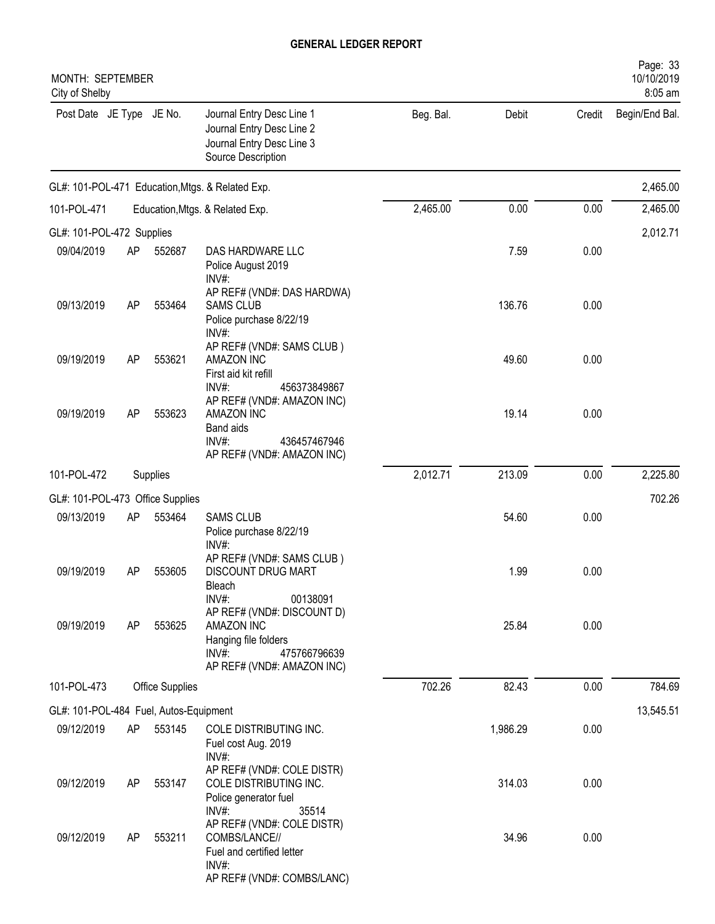| MONTH: SEPTEMBER<br>City of Shelby     |           |                 |                                                                                                                            |           |          |        | Page: 33<br>10/10/2019<br>8:05 am |
|----------------------------------------|-----------|-----------------|----------------------------------------------------------------------------------------------------------------------------|-----------|----------|--------|-----------------------------------|
| Post Date JE Type JE No.               |           |                 | Journal Entry Desc Line 1<br>Journal Entry Desc Line 2<br>Journal Entry Desc Line 3<br>Source Description                  | Beg. Bal. | Debit    | Credit | Begin/End Bal.                    |
|                                        |           |                 | GL#: 101-POL-471 Education, Mtgs. & Related Exp.                                                                           |           |          |        | 2,465.00                          |
| 101-POL-471                            |           |                 | Education, Mtgs. & Related Exp.                                                                                            | 2,465.00  | 0.00     | 0.00   | 2,465.00                          |
| GL#: 101-POL-472 Supplies              |           |                 |                                                                                                                            |           |          |        | 2,012.71                          |
| 09/04/2019                             | AP        | 552687          | DAS HARDWARE LLC<br>Police August 2019<br>INV#:                                                                            |           | 7.59     | 0.00   |                                   |
| 09/13/2019                             | AP        | 553464          | AP REF# (VND#: DAS HARDWA)<br><b>SAMS CLUB</b><br>Police purchase 8/22/19<br>INV#:                                         |           | 136.76   | 0.00   |                                   |
| 09/19/2019                             | <b>AP</b> | 553621          | AP REF# (VND#: SAMS CLUB)<br>AMAZON INC<br>First aid kit refill<br>$INV#$ :<br>456373849867                                |           | 49.60    | 0.00   |                                   |
| 09/19/2019                             | <b>AP</b> | 553623          | AP REF# (VND#: AMAZON INC)<br>AMAZON INC<br><b>Band aids</b><br>$INV#$ :<br>436457467946<br>AP REF# (VND#: AMAZON INC)     |           | 19.14    | 0.00   |                                   |
| 101-POL-472                            |           | Supplies        |                                                                                                                            | 2,012.71  | 213.09   | 0.00   | 2,225.80                          |
| GL#: 101-POL-473 Office Supplies       |           |                 |                                                                                                                            |           |          |        | 702.26                            |
| 09/13/2019                             | AP        | 553464          | <b>SAMS CLUB</b><br>Police purchase 8/22/19<br>INV#:                                                                       |           | 54.60    | 0.00   |                                   |
| 09/19/2019                             | <b>AP</b> | 553605          | AP REF# (VND#: SAMS CLUB)<br>DISCOUNT DRUG MART<br>Bleach<br>INV#:<br>00138091                                             |           | 1.99     | 0.00   |                                   |
| 09/19/2019                             | AP        | 553625          | AP REF# (VND#: DISCOUNT D)<br>AMAZON INC<br>Hanging file folders<br>$INV#$ :<br>475766796639<br>AP REF# (VND#: AMAZON INC) |           | 25.84    | 0.00   |                                   |
| 101-POL-473                            |           | Office Supplies |                                                                                                                            | 702.26    | 82.43    | 0.00   | 784.69                            |
| GL#: 101-POL-484 Fuel, Autos-Equipment |           |                 |                                                                                                                            |           |          |        | 13,545.51                         |
| 09/12/2019                             | AP        | 553145          | COLE DISTRIBUTING INC.<br>Fuel cost Aug. 2019<br>INV#:                                                                     |           | 1,986.29 | 0.00   |                                   |
| 09/12/2019                             | <b>AP</b> | 553147          | AP REF# (VND#: COLE DISTR)<br>COLE DISTRIBUTING INC.<br>Police generator fuel<br>INV#:<br>35514                            |           | 314.03   | 0.00   |                                   |
| 09/12/2019                             | <b>AP</b> | 553211          | AP REF# (VND#: COLE DISTR)<br>COMBS/LANCE//<br>Fuel and certified letter<br>INV#:<br>AP REF# (VND#: COMBS/LANC)            |           | 34.96    | 0.00   |                                   |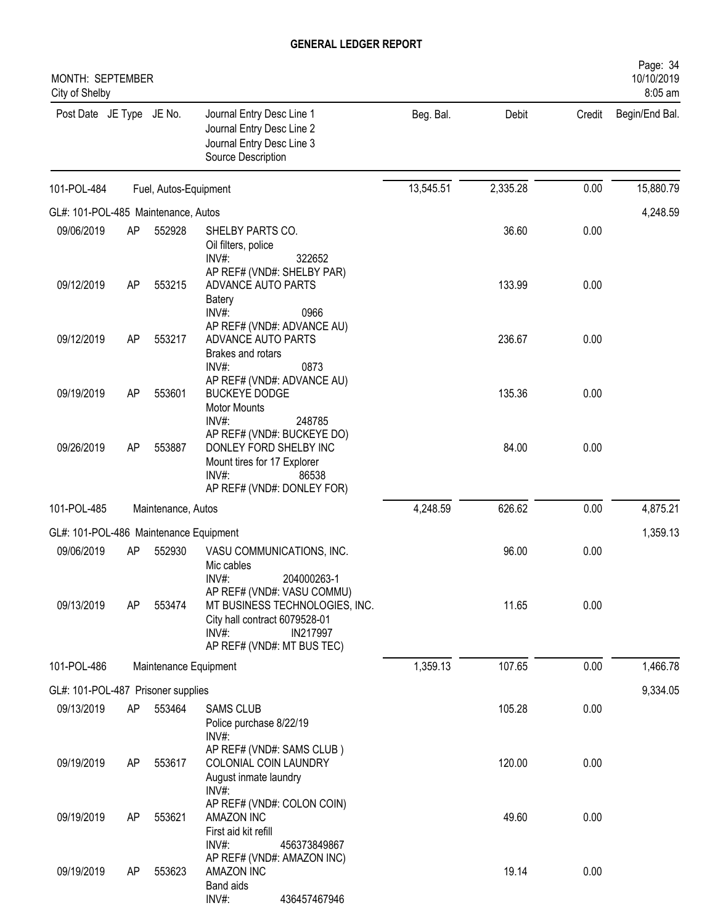| MONTH: SEPTEMBER<br>City of Shelby     |           |                       |                                                                                                                                                     |           |          |        | Page: 34<br>10/10/2019<br>8:05 am |
|----------------------------------------|-----------|-----------------------|-----------------------------------------------------------------------------------------------------------------------------------------------------|-----------|----------|--------|-----------------------------------|
| Post Date JE Type JE No.               |           |                       | Journal Entry Desc Line 1<br>Journal Entry Desc Line 2<br>Journal Entry Desc Line 3<br>Source Description                                           | Beg. Bal. | Debit    | Credit | Begin/End Bal.                    |
| 101-POL-484                            |           | Fuel, Autos-Equipment |                                                                                                                                                     | 13,545.51 | 2,335.28 | 0.00   | 15,880.79                         |
| GL#: 101-POL-485 Maintenance, Autos    |           |                       |                                                                                                                                                     |           |          |        | 4,248.59                          |
| 09/06/2019                             | <b>AP</b> | 552928                | SHELBY PARTS CO.<br>Oil filters, police<br>$INV#$ :<br>322652                                                                                       |           | 36.60    | 0.00   |                                   |
| 09/12/2019                             | <b>AP</b> | 553215                | AP REF# (VND#: SHELBY PAR)<br>ADVANCE AUTO PARTS<br><b>Batery</b><br>INV#:<br>0966                                                                  |           | 133.99   | 0.00   |                                   |
| 09/12/2019                             | <b>AP</b> | 553217                | AP REF# (VND#: ADVANCE AU)<br>ADVANCE AUTO PARTS<br>Brakes and rotars<br>0873<br>INV#                                                               |           | 236.67   | 0.00   |                                   |
| 09/19/2019                             | <b>AP</b> | 553601                | AP REF# (VND#: ADVANCE AU)<br><b>BUCKEYE DODGE</b><br><b>Motor Mounts</b><br>INV#:<br>248785                                                        |           | 135.36   | 0.00   |                                   |
| 09/26/2019                             | <b>AP</b> | 553887                | AP REF# (VND#: BUCKEYE DO)<br>DONLEY FORD SHELBY INC<br>Mount tires for 17 Explorer<br>INV#:<br>86538<br>AP REF# (VND#: DONLEY FOR)                 |           | 84.00    | 0.00   |                                   |
| 101-POL-485                            |           | Maintenance, Autos    |                                                                                                                                                     | 4,248.59  | 626.62   | 0.00   | 4,875.21                          |
| GL#: 101-POL-486 Maintenance Equipment |           |                       |                                                                                                                                                     |           |          |        | 1,359.13                          |
| 09/06/2019                             | <b>AP</b> | 552930                | VASU COMMUNICATIONS, INC.<br>Mic cables<br>INV#:<br>204000263-1                                                                                     |           | 96.00    | 0.00   |                                   |
| 09/13/2019                             | AP        | 553474                | AP REF# (VND#: VASU COMMU)<br>MT BUSINESS TECHNOLOGIES, INC.<br>City hall contract 6079528-01<br>$INV#$ :<br>IN217997<br>AP REF# (VND#: MT BUS TEC) |           | 11.65    | 0.00   |                                   |
| 101-POL-486                            |           | Maintenance Equipment |                                                                                                                                                     | 1,359.13  | 107.65   | 0.00   | 1,466.78                          |
| GL#: 101-POL-487 Prisoner supplies     |           |                       |                                                                                                                                                     |           |          |        | 9,334.05                          |
| 09/13/2019                             | AP        | 553464                | <b>SAMS CLUB</b><br>Police purchase 8/22/19                                                                                                         |           | 105.28   | 0.00   |                                   |
| 09/19/2019                             | AP        | 553617                | INV#:<br>AP REF# (VND#: SAMS CLUB)<br>COLONIAL COIN LAUNDRY<br>August inmate laundry                                                                |           | 120.00   | 0.00   |                                   |
| 09/19/2019                             | AP        | 553621                | INV#:<br>AP REF# (VND#: COLON COIN)<br>AMAZON INC<br>First aid kit refill                                                                           |           | 49.60    | 0.00   |                                   |
| 09/19/2019                             | AP        | 553623                | INV#:<br>456373849867<br>AP REF# (VND#: AMAZON INC)<br>AMAZON INC<br>Band aids<br>INV#:<br>436457467946                                             |           | 19.14    | 0.00   |                                   |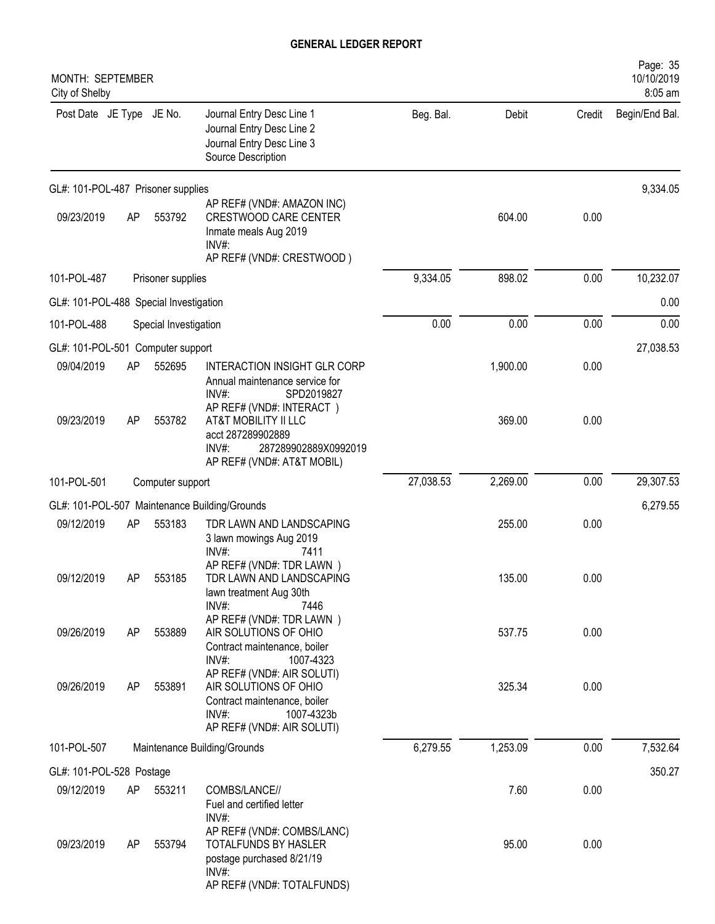| MONTH: SEPTEMBER<br>City of Shelby     |     |                       |                                                                                                                                             |           |          |        | Page: 35<br>10/10/2019<br>8:05 am |
|----------------------------------------|-----|-----------------------|---------------------------------------------------------------------------------------------------------------------------------------------|-----------|----------|--------|-----------------------------------|
| Post Date JE Type JE No.               |     |                       | Journal Entry Desc Line 1<br>Journal Entry Desc Line 2<br>Journal Entry Desc Line 3<br>Source Description                                   | Beg. Bal. | Debit    | Credit | Begin/End Bal.                    |
| GL#: 101-POL-487 Prisoner supplies     |     |                       |                                                                                                                                             |           |          |        | 9,334.05                          |
| 09/23/2019                             | AP  | 553792                | AP REF# (VND#: AMAZON INC)<br><b>CRESTWOOD CARE CENTER</b><br>Inmate meals Aug 2019<br>INV#:<br>AP REF# (VND#: CRESTWOOD)                   |           | 604.00   | 0.00   |                                   |
| 101-POL-487                            |     | Prisoner supplies     |                                                                                                                                             | 9,334.05  | 898.02   | 0.00   | 10,232.07                         |
| GL#: 101-POL-488 Special Investigation |     |                       |                                                                                                                                             |           |          |        | 0.00                              |
| 101-POL-488                            |     | Special Investigation |                                                                                                                                             | 0.00      | 0.00     | 0.00   | 0.00                              |
| GL#: 101-POL-501 Computer support      |     |                       |                                                                                                                                             |           |          |        | 27,038.53                         |
| 09/04/2019                             | AP  | 552695                | <b>INTERACTION INSIGHT GLR CORP</b><br>Annual maintenance service for<br>INV#:<br>SPD2019827                                                |           | 1,900.00 | 0.00   |                                   |
| 09/23/2019                             | AP  | 553782                | AP REF# (VND#: INTERACT)<br>AT&T MOBILITY II LLC<br>acct 287289902889<br>$INV#$ :<br>287289902889X0992019<br>AP REF# (VND#: AT&T MOBIL)     |           | 369.00   | 0.00   |                                   |
| 101-POL-501                            |     | Computer support      |                                                                                                                                             | 27,038.53 | 2,269.00 | 0.00   | 29,307.53                         |
|                                        |     |                       | GL#: 101-POL-507 Maintenance Building/Grounds                                                                                               |           |          |        | 6,279.55                          |
| 09/12/2019                             | AP  | 553183                | TDR LAWN AND LANDSCAPING<br>3 lawn mowings Aug 2019<br>INV#:<br>7411<br>AP REF# (VND#: TDR LAWN)                                            |           | 255.00   | 0.00   |                                   |
| 09/12/2019                             | AΡ  | 553185                | TDR LAWN AND LANDSCAPING<br>lawn treatment Aug 30th<br>INV#:<br>7446                                                                        |           | 135.00   | 0.00   |                                   |
| 09/26/2019                             | AP  | 553889                | AP REF# (VND#: TDR LAWN)<br>AIR SOLUTIONS OF OHIO<br>Contract maintenance, boiler<br>$INV#$ :<br>1007-4323                                  |           | 537.75   | 0.00   |                                   |
| 09/26/2019                             | AP  | 553891                | AP REF# (VND#: AIR SOLUTI)<br>AIR SOLUTIONS OF OHIO<br>Contract maintenance, boiler<br>$INV#$ :<br>1007-4323b<br>AP REF# (VND#: AIR SOLUTI) |           | 325.34   | 0.00   |                                   |
| 101-POL-507                            |     |                       | Maintenance Building/Grounds                                                                                                                | 6,279.55  | 1,253.09 | 0.00   | 7,532.64                          |
| GL#: 101-POL-528 Postage               |     |                       |                                                                                                                                             |           |          |        | 350.27                            |
| 09/12/2019                             | AP  | 553211                | COMBS/LANCE//<br>Fuel and certified letter<br>$INV#$ :                                                                                      |           | 7.60     | 0.00   |                                   |
| 09/23/2019                             | AP. | 553794                | AP REF# (VND#: COMBS/LANC)<br>TOTALFUNDS BY HASLER<br>postage purchased 8/21/19<br>INV#:<br>AP REF# (VND#: TOTALFUNDS)                      |           | 95.00    | 0.00   |                                   |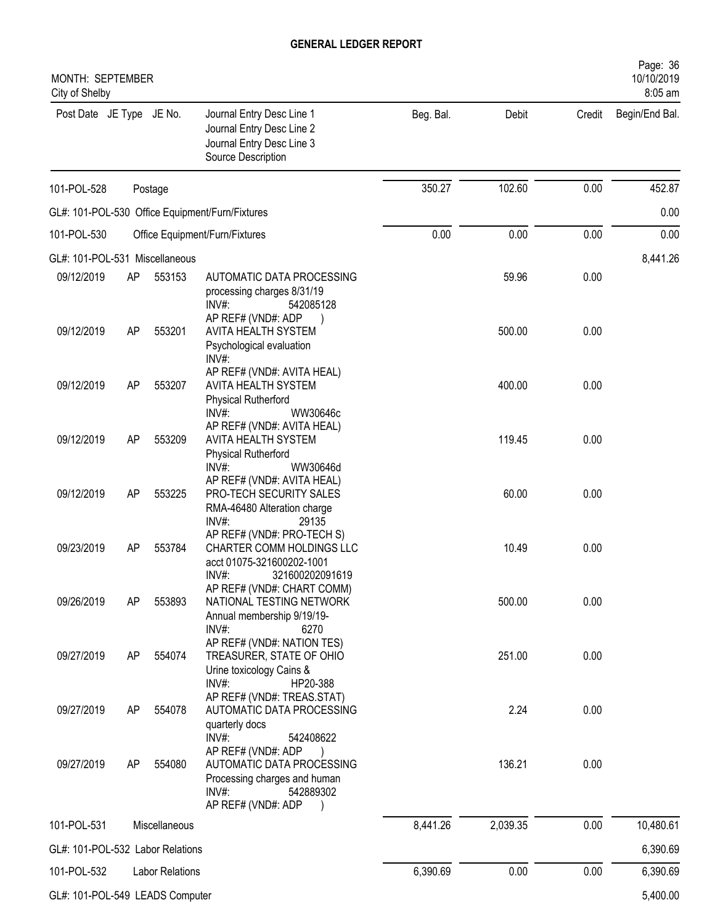| MONTH: SEPTEMBER<br>City of Shelby |    |                        |                                                                                                                                                      |           |          |        | Page: 36<br>10/10/2019<br>8:05 am |
|------------------------------------|----|------------------------|------------------------------------------------------------------------------------------------------------------------------------------------------|-----------|----------|--------|-----------------------------------|
| Post Date JE Type JE No.           |    |                        | Journal Entry Desc Line 1<br>Journal Entry Desc Line 2<br>Journal Entry Desc Line 3<br>Source Description                                            | Beg. Bal. | Debit    | Credit | Begin/End Bal.                    |
| 101-POL-528                        |    | Postage                |                                                                                                                                                      | 350.27    | 102.60   | 0.00   | 452.87                            |
|                                    |    |                        | GL#: 101-POL-530 Office Equipment/Furn/Fixtures                                                                                                      |           |          |        | 0.00                              |
| 101-POL-530                        |    |                        | Office Equipment/Furn/Fixtures                                                                                                                       | 0.00      | 0.00     | 0.00   | 0.00                              |
| GL#: 101-POL-531 Miscellaneous     |    |                        |                                                                                                                                                      |           |          |        | 8,441.26                          |
| 09/12/2019                         | AP | 553153                 | AUTOMATIC DATA PROCESSING<br>processing charges 8/31/19<br>$INV#$ :<br>542085128<br>AP REF# (VND#: ADP                                               |           | 59.96    | 0.00   |                                   |
| 09/12/2019                         | AP | 553201                 | <b>AVITA HEALTH SYSTEM</b><br>Psychological evaluation<br>INV#:                                                                                      |           | 500.00   | 0.00   |                                   |
| 09/12/2019                         | AP | 553207                 | AP REF# (VND#: AVITA HEAL)<br>AVITA HEALTH SYSTEM<br><b>Physical Rutherford</b><br>INV#:<br>WW30646c                                                 |           | 400.00   | 0.00   |                                   |
| 09/12/2019                         | AP | 553209                 | AP REF# (VND#: AVITA HEAL)<br>AVITA HEALTH SYSTEM<br><b>Physical Rutherford</b><br>WW30646d<br>$INV#$ :                                              |           | 119.45   | 0.00   |                                   |
| 09/12/2019                         | AP | 553225                 | AP REF# (VND#: AVITA HEAL)<br>PRO-TECH SECURITY SALES<br>RMA-46480 Alteration charge<br>INV#:<br>29135                                               |           | 60.00    | 0.00   |                                   |
| 09/23/2019                         | AP | 553784                 | AP REF# (VND#: PRO-TECH S)<br>CHARTER COMM HOLDINGS LLC<br>acct 01075-321600202-1001<br>INV#:<br>321600202091619                                     |           | 10.49    | 0.00   |                                   |
| 09/26/2019                         | AP | 553893                 | AP REF# (VND#: CHART COMM)<br>NATIONAL TESTING NETWORK<br>Annual membership 9/19/19-                                                                 |           | 500.00   | 0.00   |                                   |
| 09/27/2019                         | AP | 554074                 | INV#:<br>6270<br>AP REF# (VND#: NATION TES)<br>TREASURER, STATE OF OHIO<br>Urine toxicology Cains &                                                  |           | 251.00   | 0.00   |                                   |
| 09/27/2019                         | AP | 554078                 | INV#:<br>HP20-388<br>AP REF# (VND#: TREAS.STAT)<br>AUTOMATIC DATA PROCESSING<br>quarterly docs                                                       |           | 2.24     | 0.00   |                                   |
| 09/27/2019                         | AP | 554080                 | INV#:<br>542408622<br>AP REF# (VND#: ADP<br>AUTOMATIC DATA PROCESSING<br>Processing charges and human<br>$INV#$ :<br>542889302<br>AP REF# (VND#: ADP |           | 136.21   | 0.00   |                                   |
| 101-POL-531                        |    | Miscellaneous          |                                                                                                                                                      | 8,441.26  | 2,039.35 | 0.00   | 10,480.61                         |
| GL#: 101-POL-532 Labor Relations   |    |                        |                                                                                                                                                      |           |          |        | 6,390.69                          |
| 101-POL-532                        |    | <b>Labor Relations</b> |                                                                                                                                                      | 6,390.69  | 0.00     | 0.00   | 6,390.69                          |
| GL#: 101-POL-549 LEADS Computer    |    |                        |                                                                                                                                                      |           |          |        | 5,400.00                          |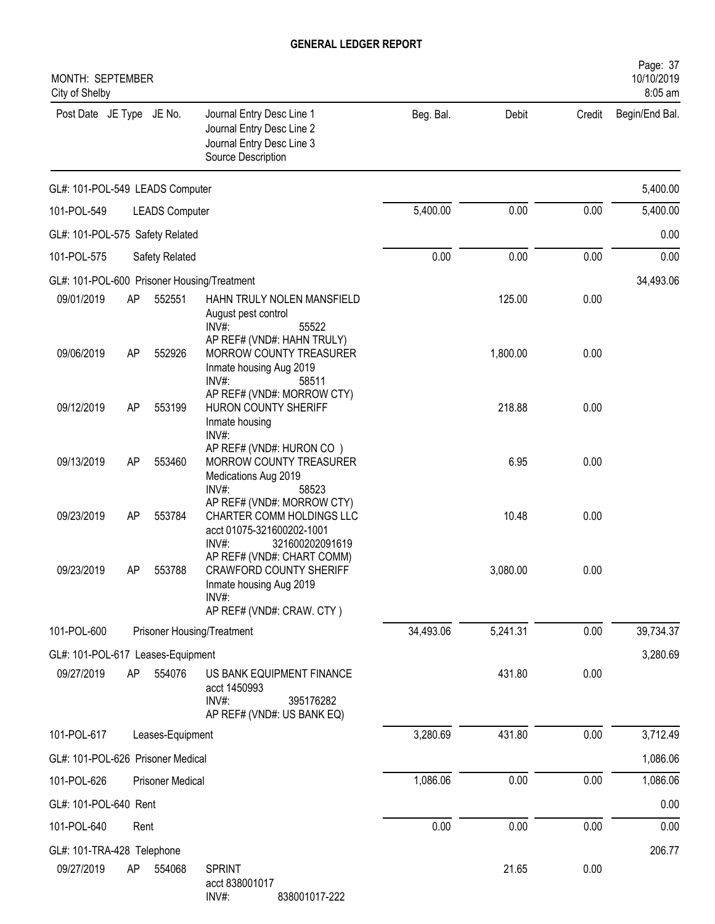| MONTH: SEPTEMBER<br>City of Shelby |    |                         |                                                                                                                              |           |          |        | Page: 37<br>10/10/2019<br>8:05 am |
|------------------------------------|----|-------------------------|------------------------------------------------------------------------------------------------------------------------------|-----------|----------|--------|-----------------------------------|
| Post Date JE Type JE No.           |    |                         | Journal Entry Desc Line 1<br>Journal Entry Desc Line 2<br>Journal Entry Desc Line 3<br>Source Description                    | Beg. Bal. | Debit    | Credit | Begin/End Bal.                    |
| GL#: 101-POL-549 LEADS Computer    |    |                         |                                                                                                                              |           |          |        | 5,400.00                          |
| 101-POL-549                        |    | <b>LEADS Computer</b>   |                                                                                                                              | 5,400.00  | 0.00     | 0.00   | 5,400.00                          |
| GL#: 101-POL-575 Safety Related    |    |                         |                                                                                                                              |           |          |        | 0.00                              |
| 101-POL-575                        |    | Safety Related          |                                                                                                                              | 0.00      | 0.00     | 0.00   | 0.00                              |
|                                    |    |                         | GL#: 101-POL-600 Prisoner Housing/Treatment                                                                                  |           |          |        | 34,493.06                         |
| 09/01/2019                         | AP | 552551                  | HAHN TRULY NOLEN MANSFIELD<br>August pest control<br>$INV#$ :<br>55522                                                       |           | 125.00   | 0.00   |                                   |
| 09/06/2019                         | AP | 552926                  | AP REF# (VND#: HAHN TRULY)<br>MORROW COUNTY TREASURER<br>Inmate housing Aug 2019<br>$INV#$ :<br>58511                        |           | 1,800.00 | 0.00   |                                   |
| 09/12/2019                         | AP | 553199                  | AP REF# (VND#: MORROW CTY)<br>HURON COUNTY SHERIFF<br>Inmate housing<br>INV#:                                                |           | 218.88   | 0.00   |                                   |
| 09/13/2019                         | AP | 553460                  | AP REF# (VND#: HURON CO)<br>MORROW COUNTY TREASURER<br>Medications Aug 2019<br>$INV#$ :<br>58523                             |           | 6.95     | 0.00   |                                   |
| 09/23/2019                         | AP | 553784                  | AP REF# (VND#: MORROW CTY)<br>CHARTER COMM HOLDINGS LLC<br>acct 01075-321600202-1001<br>$INV#$ :<br>321600202091619          |           | 10.48    | 0.00   |                                   |
| 09/23/2019                         | AP | 553788                  | AP REF# (VND#: CHART COMM)<br><b>CRAWFORD COUNTY SHERIFF</b><br>Inmate housing Aug 2019<br>INV#<br>AP REF# (VND#: CRAW. CTY) |           | 3,080.00 | 0.00   |                                   |
| 101-POL-600                        |    |                         | Prisoner Housing/Treatment                                                                                                   | 34,493.06 | 5,241.31 | 0.00   | 39,734.37                         |
| GL#: 101-POL-617 Leases-Equipment  |    |                         |                                                                                                                              |           |          |        | 3,280.69                          |
| 09/27/2019                         | AP | 554076                  | US BANK EQUIPMENT FINANCE<br>acct 1450993<br>INV#:<br>395176282<br>AP REF# (VND#: US BANK EQ)                                |           | 431.80   | 0.00   |                                   |
| 101-POL-617                        |    | Leases-Equipment        |                                                                                                                              | 3,280.69  | 431.80   | 0.00   | 3,712.49                          |
| GL#: 101-POL-626 Prisoner Medical  |    |                         |                                                                                                                              |           |          |        | 1,086.06                          |
| 101-POL-626                        |    | <b>Prisoner Medical</b> |                                                                                                                              | 1,086.06  | 0.00     | 0.00   | 1,086.06                          |
| GL#: 101-POL-640 Rent              |    |                         |                                                                                                                              |           |          |        | 0.00                              |
| 101-POL-640                        |    | Rent                    |                                                                                                                              | 0.00      | 0.00     | 0.00   | 0.00                              |
| GL#: 101-TRA-428 Telephone         |    |                         |                                                                                                                              |           |          |        | 206.77                            |
| 09/27/2019                         | AP | 554068                  | <b>SPRINT</b><br>acct 838001017                                                                                              |           | 21.65    | 0.00   |                                   |

INV#: 838001017-222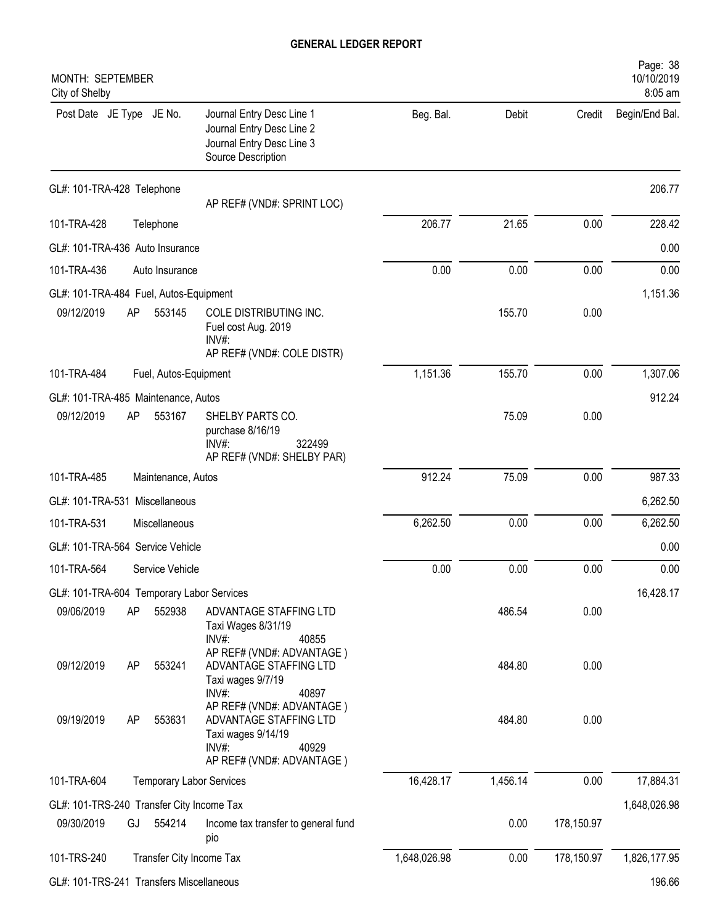| MONTH: SEPTEMBER<br>City of Shelby        |           |                                 |                                                                                                                          |              |          |            | Page: 38<br>10/10/2019<br>8:05 am |
|-------------------------------------------|-----------|---------------------------------|--------------------------------------------------------------------------------------------------------------------------|--------------|----------|------------|-----------------------------------|
| Post Date JE Type JE No.                  |           |                                 | Journal Entry Desc Line 1<br>Journal Entry Desc Line 2<br>Journal Entry Desc Line 3<br>Source Description                | Beg. Bal.    | Debit    | Credit     | Begin/End Bal.                    |
| GL#: 101-TRA-428 Telephone                |           |                                 | AP REF# (VND#: SPRINT LOC)                                                                                               |              |          |            | 206.77                            |
| 101-TRA-428                               |           | Telephone                       |                                                                                                                          | 206.77       | 21.65    | 0.00       | 228.42                            |
| GL#: 101-TRA-436 Auto Insurance           |           |                                 |                                                                                                                          |              |          |            | 0.00                              |
| 101-TRA-436                               |           | Auto Insurance                  |                                                                                                                          | 0.00         | 0.00     | 0.00       | 0.00                              |
| GL#: 101-TRA-484 Fuel, Autos-Equipment    |           |                                 |                                                                                                                          |              |          |            | 1,151.36                          |
| 09/12/2019                                | AP        | 553145                          | COLE DISTRIBUTING INC.<br>Fuel cost Aug. 2019<br>INV#<br>AP REF# (VND#: COLE DISTR)                                      |              | 155.70   | 0.00       |                                   |
| 101-TRA-484                               |           | Fuel, Autos-Equipment           |                                                                                                                          | 1,151.36     | 155.70   | 0.00       | 1,307.06                          |
| GL#: 101-TRA-485 Maintenance, Autos       |           |                                 |                                                                                                                          |              |          |            | 912.24                            |
| 09/12/2019                                | AP        | 553167                          | SHELBY PARTS CO.<br>purchase 8/16/19<br>$INV#$ :<br>322499<br>AP REF# (VND#: SHELBY PAR)                                 |              | 75.09    | 0.00       |                                   |
| 101-TRA-485                               |           | Maintenance, Autos              |                                                                                                                          | 912.24       | 75.09    | 0.00       | 987.33                            |
| GL#: 101-TRA-531 Miscellaneous            |           |                                 |                                                                                                                          |              |          |            | 6,262.50                          |
| 101-TRA-531                               |           | Miscellaneous                   |                                                                                                                          | 6,262.50     | 0.00     | 0.00       | 6,262.50                          |
| GL#: 101-TRA-564 Service Vehicle          |           |                                 |                                                                                                                          |              |          |            | 0.00                              |
| 101-TRA-564                               |           | Service Vehicle                 |                                                                                                                          | 0.00         | 0.00     | 0.00       | 0.00                              |
| GL#: 101-TRA-604 Temporary Labor Services |           |                                 |                                                                                                                          |              |          |            | 16,428.17                         |
| 09/06/2019                                | AP        | 552938                          | ADVANTAGE STAFFING LTD<br>Taxi Wages 8/31/19<br>INV#:<br>40855                                                           |              | 486.54   | 0.00       |                                   |
| 09/12/2019                                | <b>AP</b> | 553241                          | AP REF# (VND#: ADVANTAGE)<br>ADVANTAGE STAFFING LTD<br>Taxi wages 9/7/19<br>INV#:<br>40897                               |              | 484.80   | 0.00       |                                   |
| 09/19/2019                                | <b>AP</b> | 553631                          | AP REF# (VND#: ADVANTAGE)<br>ADVANTAGE STAFFING LTD<br>Taxi wages 9/14/19<br>INV#:<br>40929<br>AP REF# (VND#: ADVANTAGE) |              | 484.80   | 0.00       |                                   |
| 101-TRA-604                               |           | <b>Temporary Labor Services</b> |                                                                                                                          | 16,428.17    | 1,456.14 | 0.00       | 17,884.31                         |
| GL#: 101-TRS-240 Transfer City Income Tax |           |                                 |                                                                                                                          |              |          |            | 1,648,026.98                      |
| 09/30/2019                                | GJ        | 554214                          | Income tax transfer to general fund<br>pio                                                                               |              | 0.00     | 178,150.97 |                                   |
| 101-TRS-240                               |           | Transfer City Income Tax        |                                                                                                                          | 1,648,026.98 | 0.00     | 178,150.97 | 1,826,177.95                      |
| GL#: 101-TRS-241 Transfers Miscellaneous  |           |                                 |                                                                                                                          |              |          |            | 196.66                            |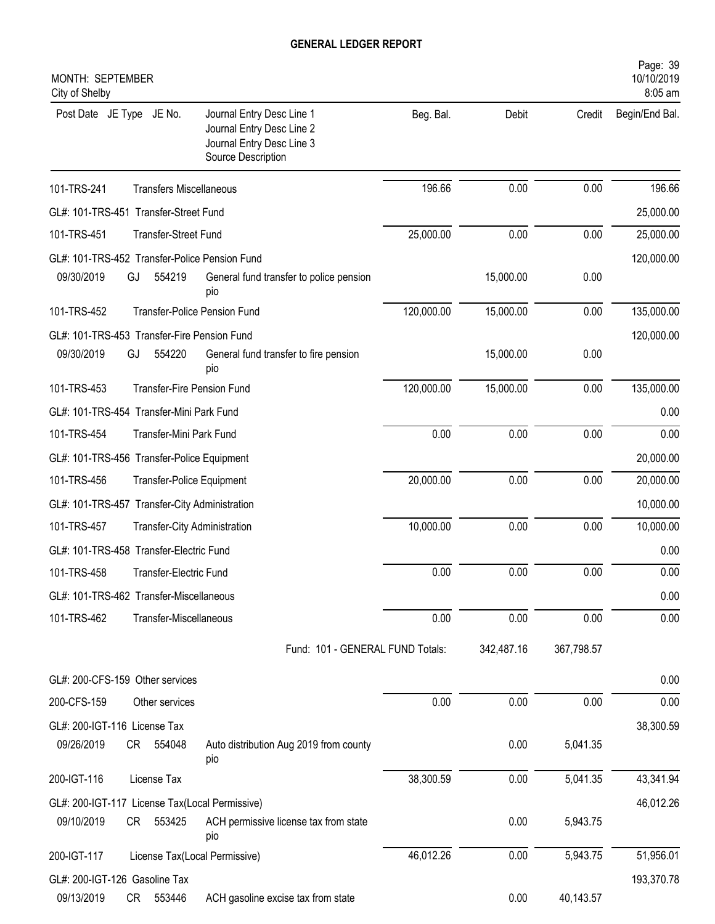| MONTH: SEPTEMBER<br>City of Shelby |                                                |                                                                                                           |            |            |            | Page: 39<br>10/10/2019<br>8:05 am |
|------------------------------------|------------------------------------------------|-----------------------------------------------------------------------------------------------------------|------------|------------|------------|-----------------------------------|
| Post Date JE Type JE No.           |                                                | Journal Entry Desc Line 1<br>Journal Entry Desc Line 2<br>Journal Entry Desc Line 3<br>Source Description | Beg. Bal.  | Debit      | Credit     | Begin/End Bal.                    |
| 101-TRS-241                        | <b>Transfers Miscellaneous</b>                 |                                                                                                           | 196.66     | 0.00       | 0.00       | 196.66                            |
|                                    | GL#: 101-TRS-451 Transfer-Street Fund          |                                                                                                           |            |            |            | 25,000.00                         |
| 101-TRS-451                        | Transfer-Street Fund                           |                                                                                                           | 25,000.00  | 0.00       | 0.00       | 25,000.00                         |
|                                    | GL#: 101-TRS-452 Transfer-Police Pension Fund  |                                                                                                           |            |            |            | 120,000.00                        |
| 09/30/2019                         | 554219<br>GJ                                   | General fund transfer to police pension<br>pio                                                            |            | 15,000.00  | 0.00       |                                   |
| 101-TRS-452                        |                                                | <b>Transfer-Police Pension Fund</b>                                                                       | 120,000.00 | 15,000.00  | 0.00       | 135,000.00                        |
|                                    | GL#: 101-TRS-453 Transfer-Fire Pension Fund    |                                                                                                           |            |            |            | 120,000.00                        |
| 09/30/2019                         | GJ<br>554220                                   | General fund transfer to fire pension<br>pio                                                              |            | 15,000.00  | 0.00       |                                   |
| 101-TRS-453                        | <b>Transfer-Fire Pension Fund</b>              |                                                                                                           | 120,000.00 | 15,000.00  | 0.00       | 135,000.00                        |
|                                    | GL#: 101-TRS-454 Transfer-Mini Park Fund       |                                                                                                           |            |            |            | 0.00                              |
| 101-TRS-454                        | Transfer-Mini Park Fund                        |                                                                                                           | 0.00       | 0.00       | 0.00       | 0.00                              |
|                                    | GL#: 101-TRS-456 Transfer-Police Equipment     |                                                                                                           |            |            |            | 20,000.00                         |
| 101-TRS-456                        | <b>Transfer-Police Equipment</b>               |                                                                                                           | 20,000.00  | 0.00       | 0.00       | 20,000.00                         |
|                                    | GL#: 101-TRS-457 Transfer-City Administration  |                                                                                                           |            |            |            | 10,000.00                         |
| 101-TRS-457                        | Transfer-City Administration                   |                                                                                                           | 10,000.00  | 0.00       | 0.00       | 10,000.00                         |
|                                    | GL#: 101-TRS-458 Transfer-Electric Fund        |                                                                                                           |            |            |            | 0.00                              |
| 101-TRS-458                        | Transfer-Electric Fund                         |                                                                                                           | 0.00       | 0.00       | 0.00       | 0.00                              |
|                                    | GL#: 101-TRS-462 Transfer-Miscellaneous        |                                                                                                           |            |            |            | 0.00                              |
| 101-TRS-462                        | Transfer-Miscellaneous                         |                                                                                                           | 0.00       | 0.00       | 0.00       | 0.00                              |
|                                    |                                                | Fund: 101 - GENERAL FUND Totals:                                                                          |            | 342,487.16 | 367,798.57 |                                   |
|                                    | GL#: 200-CFS-159 Other services                |                                                                                                           |            |            |            | 0.00                              |
| 200-CFS-159                        | Other services                                 |                                                                                                           | 0.00       | 0.00       | 0.00       | 0.00                              |
| GL#: 200-IGT-116 License Tax       |                                                |                                                                                                           |            |            |            | 38,300.59                         |
| 09/26/2019                         | CR<br>554048                                   | Auto distribution Aug 2019 from county<br>pio                                                             |            | 0.00       | 5,041.35   |                                   |
| 200-IGT-116                        | License Tax                                    |                                                                                                           | 38,300.59  | 0.00       | 5,041.35   | 43,341.94                         |
|                                    | GL#: 200-IGT-117 License Tax(Local Permissive) |                                                                                                           |            |            |            | 46,012.26                         |
| 09/10/2019                         | CR<br>553425                                   | ACH permissive license tax from state<br>pio                                                              |            | 0.00       | 5,943.75   |                                   |
| 200-IGT-117                        |                                                | License Tax(Local Permissive)                                                                             | 46,012.26  | 0.00       | 5,943.75   | 51,956.01                         |
|                                    | GL#: 200-IGT-126 Gasoline Tax                  |                                                                                                           |            |            |            | 193,370.78                        |
| 09/13/2019                         | CR 553446                                      | ACH gasoline excise tax from state                                                                        |            | 0.00       | 40,143.57  |                                   |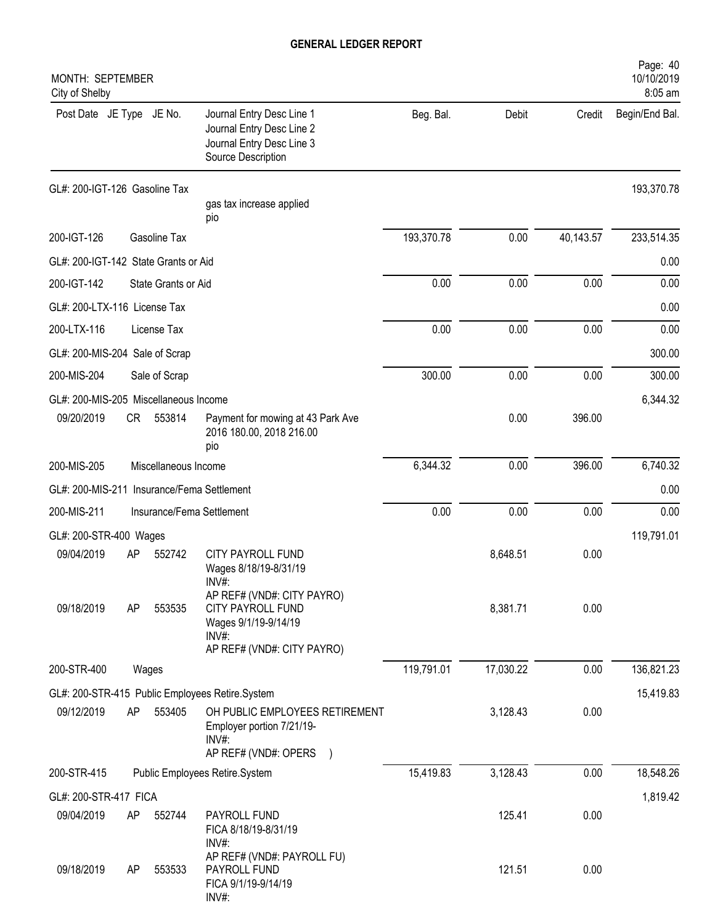| MONTH: SEPTEMBER<br>City of Shelby         |           |                      |                                                                                                                   |            |           |           | Page: 40<br>10/10/2019<br>8:05 am |
|--------------------------------------------|-----------|----------------------|-------------------------------------------------------------------------------------------------------------------|------------|-----------|-----------|-----------------------------------|
| Post Date JE Type JE No.                   |           |                      | Journal Entry Desc Line 1<br>Journal Entry Desc Line 2<br>Journal Entry Desc Line 3<br>Source Description         | Beg. Bal.  | Debit     | Credit    | Begin/End Bal.                    |
| GL#: 200-IGT-126 Gasoline Tax              |           |                      | gas tax increase applied<br>pio                                                                                   |            |           |           | 193,370.78                        |
| 200-IGT-126                                |           | Gasoline Tax         |                                                                                                                   | 193,370.78 | 0.00      | 40,143.57 | 233,514.35                        |
| GL#: 200-IGT-142 State Grants or Aid       |           |                      |                                                                                                                   |            |           |           | 0.00                              |
| 200-IGT-142                                |           | State Grants or Aid  |                                                                                                                   | 0.00       | 0.00      | 0.00      | 0.00                              |
| GL#: 200-LTX-116 License Tax               |           |                      |                                                                                                                   |            |           |           | 0.00                              |
| 200-LTX-116                                |           | License Tax          |                                                                                                                   | 0.00       | 0.00      | 0.00      | 0.00                              |
| GL#: 200-MIS-204 Sale of Scrap             |           |                      |                                                                                                                   |            |           |           | 300.00                            |
| 200-MIS-204                                |           | Sale of Scrap        |                                                                                                                   | 300.00     | 0.00      | 0.00      | 300.00                            |
| GL#: 200-MIS-205 Miscellaneous Income      |           |                      |                                                                                                                   |            |           |           | 6,344.32                          |
| 09/20/2019                                 | <b>CR</b> | 553814               | Payment for mowing at 43 Park Ave<br>2016 180.00, 2018 216.00<br>pio                                              |            | 0.00      | 396.00    |                                   |
| 200-MIS-205                                |           | Miscellaneous Income |                                                                                                                   | 6,344.32   | 0.00      | 396.00    | 6,740.32                          |
| GL#: 200-MIS-211 Insurance/Fema Settlement |           |                      |                                                                                                                   |            |           |           | 0.00                              |
| 200-MIS-211                                |           |                      | Insurance/Fema Settlement                                                                                         | 0.00       | 0.00      | 0.00      | 0.00                              |
| GL#: 200-STR-400 Wages                     |           |                      |                                                                                                                   |            |           |           | 119,791.01                        |
| 09/04/2019                                 | AP        | 552742               | <b>CITY PAYROLL FUND</b><br>Wages 8/18/19-8/31/19<br>INV#                                                         |            | 8,648.51  | 0.00      |                                   |
| 09/18/2019                                 | AP        | 553535               | AP REF# (VND#: CITY PAYRO)<br>CITY PAYROLL FUND<br>Wages 9/1/19-9/14/19<br>$INV#$ :<br>AP REF# (VND#: CITY PAYRO) |            | 8,381.71  | 0.00      |                                   |
| 200-STR-400                                |           | Wages                |                                                                                                                   | 119,791.01 | 17,030.22 | 0.00      | 136,821.23                        |
|                                            |           |                      | GL#: 200-STR-415 Public Employees Retire.System                                                                   |            |           |           | 15,419.83                         |
| 09/12/2019                                 | AP        | 553405               | OH PUBLIC EMPLOYEES RETIREMENT<br>Employer portion 7/21/19-<br>INV#:<br>AP REF# (VND#: OPERS )                    |            | 3,128.43  | 0.00      |                                   |
| 200-STR-415                                |           |                      | Public Employees Retire.System                                                                                    | 15,419.83  | 3,128.43  | 0.00      | 18,548.26                         |
| GL#: 200-STR-417 FICA                      |           |                      |                                                                                                                   |            |           |           | 1,819.42                          |
| 09/04/2019                                 | AP        | 552744               | PAYROLL FUND<br>FICA 8/18/19-8/31/19<br>INV#:                                                                     |            | 125.41    | 0.00      |                                   |
| 09/18/2019                                 | AP        | 553533               | AP REF# (VND#: PAYROLL FU)<br>PAYROLL FUND<br>FICA 9/1/19-9/14/19<br>INV#:                                        |            | 121.51    | 0.00      |                                   |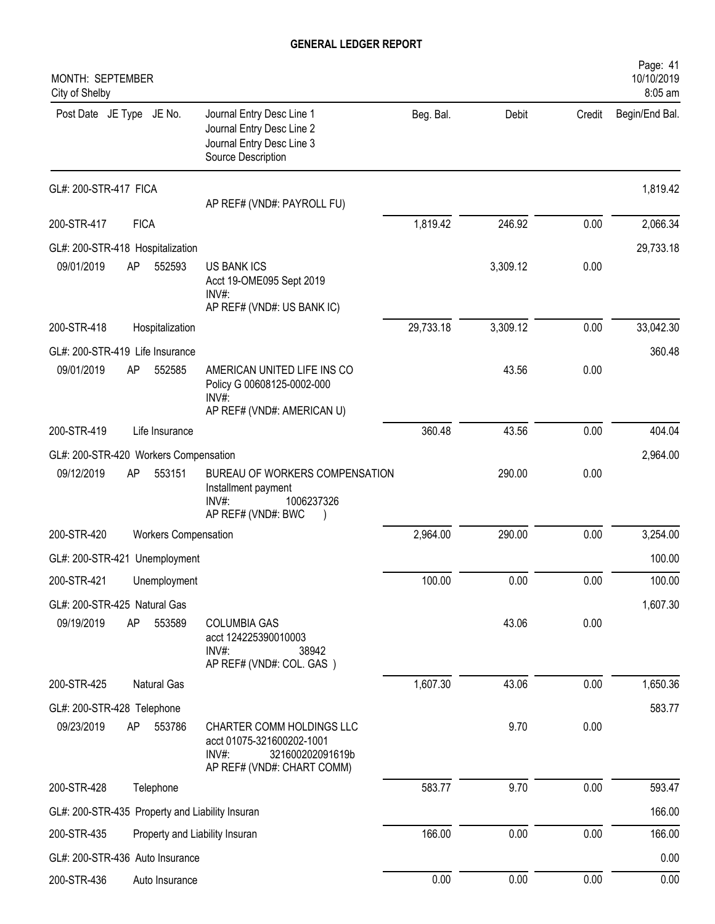| MONTH: SEPTEMBER<br>City of Shelby              |             |                             |                                                                                                                      |           |          |        | Page: 41<br>10/10/2019<br>8:05 am |
|-------------------------------------------------|-------------|-----------------------------|----------------------------------------------------------------------------------------------------------------------|-----------|----------|--------|-----------------------------------|
| Post Date JE Type JE No.                        |             |                             | Journal Entry Desc Line 1<br>Journal Entry Desc Line 2<br>Journal Entry Desc Line 3<br>Source Description            | Beg. Bal. | Debit    | Credit | Begin/End Bal.                    |
| GL#: 200-STR-417 FICA                           |             |                             | AP REF# (VND#: PAYROLL FU)                                                                                           |           |          |        | 1,819.42                          |
| 200-STR-417                                     | <b>FICA</b> |                             |                                                                                                                      | 1,819.42  | 246.92   | 0.00   | 2,066.34                          |
| GL#: 200-STR-418 Hospitalization                |             |                             |                                                                                                                      |           |          |        | 29,733.18                         |
| 09/01/2019                                      | AP          | 552593                      | <b>US BANK ICS</b><br>Acct 19-OME095 Sept 2019<br>INV#:<br>AP REF# (VND#: US BANK IC)                                |           | 3,309.12 | 0.00   |                                   |
| 200-STR-418                                     |             | Hospitalization             |                                                                                                                      | 29,733.18 | 3,309.12 | 0.00   | 33,042.30                         |
| GL#: 200-STR-419 Life Insurance                 |             |                             |                                                                                                                      |           |          |        | 360.48                            |
| 09/01/2019                                      | AP          | 552585                      | AMERICAN UNITED LIFE INS CO<br>Policy G 00608125-0002-000<br>INV#:<br>AP REF# (VND#: AMERICAN U)                     |           | 43.56    | 0.00   |                                   |
| 200-STR-419                                     |             | Life Insurance              |                                                                                                                      | 360.48    | 43.56    | 0.00   | 404.04                            |
| GL#: 200-STR-420 Workers Compensation           |             |                             |                                                                                                                      |           |          |        | 2,964.00                          |
| 09/12/2019                                      | AP          | 553151                      | BUREAU OF WORKERS COMPENSATION<br>Installment payment<br>$INV#$ :<br>1006237326<br>AP REF# (VND#: BWC                |           | 290.00   | 0.00   |                                   |
| 200-STR-420                                     |             | <b>Workers Compensation</b> |                                                                                                                      | 2,964.00  | 290.00   | 0.00   | 3,254.00                          |
| GL#: 200-STR-421 Unemployment                   |             |                             |                                                                                                                      |           |          |        | 100.00                            |
| 200-STR-421                                     |             | Unemployment                |                                                                                                                      | 100.00    | 0.00     | 0.00   | 100.00                            |
| GL#: 200-STR-425 Natural Gas                    |             |                             |                                                                                                                      |           |          |        | 1,607.30                          |
| 09/19/2019                                      | AP          | 553589                      | <b>COLUMBIA GAS</b><br>acct 124225390010003<br>$INV#$ :<br>38942<br>AP REF# (VND#: COL. GAS)                         |           | 43.06    | 0.00   |                                   |
| 200-STR-425                                     |             | Natural Gas                 |                                                                                                                      | 1,607.30  | 43.06    | 0.00   | 1,650.36                          |
| GL#: 200-STR-428 Telephone                      |             |                             |                                                                                                                      |           |          |        | 583.77                            |
| 09/23/2019                                      | AP          | 553786                      | CHARTER COMM HOLDINGS LLC<br>acct 01075-321600202-1001<br>$INV#$ :<br>321600202091619b<br>AP REF# (VND#: CHART COMM) |           | 9.70     | 0.00   |                                   |
| 200-STR-428                                     |             | Telephone                   |                                                                                                                      | 583.77    | 9.70     | 0.00   | 593.47                            |
| GL#: 200-STR-435 Property and Liability Insuran |             |                             |                                                                                                                      |           |          |        | 166.00                            |
| 200-STR-435                                     |             |                             | Property and Liability Insuran                                                                                       | 166.00    | 0.00     | 0.00   | 166.00                            |
| GL#: 200-STR-436 Auto Insurance                 |             |                             |                                                                                                                      |           |          |        | 0.00                              |
| 200-STR-436                                     |             | Auto Insurance              |                                                                                                                      | 0.00      | 0.00     | 0.00   | 0.00                              |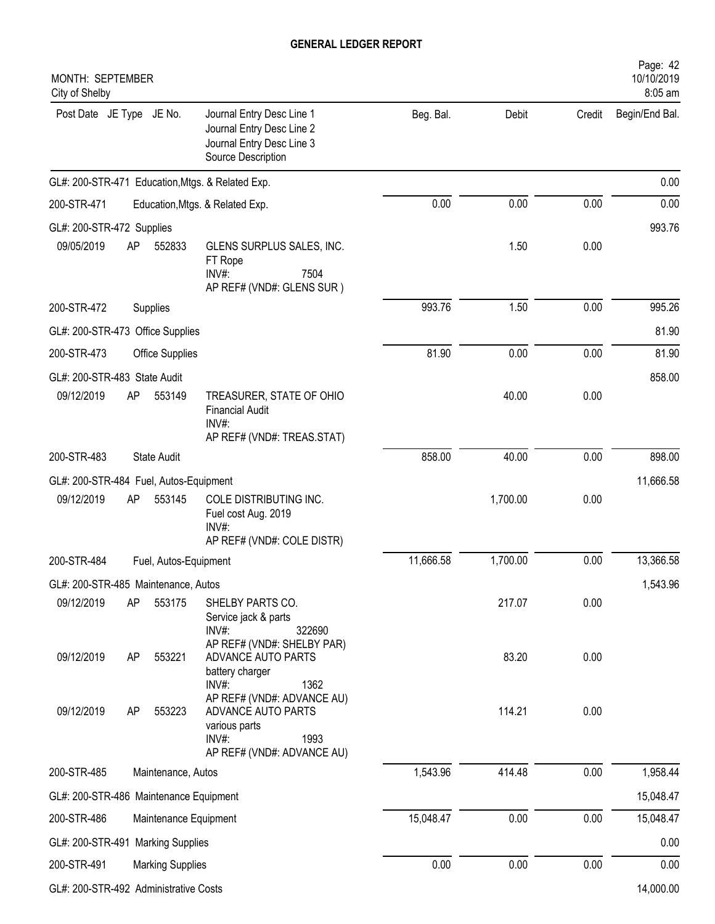| MONTH: SEPTEMBER<br>City of Shelby                      |                         |                                                                                                                     |           |          |        | Page: 42<br>10/10/2019<br>8:05 am |
|---------------------------------------------------------|-------------------------|---------------------------------------------------------------------------------------------------------------------|-----------|----------|--------|-----------------------------------|
| Post Date JE Type JE No.                                |                         | Journal Entry Desc Line 1<br>Journal Entry Desc Line 2<br>Journal Entry Desc Line 3<br>Source Description           | Beg. Bal. | Debit    | Credit | Begin/End Bal.                    |
| GL#: 200-STR-471 Education, Mtgs. & Related Exp.        |                         |                                                                                                                     |           |          |        | 0.00                              |
| 200-STR-471                                             |                         | Education, Mtgs. & Related Exp.                                                                                     | 0.00      | 0.00     | 0.00   | 0.00                              |
| GL#: 200-STR-472 Supplies                               |                         |                                                                                                                     |           |          |        | 993.76                            |
| 09/05/2019<br>AP                                        | 552833                  | GLENS SURPLUS SALES, INC.<br>FT Rope<br>INV#:<br>7504<br>AP REF# (VND#: GLENS SUR)                                  |           | 1.50     | 0.00   |                                   |
| 200-STR-472                                             | Supplies                |                                                                                                                     | 993.76    | 1.50     | 0.00   | 995.26                            |
| GL#: 200-STR-473 Office Supplies                        |                         |                                                                                                                     |           |          |        | 81.90                             |
| 200-STR-473                                             | <b>Office Supplies</b>  |                                                                                                                     | 81.90     | 0.00     | 0.00   | 81.90                             |
| GL#: 200-STR-483 State Audit                            |                         |                                                                                                                     |           |          |        | 858.00                            |
| 09/12/2019<br>AP                                        | 553149                  | TREASURER, STATE OF OHIO<br><b>Financial Audit</b><br>$INV#$ :                                                      |           | 40.00    | 0.00   |                                   |
|                                                         |                         | AP REF# (VND#: TREAS.STAT)                                                                                          |           |          |        |                                   |
| 200-STR-483                                             | <b>State Audit</b>      |                                                                                                                     | 858.00    | 40.00    | 0.00   | 898.00                            |
| GL#: 200-STR-484 Fuel, Autos-Equipment                  |                         |                                                                                                                     |           |          |        | 11,666.58                         |
| 09/12/2019<br>AP                                        | 553145                  | COLE DISTRIBUTING INC.<br>Fuel cost Aug. 2019<br>$INV#$ :                                                           |           | 1,700.00 | 0.00   |                                   |
|                                                         |                         | AP REF# (VND#: COLE DISTR)                                                                                          |           |          |        |                                   |
| 200-STR-484                                             | Fuel, Autos-Equipment   |                                                                                                                     | 11,666.58 | 1,700.00 | 0.00   | 13,366.58                         |
| GL#: 200-STR-485 Maintenance, Autos<br>09/12/2019<br>AP | 553175                  | SHELBY PARTS CO.                                                                                                    |           | 217.07   | 0.00   | 1,543.96                          |
|                                                         |                         | Service jack & parts<br>$INV#$ :<br>322690<br>AP REF# (VND#: SHELBY PAR)                                            |           |          |        |                                   |
| 09/12/2019<br>AP                                        | 553221                  | ADVANCE AUTO PARTS<br>battery charger<br>INV#:<br>1362                                                              |           | 83.20    | 0.00   |                                   |
| 09/12/2019<br>AP                                        | 553223                  | AP REF# (VND#: ADVANCE AU)<br>ADVANCE AUTO PARTS<br>various parts<br>$INV#$ :<br>1993<br>AP REF# (VND#: ADVANCE AU) |           | 114.21   | 0.00   |                                   |
| 200-STR-485                                             | Maintenance, Autos      |                                                                                                                     | 1,543.96  | 414.48   | 0.00   | 1,958.44                          |
| GL#: 200-STR-486 Maintenance Equipment                  |                         |                                                                                                                     |           |          |        | 15,048.47                         |
| 200-STR-486                                             | Maintenance Equipment   |                                                                                                                     | 15,048.47 | 0.00     | 0.00   | 15,048.47                         |
| GL#: 200-STR-491 Marking Supplies                       |                         |                                                                                                                     |           |          |        | 0.00                              |
| 200-STR-491                                             | <b>Marking Supplies</b> |                                                                                                                     | 0.00      | 0.00     | 0.00   | 0.00                              |
| GL#: 200-STR-492 Administrative Costs                   |                         |                                                                                                                     |           |          |        | 14,000.00                         |
|                                                         |                         |                                                                                                                     |           |          |        |                                   |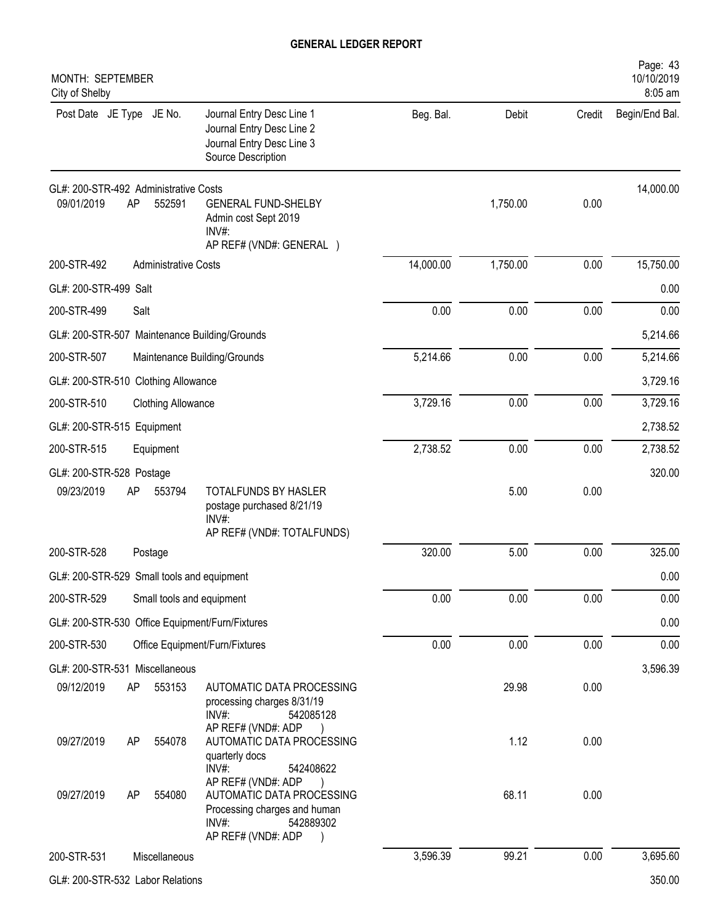| MONTH: SEPTEMBER<br>City of Shelby                        |                                                                                                                                          |           |          |        | Page: 43<br>10/10/2019<br>8:05 am |
|-----------------------------------------------------------|------------------------------------------------------------------------------------------------------------------------------------------|-----------|----------|--------|-----------------------------------|
| Post Date JE Type JE No.                                  | Journal Entry Desc Line 1<br>Journal Entry Desc Line 2<br>Journal Entry Desc Line 3<br>Source Description                                | Beg. Bal. | Debit    | Credit | Begin/End Bal.                    |
| GL#: 200-STR-492 Administrative Costs<br>09/01/2019<br>AP | 552591<br><b>GENERAL FUND-SHELBY</b><br>Admin cost Sept 2019<br>INV#:<br>AP REF# (VND#: GENERAL )                                        |           | 1,750.00 | 0.00   | 14,000.00                         |
| 200-STR-492                                               | <b>Administrative Costs</b>                                                                                                              | 14,000.00 | 1,750.00 | 0.00   | 15,750.00                         |
| GL#: 200-STR-499 Salt                                     |                                                                                                                                          |           |          |        | 0.00                              |
| 200-STR-499<br>Salt                                       |                                                                                                                                          | 0.00      | 0.00     | 0.00   | 0.00                              |
| GL#: 200-STR-507 Maintenance Building/Grounds             |                                                                                                                                          |           |          |        | 5,214.66                          |
| 200-STR-507                                               | Maintenance Building/Grounds                                                                                                             | 5,214.66  | 0.00     | 0.00   | 5,214.66                          |
| GL#: 200-STR-510 Clothing Allowance                       |                                                                                                                                          |           |          |        | 3,729.16                          |
| 200-STR-510                                               | <b>Clothing Allowance</b>                                                                                                                | 3,729.16  | 0.00     | 0.00   | 3,729.16                          |
| GL#: 200-STR-515 Equipment                                |                                                                                                                                          |           |          |        | 2,738.52                          |
| 200-STR-515<br>Equipment                                  |                                                                                                                                          | 2,738.52  | 0.00     | 0.00   | 2,738.52                          |
| GL#: 200-STR-528 Postage                                  |                                                                                                                                          |           |          |        | 320.00                            |
| 09/23/2019<br>AP                                          | <b>TOTALFUNDS BY HASLER</b><br>553794<br>postage purchased 8/21/19<br>INV#:<br>AP REF# (VND#: TOTALFUNDS)                                |           | 5.00     | 0.00   |                                   |
| 200-STR-528<br>Postage                                    |                                                                                                                                          | 320.00    | 5.00     | 0.00   | 325.00                            |
| GL#: 200-STR-529 Small tools and equipment                |                                                                                                                                          |           |          |        | 0.00                              |
| 200-STR-529                                               | Small tools and equipment                                                                                                                | 0.00      | 0.00     | 0.00   | 0.00                              |
| GL#: 200-STR-530 Office Equipment/Furn/Fixtures           |                                                                                                                                          |           |          |        | 0.00                              |
| 200-STR-530                                               | Office Equipment/Furn/Fixtures                                                                                                           | 0.00      | 0.00     | 0.00   | 0.00                              |
| GL#: 200-STR-531 Miscellaneous                            |                                                                                                                                          |           |          |        | 3,596.39                          |
| 09/12/2019<br>AP                                          | 553153<br>AUTOMATIC DATA PROCESSING<br>processing charges 8/31/19<br>$INV#$ :<br>542085128<br>AP REF# (VND#: ADP                         |           | 29.98    | 0.00   |                                   |
| 09/27/2019<br>AP                                          | 554078<br>AUTOMATIC DATA PROCESSING<br>quarterly docs<br>INV#:<br>542408622                                                              |           | 1.12     | 0.00   |                                   |
| 09/27/2019<br>AP                                          | AP REF# (VND#: ADP<br>554080<br>AUTOMATIC DATA PROCESSING<br>Processing charges and human<br>$INV#$ :<br>542889302<br>AP REF# (VND#: ADP |           | 68.11    | 0.00   |                                   |
| 200-STR-531<br>Miscellaneous                              |                                                                                                                                          | 3,596.39  | 99.21    | 0.00   | 3,695.60                          |
|                                                           |                                                                                                                                          |           |          |        |                                   |

GL#: 200-STR-532 Labor Relations 350.00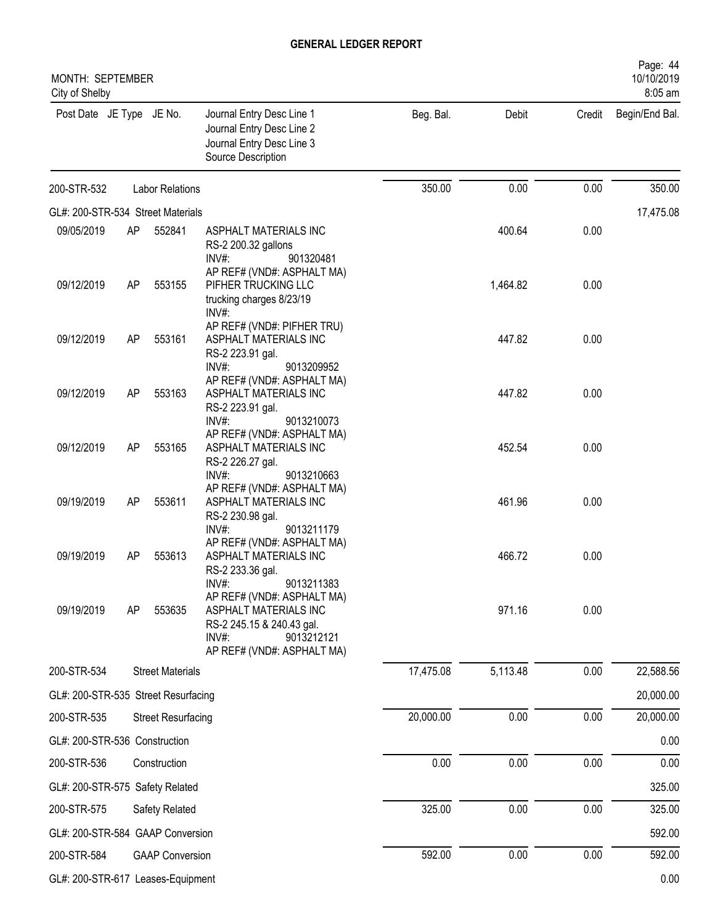| MONTH: SEPTEMBER<br>City of Shelby  |    |                           |                                                                                                                                       |           |          |      | Page: 44<br>10/10/2019<br>8:05 am |
|-------------------------------------|----|---------------------------|---------------------------------------------------------------------------------------------------------------------------------------|-----------|----------|------|-----------------------------------|
| Post Date JE Type JE No.            |    |                           | Journal Entry Desc Line 1<br>Journal Entry Desc Line 2<br>Journal Entry Desc Line 3<br>Source Description                             | Beg. Bal. | Debit    |      | Credit Begin/End Bal.             |
| 200-STR-532                         |    | <b>Labor Relations</b>    |                                                                                                                                       | 350.00    | 0.00     | 0.00 | 350.00                            |
| GL#: 200-STR-534 Street Materials   |    |                           |                                                                                                                                       |           |          |      | 17,475.08                         |
| 09/05/2019                          | AP | 552841                    | ASPHALT MATERIALS INC<br>RS-2 200.32 gallons<br>INV#:<br>901320481                                                                    |           | 400.64   | 0.00 |                                   |
| 09/12/2019                          | AP | 553155                    | AP REF# (VND#: ASPHALT MA)<br>PIFHER TRUCKING LLC<br>trucking charges 8/23/19<br>INV#:                                                |           | 1,464.82 | 0.00 |                                   |
| 09/12/2019                          | AP | 553161                    | AP REF# (VND#: PIFHER TRU)<br>ASPHALT MATERIALS INC<br>RS-2 223.91 gal.<br>INV#:<br>9013209952                                        |           | 447.82   | 0.00 |                                   |
| 09/12/2019                          | AP | 553163                    | AP REF# (VND#: ASPHALT MA)<br>ASPHALT MATERIALS INC<br>RS-2 223.91 gal.<br>INV#:<br>9013210073                                        |           | 447.82   | 0.00 |                                   |
| 09/12/2019                          | AP | 553165                    | AP REF# (VND#: ASPHALT MA)<br>ASPHALT MATERIALS INC<br>RS-2 226.27 gal.<br>INV#:<br>9013210663                                        |           | 452.54   | 0.00 |                                   |
| 09/19/2019                          | AP | 553611                    | AP REF# (VND#: ASPHALT MA)<br>ASPHALT MATERIALS INC<br>RS-2 230.98 gal.<br>$INV#$ :<br>9013211179                                     |           | 461.96   | 0.00 |                                   |
| 09/19/2019                          | AP | 553613                    | AP REF# (VND#: ASPHALT MA)<br>ASPHALT MATERIALS INC<br>RS-2 233.36 gal.<br>9013211383<br>INV#:                                        |           | 466.72   | 0.00 |                                   |
| 09/19/2019                          | AP | 553635                    | AP REF# (VND#: ASPHALT MA)<br>ASPHALT MATERIALS INC<br>RS-2 245.15 & 240.43 gal.<br>INV#:<br>9013212121<br>AP REF# (VND#: ASPHALT MA) |           | 971.16   | 0.00 |                                   |
| 200-STR-534                         |    | <b>Street Materials</b>   |                                                                                                                                       | 17,475.08 | 5,113.48 | 0.00 | 22,588.56                         |
| GL#: 200-STR-535 Street Resurfacing |    |                           |                                                                                                                                       |           |          |      | 20,000.00                         |
| 200-STR-535                         |    | <b>Street Resurfacing</b> |                                                                                                                                       | 20,000.00 | 0.00     | 0.00 | 20,000.00                         |
| GL#: 200-STR-536 Construction       |    |                           |                                                                                                                                       |           |          |      | 0.00                              |
| 200-STR-536                         |    | Construction              |                                                                                                                                       | 0.00      | 0.00     | 0.00 | 0.00                              |
| GL#: 200-STR-575 Safety Related     |    |                           |                                                                                                                                       |           |          |      | 325.00                            |
| 200-STR-575                         |    | Safety Related            |                                                                                                                                       | 325.00    | 0.00     | 0.00 | 325.00                            |
| GL#: 200-STR-584 GAAP Conversion    |    |                           |                                                                                                                                       |           |          |      | 592.00                            |
| 200-STR-584                         |    | <b>GAAP Conversion</b>    |                                                                                                                                       | 592.00    | 0.00     | 0.00 | 592.00                            |
| GL#: 200-STR-617 Leases-Equipment   |    |                           |                                                                                                                                       |           |          |      | 0.00                              |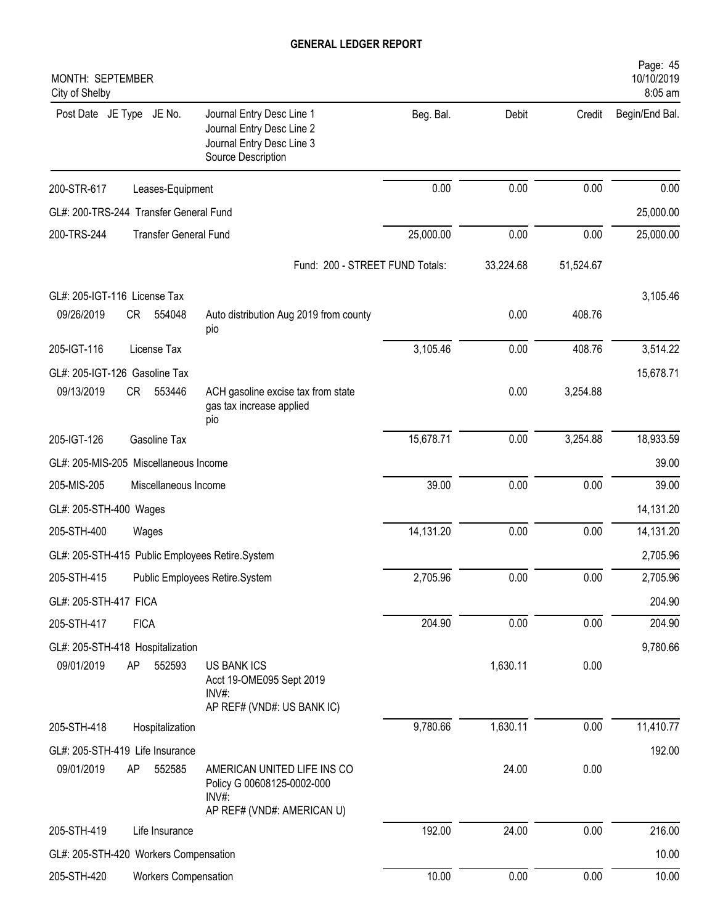| MONTH: SEPTEMBER<br>City of Shelby     |                              |                                                                                                           |           |           |           | Page: 45<br>10/10/2019<br>8:05 am |
|----------------------------------------|------------------------------|-----------------------------------------------------------------------------------------------------------|-----------|-----------|-----------|-----------------------------------|
| Post Date JE Type JE No.               |                              | Journal Entry Desc Line 1<br>Journal Entry Desc Line 2<br>Journal Entry Desc Line 3<br>Source Description | Beg. Bal. | Debit     | Credit    | Begin/End Bal.                    |
| 200-STR-617                            | Leases-Equipment             |                                                                                                           | 0.00      | 0.00      | 0.00      | 0.00                              |
| GL#: 200-TRS-244 Transfer General Fund |                              |                                                                                                           |           |           |           | 25,000.00                         |
| 200-TRS-244                            | <b>Transfer General Fund</b> |                                                                                                           | 25,000.00 | 0.00      | 0.00      | 25,000.00                         |
|                                        |                              | Fund: 200 - STREET FUND Totals:                                                                           |           | 33,224.68 | 51,524.67 |                                   |
| GL#: 205-IGT-116 License Tax           |                              |                                                                                                           |           |           |           | 3,105.46                          |
| 09/26/2019                             | 554048<br>CR                 | Auto distribution Aug 2019 from county<br>pio                                                             |           | 0.00      | 408.76    |                                   |
| 205-IGT-116                            | License Tax                  |                                                                                                           | 3,105.46  | 0.00      | 408.76    | 3,514.22                          |
| GL#: 205-IGT-126 Gasoline Tax          |                              |                                                                                                           |           |           |           | 15,678.71                         |
| 09/13/2019                             | CR<br>553446                 | ACH gasoline excise tax from state<br>gas tax increase applied<br>pio                                     |           | 0.00      | 3,254.88  |                                   |
| 205-IGT-126                            | Gasoline Tax                 |                                                                                                           | 15,678.71 | 0.00      | 3,254.88  | 18,933.59                         |
| GL#: 205-MIS-205 Miscellaneous Income  |                              |                                                                                                           |           |           |           | 39.00                             |
| 205-MIS-205                            | Miscellaneous Income         |                                                                                                           | 39.00     | 0.00      | 0.00      | 39.00                             |
| GL#: 205-STH-400 Wages                 |                              |                                                                                                           |           |           |           | 14,131.20                         |
| 205-STH-400                            | Wages                        |                                                                                                           | 14,131.20 | 0.00      | 0.00      | 14,131.20                         |
|                                        |                              | GL#: 205-STH-415 Public Employees Retire.System                                                           |           |           |           | 2,705.96                          |
| 205-STH-415                            |                              | Public Employees Retire.System                                                                            | 2,705.96  | 0.00      | 0.00      | 2,705.96                          |
| GL#: 205-STH-417 FICA                  |                              |                                                                                                           |           |           |           | 204.90                            |
| 205-STH-417                            | <b>FICA</b>                  |                                                                                                           | 204.90    | 0.00      | 0.00      | 204.90                            |
| GL#: 205-STH-418 Hospitalization       |                              |                                                                                                           |           |           |           | 9,780.66                          |
| 09/01/2019                             | AP<br>552593                 | <b>US BANK ICS</b><br>Acct 19-OME095 Sept 2019<br>INV#:                                                   |           | 1,630.11  | 0.00      |                                   |
|                                        |                              | AP REF# (VND#: US BANK IC)                                                                                |           |           |           |                                   |
| 205-STH-418                            | Hospitalization              |                                                                                                           | 9,780.66  | 1,630.11  | 0.00      | 11,410.77                         |
| GL#: 205-STH-419 Life Insurance        |                              |                                                                                                           |           |           |           | 192.00                            |
| 09/01/2019                             | AP<br>552585                 | AMERICAN UNITED LIFE INS CO<br>Policy G 00608125-0002-000<br>INV#:                                        |           | 24.00     | 0.00      |                                   |
|                                        |                              | AP REF# (VND#: AMERICAN U)                                                                                |           |           |           |                                   |
| 205-STH-419                            | Life Insurance               |                                                                                                           | 192.00    | 24.00     | 0.00      | 216.00                            |
| GL#: 205-STH-420 Workers Compensation  |                              |                                                                                                           |           |           |           | 10.00                             |
| 205-STH-420                            | <b>Workers Compensation</b>  |                                                                                                           | 10.00     | 0.00      | 0.00      | 10.00                             |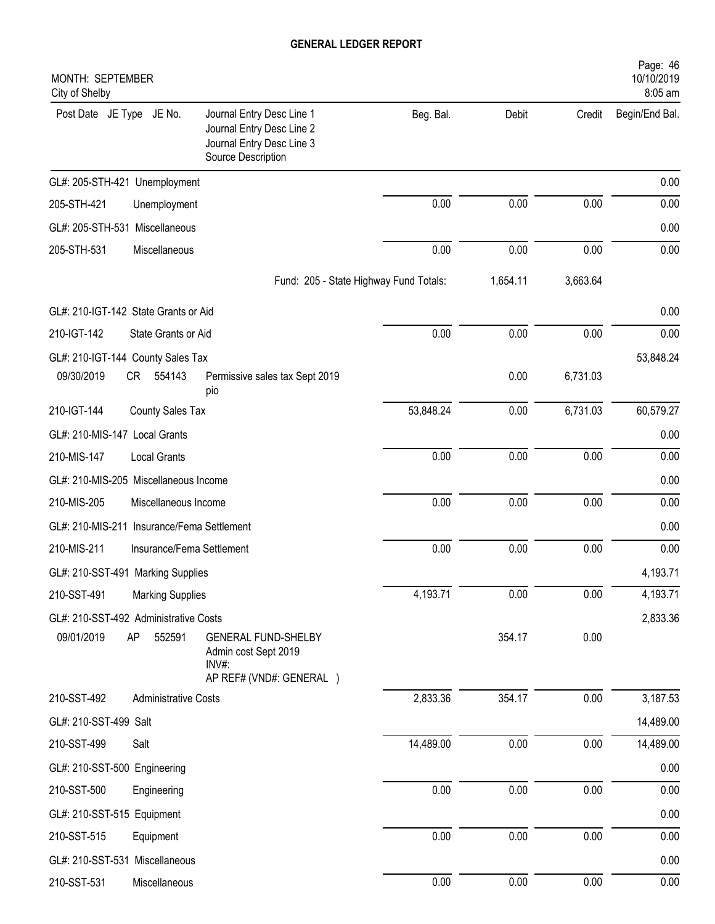| MONTH: SEPTEMBER<br>City of Shelby                                                                                                    |           |          |          | Page: 46<br>10/10/2019<br>8:05 am |
|---------------------------------------------------------------------------------------------------------------------------------------|-----------|----------|----------|-----------------------------------|
| Journal Entry Desc Line 1<br>Post Date JE Type JE No.<br>Journal Entry Desc Line 2<br>Journal Entry Desc Line 3<br>Source Description | Beg. Bal. | Debit    | Credit   | Begin/End Bal.                    |
| GL#: 205-STH-421 Unemployment                                                                                                         |           |          |          | 0.00                              |
| 205-STH-421<br>Unemployment                                                                                                           | 0.00      | 0.00     | 0.00     | 0.00                              |
| GL#: 205-STH-531 Miscellaneous                                                                                                        |           |          |          | 0.00                              |
| 205-STH-531<br>Miscellaneous                                                                                                          | 0.00      | 0.00     | 0.00     | 0.00                              |
| Fund: 205 - State Highway Fund Totals:                                                                                                |           | 1,654.11 | 3,663.64 |                                   |
| GL#: 210-IGT-142 State Grants or Aid                                                                                                  |           |          |          | 0.00                              |
| 210-IGT-142<br>State Grants or Aid                                                                                                    | 0.00      | 0.00     | 0.00     | 0.00                              |
| GL#: 210-IGT-144 County Sales Tax                                                                                                     |           |          |          | 53,848.24                         |
| 09/30/2019<br>CR<br>554143<br>Permissive sales tax Sept 2019<br>pio                                                                   |           | 0.00     | 6,731.03 |                                   |
| 210-IGT-144<br>County Sales Tax                                                                                                       | 53,848.24 | 0.00     | 6,731.03 | 60,579.27                         |
| GL#: 210-MIS-147 Local Grants                                                                                                         |           |          |          | 0.00                              |
| 210-MIS-147<br><b>Local Grants</b>                                                                                                    | 0.00      | 0.00     | 0.00     | 0.00                              |
| GL#: 210-MIS-205 Miscellaneous Income                                                                                                 |           |          |          | 0.00                              |
| 210-MIS-205<br>Miscellaneous Income                                                                                                   | 0.00      | 0.00     | 0.00     | 0.00                              |
| GL#: 210-MIS-211 Insurance/Fema Settlement                                                                                            |           |          |          | 0.00                              |
| 210-MIS-211<br>Insurance/Fema Settlement                                                                                              | 0.00      | 0.00     | 0.00     | 0.00                              |
| GL#: 210-SST-491 Marking Supplies                                                                                                     |           |          |          | 4,193.71                          |
| 210-SST-491<br><b>Marking Supplies</b>                                                                                                | 4,193.71  | 0.00     | 0.00     | 4,193.71                          |
| GL#: 210-SST-492 Administrative Costs                                                                                                 |           |          |          | 2,833.36                          |
| 09/01/2019<br>AP<br>552591<br><b>GENERAL FUND-SHELBY</b><br>Admin cost Sept 2019<br>INV#:                                             |           | 354.17   | 0.00     |                                   |
| AP REF# (VND#: GENERAL )                                                                                                              |           |          |          |                                   |
| 210-SST-492<br><b>Administrative Costs</b>                                                                                            | 2,833.36  | 354.17   | 0.00     | 3,187.53                          |
| GL#: 210-SST-499 Salt                                                                                                                 |           |          |          | 14,489.00                         |
| 210-SST-499<br>Salt                                                                                                                   | 14,489.00 | 0.00     | 0.00     | 14,489.00                         |
| GL#: 210-SST-500 Engineering                                                                                                          |           |          |          | 0.00                              |
| 210-SST-500<br>Engineering                                                                                                            | 0.00      | 0.00     | 0.00     | 0.00                              |
| GL#: 210-SST-515 Equipment                                                                                                            |           |          |          | 0.00                              |
| 210-SST-515<br>Equipment                                                                                                              | 0.00      | 0.00     | 0.00     | 0.00                              |
| GL#: 210-SST-531 Miscellaneous                                                                                                        |           |          |          | 0.00                              |
| 210-SST-531<br>Miscellaneous                                                                                                          | 0.00      | $0.00\,$ | 0.00     | 0.00                              |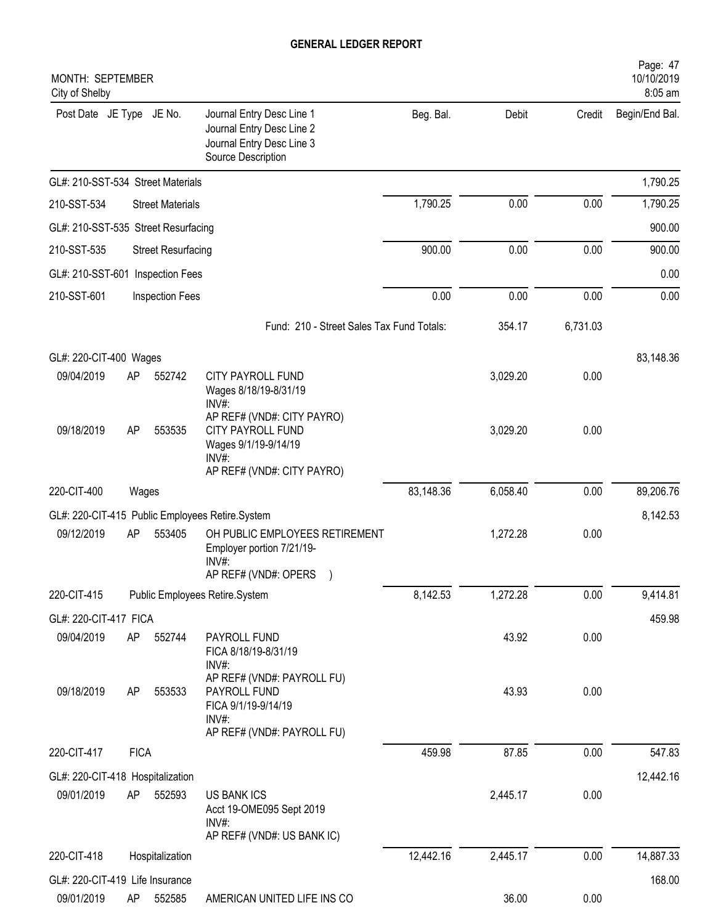| MONTH: SEPTEMBER<br>City of Shelby            |             |                           |                                                                                                                   |           |          |          | Page: 47<br>10/10/2019<br>8:05 am |
|-----------------------------------------------|-------------|---------------------------|-------------------------------------------------------------------------------------------------------------------|-----------|----------|----------|-----------------------------------|
| Post Date JE Type JE No.                      |             |                           | Journal Entry Desc Line 1<br>Journal Entry Desc Line 2<br>Journal Entry Desc Line 3<br>Source Description         | Beg. Bal. | Debit    | Credit   | Begin/End Bal.                    |
| GL#: 210-SST-534 Street Materials             |             |                           |                                                                                                                   |           |          |          | 1,790.25                          |
| 210-SST-534                                   |             | <b>Street Materials</b>   |                                                                                                                   | 1,790.25  | 0.00     | 0.00     | 1,790.25                          |
| GL#: 210-SST-535 Street Resurfacing           |             |                           |                                                                                                                   |           |          |          | 900.00                            |
| 210-SST-535                                   |             | <b>Street Resurfacing</b> |                                                                                                                   | 900.00    | 0.00     | 0.00     | 900.00                            |
| GL#: 210-SST-601 Inspection Fees              |             |                           |                                                                                                                   |           |          |          | 0.00                              |
| 210-SST-601                                   |             | <b>Inspection Fees</b>    |                                                                                                                   | 0.00      | 0.00     | 0.00     | 0.00                              |
|                                               |             |                           | Fund: 210 - Street Sales Tax Fund Totals:                                                                         |           | 354.17   | 6,731.03 |                                   |
| GL#: 220-CIT-400 Wages                        |             |                           |                                                                                                                   |           |          |          | 83,148.36                         |
| 09/04/2019                                    | AP          | 552742                    | CITY PAYROLL FUND<br>Wages 8/18/19-8/31/19<br>INV#:                                                               |           | 3,029.20 | 0.00     |                                   |
| 09/18/2019                                    | AP          | 553535                    | AP REF# (VND#: CITY PAYRO)<br>CITY PAYROLL FUND<br>Wages 9/1/19-9/14/19<br>$INV#$ :<br>AP REF# (VND#: CITY PAYRO) |           | 3,029.20 | 0.00     |                                   |
| 220-CIT-400                                   | Wages       |                           |                                                                                                                   | 83,148.36 | 6,058.40 | 0.00     | 89,206.76                         |
|                                               |             |                           | GL#: 220-CIT-415 Public Employees Retire.System                                                                   |           |          |          | 8,142.53                          |
| 09/12/2019                                    | AP          | 553405                    | OH PUBLIC EMPLOYEES RETIREMENT<br>Employer portion 7/21/19-<br>INV#:<br>AP REF# (VND#: OPERS                      |           | 1,272.28 | 0.00     |                                   |
| 220-CIT-415                                   |             |                           | Public Employees Retire.System                                                                                    | 8,142.53  | 1,272.28 | 0.00     | 9,414.81                          |
| GL#: 220-CIT-417 FICA                         |             |                           |                                                                                                                   |           |          |          | 459.98                            |
| 09/04/2019                                    | AP          | 552744                    | PAYROLL FUND<br>FICA 8/18/19-8/31/19<br>INV#:                                                                     |           | 43.92    | 0.00     |                                   |
| 09/18/2019                                    | AP          | 553533                    | AP REF# (VND#: PAYROLL FU)<br>PAYROLL FUND<br>FICA 9/1/19-9/14/19<br>INV#:<br>AP REF# (VND#: PAYROLL FU)          |           | 43.93    | 0.00     |                                   |
| 220-CIT-417                                   | <b>FICA</b> |                           |                                                                                                                   | 459.98    | 87.85    | 0.00     | 547.83                            |
| GL#: 220-CIT-418 Hospitalization              |             |                           |                                                                                                                   |           |          |          | 12,442.16                         |
| 09/01/2019                                    | AP          | 552593                    | <b>US BANK ICS</b><br>Acct 19-OME095 Sept 2019<br>$INV#$ :                                                        |           | 2,445.17 | 0.00     |                                   |
|                                               |             |                           | AP REF# (VND#: US BANK IC)                                                                                        | 12,442.16 | 2,445.17 | 0.00     | 14,887.33                         |
| 220-CIT-418                                   |             | Hospitalization           |                                                                                                                   |           |          |          |                                   |
| GL#: 220-CIT-419 Life Insurance<br>09/01/2019 | AP          | 552585                    | AMERICAN UNITED LIFE INS CO                                                                                       |           | 36.00    | 0.00     | 168.00                            |
|                                               |             |                           |                                                                                                                   |           |          |          |                                   |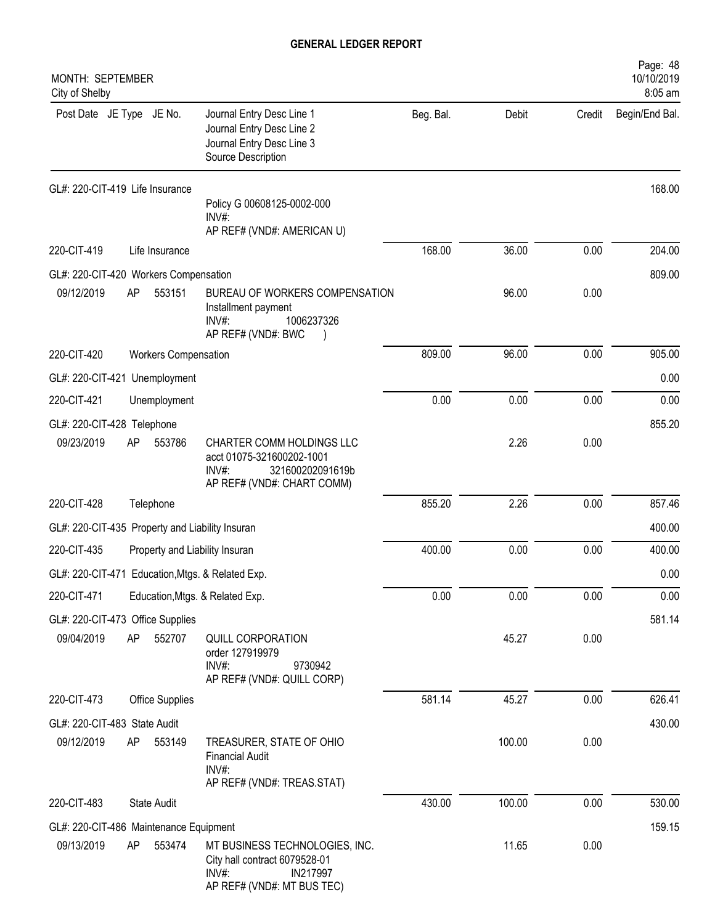| MONTH: SEPTEMBER<br>City of Shelby              |    |                             |                                                                                                                      |           |        |        | Page: 48<br>10/10/2019<br>8:05 am |
|-------------------------------------------------|----|-----------------------------|----------------------------------------------------------------------------------------------------------------------|-----------|--------|--------|-----------------------------------|
| Post Date JE Type JE No.                        |    |                             | Journal Entry Desc Line 1<br>Journal Entry Desc Line 2<br>Journal Entry Desc Line 3<br>Source Description            | Beg. Bal. | Debit  | Credit | Begin/End Bal.                    |
| GL#: 220-CIT-419 Life Insurance                 |    |                             |                                                                                                                      |           |        |        | 168.00                            |
|                                                 |    |                             | Policy G 00608125-0002-000<br>INV#:<br>AP REF# (VND#: AMERICAN U)                                                    |           |        |        |                                   |
| 220-CIT-419                                     |    | Life Insurance              |                                                                                                                      | 168.00    | 36.00  | 0.00   | 204.00                            |
| GL#: 220-CIT-420 Workers Compensation           |    |                             |                                                                                                                      |           |        |        | 809.00                            |
| 09/12/2019                                      | AP | 553151                      | BUREAU OF WORKERS COMPENSATION<br>Installment payment<br>1006237326<br>$INV#$ :<br>AP REF# (VND#: BWC                |           | 96.00  | 0.00   |                                   |
| 220-CIT-420                                     |    | <b>Workers Compensation</b> |                                                                                                                      | 809.00    | 96.00  | 0.00   | 905.00                            |
| GL#: 220-CIT-421 Unemployment                   |    |                             |                                                                                                                      |           |        |        | 0.00                              |
| 220-CIT-421                                     |    | Unemployment                |                                                                                                                      | 0.00      | 0.00   | 0.00   | 0.00                              |
| GL#: 220-CIT-428 Telephone                      |    |                             |                                                                                                                      |           |        |        | 855.20                            |
| 09/23/2019                                      | AP | 553786                      | CHARTER COMM HOLDINGS LLC<br>acct 01075-321600202-1001<br>$INV#$ :<br>321600202091619b<br>AP REF# (VND#: CHART COMM) |           | 2.26   | 0.00   |                                   |
| 220-CIT-428                                     |    | Telephone                   |                                                                                                                      | 855.20    | 2.26   | 0.00   | 857.46                            |
| GL#: 220-CIT-435 Property and Liability Insuran |    |                             |                                                                                                                      |           |        |        | 400.00                            |
| 220-CIT-435                                     |    |                             | Property and Liability Insuran                                                                                       | 400.00    | 0.00   | 0.00   | 400.00                            |
|                                                 |    |                             | GL#: 220-CIT-471 Education, Mtgs. & Related Exp.                                                                     |           |        |        | 0.00                              |
| 220-CIT-471                                     |    |                             | Education, Mtgs. & Related Exp.                                                                                      | 0.00      | 0.00   | 0.00   | 0.00                              |
| GL#: 220-CIT-473 Office Supplies                |    |                             |                                                                                                                      |           |        |        | 581.14                            |
| 09/04/2019                                      | AP | 552707                      | QUILL CORPORATION<br>order 127919979<br>INV#:<br>9730942<br>AP REF# (VND#: QUILL CORP)                               |           | 45.27  | 0.00   |                                   |
| 220-CIT-473                                     |    | <b>Office Supplies</b>      |                                                                                                                      | 581.14    | 45.27  | 0.00   | 626.41                            |
| GL#: 220-CIT-483 State Audit                    |    |                             |                                                                                                                      |           |        |        | 430.00                            |
| 09/12/2019                                      | AP | 553149                      | TREASURER, STATE OF OHIO<br><b>Financial Audit</b><br>INV#:                                                          |           | 100.00 | 0.00   |                                   |
|                                                 |    |                             | AP REF# (VND#: TREAS.STAT)                                                                                           |           |        |        |                                   |
| 220-CIT-483                                     |    | State Audit                 |                                                                                                                      | 430.00    | 100.00 | 0.00   | 530.00                            |
| GL#: 220-CIT-486 Maintenance Equipment          |    |                             |                                                                                                                      |           |        |        | 159.15                            |
| 09/13/2019                                      | AP | 553474                      | MT BUSINESS TECHNOLOGIES, INC.<br>City hall contract 6079528-01<br>INV#:<br>IN217997<br>AP REF# (VND#: MT BUS TEC)   |           | 11.65  | 0.00   |                                   |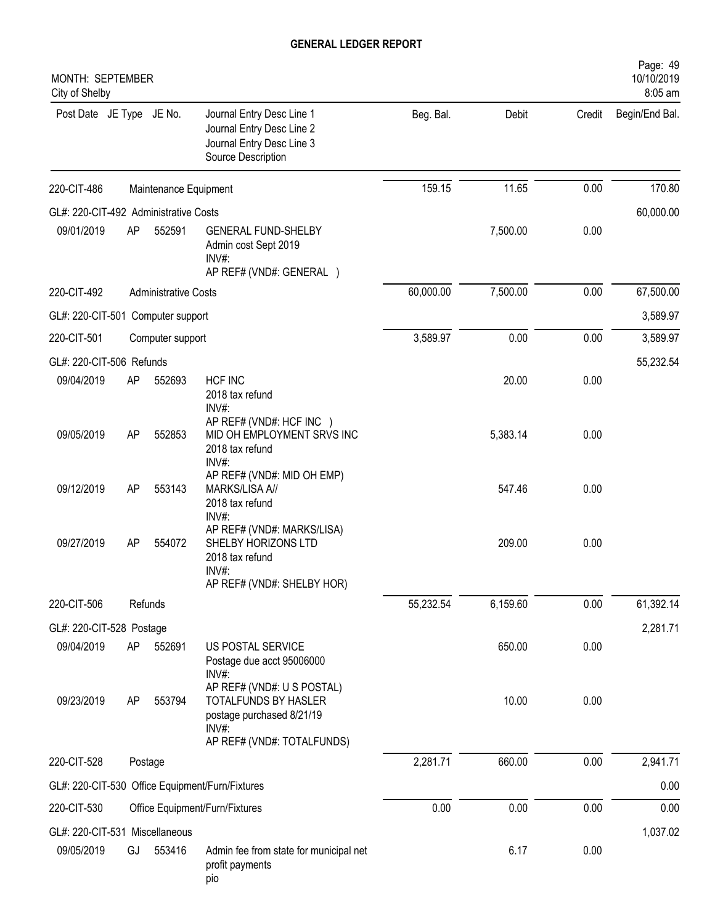| MONTH: SEPTEMBER<br>City of Shelby    |                             |                       |                                                                                                                           |           |          |        | Page: 49<br>10/10/2019<br>8:05 am |
|---------------------------------------|-----------------------------|-----------------------|---------------------------------------------------------------------------------------------------------------------------|-----------|----------|--------|-----------------------------------|
| Post Date JE Type JE No.              |                             |                       | Journal Entry Desc Line 1<br>Journal Entry Desc Line 2<br>Journal Entry Desc Line 3<br>Source Description                 | Beg. Bal. | Debit    | Credit | Begin/End Bal.                    |
| 220-CIT-486                           |                             | Maintenance Equipment |                                                                                                                           | 159.15    | 11.65    | 0.00   | 170.80                            |
| GL#: 220-CIT-492 Administrative Costs |                             |                       |                                                                                                                           |           |          |        | 60,000.00                         |
| 09/01/2019                            | AP                          | 552591                | <b>GENERAL FUND-SHELBY</b><br>Admin cost Sept 2019<br>INV#:<br>AP REF# (VND#: GENERAL )                                   |           | 7,500.00 | 0.00   |                                   |
| 220-CIT-492                           | <b>Administrative Costs</b> |                       |                                                                                                                           |           | 7,500.00 | 0.00   | 67,500.00                         |
| GL#: 220-CIT-501 Computer support     |                             |                       |                                                                                                                           |           |          |        | 3,589.97                          |
| 220-CIT-501                           |                             | Computer support      |                                                                                                                           | 3,589.97  | 0.00     | 0.00   | 3,589.97                          |
| GL#: 220-CIT-506 Refunds              |                             |                       |                                                                                                                           |           |          |        | 55,232.54                         |
| 09/04/2019                            | AP                          | 552693                | <b>HCF INC</b><br>2018 tax refund<br>INV#:                                                                                |           | 20.00    | 0.00   |                                   |
| 09/05/2019                            | AP                          | 552853                | AP REF# (VND#: HCF INC )<br>MID OH EMPLOYMENT SRVS INC<br>2018 tax refund<br>INV#:                                        |           | 5,383.14 | 0.00   |                                   |
| 09/12/2019                            | AP                          | 553143                | AP REF# (VND#: MID OH EMP)<br>MARKS/LISA A//<br>2018 tax refund<br>INV#:                                                  |           | 547.46   | 0.00   |                                   |
| 09/27/2019                            | AP                          | 554072                | AP REF# (VND#: MARKS/LISA)<br>SHELBY HORIZONS LTD<br>2018 tax refund<br>INV#:<br>AP REF# (VND#: SHELBY HOR)               |           | 209.00   | 0.00   |                                   |
| 220-CIT-506                           |                             | Refunds               |                                                                                                                           | 55,232.54 | 6,159.60 | 0.00   | 61,392.14                         |
| GL#: 220-CIT-528 Postage              |                             |                       |                                                                                                                           |           |          |        | 2,281.71                          |
| 09/04/2019                            | AP                          | 552691                | US POSTAL SERVICE<br>Postage due acct 95006000<br>INV#:                                                                   |           | 650.00   | 0.00   |                                   |
| 09/23/2019                            | AP                          | 553794                | AP REF# (VND#: U S POSTAL)<br>TOTALFUNDS BY HASLER<br>postage purchased 8/21/19<br>$INV#$ :<br>AP REF# (VND#: TOTALFUNDS) |           | 10.00    | 0.00   |                                   |
| 220-CIT-528                           |                             | Postage               |                                                                                                                           | 2,281.71  | 660.00   | 0.00   | 2,941.71                          |
|                                       |                             |                       | GL#: 220-CIT-530 Office Equipment/Furn/Fixtures                                                                           |           |          |        | 0.00                              |
| 220-CIT-530                           |                             |                       | Office Equipment/Furn/Fixtures                                                                                            | 0.00      | 0.00     | 0.00   | 0.00                              |
| GL#: 220-CIT-531 Miscellaneous        |                             |                       |                                                                                                                           |           |          |        | 1,037.02                          |
| 09/05/2019                            | GJ                          | 553416                | Admin fee from state for municipal net<br>profit payments<br>pio                                                          |           | 6.17     | 0.00   |                                   |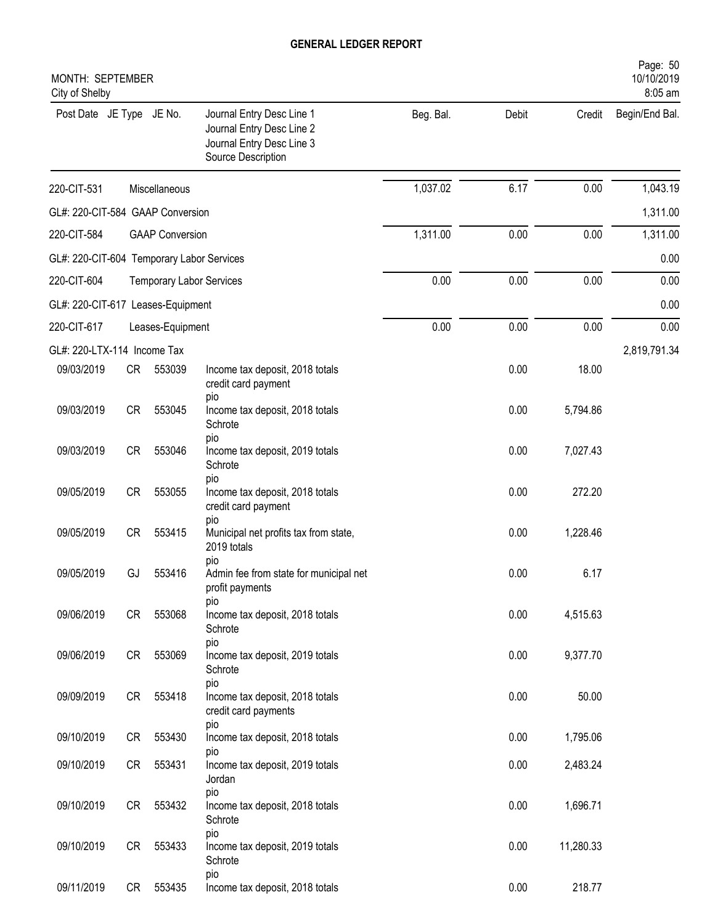| MONTH: SEPTEMBER<br>City of Shelby        |           |                        |                                                                                                           |           |       |           | Page: 50<br>10/10/2019<br>8:05 am |
|-------------------------------------------|-----------|------------------------|-----------------------------------------------------------------------------------------------------------|-----------|-------|-----------|-----------------------------------|
| Post Date JE Type JE No.                  |           |                        | Journal Entry Desc Line 1<br>Journal Entry Desc Line 2<br>Journal Entry Desc Line 3<br>Source Description | Beg. Bal. | Debit | Credit    | Begin/End Bal.                    |
| 220-CIT-531                               |           | Miscellaneous          |                                                                                                           | 1,037.02  | 6.17  | 0.00      | 1,043.19                          |
| GL#: 220-CIT-584 GAAP Conversion          |           |                        |                                                                                                           |           |       |           | 1,311.00                          |
| 220-CIT-584                               |           | <b>GAAP Conversion</b> |                                                                                                           | 1,311.00  | 0.00  | 0.00      | 1,311.00                          |
| GL#: 220-CIT-604 Temporary Labor Services |           |                        |                                                                                                           |           |       |           | 0.00                              |
| 220-CIT-604                               |           |                        | <b>Temporary Labor Services</b>                                                                           | 0.00      | 0.00  | 0.00      | 0.00                              |
| GL#: 220-CIT-617 Leases-Equipment         |           |                        |                                                                                                           |           |       |           | 0.00                              |
| 220-CIT-617                               |           | Leases-Equipment       |                                                                                                           | 0.00      | 0.00  | 0.00      | 0.00                              |
| GL#: 220-LTX-114 Income Tax               |           |                        |                                                                                                           |           |       |           | 2,819,791.34                      |
| 09/03/2019                                | CR        | 553039                 | Income tax deposit, 2018 totals<br>credit card payment<br>pio                                             |           | 0.00  | 18.00     |                                   |
| 09/03/2019                                | <b>CR</b> | 553045                 | Income tax deposit, 2018 totals<br>Schrote<br>pio                                                         |           | 0.00  | 5,794.86  |                                   |
| 09/03/2019                                | <b>CR</b> | 553046                 | Income tax deposit, 2019 totals<br>Schrote                                                                |           | 0.00  | 7,027.43  |                                   |
| 09/05/2019                                | <b>CR</b> | 553055                 | pio<br>Income tax deposit, 2018 totals<br>credit card payment                                             |           | 0.00  | 272.20    |                                   |
| 09/05/2019                                | <b>CR</b> | 553415                 | pio<br>Municipal net profits tax from state,<br>2019 totals                                               |           | 0.00  | 1,228.46  |                                   |
| 09/05/2019                                | GJ        | 553416                 | pio<br>Admin fee from state for municipal net<br>profit payments                                          |           | 0.00  | 6.17      |                                   |
| 09/06/2019                                | CR        | 553068                 | pio<br>Income tax deposit, 2018 totals<br>Schrote                                                         |           | 0.00  | 4,515.63  |                                   |
| 09/06/2019                                | CR        | 553069                 | pio<br>Income tax deposit, 2019 totals<br>Schrote                                                         |           | 0.00  | 9,377.70  |                                   |
| 09/09/2019                                | CR        | 553418                 | pio<br>Income tax deposit, 2018 totals<br>credit card payments                                            |           | 0.00  | 50.00     |                                   |
| 09/10/2019                                | CR        | 553430                 | pio<br>Income tax deposit, 2018 totals                                                                    |           | 0.00  | 1,795.06  |                                   |
| 09/10/2019                                | CR        | 553431                 | pio<br>Income tax deposit, 2019 totals<br>Jordan                                                          |           | 0.00  | 2,483.24  |                                   |
| 09/10/2019                                | <b>CR</b> | 553432                 | pio<br>Income tax deposit, 2018 totals<br>Schrote                                                         |           | 0.00  | 1,696.71  |                                   |
| 09/10/2019                                | CR        | 553433                 | pio<br>Income tax deposit, 2019 totals<br>Schrote                                                         |           | 0.00  | 11,280.33 |                                   |
| 09/11/2019                                |           | CR 553435              | pio<br>Income tax deposit, 2018 totals                                                                    |           | 0.00  | 218.77    |                                   |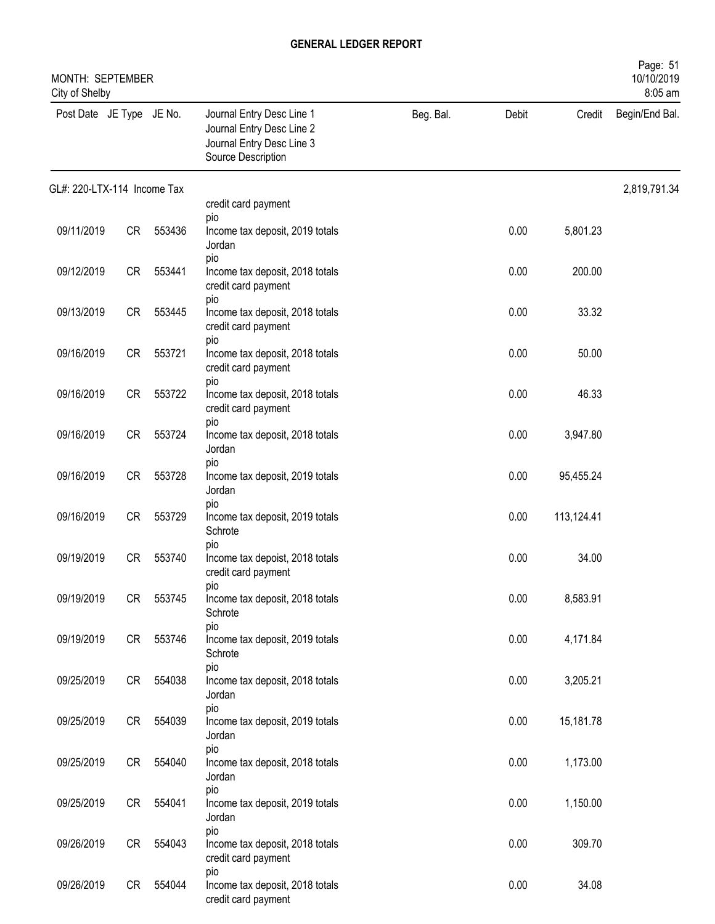| MONTH: SEPTEMBER<br>City of Shelby |           |        |                                                                                                           |           |       |            | Page: 51<br>10/10/2019<br>8:05 am |
|------------------------------------|-----------|--------|-----------------------------------------------------------------------------------------------------------|-----------|-------|------------|-----------------------------------|
| Post Date JE Type JE No.           |           |        | Journal Entry Desc Line 1<br>Journal Entry Desc Line 2<br>Journal Entry Desc Line 3<br>Source Description | Beg. Bal. | Debit | Credit     | Begin/End Bal.                    |
| GL#: 220-LTX-114 Income Tax        |           |        |                                                                                                           |           |       |            | 2,819,791.34                      |
|                                    |           |        | credit card payment<br>pio                                                                                |           |       |            |                                   |
| 09/11/2019                         | CR        | 553436 | Income tax deposit, 2019 totals<br>Jordan<br>pio                                                          |           | 0.00  | 5,801.23   |                                   |
| 09/12/2019                         | CR        | 553441 | Income tax deposit, 2018 totals<br>credit card payment<br>pio                                             |           | 0.00  | 200.00     |                                   |
| 09/13/2019                         | CR        | 553445 | Income tax deposit, 2018 totals<br>credit card payment<br>pio                                             |           | 0.00  | 33.32      |                                   |
| 09/16/2019                         | <b>CR</b> | 553721 | Income tax deposit, 2018 totals<br>credit card payment<br>pio                                             |           | 0.00  | 50.00      |                                   |
| 09/16/2019                         | <b>CR</b> | 553722 | Income tax deposit, 2018 totals<br>credit card payment                                                    |           | 0.00  | 46.33      |                                   |
| 09/16/2019                         | <b>CR</b> | 553724 | pio<br>Income tax deposit, 2018 totals<br>Jordan                                                          |           | 0.00  | 3,947.80   |                                   |
| 09/16/2019                         | <b>CR</b> | 553728 | pio<br>Income tax deposit, 2019 totals<br>Jordan                                                          |           | 0.00  | 95,455.24  |                                   |
| 09/16/2019                         | <b>CR</b> | 553729 | pio<br>Income tax deposit, 2019 totals<br>Schrote                                                         |           | 0.00  | 113,124.41 |                                   |
| 09/19/2019                         | <b>CR</b> | 553740 | pio<br>Income tax depoist, 2018 totals<br>credit card payment                                             |           | 0.00  | 34.00      |                                   |
| 09/19/2019                         | CR        | 553745 | pio<br>Income tax deposit, 2018 totals<br>Schrote                                                         |           | 0.00  | 8,583.91   |                                   |
| 09/19/2019                         | CR        | 553746 | pio<br>Income tax deposit, 2019 totals<br>Schrote                                                         |           | 0.00  | 4,171.84   |                                   |
| 09/25/2019                         | CR        | 554038 | pio<br>Income tax deposit, 2018 totals<br>Jordan                                                          |           | 0.00  | 3,205.21   |                                   |
| 09/25/2019                         | CR        | 554039 | pio<br>Income tax deposit, 2019 totals<br>Jordan                                                          |           | 0.00  | 15,181.78  |                                   |
| 09/25/2019                         | CR        | 554040 | pio<br>Income tax deposit, 2018 totals<br>Jordan                                                          |           | 0.00  | 1,173.00   |                                   |
| 09/25/2019                         | CR        | 554041 | pio<br>Income tax deposit, 2019 totals<br>Jordan                                                          |           | 0.00  | 1,150.00   |                                   |
| 09/26/2019                         | CR        | 554043 | pio<br>Income tax deposit, 2018 totals<br>credit card payment                                             |           | 0.00  | 309.70     |                                   |
| 09/26/2019                         | CR        | 554044 | pio<br>Income tax deposit, 2018 totals<br>credit card payment                                             |           | 0.00  | 34.08      |                                   |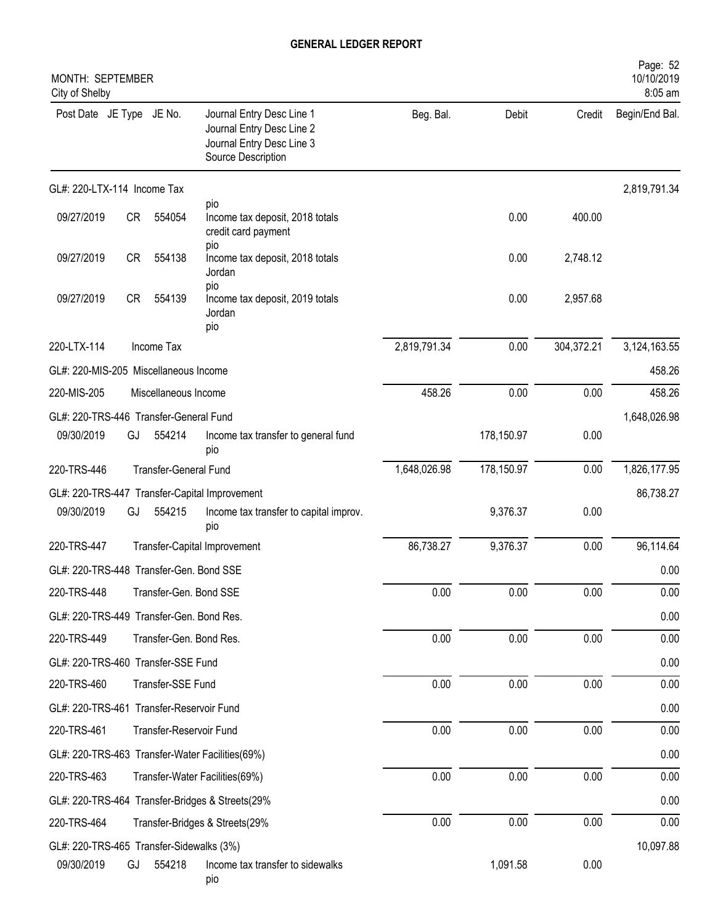| MONTH: SEPTEMBER<br>City of Shelby       |    |                         |                                                                                                           |              |            |            | Page: 52<br>10/10/2019<br>8:05 am |
|------------------------------------------|----|-------------------------|-----------------------------------------------------------------------------------------------------------|--------------|------------|------------|-----------------------------------|
| Post Date JE Type JE No.                 |    |                         | Journal Entry Desc Line 1<br>Journal Entry Desc Line 2<br>Journal Entry Desc Line 3<br>Source Description | Beg. Bal.    | Debit      | Credit     | Begin/End Bal.                    |
| GL#: 220-LTX-114 Income Tax              |    |                         |                                                                                                           |              |            |            | 2,819,791.34                      |
| 09/27/2019                               | CR | 554054                  | pio<br>Income tax deposit, 2018 totals<br>credit card payment<br>pio                                      |              | 0.00       | 400.00     |                                   |
| 09/27/2019                               | CR | 554138                  | Income tax deposit, 2018 totals<br>Jordan<br>pio                                                          |              | 0.00       | 2,748.12   |                                   |
| 09/27/2019                               | CR | 554139                  | Income tax deposit, 2019 totals<br>Jordan<br>pio                                                          |              | 0.00       | 2,957.68   |                                   |
| 220-LTX-114                              |    | Income Tax              |                                                                                                           | 2,819,791.34 | 0.00       | 304,372.21 | 3,124,163.55                      |
| GL#: 220-MIS-205 Miscellaneous Income    |    |                         |                                                                                                           |              |            |            | 458.26                            |
| 220-MIS-205                              |    | Miscellaneous Income    |                                                                                                           | 458.26       | 0.00       | 0.00       | 458.26                            |
| GL#: 220-TRS-446 Transfer-General Fund   |    |                         |                                                                                                           |              |            |            | 1,648,026.98                      |
| 09/30/2019                               | GJ | 554214                  | Income tax transfer to general fund<br>pio                                                                |              | 178,150.97 | 0.00       |                                   |
| 220-TRS-446                              |    | Transfer-General Fund   |                                                                                                           | 1,648,026.98 | 178,150.97 | 0.00       | 1,826,177.95                      |
|                                          |    |                         | GL#: 220-TRS-447 Transfer-Capital Improvement                                                             |              |            |            | 86,738.27                         |
| 09/30/2019                               | GJ | 554215                  | Income tax transfer to capital improv.<br>pio                                                             |              | 9,376.37   | 0.00       |                                   |
| 220-TRS-447                              |    |                         | Transfer-Capital Improvement                                                                              | 86,738.27    | 9,376.37   | 0.00       | 96,114.64                         |
| GL#: 220-TRS-448 Transfer-Gen. Bond SSE  |    |                         |                                                                                                           |              |            |            | 0.00                              |
| 220-TRS-448                              |    | Transfer-Gen. Bond SSE  |                                                                                                           | 0.00         | 0.00       | 0.00       | 0.00                              |
| GL#: 220-TRS-449 Transfer-Gen. Bond Res. |    |                         |                                                                                                           |              |            |            | 0.00                              |
| 220-TRS-449                              |    | Transfer-Gen. Bond Res. |                                                                                                           | 0.00         | 0.00       | 0.00       | 0.00                              |
| GL#: 220-TRS-460 Transfer-SSE Fund       |    |                         |                                                                                                           |              |            |            | 0.00                              |
| 220-TRS-460                              |    | Transfer-SSE Fund       |                                                                                                           | 0.00         | 0.00       | 0.00       | 0.00                              |
| GL#: 220-TRS-461 Transfer-Reservoir Fund |    |                         |                                                                                                           |              |            |            | 0.00                              |
| 220-TRS-461                              |    | Transfer-Reservoir Fund |                                                                                                           | 0.00         | 0.00       | 0.00       | 0.00                              |
|                                          |    |                         | GL#: 220-TRS-463 Transfer-Water Facilities(69%)                                                           |              |            |            | 0.00                              |
| 220-TRS-463                              |    |                         | Transfer-Water Facilities(69%)                                                                            | 0.00         | 0.00       | 0.00       | 0.00                              |
|                                          |    |                         | GL#: 220-TRS-464 Transfer-Bridges & Streets(29%                                                           |              |            |            | 0.00                              |
| 220-TRS-464                              |    |                         | Transfer-Bridges & Streets(29%                                                                            | 0.00         | 0.00       | 0.00       | 0.00                              |
| GL#: 220-TRS-465 Transfer-Sidewalks (3%) |    |                         |                                                                                                           |              |            |            | 10,097.88                         |
| 09/30/2019                               | GJ | 554218                  | Income tax transfer to sidewalks<br>pio                                                                   |              | 1,091.58   | 0.00       |                                   |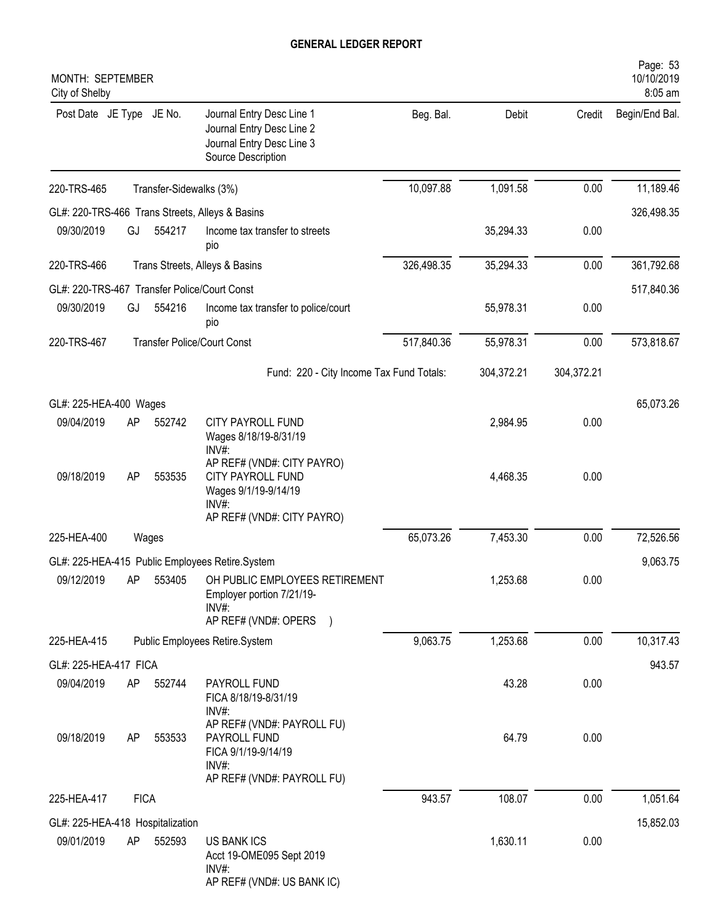| MONTH: SEPTEMBER<br>City of Shelby           |                                                            |                         |                                                                                                                          |            |            |            | Page: 53<br>10/10/2019<br>8:05 am |
|----------------------------------------------|------------------------------------------------------------|-------------------------|--------------------------------------------------------------------------------------------------------------------------|------------|------------|------------|-----------------------------------|
| Post Date JE Type JE No.                     |                                                            |                         | Journal Entry Desc Line 1<br>Journal Entry Desc Line 2<br>Journal Entry Desc Line 3<br>Source Description                | Beg. Bal.  | Debit      | Credit     | Begin/End Bal.                    |
| 220-TRS-465                                  |                                                            | Transfer-Sidewalks (3%) |                                                                                                                          | 10,097.88  | 1,091.58   | 0.00       | 11,189.46                         |
|                                              |                                                            |                         | GL#: 220-TRS-466 Trans Streets, Alleys & Basins                                                                          |            |            |            | 326,498.35                        |
| 09/30/2019                                   | GJ                                                         | 554217                  | Income tax transfer to streets<br>pio                                                                                    |            | 35,294.33  | 0.00       |                                   |
| 220-TRS-466                                  |                                                            |                         | Trans Streets, Alleys & Basins                                                                                           | 326,498.35 | 35,294.33  | 0.00       | 361,792.68                        |
| GL#: 220-TRS-467 Transfer Police/Court Const |                                                            |                         |                                                                                                                          |            |            |            | 517,840.36                        |
| 09/30/2019                                   | 554216<br>GJ<br>Income tax transfer to police/court<br>pio |                         |                                                                                                                          |            | 55,978.31  | 0.00       |                                   |
| 220-TRS-467                                  |                                                            |                         | <b>Transfer Police/Court Const</b>                                                                                       | 517,840.36 | 55,978.31  | 0.00       | 573,818.67                        |
|                                              |                                                            |                         | Fund: 220 - City Income Tax Fund Totals:                                                                                 |            | 304,372.21 | 304,372.21 |                                   |
| GL#: 225-HEA-400 Wages                       |                                                            |                         |                                                                                                                          |            |            |            | 65,073.26                         |
| 09/04/2019                                   | AP                                                         | 552742                  | CITY PAYROLL FUND<br>Wages 8/18/19-8/31/19<br>$INV#$ :                                                                   |            | 2,984.95   | 0.00       |                                   |
| 09/18/2019                                   | AP                                                         | 553535                  | AP REF# (VND#: CITY PAYRO)<br>CITY PAYROLL FUND<br>Wages 9/1/19-9/14/19<br>$INV#$ :<br>AP REF# (VND#: CITY PAYRO)        |            | 4,468.35   | 0.00       |                                   |
| 225-HEA-400                                  |                                                            | Wages                   |                                                                                                                          | 65,073.26  | 7,453.30   | 0.00       | 72,526.56                         |
|                                              |                                                            |                         |                                                                                                                          |            |            |            |                                   |
| 09/12/2019                                   |                                                            |                         | GL#: 225-HEA-415 Public Employees Retire.System<br>AP 553405 OH PUBLIC EMPLOYEES RETIREMENT<br>Employer portion 7/21/19- |            | 1,253.68   | 0.00       | 9,063.75                          |
|                                              |                                                            |                         | INV#:<br>AP REF# (VND#: OPERS )                                                                                          |            |            |            |                                   |
| 225-HEA-415                                  |                                                            |                         | Public Employees Retire.System                                                                                           | 9,063.75   | 1,253.68   | 0.00       | 10,317.43                         |
| GL#: 225-HEA-417 FICA                        |                                                            |                         |                                                                                                                          |            |            |            | 943.57                            |
| 09/04/2019                                   | AP                                                         | 552744                  | PAYROLL FUND<br>FICA 8/18/19-8/31/19<br>$INV#$ :                                                                         |            | 43.28      | 0.00       |                                   |
| 09/18/2019                                   | AP                                                         | 553533                  | AP REF# (VND#: PAYROLL FU)<br>PAYROLL FUND<br>FICA 9/1/19-9/14/19<br>INV#:<br>AP REF# (VND#: PAYROLL FU)                 |            | 64.79      | 0.00       |                                   |
| 225-HEA-417                                  | <b>FICA</b>                                                |                         |                                                                                                                          | 943.57     | 108.07     | 0.00       | 1,051.64                          |
| GL#: 225-HEA-418 Hospitalization             |                                                            |                         |                                                                                                                          |            |            |            | 15,852.03                         |
| 09/01/2019                                   | AP                                                         | 552593                  | US BANK ICS<br>Acct 19-OME095 Sept 2019<br>INV#:<br>AP REF# (VND#: US BANK IC)                                           |            | 1,630.11   | 0.00       |                                   |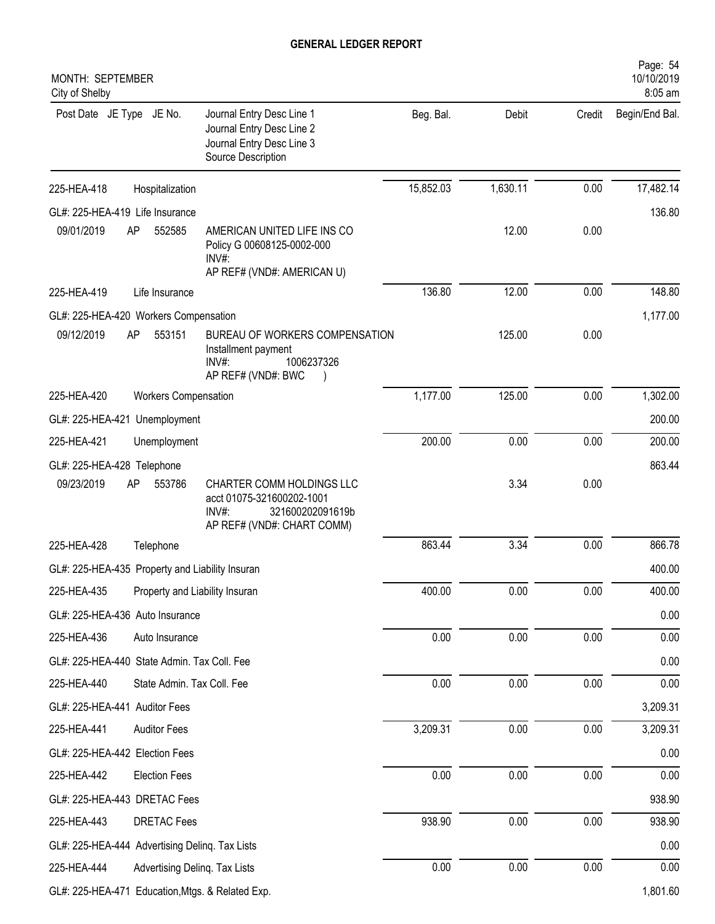| MONTH: SEPTEMBER<br>City of Shelby               |                                |                                                                                                                      |           |          |        | Page: 54<br>10/10/2019<br>8:05 am |
|--------------------------------------------------|--------------------------------|----------------------------------------------------------------------------------------------------------------------|-----------|----------|--------|-----------------------------------|
| Post Date JE Type JE No.                         |                                | Journal Entry Desc Line 1<br>Journal Entry Desc Line 2<br>Journal Entry Desc Line 3<br>Source Description            | Beg. Bal. | Debit    | Credit | Begin/End Bal.                    |
| 225-HEA-418                                      | Hospitalization                |                                                                                                                      | 15,852.03 | 1,630.11 | 0.00   | 17,482.14                         |
| GL#: 225-HEA-419 Life Insurance                  |                                |                                                                                                                      |           |          |        | 136.80                            |
| 09/01/2019<br>AP                                 | 552585                         | AMERICAN UNITED LIFE INS CO<br>Policy G 00608125-0002-000<br>$INV#$ :<br>AP REF# (VND#: AMERICAN U)                  |           | 12.00    | 0.00   |                                   |
| 225-HEA-419                                      | Life Insurance                 |                                                                                                                      | 136.80    | 12.00    | 0.00   | 148.80                            |
| GL#: 225-HEA-420 Workers Compensation            |                                |                                                                                                                      |           |          |        | 1,177.00                          |
| 09/12/2019<br>AP                                 | 553151                         | BUREAU OF WORKERS COMPENSATION<br>Installment payment<br>$INV#$ :<br>1006237326<br>AP REF# (VND#: BWC                |           | 125.00   | 0.00   |                                   |
| 225-HEA-420                                      | <b>Workers Compensation</b>    |                                                                                                                      | 1,177.00  | 125.00   | 0.00   | 1,302.00                          |
| GL#: 225-HEA-421 Unemployment                    |                                |                                                                                                                      |           |          |        | 200.00                            |
| 225-HEA-421                                      | Unemployment                   |                                                                                                                      | 200.00    | 0.00     | 0.00   | 200.00                            |
| GL#: 225-HEA-428 Telephone                       |                                |                                                                                                                      |           |          |        | 863.44                            |
| 09/23/2019<br>AP                                 | 553786                         | CHARTER COMM HOLDINGS LLC<br>acct 01075-321600202-1001<br>$INV#$ :<br>321600202091619b<br>AP REF# (VND#: CHART COMM) |           | 3.34     | 0.00   |                                   |
| 225-HEA-428                                      | Telephone                      |                                                                                                                      | 863.44    | 3.34     | 0.00   | 866.78                            |
| GL#: 225-HEA-435 Property and Liability Insuran  |                                |                                                                                                                      |           |          |        | 400.00                            |
| 225-HEA-435                                      | Property and Liability Insuran |                                                                                                                      | 400.00    | 0.00     | 0.00   | 400.00                            |
| GL#: 225-HEA-436 Auto Insurance                  |                                |                                                                                                                      |           |          |        | 0.00                              |
| 225-HEA-436                                      | Auto Insurance                 |                                                                                                                      | 0.00      | 0.00     | 0.00   | 0.00                              |
| GL#: 225-HEA-440 State Admin. Tax Coll. Fee      |                                |                                                                                                                      |           |          |        | 0.00                              |
| 225-HEA-440                                      | State Admin. Tax Coll. Fee     |                                                                                                                      | 0.00      | 0.00     | 0.00   | 0.00                              |
| GL#: 225-HEA-441 Auditor Fees                    |                                |                                                                                                                      |           |          |        | 3,209.31                          |
| 225-HEA-441                                      | <b>Auditor Fees</b>            |                                                                                                                      | 3,209.31  | 0.00     | 0.00   | 3,209.31                          |
| GL#: 225-HEA-442 Election Fees                   |                                |                                                                                                                      |           |          |        | 0.00                              |
| 225-HEA-442                                      | <b>Election Fees</b>           |                                                                                                                      | 0.00      | 0.00     | 0.00   | 0.00                              |
| GL#: 225-HEA-443 DRETAC Fees                     |                                |                                                                                                                      |           |          |        | 938.90                            |
| 225-HEA-443                                      | <b>DRETAC Fees</b>             |                                                                                                                      | 938.90    | 0.00     | 0.00   | 938.90                            |
| GL#: 225-HEA-444 Advertising Deling. Tax Lists   |                                |                                                                                                                      |           |          |        | 0.00                              |
| 225-HEA-444                                      | Advertising Delinq. Tax Lists  |                                                                                                                      | 0.00      | 0.00     | 0.00   | 0.00                              |
| GL#: 225-HEA-471 Education, Mtgs. & Related Exp. |                                |                                                                                                                      |           |          |        | 1,801.60                          |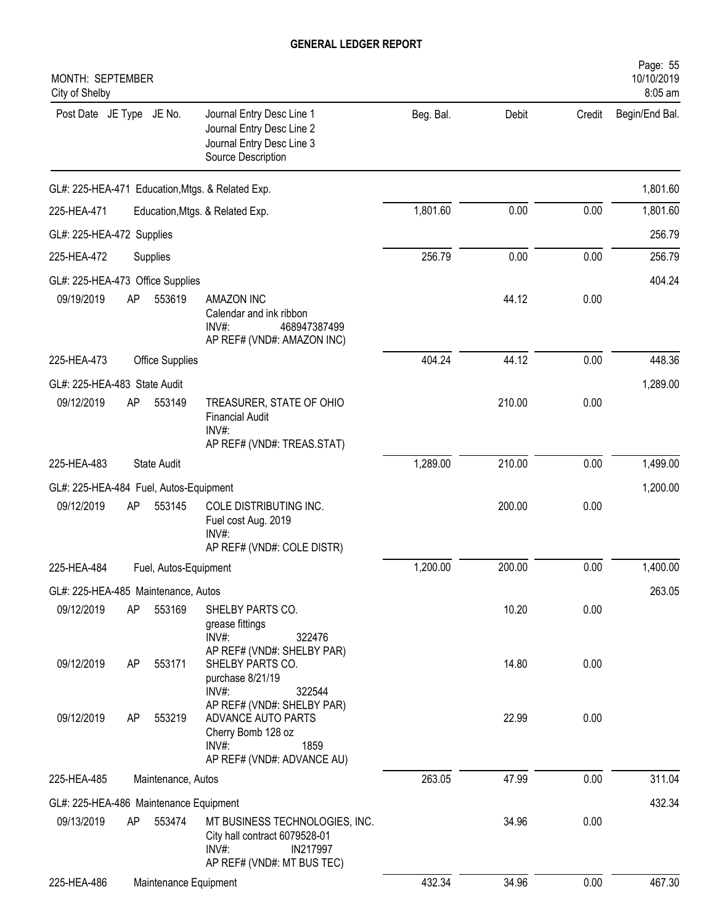| MONTH: SEPTEMBER<br>City of Shelby     |             |                        |                                                                                                                          |           |        |        | Page: 55<br>10/10/2019<br>8:05 am |
|----------------------------------------|-------------|------------------------|--------------------------------------------------------------------------------------------------------------------------|-----------|--------|--------|-----------------------------------|
| Post Date JE Type JE No.               |             |                        | Journal Entry Desc Line 1<br>Journal Entry Desc Line 2<br>Journal Entry Desc Line 3<br>Source Description                | Beg. Bal. | Debit  | Credit | Begin/End Bal.                    |
|                                        |             |                        | GL#: 225-HEA-471 Education, Mtgs. & Related Exp.                                                                         |           |        |        | 1,801.60                          |
| 225-HEA-471                            |             |                        | Education, Mtgs. & Related Exp.                                                                                          | 1,801.60  | 0.00   | 0.00   | 1,801.60                          |
| GL#: 225-HEA-472 Supplies              |             |                        |                                                                                                                          |           |        |        | 256.79                            |
| 225-HEA-472                            | Supplies    |                        |                                                                                                                          | 256.79    | 0.00   | 0.00   | 256.79                            |
| GL#: 225-HEA-473 Office Supplies       |             |                        |                                                                                                                          |           |        |        | 404.24                            |
| 09/19/2019                             | AP          | 553619                 | <b>AMAZON INC</b><br>Calendar and ink ribbon<br>INV#:<br>468947387499<br>AP REF# (VND#: AMAZON INC)                      |           | 44.12  | 0.00   |                                   |
| 225-HEA-473                            |             | <b>Office Supplies</b> |                                                                                                                          | 404.24    | 44.12  | 0.00   | 448.36                            |
| GL#: 225-HEA-483 State Audit           |             |                        |                                                                                                                          |           |        |        | 1,289.00                          |
| 09/12/2019                             | AP          | 553149                 | TREASURER, STATE OF OHIO<br><b>Financial Audit</b><br>INV#:<br>AP REF# (VND#: TREAS.STAT)                                |           | 210.00 | 0.00   |                                   |
| 225-HEA-483                            | State Audit |                        |                                                                                                                          | 1,289.00  | 210.00 | 0.00   | 1,499.00                          |
| GL#: 225-HEA-484 Fuel, Autos-Equipment |             |                        |                                                                                                                          |           |        |        | 1,200.00                          |
| 09/12/2019                             | AP          | 553145                 | COLE DISTRIBUTING INC.<br>Fuel cost Aug. 2019<br>INV#:<br>AP REF# (VND#: COLE DISTR)                                     |           | 200.00 | 0.00   |                                   |
| 225-HEA-484                            |             | Fuel, Autos-Equipment  |                                                                                                                          | 1,200.00  | 200.00 | 0.00   | 1,400.00                          |
| GL#: 225-HEA-485 Maintenance, Autos    |             |                        |                                                                                                                          |           |        |        | 263.05                            |
| 09/12/2019                             | AP          | 553169                 | SHELBY PARTS CO.<br>grease fittings<br>$INV#$ :<br>322476                                                                |           | 10.20  | 0.00   |                                   |
| 09/12/2019                             | AP          | 553171                 | AP REF# (VND#: SHELBY PAR)<br>SHELBY PARTS CO.<br>purchase 8/21/19<br>INV#:<br>322544                                    |           | 14.80  | 0.00   |                                   |
| 09/12/2019                             | AP          | 553219                 | AP REF# (VND#: SHELBY PAR)<br>ADVANCE AUTO PARTS<br>Cherry Bomb 128 oz<br>$INV#$ :<br>1859<br>AP REF# (VND#: ADVANCE AU) |           | 22.99  | 0.00   |                                   |
| 225-HEA-485                            |             | Maintenance, Autos     |                                                                                                                          | 263.05    | 47.99  | 0.00   | 311.04                            |
| GL#: 225-HEA-486 Maintenance Equipment |             |                        |                                                                                                                          |           |        |        | 432.34                            |
| 09/13/2019                             | AP          | 553474                 | MT BUSINESS TECHNOLOGIES, INC.<br>City hall contract 6079528-01<br>$INV#$ :<br>IN217997<br>AP REF# (VND#: MT BUS TEC)    |           | 34.96  | 0.00   |                                   |
| 225-HEA-486                            |             | Maintenance Equipment  |                                                                                                                          | 432.34    | 34.96  | 0.00   | 467.30                            |
|                                        |             |                        |                                                                                                                          |           |        |        |                                   |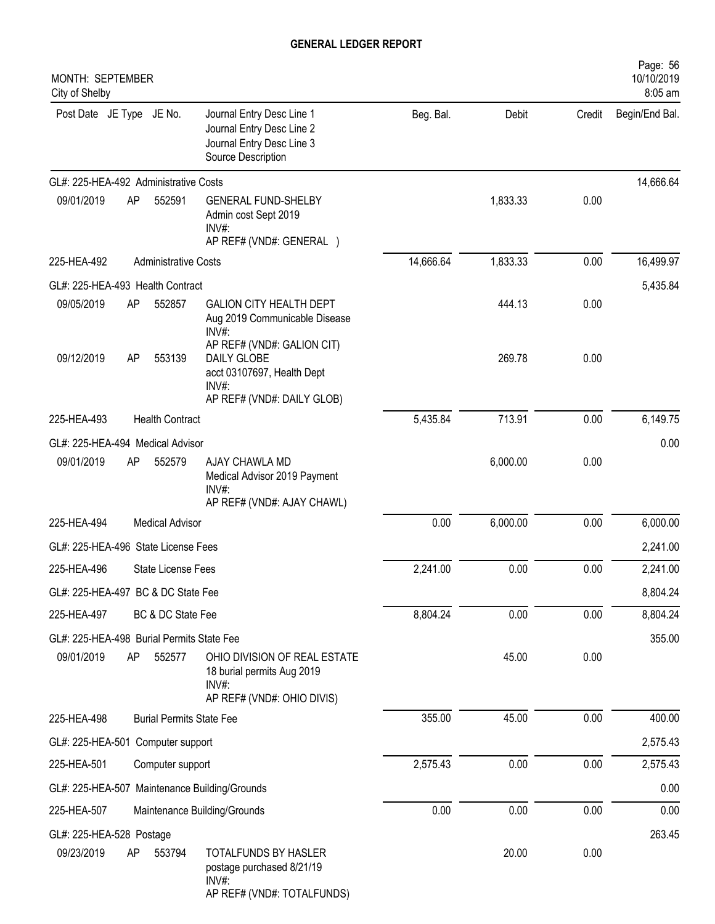| MONTH: SEPTEMBER<br>City of Shelby        |    |                                 |                                                                                                                   |           |          |        | Page: 56<br>10/10/2019<br>8:05 am |
|-------------------------------------------|----|---------------------------------|-------------------------------------------------------------------------------------------------------------------|-----------|----------|--------|-----------------------------------|
| Post Date JE Type JE No.                  |    |                                 | Journal Entry Desc Line 1<br>Journal Entry Desc Line 2<br>Journal Entry Desc Line 3<br>Source Description         | Beg. Bal. | Debit    | Credit | Begin/End Bal.                    |
| GL#: 225-HEA-492 Administrative Costs     |    |                                 |                                                                                                                   |           |          |        | 14,666.64                         |
| 09/01/2019                                | AP | 552591                          | <b>GENERAL FUND-SHELBY</b><br>Admin cost Sept 2019<br>$INV#$ :<br>AP REF# (VND#: GENERAL )                        |           | 1,833.33 | 0.00   |                                   |
| 225-HEA-492                               |    | <b>Administrative Costs</b>     |                                                                                                                   | 14,666.64 | 1,833.33 | 0.00   | 16,499.97                         |
| GL#: 225-HEA-493 Health Contract          |    |                                 |                                                                                                                   |           |          |        | 5,435.84                          |
| 09/05/2019                                | AP | 552857                          | <b>GALION CITY HEALTH DEPT</b><br>Aug 2019 Communicable Disease<br>$INV#$ :                                       |           | 444.13   | 0.00   |                                   |
| 09/12/2019                                | AP | 553139                          | AP REF# (VND#: GALION CIT)<br>DAILY GLOBE<br>acct 03107697, Health Dept<br>$INV#$ :<br>AP REF# (VND#: DAILY GLOB) |           | 269.78   | 0.00   |                                   |
| 225-HEA-493                               |    | <b>Health Contract</b>          |                                                                                                                   | 5,435.84  | 713.91   | 0.00   | 6,149.75                          |
| GL#: 225-HEA-494 Medical Advisor          |    |                                 |                                                                                                                   |           |          |        | 0.00                              |
| 09/01/2019                                | AP | 552579                          | AJAY CHAWLA MD<br>Medical Advisor 2019 Payment<br>$INV#$ :<br>AP REF# (VND#: AJAY CHAWL)                          |           | 6,000.00 | 0.00   |                                   |
| 225-HEA-494                               |    | <b>Medical Advisor</b>          |                                                                                                                   | 0.00      | 6,000.00 | 0.00   | 6,000.00                          |
| GL#: 225-HEA-496 State License Fees       |    |                                 |                                                                                                                   |           |          |        | 2,241.00                          |
| 225-HEA-496                               |    | State License Fees              |                                                                                                                   | 2,241.00  | 0.00     | 0.00   | 2,241.00                          |
| GL#: 225-HEA-497 BC & DC State Fee        |    |                                 |                                                                                                                   |           |          |        | 8,804.24                          |
| 225-HEA-497                               |    | BC & DC State Fee               |                                                                                                                   | 8,804.24  | 0.00     | 0.00   | 8,804.24                          |
| GL#: 225-HEA-498 Burial Permits State Fee |    |                                 |                                                                                                                   |           |          |        | 355.00                            |
| 09/01/2019                                | AP | 552577                          | OHIO DIVISION OF REAL ESTATE<br>18 burial permits Aug 2019<br>$INV#$ :<br>AP REF# (VND#: OHIO DIVIS)              |           | 45.00    | 0.00   |                                   |
| 225-HEA-498                               |    | <b>Burial Permits State Fee</b> |                                                                                                                   | 355.00    | 45.00    | 0.00   | 400.00                            |
| GL#: 225-HEA-501 Computer support         |    |                                 |                                                                                                                   |           |          |        | 2,575.43                          |
| 225-HEA-501                               |    | Computer support                |                                                                                                                   | 2,575.43  | 0.00     | 0.00   | 2,575.43                          |
|                                           |    |                                 | GL#: 225-HEA-507 Maintenance Building/Grounds                                                                     |           |          |        | 0.00                              |
| 225-HEA-507                               |    |                                 | Maintenance Building/Grounds                                                                                      | 0.00      | 0.00     | 0.00   | 0.00                              |
| GL#: 225-HEA-528 Postage                  |    |                                 |                                                                                                                   |           |          |        | 263.45                            |
| 09/23/2019                                | AP | 553794                          | TOTALFUNDS BY HASLER<br>postage purchased 8/21/19<br>INV#:<br>AP REF# (VND#: TOTALFUNDS)                          |           | 20.00    | 0.00   |                                   |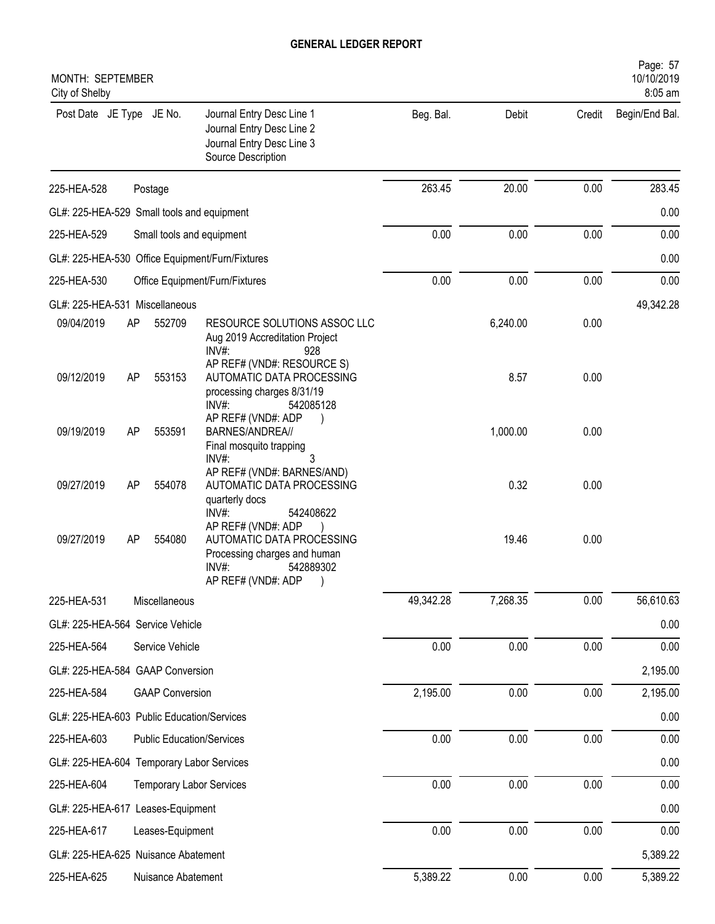| MONTH: SEPTEMBER<br>City of Shelby         |                                                 |                                  |                                                                                                                                                   |           |          |        | Page: 57<br>10/10/2019<br>8:05 am |
|--------------------------------------------|-------------------------------------------------|----------------------------------|---------------------------------------------------------------------------------------------------------------------------------------------------|-----------|----------|--------|-----------------------------------|
| Post Date JE Type JE No.                   |                                                 |                                  | Journal Entry Desc Line 1<br>Journal Entry Desc Line 2<br>Journal Entry Desc Line 3<br>Source Description                                         | Beg. Bal. | Debit    | Credit | Begin/End Bal.                    |
| 225-HEA-528                                |                                                 | Postage                          |                                                                                                                                                   | 263.45    | 20.00    | 0.00   | 283.45                            |
| GL#: 225-HEA-529 Small tools and equipment |                                                 |                                  |                                                                                                                                                   |           |          |        | 0.00                              |
| 225-HEA-529                                | Small tools and equipment                       |                                  |                                                                                                                                                   |           | 0.00     | 0.00   | 0.00                              |
|                                            | GL#: 225-HEA-530 Office Equipment/Furn/Fixtures |                                  |                                                                                                                                                   |           |          |        | 0.00                              |
| 225-HEA-530                                | Office Equipment/Furn/Fixtures                  |                                  |                                                                                                                                                   |           | 0.00     | 0.00   | 0.00                              |
| GL#: 225-HEA-531 Miscellaneous             |                                                 |                                  |                                                                                                                                                   |           |          |        | 49,342.28                         |
| 09/04/2019                                 | AP                                              | 552709                           | RESOURCE SOLUTIONS ASSOC LLC<br>Aug 2019 Accreditation Project<br>$INV#$ :<br>928                                                                 |           | 6,240.00 | 0.00   |                                   |
| 09/12/2019                                 | AP                                              | 553153                           | AP REF# (VND#: RESOURCE S)<br>AUTOMATIC DATA PROCESSING<br>processing charges 8/31/19<br>$INV#$ :<br>542085128                                    |           | 8.57     | 0.00   |                                   |
| 09/19/2019                                 | AP                                              | 553591                           | AP REF# (VND#: ADP<br>BARNES/ANDREA//<br>Final mosquito trapping<br>3<br>$INV#$ :                                                                 |           | 1,000.00 | 0.00   |                                   |
| 09/27/2019                                 | AP                                              | 554078                           | AP REF# (VND#: BARNES/AND)<br>AUTOMATIC DATA PROCESSING<br>quarterly docs                                                                         |           | 0.32     | 0.00   |                                   |
| 09/27/2019                                 | AP                                              | 554080                           | INV#<br>542408622<br>AP REF# (VND#: ADP<br>AUTOMATIC DATA PROCESSING<br>Processing charges and human<br>INV#:<br>542889302<br>AP REF# (VND#: ADP) |           | 19.46    | 0.00   |                                   |
| 225-HEA-531                                |                                                 | Miscellaneous                    |                                                                                                                                                   | 49,342.28 | 7,268.35 | 0.00   | 56,610.63                         |
| GL#: 225-HEA-564 Service Vehicle           |                                                 |                                  |                                                                                                                                                   |           |          |        | 0.00                              |
| 225-HEA-564                                |                                                 | Service Vehicle                  |                                                                                                                                                   | 0.00      | 0.00     | 0.00   | 0.00                              |
| GL#: 225-HEA-584 GAAP Conversion           |                                                 |                                  |                                                                                                                                                   |           |          |        | 2,195.00                          |
| 225-HEA-584                                |                                                 | <b>GAAP Conversion</b>           |                                                                                                                                                   | 2,195.00  | 0.00     | 0.00   | 2,195.00                          |
| GL#: 225-HEA-603 Public Education/Services |                                                 |                                  |                                                                                                                                                   |           |          |        | 0.00                              |
| 225-HEA-603                                |                                                 | <b>Public Education/Services</b> |                                                                                                                                                   | 0.00      | 0.00     | 0.00   | 0.00                              |
| GL#: 225-HEA-604 Temporary Labor Services  |                                                 |                                  |                                                                                                                                                   |           |          |        | 0.00                              |
| 225-HEA-604                                |                                                 | <b>Temporary Labor Services</b>  |                                                                                                                                                   | 0.00      | 0.00     | 0.00   | 0.00                              |
| GL#: 225-HEA-617 Leases-Equipment          |                                                 |                                  |                                                                                                                                                   |           |          |        | 0.00                              |
| 225-HEA-617                                |                                                 | Leases-Equipment                 |                                                                                                                                                   | 0.00      | 0.00     | 0.00   | 0.00                              |
| GL#: 225-HEA-625 Nuisance Abatement        |                                                 |                                  |                                                                                                                                                   |           |          |        | 5,389.22                          |
| 225-HEA-625                                |                                                 | Nuisance Abatement               |                                                                                                                                                   | 5,389.22  | 0.00     | 0.00   | 5,389.22                          |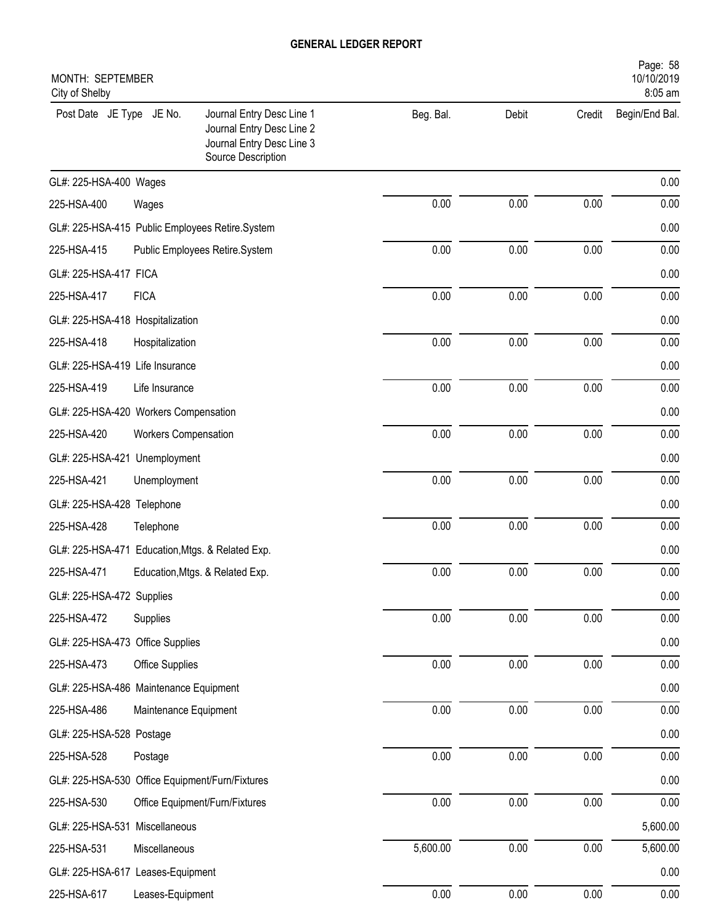| Page: 58<br>10/10/2019<br>MONTH: SEPTEMBER<br>8:05 am<br>City of Shelby |                       |                                                                                                           |           |       |          |                |  |  |
|-------------------------------------------------------------------------|-----------------------|-----------------------------------------------------------------------------------------------------------|-----------|-------|----------|----------------|--|--|
| Post Date JE Type JE No.                                                |                       | Journal Entry Desc Line 1<br>Journal Entry Desc Line 2<br>Journal Entry Desc Line 3<br>Source Description | Beg. Bal. | Debit | Credit   | Begin/End Bal. |  |  |
| GL#: 225-HSA-400 Wages                                                  |                       |                                                                                                           |           |       |          | 0.00           |  |  |
| 225-HSA-400                                                             | Wages                 |                                                                                                           | 0.00      | 0.00  | 0.00     | 0.00           |  |  |
| GL#: 225-HSA-415 Public Employees Retire.System                         |                       |                                                                                                           |           |       |          | 0.00           |  |  |
| 225-HSA-415                                                             |                       | Public Employees Retire.System                                                                            | 0.00      | 0.00  | 0.00     | 0.00           |  |  |
| GL#: 225-HSA-417 FICA                                                   |                       |                                                                                                           |           |       |          | 0.00           |  |  |
| 225-HSA-417                                                             | <b>FICA</b>           |                                                                                                           | 0.00      | 0.00  | 0.00     | 0.00           |  |  |
| GL#: 225-HSA-418 Hospitalization                                        |                       |                                                                                                           |           |       |          | 0.00           |  |  |
| 225-HSA-418                                                             | Hospitalization       |                                                                                                           | 0.00      | 0.00  | 0.00     | 0.00           |  |  |
| GL#: 225-HSA-419 Life Insurance                                         |                       |                                                                                                           |           |       |          | 0.00           |  |  |
| 225-HSA-419                                                             | Life Insurance        |                                                                                                           | 0.00      | 0.00  | 0.00     | 0.00           |  |  |
| GL#: 225-HSA-420 Workers Compensation                                   |                       |                                                                                                           |           |       |          | 0.00           |  |  |
| 225-HSA-420                                                             | Workers Compensation  |                                                                                                           | 0.00      | 0.00  | 0.00     | 0.00           |  |  |
| GL#: 225-HSA-421 Unemployment                                           |                       |                                                                                                           |           |       |          | 0.00           |  |  |
| 225-HSA-421                                                             | Unemployment          |                                                                                                           | 0.00      | 0.00  | 0.00     | 0.00           |  |  |
| GL#: 225-HSA-428 Telephone                                              |                       |                                                                                                           |           |       |          | 0.00           |  |  |
| 225-HSA-428                                                             | Telephone             |                                                                                                           | 0.00      | 0.00  | 0.00     | 0.00           |  |  |
| GL#: 225-HSA-471 Education, Mtgs. & Related Exp.                        |                       |                                                                                                           |           |       |          | 0.00           |  |  |
| 225-HSA-471                                                             |                       | Education, Mtgs. & Related Exp.                                                                           | 0.00      | 0.00  | 0.00     | 0.00           |  |  |
| GL#: 225-HSA-472 Supplies                                               |                       |                                                                                                           |           |       |          | 0.00           |  |  |
| 225-HSA-472                                                             | Supplies              |                                                                                                           | 0.00      | 0.00  | 0.00     | 0.00           |  |  |
| GL#: 225-HSA-473 Office Supplies                                        |                       |                                                                                                           |           |       |          | 0.00           |  |  |
| 225-HSA-473                                                             | Office Supplies       |                                                                                                           | 0.00      | 0.00  | 0.00     | 0.00           |  |  |
| GL#: 225-HSA-486 Maintenance Equipment                                  |                       |                                                                                                           |           |       |          | 0.00           |  |  |
| 225-HSA-486                                                             | Maintenance Equipment |                                                                                                           | 0.00      | 0.00  | 0.00     | 0.00           |  |  |
| GL#: 225-HSA-528 Postage                                                |                       |                                                                                                           |           |       |          | 0.00           |  |  |
| 225-HSA-528                                                             | Postage               |                                                                                                           | 0.00      | 0.00  | 0.00     | 0.00           |  |  |
| GL#: 225-HSA-530 Office Equipment/Furn/Fixtures                         |                       |                                                                                                           |           |       |          | 0.00           |  |  |
| 225-HSA-530                                                             |                       | Office Equipment/Furn/Fixtures                                                                            | 0.00      | 0.00  | $0.00\,$ | 0.00           |  |  |
| GL#: 225-HSA-531 Miscellaneous                                          |                       |                                                                                                           |           |       |          | 5,600.00       |  |  |
| 225-HSA-531                                                             | Miscellaneous         |                                                                                                           | 5,600.00  | 0.00  | 0.00     | 5,600.00       |  |  |
| GL#: 225-HSA-617 Leases-Equipment                                       |                       |                                                                                                           |           |       |          | 0.00           |  |  |
| 225-HSA-617                                                             | Leases-Equipment      |                                                                                                           | 0.00      | 0.00  | 0.00     | 0.00           |  |  |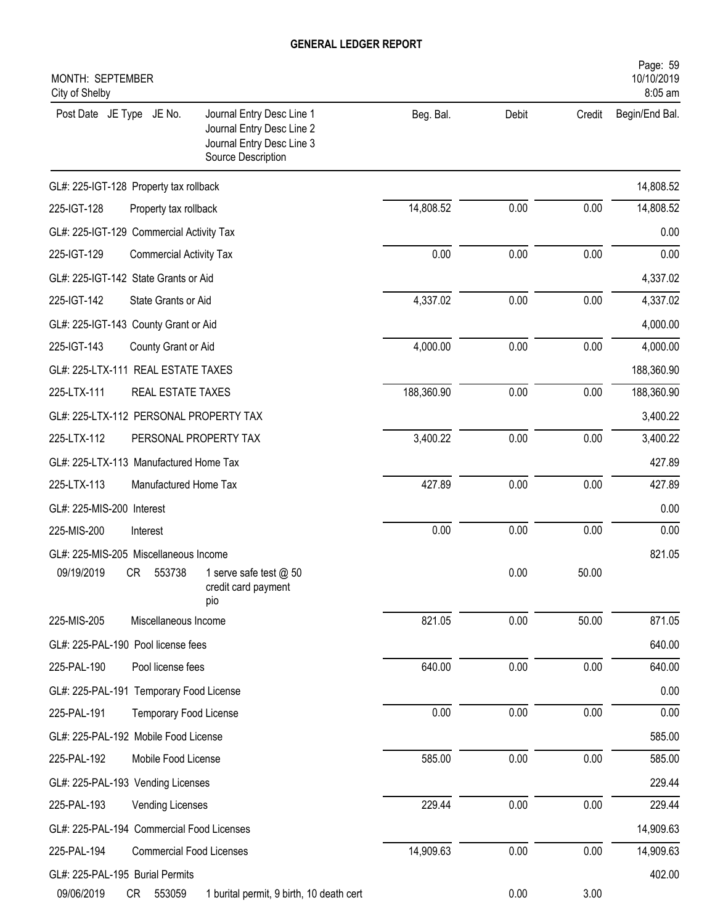| MONTH: SEPTEMBER<br>City of Shelby                                                                                                    |            |       |        | Page: 59<br>10/10/2019<br>8:05 am |
|---------------------------------------------------------------------------------------------------------------------------------------|------------|-------|--------|-----------------------------------|
| Post Date JE Type JE No.<br>Journal Entry Desc Line 1<br>Journal Entry Desc Line 2<br>Journal Entry Desc Line 3<br>Source Description | Beg. Bal.  | Debit | Credit | Begin/End Bal.                    |
| GL#: 225-IGT-128 Property tax rollback                                                                                                |            |       |        | 14,808.52                         |
| 225-IGT-128<br>Property tax rollback                                                                                                  | 14,808.52  | 0.00  | 0.00   | 14,808.52                         |
| GL#: 225-IGT-129 Commercial Activity Tax                                                                                              |            |       |        | 0.00                              |
| 225-IGT-129<br><b>Commercial Activity Tax</b>                                                                                         | 0.00       | 0.00  | 0.00   | 0.00                              |
| GL#: 225-IGT-142 State Grants or Aid                                                                                                  |            |       |        | 4,337.02                          |
| 225-IGT-142<br>State Grants or Aid                                                                                                    | 4,337.02   | 0.00  | 0.00   | 4,337.02                          |
| GL#: 225-IGT-143 County Grant or Aid                                                                                                  |            |       |        | 4,000.00                          |
| 225-IGT-143<br>County Grant or Aid                                                                                                    | 4,000.00   | 0.00  | 0.00   | 4,000.00                          |
| GL#: 225-LTX-111 REAL ESTATE TAXES                                                                                                    |            |       |        | 188,360.90                        |
| 225-LTX-111<br><b>REAL ESTATE TAXES</b>                                                                                               | 188,360.90 | 0.00  | 0.00   | 188,360.90                        |
| GL#: 225-LTX-112 PERSONAL PROPERTY TAX                                                                                                |            |       |        | 3,400.22                          |
| 225-LTX-112<br>PERSONAL PROPERTY TAX                                                                                                  | 3,400.22   | 0.00  | 0.00   | 3,400.22                          |
| GL#: 225-LTX-113 Manufactured Home Tax                                                                                                |            |       |        | 427.89                            |
| 225-LTX-113<br>Manufactured Home Tax                                                                                                  | 427.89     | 0.00  | 0.00   | 427.89                            |
| GL#: 225-MIS-200 Interest                                                                                                             |            |       |        | 0.00                              |
| 225-MIS-200<br>Interest                                                                                                               | 0.00       | 0.00  | 0.00   | 0.00                              |
| GL#: 225-MIS-205 Miscellaneous Income                                                                                                 |            |       |        | 821.05                            |
| 09/19/2019<br>553738<br>CR<br>1 serve safe test @ 50<br>credit card payment<br>pio                                                    |            | 0.00  | 50.00  |                                   |
| 225-MIS-205<br>Miscellaneous Income                                                                                                   | 821.05     | 0.00  | 50.00  | 871.05                            |
| GL#: 225-PAL-190 Pool license fees                                                                                                    |            |       |        | 640.00                            |
| 225-PAL-190<br>Pool license fees                                                                                                      | 640.00     | 0.00  | 0.00   | 640.00                            |
| GL#: 225-PAL-191 Temporary Food License                                                                                               |            |       |        | 0.00                              |
| 225-PAL-191<br>Temporary Food License                                                                                                 | 0.00       | 0.00  | 0.00   | 0.00                              |
| GL#: 225-PAL-192 Mobile Food License                                                                                                  |            |       |        | 585.00                            |
| 225-PAL-192<br>Mobile Food License                                                                                                    | 585.00     | 0.00  | 0.00   | 585.00                            |
| GL#: 225-PAL-193 Vending Licenses                                                                                                     |            |       |        | 229.44                            |
| 225-PAL-193<br>Vending Licenses                                                                                                       | 229.44     | 0.00  | 0.00   | 229.44                            |
| GL#: 225-PAL-194 Commercial Food Licenses                                                                                             |            |       |        | 14,909.63                         |
| 225-PAL-194<br><b>Commercial Food Licenses</b>                                                                                        | 14,909.63  | 0.00  | 0.00   | 14,909.63                         |
| GL#: 225-PAL-195 Burial Permits                                                                                                       |            |       |        | 402.00                            |
| 09/06/2019<br>CR<br>553059<br>1 burital permit, 9 birth, 10 death cert                                                                |            | 0.00  | 3.00   |                                   |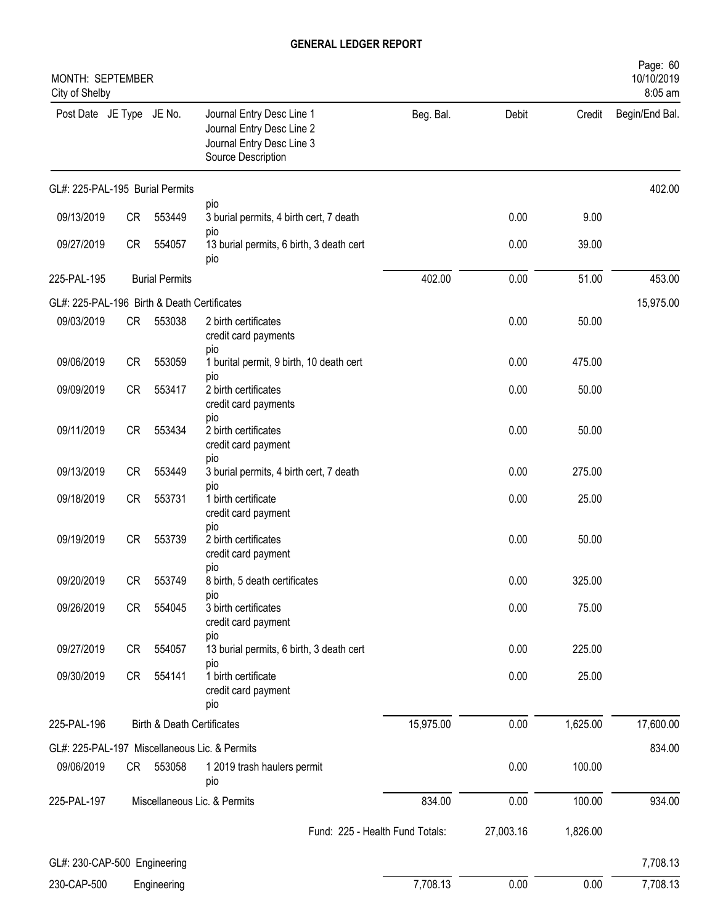| MONTH: SEPTEMBER<br>City of Shelby          |           |                                       |                                                                                                           |           |           |          | Page: 60<br>10/10/2019<br>8:05 am |
|---------------------------------------------|-----------|---------------------------------------|-----------------------------------------------------------------------------------------------------------|-----------|-----------|----------|-----------------------------------|
| Post Date JE Type JE No.                    |           |                                       | Journal Entry Desc Line 1<br>Journal Entry Desc Line 2<br>Journal Entry Desc Line 3<br>Source Description | Beg. Bal. | Debit     | Credit   | Begin/End Bal.                    |
| GL#: 225-PAL-195 Burial Permits             |           |                                       |                                                                                                           |           |           |          | 402.00                            |
| 09/13/2019                                  | CR        | 553449                                | pio<br>3 burial permits, 4 birth cert, 7 death                                                            |           | 0.00      | 9.00     |                                   |
| 09/27/2019                                  | CR        | 554057                                | pio<br>13 burial permits, 6 birth, 3 death cert<br>pio                                                    |           | 0.00      | 39.00    |                                   |
| 225-PAL-195                                 |           | <b>Burial Permits</b>                 |                                                                                                           | 402.00    | 0.00      | 51.00    | 453.00                            |
| GL#: 225-PAL-196 Birth & Death Certificates |           |                                       |                                                                                                           |           |           |          | 15,975.00                         |
| 09/03/2019                                  | CR        | 553038                                | 2 birth certificates<br>credit card payments<br>pio                                                       |           | 0.00      | 50.00    |                                   |
| 09/06/2019                                  | <b>CR</b> | 553059                                | 1 burital permit, 9 birth, 10 death cert                                                                  |           | 0.00      | 475.00   |                                   |
| 09/09/2019                                  | CR        | 553417                                | pio<br>2 birth certificates<br>credit card payments                                                       |           | 0.00      | 50.00    |                                   |
| 09/11/2019                                  | CR        | 553434                                | pio<br>2 birth certificates<br>credit card payment                                                        |           | 0.00      | 50.00    |                                   |
| 09/13/2019                                  | CR        | 553449                                | pio<br>3 burial permits, 4 birth cert, 7 death                                                            |           | 0.00      | 275.00   |                                   |
| 09/18/2019                                  | CR        | 553731                                | pio<br>1 birth certificate<br>credit card payment                                                         |           | 0.00      | 25.00    |                                   |
| 09/19/2019                                  | CR        | 553739                                | pio<br>2 birth certificates<br>credit card payment                                                        |           | 0.00      | 50.00    |                                   |
| 09/20/2019                                  | CR        | 553749                                | pio<br>8 birth, 5 death certificates                                                                      |           | 0.00      | 325.00   |                                   |
| 09/26/2019                                  | CR        | 554045                                | pio<br>3 birth certificates<br>credit card payment                                                        |           | 0.00      | 75.00    |                                   |
| 09/27/2019                                  | CR        | 554057                                | pio<br>13 burial permits, 6 birth, 3 death cert                                                           |           | 0.00      | 225.00   |                                   |
| 09/30/2019                                  | CR        | 554141                                | pio<br>1 birth certificate<br>credit card payment<br>pio                                                  |           | 0.00      | 25.00    |                                   |
| 225-PAL-196                                 |           | <b>Birth &amp; Death Certificates</b> |                                                                                                           | 15,975.00 | 0.00      | 1,625.00 | 17,600.00                         |
|                                             |           |                                       | GL#: 225-PAL-197 Miscellaneous Lic. & Permits                                                             |           |           |          | 834.00                            |
| 09/06/2019                                  | CR —      | 553058                                | 1 2019 trash haulers permit<br>pio                                                                        |           | 0.00      | 100.00   |                                   |
| 225-PAL-197                                 |           |                                       | Miscellaneous Lic. & Permits                                                                              | 834.00    | 0.00      | 100.00   | 934.00                            |
|                                             |           |                                       | Fund: 225 - Health Fund Totals:                                                                           |           | 27,003.16 | 1,826.00 |                                   |
| GL#: 230-CAP-500 Engineering                |           |                                       |                                                                                                           |           |           |          | 7,708.13                          |
| 230-CAP-500                                 |           | Engineering                           |                                                                                                           | 7,708.13  | 0.00      | 0.00     | 7,708.13                          |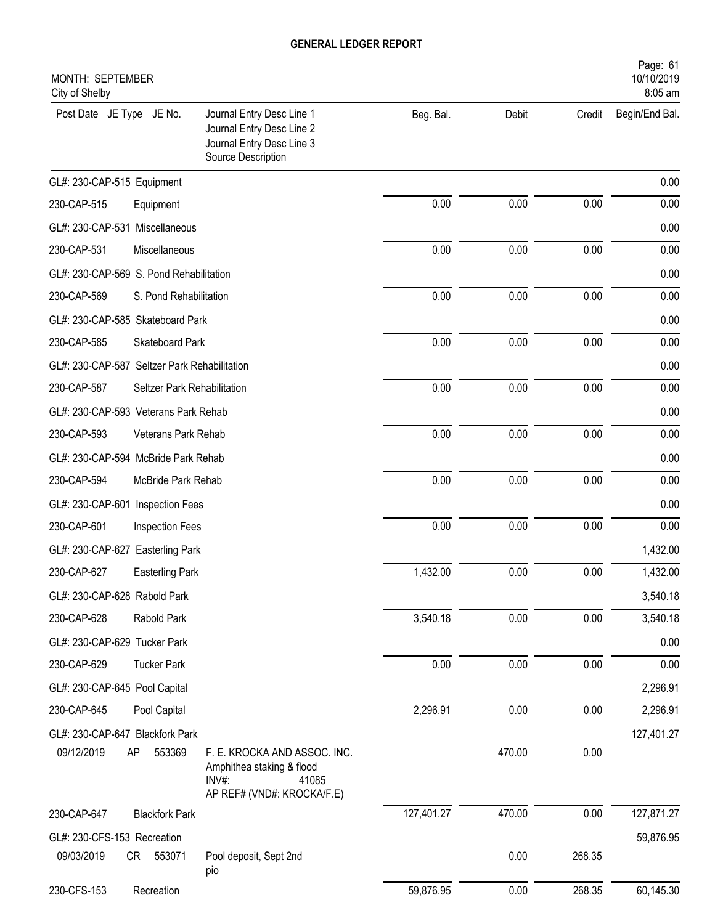| MONTH: SEPTEMBER<br>City of Shelby           |                                                                                                           |            |        |        | Page: 61<br>10/10/2019<br>8:05 am |
|----------------------------------------------|-----------------------------------------------------------------------------------------------------------|------------|--------|--------|-----------------------------------|
| Post Date JE Type JE No.                     | Journal Entry Desc Line 1<br>Journal Entry Desc Line 2<br>Journal Entry Desc Line 3<br>Source Description | Beg. Bal.  | Debit  | Credit | Begin/End Bal.                    |
| GL#: 230-CAP-515 Equipment                   |                                                                                                           |            |        |        | 0.00                              |
| 230-CAP-515<br>Equipment                     |                                                                                                           | 0.00       | 0.00   | 0.00   | 0.00                              |
| GL#: 230-CAP-531 Miscellaneous               |                                                                                                           |            |        |        | 0.00                              |
| 230-CAP-531<br>Miscellaneous                 |                                                                                                           | 0.00       | 0.00   | 0.00   | 0.00                              |
| GL#: 230-CAP-569 S. Pond Rehabilitation      |                                                                                                           |            |        |        | 0.00                              |
| 230-CAP-569<br>S. Pond Rehabilitation        |                                                                                                           | 0.00       | 0.00   | 0.00   | 0.00                              |
| GL#: 230-CAP-585 Skateboard Park             |                                                                                                           |            |        |        | 0.00                              |
| 230-CAP-585<br>Skateboard Park               |                                                                                                           | 0.00       | 0.00   | 0.00   | 0.00                              |
| GL#: 230-CAP-587 Seltzer Park Rehabilitation |                                                                                                           |            |        |        | 0.00                              |
| 230-CAP-587<br>Seltzer Park Rehabilitation   |                                                                                                           | 0.00       | 0.00   | 0.00   | 0.00                              |
| GL#: 230-CAP-593 Veterans Park Rehab         |                                                                                                           |            |        |        | 0.00                              |
| 230-CAP-593<br>Veterans Park Rehab           |                                                                                                           | 0.00       | 0.00   | 0.00   | 0.00                              |
| GL#: 230-CAP-594 McBride Park Rehab          |                                                                                                           |            |        |        | 0.00                              |
| 230-CAP-594<br>McBride Park Rehab            |                                                                                                           | 0.00       | 0.00   | 0.00   | 0.00                              |
| GL#: 230-CAP-601 Inspection Fees             |                                                                                                           |            |        |        | 0.00                              |
| 230-CAP-601<br>Inspection Fees               |                                                                                                           | 0.00       | 0.00   | 0.00   | 0.00                              |
| GL#: 230-CAP-627 Easterling Park             |                                                                                                           |            |        |        | 1,432.00                          |
| 230-CAP-627<br><b>Easterling Park</b>        |                                                                                                           | 1,432.00   | 0.00   | 0.00   | 1,432.00                          |
| GL#: 230-CAP-628 Rabold Park                 |                                                                                                           |            |        |        | 3,540.18                          |
| 230-CAP-628<br>Rabold Park                   |                                                                                                           | 3,540.18   | 0.00   | 0.00   | 3,540.18                          |
| GL#: 230-CAP-629 Tucker Park                 |                                                                                                           |            |        |        | 0.00                              |
| 230-CAP-629<br><b>Tucker Park</b>            |                                                                                                           | 0.00       | 0.00   | 0.00   | 0.00                              |
| GL#: 230-CAP-645 Pool Capital                |                                                                                                           |            |        |        | 2,296.91                          |
| 230-CAP-645<br>Pool Capital                  |                                                                                                           | 2,296.91   | 0.00   | 0.00   | 2,296.91                          |
| GL#: 230-CAP-647 Blackfork Park              |                                                                                                           |            |        |        | 127,401.27                        |
| 09/12/2019<br>AP<br>553369                   | F. E. KROCKA AND ASSOC. INC.<br>Amphithea staking & flood<br>INV#:<br>41085<br>AP REF# (VND#: KROCKA/F.E) |            | 470.00 | 0.00   |                                   |
| 230-CAP-647<br><b>Blackfork Park</b>         |                                                                                                           | 127,401.27 | 470.00 | 0.00   | 127,871.27                        |
| GL#: 230-CFS-153 Recreation                  |                                                                                                           |            |        |        | 59,876.95                         |
| 09/03/2019<br>CR 553071                      | Pool deposit, Sept 2nd<br>pio                                                                             |            | 0.00   | 268.35 |                                   |
| 230-CFS-153<br>Recreation                    |                                                                                                           | 59,876.95  | 0.00   | 268.35 | 60,145.30                         |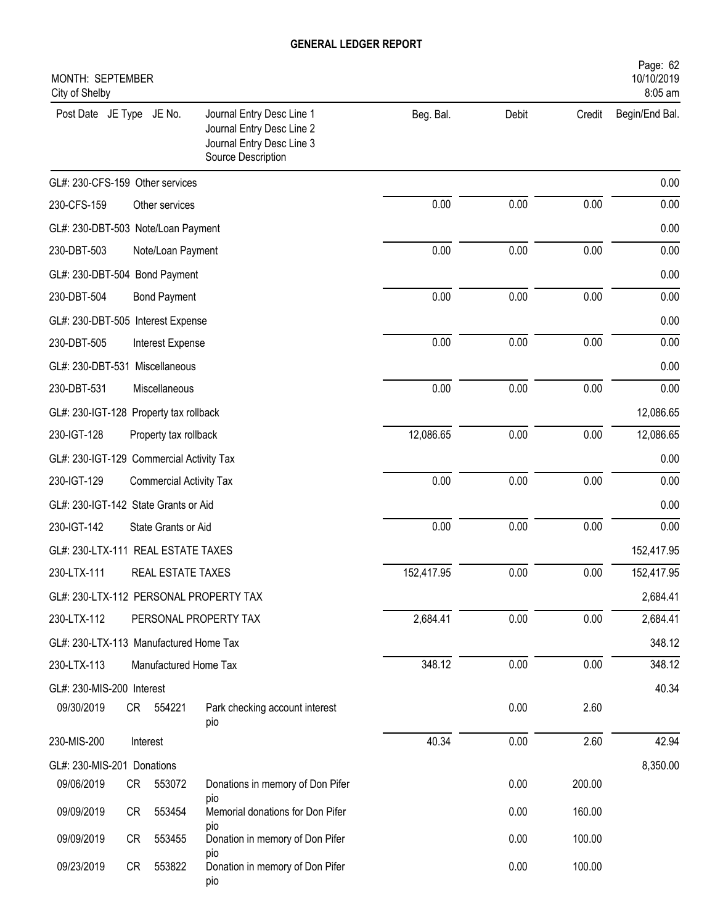| MONTH: SEPTEMBER<br>City of Shelby       |    |                                |                                                                                                           |            |       |        | Page: 62<br>10/10/2019<br>8:05 am |
|------------------------------------------|----|--------------------------------|-----------------------------------------------------------------------------------------------------------|------------|-------|--------|-----------------------------------|
| Post Date JE Type JE No.                 |    |                                | Journal Entry Desc Line 1<br>Journal Entry Desc Line 2<br>Journal Entry Desc Line 3<br>Source Description | Beg. Bal.  | Debit | Credit | Begin/End Bal.                    |
| GL#: 230-CFS-159 Other services          |    |                                |                                                                                                           |            |       |        | 0.00                              |
| 230-CFS-159                              |    | Other services                 |                                                                                                           | 0.00       | 0.00  | 0.00   | 0.00                              |
| GL#: 230-DBT-503 Note/Loan Payment       |    |                                |                                                                                                           |            |       |        | 0.00                              |
| 230-DBT-503                              |    | Note/Loan Payment              |                                                                                                           | 0.00       | 0.00  | 0.00   | 0.00                              |
| GL#: 230-DBT-504 Bond Payment            |    |                                |                                                                                                           |            |       |        | 0.00                              |
| 230-DBT-504                              |    | <b>Bond Payment</b>            |                                                                                                           | 0.00       | 0.00  | 0.00   | 0.00                              |
| GL#: 230-DBT-505 Interest Expense        |    |                                |                                                                                                           |            |       |        | 0.00                              |
| 230-DBT-505                              |    | Interest Expense               |                                                                                                           | 0.00       | 0.00  | 0.00   | 0.00                              |
| GL#: 230-DBT-531 Miscellaneous           |    |                                |                                                                                                           |            |       |        | 0.00                              |
| 230-DBT-531                              |    | Miscellaneous                  |                                                                                                           | 0.00       | 0.00  | 0.00   | 0.00                              |
| GL#: 230-IGT-128 Property tax rollback   |    |                                |                                                                                                           |            |       |        | 12,086.65                         |
| 230-IGT-128                              |    | Property tax rollback          |                                                                                                           | 12,086.65  | 0.00  | 0.00   | 12,086.65                         |
| GL#: 230-IGT-129 Commercial Activity Tax |    |                                |                                                                                                           |            |       |        | 0.00                              |
| 230-IGT-129                              |    | <b>Commercial Activity Tax</b> |                                                                                                           | 0.00       | 0.00  | 0.00   | 0.00                              |
| GL#: 230-IGT-142 State Grants or Aid     |    |                                |                                                                                                           |            |       |        | 0.00                              |
| 230-IGT-142                              |    | State Grants or Aid            |                                                                                                           | 0.00       | 0.00  | 0.00   | 0.00                              |
| GL#: 230-LTX-111 REAL ESTATE TAXES       |    |                                |                                                                                                           |            |       |        | 152,417.95                        |
| 230-LTX-111                              |    | REAL ESTATE TAXES              |                                                                                                           | 152,417.95 | 0.00  | 0.00   | 152,417.95                        |
|                                          |    |                                | GL#: 230-LTX-112 PERSONAL PROPERTY TAX                                                                    |            |       |        | 2,684.41                          |
| 230-LTX-112                              |    |                                | PERSONAL PROPERTY TAX                                                                                     | 2,684.41   | 0.00  | 0.00   | 2,684.41                          |
| GL#: 230-LTX-113 Manufactured Home Tax   |    |                                |                                                                                                           |            |       |        | 348.12                            |
| 230-LTX-113                              |    | Manufactured Home Tax          |                                                                                                           | 348.12     | 0.00  | 0.00   | 348.12                            |
| GL#: 230-MIS-200 Interest                |    |                                |                                                                                                           |            |       |        | 40.34                             |
| 09/30/2019                               | CR | 554221                         | Park checking account interest<br>pio                                                                     |            | 0.00  | 2.60   |                                   |
| 230-MIS-200                              |    | Interest                       |                                                                                                           | 40.34      | 0.00  | 2.60   | 42.94                             |
| GL#: 230-MIS-201 Donations               |    |                                |                                                                                                           |            |       |        | 8,350.00                          |
| 09/06/2019                               | CR | 553072                         | Donations in memory of Don Pifer                                                                          |            | 0.00  | 200.00 |                                   |
| 09/09/2019                               | CR | 553454                         | pio<br>Memorial donations for Don Pifer                                                                   |            | 0.00  | 160.00 |                                   |
| 09/09/2019                               | CR | 553455                         | pio<br>Donation in memory of Don Pifer<br>pio                                                             |            | 0.00  | 100.00 |                                   |
| 09/23/2019                               | CR | 553822                         | Donation in memory of Don Pifer<br>pio                                                                    |            | 0.00  | 100.00 |                                   |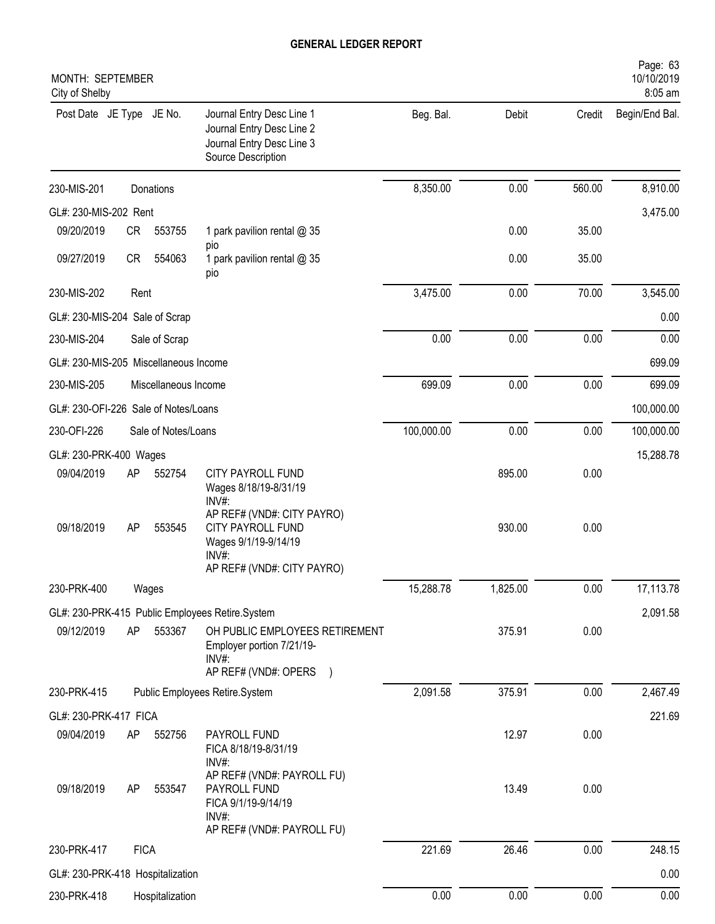| MONTH: SEPTEMBER<br>City of Shelby    |             |                      |                                                                                                                       |            |          |        | Page: 63<br>10/10/2019<br>8:05 am |
|---------------------------------------|-------------|----------------------|-----------------------------------------------------------------------------------------------------------------------|------------|----------|--------|-----------------------------------|
| Post Date JE Type JE No.              |             |                      | Journal Entry Desc Line 1<br>Journal Entry Desc Line 2<br>Journal Entry Desc Line 3<br>Source Description             | Beg. Bal.  | Debit    | Credit | Begin/End Bal.                    |
| 230-MIS-201                           |             | Donations            |                                                                                                                       | 8,350.00   | 0.00     | 560.00 | 8,910.00                          |
| GL#: 230-MIS-202 Rent                 |             |                      |                                                                                                                       |            |          |        | 3,475.00                          |
| 09/20/2019                            | CR          | 553755               | 1 park pavilion rental @ 35                                                                                           |            | 0.00     | 35.00  |                                   |
| 09/27/2019                            | <b>CR</b>   | 554063               | pio<br>1 park pavilion rental @ 35<br>pio                                                                             |            | 0.00     | 35.00  |                                   |
| 230-MIS-202                           | Rent        |                      |                                                                                                                       | 3,475.00   | 0.00     | 70.00  | 3,545.00                          |
| GL#: 230-MIS-204 Sale of Scrap        |             |                      |                                                                                                                       |            |          |        | 0.00                              |
| 230-MIS-204                           |             | Sale of Scrap        |                                                                                                                       | 0.00       | 0.00     | 0.00   | 0.00                              |
| GL#: 230-MIS-205 Miscellaneous Income |             |                      |                                                                                                                       |            |          |        | 699.09                            |
| 230-MIS-205                           |             | Miscellaneous Income |                                                                                                                       | 699.09     | 0.00     | 0.00   | 699.09                            |
| GL#: 230-OFI-226 Sale of Notes/Loans  |             |                      |                                                                                                                       |            |          |        | 100,000.00                        |
| 230-OFI-226                           |             | Sale of Notes/Loans  |                                                                                                                       | 100,000.00 | 0.00     | 0.00   | 100,000.00                        |
| GL#: 230-PRK-400 Wages                |             |                      |                                                                                                                       |            |          |        | 15,288.78                         |
| 09/04/2019                            | AP          | 552754               | CITY PAYROLL FUND<br>Wages 8/18/19-8/31/19<br>$INV#$ :                                                                |            | 895.00   | 0.00   |                                   |
| 09/18/2019                            | AP          | 553545               | AP REF# (VND#: CITY PAYRO)<br><b>CITY PAYROLL FUND</b><br>Wages 9/1/19-9/14/19<br>INV#:<br>AP REF# (VND#: CITY PAYRO) |            | 930.00   | 0.00   |                                   |
| 230-PRK-400                           |             | Wages                |                                                                                                                       | 15,288.78  | 1,825.00 | 0.00   | 17,113.78                         |
|                                       |             |                      | GL#: 230-PRK-415 Public Employees Retire.System                                                                       |            |          |        | 2,091.58                          |
| 09/12/2019                            | AP          | 553367               | OH PUBLIC EMPLOYEES RETIREMENT<br>Employer portion 7/21/19-<br>$INV#$ :<br>AP REF# (VND#: OPERS )                     |            | 375.91   | 0.00   |                                   |
| 230-PRK-415                           |             |                      | Public Employees Retire.System                                                                                        | 2,091.58   | 375.91   | 0.00   | 2,467.49                          |
| GL#: 230-PRK-417 FICA                 |             |                      |                                                                                                                       |            |          |        | 221.69                            |
| 09/04/2019                            | AP          | 552756               | PAYROLL FUND<br>FICA 8/18/19-8/31/19<br>INV#:                                                                         |            | 12.97    | 0.00   |                                   |
| 09/18/2019                            | AP          | 553547               | AP REF# (VND#: PAYROLL FU)<br>PAYROLL FUND<br>FICA 9/1/19-9/14/19<br>INV#:                                            |            | 13.49    | 0.00   |                                   |
|                                       |             |                      | AP REF# (VND#: PAYROLL FU)                                                                                            |            |          |        |                                   |
| 230-PRK-417                           | <b>FICA</b> |                      |                                                                                                                       | 221.69     | 26.46    | 0.00   | 248.15                            |
| GL#: 230-PRK-418 Hospitalization      |             |                      |                                                                                                                       |            |          |        | 0.00                              |
| 230-PRK-418                           |             | Hospitalization      |                                                                                                                       | 0.00       | 0.00     | 0.00   | 0.00                              |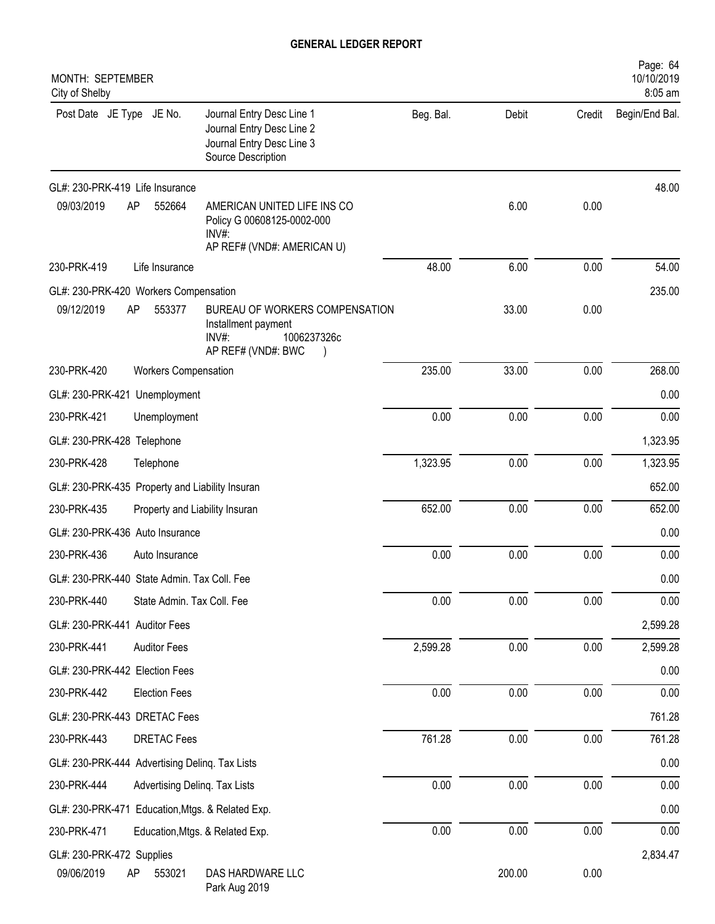| MONTH: SEPTEMBER<br>City of Shelby                                                                                                    |           |        |        | Page: 64<br>10/10/2019<br>8:05 am |
|---------------------------------------------------------------------------------------------------------------------------------------|-----------|--------|--------|-----------------------------------|
| Post Date JE Type JE No.<br>Journal Entry Desc Line 1<br>Journal Entry Desc Line 2<br>Journal Entry Desc Line 3<br>Source Description | Beg. Bal. | Debit  | Credit | Begin/End Bal.                    |
| GL#: 230-PRK-419 Life Insurance                                                                                                       |           |        |        | 48.00                             |
| 09/03/2019<br>552664<br>AMERICAN UNITED LIFE INS CO<br>AP<br>Policy G 00608125-0002-000<br>INV#:<br>AP REF# (VND#: AMERICAN U)        |           | 6.00   | 0.00   |                                   |
| 230-PRK-419<br>Life Insurance                                                                                                         | 48.00     | 6.00   | 0.00   | 54.00                             |
| GL#: 230-PRK-420 Workers Compensation                                                                                                 |           |        |        | 235.00                            |
| 09/12/2019<br>553377<br>AP<br>BUREAU OF WORKERS COMPENSATION<br>Installment payment<br>1006237326c<br>$INV#$ :<br>AP REF# (VND#: BWC  |           | 33.00  | 0.00   |                                   |
| 230-PRK-420<br><b>Workers Compensation</b>                                                                                            | 235.00    | 33.00  | 0.00   | 268.00                            |
| GL#: 230-PRK-421 Unemployment                                                                                                         |           |        |        | 0.00                              |
| 230-PRK-421<br>Unemployment                                                                                                           | 0.00      | 0.00   | 0.00   | 0.00                              |
| GL#: 230-PRK-428 Telephone                                                                                                            |           |        |        | 1,323.95                          |
| 230-PRK-428<br>Telephone                                                                                                              | 1,323.95  | 0.00   | 0.00   | 1,323.95                          |
| GL#: 230-PRK-435 Property and Liability Insuran                                                                                       |           |        |        | 652.00                            |
| 230-PRK-435<br>Property and Liability Insuran                                                                                         | 652.00    | 0.00   | 0.00   | 652.00                            |
| GL#: 230-PRK-436 Auto Insurance                                                                                                       |           |        |        | 0.00                              |
| 230-PRK-436<br>Auto Insurance                                                                                                         | 0.00      | 0.00   | 0.00   | 0.00                              |
| GL#: 230-PRK-440 State Admin. Tax Coll. Fee                                                                                           |           |        |        | 0.00                              |
| 230-PRK-440<br>State Admin. Tax Coll. Fee                                                                                             | 0.00      | 0.00   | 0.00   | 0.00                              |
| GL#: 230-PRK-441 Auditor Fees                                                                                                         |           |        |        | 2,599.28                          |
| 230-PRK-441<br><b>Auditor Fees</b>                                                                                                    | 2,599.28  | 0.00   | 0.00   | 2,599.28                          |
| GL#: 230-PRK-442 Election Fees                                                                                                        |           |        |        | 0.00                              |
| 230-PRK-442<br><b>Election Fees</b>                                                                                                   | 0.00      | 0.00   | 0.00   | 0.00                              |
| GL#: 230-PRK-443 DRETAC Fees                                                                                                          |           |        |        | 761.28                            |
| 230-PRK-443<br><b>DRETAC Fees</b>                                                                                                     | 761.28    | 0.00   | 0.00   | 761.28                            |
| GL#: 230-PRK-444 Advertising Delinq. Tax Lists                                                                                        |           |        |        | 0.00                              |
| 230-PRK-444<br>Advertising Delinq. Tax Lists                                                                                          | 0.00      | 0.00   | 0.00   | 0.00                              |
| GL#: 230-PRK-471 Education, Mtgs. & Related Exp.                                                                                      |           |        |        | 0.00                              |
| 230-PRK-471<br>Education, Mtgs. & Related Exp.                                                                                        | 0.00      | 0.00   | 0.00   | 0.00                              |
| GL#: 230-PRK-472 Supplies                                                                                                             |           |        |        | 2,834.47                          |
| 09/06/2019<br>DAS HARDWARE LLC<br>553021<br>AP<br>Park Aug 2019                                                                       |           | 200.00 | 0.00   |                                   |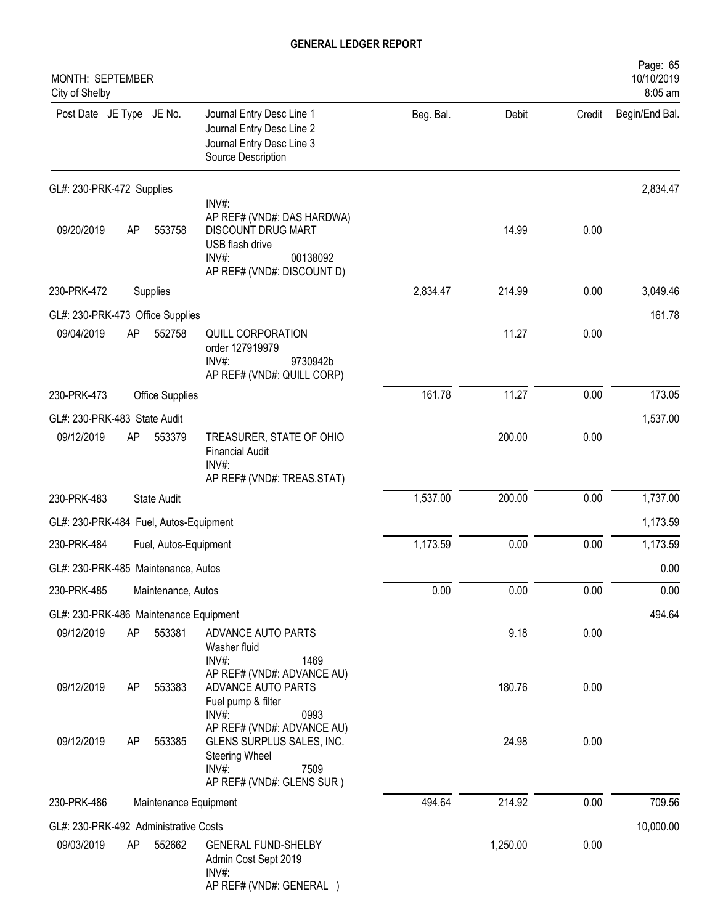| MONTH: SEPTEMBER<br>City of Shelby     |    |                        |                                                                                                                                 |           |          |        | Page: 65<br>10/10/2019<br>8:05 am |
|----------------------------------------|----|------------------------|---------------------------------------------------------------------------------------------------------------------------------|-----------|----------|--------|-----------------------------------|
| Post Date JE Type JE No.               |    |                        | Journal Entry Desc Line 1<br>Journal Entry Desc Line 2<br>Journal Entry Desc Line 3<br>Source Description                       | Beg. Bal. | Debit    | Credit | Begin/End Bal.                    |
| GL#: 230-PRK-472 Supplies              |    |                        |                                                                                                                                 |           |          |        | 2,834.47                          |
| 09/20/2019                             | AP | 553758                 | INV#:<br>AP REF# (VND#: DAS HARDWA)<br>DISCOUNT DRUG MART<br>USB flash drive<br>INV#:<br>00138092<br>AP REF# (VND#: DISCOUNT D) |           | 14.99    | 0.00   |                                   |
| 230-PRK-472                            |    | Supplies               |                                                                                                                                 | 2,834.47  | 214.99   | 0.00   | 3,049.46                          |
| GL#: 230-PRK-473 Office Supplies       |    |                        |                                                                                                                                 |           |          |        | 161.78                            |
| 09/04/2019                             | AP | 552758                 | <b>QUILL CORPORATION</b><br>order 127919979<br>$INV#$ :<br>9730942b<br>AP REF# (VND#: QUILL CORP)                               |           | 11.27    | 0.00   |                                   |
| 230-PRK-473                            |    | <b>Office Supplies</b> |                                                                                                                                 | 161.78    | 11.27    | 0.00   | 173.05                            |
| GL#: 230-PRK-483 State Audit           |    |                        |                                                                                                                                 |           |          |        | 1,537.00                          |
| 09/12/2019                             | AP | 553379                 | TREASURER, STATE OF OHIO<br><b>Financial Audit</b><br>INV#<br>AP REF# (VND#: TREAS.STAT)                                        |           | 200.00   | 0.00   |                                   |
| 230-PRK-483                            |    | <b>State Audit</b>     |                                                                                                                                 | 1,537.00  | 200.00   | 0.00   | 1,737.00                          |
| GL#: 230-PRK-484 Fuel, Autos-Equipment |    |                        |                                                                                                                                 |           |          |        | 1,173.59                          |
| 230-PRK-484                            |    | Fuel, Autos-Equipment  |                                                                                                                                 | 1,173.59  | 0.00     | 0.00   | 1,173.59                          |
| GL#: 230-PRK-485 Maintenance, Autos    |    |                        |                                                                                                                                 |           |          |        | 0.00                              |
| 230-PRK-485                            |    | Maintenance, Autos     |                                                                                                                                 | 0.00      | 0.00     | 0.00   | 0.00                              |
| GL#: 230-PRK-486 Maintenance Equipment |    |                        |                                                                                                                                 |           |          |        | 494.64                            |
| 09/12/2019                             | AP | 553381                 | ADVANCE AUTO PARTS<br>Washer fluid<br>$INV#$ :<br>1469                                                                          |           | 9.18     | 0.00   |                                   |
| 09/12/2019                             | AP | 553383                 | AP REF# (VND#: ADVANCE AU)<br>ADVANCE AUTO PARTS<br>Fuel pump & filter<br>INV#:<br>0993                                         |           | 180.76   | 0.00   |                                   |
| 09/12/2019                             | AP | 553385                 | AP REF# (VND#: ADVANCE AU)<br>GLENS SURPLUS SALES, INC.<br><b>Steering Wheel</b><br>INV#:<br>7509<br>AP REF# (VND#: GLENS SUR)  |           | 24.98    | 0.00   |                                   |
| 230-PRK-486                            |    | Maintenance Equipment  |                                                                                                                                 | 494.64    | 214.92   | 0.00   | 709.56                            |
| GL#: 230-PRK-492 Administrative Costs  |    |                        |                                                                                                                                 |           |          |        | 10,000.00                         |
| 09/03/2019                             | AP | 552662                 | <b>GENERAL FUND-SHELBY</b><br>Admin Cost Sept 2019<br>INV#:<br>AP REF# (VND#: GENERAL )                                         |           | 1,250.00 | 0.00   |                                   |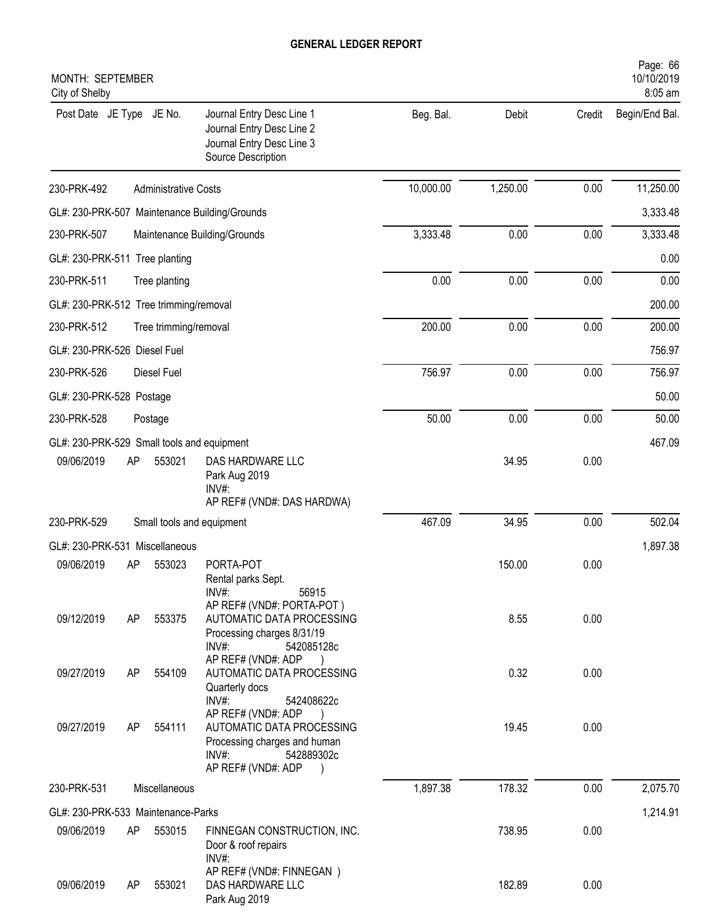| MONTH: SEPTEMBER<br>City of Shelby         |    |                             |                                                                                                                              |           |          |        | Page: 66<br>10/10/2019<br>8:05 am |
|--------------------------------------------|----|-----------------------------|------------------------------------------------------------------------------------------------------------------------------|-----------|----------|--------|-----------------------------------|
| Post Date JE Type JE No.                   |    |                             | Journal Entry Desc Line 1<br>Journal Entry Desc Line 2<br>Journal Entry Desc Line 3<br>Source Description                    | Beg. Bal. | Debit    | Credit | Begin/End Bal.                    |
| 230-PRK-492                                |    | <b>Administrative Costs</b> |                                                                                                                              | 10,000.00 | 1,250.00 | 0.00   | 11,250.00                         |
|                                            |    |                             | GL#: 230-PRK-507 Maintenance Building/Grounds                                                                                |           |          |        | 3,333.48                          |
| 230-PRK-507                                |    |                             | Maintenance Building/Grounds                                                                                                 | 3,333.48  | 0.00     | 0.00   | 3,333.48                          |
| GL#: 230-PRK-511 Tree planting             |    |                             |                                                                                                                              |           |          |        | 0.00                              |
| 230-PRK-511                                |    | Tree planting               |                                                                                                                              | 0.00      | 0.00     | 0.00   | 0.00                              |
| GL#: 230-PRK-512 Tree trimming/removal     |    |                             |                                                                                                                              |           |          |        | 200.00                            |
| 230-PRK-512                                |    | Tree trimming/removal       |                                                                                                                              | 200.00    | 0.00     | 0.00   | 200.00                            |
| GL#: 230-PRK-526 Diesel Fuel               |    |                             |                                                                                                                              |           |          |        | 756.97                            |
| 230-PRK-526                                |    | Diesel Fuel                 |                                                                                                                              | 756.97    | 0.00     | 0.00   | 756.97                            |
| GL#: 230-PRK-528 Postage                   |    |                             |                                                                                                                              |           |          |        | 50.00                             |
| 230-PRK-528                                |    | Postage                     |                                                                                                                              | 50.00     | 0.00     | 0.00   | 50.00                             |
| GL#: 230-PRK-529 Small tools and equipment |    |                             |                                                                                                                              |           |          |        | 467.09                            |
| 09/06/2019                                 | AP | 553021                      | DAS HARDWARE LLC<br>Park Aug 2019<br>INV#:<br>AP REF# (VND#: DAS HARDWA)                                                     |           | 34.95    | 0.00   |                                   |
| 230-PRK-529                                |    |                             | Small tools and equipment                                                                                                    | 467.09    | 34.95    | 0.00   | 502.04                            |
| GL#: 230-PRK-531 Miscellaneous             |    |                             |                                                                                                                              |           |          |        | 1,897.38                          |
| 09/06/2019                                 | AP | 553023                      | PORTA-POT<br>Rental parks Sept.<br>INV#:<br>56915                                                                            |           | 150.00   | 0.00   |                                   |
| 09/12/2019                                 | AP | 553375                      | AP REF# (VND#: PORTA-POT)<br>AUTOMATIC DATA PROCESSING<br>Processing charges 8/31/19<br>INV#:<br>542085128c                  |           | 8.55     | 0.00   |                                   |
| 09/27/2019                                 | AP | 554109                      | AP REF# (VND#: ADP<br>AUTOMATIC DATA PROCESSING<br>Quarterly docs<br>INV#:<br>542408622c                                     |           | 0.32     | 0.00   |                                   |
| 09/27/2019                                 | AP | 554111                      | AP REF# (VND#: ADP<br>AUTOMATIC DATA PROCESSING<br>Processing charges and human<br>INV#:<br>542889302c<br>AP REF# (VND#: ADP |           | 19.45    | 0.00   |                                   |
| 230-PRK-531                                |    | Miscellaneous               |                                                                                                                              | 1,897.38  | 178.32   | 0.00   | 2,075.70                          |
| GL#: 230-PRK-533 Maintenance-Parks         |    |                             |                                                                                                                              |           |          |        | 1,214.91                          |
| 09/06/2019                                 | AP | 553015                      | FINNEGAN CONSTRUCTION, INC.<br>Door & roof repairs<br>INV#:                                                                  |           | 738.95   | 0.00   |                                   |
| 09/06/2019                                 | AP | 553021                      | AP REF# (VND#: FINNEGAN)<br>DAS HARDWARE LLC<br>Park Aug 2019                                                                |           | 182.89   | 0.00   |                                   |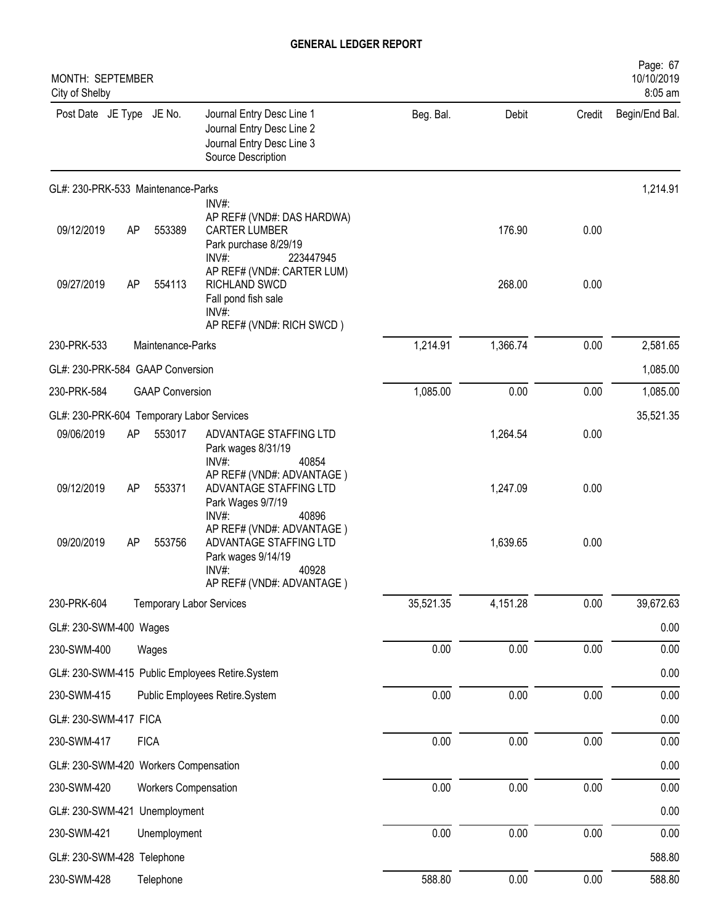| MONTH: SEPTEMBER<br>City of Shelby        |    |                             |                                                                                                                          |           |          |          | Page: 67<br>10/10/2019<br>8:05 am |
|-------------------------------------------|----|-----------------------------|--------------------------------------------------------------------------------------------------------------------------|-----------|----------|----------|-----------------------------------|
| Post Date JE Type JE No.                  |    |                             | Journal Entry Desc Line 1<br>Journal Entry Desc Line 2<br>Journal Entry Desc Line 3<br>Source Description                | Beg. Bal. | Debit    | Credit   | Begin/End Bal.                    |
| GL#: 230-PRK-533 Maintenance-Parks        |    |                             |                                                                                                                          |           |          |          | 1,214.91                          |
| 09/12/2019                                | AP | 553389                      | INV#:<br>AP REF# (VND#: DAS HARDWA)<br><b>CARTER LUMBER</b><br>Park purchase 8/29/19<br>INV#:<br>223447945               |           | 176.90   | 0.00     |                                   |
| 09/27/2019                                | AP | 554113                      | AP REF# (VND#: CARTER LUM)<br>RICHLAND SWCD<br>Fall pond fish sale<br>INV#:<br>AP REF# (VND#: RICH SWCD)                 |           | 268.00   | 0.00     |                                   |
| 230-PRK-533                               |    | Maintenance-Parks           |                                                                                                                          | 1,214.91  | 1,366.74 | 0.00     | 2,581.65                          |
| GL#: 230-PRK-584 GAAP Conversion          |    |                             |                                                                                                                          |           |          |          | 1,085.00                          |
| 230-PRK-584                               |    | <b>GAAP Conversion</b>      |                                                                                                                          | 1,085.00  | 0.00     | 0.00     | 1,085.00                          |
| GL#: 230-PRK-604 Temporary Labor Services |    |                             |                                                                                                                          |           |          |          | 35,521.35                         |
| 09/06/2019                                | AP | 553017                      | ADVANTAGE STAFFING LTD<br>Park wages 8/31/19<br>INV#:<br>40854                                                           |           | 1,264.54 | 0.00     |                                   |
| 09/12/2019                                | AP | 553371                      | AP REF# (VND#: ADVANTAGE)<br>ADVANTAGE STAFFING LTD<br>Park Wages 9/7/19<br>INV#:<br>40896                               |           | 1,247.09 | 0.00     |                                   |
| 09/20/2019                                | AP | 553756                      | AP REF# (VND#: ADVANTAGE)<br>ADVANTAGE STAFFING LTD<br>Park wages 9/14/19<br>40928<br>INV#:<br>AP REF# (VND#: ADVANTAGE) |           | 1,639.65 | 0.00     |                                   |
| 230-PRK-604                               |    |                             | <b>Temporary Labor Services</b>                                                                                          | 35,521.35 | 4,151.28 | 0.00     | 39,672.63                         |
| GL#: 230-SWM-400 Wages                    |    |                             |                                                                                                                          |           |          |          | 0.00                              |
| 230-SWM-400                               |    | Wages                       |                                                                                                                          | 0.00      | 0.00     | $0.00\,$ | 0.00                              |
|                                           |    |                             | GL#: 230-SWM-415 Public Employees Retire.System                                                                          |           |          |          | 0.00                              |
| 230-SWM-415                               |    |                             | Public Employees Retire.System                                                                                           | 0.00      | 0.00     | 0.00     | 0.00                              |
| GL#: 230-SWM-417 FICA                     |    |                             |                                                                                                                          |           |          |          | $0.00\,$                          |
| 230-SWM-417                               |    | <b>FICA</b>                 |                                                                                                                          | 0.00      | 0.00     | 0.00     | 0.00                              |
| GL#: 230-SWM-420 Workers Compensation     |    |                             |                                                                                                                          |           |          |          | 0.00                              |
| 230-SWM-420                               |    | <b>Workers Compensation</b> |                                                                                                                          | 0.00      | 0.00     | 0.00     | 0.00                              |
| GL#: 230-SWM-421 Unemployment             |    |                             |                                                                                                                          |           |          |          | 0.00                              |
| 230-SWM-421                               |    | Unemployment                |                                                                                                                          | 0.00      | 0.00     | 0.00     | 0.00                              |
| GL#: 230-SWM-428 Telephone                |    |                             |                                                                                                                          |           |          |          | 588.80                            |
| 230-SWM-428                               |    | Telephone                   |                                                                                                                          | 588.80    | 0.00     | 0.00     | 588.80                            |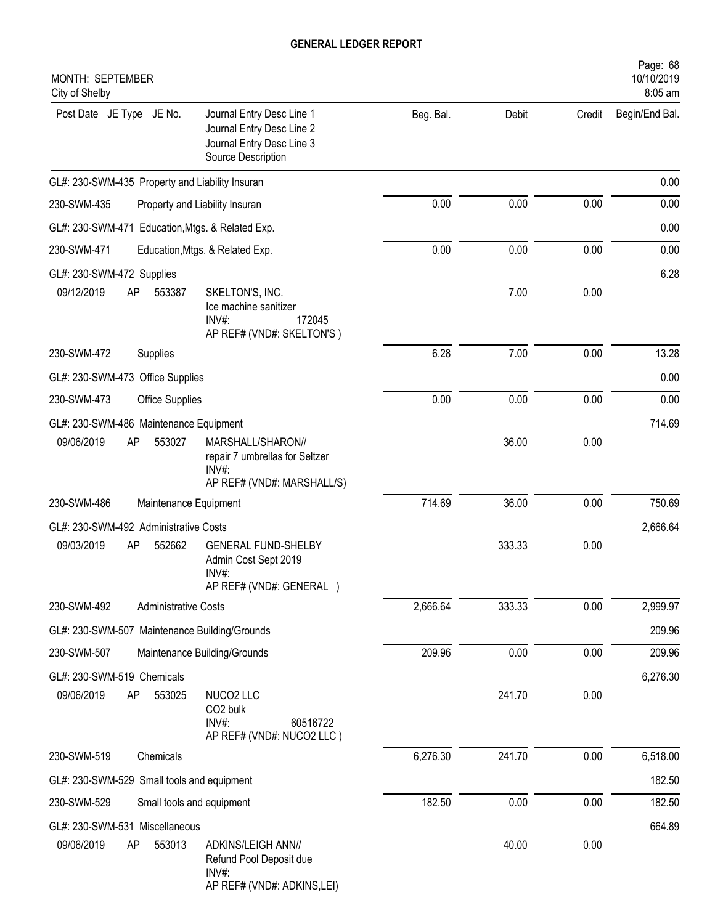| MONTH: SEPTEMBER<br>City of Shelby                                                                                                    |           |        |        | Page: 68<br>10/10/2019<br>8:05 am |
|---------------------------------------------------------------------------------------------------------------------------------------|-----------|--------|--------|-----------------------------------|
| Post Date JE Type JE No.<br>Journal Entry Desc Line 1<br>Journal Entry Desc Line 2<br>Journal Entry Desc Line 3<br>Source Description | Beg. Bal. | Debit  | Credit | Begin/End Bal.                    |
| GL#: 230-SWM-435 Property and Liability Insuran                                                                                       |           |        |        | 0.00                              |
| 230-SWM-435<br>Property and Liability Insuran                                                                                         | 0.00      | 0.00   | 0.00   | 0.00                              |
| GL#: 230-SWM-471<br>Education, Mtgs. & Related Exp.                                                                                   |           |        |        | 0.00                              |
| 230-SWM-471<br>Education, Mtgs. & Related Exp.                                                                                        | 0.00      | 0.00   | 0.00   | 0.00                              |
| GL#: 230-SWM-472 Supplies                                                                                                             |           |        |        | 6.28                              |
| 09/12/2019<br>AP<br>553387<br>SKELTON'S, INC.<br>Ice machine sanitizer<br>$INV#$ :<br>172045<br>AP REF# (VND#: SKELTON'S)             |           | 7.00   | 0.00   |                                   |
| 230-SWM-472<br>Supplies                                                                                                               | 6.28      | 7.00   | 0.00   | 13.28                             |
| GL#: 230-SWM-473 Office Supplies                                                                                                      |           |        |        | 0.00                              |
| 230-SWM-473<br>Office Supplies                                                                                                        | 0.00      | 0.00   | 0.00   | 0.00                              |
| GL#: 230-SWM-486 Maintenance Equipment                                                                                                |           |        |        | 714.69                            |
| 09/06/2019<br>553027<br>MARSHALL/SHARON//<br>AP<br>repair 7 umbrellas for Seltzer<br>INV#:<br>AP REF# (VND#: MARSHALL/S)              |           | 36.00  | 0.00   |                                   |
| 230-SWM-486<br>Maintenance Equipment                                                                                                  | 714.69    | 36.00  | 0.00   | 750.69                            |
| GL#: 230-SWM-492 Administrative Costs                                                                                                 |           |        |        | 2,666.64                          |
| 09/03/2019<br>552662<br><b>GENERAL FUND-SHELBY</b><br>AP<br>Admin Cost Sept 2019<br>INV#:<br>AP REF# (VND#: GENERAL )                 |           | 333.33 | 0.00   |                                   |
| 230-SWM-492<br><b>Administrative Costs</b>                                                                                            | 2,666.64  | 333.33 | 0.00   | 2,999.97                          |
| GL#: 230-SWM-507 Maintenance Building/Grounds                                                                                         |           |        |        | 209.96                            |
| 230-SWM-507<br>Maintenance Building/Grounds                                                                                           | 209.96    | 0.00   | 0.00   | 209.96                            |
| GL#: 230-SWM-519 Chemicals                                                                                                            |           |        |        | 6,276.30                          |
| AP<br>NUCO2 LLC<br>09/06/2019<br>553025<br>CO <sub>2</sub> bulk<br>INV#:<br>60516722<br>AP REF# (VND#: NUCO2 LLC)                     |           | 241.70 | 0.00   |                                   |
| 230-SWM-519<br>Chemicals                                                                                                              | 6,276.30  | 241.70 | 0.00   | 6,518.00                          |
| GL#: 230-SWM-529<br>Small tools and equipment                                                                                         |           |        |        | 182.50                            |
| 230-SWM-529<br>Small tools and equipment                                                                                              | 182.50    | 0.00   | 0.00   | 182.50                            |
| GL#: 230-SWM-531 Miscellaneous                                                                                                        |           |        |        | 664.89                            |
| 09/06/2019<br>553013<br>ADKINS/LEIGH ANN//<br>AP<br>Refund Pool Deposit due<br>INV#:<br>AP REF# (VND#: ADKINS,LEI)                    |           | 40.00  | 0.00   |                                   |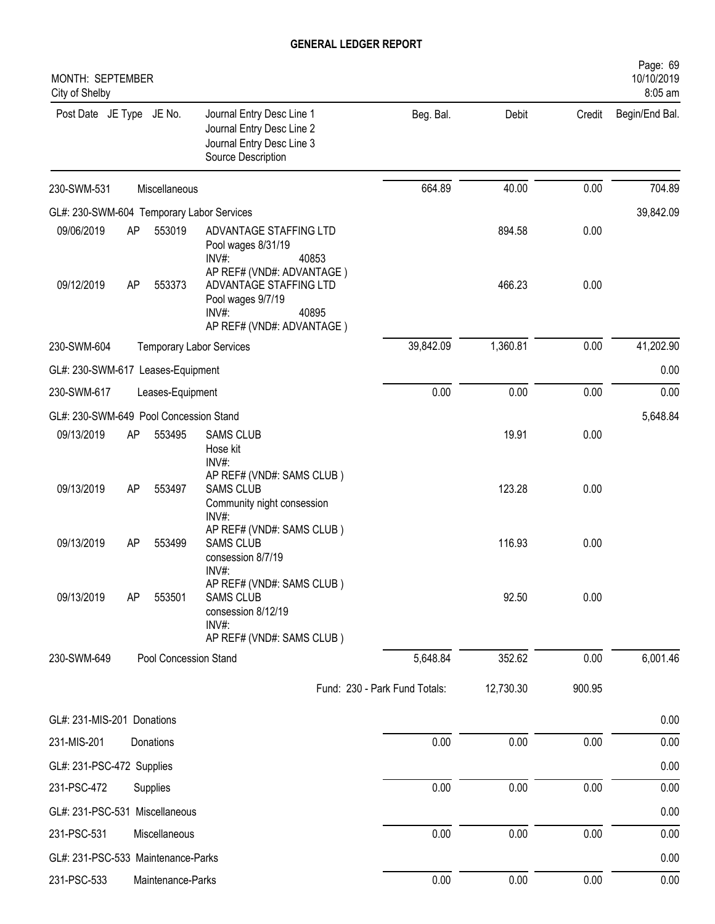| MONTH: SEPTEMBER<br>City of Shelby        |    |                       |                                                                                                                            |                               |           |        | Page: 69<br>10/10/2019<br>8:05 am |
|-------------------------------------------|----|-----------------------|----------------------------------------------------------------------------------------------------------------------------|-------------------------------|-----------|--------|-----------------------------------|
| Post Date JE Type JE No.                  |    |                       | Journal Entry Desc Line 1<br>Journal Entry Desc Line 2<br>Journal Entry Desc Line 3<br>Source Description                  | Beg. Bal.                     | Debit     | Credit | Begin/End Bal.                    |
| 230-SWM-531                               |    | Miscellaneous         |                                                                                                                            | 664.89                        | 40.00     | 0.00   | 704.89                            |
| GL#: 230-SWM-604 Temporary Labor Services |    |                       |                                                                                                                            |                               |           |        | 39,842.09                         |
| 09/06/2019                                | AP | 553019                | ADVANTAGE STAFFING LTD<br>Pool wages 8/31/19<br>INV#:<br>40853                                                             |                               | 894.58    | 0.00   |                                   |
| 09/12/2019                                | AP | 553373                | AP REF# (VND#: ADVANTAGE)<br>ADVANTAGE STAFFING LTD<br>Pool wages 9/7/19<br>40895<br>$INV#$ :<br>AP REF# (VND#: ADVANTAGE) |                               | 466.23    | 0.00   |                                   |
| 230-SWM-604                               |    |                       | <b>Temporary Labor Services</b>                                                                                            | 39,842.09                     | 1,360.81  | 0.00   | 41,202.90                         |
| GL#: 230-SWM-617 Leases-Equipment         |    |                       |                                                                                                                            |                               |           |        | 0.00                              |
| 230-SWM-617                               |    | Leases-Equipment      |                                                                                                                            | 0.00                          | 0.00      | 0.00   | 0.00                              |
| GL#: 230-SWM-649 Pool Concession Stand    |    |                       |                                                                                                                            |                               |           |        | 5,648.84                          |
| 09/13/2019                                | AP | 553495                | <b>SAMS CLUB</b><br>Hose kit<br>INV#:                                                                                      |                               | 19.91     | 0.00   |                                   |
| 09/13/2019                                | AP | 553497                | AP REF# (VND#: SAMS CLUB)<br><b>SAMS CLUB</b><br>Community night consession<br>INV#:                                       |                               | 123.28    | 0.00   |                                   |
| 09/13/2019                                | AP | 553499                | AP REF# (VND#: SAMS CLUB)<br><b>SAMS CLUB</b><br>consession 8/7/19<br>INV#:                                                |                               | 116.93    | 0.00   |                                   |
| 09/13/2019                                | AP | 553501                | AP REF# (VND#: SAMS CLUB)<br><b>SAMS CLUB</b><br>consession 8/12/19<br>INV#:<br>AP REF# (VND#: SAMS CLUB)                  |                               | 92.50     | 0.00   |                                   |
| 230-SWM-649                               |    | Pool Concession Stand |                                                                                                                            | 5,648.84                      | 352.62    | 0.00   | 6,001.46                          |
|                                           |    |                       |                                                                                                                            | Fund: 230 - Park Fund Totals: | 12,730.30 | 900.95 |                                   |
|                                           |    |                       |                                                                                                                            |                               |           |        |                                   |
| GL#: 231-MIS-201 Donations                |    |                       |                                                                                                                            |                               | 0.00      |        | 0.00                              |
| 231-MIS-201                               |    | Donations             |                                                                                                                            | 0.00                          |           | 0.00   | 0.00                              |
| GL#: 231-PSC-472 Supplies                 |    |                       |                                                                                                                            |                               |           |        | 0.00                              |
| 231-PSC-472                               |    | Supplies              |                                                                                                                            | 0.00                          | 0.00      | 0.00   | 0.00                              |
| GL#: 231-PSC-531 Miscellaneous            |    |                       |                                                                                                                            |                               |           |        | 0.00                              |
| 231-PSC-531                               |    | Miscellaneous         |                                                                                                                            | 0.00                          | 0.00      | 0.00   | 0.00                              |
| GL#: 231-PSC-533 Maintenance-Parks        |    |                       |                                                                                                                            |                               |           |        | 0.00                              |
| 231-PSC-533                               |    | Maintenance-Parks     |                                                                                                                            | 0.00                          | 0.00      | 0.00   | 0.00                              |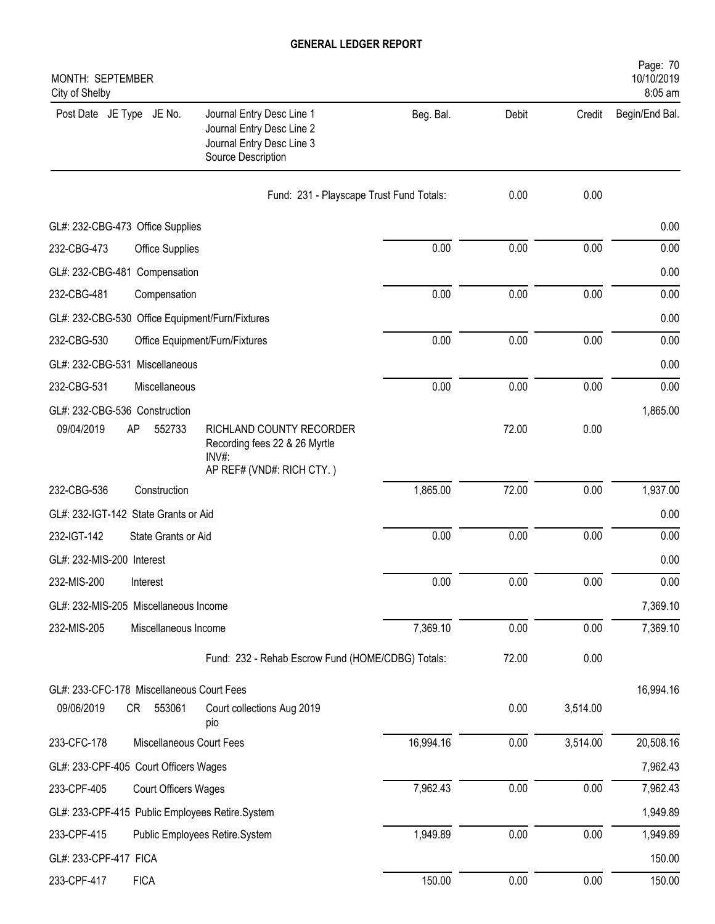| MONTH: SEPTEMBER<br>City of Shelby                                                                                                                             |                                          |       |          | Page: 70<br>10/10/2019<br>8:05 am |
|----------------------------------------------------------------------------------------------------------------------------------------------------------------|------------------------------------------|-------|----------|-----------------------------------|
| Post Date JE Type JE No.<br>Journal Entry Desc Line 1<br>Journal Entry Desc Line 2<br>Journal Entry Desc Line 3<br>Source Description                          | Beg. Bal.                                | Debit | Credit   | Begin/End Bal.                    |
|                                                                                                                                                                | Fund: 231 - Playscape Trust Fund Totals: | 0.00  | 0.00     |                                   |
| GL#: 232-CBG-473 Office Supplies                                                                                                                               |                                          |       |          | 0.00                              |
| 232-CBG-473<br>Office Supplies                                                                                                                                 | 0.00                                     | 0.00  | 0.00     | 0.00                              |
| GL#: 232-CBG-481 Compensation                                                                                                                                  |                                          |       |          | 0.00                              |
| 232-CBG-481<br>Compensation                                                                                                                                    | 0.00                                     | 0.00  | 0.00     | 0.00                              |
| GL#: 232-CBG-530 Office Equipment/Furn/Fixtures                                                                                                                |                                          |       |          | 0.00                              |
| 232-CBG-530<br>Office Equipment/Furn/Fixtures                                                                                                                  | 0.00                                     | 0.00  | 0.00     | 0.00                              |
| GL#: 232-CBG-531 Miscellaneous                                                                                                                                 |                                          |       |          | 0.00                              |
| 232-CBG-531<br>Miscellaneous                                                                                                                                   | 0.00                                     | 0.00  | 0.00     | 0.00                              |
| GL#: 232-CBG-536 Construction<br>09/04/2019<br>AP<br>552733<br>RICHLAND COUNTY RECORDER<br>Recording fees 22 & 26 Myrtle<br>INV#:<br>AP REF# (VND#: RICH CTY.) |                                          | 72.00 | 0.00     | 1,865.00                          |
| 232-CBG-536<br>Construction                                                                                                                                    | 1,865.00                                 | 72.00 | 0.00     | 1,937.00                          |
| GL#: 232-IGT-142 State Grants or Aid                                                                                                                           |                                          |       |          | 0.00                              |
| 232-IGT-142<br>State Grants or Aid                                                                                                                             | 0.00                                     | 0.00  | 0.00     | 0.00                              |
| GL#: 232-MIS-200 Interest                                                                                                                                      |                                          |       |          | 0.00                              |
| 232-MIS-200<br>Interest                                                                                                                                        | 0.00                                     | 0.00  | 0.00     | 0.00                              |
| GL#: 232-MIS-205 Miscellaneous Income                                                                                                                          |                                          |       |          | 7,369.10                          |
| 232-MIS-205<br>Miscellaneous Income                                                                                                                            | 7,369.10                                 | 0.00  | 0.00     | 7,369.10                          |
| Fund: 232 - Rehab Escrow Fund (HOME/CDBG) Totals:                                                                                                              |                                          | 72.00 | 0.00     |                                   |
| GL#: 233-CFC-178 Miscellaneous Court Fees                                                                                                                      |                                          |       |          | 16,994.16                         |
| 09/06/2019<br>CR<br>553061<br>Court collections Aug 2019<br>pio                                                                                                |                                          | 0.00  | 3,514.00 |                                   |
| Miscellaneous Court Fees<br>233-CFC-178                                                                                                                        | 16,994.16                                | 0.00  | 3,514.00 | 20,508.16                         |
| GL#: 233-CPF-405 Court Officers Wages                                                                                                                          |                                          |       |          | 7,962.43                          |
| 233-CPF-405<br>Court Officers Wages                                                                                                                            | 7,962.43                                 | 0.00  | 0.00     | 7,962.43                          |
| GL#: 233-CPF-415 Public Employees Retire.System                                                                                                                |                                          |       |          | 1,949.89                          |
| 233-CPF-415<br>Public Employees Retire.System                                                                                                                  | 1,949.89                                 | 0.00  | 0.00     | 1,949.89                          |
| GL#: 233-CPF-417 FICA                                                                                                                                          |                                          |       |          | 150.00                            |
| 233-CPF-417<br><b>FICA</b>                                                                                                                                     | 150.00                                   | 0.00  | 0.00     | 150.00                            |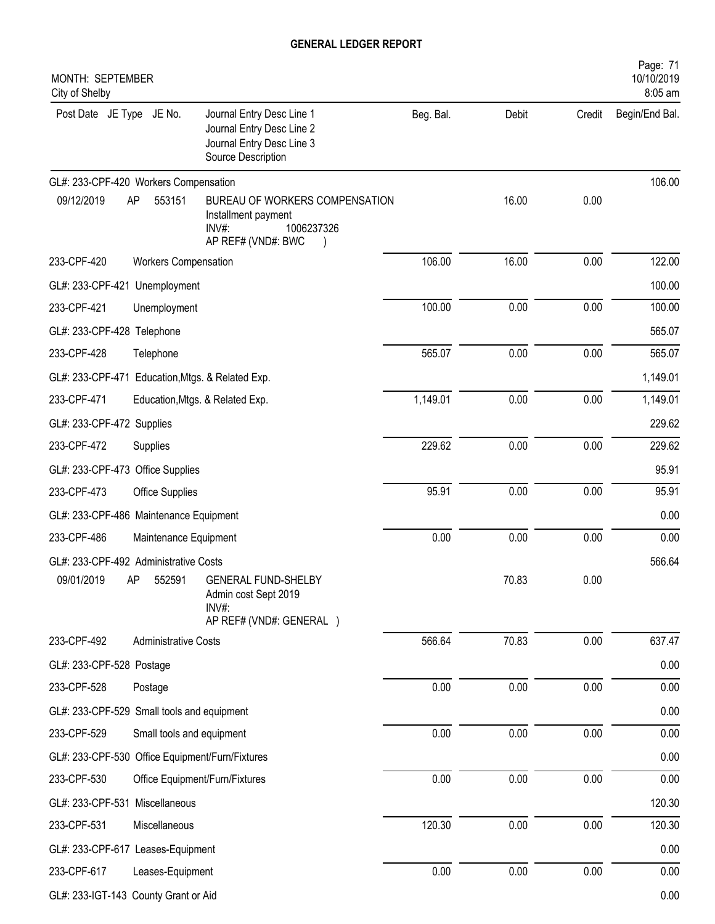| MONTH: SEPTEMBER<br>City of Shelby                                                                                                    |           |       |        | Page: 71<br>10/10/2019<br>8:05 am |
|---------------------------------------------------------------------------------------------------------------------------------------|-----------|-------|--------|-----------------------------------|
| Post Date JE Type JE No.<br>Journal Entry Desc Line 1<br>Journal Entry Desc Line 2<br>Journal Entry Desc Line 3<br>Source Description | Beg. Bal. | Debit | Credit | Begin/End Bal.                    |
| GL#: 233-CPF-420 Workers Compensation                                                                                                 |           |       |        | 106.00                            |
| 09/12/2019<br>553151<br>AP<br>BUREAU OF WORKERS COMPENSATION<br>Installment payment<br>$INV#$ :<br>1006237326<br>AP REF# (VND#: BWC   |           | 16.00 | 0.00   |                                   |
| 233-CPF-420<br><b>Workers Compensation</b>                                                                                            | 106.00    | 16.00 | 0.00   | 122.00                            |
| GL#: 233-CPF-421 Unemployment                                                                                                         |           |       |        | 100.00                            |
| 233-CPF-421<br>Unemployment                                                                                                           | 100.00    | 0.00  | 0.00   | 100.00                            |
| GL#: 233-CPF-428 Telephone                                                                                                            |           |       |        | 565.07                            |
| 233-CPF-428<br>Telephone                                                                                                              | 565.07    | 0.00  | 0.00   | 565.07                            |
| GL#: 233-CPF-471 Education, Mtgs. & Related Exp.                                                                                      |           |       |        | 1,149.01                          |
| 233-CPF-471<br>Education, Mtgs. & Related Exp.                                                                                        | 1,149.01  | 0.00  | 0.00   | 1,149.01                          |
| GL#: 233-CPF-472 Supplies                                                                                                             |           |       |        | 229.62                            |
| 233-CPF-472<br>Supplies                                                                                                               | 229.62    | 0.00  | 0.00   | 229.62                            |
| GL#: 233-CPF-473 Office Supplies                                                                                                      |           |       |        | 95.91                             |
| 233-CPF-473<br>Office Supplies                                                                                                        | 95.91     | 0.00  | 0.00   | 95.91                             |
| GL#: 233-CPF-486 Maintenance Equipment                                                                                                |           |       |        | 0.00                              |
| 233-CPF-486<br>Maintenance Equipment                                                                                                  | 0.00      | 0.00  | 0.00   | 0.00                              |
| GL#: 233-CPF-492 Administrative Costs                                                                                                 |           |       |        | 566.64                            |
| 09/01/2019<br>AP 552591 GENERAL FUND-SHELBY<br>Admin cost Sept 2019<br>INV#:<br>AP REF# (VND#: GENERAL )                              |           | 70.83 | 0.00   |                                   |
| 233-CPF-492<br><b>Administrative Costs</b>                                                                                            | 566.64    | 70.83 | 0.00   | 637.47                            |
| GL#: 233-CPF-528 Postage                                                                                                              |           |       |        | 0.00                              |
| 233-CPF-528<br>Postage                                                                                                                | 0.00      | 0.00  | 0.00   | 0.00                              |
| GL#: 233-CPF-529 Small tools and equipment                                                                                            |           |       |        | 0.00                              |
| 233-CPF-529<br>Small tools and equipment                                                                                              | 0.00      | 0.00  | 0.00   | 0.00                              |
| GL#: 233-CPF-530 Office Equipment/Furn/Fixtures                                                                                       |           |       |        | 0.00                              |
| 233-CPF-530<br>Office Equipment/Furn/Fixtures                                                                                         | 0.00      | 0.00  | 0.00   | 0.00                              |
| GL#: 233-CPF-531 Miscellaneous                                                                                                        |           |       |        | 120.30                            |
| 233-CPF-531<br>Miscellaneous                                                                                                          | 120.30    | 0.00  | 0.00   | 120.30                            |
| GL#: 233-CPF-617 Leases-Equipment                                                                                                     |           |       |        | 0.00                              |
| 233-CPF-617<br>Leases-Equipment                                                                                                       | 0.00      | 0.00  | 0.00   | 0.00                              |
| GL#: 233-IGT-143 County Grant or Aid                                                                                                  |           |       |        | 0.00                              |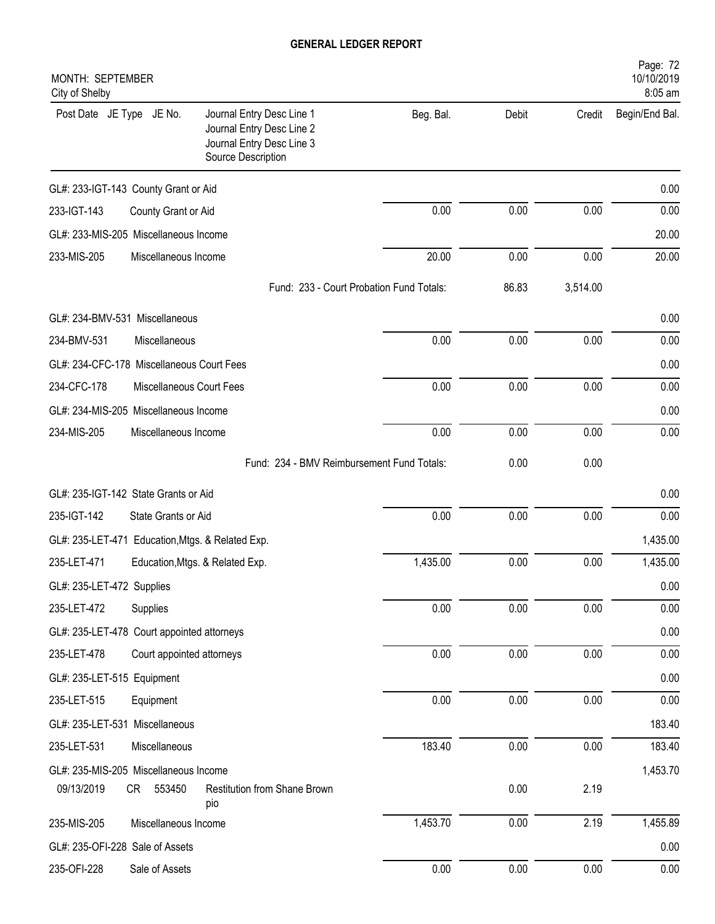| MONTH: SEPTEMBER<br>City of Shelby                                                                                                    |           |          |          | Page: 72<br>10/10/2019<br>8:05 am |
|---------------------------------------------------------------------------------------------------------------------------------------|-----------|----------|----------|-----------------------------------|
| Post Date JE Type JE No.<br>Journal Entry Desc Line 1<br>Journal Entry Desc Line 2<br>Journal Entry Desc Line 3<br>Source Description | Beg. Bal. | Debit    | Credit   | Begin/End Bal.                    |
| GL#: 233-IGT-143 County Grant or Aid                                                                                                  |           |          |          | 0.00                              |
| 233-IGT-143<br>County Grant or Aid                                                                                                    | 0.00      | 0.00     | 0.00     | 0.00                              |
| GL#: 233-MIS-205 Miscellaneous Income                                                                                                 |           |          |          | 20.00                             |
| 233-MIS-205<br>Miscellaneous Income                                                                                                   | 20.00     | 0.00     | 0.00     | 20.00                             |
| Fund: 233 - Court Probation Fund Totals:                                                                                              |           | 86.83    | 3,514.00 |                                   |
| GL#: 234-BMV-531 Miscellaneous                                                                                                        |           |          |          | 0.00                              |
| 234-BMV-531<br>Miscellaneous                                                                                                          | 0.00      | 0.00     | 0.00     | 0.00                              |
| GL#: 234-CFC-178 Miscellaneous Court Fees                                                                                             |           |          |          | 0.00                              |
| 234-CFC-178<br>Miscellaneous Court Fees                                                                                               | 0.00      | 0.00     | 0.00     | 0.00                              |
| GL#: 234-MIS-205 Miscellaneous Income                                                                                                 |           |          |          | 0.00                              |
| 234-MIS-205<br>Miscellaneous Income                                                                                                   | 0.00      | 0.00     | 0.00     | 0.00                              |
| Fund: 234 - BMV Reimbursement Fund Totals:                                                                                            |           | 0.00     | 0.00     |                                   |
| GL#: 235-IGT-142 State Grants or Aid                                                                                                  |           |          |          | 0.00                              |
| 235-IGT-142<br>State Grants or Aid                                                                                                    | 0.00      | 0.00     | 0.00     | 0.00                              |
| GL#: 235-LET-471 Education, Mtgs. & Related Exp.                                                                                      |           |          |          | 1,435.00                          |
| 235-LET-471<br>Education, Mtgs. & Related Exp.                                                                                        | 1,435.00  | 0.00     | 0.00     | 1,435.00                          |
| GL#: 235-LET-472 Supplies                                                                                                             |           |          |          | 0.00                              |
| 235-LET-472<br>Supplies                                                                                                               | 0.00      | 0.00     | 0.00     | 0.00                              |
| GL#: 235-LET-478 Court appointed attorneys                                                                                            |           |          |          | 0.00                              |
| 235-LET-478<br>Court appointed attorneys                                                                                              | 0.00      | 0.00     | 0.00     | 0.00                              |
| GL#: 235-LET-515 Equipment                                                                                                            |           |          |          | 0.00                              |
| 235-LET-515<br>Equipment                                                                                                              | 0.00      | 0.00     | 0.00     | 0.00                              |
| GL#: 235-LET-531 Miscellaneous                                                                                                        |           |          |          | 183.40                            |
| 235-LET-531<br>Miscellaneous                                                                                                          | 183.40    | 0.00     | 0.00     | 183.40                            |
| GL#: 235-MIS-205 Miscellaneous Income                                                                                                 |           |          |          | 1,453.70                          |
| Restitution from Shane Brown<br>09/13/2019<br>CR<br>553450<br>pio                                                                     |           | 0.00     | 2.19     |                                   |
| 235-MIS-205<br>Miscellaneous Income                                                                                                   | 1,453.70  | 0.00     | 2.19     | 1,455.89                          |
| GL#: 235-OFI-228 Sale of Assets                                                                                                       |           |          |          | 0.00                              |
| 235-OFI-228<br>Sale of Assets                                                                                                         | 0.00      | $0.00\,$ | 0.00     | 0.00                              |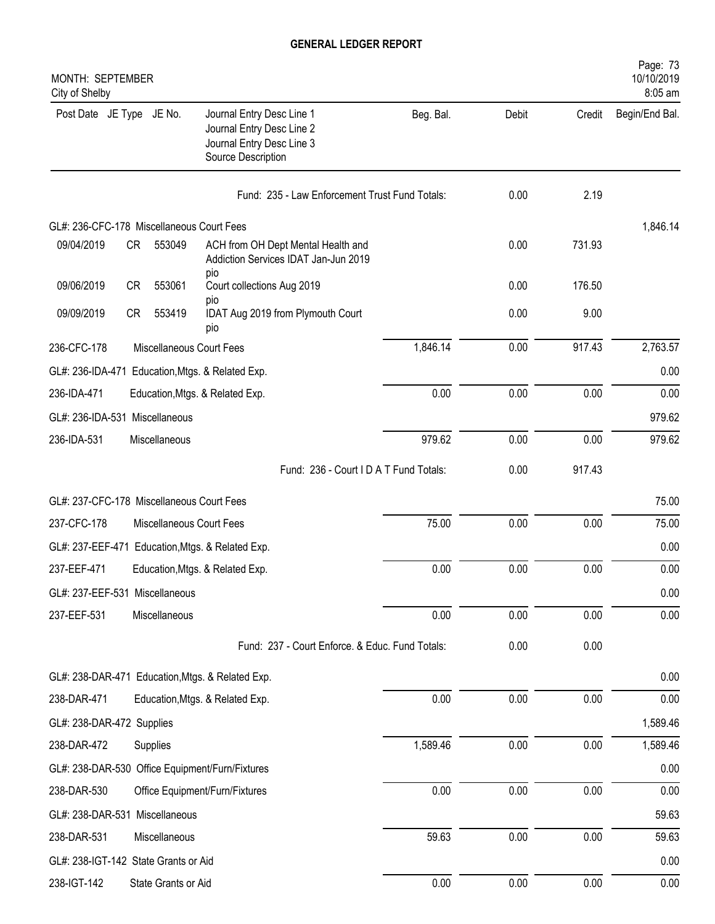| MONTH: SEPTEMBER<br>City of Shelby        |    |                          |                                                                                                           |           |       |        | Page: 73<br>10/10/2019<br>8:05 am |
|-------------------------------------------|----|--------------------------|-----------------------------------------------------------------------------------------------------------|-----------|-------|--------|-----------------------------------|
| Post Date JE Type JE No.                  |    |                          | Journal Entry Desc Line 1<br>Journal Entry Desc Line 2<br>Journal Entry Desc Line 3<br>Source Description | Beg. Bal. | Debit | Credit | Begin/End Bal.                    |
|                                           |    |                          | Fund: 235 - Law Enforcement Trust Fund Totals:                                                            |           | 0.00  | 2.19   |                                   |
| GL#: 236-CFC-178 Miscellaneous Court Fees |    |                          |                                                                                                           |           |       |        | 1,846.14                          |
| 09/04/2019                                | CR | 553049                   | ACH from OH Dept Mental Health and<br>Addiction Services IDAT Jan-Jun 2019<br>pio                         |           | 0.00  | 731.93 |                                   |
| 09/06/2019                                | CR | 553061                   | Court collections Aug 2019                                                                                |           | 0.00  | 176.50 |                                   |
| 09/09/2019                                | CR | 553419                   | pio<br>IDAT Aug 2019 from Plymouth Court<br>pio                                                           |           | 0.00  | 9.00   |                                   |
| 236-CFC-178                               |    | Miscellaneous Court Fees |                                                                                                           | 1,846.14  | 0.00  | 917.43 | 2,763.57                          |
|                                           |    |                          | GL#: 236-IDA-471 Education, Mtgs. & Related Exp.                                                          |           |       |        | 0.00                              |
| 236-IDA-471                               |    |                          | Education, Mtgs. & Related Exp.                                                                           | 0.00      | 0.00  | 0.00   | 0.00                              |
| GL#: 236-IDA-531 Miscellaneous            |    |                          |                                                                                                           |           |       |        | 979.62                            |
| 236-IDA-531                               |    | Miscellaneous            |                                                                                                           | 979.62    | 0.00  | 0.00   | 979.62                            |
|                                           |    |                          | Fund: 236 - Court I D A T Fund Totals:                                                                    |           | 0.00  | 917.43 |                                   |
| GL#: 237-CFC-178 Miscellaneous Court Fees |    |                          |                                                                                                           |           |       |        | 75.00                             |
| 237-CFC-178                               |    | Miscellaneous Court Fees |                                                                                                           | 75.00     | 0.00  | 0.00   | 75.00                             |
| GL#: 237-EEF-471                          |    |                          | Education, Mtgs. & Related Exp.                                                                           |           |       |        | 0.00                              |
| 237-EEF-471                               |    |                          | Education, Mtgs. & Related Exp.                                                                           | 0.00      | 0.00  | 0.00   | 0.00                              |
| GL#: 237-EEF-531 Miscellaneous            |    |                          |                                                                                                           |           |       |        | 0.00                              |
| 237-EEF-531                               |    | Miscellaneous            |                                                                                                           | 0.00      | 0.00  | 0.00   | 0.00                              |
|                                           |    |                          | Fund: 237 - Court Enforce. & Educ. Fund Totals:                                                           |           | 0.00  | 0.00   |                                   |
|                                           |    |                          | GL#: 238-DAR-471 Education, Mtgs. & Related Exp.                                                          |           |       |        | 0.00                              |
| 238-DAR-471                               |    |                          | Education, Mtgs. & Related Exp.                                                                           | 0.00      | 0.00  | 0.00   | 0.00                              |
| GL#: 238-DAR-472 Supplies                 |    |                          |                                                                                                           |           |       |        | 1,589.46                          |
| 238-DAR-472                               |    | Supplies                 |                                                                                                           | 1,589.46  | 0.00  | 0.00   | 1,589.46                          |
|                                           |    |                          | GL#: 238-DAR-530 Office Equipment/Furn/Fixtures                                                           |           |       |        | 0.00                              |
| 238-DAR-530                               |    |                          | Office Equipment/Furn/Fixtures                                                                            | 0.00      | 0.00  | 0.00   | 0.00                              |
| GL#: 238-DAR-531 Miscellaneous            |    |                          |                                                                                                           |           |       |        | 59.63                             |
| 238-DAR-531                               |    | Miscellaneous            |                                                                                                           | 59.63     | 0.00  | 0.00   | 59.63                             |
| GL#: 238-IGT-142 State Grants or Aid      |    |                          |                                                                                                           |           |       |        | 0.00                              |
| 238-IGT-142                               |    | State Grants or Aid      |                                                                                                           | 0.00      | 0.00  | 0.00   | 0.00                              |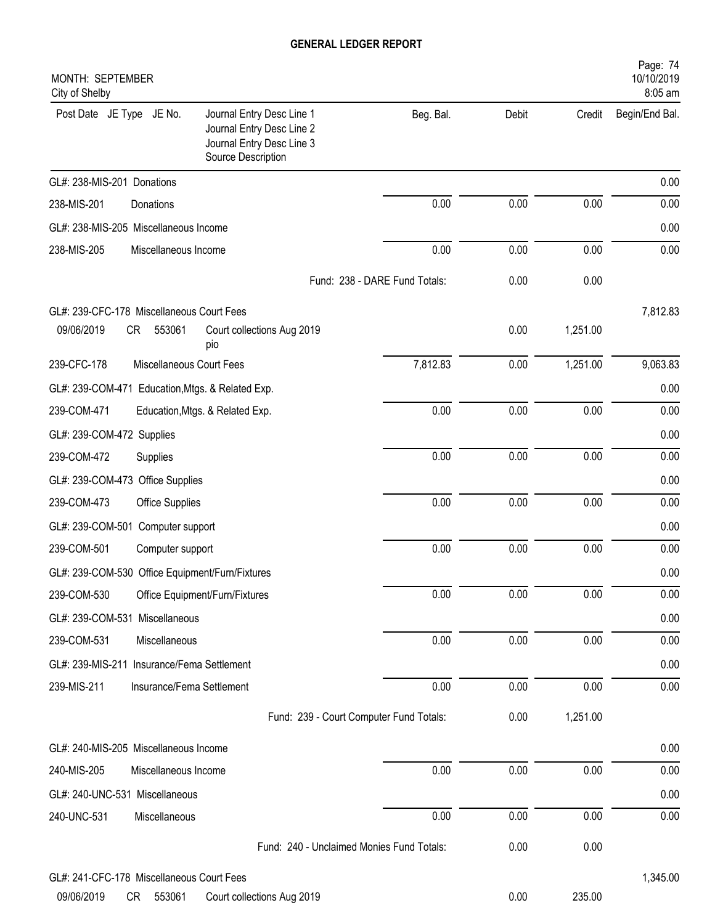| MONTH: SEPTEMBER<br>City of Shelby                                                                                                    |                               |       |          | Page: 74<br>10/10/2019<br>8:05 am |
|---------------------------------------------------------------------------------------------------------------------------------------|-------------------------------|-------|----------|-----------------------------------|
| Journal Entry Desc Line 1<br>Post Date JE Type JE No.<br>Journal Entry Desc Line 2<br>Journal Entry Desc Line 3<br>Source Description | Beg. Bal.                     | Debit | Credit   | Begin/End Bal.                    |
| GL#: 238-MIS-201 Donations                                                                                                            |                               |       |          | 0.00                              |
| 238-MIS-201<br>Donations                                                                                                              | 0.00                          | 0.00  | 0.00     | 0.00                              |
| GL#: 238-MIS-205 Miscellaneous Income                                                                                                 |                               |       |          | 0.00                              |
| 238-MIS-205<br>Miscellaneous Income                                                                                                   | 0.00                          | 0.00  | 0.00     | 0.00                              |
|                                                                                                                                       | Fund: 238 - DARE Fund Totals: | 0.00  | 0.00     |                                   |
| GL#: 239-CFC-178 Miscellaneous Court Fees                                                                                             |                               |       |          | 7,812.83                          |
| 09/06/2019<br>CR<br>553061<br>Court collections Aug 2019<br>pio                                                                       |                               | 0.00  | 1,251.00 |                                   |
| Miscellaneous Court Fees<br>239-CFC-178                                                                                               | 7,812.83                      | 0.00  | 1,251.00 | 9,063.83                          |
| GL#: 239-COM-471 Education, Mtgs. & Related Exp.                                                                                      |                               |       |          | 0.00                              |
| 239-COM-471<br>Education, Mtgs. & Related Exp.                                                                                        | 0.00                          | 0.00  | 0.00     | 0.00                              |
| GL#: 239-COM-472 Supplies                                                                                                             |                               |       |          | 0.00                              |
| 239-COM-472<br>Supplies                                                                                                               | 0.00                          | 0.00  | 0.00     | 0.00                              |
| GL#: 239-COM-473 Office Supplies                                                                                                      |                               |       |          | 0.00                              |
| 239-COM-473<br>Office Supplies                                                                                                        | 0.00                          | 0.00  | 0.00     | 0.00                              |
| GL#: 239-COM-501 Computer support                                                                                                     |                               |       |          | 0.00                              |
| 239-COM-501<br>Computer support                                                                                                       | 0.00                          | 0.00  | 0.00     | 0.00                              |
| GL#: 239-COM-530 Office Equipment/Furn/Fixtures                                                                                       |                               |       |          | 0.00                              |
| 239-COM-530<br>Office Equipment/Furn/Fixtures                                                                                         | 0.00                          | 0.00  | 0.00     | 0.00                              |
| GL#: 239-COM-531 Miscellaneous                                                                                                        |                               |       |          | 0.00                              |
| 239-COM-531<br>Miscellaneous                                                                                                          | 0.00                          | 0.00  | 0.00     | 0.00                              |
| GL#: 239-MIS-211 Insurance/Fema Settlement                                                                                            |                               |       |          | 0.00                              |
| 239-MIS-211<br>Insurance/Fema Settlement                                                                                              | 0.00                          | 0.00  | 0.00     | 0.00                              |
| Fund: 239 - Court Computer Fund Totals:                                                                                               |                               | 0.00  | 1,251.00 |                                   |
| GL#: 240-MIS-205 Miscellaneous Income                                                                                                 |                               |       |          | 0.00                              |
| 240-MIS-205<br>Miscellaneous Income                                                                                                   | 0.00                          | 0.00  | 0.00     | 0.00                              |
| GL#: 240-UNC-531 Miscellaneous                                                                                                        |                               |       |          | 0.00                              |
| 240-UNC-531<br>Miscellaneous                                                                                                          | 0.00                          | 0.00  | 0.00     | 0.00                              |
| Fund: 240 - Unclaimed Monies Fund Totals:                                                                                             |                               | 0.00  | 0.00     |                                   |
| GL#: 241-CFC-178 Miscellaneous Court Fees                                                                                             |                               |       |          | 1,345.00                          |
|                                                                                                                                       |                               |       |          |                                   |

09/06/2019 CR 553061 Court collections Aug 2019 0.00 235.00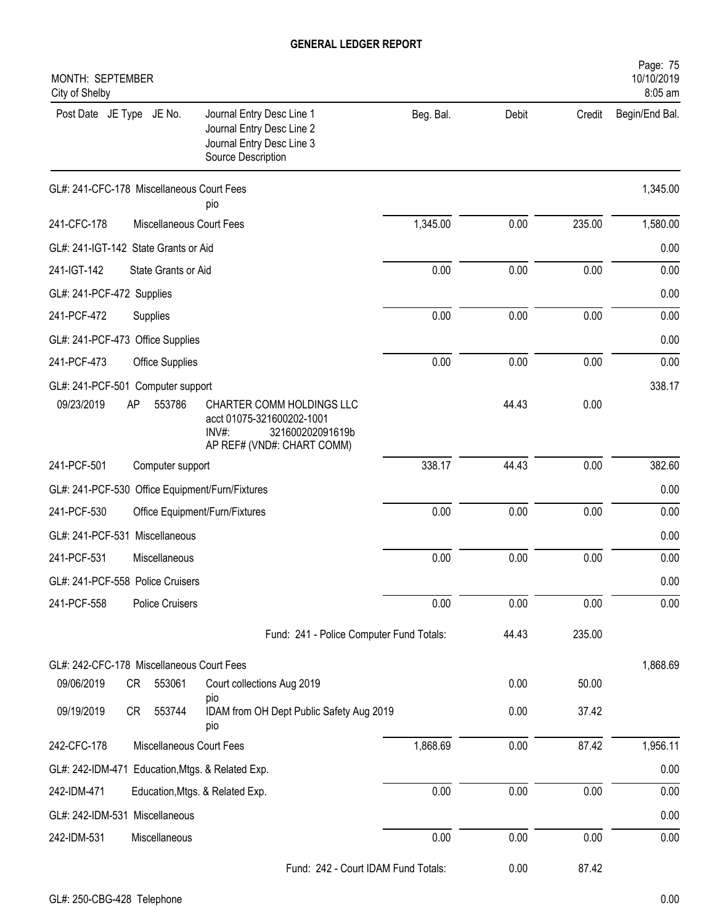| MONTH: SEPTEMBER<br>City of Shelby                                                                                                                                                      |           |       |        | Page: 75<br>10/10/2019<br>8:05 am |
|-----------------------------------------------------------------------------------------------------------------------------------------------------------------------------------------|-----------|-------|--------|-----------------------------------|
| Post Date JE Type JE No.<br>Journal Entry Desc Line 1<br>Journal Entry Desc Line 2<br>Journal Entry Desc Line 3<br>Source Description                                                   | Beg. Bal. | Debit | Credit | Begin/End Bal.                    |
| GL#: 241-CFC-178 Miscellaneous Court Fees<br>pio                                                                                                                                        |           |       |        | 1,345.00                          |
| Miscellaneous Court Fees<br>241-CFC-178                                                                                                                                                 | 1,345.00  | 0.00  | 235.00 | 1,580.00                          |
| GL#: 241-IGT-142 State Grants or Aid                                                                                                                                                    |           |       |        | 0.00                              |
| 241-IGT-142<br>State Grants or Aid                                                                                                                                                      | 0.00      | 0.00  | 0.00   | 0.00                              |
| GL#: 241-PCF-472 Supplies                                                                                                                                                               |           |       |        | 0.00                              |
| 241-PCF-472<br>Supplies                                                                                                                                                                 | 0.00      | 0.00  | 0.00   | 0.00                              |
| GL#: 241-PCF-473 Office Supplies                                                                                                                                                        |           |       |        | 0.00                              |
| 241-PCF-473<br><b>Office Supplies</b>                                                                                                                                                   | 0.00      | 0.00  | 0.00   | 0.00                              |
| GL#: 241-PCF-501 Computer support<br>09/23/2019<br>AP<br>553786<br>CHARTER COMM HOLDINGS LLC<br>acct 01075-321600202-1001<br>$INV#$ :<br>321600202091619b<br>AP REF# (VND#: CHART COMM) |           | 44.43 | 0.00   | 338.17                            |
| 241-PCF-501<br>Computer support                                                                                                                                                         | 338.17    | 44.43 | 0.00   | 382.60                            |
| GL#: 241-PCF-530 Office Equipment/Furn/Fixtures                                                                                                                                         |           |       |        | 0.00                              |
| 241-PCF-530<br>Office Equipment/Furn/Fixtures                                                                                                                                           | 0.00      | 0.00  | 0.00   | 0.00                              |
| GL#: 241-PCF-531 Miscellaneous                                                                                                                                                          |           |       |        | 0.00                              |
| 241-PCF-531<br>Miscellaneous                                                                                                                                                            | 0.00      | 0.00  | 0.00   | 0.00                              |
| GL#: 241-PCF-558 Police Cruisers                                                                                                                                                        |           |       |        | 0.00                              |
| 241-PCF-558<br><b>Police Cruisers</b>                                                                                                                                                   | 0.00      | 0.00  | 0.00   | 0.00                              |
| Fund: 241 - Police Computer Fund Totals:                                                                                                                                                |           | 44.43 | 235.00 |                                   |
| GL#: 242-CFC-178 Miscellaneous Court Fees                                                                                                                                               |           |       |        | 1,868.69                          |
| 09/06/2019<br>CR<br>553061<br>Court collections Aug 2019                                                                                                                                |           | 0.00  | 50.00  |                                   |
| pio<br>09/19/2019<br>553744<br>IDAM from OH Dept Public Safety Aug 2019<br>CR<br>pio                                                                                                    |           | 0.00  | 37.42  |                                   |
| Miscellaneous Court Fees<br>242-CFC-178                                                                                                                                                 | 1,868.69  | 0.00  | 87.42  | 1,956.11                          |
| GL#: 242-IDM-471 Education, Mtgs. & Related Exp.                                                                                                                                        |           |       |        | 0.00                              |
| 242-IDM-471<br>Education, Mtgs. & Related Exp.                                                                                                                                          | 0.00      | 0.00  | 0.00   | 0.00                              |
| GL#: 242-IDM-531 Miscellaneous                                                                                                                                                          |           |       |        | 0.00                              |
| 242-IDM-531<br>Miscellaneous                                                                                                                                                            | 0.00      | 0.00  | 0.00   | 0.00                              |
| Fund: 242 - Court IDAM Fund Totals:                                                                                                                                                     |           | 0.00  | 87.42  |                                   |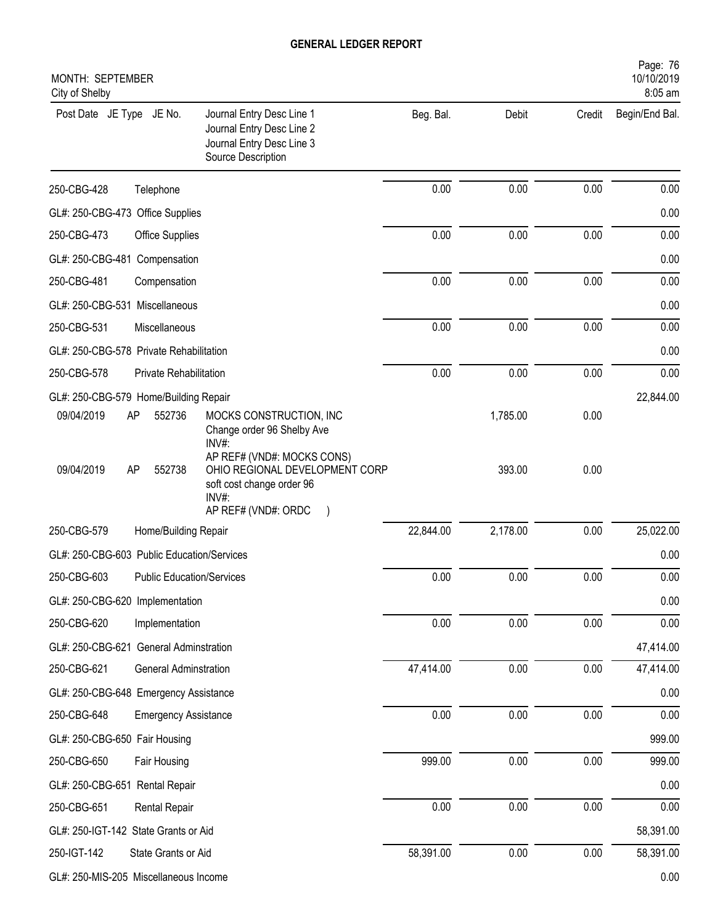| MONTH: SEPTEMBER<br>City of Shelby                                                                                                                      |           |          |        | Page: 76<br>10/10/2019<br>8:05 am |
|---------------------------------------------------------------------------------------------------------------------------------------------------------|-----------|----------|--------|-----------------------------------|
| Post Date JE Type JE No.<br>Journal Entry Desc Line 1<br>Journal Entry Desc Line 2<br>Journal Entry Desc Line 3<br>Source Description                   | Beg. Bal. | Debit    | Credit | Begin/End Bal.                    |
| 250-CBG-428<br>Telephone                                                                                                                                | 0.00      | 0.00     | 0.00   | 0.00                              |
| GL#: 250-CBG-473 Office Supplies                                                                                                                        |           |          |        | 0.00                              |
| 250-CBG-473<br>Office Supplies                                                                                                                          | 0.00      | 0.00     | 0.00   | 0.00                              |
| GL#: 250-CBG-481 Compensation                                                                                                                           |           |          |        | 0.00                              |
| 250-CBG-481<br>Compensation                                                                                                                             | 0.00      | 0.00     | 0.00   | 0.00                              |
| GL#: 250-CBG-531 Miscellaneous                                                                                                                          |           |          |        | 0.00                              |
| 250-CBG-531<br>Miscellaneous                                                                                                                            | 0.00      | 0.00     | 0.00   | 0.00                              |
| GL#: 250-CBG-578 Private Rehabilitation                                                                                                                 |           |          |        | 0.00                              |
| 250-CBG-578<br>Private Rehabilitation                                                                                                                   | 0.00      | 0.00     | 0.00   | 0.00                              |
| GL#: 250-CBG-579 Home/Building Repair                                                                                                                   |           |          |        | 22,844.00                         |
| 09/04/2019<br>552736<br>MOCKS CONSTRUCTION, INC<br>AP<br>Change order 96 Shelby Ave<br>INV#:                                                            |           | 1,785.00 | 0.00   |                                   |
| AP REF# (VND#: MOCKS CONS)<br>09/04/2019<br>OHIO REGIONAL DEVELOPMENT CORP<br>AP<br>552738<br>soft cost change order 96<br>INV#:<br>AP REF# (VND#: ORDC |           | 393.00   | 0.00   |                                   |
| 250-CBG-579<br>Home/Building Repair                                                                                                                     | 22,844.00 | 2,178.00 | 0.00   | 25,022.00                         |
| GL#: 250-CBG-603 Public Education/Services                                                                                                              |           |          |        | 0.00                              |
| 250-CBG-603<br><b>Public Education/Services</b>                                                                                                         | 0.00      | 0.00     | 0.00   | 0.00                              |
| GL#: 250-CBG-620 Implementation                                                                                                                         |           |          |        | 0.00                              |
| 250-CBG-620<br>Implementation                                                                                                                           | 0.00      | 0.00     | 0.00   | 0.00                              |
| GL#: 250-CBG-621 General Adminstration                                                                                                                  |           |          |        | 47,414.00                         |
| 250-CBG-621<br><b>General Adminstration</b>                                                                                                             | 47,414.00 | 0.00     | 0.00   | 47,414.00                         |
| GL#: 250-CBG-648 Emergency Assistance                                                                                                                   |           |          |        | 0.00                              |
| 250-CBG-648<br><b>Emergency Assistance</b>                                                                                                              | 0.00      | 0.00     | 0.00   | 0.00                              |
| GL#: 250-CBG-650 Fair Housing                                                                                                                           |           |          |        | 999.00                            |
| 250-CBG-650<br>Fair Housing                                                                                                                             | 999.00    | 0.00     | 0.00   | 999.00                            |
| GL#: 250-CBG-651 Rental Repair                                                                                                                          |           |          |        | 0.00                              |
| 250-CBG-651<br><b>Rental Repair</b>                                                                                                                     | 0.00      | 0.00     | 0.00   | 0.00                              |
| GL#: 250-IGT-142 State Grants or Aid                                                                                                                    |           |          |        | 58,391.00                         |
| 250-IGT-142<br>State Grants or Aid                                                                                                                      | 58,391.00 | 0.00     | 0.00   | 58,391.00                         |
| GL#: 250-MIS-205 Miscellaneous Income                                                                                                                   |           |          |        | 0.00                              |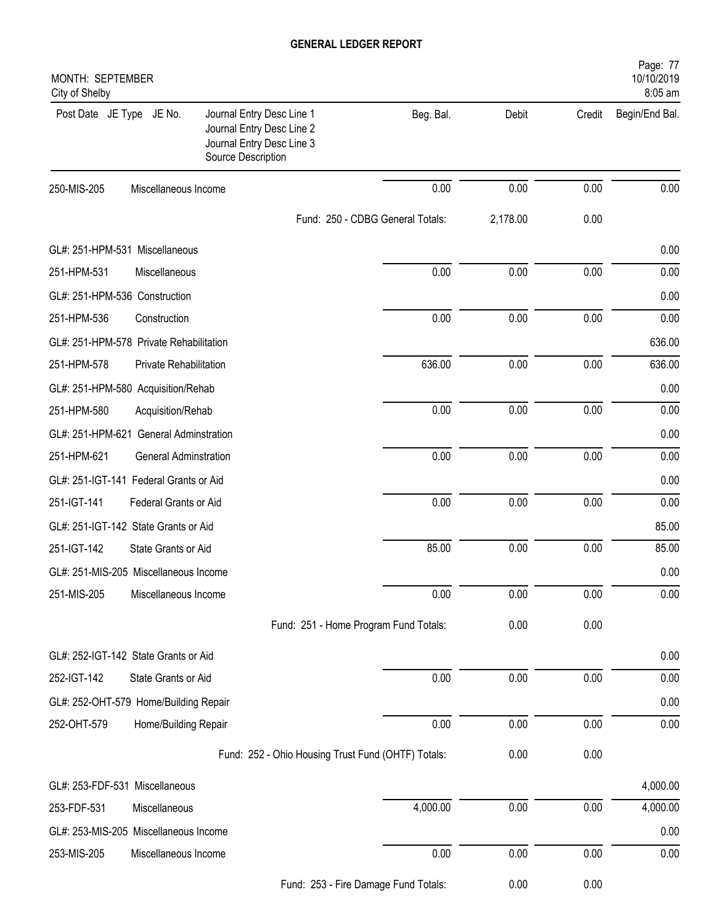| MONTH: SEPTEMBER<br>City of Shelby      |                              |                                                                                                           |                                  |          |        | Page: 77<br>10/10/2019<br>8:05 am |
|-----------------------------------------|------------------------------|-----------------------------------------------------------------------------------------------------------|----------------------------------|----------|--------|-----------------------------------|
| Post Date JE Type JE No.                |                              | Journal Entry Desc Line 1<br>Journal Entry Desc Line 2<br>Journal Entry Desc Line 3<br>Source Description | Beg. Bal.                        | Debit    | Credit | Begin/End Bal.                    |
| 250-MIS-205                             | Miscellaneous Income         |                                                                                                           | 0.00                             | 0.00     | 0.00   | 0.00                              |
|                                         |                              |                                                                                                           | Fund: 250 - CDBG General Totals: | 2,178.00 | 0.00   |                                   |
| GL#: 251-HPM-531 Miscellaneous          |                              |                                                                                                           |                                  |          |        | 0.00                              |
| 251-HPM-531                             | Miscellaneous                |                                                                                                           | 0.00                             | 0.00     | 0.00   | 0.00                              |
| GL#: 251-HPM-536 Construction           |                              |                                                                                                           |                                  |          |        | 0.00                              |
| 251-HPM-536                             | Construction                 |                                                                                                           | 0.00                             | 0.00     | 0.00   | 0.00                              |
| GL#: 251-HPM-578 Private Rehabilitation |                              |                                                                                                           |                                  |          |        | 636.00                            |
| 251-HPM-578                             | Private Rehabilitation       |                                                                                                           | 636.00                           | 0.00     | 0.00   | 636.00                            |
| GL#: 251-HPM-580 Acquisition/Rehab      |                              |                                                                                                           |                                  |          |        | 0.00                              |
| 251-HPM-580                             | Acquisition/Rehab            |                                                                                                           | 0.00                             | 0.00     | 0.00   | 0.00                              |
| GL#: 251-HPM-621 General Adminstration  |                              |                                                                                                           |                                  |          |        | 0.00                              |
| 251-HPM-621                             | <b>General Adminstration</b> |                                                                                                           | 0.00                             | 0.00     | 0.00   | 0.00                              |
| GL#: 251-IGT-141 Federal Grants or Aid  |                              |                                                                                                           |                                  |          |        | 0.00                              |
| 251-IGT-141                             | Federal Grants or Aid        |                                                                                                           | 0.00                             | 0.00     | 0.00   | 0.00                              |
| GL#: 251-IGT-142 State Grants or Aid    |                              |                                                                                                           |                                  |          |        | 85.00                             |
| 251-IGT-142                             | State Grants or Aid          |                                                                                                           | 85.00                            | 0.00     | 0.00   | 85.00                             |
| GL#: 251-MIS-205 Miscellaneous Income   |                              |                                                                                                           |                                  |          |        | 0.00                              |
| 251-MIS-205                             | Miscellaneous Income         |                                                                                                           | 0.00                             | 0.00     | 0.00   | 0.00                              |
|                                         |                              | Fund: 251 - Home Program Fund Totals:                                                                     |                                  | 0.00     | 0.00   |                                   |
| GL#: 252-IGT-142 State Grants or Aid    |                              |                                                                                                           |                                  |          |        | 0.00                              |
| 252-IGT-142                             | State Grants or Aid          |                                                                                                           | 0.00                             | 0.00     | 0.00   | 0.00                              |
| GL#: 252-OHT-579 Home/Building Repair   |                              |                                                                                                           |                                  |          |        | 0.00                              |
| 252-OHT-579                             | Home/Building Repair         |                                                                                                           | 0.00                             | 0.00     | 0.00   | 0.00                              |
|                                         |                              | Fund: 252 - Ohio Housing Trust Fund (OHTF) Totals:                                                        |                                  | 0.00     | 0.00   |                                   |
| GL#: 253-FDF-531 Miscellaneous          |                              |                                                                                                           |                                  |          |        | 4,000.00                          |
| 253-FDF-531                             | Miscellaneous                |                                                                                                           | 4,000.00                         | 0.00     | 0.00   | 4,000.00                          |
| GL#: 253-MIS-205 Miscellaneous Income   |                              |                                                                                                           |                                  |          |        | 0.00                              |
| 253-MIS-205                             | Miscellaneous Income         |                                                                                                           | 0.00                             | 0.00     | 0.00   | 0.00                              |
|                                         |                              |                                                                                                           | 252 Eiro Domogo Eund Totolo:     | 0.00     | 0.00   |                                   |

Fund: 253 - Fire Damage Fund Totals: 0.00 0.00 0.00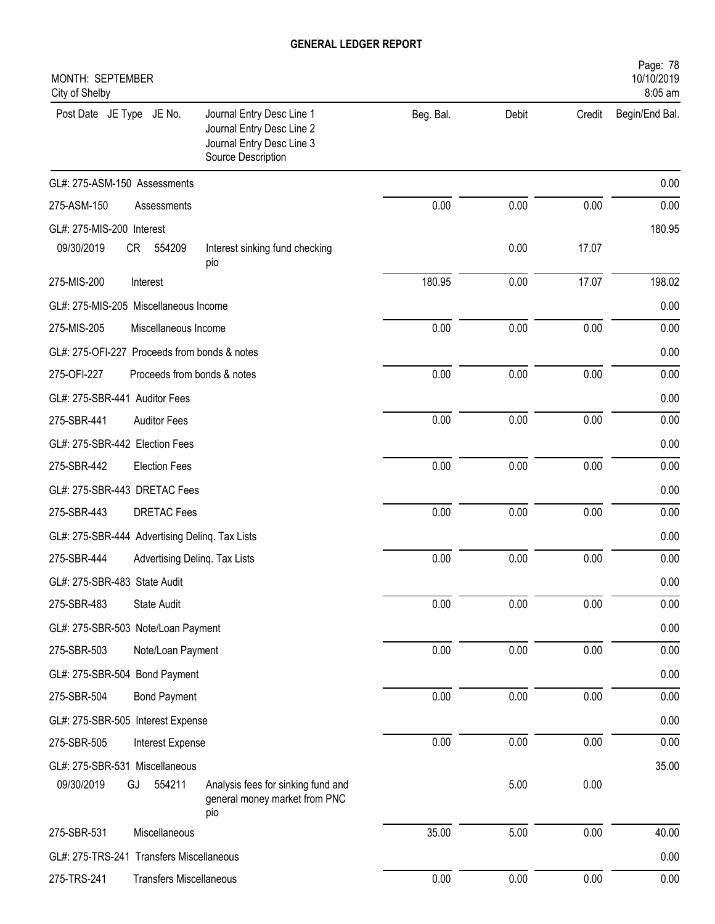| MONTH: SEPTEMBER<br>City of Shelby             |                                |                                                                                                           |           |       |        | Page: 78<br>10/10/2019<br>8:05 am |
|------------------------------------------------|--------------------------------|-----------------------------------------------------------------------------------------------------------|-----------|-------|--------|-----------------------------------|
| Post Date JE Type JE No.                       |                                | Journal Entry Desc Line 1<br>Journal Entry Desc Line 2<br>Journal Entry Desc Line 3<br>Source Description | Beg. Bal. | Debit | Credit | Begin/End Bal.                    |
| GL#: 275-ASM-150 Assessments                   |                                |                                                                                                           |           |       |        | 0.00                              |
| 275-ASM-150                                    | Assessments                    |                                                                                                           | 0.00      | 0.00  | 0.00   | 0.00                              |
| GL#: 275-MIS-200 Interest                      |                                |                                                                                                           |           |       |        | 180.95                            |
| 09/30/2019                                     | CR<br>554209                   | Interest sinking fund checking<br>pio                                                                     |           | 0.00  | 17.07  |                                   |
| 275-MIS-200                                    | Interest                       |                                                                                                           | 180.95    | 0.00  | 17.07  | 198.02                            |
| GL#: 275-MIS-205 Miscellaneous Income          |                                |                                                                                                           |           |       |        | 0.00                              |
| 275-MIS-205                                    | Miscellaneous Income           |                                                                                                           | 0.00      | 0.00  | 0.00   | 0.00                              |
| GL#: 275-OFI-227 Proceeds from bonds & notes   |                                |                                                                                                           |           |       |        | 0.00                              |
| 275-OFI-227                                    | Proceeds from bonds & notes    |                                                                                                           | 0.00      | 0.00  | 0.00   | 0.00                              |
| GL#: 275-SBR-441 Auditor Fees                  |                                |                                                                                                           |           |       |        | 0.00                              |
| 275-SBR-441                                    | <b>Auditor Fees</b>            |                                                                                                           | 0.00      | 0.00  | 0.00   | 0.00                              |
| GL#: 275-SBR-442 Election Fees                 |                                |                                                                                                           |           |       |        | 0.00                              |
| 275-SBR-442                                    | <b>Election Fees</b>           |                                                                                                           | 0.00      | 0.00  | 0.00   | 0.00                              |
| GL#: 275-SBR-443 DRETAC Fees                   |                                |                                                                                                           |           |       |        | 0.00                              |
| 275-SBR-443                                    | <b>DRETAC Fees</b>             |                                                                                                           | 0.00      | 0.00  | 0.00   | 0.00                              |
| GL#: 275-SBR-444 Advertising Deling. Tax Lists |                                |                                                                                                           |           |       |        | 0.00                              |
| 275-SBR-444                                    | Advertising Delinq. Tax Lists  |                                                                                                           | 0.00      | 0.00  | 0.00   | 0.00                              |
| GL#: 275-SBR-483 State Audit                   |                                |                                                                                                           |           |       |        | 0.00                              |
| 275-SBR-483                                    | State Audit                    |                                                                                                           | 0.00      | 0.00  | 0.00   | 0.00                              |
| GL#: 275-SBR-503 Note/Loan Payment             |                                |                                                                                                           |           |       |        | 0.00                              |
| 275-SBR-503                                    | Note/Loan Payment              |                                                                                                           | 0.00      | 0.00  | 0.00   | 0.00                              |
| GL#: 275-SBR-504 Bond Payment                  |                                |                                                                                                           |           |       |        | 0.00                              |
| 275-SBR-504                                    | <b>Bond Payment</b>            |                                                                                                           | 0.00      | 0.00  | 0.00   | 0.00                              |
| GL#: 275-SBR-505 Interest Expense              |                                |                                                                                                           |           |       |        | 0.00                              |
| 275-SBR-505                                    | Interest Expense               |                                                                                                           | 0.00      | 0.00  | 0.00   | 0.00                              |
| GL#: 275-SBR-531 Miscellaneous                 |                                |                                                                                                           |           |       |        | 35.00                             |
| 09/30/2019                                     | 554211<br>GJ                   | Analysis fees for sinking fund and<br>general money market from PNC<br>pio                                |           | 5.00  | 0.00   |                                   |
| 275-SBR-531                                    | Miscellaneous                  |                                                                                                           | 35.00     | 5.00  | 0.00   | 40.00                             |
| GL#: 275-TRS-241 Transfers Miscellaneous       |                                |                                                                                                           |           |       |        | 0.00                              |
| 275-TRS-241                                    | <b>Transfers Miscellaneous</b> |                                                                                                           | 0.00      | 0.00  | 0.00   | 0.00                              |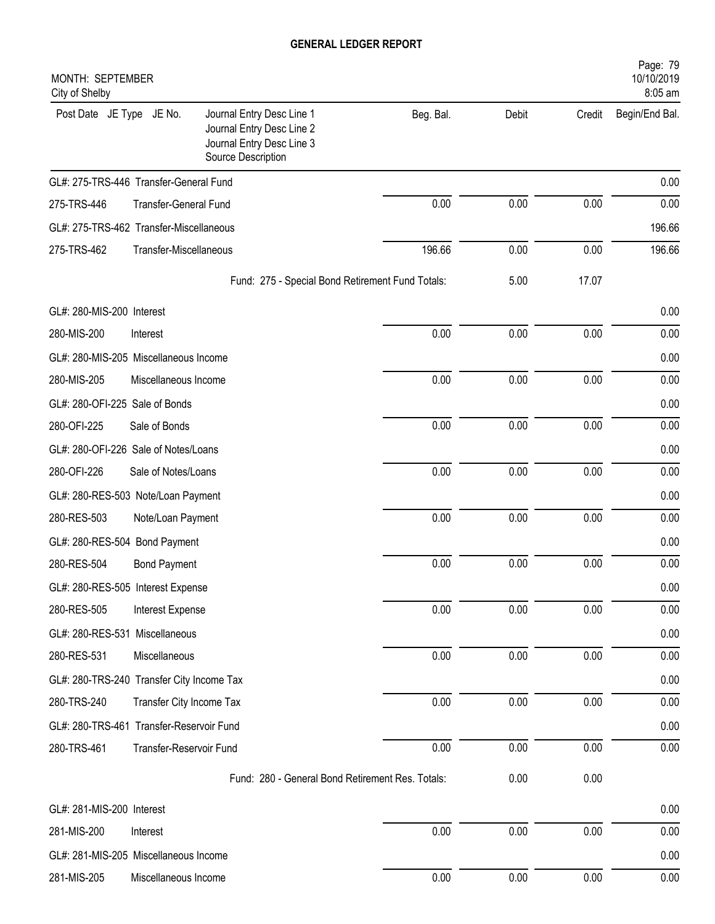| MONTH: SEPTEMBER<br>City of Shelby        |                              |                                                                                                           |           |       |        | Page: 79<br>10/10/2019<br>8:05 am |
|-------------------------------------------|------------------------------|-----------------------------------------------------------------------------------------------------------|-----------|-------|--------|-----------------------------------|
| Post Date JE Type JE No.                  |                              | Journal Entry Desc Line 1<br>Journal Entry Desc Line 2<br>Journal Entry Desc Line 3<br>Source Description | Beg. Bal. | Debit | Credit | Begin/End Bal.                    |
| GL#: 275-TRS-446 Transfer-General Fund    |                              |                                                                                                           |           |       |        | 0.00                              |
| 275-TRS-446                               | <b>Transfer-General Fund</b> |                                                                                                           | 0.00      | 0.00  | 0.00   | 0.00                              |
| GL#: 275-TRS-462 Transfer-Miscellaneous   |                              |                                                                                                           |           |       |        | 196.66                            |
| 275-TRS-462                               | Transfer-Miscellaneous       |                                                                                                           | 196.66    | 0.00  | 0.00   | 196.66                            |
|                                           |                              | Fund: 275 - Special Bond Retirement Fund Totals:                                                          |           | 5.00  | 17.07  |                                   |
| GL#: 280-MIS-200 Interest                 |                              |                                                                                                           |           |       |        | 0.00                              |
| 280-MIS-200                               | Interest                     |                                                                                                           | 0.00      | 0.00  | 0.00   | 0.00                              |
| GL#: 280-MIS-205 Miscellaneous Income     |                              |                                                                                                           |           |       |        | 0.00                              |
| 280-MIS-205                               | Miscellaneous Income         |                                                                                                           | 0.00      | 0.00  | 0.00   | 0.00                              |
| GL#: 280-OFI-225 Sale of Bonds            |                              |                                                                                                           |           |       |        | 0.00                              |
| 280-OFI-225                               | Sale of Bonds                |                                                                                                           | 0.00      | 0.00  | 0.00   | 0.00                              |
| GL#: 280-OFI-226 Sale of Notes/Loans      |                              |                                                                                                           |           |       |        | 0.00                              |
| 280-OFI-226                               | Sale of Notes/Loans          |                                                                                                           | 0.00      | 0.00  | 0.00   | 0.00                              |
| GL#: 280-RES-503 Note/Loan Payment        |                              |                                                                                                           |           |       |        | 0.00                              |
| 280-RES-503                               | Note/Loan Payment            |                                                                                                           | 0.00      | 0.00  | 0.00   | 0.00                              |
| GL#: 280-RES-504 Bond Payment             |                              |                                                                                                           |           |       |        | 0.00                              |
| 280-RES-504                               | <b>Bond Payment</b>          |                                                                                                           | 0.00      | 0.00  | 0.00   | 0.00                              |
| GL#: 280-RES-505 Interest Expense         |                              |                                                                                                           |           |       |        | 0.00                              |
| 280-RES-505                               | Interest Expense             |                                                                                                           | 0.00      | 0.00  | 0.00   | 0.00                              |
| GL#: 280-RES-531 Miscellaneous            |                              |                                                                                                           |           |       |        | 0.00                              |
| 280-RES-531                               | Miscellaneous                |                                                                                                           | 0.00      | 0.00  | 0.00   | 0.00                              |
| GL#: 280-TRS-240 Transfer City Income Tax |                              |                                                                                                           |           |       |        | 0.00                              |
| 280-TRS-240                               | Transfer City Income Tax     |                                                                                                           | 0.00      | 0.00  | 0.00   | 0.00                              |
| GL#: 280-TRS-461 Transfer-Reservoir Fund  |                              |                                                                                                           |           |       |        | 0.00                              |
| 280-TRS-461                               | Transfer-Reservoir Fund      |                                                                                                           | 0.00      | 0.00  | 0.00   | 0.00                              |
|                                           |                              | Fund: 280 - General Bond Retirement Res. Totals:                                                          |           | 0.00  | 0.00   |                                   |
| GL#: 281-MIS-200 Interest                 |                              |                                                                                                           |           |       |        | 0.00                              |
| 281-MIS-200                               | Interest                     |                                                                                                           | 0.00      | 0.00  | 0.00   | 0.00                              |
| GL#: 281-MIS-205 Miscellaneous Income     |                              |                                                                                                           |           |       |        | 0.00                              |
| 281-MIS-205                               | Miscellaneous Income         |                                                                                                           | 0.00      | 0.00  | 0.00   | 0.00                              |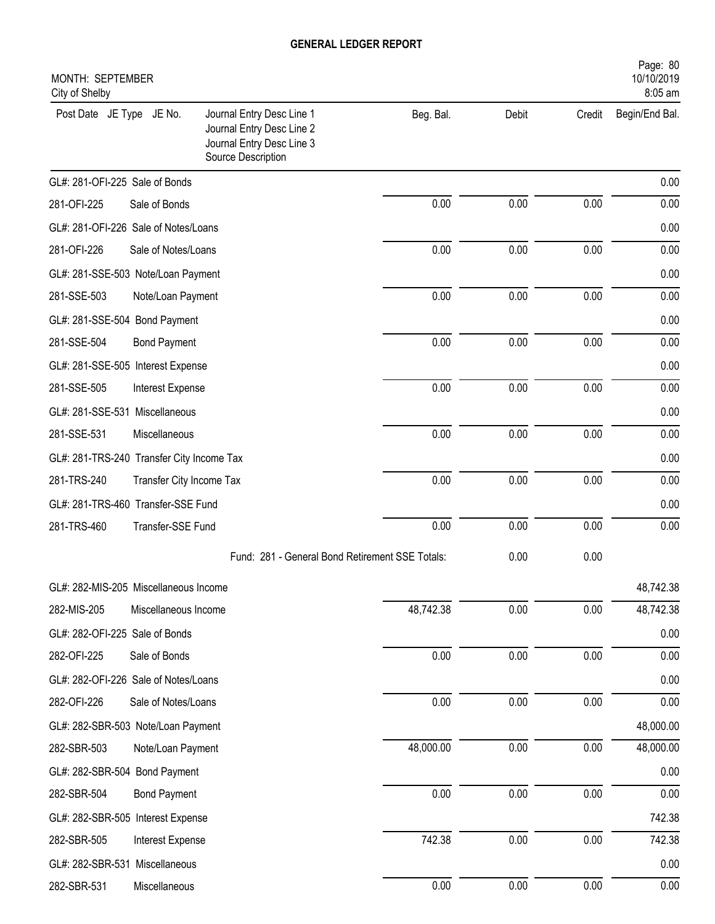| Beg. Bal.<br>Post Date JE Type JE No.<br>Journal Entry Desc Line 1<br>Debit<br>Credit<br>Begin/End Bal.<br>Journal Entry Desc Line 2<br>Journal Entry Desc Line 3<br>Source Description<br>GL#: 281-OFI-225 Sale of Bonds<br>0.00<br>0.00<br>0.00<br>281-OFI-225<br>Sale of Bonds<br>GL#: 281-OFI-226 Sale of Notes/Loans<br>0.00<br>0.00<br>0.00<br>281-OFI-226<br>Sale of Notes/Loans<br>GL#: 281-SSE-503 Note/Loan Payment<br>0.00<br>0.00<br>0.00<br>Note/Loan Payment<br>GL#: 281-SSE-504 Bond Payment<br>0.00<br>0.00<br>0.00<br>281-SSE-504<br><b>Bond Payment</b><br>GL#: 281-SSE-505 Interest Expense<br>0.00<br>0.00<br>0.00<br>281-SSE-505<br>Interest Expense<br>GL#: 281-SSE-531 Miscellaneous<br>0.00<br>0.00<br>0.00<br>Miscellaneous<br>GL#: 281-TRS-240 Transfer City Income Tax<br>0.00<br>0.00<br>0.00<br>281-TRS-240<br>Transfer City Income Tax<br>GL#: 281-TRS-460 Transfer-SSE Fund<br>0.00<br>0.00<br>0.00<br>281-TRS-460<br>Transfer-SSE Fund |
|------------------------------------------------------------------------------------------------------------------------------------------------------------------------------------------------------------------------------------------------------------------------------------------------------------------------------------------------------------------------------------------------------------------------------------------------------------------------------------------------------------------------------------------------------------------------------------------------------------------------------------------------------------------------------------------------------------------------------------------------------------------------------------------------------------------------------------------------------------------------------------------------------------------------------------------------------------------------|
| 0.00<br>0.00<br>0.00<br>0.00<br>0.00<br>0.00<br>281-SSE-503<br>0.00<br>0.00<br>0.00<br>0.00<br>0.00<br>281-SSE-531<br>0.00<br>0.00<br>0.00<br>0.00<br>0.00                                                                                                                                                                                                                                                                                                                                                                                                                                                                                                                                                                                                                                                                                                                                                                                                             |
|                                                                                                                                                                                                                                                                                                                                                                                                                                                                                                                                                                                                                                                                                                                                                                                                                                                                                                                                                                        |
|                                                                                                                                                                                                                                                                                                                                                                                                                                                                                                                                                                                                                                                                                                                                                                                                                                                                                                                                                                        |
|                                                                                                                                                                                                                                                                                                                                                                                                                                                                                                                                                                                                                                                                                                                                                                                                                                                                                                                                                                        |
|                                                                                                                                                                                                                                                                                                                                                                                                                                                                                                                                                                                                                                                                                                                                                                                                                                                                                                                                                                        |
|                                                                                                                                                                                                                                                                                                                                                                                                                                                                                                                                                                                                                                                                                                                                                                                                                                                                                                                                                                        |
|                                                                                                                                                                                                                                                                                                                                                                                                                                                                                                                                                                                                                                                                                                                                                                                                                                                                                                                                                                        |
|                                                                                                                                                                                                                                                                                                                                                                                                                                                                                                                                                                                                                                                                                                                                                                                                                                                                                                                                                                        |
|                                                                                                                                                                                                                                                                                                                                                                                                                                                                                                                                                                                                                                                                                                                                                                                                                                                                                                                                                                        |
|                                                                                                                                                                                                                                                                                                                                                                                                                                                                                                                                                                                                                                                                                                                                                                                                                                                                                                                                                                        |
|                                                                                                                                                                                                                                                                                                                                                                                                                                                                                                                                                                                                                                                                                                                                                                                                                                                                                                                                                                        |
|                                                                                                                                                                                                                                                                                                                                                                                                                                                                                                                                                                                                                                                                                                                                                                                                                                                                                                                                                                        |
|                                                                                                                                                                                                                                                                                                                                                                                                                                                                                                                                                                                                                                                                                                                                                                                                                                                                                                                                                                        |
|                                                                                                                                                                                                                                                                                                                                                                                                                                                                                                                                                                                                                                                                                                                                                                                                                                                                                                                                                                        |
|                                                                                                                                                                                                                                                                                                                                                                                                                                                                                                                                                                                                                                                                                                                                                                                                                                                                                                                                                                        |
|                                                                                                                                                                                                                                                                                                                                                                                                                                                                                                                                                                                                                                                                                                                                                                                                                                                                                                                                                                        |
|                                                                                                                                                                                                                                                                                                                                                                                                                                                                                                                                                                                                                                                                                                                                                                                                                                                                                                                                                                        |
| Fund: 281 - General Bond Retirement SSE Totals:<br>0.00<br>0.00                                                                                                                                                                                                                                                                                                                                                                                                                                                                                                                                                                                                                                                                                                                                                                                                                                                                                                        |
| 48,742.38<br>GL#: 282-MIS-205 Miscellaneous Income                                                                                                                                                                                                                                                                                                                                                                                                                                                                                                                                                                                                                                                                                                                                                                                                                                                                                                                     |
| 48,742.38<br>0.00<br>0.00<br>48,742.38<br>282-MIS-205<br>Miscellaneous Income                                                                                                                                                                                                                                                                                                                                                                                                                                                                                                                                                                                                                                                                                                                                                                                                                                                                                          |
| GL#: 282-OFI-225 Sale of Bonds<br>0.00                                                                                                                                                                                                                                                                                                                                                                                                                                                                                                                                                                                                                                                                                                                                                                                                                                                                                                                                 |
| 0.00<br>0.00<br>0.00<br>0.00<br>Sale of Bonds<br>282-OFI-225                                                                                                                                                                                                                                                                                                                                                                                                                                                                                                                                                                                                                                                                                                                                                                                                                                                                                                           |
| GL#: 282-OFI-226 Sale of Notes/Loans<br>0.00                                                                                                                                                                                                                                                                                                                                                                                                                                                                                                                                                                                                                                                                                                                                                                                                                                                                                                                           |
| 0.00<br>0.00<br>0.00<br>0.00<br>282-OFI-226<br>Sale of Notes/Loans                                                                                                                                                                                                                                                                                                                                                                                                                                                                                                                                                                                                                                                                                                                                                                                                                                                                                                     |
| GL#: 282-SBR-503 Note/Loan Payment<br>48,000.00                                                                                                                                                                                                                                                                                                                                                                                                                                                                                                                                                                                                                                                                                                                                                                                                                                                                                                                        |
| 48,000.00<br>0.00<br>0.00<br>48,000.00<br>282-SBR-503<br>Note/Loan Payment                                                                                                                                                                                                                                                                                                                                                                                                                                                                                                                                                                                                                                                                                                                                                                                                                                                                                             |
| GL#: 282-SBR-504 Bond Payment<br>0.00                                                                                                                                                                                                                                                                                                                                                                                                                                                                                                                                                                                                                                                                                                                                                                                                                                                                                                                                  |
| 0.00<br>0.00<br>0.00<br>0.00<br>282-SBR-504<br><b>Bond Payment</b>                                                                                                                                                                                                                                                                                                                                                                                                                                                                                                                                                                                                                                                                                                                                                                                                                                                                                                     |
| GL#: 282-SBR-505 Interest Expense<br>742.38                                                                                                                                                                                                                                                                                                                                                                                                                                                                                                                                                                                                                                                                                                                                                                                                                                                                                                                            |
| 742.38<br>742.38<br>0.00<br>0.00<br>282-SBR-505<br>Interest Expense                                                                                                                                                                                                                                                                                                                                                                                                                                                                                                                                                                                                                                                                                                                                                                                                                                                                                                    |
| 0.00<br>GL#: 282-SBR-531 Miscellaneous                                                                                                                                                                                                                                                                                                                                                                                                                                                                                                                                                                                                                                                                                                                                                                                                                                                                                                                                 |
| 0.00<br>0.00<br>0.00<br>0.00<br>282-SBR-531<br>Miscellaneous                                                                                                                                                                                                                                                                                                                                                                                                                                                                                                                                                                                                                                                                                                                                                                                                                                                                                                           |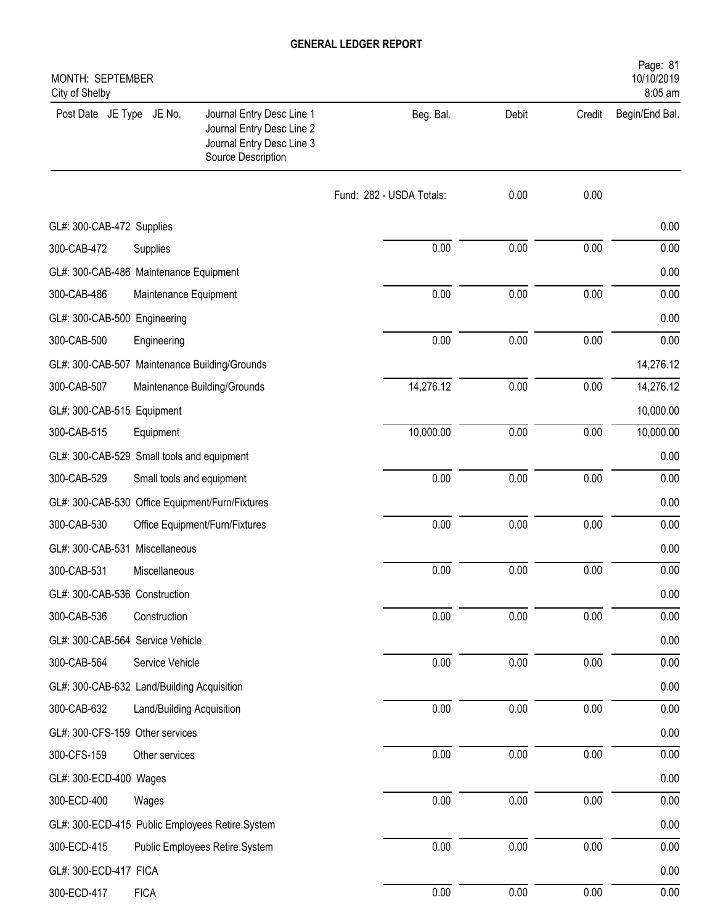| MONTH: SEPTEMBER<br>City of Shelby              |                           |                                                                                                           |                          |       |          | Page: 81<br>10/10/2019<br>8:05 am |
|-------------------------------------------------|---------------------------|-----------------------------------------------------------------------------------------------------------|--------------------------|-------|----------|-----------------------------------|
| Post Date JE Type JE No.                        |                           | Journal Entry Desc Line 1<br>Journal Entry Desc Line 2<br>Journal Entry Desc Line 3<br>Source Description | Beg. Bal.                | Debit | Credit   | Begin/End Bal.                    |
|                                                 |                           |                                                                                                           | Fund: 282 - USDA Totals: | 0.00  | 0.00     |                                   |
| GL#: 300-CAB-472 Supplies                       |                           |                                                                                                           |                          |       |          | 0.00                              |
| 300-CAB-472                                     | Supplies                  |                                                                                                           | 0.00                     | 0.00  | 0.00     | 0.00                              |
| GL#: 300-CAB-486 Maintenance Equipment          |                           |                                                                                                           |                          |       |          | 0.00                              |
| 300-CAB-486                                     | Maintenance Equipment     |                                                                                                           | 0.00                     | 0.00  | 0.00     | 0.00                              |
| GL#: 300-CAB-500 Engineering                    |                           |                                                                                                           |                          |       |          | 0.00                              |
| 300-CAB-500                                     | Engineering               |                                                                                                           | 0.00                     | 0.00  | 0.00     | 0.00                              |
| GL#: 300-CAB-507 Maintenance Building/Grounds   |                           |                                                                                                           |                          |       |          | 14,276.12                         |
| 300-CAB-507                                     |                           | Maintenance Building/Grounds                                                                              | 14,276.12                | 0.00  | 0.00     | 14,276.12                         |
| GL#: 300-CAB-515 Equipment                      |                           |                                                                                                           |                          |       |          | 10,000.00                         |
| 300-CAB-515                                     | Equipment                 |                                                                                                           | 10,000.00                | 0.00  | 0.00     | 10,000.00                         |
| GL#: 300-CAB-529 Small tools and equipment      |                           |                                                                                                           |                          |       |          | 0.00                              |
| 300-CAB-529                                     | Small tools and equipment |                                                                                                           | 0.00                     | 0.00  | 0.00     | 0.00                              |
| GL#: 300-CAB-530 Office Equipment/Furn/Fixtures |                           |                                                                                                           |                          |       |          | 0.00                              |
| 300-CAB-530                                     |                           | Office Equipment/Furn/Fixtures                                                                            | 0.00                     | 0.00  | 0.00     | 0.00                              |
| GL#: 300-CAB-531 Miscellaneous                  |                           |                                                                                                           |                          |       |          | 0.00                              |
| 300-CAB-531                                     | Miscellaneous             |                                                                                                           | 0.00                     | 0.00  | 0.00     | 0.00                              |
| GL#: 300-CAB-536 Construction                   |                           |                                                                                                           |                          |       |          | 0.00                              |
| 300-CAB-536                                     | Construction              |                                                                                                           | 0.00                     | 0.00  | 0.00     | 0.00                              |
| GL#: 300-CAB-564 Service Vehicle                |                           |                                                                                                           |                          |       |          | 0.00                              |
| 300-CAB-564                                     | Service Vehicle           |                                                                                                           | 0.00                     | 0.00  | 0.00     | 0.00                              |
| GL#: 300-CAB-632 Land/Building Acquisition      |                           |                                                                                                           |                          |       |          | 0.00                              |
| 300-CAB-632                                     | Land/Building Acquisition |                                                                                                           | 0.00                     | 0.00  | 0.00     | 0.00                              |
| GL#: 300-CFS-159 Other services                 |                           |                                                                                                           |                          |       |          | 0.00                              |
| 300-CFS-159                                     | Other services            |                                                                                                           | 0.00                     | 0.00  | 0.00     | 0.00                              |
| GL#: 300-ECD-400 Wages                          |                           |                                                                                                           |                          |       |          | 0.00                              |
| 300-ECD-400                                     | Wages                     |                                                                                                           | 0.00                     | 0.00  | 0.00     | 0.00                              |
| GL#: 300-ECD-415 Public Employees Retire.System |                           |                                                                                                           |                          |       |          | 0.00                              |
| 300-ECD-415                                     |                           | Public Employees Retire.System                                                                            | 0.00                     | 0.00  | $0.00\,$ | 0.00                              |
| GL#: 300-ECD-417 FICA                           |                           |                                                                                                           |                          |       |          | 0.00                              |
| 300-ECD-417                                     | <b>FICA</b>               |                                                                                                           | 0.00                     | 0.00  | 0.00     | 0.00                              |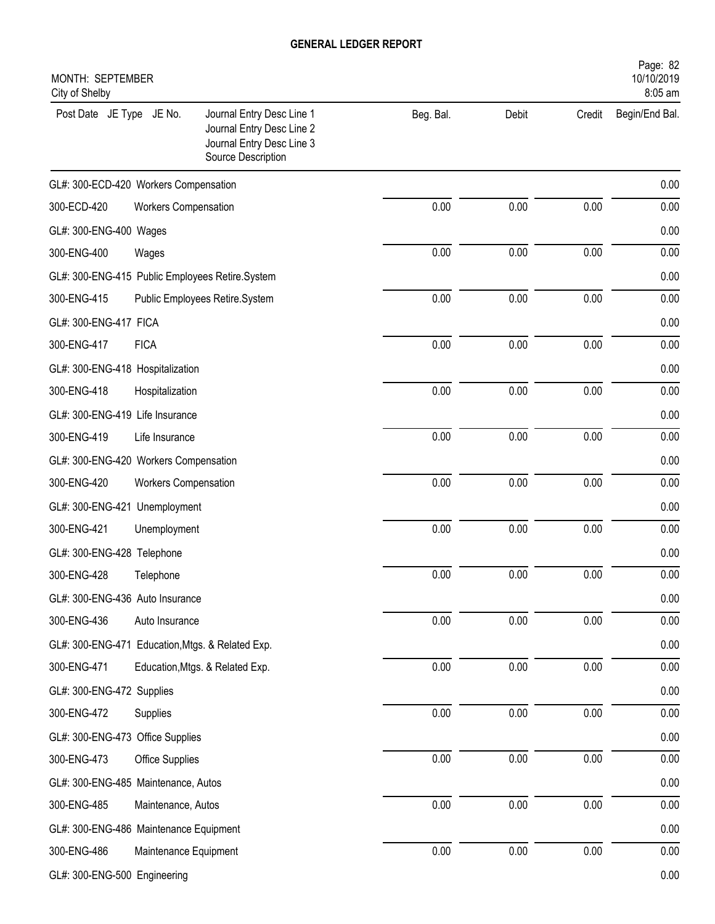| MONTH: SEPTEMBER<br>City of Shelby               |                             |                                                                                                           |           |       |        | Page: 82<br>10/10/2019<br>8:05 am |
|--------------------------------------------------|-----------------------------|-----------------------------------------------------------------------------------------------------------|-----------|-------|--------|-----------------------------------|
| Post Date JE Type JE No.                         |                             | Journal Entry Desc Line 1<br>Journal Entry Desc Line 2<br>Journal Entry Desc Line 3<br>Source Description | Beg. Bal. | Debit | Credit | Begin/End Bal.                    |
| GL#: 300-ECD-420 Workers Compensation            |                             |                                                                                                           |           |       |        | 0.00                              |
| 300-ECD-420                                      | <b>Workers Compensation</b> |                                                                                                           | 0.00      | 0.00  | 0.00   | 0.00                              |
| GL#: 300-ENG-400 Wages                           |                             |                                                                                                           |           |       |        | 0.00                              |
| 300-ENG-400                                      | Wages                       |                                                                                                           | 0.00      | 0.00  | 0.00   | 0.00                              |
| GL#: 300-ENG-415 Public Employees Retire.System  |                             |                                                                                                           |           |       |        | 0.00                              |
| 300-ENG-415                                      |                             | Public Employees Retire.System                                                                            | 0.00      | 0.00  | 0.00   | 0.00                              |
| GL#: 300-ENG-417 FICA                            |                             |                                                                                                           |           |       |        | 0.00                              |
| 300-ENG-417                                      | <b>FICA</b>                 |                                                                                                           | 0.00      | 0.00  | 0.00   | 0.00                              |
| GL#: 300-ENG-418 Hospitalization                 |                             |                                                                                                           |           |       |        | 0.00                              |
| 300-ENG-418                                      | Hospitalization             |                                                                                                           | 0.00      | 0.00  | 0.00   | 0.00                              |
| GL#: 300-ENG-419 Life Insurance                  |                             |                                                                                                           |           |       |        | 0.00                              |
| 300-ENG-419                                      | Life Insurance              |                                                                                                           | 0.00      | 0.00  | 0.00   | 0.00                              |
| GL#: 300-ENG-420 Workers Compensation            |                             |                                                                                                           |           |       |        | 0.00                              |
| 300-ENG-420                                      | <b>Workers Compensation</b> |                                                                                                           | 0.00      | 0.00  | 0.00   | 0.00                              |
| GL#: 300-ENG-421 Unemployment                    |                             |                                                                                                           |           |       |        | 0.00                              |
| 300-ENG-421                                      | Unemployment                |                                                                                                           | 0.00      | 0.00  | 0.00   | 0.00                              |
| GL#: 300-ENG-428 Telephone                       |                             |                                                                                                           |           |       |        | 0.00                              |
| 300-ENG-428                                      | Telephone                   |                                                                                                           | 0.00      | 0.00  | 0.00   | 0.00                              |
| GL#: 300-ENG-436 Auto Insurance                  |                             |                                                                                                           |           |       |        | 0.00                              |
| 300-ENG-436                                      | Auto Insurance              |                                                                                                           | 0.00      | 0.00  | 0.00   | 0.00                              |
| GL#: 300-ENG-471 Education, Mtgs. & Related Exp. |                             |                                                                                                           |           |       |        | 0.00                              |
| 300-ENG-471                                      |                             | Education, Mtgs. & Related Exp.                                                                           | 0.00      | 0.00  | 0.00   | 0.00                              |
| GL#: 300-ENG-472 Supplies                        |                             |                                                                                                           |           |       |        | 0.00                              |
| 300-ENG-472                                      | Supplies                    |                                                                                                           | 0.00      | 0.00  | 0.00   | 0.00                              |
| GL#: 300-ENG-473 Office Supplies                 |                             |                                                                                                           |           |       |        | 0.00                              |
| 300-ENG-473                                      | Office Supplies             |                                                                                                           | 0.00      | 0.00  | 0.00   | 0.00                              |
| GL#: 300-ENG-485 Maintenance, Autos              |                             |                                                                                                           |           |       |        | 0.00                              |
| 300-ENG-485                                      | Maintenance, Autos          |                                                                                                           | 0.00      | 0.00  | 0.00   | 0.00                              |
| GL#: 300-ENG-486 Maintenance Equipment           |                             |                                                                                                           |           |       |        | 0.00                              |
| 300-ENG-486                                      | Maintenance Equipment       |                                                                                                           | 0.00      | 0.00  | 0.00   | 0.00                              |
| GL#: 300-ENG-500 Engineering                     |                             |                                                                                                           |           |       |        | 0.00                              |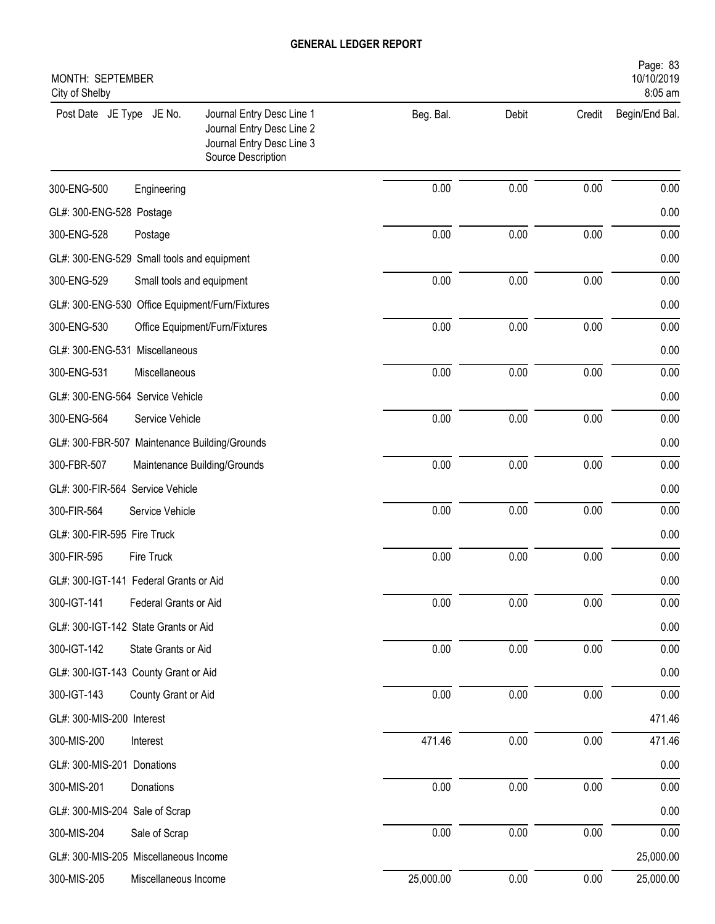| MONTH: SEPTEMBER<br>City of Shelby              |                           |                                                                                                           |           |       |        | Page: 83<br>10/10/2019<br>8:05 am |
|-------------------------------------------------|---------------------------|-----------------------------------------------------------------------------------------------------------|-----------|-------|--------|-----------------------------------|
| Post Date JE Type JE No.                        |                           | Journal Entry Desc Line 1<br>Journal Entry Desc Line 2<br>Journal Entry Desc Line 3<br>Source Description | Beg. Bal. | Debit | Credit | Begin/End Bal.                    |
| 300-ENG-500                                     | Engineering               |                                                                                                           | 0.00      | 0.00  | 0.00   | 0.00                              |
| GL#: 300-ENG-528 Postage                        |                           |                                                                                                           |           |       |        | 0.00                              |
| 300-ENG-528                                     | Postage                   |                                                                                                           | 0.00      | 0.00  | 0.00   | 0.00                              |
| GL#: 300-ENG-529 Small tools and equipment      |                           |                                                                                                           |           |       |        | 0.00                              |
| 300-ENG-529                                     | Small tools and equipment |                                                                                                           | 0.00      | 0.00  | 0.00   | 0.00                              |
| GL#: 300-ENG-530 Office Equipment/Furn/Fixtures |                           |                                                                                                           |           |       |        | 0.00                              |
| 300-ENG-530                                     |                           | Office Equipment/Furn/Fixtures                                                                            | 0.00      | 0.00  | 0.00   | 0.00                              |
| GL#: 300-ENG-531 Miscellaneous                  |                           |                                                                                                           |           |       |        | 0.00                              |
| 300-ENG-531                                     | Miscellaneous             |                                                                                                           | 0.00      | 0.00  | 0.00   | 0.00                              |
| GL#: 300-ENG-564 Service Vehicle                |                           |                                                                                                           |           |       |        | 0.00                              |
| 300-ENG-564                                     | Service Vehicle           |                                                                                                           | 0.00      | 0.00  | 0.00   | 0.00                              |
| GL#: 300-FBR-507 Maintenance Building/Grounds   |                           |                                                                                                           |           |       |        | 0.00                              |
| 300-FBR-507                                     |                           | Maintenance Building/Grounds                                                                              | 0.00      | 0.00  | 0.00   | 0.00                              |
| GL#: 300-FIR-564 Service Vehicle                |                           |                                                                                                           |           |       |        | 0.00                              |
| 300-FIR-564                                     | Service Vehicle           |                                                                                                           | 0.00      | 0.00  | 0.00   | 0.00                              |
| GL#: 300-FIR-595 Fire Truck                     |                           |                                                                                                           |           |       |        | 0.00                              |
| 300-FIR-595                                     | Fire Truck                |                                                                                                           | 0.00      | 0.00  | 0.00   | 0.00                              |
| GL#: 300-IGT-141 Federal Grants or Aid          |                           |                                                                                                           |           |       |        | 0.00                              |
| 300-IGT-141                                     | Federal Grants or Aid     |                                                                                                           | 0.00      | 0.00  | 0.00   | 0.00                              |
| GL#: 300-IGT-142 State Grants or Aid            |                           |                                                                                                           |           |       |        | 0.00                              |
| 300-IGT-142                                     | State Grants or Aid       |                                                                                                           | 0.00      | 0.00  | 0.00   | 0.00                              |
| GL#: 300-IGT-143 County Grant or Aid            |                           |                                                                                                           |           |       |        | 0.00                              |
| 300-IGT-143                                     | County Grant or Aid       |                                                                                                           | 0.00      | 0.00  | 0.00   | 0.00                              |
| GL#: 300-MIS-200 Interest                       |                           |                                                                                                           |           |       |        | 471.46                            |
| 300-MIS-200                                     | Interest                  |                                                                                                           | 471.46    | 0.00  | 0.00   | 471.46                            |
| GL#: 300-MIS-201 Donations                      |                           |                                                                                                           |           |       |        | 0.00                              |
| 300-MIS-201                                     | Donations                 |                                                                                                           | 0.00      | 0.00  | 0.00   | 0.00                              |
| GL#: 300-MIS-204 Sale of Scrap                  |                           |                                                                                                           |           |       |        | 0.00                              |
| 300-MIS-204                                     | Sale of Scrap             |                                                                                                           | 0.00      | 0.00  | 0.00   | 0.00                              |
| GL#: 300-MIS-205 Miscellaneous Income           |                           |                                                                                                           |           |       |        | 25,000.00                         |
| 300-MIS-205                                     | Miscellaneous Income      |                                                                                                           | 25,000.00 | 0.00  | 0.00   | 25,000.00                         |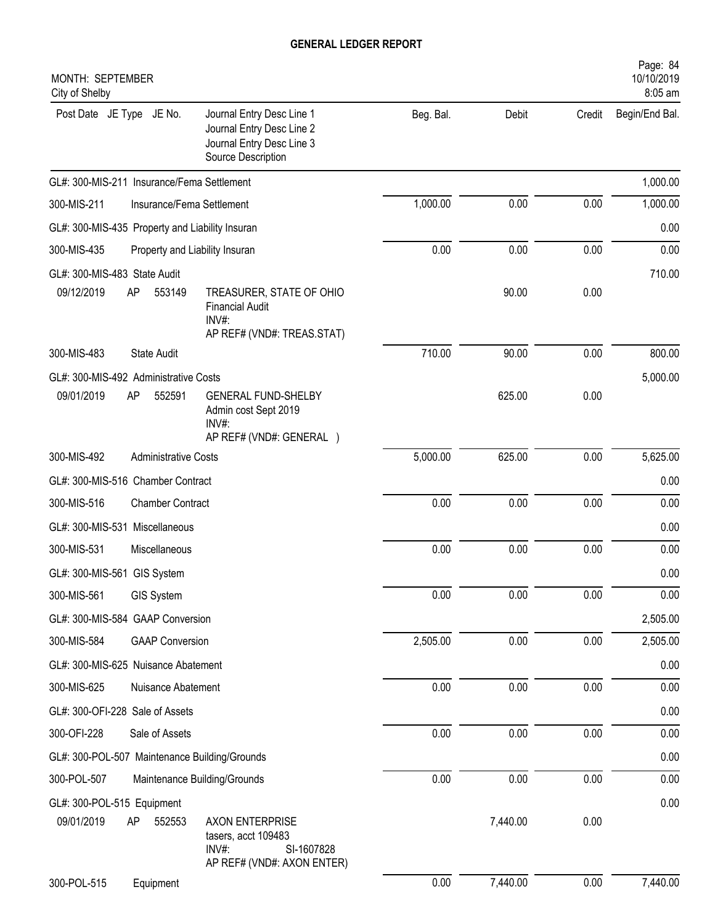| Journal Entry Desc Line 1<br>Beg. Bal.<br>Post Date JE Type JE No.<br>Debit<br>Credit<br>Begin/End Bal.<br>Journal Entry Desc Line 2<br>Journal Entry Desc Line 3<br>Source Description<br>GL#: 300-MIS-211 Insurance/Fema Settlement<br>1,000.00<br>0.00<br>0.00<br>300-MIS-211<br>Insurance/Fema Settlement<br>GL#: 300-MIS-435 Property and Liability Insuran<br>0.00<br>0.00<br>0.00<br>300-MIS-435<br>Property and Liability Insuran<br>GL#: 300-MIS-483 State Audit<br>09/12/2019<br>553149<br>90.00<br>0.00<br>AP<br>TREASURER, STATE OF OHIO<br><b>Financial Audit</b><br>$INV#$ :<br>AP REF# (VND#: TREAS.STAT)<br>710.00<br>90.00<br>0.00<br>300-MIS-483<br><b>State Audit</b><br>GL#: 300-MIS-492 Administrative Costs<br>09/01/2019<br>552591<br>0.00<br>AP<br><b>GENERAL FUND-SHELBY</b><br>625.00<br>Admin cost Sept 2019<br>INV#:<br>AP REF# (VND#: GENERAL )<br>5,000.00<br>625.00<br>0.00<br>300-MIS-492<br><b>Administrative Costs</b><br>GL#: 300-MIS-516 Chamber Contract<br>0.00<br>0.00<br>0.00<br>300-MIS-516<br><b>Chamber Contract</b><br>GL#: 300-MIS-531 Miscellaneous<br>0.00<br>0.00<br>0.00<br>300-MIS-531<br>Miscellaneous<br>GL#: 300-MIS-561 GIS System<br>0.00<br>0.00<br>0.00<br>300-MIS-561<br>GIS System<br>GL#: 300-MIS-584 GAAP Conversion<br>0.00<br>0.00<br>2,505.00<br>300-MIS-584<br><b>GAAP Conversion</b><br>GL#: 300-MIS-625 Nuisance Abatement<br>0.00<br>0.00<br>0.00<br>300-MIS-625<br>Nuisance Abatement<br>GL#: 300-OFI-228 Sale of Assets<br>0.00<br>0.00<br>0.00<br>300-OFI-228<br>Sale of Assets<br>GL#: 300-POL-507 Maintenance Building/Grounds<br>0.00<br>0.00<br>0.00<br>300-POL-507<br>Maintenance Building/Grounds<br>GL#: 300-POL-515 Equipment | MONTH: SEPTEMBER<br>City of Shelby |                        |          |      | Page: 84<br>10/10/2019<br>8:05 am |
|--------------------------------------------------------------------------------------------------------------------------------------------------------------------------------------------------------------------------------------------------------------------------------------------------------------------------------------------------------------------------------------------------------------------------------------------------------------------------------------------------------------------------------------------------------------------------------------------------------------------------------------------------------------------------------------------------------------------------------------------------------------------------------------------------------------------------------------------------------------------------------------------------------------------------------------------------------------------------------------------------------------------------------------------------------------------------------------------------------------------------------------------------------------------------------------------------------------------------------------------------------------------------------------------------------------------------------------------------------------------------------------------------------------------------------------------------------------------------------------------------------------------------------------------------------------------------------------------------------------------------------------------------------------------------------------------------------------|------------------------------------|------------------------|----------|------|-----------------------------------|
|                                                                                                                                                                                                                                                                                                                                                                                                                                                                                                                                                                                                                                                                                                                                                                                                                                                                                                                                                                                                                                                                                                                                                                                                                                                                                                                                                                                                                                                                                                                                                                                                                                                                                                              |                                    |                        |          |      |                                   |
| 1,000.00<br>0.00<br>0.00<br>710.00<br>800.00<br>5,000.00<br>5,625.00<br>0.00<br>0.00<br>0.00<br>0.00<br>0.00<br>0.00<br>2,505.00<br>2,505.00<br>0.00<br>0.00<br>0.00<br>0.00<br>0.00<br>0.00<br>0.00                                                                                                                                                                                                                                                                                                                                                                                                                                                                                                                                                                                                                                                                                                                                                                                                                                                                                                                                                                                                                                                                                                                                                                                                                                                                                                                                                                                                                                                                                                         |                                    |                        |          |      | 1,000.00                          |
|                                                                                                                                                                                                                                                                                                                                                                                                                                                                                                                                                                                                                                                                                                                                                                                                                                                                                                                                                                                                                                                                                                                                                                                                                                                                                                                                                                                                                                                                                                                                                                                                                                                                                                              |                                    |                        |          |      |                                   |
|                                                                                                                                                                                                                                                                                                                                                                                                                                                                                                                                                                                                                                                                                                                                                                                                                                                                                                                                                                                                                                                                                                                                                                                                                                                                                                                                                                                                                                                                                                                                                                                                                                                                                                              |                                    |                        |          |      |                                   |
|                                                                                                                                                                                                                                                                                                                                                                                                                                                                                                                                                                                                                                                                                                                                                                                                                                                                                                                                                                                                                                                                                                                                                                                                                                                                                                                                                                                                                                                                                                                                                                                                                                                                                                              |                                    |                        |          |      |                                   |
|                                                                                                                                                                                                                                                                                                                                                                                                                                                                                                                                                                                                                                                                                                                                                                                                                                                                                                                                                                                                                                                                                                                                                                                                                                                                                                                                                                                                                                                                                                                                                                                                                                                                                                              |                                    |                        |          |      |                                   |
|                                                                                                                                                                                                                                                                                                                                                                                                                                                                                                                                                                                                                                                                                                                                                                                                                                                                                                                                                                                                                                                                                                                                                                                                                                                                                                                                                                                                                                                                                                                                                                                                                                                                                                              |                                    |                        |          |      |                                   |
|                                                                                                                                                                                                                                                                                                                                                                                                                                                                                                                                                                                                                                                                                                                                                                                                                                                                                                                                                                                                                                                                                                                                                                                                                                                                                                                                                                                                                                                                                                                                                                                                                                                                                                              |                                    |                        |          |      |                                   |
|                                                                                                                                                                                                                                                                                                                                                                                                                                                                                                                                                                                                                                                                                                                                                                                                                                                                                                                                                                                                                                                                                                                                                                                                                                                                                                                                                                                                                                                                                                                                                                                                                                                                                                              |                                    |                        |          |      |                                   |
|                                                                                                                                                                                                                                                                                                                                                                                                                                                                                                                                                                                                                                                                                                                                                                                                                                                                                                                                                                                                                                                                                                                                                                                                                                                                                                                                                                                                                                                                                                                                                                                                                                                                                                              |                                    |                        |          |      |                                   |
|                                                                                                                                                                                                                                                                                                                                                                                                                                                                                                                                                                                                                                                                                                                                                                                                                                                                                                                                                                                                                                                                                                                                                                                                                                                                                                                                                                                                                                                                                                                                                                                                                                                                                                              |                                    |                        |          |      |                                   |
|                                                                                                                                                                                                                                                                                                                                                                                                                                                                                                                                                                                                                                                                                                                                                                                                                                                                                                                                                                                                                                                                                                                                                                                                                                                                                                                                                                                                                                                                                                                                                                                                                                                                                                              |                                    |                        |          |      |                                   |
|                                                                                                                                                                                                                                                                                                                                                                                                                                                                                                                                                                                                                                                                                                                                                                                                                                                                                                                                                                                                                                                                                                                                                                                                                                                                                                                                                                                                                                                                                                                                                                                                                                                                                                              |                                    |                        |          |      |                                   |
|                                                                                                                                                                                                                                                                                                                                                                                                                                                                                                                                                                                                                                                                                                                                                                                                                                                                                                                                                                                                                                                                                                                                                                                                                                                                                                                                                                                                                                                                                                                                                                                                                                                                                                              |                                    |                        |          |      |                                   |
|                                                                                                                                                                                                                                                                                                                                                                                                                                                                                                                                                                                                                                                                                                                                                                                                                                                                                                                                                                                                                                                                                                                                                                                                                                                                                                                                                                                                                                                                                                                                                                                                                                                                                                              |                                    |                        |          |      |                                   |
|                                                                                                                                                                                                                                                                                                                                                                                                                                                                                                                                                                                                                                                                                                                                                                                                                                                                                                                                                                                                                                                                                                                                                                                                                                                                                                                                                                                                                                                                                                                                                                                                                                                                                                              |                                    |                        |          |      |                                   |
|                                                                                                                                                                                                                                                                                                                                                                                                                                                                                                                                                                                                                                                                                                                                                                                                                                                                                                                                                                                                                                                                                                                                                                                                                                                                                                                                                                                                                                                                                                                                                                                                                                                                                                              |                                    |                        |          |      |                                   |
|                                                                                                                                                                                                                                                                                                                                                                                                                                                                                                                                                                                                                                                                                                                                                                                                                                                                                                                                                                                                                                                                                                                                                                                                                                                                                                                                                                                                                                                                                                                                                                                                                                                                                                              |                                    |                        |          |      |                                   |
|                                                                                                                                                                                                                                                                                                                                                                                                                                                                                                                                                                                                                                                                                                                                                                                                                                                                                                                                                                                                                                                                                                                                                                                                                                                                                                                                                                                                                                                                                                                                                                                                                                                                                                              |                                    |                        |          |      |                                   |
|                                                                                                                                                                                                                                                                                                                                                                                                                                                                                                                                                                                                                                                                                                                                                                                                                                                                                                                                                                                                                                                                                                                                                                                                                                                                                                                                                                                                                                                                                                                                                                                                                                                                                                              |                                    |                        |          |      |                                   |
|                                                                                                                                                                                                                                                                                                                                                                                                                                                                                                                                                                                                                                                                                                                                                                                                                                                                                                                                                                                                                                                                                                                                                                                                                                                                                                                                                                                                                                                                                                                                                                                                                                                                                                              |                                    |                        |          |      |                                   |
|                                                                                                                                                                                                                                                                                                                                                                                                                                                                                                                                                                                                                                                                                                                                                                                                                                                                                                                                                                                                                                                                                                                                                                                                                                                                                                                                                                                                                                                                                                                                                                                                                                                                                                              |                                    |                        |          |      |                                   |
|                                                                                                                                                                                                                                                                                                                                                                                                                                                                                                                                                                                                                                                                                                                                                                                                                                                                                                                                                                                                                                                                                                                                                                                                                                                                                                                                                                                                                                                                                                                                                                                                                                                                                                              |                                    |                        |          |      |                                   |
|                                                                                                                                                                                                                                                                                                                                                                                                                                                                                                                                                                                                                                                                                                                                                                                                                                                                                                                                                                                                                                                                                                                                                                                                                                                                                                                                                                                                                                                                                                                                                                                                                                                                                                              |                                    |                        |          |      |                                   |
|                                                                                                                                                                                                                                                                                                                                                                                                                                                                                                                                                                                                                                                                                                                                                                                                                                                                                                                                                                                                                                                                                                                                                                                                                                                                                                                                                                                                                                                                                                                                                                                                                                                                                                              |                                    |                        |          |      |                                   |
|                                                                                                                                                                                                                                                                                                                                                                                                                                                                                                                                                                                                                                                                                                                                                                                                                                                                                                                                                                                                                                                                                                                                                                                                                                                                                                                                                                                                                                                                                                                                                                                                                                                                                                              |                                    |                        |          |      |                                   |
|                                                                                                                                                                                                                                                                                                                                                                                                                                                                                                                                                                                                                                                                                                                                                                                                                                                                                                                                                                                                                                                                                                                                                                                                                                                                                                                                                                                                                                                                                                                                                                                                                                                                                                              |                                    |                        |          |      |                                   |
| tasers, acct 109483<br>INV#:<br>SI-1607828<br>AP REF# (VND#: AXON ENTER)                                                                                                                                                                                                                                                                                                                                                                                                                                                                                                                                                                                                                                                                                                                                                                                                                                                                                                                                                                                                                                                                                                                                                                                                                                                                                                                                                                                                                                                                                                                                                                                                                                     | AP<br>09/01/2019<br>552553         | <b>AXON ENTERPRISE</b> | 7,440.00 | 0.00 |                                   |
| 7,440.00<br>0.00<br>7,440.00<br>0.00<br>300-POL-515<br>Equipment                                                                                                                                                                                                                                                                                                                                                                                                                                                                                                                                                                                                                                                                                                                                                                                                                                                                                                                                                                                                                                                                                                                                                                                                                                                                                                                                                                                                                                                                                                                                                                                                                                             |                                    |                        |          |      |                                   |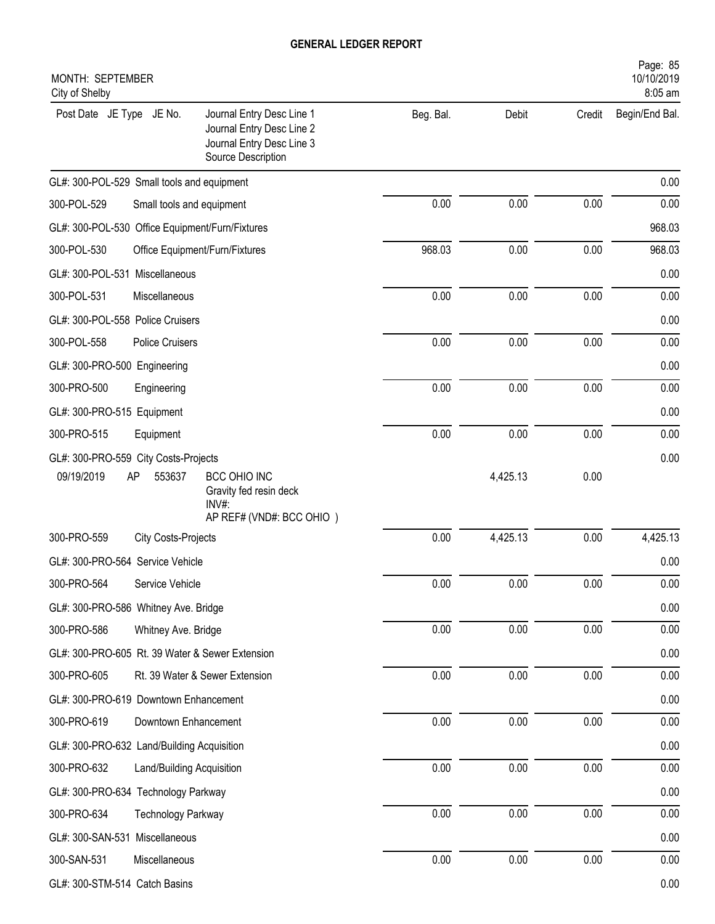| MONTH: SEPTEMBER<br>City of Shelby                                                                                                    |           |          |        | Page: 85<br>10/10/2019<br>8:05 am |
|---------------------------------------------------------------------------------------------------------------------------------------|-----------|----------|--------|-----------------------------------|
| Post Date JE Type JE No.<br>Journal Entry Desc Line 1<br>Journal Entry Desc Line 2<br>Journal Entry Desc Line 3<br>Source Description | Beg. Bal. | Debit    | Credit | Begin/End Bal.                    |
| GL#: 300-POL-529 Small tools and equipment                                                                                            |           |          |        | 0.00                              |
| 300-POL-529<br>Small tools and equipment                                                                                              | 0.00      | 0.00     | 0.00   | 0.00                              |
| GL#: 300-POL-530 Office Equipment/Furn/Fixtures                                                                                       |           |          |        | 968.03                            |
| 300-POL-530<br>Office Equipment/Furn/Fixtures                                                                                         | 968.03    | 0.00     | 0.00   | 968.03                            |
| GL#: 300-POL-531 Miscellaneous                                                                                                        |           |          |        | 0.00                              |
| 300-POL-531<br>Miscellaneous                                                                                                          | 0.00      | 0.00     | 0.00   | 0.00                              |
| GL#: 300-POL-558 Police Cruisers                                                                                                      |           |          |        | 0.00                              |
| 300-POL-558<br><b>Police Cruisers</b>                                                                                                 | 0.00      | 0.00     | 0.00   | 0.00                              |
| GL#: 300-PRO-500 Engineering                                                                                                          |           |          |        | 0.00                              |
| 300-PRO-500<br>Engineering                                                                                                            | 0.00      | 0.00     | 0.00   | 0.00                              |
| GL#: 300-PRO-515 Equipment                                                                                                            |           |          |        | 0.00                              |
| 300-PRO-515<br>Equipment                                                                                                              | 0.00      | 0.00     | 0.00   | 0.00                              |
| GL#: 300-PRO-559 City Costs-Projects                                                                                                  |           |          |        | 0.00                              |
| 09/19/2019<br>553637<br>AP<br>BCC OHIO INC<br>Gravity fed resin deck<br>$INV#$ :<br>AP REF# (VND#: BCC OHIO)                          |           | 4,425.13 | 0.00   |                                   |
| 300-PRO-559<br><b>City Costs-Projects</b>                                                                                             | 0.00      | 4,425.13 | 0.00   | 4,425.13                          |
| GL#: 300-PRO-564 Service Vehicle                                                                                                      |           |          |        | 0.00                              |
| 300-PRO-564<br>Service Vehicle                                                                                                        | 0.00      | 0.00     | 0.00   | 0.00                              |
| GL#: 300-PRO-586 Whitney Ave. Bridge                                                                                                  |           |          |        | 0.00                              |
| 300-PRO-586<br>Whitney Ave. Bridge                                                                                                    | 0.00      | 0.00     | 0.00   | 0.00                              |
| GL#: 300-PRO-605 Rt. 39 Water & Sewer Extension                                                                                       |           |          |        | 0.00                              |
| 300-PRO-605<br>Rt. 39 Water & Sewer Extension                                                                                         | 0.00      | 0.00     | 0.00   | 0.00                              |
| GL#: 300-PRO-619 Downtown Enhancement                                                                                                 |           |          |        | 0.00                              |
| 300-PRO-619<br>Downtown Enhancement                                                                                                   | 0.00      | 0.00     | 0.00   | 0.00                              |
| GL#: 300-PRO-632 Land/Building Acquisition                                                                                            |           |          |        | 0.00                              |
| 300-PRO-632<br>Land/Building Acquisition                                                                                              | 0.00      | 0.00     | 0.00   | 0.00                              |
| GL#: 300-PRO-634 Technology Parkway                                                                                                   |           |          |        | 0.00                              |
| 300-PRO-634<br><b>Technology Parkway</b>                                                                                              | 0.00      | 0.00     | 0.00   | 0.00                              |
| GL#: 300-SAN-531 Miscellaneous                                                                                                        |           |          |        | 0.00                              |
| 300-SAN-531<br>Miscellaneous                                                                                                          | 0.00      | 0.00     | 0.00   | 0.00                              |
| GL#: 300-STM-514 Catch Basins                                                                                                         |           |          |        | 0.00                              |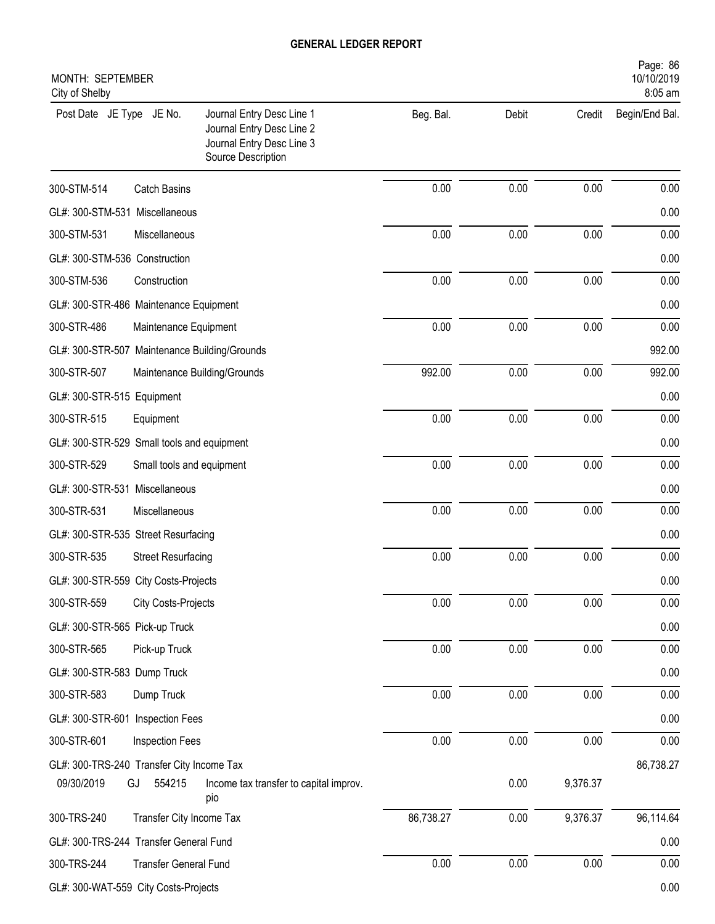| MONTH: SEPTEMBER<br>City of Shelby                                                                                                    |           |       |          | Page: 86<br>10/10/2019<br>8:05 am |
|---------------------------------------------------------------------------------------------------------------------------------------|-----------|-------|----------|-----------------------------------|
| Journal Entry Desc Line 1<br>Post Date JE Type JE No.<br>Journal Entry Desc Line 2<br>Journal Entry Desc Line 3<br>Source Description | Beg. Bal. | Debit | Credit   | Begin/End Bal.                    |
| 300-STM-514<br><b>Catch Basins</b>                                                                                                    | 0.00      | 0.00  | 0.00     | 0.00                              |
| GL#: 300-STM-531 Miscellaneous                                                                                                        |           |       |          | 0.00                              |
| 300-STM-531<br>Miscellaneous                                                                                                          | 0.00      | 0.00  | 0.00     | 0.00                              |
| GL#: 300-STM-536 Construction                                                                                                         |           |       |          | 0.00                              |
| 300-STM-536<br>Construction                                                                                                           | 0.00      | 0.00  | 0.00     | 0.00                              |
| GL#: 300-STR-486 Maintenance Equipment                                                                                                |           |       |          | 0.00                              |
| 300-STR-486<br>Maintenance Equipment                                                                                                  | 0.00      | 0.00  | 0.00     | 0.00                              |
| GL#: 300-STR-507 Maintenance Building/Grounds                                                                                         |           |       |          | 992.00                            |
| 300-STR-507<br>Maintenance Building/Grounds                                                                                           | 992.00    | 0.00  | 0.00     | 992.00                            |
| GL#: 300-STR-515 Equipment                                                                                                            |           |       |          | 0.00                              |
| 300-STR-515<br>Equipment                                                                                                              | 0.00      | 0.00  | 0.00     | 0.00                              |
| GL#: 300-STR-529 Small tools and equipment                                                                                            |           |       |          | 0.00                              |
| 300-STR-529<br>Small tools and equipment                                                                                              | 0.00      | 0.00  | 0.00     | 0.00                              |
| GL#: 300-STR-531 Miscellaneous                                                                                                        |           |       |          | 0.00                              |
| 300-STR-531<br>Miscellaneous                                                                                                          | 0.00      | 0.00  | 0.00     | 0.00                              |
| GL#: 300-STR-535 Street Resurfacing                                                                                                   |           |       |          | 0.00                              |
| 300-STR-535<br><b>Street Resurfacing</b>                                                                                              | 0.00      | 0.00  | 0.00     | 0.00                              |
| GL#: 300-STR-559 City Costs-Projects                                                                                                  |           |       |          | 0.00                              |
| 300-STR-559<br><b>City Costs-Projects</b>                                                                                             | 0.00      | 0.00  | 0.00     | 0.00                              |
| GL#: 300-STR-565 Pick-up Truck                                                                                                        |           |       |          | 0.00                              |
| 300-STR-565<br>Pick-up Truck                                                                                                          | 0.00      | 0.00  | 0.00     | 0.00                              |
| GL#: 300-STR-583 Dump Truck                                                                                                           |           |       |          | 0.00                              |
| 300-STR-583<br>Dump Truck                                                                                                             | 0.00      | 0.00  | 0.00     | 0.00                              |
| GL#: 300-STR-601 Inspection Fees                                                                                                      |           |       |          | 0.00                              |
| 300-STR-601<br>Inspection Fees                                                                                                        | 0.00      | 0.00  | 0.00     | 0.00                              |
| GL#: 300-TRS-240 Transfer City Income Tax<br>09/30/2019<br>GJ<br>554215<br>Income tax transfer to capital improv.<br>pio              |           | 0.00  | 9,376.37 | 86,738.27                         |
| Transfer City Income Tax<br>300-TRS-240                                                                                               | 86,738.27 | 0.00  | 9,376.37 | 96,114.64                         |
| GL#: 300-TRS-244 Transfer General Fund                                                                                                |           |       |          | 0.00                              |
| 300-TRS-244<br><b>Transfer General Fund</b>                                                                                           | $0.00\,$  | 0.00  | 0.00     | 0.00                              |
| GL#: 300-WAT-559 City Costs-Projects                                                                                                  |           |       |          | 0.00                              |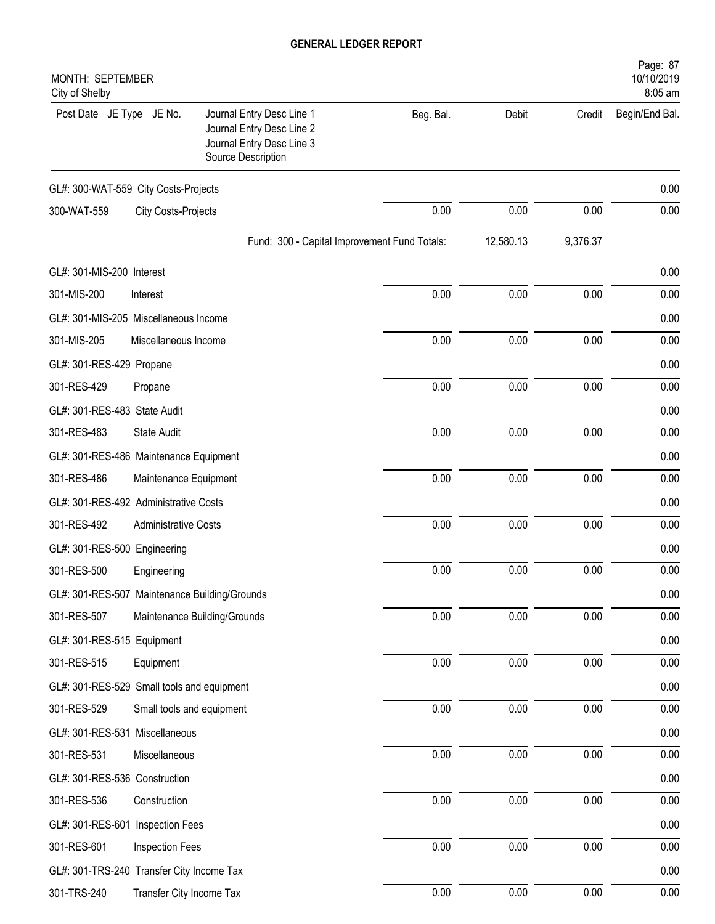| Page: 87<br>MONTH: SEPTEMBER<br>10/10/2019<br>8:05 am<br>City of Shelby |                             |  |                                                                                                           |           |           |          |                |
|-------------------------------------------------------------------------|-----------------------------|--|-----------------------------------------------------------------------------------------------------------|-----------|-----------|----------|----------------|
| Post Date JE Type JE No.                                                |                             |  | Journal Entry Desc Line 1<br>Journal Entry Desc Line 2<br>Journal Entry Desc Line 3<br>Source Description | Beg. Bal. | Debit     | Credit   | Begin/End Bal. |
| GL#: 300-WAT-559 City Costs-Projects                                    |                             |  |                                                                                                           |           |           |          | 0.00           |
| 300-WAT-559                                                             | <b>City Costs-Projects</b>  |  |                                                                                                           | 0.00      | 0.00      | 0.00     | 0.00           |
|                                                                         |                             |  | Fund: 300 - Capital Improvement Fund Totals:                                                              |           | 12,580.13 | 9,376.37 |                |
| GL#: 301-MIS-200 Interest                                               |                             |  |                                                                                                           |           |           |          | 0.00           |
| 301-MIS-200                                                             | Interest                    |  |                                                                                                           | 0.00      | 0.00      | 0.00     | 0.00           |
| GL#: 301-MIS-205 Miscellaneous Income                                   |                             |  |                                                                                                           |           |           |          | 0.00           |
| 301-MIS-205                                                             | Miscellaneous Income        |  |                                                                                                           | 0.00      | 0.00      | 0.00     | 0.00           |
| GL#: 301-RES-429 Propane                                                |                             |  |                                                                                                           |           |           |          | 0.00           |
| 301-RES-429                                                             | Propane                     |  |                                                                                                           | 0.00      | 0.00      | 0.00     | 0.00           |
| GL#: 301-RES-483 State Audit                                            |                             |  |                                                                                                           |           |           |          | 0.00           |
| 301-RES-483                                                             | State Audit                 |  |                                                                                                           | 0.00      | 0.00      | 0.00     | 0.00           |
| GL#: 301-RES-486 Maintenance Equipment                                  |                             |  |                                                                                                           |           |           |          | 0.00           |
| 301-RES-486                                                             |                             |  | Maintenance Equipment                                                                                     | 0.00      | 0.00      | 0.00     | 0.00           |
| GL#: 301-RES-492 Administrative Costs                                   |                             |  |                                                                                                           |           |           |          | 0.00           |
| 301-RES-492                                                             | <b>Administrative Costs</b> |  |                                                                                                           | 0.00      | 0.00      | 0.00     | 0.00           |
| GL#: 301-RES-500 Engineering                                            |                             |  |                                                                                                           |           |           |          | 0.00           |
| 301-RES-500                                                             | Engineering                 |  |                                                                                                           | 0.00      | 0.00      | 0.00     | 0.00           |
| GL#: 301-RES-507 Maintenance Building/Grounds                           |                             |  |                                                                                                           |           |           |          | 0.00           |
| 301-RES-507                                                             |                             |  | Maintenance Building/Grounds                                                                              | $0.00\,$  | 0.00      | $0.00\,$ | 0.00           |
| GL#: 301-RES-515 Equipment                                              |                             |  |                                                                                                           |           |           |          | 0.00           |
| 301-RES-515                                                             | Equipment                   |  |                                                                                                           | 0.00      | 0.00      | 0.00     | 0.00           |
| GL#: 301-RES-529 Small tools and equipment                              |                             |  |                                                                                                           |           |           |          | 0.00           |
| 301-RES-529                                                             |                             |  | Small tools and equipment                                                                                 | 0.00      | 0.00      | 0.00     | 0.00           |
| GL#: 301-RES-531 Miscellaneous                                          |                             |  |                                                                                                           |           |           |          | 0.00           |
| 301-RES-531                                                             | Miscellaneous               |  |                                                                                                           | 0.00      | 0.00      | 0.00     | 0.00           |
| GL#: 301-RES-536 Construction                                           |                             |  |                                                                                                           |           |           |          | 0.00           |
| 301-RES-536                                                             | Construction                |  |                                                                                                           | 0.00      | 0.00      | $0.00\,$ | 0.00           |
| GL#: 301-RES-601 Inspection Fees                                        |                             |  |                                                                                                           |           |           |          | 0.00           |
| 301-RES-601                                                             | Inspection Fees             |  |                                                                                                           | $0.00\,$  | 0.00      | 0.00     | 0.00           |
| GL#: 301-TRS-240 Transfer City Income Tax                               |                             |  |                                                                                                           |           |           |          | 0.00           |
| 301-TRS-240                                                             |                             |  | Transfer City Income Tax                                                                                  | 0.00      | 0.00      | 0.00     | 0.00           |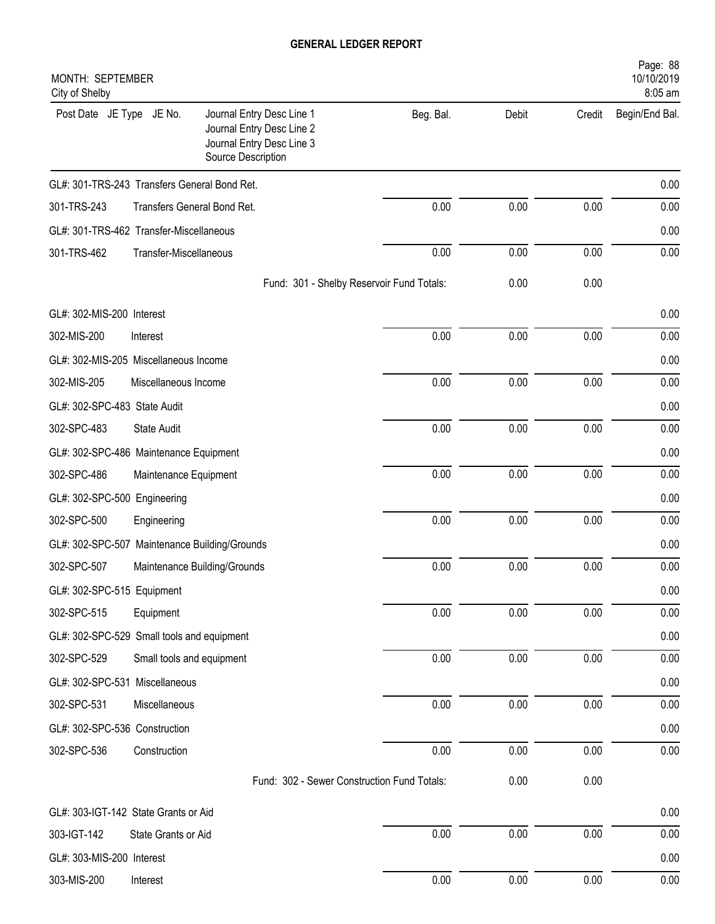| MONTH: SEPTEMBER<br>City of Shelby            |                           |                                                                                                           |           |       |        | Page: 88<br>10/10/2019<br>8:05 am |
|-----------------------------------------------|---------------------------|-----------------------------------------------------------------------------------------------------------|-----------|-------|--------|-----------------------------------|
| Post Date JE Type JE No.                      |                           | Journal Entry Desc Line 1<br>Journal Entry Desc Line 2<br>Journal Entry Desc Line 3<br>Source Description | Beg. Bal. | Debit | Credit | Begin/End Bal.                    |
| GL#: 301-TRS-243 Transfers General Bond Ret.  |                           |                                                                                                           |           |       |        | 0.00                              |
| 301-TRS-243                                   |                           | Transfers General Bond Ret.                                                                               | 0.00      | 0.00  | 0.00   | 0.00                              |
| GL#: 301-TRS-462 Transfer-Miscellaneous       |                           |                                                                                                           |           |       |        | 0.00                              |
| 301-TRS-462                                   | Transfer-Miscellaneous    |                                                                                                           | 0.00      | 0.00  | 0.00   | 0.00                              |
|                                               |                           | Fund: 301 - Shelby Reservoir Fund Totals:                                                                 |           | 0.00  | 0.00   |                                   |
| GL#: 302-MIS-200 Interest                     |                           |                                                                                                           |           |       |        | 0.00                              |
| 302-MIS-200                                   | Interest                  |                                                                                                           | 0.00      | 0.00  | 0.00   | 0.00                              |
| GL#: 302-MIS-205 Miscellaneous Income         |                           |                                                                                                           |           |       |        | 0.00                              |
| 302-MIS-205                                   | Miscellaneous Income      |                                                                                                           | 0.00      | 0.00  | 0.00   | 0.00                              |
| GL#: 302-SPC-483 State Audit                  |                           |                                                                                                           |           |       |        | 0.00                              |
| 302-SPC-483                                   | <b>State Audit</b>        |                                                                                                           | 0.00      | 0.00  | 0.00   | 0.00                              |
| GL#: 302-SPC-486 Maintenance Equipment        |                           |                                                                                                           |           |       |        | 0.00                              |
| 302-SPC-486                                   | Maintenance Equipment     |                                                                                                           | 0.00      | 0.00  | 0.00   | 0.00                              |
| GL#: 302-SPC-500 Engineering                  |                           |                                                                                                           |           |       |        | 0.00                              |
| 302-SPC-500                                   | Engineering               |                                                                                                           | 0.00      | 0.00  | 0.00   | 0.00                              |
| GL#: 302-SPC-507 Maintenance Building/Grounds |                           |                                                                                                           |           |       |        | 0.00                              |
| 302-SPC-507                                   |                           | Maintenance Building/Grounds                                                                              | 0.00      | 0.00  | 0.00   | 0.00                              |
| GL#: 302-SPC-515 Equipment                    |                           |                                                                                                           |           |       |        | 0.00                              |
| 302-SPC-515                                   | Equipment                 |                                                                                                           | 0.00      | 0.00  | 0.00   | 0.00                              |
| GL#: 302-SPC-529 Small tools and equipment    |                           |                                                                                                           |           |       |        | 0.00                              |
| 302-SPC-529                                   | Small tools and equipment |                                                                                                           | 0.00      | 0.00  | 0.00   | 0.00                              |
| GL#: 302-SPC-531 Miscellaneous                |                           |                                                                                                           |           |       |        | 0.00                              |
| 302-SPC-531                                   | Miscellaneous             |                                                                                                           | 0.00      | 0.00  | 0.00   | 0.00                              |
| GL#: 302-SPC-536 Construction                 |                           |                                                                                                           |           |       |        | 0.00                              |
| 302-SPC-536                                   | Construction              |                                                                                                           | 0.00      | 0.00  | 0.00   | 0.00                              |
|                                               |                           | Fund: 302 - Sewer Construction Fund Totals:                                                               |           | 0.00  | 0.00   |                                   |
| GL#: 303-IGT-142 State Grants or Aid          |                           |                                                                                                           |           |       |        | 0.00                              |
| 303-IGT-142                                   | State Grants or Aid       |                                                                                                           | 0.00      | 0.00  | 0.00   | 0.00                              |
| GL#: 303-MIS-200 Interest                     |                           |                                                                                                           |           |       |        | 0.00                              |
| 303-MIS-200                                   | Interest                  |                                                                                                           | 0.00      | 0.00  | 0.00   | 0.00                              |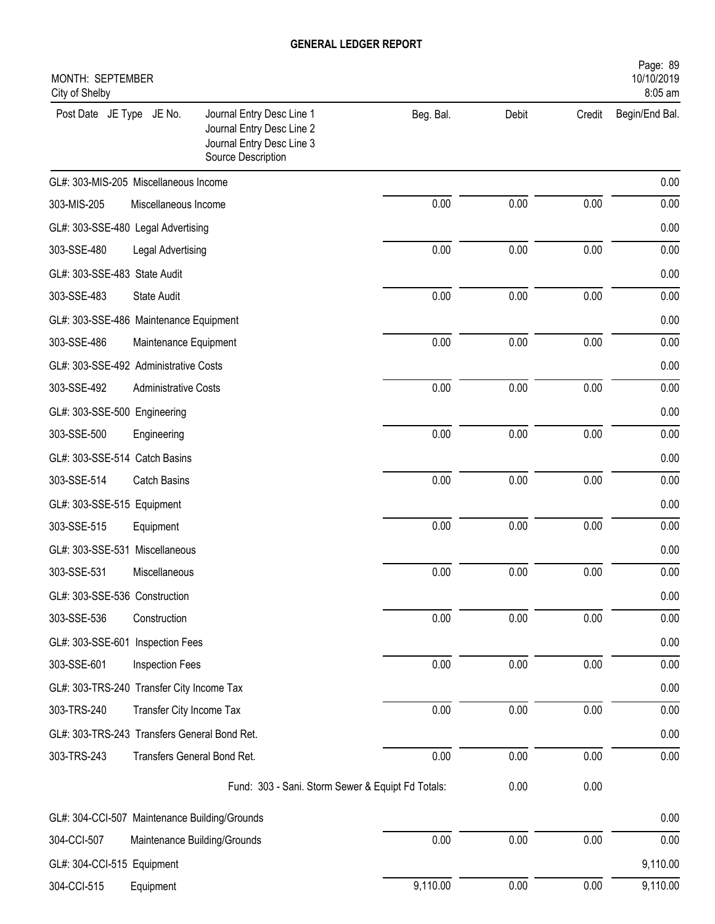| MONTH: SEPTEMBER<br>City of Shelby            |                             |                                                                                                           |           |       |        | Page: 89<br>10/10/2019<br>8:05 am |
|-----------------------------------------------|-----------------------------|-----------------------------------------------------------------------------------------------------------|-----------|-------|--------|-----------------------------------|
| Post Date JE Type JE No.                      |                             | Journal Entry Desc Line 1<br>Journal Entry Desc Line 2<br>Journal Entry Desc Line 3<br>Source Description | Beg. Bal. | Debit | Credit | Begin/End Bal.                    |
| GL#: 303-MIS-205 Miscellaneous Income         |                             |                                                                                                           |           |       |        | 0.00                              |
| 303-MIS-205                                   | Miscellaneous Income        |                                                                                                           | 0.00      | 0.00  | 0.00   | 0.00                              |
| GL#: 303-SSE-480 Legal Advertising            |                             |                                                                                                           |           |       |        | 0.00                              |
| 303-SSE-480                                   | Legal Advertising           |                                                                                                           | 0.00      | 0.00  | 0.00   | 0.00                              |
| GL#: 303-SSE-483 State Audit                  |                             |                                                                                                           |           |       |        | 0.00                              |
| 303-SSE-483                                   | <b>State Audit</b>          |                                                                                                           | 0.00      | 0.00  | 0.00   | 0.00                              |
| GL#: 303-SSE-486 Maintenance Equipment        |                             |                                                                                                           |           |       |        | 0.00                              |
| 303-SSE-486                                   | Maintenance Equipment       |                                                                                                           | 0.00      | 0.00  | 0.00   | 0.00                              |
| GL#: 303-SSE-492 Administrative Costs         |                             |                                                                                                           |           |       |        | 0.00                              |
| 303-SSE-492                                   | <b>Administrative Costs</b> |                                                                                                           | 0.00      | 0.00  | 0.00   | 0.00                              |
| GL#: 303-SSE-500 Engineering                  |                             |                                                                                                           |           |       |        | 0.00                              |
| 303-SSE-500                                   | Engineering                 |                                                                                                           | 0.00      | 0.00  | 0.00   | 0.00                              |
| GL#: 303-SSE-514 Catch Basins                 |                             |                                                                                                           |           |       |        | 0.00                              |
| 303-SSE-514                                   | <b>Catch Basins</b>         |                                                                                                           | 0.00      | 0.00  | 0.00   | 0.00                              |
| GL#: 303-SSE-515 Equipment                    |                             |                                                                                                           |           |       |        | 0.00                              |
| 303-SSE-515                                   | Equipment                   |                                                                                                           | 0.00      | 0.00  | 0.00   | 0.00                              |
| GL#: 303-SSE-531 Miscellaneous                |                             |                                                                                                           |           |       |        | 0.00                              |
| 303-SSE-531                                   | Miscellaneous               |                                                                                                           | 0.00      | 0.00  | 0.00   | 0.00                              |
| GL#: 303-SSE-536 Construction                 |                             |                                                                                                           |           |       |        | 0.00                              |
| 303-SSE-536                                   | Construction                |                                                                                                           | 0.00      | 0.00  | 0.00   | 0.00                              |
| GL#: 303-SSE-601 Inspection Fees              |                             |                                                                                                           |           |       |        | 0.00                              |
| 303-SSE-601                                   | Inspection Fees             |                                                                                                           | 0.00      | 0.00  | 0.00   | 0.00                              |
| GL#: 303-TRS-240 Transfer City Income Tax     |                             |                                                                                                           |           |       |        | 0.00                              |
| 303-TRS-240                                   | Transfer City Income Tax    |                                                                                                           | 0.00      | 0.00  | 0.00   | 0.00                              |
| GL#: 303-TRS-243 Transfers General Bond Ret.  |                             |                                                                                                           |           |       |        | 0.00                              |
| 303-TRS-243                                   | Transfers General Bond Ret. |                                                                                                           | 0.00      | 0.00  | 0.00   | 0.00                              |
|                                               |                             | Fund: 303 - Sani. Storm Sewer & Equipt Fd Totals:                                                         |           | 0.00  | 0.00   |                                   |
| GL#: 304-CCI-507 Maintenance Building/Grounds |                             |                                                                                                           |           |       |        | 0.00                              |
| 304-CCI-507                                   |                             | Maintenance Building/Grounds                                                                              | 0.00      | 0.00  | 0.00   | 0.00                              |
| GL#: 304-CCI-515 Equipment                    |                             |                                                                                                           |           |       |        | 9,110.00                          |
| 304-CCI-515                                   | Equipment                   |                                                                                                           | 9,110.00  | 0.00  | 0.00   | 9,110.00                          |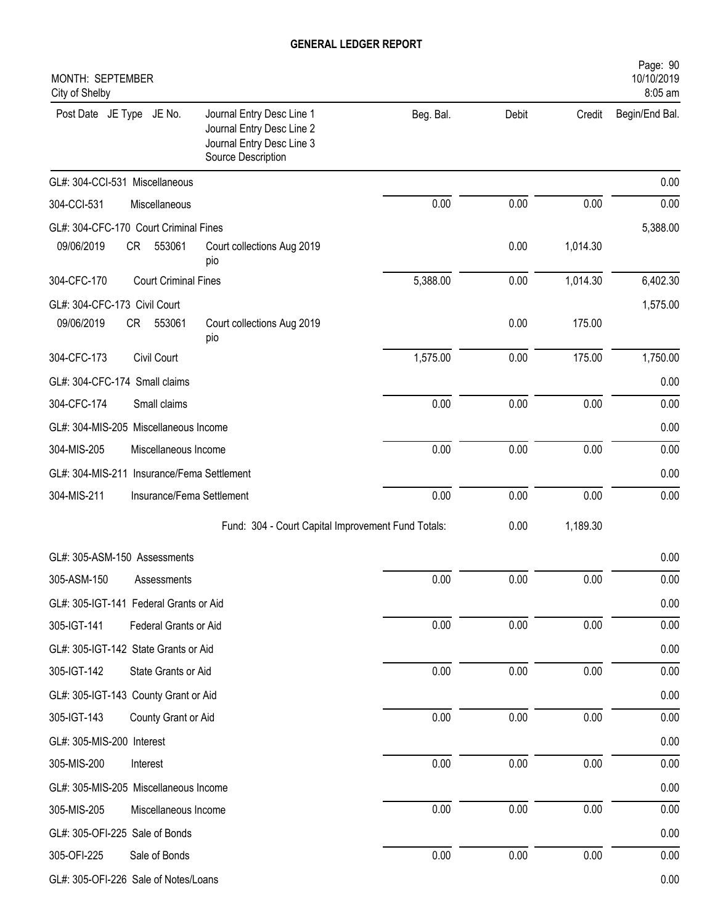| MONTH: SEPTEMBER<br>City of Shelby         |                             |                                                                                                           |           |          |          | Page: 90<br>10/10/2019<br>8:05 am |
|--------------------------------------------|-----------------------------|-----------------------------------------------------------------------------------------------------------|-----------|----------|----------|-----------------------------------|
| Post Date JE Type JE No.                   |                             | Journal Entry Desc Line 1<br>Journal Entry Desc Line 2<br>Journal Entry Desc Line 3<br>Source Description | Beg. Bal. | Debit    | Credit   | Begin/End Bal.                    |
| GL#: 304-CCI-531 Miscellaneous             |                             |                                                                                                           |           |          |          | 0.00                              |
| 304-CCI-531                                | Miscellaneous               |                                                                                                           | 0.00      | 0.00     | 0.00     | 0.00                              |
| GL#: 304-CFC-170 Court Criminal Fines      |                             |                                                                                                           |           |          |          | 5,388.00                          |
| 09/06/2019                                 | CR<br>553061                | Court collections Aug 2019<br>pio                                                                         |           | 0.00     | 1,014.30 |                                   |
| 304-CFC-170                                | <b>Court Criminal Fines</b> |                                                                                                           | 5,388.00  | 0.00     | 1,014.30 | 6,402.30                          |
| GL#: 304-CFC-173 Civil Court               |                             |                                                                                                           |           |          |          | 1,575.00                          |
| 09/06/2019                                 | 553061<br>CR                | Court collections Aug 2019<br>pio                                                                         |           | 0.00     | 175.00   |                                   |
| 304-CFC-173                                | Civil Court                 |                                                                                                           | 1,575.00  | 0.00     | 175.00   | 1,750.00                          |
| GL#: 304-CFC-174 Small claims              |                             |                                                                                                           |           |          |          | 0.00                              |
| 304-CFC-174                                | Small claims                |                                                                                                           | 0.00      | 0.00     | 0.00     | 0.00                              |
| GL#: 304-MIS-205 Miscellaneous Income      |                             |                                                                                                           |           |          |          | 0.00                              |
| 304-MIS-205                                | Miscellaneous Income        |                                                                                                           | 0.00      | 0.00     | 0.00     | 0.00                              |
| GL#: 304-MIS-211 Insurance/Fema Settlement |                             |                                                                                                           |           |          |          | 0.00                              |
| 304-MIS-211                                | Insurance/Fema Settlement   |                                                                                                           | 0.00      | 0.00     | 0.00     | 0.00                              |
|                                            |                             | Fund: 304 - Court Capital Improvement Fund Totals:                                                        |           | 0.00     | 1,189.30 |                                   |
| GL#: 305-ASM-150 Assessments               |                             |                                                                                                           |           |          |          | 0.00                              |
| 305-ASM-150                                | Assessments                 |                                                                                                           | $0.00\,$  | $0.00\,$ | $0.00\,$ | 0.00                              |
| GL#: 305-IGT-141 Federal Grants or Aid     |                             |                                                                                                           |           |          |          | 0.00                              |
| 305-IGT-141                                | Federal Grants or Aid       |                                                                                                           | 0.00      | 0.00     | 0.00     | 0.00                              |
| GL#: 305-IGT-142 State Grants or Aid       |                             |                                                                                                           |           |          |          | 0.00                              |
| 305-IGT-142                                | State Grants or Aid         |                                                                                                           | 0.00      | 0.00     | 0.00     | 0.00                              |
| GL#: 305-IGT-143 County Grant or Aid       |                             |                                                                                                           |           |          |          | 0.00                              |
| 305-IGT-143                                | County Grant or Aid         |                                                                                                           | 0.00      | 0.00     | 0.00     | 0.00                              |
| GL#: 305-MIS-200 Interest                  |                             |                                                                                                           |           |          |          | 0.00                              |
| 305-MIS-200                                | Interest                    |                                                                                                           | 0.00      | 0.00     | 0.00     | 0.00                              |
| GL#: 305-MIS-205 Miscellaneous Income      |                             |                                                                                                           |           |          |          | 0.00                              |
| 305-MIS-205                                | Miscellaneous Income        |                                                                                                           | 0.00      | 0.00     | 0.00     | 0.00                              |
| GL#: 305-OFI-225 Sale of Bonds             |                             |                                                                                                           |           |          |          | 0.00                              |
| 305-OFI-225                                | Sale of Bonds               |                                                                                                           | 0.00      | 0.00     | 0.00     | 0.00                              |
| GL#: 305-OFI-226 Sale of Notes/Loans       |                             |                                                                                                           |           |          |          | 0.00                              |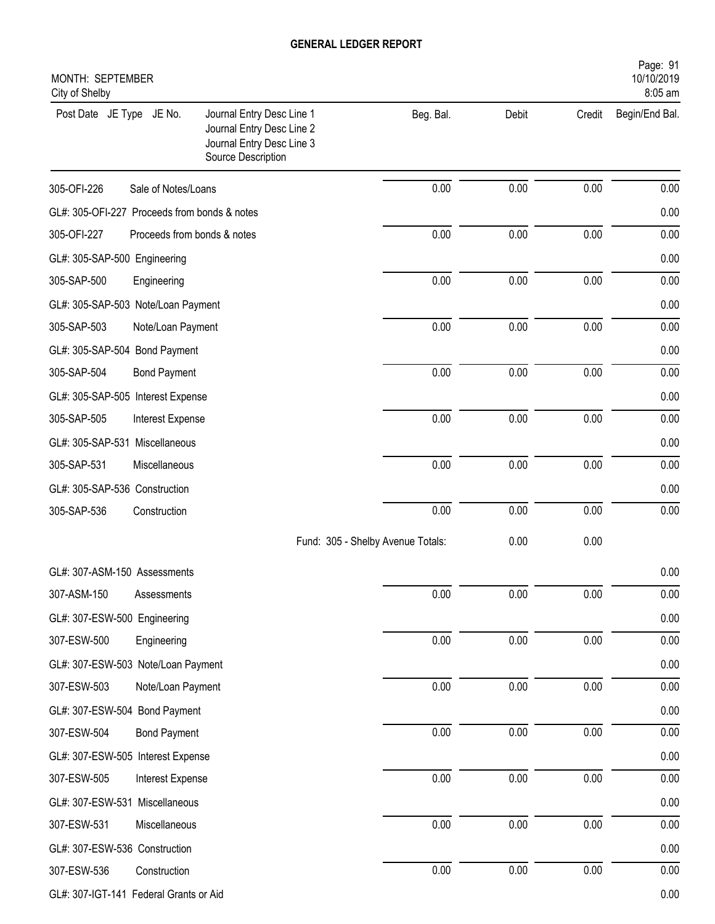| MONTH: SEPTEMBER<br>City of Shelby           |                             |                                                                                                           |                                   |       |          | Page: 91<br>10/10/2019<br>8:05 am |
|----------------------------------------------|-----------------------------|-----------------------------------------------------------------------------------------------------------|-----------------------------------|-------|----------|-----------------------------------|
| Post Date JE Type JE No.                     |                             | Journal Entry Desc Line 1<br>Journal Entry Desc Line 2<br>Journal Entry Desc Line 3<br>Source Description | Beg. Bal.                         | Debit | Credit   | Begin/End Bal.                    |
| 305-OFI-226                                  | Sale of Notes/Loans         |                                                                                                           | 0.00                              | 0.00  | 0.00     | 0.00                              |
| GL#: 305-OFI-227 Proceeds from bonds & notes |                             |                                                                                                           |                                   |       |          | 0.00                              |
| 305-OFI-227                                  | Proceeds from bonds & notes |                                                                                                           | 0.00                              | 0.00  | 0.00     | 0.00                              |
| GL#: 305-SAP-500 Engineering                 |                             |                                                                                                           |                                   |       |          | 0.00                              |
| 305-SAP-500                                  | Engineering                 |                                                                                                           | 0.00                              | 0.00  | 0.00     | 0.00                              |
| GL#: 305-SAP-503 Note/Loan Payment           |                             |                                                                                                           |                                   |       |          | 0.00                              |
| 305-SAP-503                                  | Note/Loan Payment           |                                                                                                           | 0.00                              | 0.00  | 0.00     | 0.00                              |
| GL#: 305-SAP-504 Bond Payment                |                             |                                                                                                           |                                   |       |          | 0.00                              |
| 305-SAP-504                                  | <b>Bond Payment</b>         |                                                                                                           | 0.00                              | 0.00  | 0.00     | 0.00                              |
| GL#: 305-SAP-505 Interest Expense            |                             |                                                                                                           |                                   |       |          | 0.00                              |
| 305-SAP-505                                  | Interest Expense            |                                                                                                           | 0.00                              | 0.00  | 0.00     | 0.00                              |
| GL#: 305-SAP-531 Miscellaneous               |                             |                                                                                                           |                                   |       |          | 0.00                              |
| 305-SAP-531                                  | Miscellaneous               |                                                                                                           | 0.00                              | 0.00  | 0.00     | 0.00                              |
| GL#: 305-SAP-536 Construction                |                             |                                                                                                           |                                   |       |          | 0.00                              |
| 305-SAP-536                                  | Construction                |                                                                                                           | 0.00                              | 0.00  | 0.00     | 0.00                              |
|                                              |                             |                                                                                                           | Fund: 305 - Shelby Avenue Totals: | 0.00  | 0.00     |                                   |
| GL#: 307-ASM-150 Assessments                 |                             |                                                                                                           |                                   |       |          | 0.00                              |
| 307-ASM-150                                  | Assessments                 |                                                                                                           | 0.00                              | 0.00  | 0.00     | 0.00                              |
| GL#: 307-ESW-500 Engineering                 |                             |                                                                                                           |                                   |       |          | 0.00                              |
| 307-ESW-500                                  | Engineering                 |                                                                                                           | $0.00\,$                          | 0.00  | $0.00\,$ | 0.00                              |
| GL#: 307-ESW-503 Note/Loan Payment           |                             |                                                                                                           |                                   |       |          | 0.00                              |
| 307-ESW-503                                  | Note/Loan Payment           |                                                                                                           | 0.00                              | 0.00  | 0.00     | 0.00                              |
| GL#: 307-ESW-504 Bond Payment                |                             |                                                                                                           |                                   |       |          | 0.00                              |
| 307-ESW-504                                  | <b>Bond Payment</b>         |                                                                                                           | 0.00                              | 0.00  | 0.00     | 0.00                              |
| GL#: 307-ESW-505 Interest Expense            |                             |                                                                                                           |                                   |       |          | 0.00                              |
| 307-ESW-505                                  | Interest Expense            |                                                                                                           | $0.00\,$                          | 0.00  | $0.00\,$ | 0.00                              |
| GL#: 307-ESW-531 Miscellaneous               |                             |                                                                                                           |                                   |       |          | 0.00                              |
| 307-ESW-531                                  | Miscellaneous               |                                                                                                           | 0.00                              | 0.00  | 0.00     | 0.00                              |
| GL#: 307-ESW-536 Construction                |                             |                                                                                                           |                                   |       |          | 0.00                              |
| 307-ESW-536                                  | Construction                |                                                                                                           | $0.00\,$                          | 0.00  | $0.00\,$ | 0.00                              |
| GL#: 307-IGT-141 Federal Grants or Aid       |                             |                                                                                                           |                                   |       |          | 0.00                              |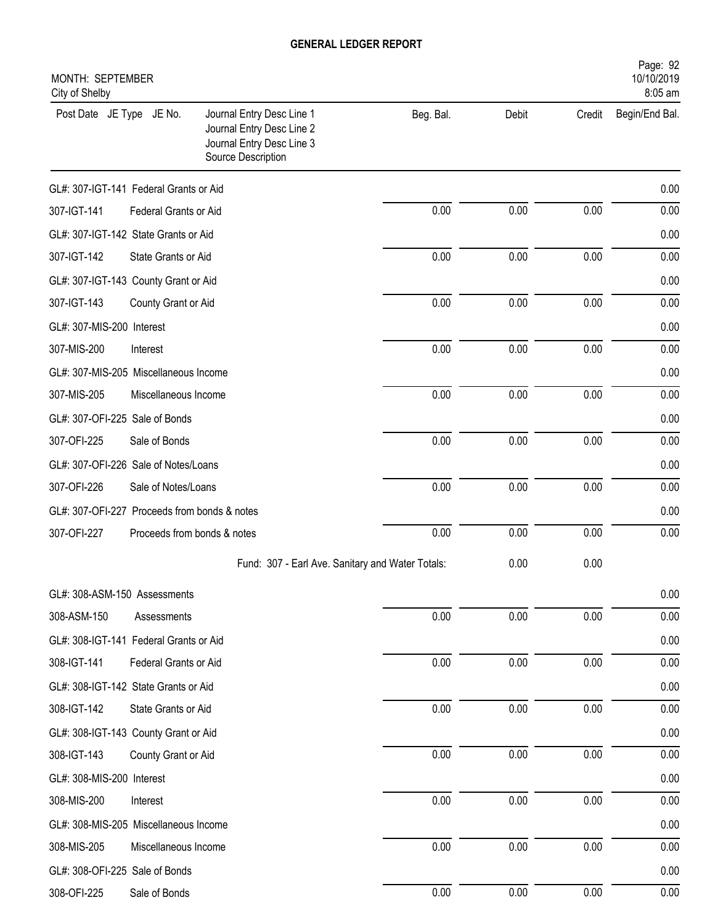| MONTH: SEPTEMBER<br>City of Shelby           |                             |                                                                                                           |           |       |        | Page: 92<br>10/10/2019<br>8:05 am |
|----------------------------------------------|-----------------------------|-----------------------------------------------------------------------------------------------------------|-----------|-------|--------|-----------------------------------|
| Post Date JE Type JE No.                     |                             | Journal Entry Desc Line 1<br>Journal Entry Desc Line 2<br>Journal Entry Desc Line 3<br>Source Description | Beg. Bal. | Debit | Credit | Begin/End Bal.                    |
| GL#: 307-IGT-141 Federal Grants or Aid       |                             |                                                                                                           |           |       |        | 0.00                              |
| 307-IGT-141                                  | Federal Grants or Aid       |                                                                                                           | 0.00      | 0.00  | 0.00   | 0.00                              |
| GL#: 307-IGT-142 State Grants or Aid         |                             |                                                                                                           |           |       |        | 0.00                              |
| 307-IGT-142                                  | State Grants or Aid         |                                                                                                           | 0.00      | 0.00  | 0.00   | 0.00                              |
| GL#: 307-IGT-143 County Grant or Aid         |                             |                                                                                                           |           |       |        | 0.00                              |
| 307-IGT-143                                  | County Grant or Aid         |                                                                                                           | 0.00      | 0.00  | 0.00   | 0.00                              |
| GL#: 307-MIS-200 Interest                    |                             |                                                                                                           |           |       |        | 0.00                              |
| 307-MIS-200                                  | Interest                    |                                                                                                           | 0.00      | 0.00  | 0.00   | 0.00                              |
| GL#: 307-MIS-205 Miscellaneous Income        |                             |                                                                                                           |           |       |        | 0.00                              |
| 307-MIS-205                                  | Miscellaneous Income        |                                                                                                           | 0.00      | 0.00  | 0.00   | 0.00                              |
| GL#: 307-OFI-225 Sale of Bonds               |                             |                                                                                                           |           |       |        | 0.00                              |
| 307-OFI-225                                  | Sale of Bonds               |                                                                                                           | 0.00      | 0.00  | 0.00   | 0.00                              |
| GL#: 307-OFI-226 Sale of Notes/Loans         |                             |                                                                                                           |           |       |        | 0.00                              |
| 307-OFI-226                                  | Sale of Notes/Loans         |                                                                                                           | 0.00      | 0.00  | 0.00   | 0.00                              |
| GL#: 307-OFI-227 Proceeds from bonds & notes |                             |                                                                                                           |           |       |        | 0.00                              |
| 307-OFI-227                                  | Proceeds from bonds & notes |                                                                                                           | 0.00      | 0.00  | 0.00   | 0.00                              |
|                                              |                             | Fund: 307 - Earl Ave. Sanitary and Water Totals:                                                          |           | 0.00  | 0.00   |                                   |
| GL#: 308-ASM-150 Assessments                 |                             |                                                                                                           |           |       |        | 0.00                              |
| 308-ASM-150                                  | Assessments                 |                                                                                                           | $0.00\,$  | 0.00  | 0.00   | 0.00                              |
| GL#: 308-IGT-141 Federal Grants or Aid       |                             |                                                                                                           |           |       |        | 0.00                              |
| 308-IGT-141                                  | Federal Grants or Aid       |                                                                                                           | 0.00      | 0.00  | 0.00   | 0.00                              |
| GL#: 308-IGT-142 State Grants or Aid         |                             |                                                                                                           |           |       |        | 0.00                              |
| 308-IGT-142                                  | State Grants or Aid         |                                                                                                           | 0.00      | 0.00  | 0.00   | 0.00                              |
| GL#: 308-IGT-143 County Grant or Aid         |                             |                                                                                                           |           |       |        | 0.00                              |
| 308-IGT-143                                  | County Grant or Aid         |                                                                                                           | 0.00      | 0.00  | 0.00   | 0.00                              |
| GL#: 308-MIS-200 Interest                    |                             |                                                                                                           |           |       |        | 0.00                              |
| 308-MIS-200                                  | Interest                    |                                                                                                           | 0.00      | 0.00  | 0.00   | 0.00                              |
| GL#: 308-MIS-205 Miscellaneous Income        |                             |                                                                                                           |           |       |        | 0.00                              |
| 308-MIS-205                                  | Miscellaneous Income        |                                                                                                           | 0.00      | 0.00  | 0.00   | 0.00                              |
| GL#: 308-OFI-225 Sale of Bonds               |                             |                                                                                                           |           |       |        | 0.00                              |
| 308-OFI-225                                  | Sale of Bonds               |                                                                                                           | 0.00      | 0.00  | 0.00   | 0.00                              |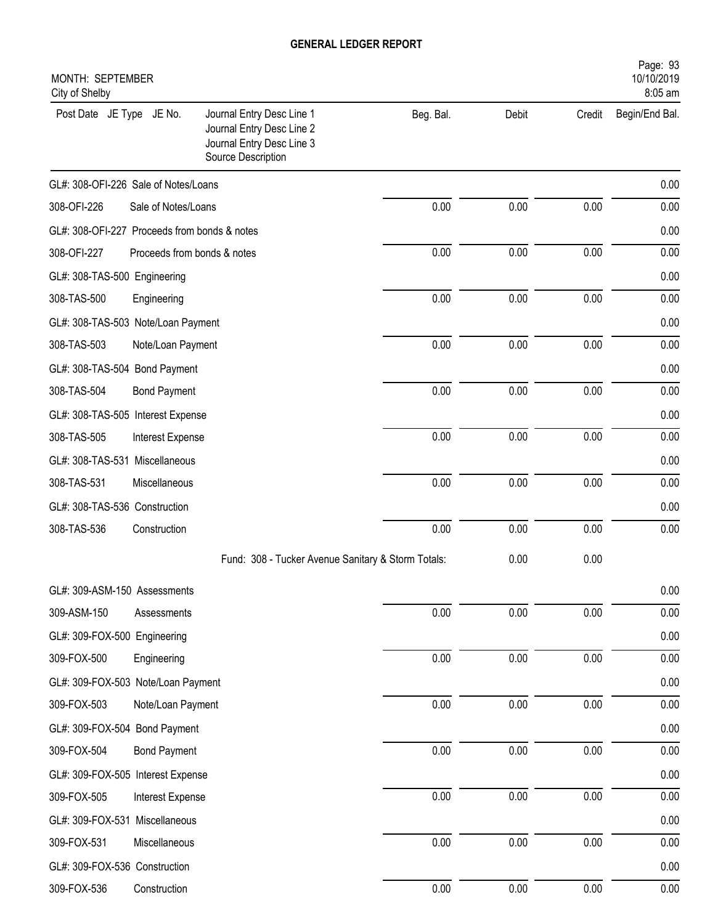| MONTH: SEPTEMBER<br>City of Shelby           |                             |                                                                                                           |           |       |          | Page: 93<br>10/10/2019<br>8:05 am |
|----------------------------------------------|-----------------------------|-----------------------------------------------------------------------------------------------------------|-----------|-------|----------|-----------------------------------|
| Post Date JE Type JE No.                     |                             | Journal Entry Desc Line 1<br>Journal Entry Desc Line 2<br>Journal Entry Desc Line 3<br>Source Description | Beg. Bal. | Debit | Credit   | Begin/End Bal.                    |
| GL#: 308-OFI-226 Sale of Notes/Loans         |                             |                                                                                                           |           |       |          | 0.00                              |
| 308-OFI-226                                  | Sale of Notes/Loans         |                                                                                                           | 0.00      | 0.00  | 0.00     | 0.00                              |
| GL#: 308-OFI-227 Proceeds from bonds & notes |                             |                                                                                                           |           |       |          | 0.00                              |
| 308-OFI-227                                  | Proceeds from bonds & notes |                                                                                                           | 0.00      | 0.00  | 0.00     | 0.00                              |
| GL#: 308-TAS-500 Engineering                 |                             |                                                                                                           |           |       |          | 0.00                              |
| 308-TAS-500                                  | Engineering                 |                                                                                                           | 0.00      | 0.00  | 0.00     | 0.00                              |
| GL#: 308-TAS-503 Note/Loan Payment           |                             |                                                                                                           |           |       |          | 0.00                              |
| 308-TAS-503                                  | Note/Loan Payment           |                                                                                                           | 0.00      | 0.00  | 0.00     | 0.00                              |
| GL#: 308-TAS-504 Bond Payment                |                             |                                                                                                           |           |       |          | 0.00                              |
| 308-TAS-504                                  | <b>Bond Payment</b>         |                                                                                                           | 0.00      | 0.00  | 0.00     | 0.00                              |
| GL#: 308-TAS-505 Interest Expense            |                             |                                                                                                           |           |       |          | 0.00                              |
| 308-TAS-505                                  | Interest Expense            |                                                                                                           | 0.00      | 0.00  | 0.00     | 0.00                              |
| GL#: 308-TAS-531 Miscellaneous               |                             |                                                                                                           |           |       |          | 0.00                              |
| 308-TAS-531                                  | Miscellaneous               |                                                                                                           | 0.00      | 0.00  | 0.00     | 0.00                              |
| GL#: 308-TAS-536 Construction                |                             |                                                                                                           |           |       |          | 0.00                              |
| 308-TAS-536                                  | Construction                |                                                                                                           | 0.00      | 0.00  | 0.00     | 0.00                              |
|                                              |                             | Fund: 308 - Tucker Avenue Sanitary & Storm Totals:                                                        |           | 0.00  | 0.00     |                                   |
| GL#: 309-ASM-150 Assessments                 |                             |                                                                                                           |           |       |          | 0.00                              |
| 309-ASM-150                                  | Assessments                 |                                                                                                           | 0.00      | 0.00  | 0.00     | 0.00                              |
| GL#: 309-FOX-500 Engineering                 |                             |                                                                                                           |           |       |          | 0.00                              |
| 309-FOX-500                                  | Engineering                 |                                                                                                           | 0.00      | 0.00  | 0.00     | 0.00                              |
| GL#: 309-FOX-503 Note/Loan Payment           |                             |                                                                                                           |           |       |          | 0.00                              |
| 309-FOX-503                                  | Note/Loan Payment           |                                                                                                           | 0.00      | 0.00  | 0.00     | 0.00                              |
| GL#: 309-FOX-504 Bond Payment                |                             |                                                                                                           |           |       |          | 0.00                              |
| 309-FOX-504                                  | <b>Bond Payment</b>         |                                                                                                           | 0.00      | 0.00  | $0.00\,$ | 0.00                              |
| GL#: 309-FOX-505 Interest Expense            |                             |                                                                                                           |           |       |          | 0.00                              |
| 309-FOX-505                                  | Interest Expense            |                                                                                                           | 0.00      | 0.00  | 0.00     | 0.00                              |
| GL#: 309-FOX-531 Miscellaneous               |                             |                                                                                                           |           |       |          | 0.00                              |
| 309-FOX-531                                  | Miscellaneous               |                                                                                                           | 0.00      | 0.00  | $0.00\,$ | 0.00                              |
| GL#: 309-FOX-536 Construction                |                             |                                                                                                           |           |       |          | 0.00                              |
| 309-FOX-536                                  | Construction                |                                                                                                           | 0.00      | 0.00  | 0.00     | 0.00                              |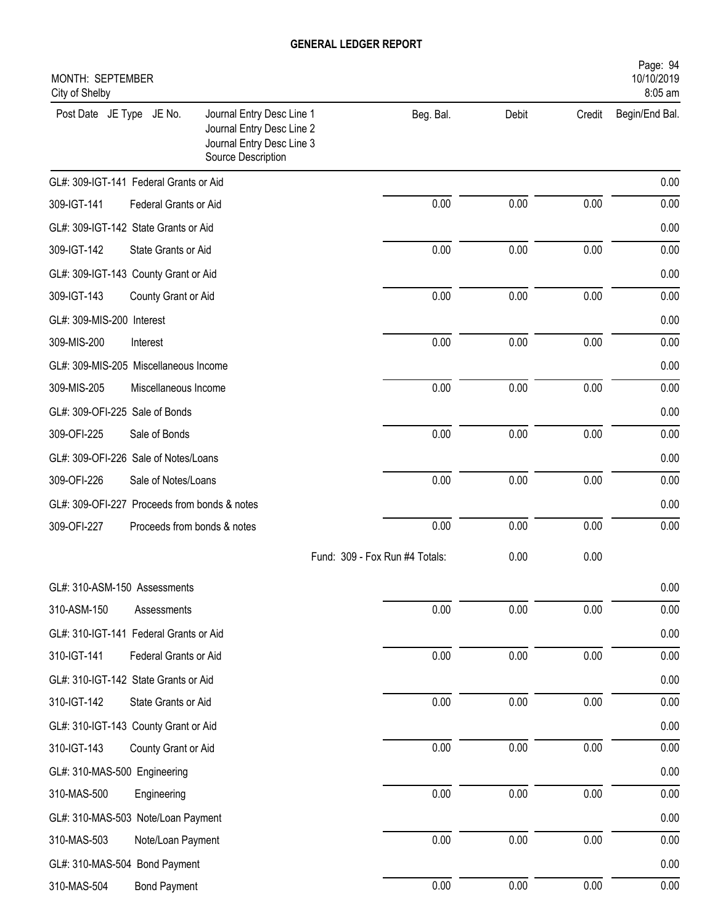| MONTH: SEPTEMBER<br>City of Shelby           |                             |                                                                                                           |                                |       |          | Page: 94<br>10/10/2019<br>8:05 am |
|----------------------------------------------|-----------------------------|-----------------------------------------------------------------------------------------------------------|--------------------------------|-------|----------|-----------------------------------|
| Post Date JE Type JE No.                     |                             | Journal Entry Desc Line 1<br>Journal Entry Desc Line 2<br>Journal Entry Desc Line 3<br>Source Description | Beg. Bal.                      | Debit | Credit   | Begin/End Bal.                    |
| GL#: 309-IGT-141 Federal Grants or Aid       |                             |                                                                                                           |                                |       |          | 0.00                              |
| 309-IGT-141                                  | Federal Grants or Aid       |                                                                                                           | 0.00                           | 0.00  | 0.00     | 0.00                              |
| GL#: 309-IGT-142 State Grants or Aid         |                             |                                                                                                           |                                |       |          | 0.00                              |
| 309-IGT-142                                  | State Grants or Aid         |                                                                                                           | 0.00                           | 0.00  | 0.00     | 0.00                              |
| GL#: 309-IGT-143 County Grant or Aid         |                             |                                                                                                           |                                |       |          | 0.00                              |
| 309-IGT-143                                  | County Grant or Aid         |                                                                                                           | 0.00                           | 0.00  | 0.00     | 0.00                              |
| GL#: 309-MIS-200 Interest                    |                             |                                                                                                           |                                |       |          | 0.00                              |
| 309-MIS-200                                  | Interest                    |                                                                                                           | 0.00                           | 0.00  | 0.00     | 0.00                              |
| GL#: 309-MIS-205 Miscellaneous Income        |                             |                                                                                                           |                                |       |          | 0.00                              |
| 309-MIS-205                                  | Miscellaneous Income        |                                                                                                           | 0.00                           | 0.00  | 0.00     | 0.00                              |
| GL#: 309-OFI-225 Sale of Bonds               |                             |                                                                                                           |                                |       |          | 0.00                              |
| 309-OFI-225                                  | Sale of Bonds               |                                                                                                           | 0.00                           | 0.00  | 0.00     | 0.00                              |
| GL#: 309-OFI-226 Sale of Notes/Loans         |                             |                                                                                                           |                                |       |          | 0.00                              |
| 309-OFI-226                                  | Sale of Notes/Loans         |                                                                                                           | 0.00                           | 0.00  | 0.00     | 0.00                              |
| GL#: 309-OFI-227 Proceeds from bonds & notes |                             |                                                                                                           |                                |       |          | 0.00                              |
| 309-OFI-227                                  | Proceeds from bonds & notes |                                                                                                           | 0.00                           | 0.00  | 0.00     | 0.00                              |
|                                              |                             |                                                                                                           | Fund: 309 - Fox Run #4 Totals: | 0.00  | 0.00     |                                   |
| GL#: 310-ASM-150 Assessments                 |                             |                                                                                                           |                                |       |          | 0.00                              |
| 310-ASM-150                                  | Assessments                 |                                                                                                           | 0.00                           | 0.00  | 0.00     | 0.00                              |
| GL#: 310-IGT-141 Federal Grants or Aid       |                             |                                                                                                           |                                |       |          | 0.00                              |
| 310-IGT-141                                  | Federal Grants or Aid       |                                                                                                           | 0.00                           | 0.00  | 0.00     | 0.00                              |
| GL#: 310-IGT-142 State Grants or Aid         |                             |                                                                                                           |                                |       |          | 0.00                              |
| 310-IGT-142                                  | State Grants or Aid         |                                                                                                           | 0.00                           | 0.00  | $0.00\,$ | 0.00                              |
| GL#: 310-IGT-143 County Grant or Aid         |                             |                                                                                                           |                                |       |          | 0.00                              |
| 310-IGT-143                                  | County Grant or Aid         |                                                                                                           | 0.00                           | 0.00  | $0.00\,$ | 0.00                              |
| GL#: 310-MAS-500 Engineering                 |                             |                                                                                                           |                                |       |          | 0.00                              |
| 310-MAS-500                                  | Engineering                 |                                                                                                           | 0.00                           | 0.00  | 0.00     | 0.00                              |
| GL#: 310-MAS-503 Note/Loan Payment           |                             |                                                                                                           |                                |       |          | 0.00                              |
| 310-MAS-503                                  | Note/Loan Payment           |                                                                                                           | $0.00\,$                       | 0.00  | $0.00\,$ | 0.00                              |
| GL#: 310-MAS-504 Bond Payment                |                             |                                                                                                           |                                |       |          | 0.00                              |
| 310-MAS-504                                  | <b>Bond Payment</b>         |                                                                                                           | $0.00\,$                       | 0.00  | 0.00     | 0.00                              |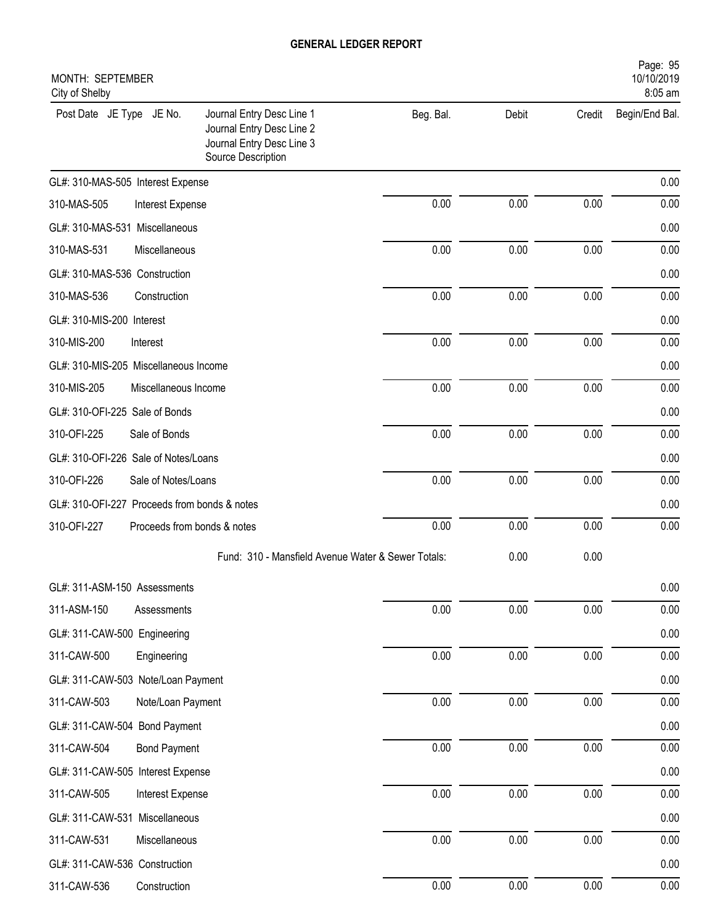| MONTH: SEPTEMBER<br>City of Shelby           |                                                                                                           |           |       |          | Page: 95<br>10/10/2019<br>8:05 am |
|----------------------------------------------|-----------------------------------------------------------------------------------------------------------|-----------|-------|----------|-----------------------------------|
| Post Date JE Type JE No.                     | Journal Entry Desc Line 1<br>Journal Entry Desc Line 2<br>Journal Entry Desc Line 3<br>Source Description | Beg. Bal. | Debit | Credit   | Begin/End Bal.                    |
| GL#: 310-MAS-505 Interest Expense            |                                                                                                           |           |       |          | 0.00                              |
| 310-MAS-505<br>Interest Expense              |                                                                                                           | 0.00      | 0.00  | 0.00     | 0.00                              |
| GL#: 310-MAS-531 Miscellaneous               |                                                                                                           |           |       |          | 0.00                              |
| 310-MAS-531<br>Miscellaneous                 |                                                                                                           | 0.00      | 0.00  | 0.00     | 0.00                              |
| GL#: 310-MAS-536 Construction                |                                                                                                           |           |       |          | 0.00                              |
| 310-MAS-536<br>Construction                  |                                                                                                           | 0.00      | 0.00  | 0.00     | 0.00                              |
| GL#: 310-MIS-200 Interest                    |                                                                                                           |           |       |          | 0.00                              |
| 310-MIS-200<br>Interest                      |                                                                                                           | 0.00      | 0.00  | 0.00     | 0.00                              |
| GL#: 310-MIS-205 Miscellaneous Income        |                                                                                                           |           |       |          | 0.00                              |
| 310-MIS-205<br>Miscellaneous Income          |                                                                                                           | 0.00      | 0.00  | 0.00     | 0.00                              |
| GL#: 310-OFI-225 Sale of Bonds               |                                                                                                           |           |       |          | 0.00                              |
| 310-OFI-225<br>Sale of Bonds                 |                                                                                                           | 0.00      | 0.00  | 0.00     | 0.00                              |
| GL#: 310-OFI-226 Sale of Notes/Loans         |                                                                                                           |           |       |          | 0.00                              |
| 310-OFI-226<br>Sale of Notes/Loans           |                                                                                                           | 0.00      | 0.00  | 0.00     | 0.00                              |
| GL#: 310-OFI-227 Proceeds from bonds & notes |                                                                                                           |           |       |          | 0.00                              |
| 310-OFI-227<br>Proceeds from bonds & notes   |                                                                                                           | 0.00      | 0.00  | 0.00     | 0.00                              |
|                                              | Fund: 310 - Mansfield Avenue Water & Sewer Totals:                                                        |           | 0.00  | 0.00     |                                   |
| GL#: 311-ASM-150 Assessments                 |                                                                                                           |           |       |          | 0.00                              |
| 311-ASM-150<br>Assessments                   |                                                                                                           | 0.00      | 0.00  | $0.00\,$ | 0.00                              |
| GL#: 311-CAW-500 Engineering                 |                                                                                                           |           |       |          | 0.00                              |
| 311-CAW-500<br>Engineering                   |                                                                                                           | 0.00      | 0.00  | 0.00     | 0.00                              |
| GL#: 311-CAW-503 Note/Loan Payment           |                                                                                                           |           |       |          | 0.00                              |
| 311-CAW-503<br>Note/Loan Payment             |                                                                                                           | 0.00      | 0.00  | $0.00\,$ | 0.00                              |
| GL#: 311-CAW-504 Bond Payment                |                                                                                                           |           |       |          | 0.00                              |
| 311-CAW-504<br><b>Bond Payment</b>           |                                                                                                           | 0.00      | 0.00  | $0.00\,$ | 0.00                              |
| GL#: 311-CAW-505 Interest Expense            |                                                                                                           |           |       |          | 0.00                              |
| 311-CAW-505<br>Interest Expense              |                                                                                                           | 0.00      | 0.00  | $0.00\,$ | 0.00                              |
| GL#: 311-CAW-531 Miscellaneous               |                                                                                                           |           |       |          | 0.00                              |
| 311-CAW-531<br>Miscellaneous                 |                                                                                                           | $0.00\,$  | 0.00  | 0.00     | 0.00                              |
| GL#: 311-CAW-536 Construction                |                                                                                                           |           |       |          | 0.00                              |
| 311-CAW-536<br>Construction                  |                                                                                                           | $0.00\,$  | 0.00  | 0.00     | 0.00                              |
|                                              |                                                                                                           |           |       |          |                                   |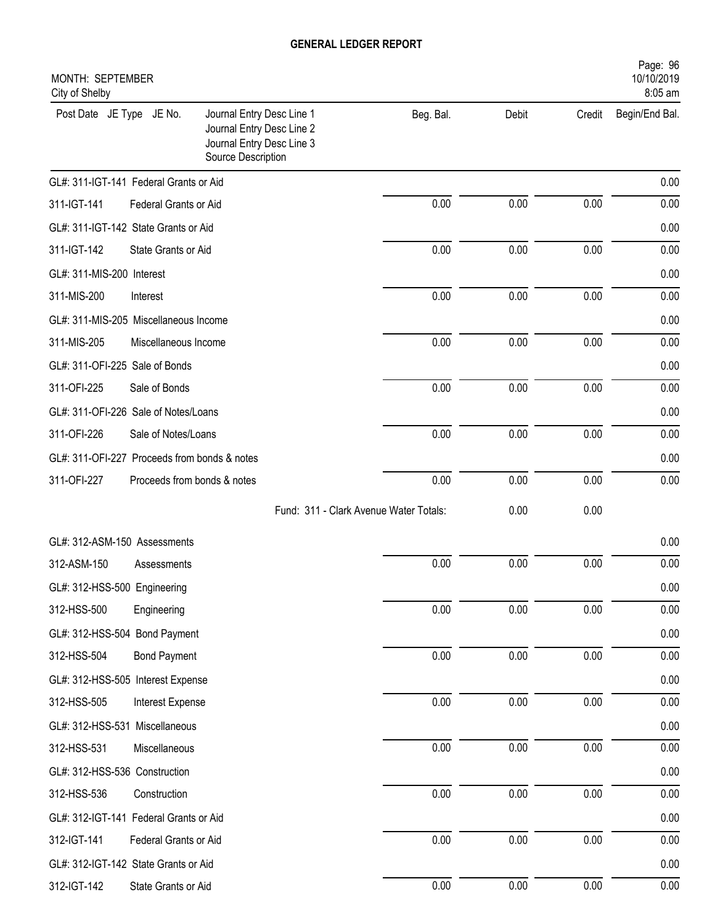| MONTH: SEPTEMBER<br>City of Shelby           |                             |                                                                                                           |           |       |          | Page: 96<br>10/10/2019<br>8:05 am |
|----------------------------------------------|-----------------------------|-----------------------------------------------------------------------------------------------------------|-----------|-------|----------|-----------------------------------|
| Post Date JE Type JE No.                     |                             | Journal Entry Desc Line 1<br>Journal Entry Desc Line 2<br>Journal Entry Desc Line 3<br>Source Description | Beg. Bal. | Debit | Credit   | Begin/End Bal.                    |
| GL#: 311-IGT-141 Federal Grants or Aid       |                             |                                                                                                           |           |       |          | 0.00                              |
| 311-IGT-141                                  | Federal Grants or Aid       |                                                                                                           | 0.00      | 0.00  | 0.00     | 0.00                              |
| GL#: 311-IGT-142 State Grants or Aid         |                             |                                                                                                           |           |       |          | 0.00                              |
| 311-IGT-142                                  | State Grants or Aid         |                                                                                                           | 0.00      | 0.00  | 0.00     | 0.00                              |
| GL#: 311-MIS-200 Interest                    |                             |                                                                                                           |           |       |          | 0.00                              |
| 311-MIS-200                                  | Interest                    |                                                                                                           | 0.00      | 0.00  | 0.00     | 0.00                              |
| GL#: 311-MIS-205 Miscellaneous Income        |                             |                                                                                                           |           |       |          | 0.00                              |
| 311-MIS-205                                  | Miscellaneous Income        |                                                                                                           | 0.00      | 0.00  | 0.00     | 0.00                              |
| GL#: 311-OFI-225 Sale of Bonds               |                             |                                                                                                           |           |       |          | 0.00                              |
| 311-OFI-225                                  | Sale of Bonds               |                                                                                                           | 0.00      | 0.00  | 0.00     | 0.00                              |
| GL#: 311-OFI-226 Sale of Notes/Loans         |                             |                                                                                                           |           |       |          | 0.00                              |
| 311-OFI-226                                  | Sale of Notes/Loans         |                                                                                                           | 0.00      | 0.00  | 0.00     | 0.00                              |
| GL#: 311-OFI-227 Proceeds from bonds & notes |                             |                                                                                                           |           |       |          | 0.00                              |
| 311-OFI-227                                  | Proceeds from bonds & notes |                                                                                                           | 0.00      | 0.00  | 0.00     | 0.00                              |
|                                              |                             | Fund: 311 - Clark Avenue Water Totals:                                                                    |           | 0.00  | 0.00     |                                   |
| GL#: 312-ASM-150 Assessments                 |                             |                                                                                                           |           |       |          | 0.00                              |
| 312-ASM-150                                  | Assessments                 |                                                                                                           | 0.00      | 0.00  | 0.00     | 0.00                              |
| GL#: 312-HSS-500 Engineering                 |                             |                                                                                                           |           |       |          | 0.00                              |
| 312-HSS-500                                  | Engineering                 |                                                                                                           | 0.00      | 0.00  | 0.00     | 0.00                              |
| GL#: 312-HSS-504 Bond Payment                |                             |                                                                                                           |           |       |          | 0.00                              |
| 312-HSS-504                                  | <b>Bond Payment</b>         |                                                                                                           | 0.00      | 0.00  | 0.00     | 0.00                              |
| GL#: 312-HSS-505 Interest Expense            |                             |                                                                                                           |           |       |          | 0.00                              |
| 312-HSS-505                                  | Interest Expense            |                                                                                                           | 0.00      | 0.00  | $0.00\,$ | 0.00                              |
| GL#: 312-HSS-531 Miscellaneous               |                             |                                                                                                           |           |       |          | 0.00                              |
| 312-HSS-531                                  | Miscellaneous               |                                                                                                           | 0.00      | 0.00  | 0.00     | 0.00                              |
| GL#: 312-HSS-536 Construction                |                             |                                                                                                           |           |       |          | 0.00                              |
| 312-HSS-536                                  | Construction                |                                                                                                           | 0.00      | 0.00  | 0.00     | 0.00                              |
| GL#: 312-IGT-141 Federal Grants or Aid       |                             |                                                                                                           |           |       |          | 0.00                              |
| 312-IGT-141                                  | Federal Grants or Aid       |                                                                                                           | 0.00      | 0.00  | 0.00     | 0.00                              |
| GL#: 312-IGT-142 State Grants or Aid         |                             |                                                                                                           |           |       |          | 0.00                              |
| 312-IGT-142                                  | State Grants or Aid         |                                                                                                           | 0.00      | 0.00  | 0.00     | 0.00                              |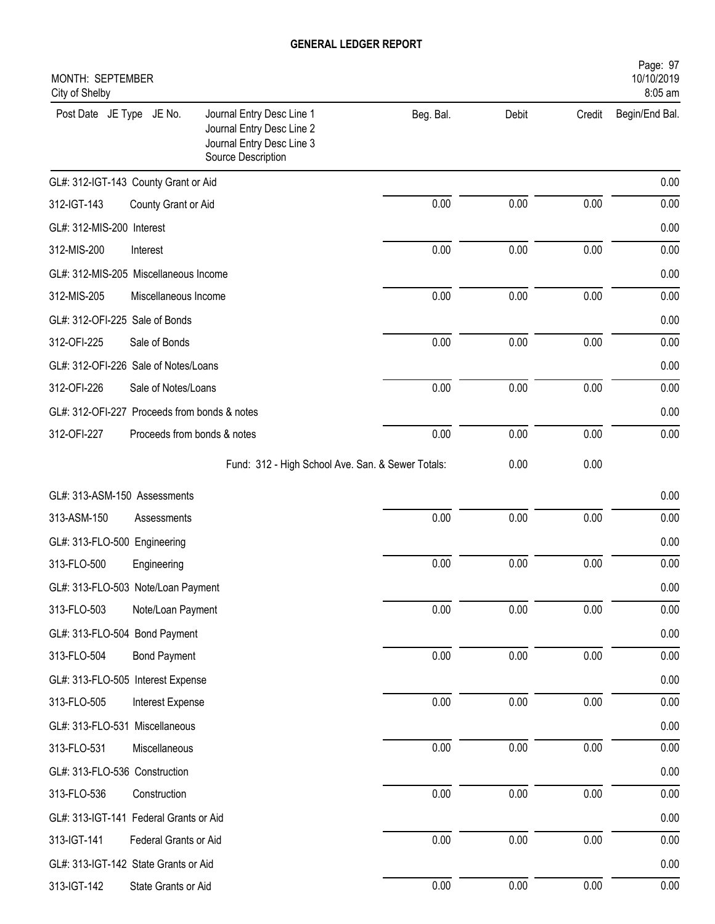| Page: 97<br>10/10/2019<br>MONTH: SEPTEMBER<br>8:05 am<br>City of Shelby |                             |                                                                                                           |           |       |          |                |  |
|-------------------------------------------------------------------------|-----------------------------|-----------------------------------------------------------------------------------------------------------|-----------|-------|----------|----------------|--|
| Post Date JE Type JE No.                                                |                             | Journal Entry Desc Line 1<br>Journal Entry Desc Line 2<br>Journal Entry Desc Line 3<br>Source Description | Beg. Bal. | Debit | Credit   | Begin/End Bal. |  |
| GL#: 312-IGT-143 County Grant or Aid                                    |                             |                                                                                                           |           |       |          | 0.00           |  |
| 312-IGT-143                                                             | County Grant or Aid         |                                                                                                           | 0.00      | 0.00  | 0.00     | 0.00           |  |
| GL#: 312-MIS-200 Interest                                               |                             |                                                                                                           |           |       |          | 0.00           |  |
| 312-MIS-200                                                             | Interest                    |                                                                                                           | 0.00      | 0.00  | 0.00     | 0.00           |  |
| GL#: 312-MIS-205 Miscellaneous Income                                   |                             |                                                                                                           |           |       |          | 0.00           |  |
| 312-MIS-205                                                             | Miscellaneous Income        |                                                                                                           | 0.00      | 0.00  | 0.00     | 0.00           |  |
| GL#: 312-OFI-225 Sale of Bonds                                          |                             |                                                                                                           |           |       |          | 0.00           |  |
| 312-OFI-225                                                             | Sale of Bonds               |                                                                                                           | 0.00      | 0.00  | 0.00     | 0.00           |  |
| GL#: 312-OFI-226 Sale of Notes/Loans                                    |                             |                                                                                                           |           |       |          | 0.00           |  |
| 312-OFI-226                                                             | Sale of Notes/Loans         |                                                                                                           | 0.00      | 0.00  | 0.00     | 0.00           |  |
| GL#: 312-OFI-227 Proceeds from bonds & notes                            |                             |                                                                                                           |           |       |          | 0.00           |  |
| 312-OFI-227                                                             | Proceeds from bonds & notes |                                                                                                           | 0.00      | 0.00  | 0.00     | 0.00           |  |
|                                                                         |                             | Fund: 312 - High School Ave. San. & Sewer Totals:                                                         |           | 0.00  | 0.00     |                |  |
| GL#: 313-ASM-150 Assessments                                            |                             |                                                                                                           |           |       |          | 0.00           |  |
| 313-ASM-150                                                             | Assessments                 |                                                                                                           | 0.00      | 0.00  | 0.00     | 0.00           |  |
| GL#: 313-FLO-500 Engineering                                            |                             |                                                                                                           |           |       |          | 0.00           |  |
| 313-FLO-500                                                             | Engineering                 |                                                                                                           | 0.00      | 0.00  | 0.00     | 0.00           |  |
| GL#: 313-FLO-503 Note/Loan Payment                                      |                             |                                                                                                           |           |       |          | $0.00\,$       |  |
| 313-FLO-503                                                             | Note/Loan Payment           |                                                                                                           | 0.00      | 0.00  | 0.00     | 0.00           |  |
| GL#: 313-FLO-504 Bond Payment                                           |                             |                                                                                                           |           |       |          | 0.00           |  |
| 313-FLO-504                                                             | <b>Bond Payment</b>         |                                                                                                           | 0.00      | 0.00  | 0.00     | 0.00           |  |
| GL#: 313-FLO-505 Interest Expense                                       |                             |                                                                                                           |           |       |          | 0.00           |  |
| 313-FLO-505                                                             | Interest Expense            |                                                                                                           | $0.00\,$  | 0.00  | 0.00     | 0.00           |  |
| GL#: 313-FLO-531 Miscellaneous                                          |                             |                                                                                                           |           |       |          | 0.00           |  |
| 313-FLO-531                                                             | Miscellaneous               |                                                                                                           | 0.00      | 0.00  | 0.00     | 0.00           |  |
| GL#: 313-FLO-536 Construction                                           |                             |                                                                                                           |           |       |          | 0.00           |  |
| 313-FLO-536                                                             | Construction                |                                                                                                           | 0.00      | 0.00  | 0.00     | 0.00           |  |
| GL#: 313-IGT-141 Federal Grants or Aid                                  |                             |                                                                                                           |           |       |          | 0.00           |  |
| 313-IGT-141                                                             | Federal Grants or Aid       |                                                                                                           | 0.00      | 0.00  | 0.00     | 0.00           |  |
| GL#: 313-IGT-142 State Grants or Aid                                    |                             |                                                                                                           |           |       |          | 0.00           |  |
| 313-IGT-142                                                             | State Grants or Aid         |                                                                                                           | 0.00      | 0.00  | $0.00\,$ | 0.00           |  |
|                                                                         |                             |                                                                                                           |           |       |          |                |  |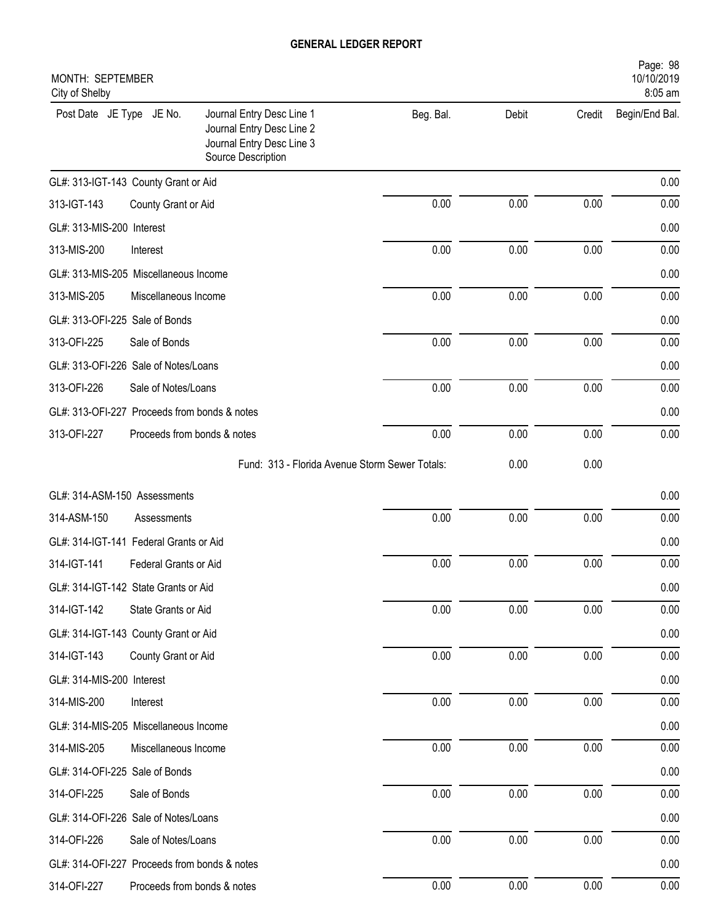| Page: 98<br>10/10/2019<br>MONTH: SEPTEMBER<br>8:05 am<br>City of Shelby |                             |                                                                                                           |           |       |        |                |  |
|-------------------------------------------------------------------------|-----------------------------|-----------------------------------------------------------------------------------------------------------|-----------|-------|--------|----------------|--|
| Post Date JE Type JE No.                                                |                             | Journal Entry Desc Line 1<br>Journal Entry Desc Line 2<br>Journal Entry Desc Line 3<br>Source Description | Beg. Bal. | Debit | Credit | Begin/End Bal. |  |
| GL#: 313-IGT-143 County Grant or Aid                                    |                             |                                                                                                           |           |       |        | 0.00           |  |
| 313-IGT-143                                                             | County Grant or Aid         |                                                                                                           | 0.00      | 0.00  | 0.00   | 0.00           |  |
| GL#: 313-MIS-200 Interest                                               |                             |                                                                                                           |           |       |        | 0.00           |  |
| 313-MIS-200                                                             | Interest                    |                                                                                                           | 0.00      | 0.00  | 0.00   | 0.00           |  |
| GL#: 313-MIS-205 Miscellaneous Income                                   |                             |                                                                                                           |           |       |        | 0.00           |  |
| 313-MIS-205                                                             | Miscellaneous Income        |                                                                                                           | 0.00      | 0.00  | 0.00   | 0.00           |  |
| GL#: 313-OFI-225 Sale of Bonds                                          |                             |                                                                                                           |           |       |        | 0.00           |  |
| 313-OFI-225                                                             | Sale of Bonds               |                                                                                                           | 0.00      | 0.00  | 0.00   | 0.00           |  |
| GL#: 313-OFI-226 Sale of Notes/Loans                                    |                             |                                                                                                           |           |       |        | 0.00           |  |
| 313-OFI-226                                                             | Sale of Notes/Loans         |                                                                                                           | 0.00      | 0.00  | 0.00   | 0.00           |  |
| GL#: 313-OFI-227 Proceeds from bonds & notes                            |                             |                                                                                                           |           |       |        | 0.00           |  |
| 313-OFI-227                                                             | Proceeds from bonds & notes |                                                                                                           | 0.00      | 0.00  | 0.00   | 0.00           |  |
|                                                                         |                             | Fund: 313 - Florida Avenue Storm Sewer Totals:                                                            |           | 0.00  | 0.00   |                |  |
| GL#: 314-ASM-150 Assessments                                            |                             |                                                                                                           |           |       |        | 0.00           |  |
| 314-ASM-150                                                             | Assessments                 |                                                                                                           | 0.00      | 0.00  | 0.00   | 0.00           |  |
| GL#: 314-IGT-141 Federal Grants or Aid                                  |                             |                                                                                                           |           |       |        | 0.00           |  |
| 314-IGT-141                                                             | Federal Grants or Aid       |                                                                                                           | 0.00      | 0.00  | 0.00   | 0.00           |  |
| GL#: 314-IGT-142 State Grants or Aid                                    |                             |                                                                                                           |           |       |        | 0.00           |  |
| 314-IGT-142                                                             | State Grants or Aid         |                                                                                                           | 0.00      | 0.00  | 0.00   | 0.00           |  |
| GL#: 314-IGT-143 County Grant or Aid                                    |                             |                                                                                                           |           |       |        | 0.00           |  |
| 314-IGT-143                                                             | County Grant or Aid         |                                                                                                           | 0.00      | 0.00  | 0.00   | 0.00           |  |
| GL#: 314-MIS-200 Interest                                               |                             |                                                                                                           |           |       |        | 0.00           |  |
| 314-MIS-200                                                             | Interest                    |                                                                                                           | 0.00      | 0.00  | 0.00   | 0.00           |  |
| GL#: 314-MIS-205 Miscellaneous Income                                   |                             |                                                                                                           |           |       |        | 0.00           |  |
| 314-MIS-205                                                             | Miscellaneous Income        |                                                                                                           | 0.00      | 0.00  | 0.00   | 0.00           |  |
| GL#: 314-OFI-225 Sale of Bonds                                          |                             |                                                                                                           |           |       |        | 0.00           |  |
| 314-OFI-225                                                             | Sale of Bonds               |                                                                                                           | 0.00      | 0.00  | 0.00   | 0.00           |  |
| GL#: 314-OFI-226 Sale of Notes/Loans                                    |                             |                                                                                                           |           |       |        | 0.00           |  |
| 314-OFI-226                                                             | Sale of Notes/Loans         |                                                                                                           | 0.00      | 0.00  | 0.00   | 0.00           |  |
| GL#: 314-OFI-227 Proceeds from bonds & notes                            |                             |                                                                                                           |           |       |        | 0.00           |  |
| 314-OFI-227                                                             | Proceeds from bonds & notes |                                                                                                           | 0.00      | 0.00  | 0.00   | 0.00           |  |
|                                                                         |                             |                                                                                                           |           |       |        |                |  |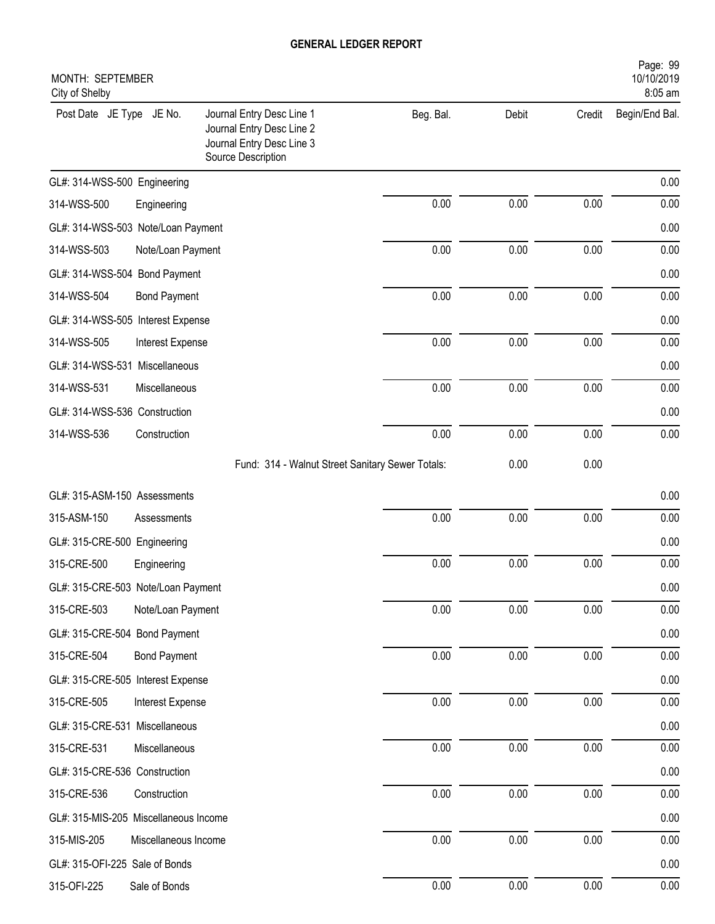| Page: 99<br>10/10/2019<br>MONTH: SEPTEMBER<br>8:05 am<br>City of Shelby |                      |                                                                                                           |           |       |          |                |  |
|-------------------------------------------------------------------------|----------------------|-----------------------------------------------------------------------------------------------------------|-----------|-------|----------|----------------|--|
| Post Date JE Type JE No.                                                |                      | Journal Entry Desc Line 1<br>Journal Entry Desc Line 2<br>Journal Entry Desc Line 3<br>Source Description | Beg. Bal. | Debit | Credit   | Begin/End Bal. |  |
| GL#: 314-WSS-500 Engineering                                            |                      |                                                                                                           |           |       |          | 0.00           |  |
| 314-WSS-500                                                             | Engineering          |                                                                                                           | 0.00      | 0.00  | 0.00     | 0.00           |  |
| GL#: 314-WSS-503 Note/Loan Payment                                      |                      |                                                                                                           |           |       |          | 0.00           |  |
| 314-WSS-503                                                             | Note/Loan Payment    |                                                                                                           | 0.00      | 0.00  | 0.00     | 0.00           |  |
| GL#: 314-WSS-504 Bond Payment                                           |                      |                                                                                                           |           |       |          | 0.00           |  |
| 314-WSS-504                                                             | <b>Bond Payment</b>  |                                                                                                           | 0.00      | 0.00  | 0.00     | 0.00           |  |
| GL#: 314-WSS-505 Interest Expense                                       |                      |                                                                                                           |           |       |          | 0.00           |  |
| 314-WSS-505                                                             | Interest Expense     |                                                                                                           | 0.00      | 0.00  | 0.00     | 0.00           |  |
| GL#: 314-WSS-531 Miscellaneous                                          |                      |                                                                                                           |           |       |          | 0.00           |  |
| 314-WSS-531                                                             | Miscellaneous        |                                                                                                           | 0.00      | 0.00  | 0.00     | 0.00           |  |
| GL#: 314-WSS-536 Construction                                           |                      |                                                                                                           |           |       |          | 0.00           |  |
| 314-WSS-536                                                             | Construction         |                                                                                                           | 0.00      | 0.00  | 0.00     | 0.00           |  |
|                                                                         |                      | Fund: 314 - Walnut Street Sanitary Sewer Totals:                                                          |           | 0.00  | 0.00     |                |  |
| GL#: 315-ASM-150 Assessments                                            |                      |                                                                                                           |           |       |          | 0.00           |  |
| 315-ASM-150                                                             | Assessments          |                                                                                                           | 0.00      | 0.00  | 0.00     | 0.00           |  |
| GL#: 315-CRE-500 Engineering                                            |                      |                                                                                                           |           |       |          | 0.00           |  |
| 315-CRE-500                                                             | Engineering          |                                                                                                           | 0.00      | 0.00  | 0.00     | 0.00           |  |
| GL#: 315-CRE-503 Note/Loan Payment                                      |                      |                                                                                                           |           |       |          | $0.00\,$       |  |
| 315-CRE-503                                                             | Note/Loan Payment    |                                                                                                           | 0.00      | 0.00  | $0.00\,$ | 0.00           |  |
| GL#: 315-CRE-504 Bond Payment                                           |                      |                                                                                                           |           |       |          | 0.00           |  |
| 315-CRE-504                                                             | <b>Bond Payment</b>  |                                                                                                           | 0.00      | 0.00  | 0.00     | 0.00           |  |
| GL#: 315-CRE-505 Interest Expense                                       |                      |                                                                                                           |           |       |          | 0.00           |  |
| 315-CRE-505                                                             | Interest Expense     |                                                                                                           | $0.00\,$  | 0.00  | 0.00     | 0.00           |  |
| GL#: 315-CRE-531 Miscellaneous                                          |                      |                                                                                                           |           |       |          | 0.00           |  |
| 315-CRE-531                                                             | Miscellaneous        |                                                                                                           | 0.00      | 0.00  | 0.00     | 0.00           |  |
| GL#: 315-CRE-536 Construction                                           |                      |                                                                                                           |           |       |          | 0.00           |  |
| 315-CRE-536                                                             | Construction         |                                                                                                           | 0.00      | 0.00  | $0.00\,$ | 0.00           |  |
| GL#: 315-MIS-205 Miscellaneous Income                                   |                      |                                                                                                           |           |       |          | 0.00           |  |
| 315-MIS-205                                                             | Miscellaneous Income |                                                                                                           | 0.00      | 0.00  | 0.00     | 0.00           |  |
| GL#: 315-OFI-225 Sale of Bonds                                          |                      |                                                                                                           |           |       |          | 0.00           |  |
| 315-OFI-225                                                             | Sale of Bonds        |                                                                                                           | 0.00      | 0.00  | $0.00\,$ | $0.00\,$       |  |
|                                                                         |                      |                                                                                                           |           |       |          |                |  |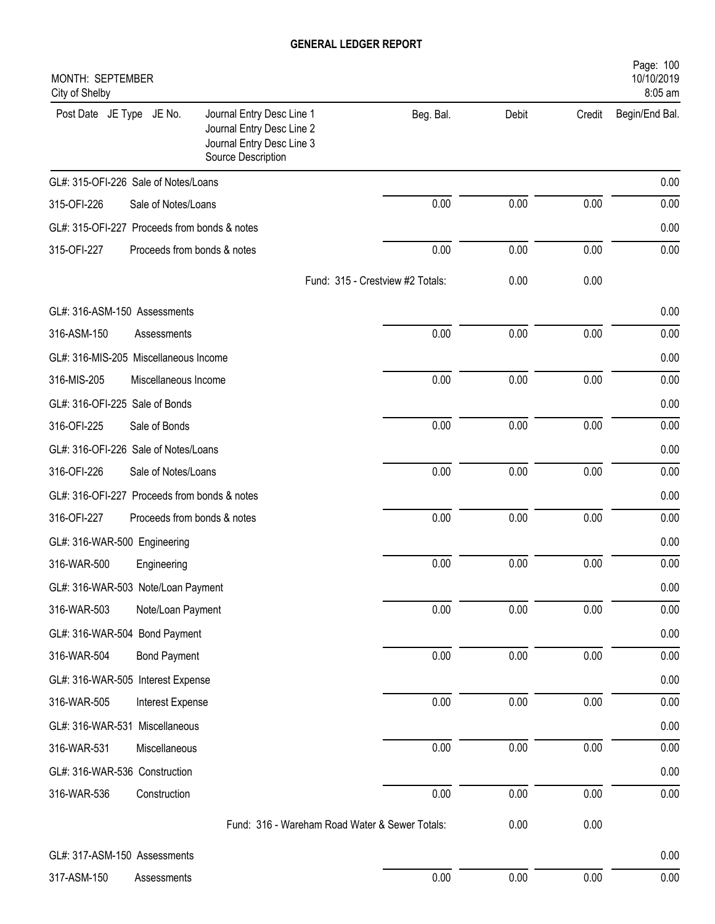| Page: 100<br>10/10/2019<br>MONTH: SEPTEMBER<br>8:05 am<br>City of Shelby |                             |                                                                                                           |                                  |       |        |                |  |
|--------------------------------------------------------------------------|-----------------------------|-----------------------------------------------------------------------------------------------------------|----------------------------------|-------|--------|----------------|--|
| Post Date JE Type JE No.                                                 |                             | Journal Entry Desc Line 1<br>Journal Entry Desc Line 2<br>Journal Entry Desc Line 3<br>Source Description | Beg. Bal.                        | Debit | Credit | Begin/End Bal. |  |
| GL#: 315-OFI-226 Sale of Notes/Loans                                     |                             |                                                                                                           |                                  |       |        | 0.00           |  |
| 315-OFI-226                                                              | Sale of Notes/Loans         |                                                                                                           | 0.00                             | 0.00  | 0.00   | 0.00           |  |
| GL#: 315-OFI-227                                                         | Proceeds from bonds & notes |                                                                                                           |                                  |       |        | 0.00           |  |
| 315-OFI-227                                                              | Proceeds from bonds & notes |                                                                                                           | 0.00                             | 0.00  | 0.00   | 0.00           |  |
|                                                                          |                             |                                                                                                           | Fund: 315 - Crestview #2 Totals: | 0.00  | 0.00   |                |  |
| GL#: 316-ASM-150 Assessments                                             |                             |                                                                                                           |                                  |       |        | 0.00           |  |
| 316-ASM-150                                                              | Assessments                 |                                                                                                           | 0.00                             | 0.00  | 0.00   | 0.00           |  |
| GL#: 316-MIS-205 Miscellaneous Income                                    |                             |                                                                                                           |                                  |       |        | 0.00           |  |
| 316-MIS-205                                                              | Miscellaneous Income        |                                                                                                           | 0.00                             | 0.00  | 0.00   | 0.00           |  |
| GL#: 316-OFI-225 Sale of Bonds                                           |                             |                                                                                                           |                                  |       |        | 0.00           |  |
| 316-OFI-225                                                              | Sale of Bonds               |                                                                                                           | 0.00                             | 0.00  | 0.00   | 0.00           |  |
| GL#: 316-OFI-226 Sale of Notes/Loans                                     |                             |                                                                                                           |                                  |       |        | 0.00           |  |
| 316-OFI-226                                                              | Sale of Notes/Loans         |                                                                                                           | 0.00                             | 0.00  | 0.00   | 0.00           |  |
| GL#: 316-OFI-227 Proceeds from bonds & notes                             |                             |                                                                                                           |                                  |       |        | 0.00           |  |
| 316-OFI-227                                                              | Proceeds from bonds & notes |                                                                                                           | 0.00                             | 0.00  | 0.00   | 0.00           |  |
| GL#: 316-WAR-500 Engineering                                             |                             |                                                                                                           |                                  |       |        | 0.00           |  |
| 316-WAR-500                                                              | Engineering                 |                                                                                                           | 0.00                             | 0.00  | 0.00   | 0.00           |  |
| GL#: 316-WAR-503 Note/Loan Payment                                       |                             |                                                                                                           |                                  |       |        | $0.00\,$       |  |
| 316-WAR-503                                                              | Note/Loan Payment           |                                                                                                           | 0.00                             | 0.00  | 0.00   | 0.00           |  |
| GL#: 316-WAR-504 Bond Payment                                            |                             |                                                                                                           |                                  |       |        | 0.00           |  |
| 316-WAR-504                                                              | <b>Bond Payment</b>         |                                                                                                           | 0.00                             | 0.00  | 0.00   | 0.00           |  |
| GL#: 316-WAR-505 Interest Expense                                        |                             |                                                                                                           |                                  |       |        | 0.00           |  |
| 316-WAR-505                                                              | Interest Expense            |                                                                                                           | 0.00                             | 0.00  | 0.00   | 0.00           |  |
| GL#: 316-WAR-531 Miscellaneous                                           |                             |                                                                                                           |                                  |       |        | 0.00           |  |
| 316-WAR-531                                                              | Miscellaneous               |                                                                                                           | 0.00                             | 0.00  | 0.00   | 0.00           |  |
| GL#: 316-WAR-536 Construction                                            |                             |                                                                                                           |                                  |       |        | 0.00           |  |
| 316-WAR-536                                                              | Construction                |                                                                                                           | 0.00                             | 0.00  | 0.00   | 0.00           |  |
|                                                                          |                             | Fund: 316 - Wareham Road Water & Sewer Totals:                                                            |                                  | 0.00  | 0.00   |                |  |
| GL#: 317-ASM-150 Assessments                                             |                             |                                                                                                           |                                  |       |        | 0.00           |  |
| 317-ASM-150                                                              | Assessments                 |                                                                                                           | 0.00                             | 0.00  | 0.00   | 0.00           |  |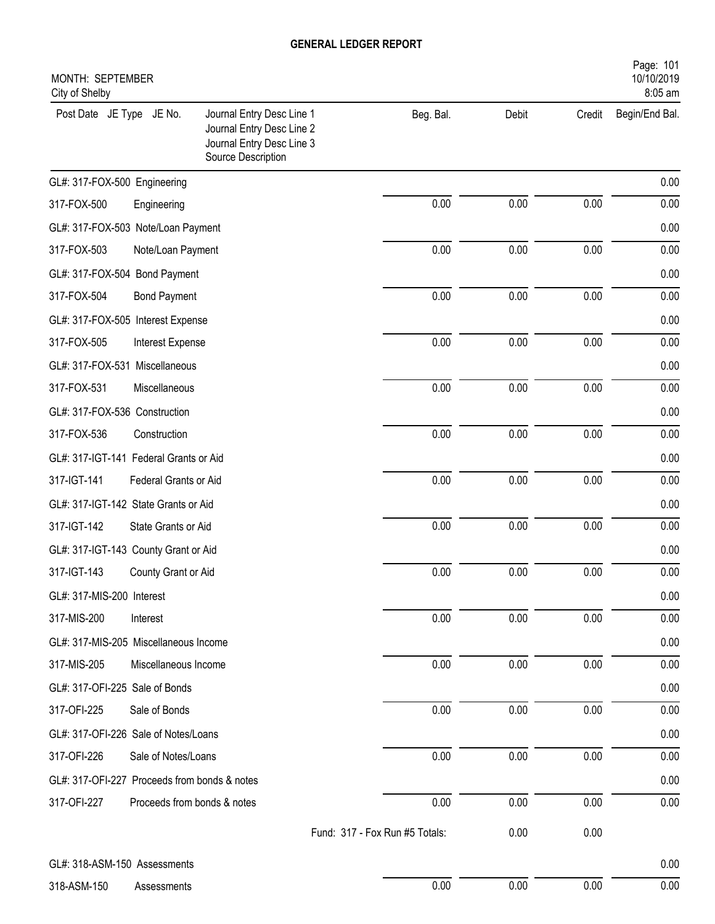| Page: 101<br>MONTH: SEPTEMBER<br>10/10/2019<br>8:05 am |                             |                                                                                                           |                                |       |        |                |  |
|--------------------------------------------------------|-----------------------------|-----------------------------------------------------------------------------------------------------------|--------------------------------|-------|--------|----------------|--|
| City of Shelby<br>Post Date JE Type JE No.             |                             | Journal Entry Desc Line 1<br>Journal Entry Desc Line 2<br>Journal Entry Desc Line 3<br>Source Description | Beg. Bal.                      | Debit | Credit | Begin/End Bal. |  |
| GL#: 317-FOX-500 Engineering                           |                             |                                                                                                           |                                |       |        | 0.00           |  |
| 317-FOX-500                                            | Engineering                 |                                                                                                           | 0.00                           | 0.00  | 0.00   | 0.00           |  |
| GL#: 317-FOX-503 Note/Loan Payment                     |                             |                                                                                                           |                                |       |        | 0.00           |  |
| 317-FOX-503                                            | Note/Loan Payment           |                                                                                                           | 0.00                           | 0.00  | 0.00   | 0.00           |  |
| GL#: 317-FOX-504 Bond Payment                          |                             |                                                                                                           |                                |       |        | 0.00           |  |
| 317-FOX-504                                            | <b>Bond Payment</b>         |                                                                                                           | 0.00                           | 0.00  | 0.00   | 0.00           |  |
| GL#: 317-FOX-505 Interest Expense                      |                             |                                                                                                           |                                |       |        | 0.00           |  |
| 317-FOX-505                                            | Interest Expense            |                                                                                                           | 0.00                           | 0.00  | 0.00   | 0.00           |  |
| GL#: 317-FOX-531 Miscellaneous                         |                             |                                                                                                           |                                |       |        | 0.00           |  |
| 317-FOX-531                                            | Miscellaneous               |                                                                                                           | 0.00                           | 0.00  | 0.00   | 0.00           |  |
| GL#: 317-FOX-536 Construction                          |                             |                                                                                                           |                                |       |        | 0.00           |  |
| 317-FOX-536                                            | Construction                |                                                                                                           | 0.00                           | 0.00  | 0.00   | 0.00           |  |
| GL#: 317-IGT-141 Federal Grants or Aid                 |                             |                                                                                                           |                                |       |        | 0.00           |  |
| 317-IGT-141                                            | Federal Grants or Aid       |                                                                                                           | 0.00                           | 0.00  | 0.00   | 0.00           |  |
| GL#: 317-IGT-142 State Grants or Aid                   |                             |                                                                                                           |                                |       |        | 0.00           |  |
| 317-IGT-142                                            | State Grants or Aid         |                                                                                                           | 0.00                           | 0.00  | 0.00   | 0.00           |  |
| GL#: 317-IGT-143 County Grant or Aid                   |                             |                                                                                                           |                                |       |        | 0.00           |  |
| 317-IGT-143                                            | County Grant or Aid         |                                                                                                           | 0.00                           | 0.00  | 0.00   | 0.00           |  |
| GL#: 317-MIS-200 Interest                              |                             |                                                                                                           |                                |       |        | 0.00           |  |
| 317-MIS-200                                            | Interest                    |                                                                                                           | 0.00                           | 0.00  | 0.00   | 0.00           |  |
| GL#: 317-MIS-205 Miscellaneous Income                  |                             |                                                                                                           |                                |       |        | 0.00           |  |
| 317-MIS-205                                            | Miscellaneous Income        |                                                                                                           | 0.00                           | 0.00  | 0.00   | 0.00           |  |
| GL#: 317-OFI-225 Sale of Bonds                         |                             |                                                                                                           |                                |       |        | 0.00           |  |
| 317-OFI-225                                            | Sale of Bonds               |                                                                                                           | 0.00                           | 0.00  | 0.00   | 0.00           |  |
| GL#: 317-OFI-226 Sale of Notes/Loans                   |                             |                                                                                                           |                                |       |        | 0.00           |  |
| 317-OFI-226                                            | Sale of Notes/Loans         |                                                                                                           | 0.00                           | 0.00  | 0.00   | 0.00           |  |
| GL#: 317-OFI-227 Proceeds from bonds & notes           |                             |                                                                                                           |                                |       |        | 0.00           |  |
| 317-OFI-227                                            | Proceeds from bonds & notes |                                                                                                           | 0.00                           | 0.00  | 0.00   | 0.00           |  |
|                                                        |                             |                                                                                                           | Fund: 317 - Fox Run #5 Totals: | 0.00  | 0.00   |                |  |
| GL#: 318-ASM-150 Assessments                           |                             |                                                                                                           |                                |       |        | 0.00           |  |
| 318-ASM-150                                            | Assessments                 |                                                                                                           | 0.00                           | 0.00  | 0.00   | 0.00           |  |
|                                                        |                             |                                                                                                           |                                |       |        |                |  |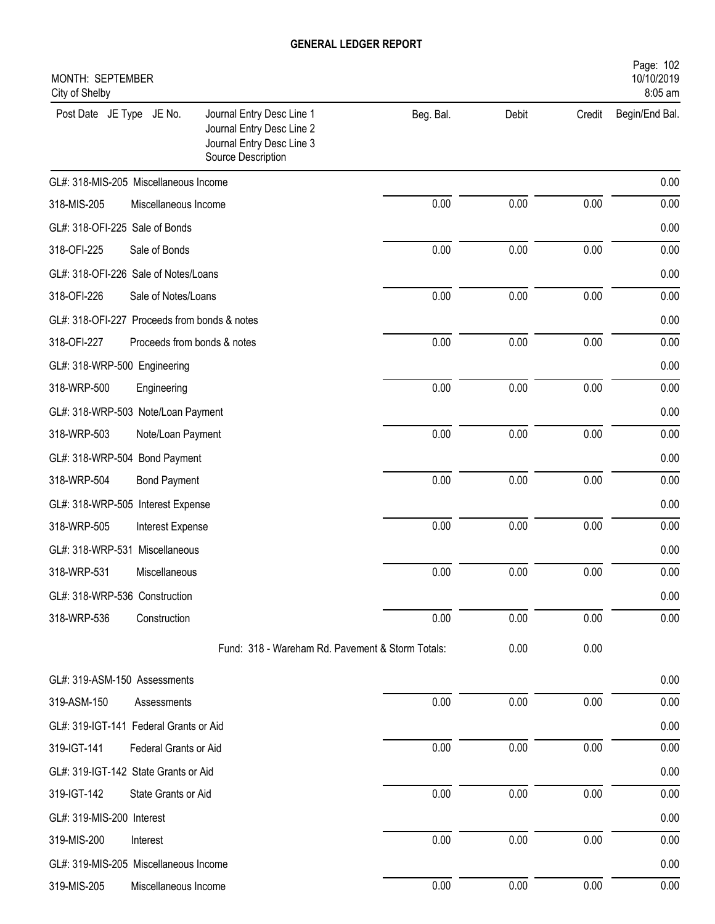| MONTH: SEPTEMBER<br>City of Shelby           |                             |                                                                                                           |           |       |        | Page: 102<br>10/10/2019<br>8:05 am |
|----------------------------------------------|-----------------------------|-----------------------------------------------------------------------------------------------------------|-----------|-------|--------|------------------------------------|
| Post Date JE Type JE No.                     |                             | Journal Entry Desc Line 1<br>Journal Entry Desc Line 2<br>Journal Entry Desc Line 3<br>Source Description | Beg. Bal. | Debit | Credit | Begin/End Bal.                     |
| GL#: 318-MIS-205 Miscellaneous Income        |                             |                                                                                                           |           |       |        | 0.00                               |
| 318-MIS-205                                  | Miscellaneous Income        |                                                                                                           | 0.00      | 0.00  | 0.00   | 0.00                               |
| GL#: 318-OFI-225 Sale of Bonds               |                             |                                                                                                           |           |       |        | 0.00                               |
| 318-OFI-225                                  | Sale of Bonds               |                                                                                                           | 0.00      | 0.00  | 0.00   | 0.00                               |
| GL#: 318-OFI-226 Sale of Notes/Loans         |                             |                                                                                                           |           |       |        | 0.00                               |
| 318-OFI-226                                  | Sale of Notes/Loans         |                                                                                                           | 0.00      | 0.00  | 0.00   | 0.00                               |
| GL#: 318-OFI-227 Proceeds from bonds & notes |                             |                                                                                                           |           |       |        | 0.00                               |
| 318-OFI-227                                  | Proceeds from bonds & notes |                                                                                                           | 0.00      | 0.00  | 0.00   | 0.00                               |
| GL#: 318-WRP-500 Engineering                 |                             |                                                                                                           |           |       |        | 0.00                               |
| 318-WRP-500                                  | Engineering                 |                                                                                                           | 0.00      | 0.00  | 0.00   | 0.00                               |
| GL#: 318-WRP-503 Note/Loan Payment           |                             |                                                                                                           |           |       |        | 0.00                               |
| 318-WRP-503                                  | Note/Loan Payment           |                                                                                                           | 0.00      | 0.00  | 0.00   | 0.00                               |
| GL#: 318-WRP-504 Bond Payment                |                             |                                                                                                           |           |       |        | 0.00                               |
| 318-WRP-504                                  | <b>Bond Payment</b>         |                                                                                                           | 0.00      | 0.00  | 0.00   | 0.00                               |
| GL#: 318-WRP-505 Interest Expense            |                             |                                                                                                           |           |       |        | 0.00                               |
| 318-WRP-505                                  | <b>Interest Expense</b>     |                                                                                                           | 0.00      | 0.00  | 0.00   | 0.00                               |
| GL#: 318-WRP-531                             | Miscellaneous               |                                                                                                           |           |       |        | 0.00                               |
| 318-WRP-531                                  | Miscellaneous               |                                                                                                           | 0.00      | 0.00  | 0.00   | 0.00                               |
| GL#: 318-WRP-536 Construction                |                             |                                                                                                           |           |       |        | 0.00                               |
| 318-WRP-536                                  | Construction                |                                                                                                           | 0.00      | 0.00  | 0.00   | 0.00                               |
|                                              |                             | Fund: 318 - Wareham Rd. Pavement & Storm Totals:                                                          |           | 0.00  | 0.00   |                                    |
| GL#: 319-ASM-150 Assessments                 |                             |                                                                                                           |           |       |        | 0.00                               |
| 319-ASM-150                                  | Assessments                 |                                                                                                           | 0.00      | 0.00  | 0.00   | 0.00                               |
| GL#: 319-IGT-141 Federal Grants or Aid       |                             |                                                                                                           |           |       |        | 0.00                               |
| 319-IGT-141                                  | Federal Grants or Aid       |                                                                                                           | 0.00      | 0.00  | 0.00   | 0.00                               |
| GL#: 319-IGT-142 State Grants or Aid         |                             |                                                                                                           |           |       |        | 0.00                               |
| 319-IGT-142                                  | State Grants or Aid         |                                                                                                           | 0.00      | 0.00  | 0.00   | 0.00                               |
| GL#: 319-MIS-200 Interest                    |                             |                                                                                                           |           |       |        | 0.00                               |
| 319-MIS-200                                  | Interest                    |                                                                                                           | 0.00      | 0.00  | 0.00   | 0.00                               |
| GL#: 319-MIS-205 Miscellaneous Income        |                             |                                                                                                           |           |       |        | 0.00                               |
| 319-MIS-205                                  | Miscellaneous Income        |                                                                                                           | 0.00      | 0.00  | 0.00   | 0.00                               |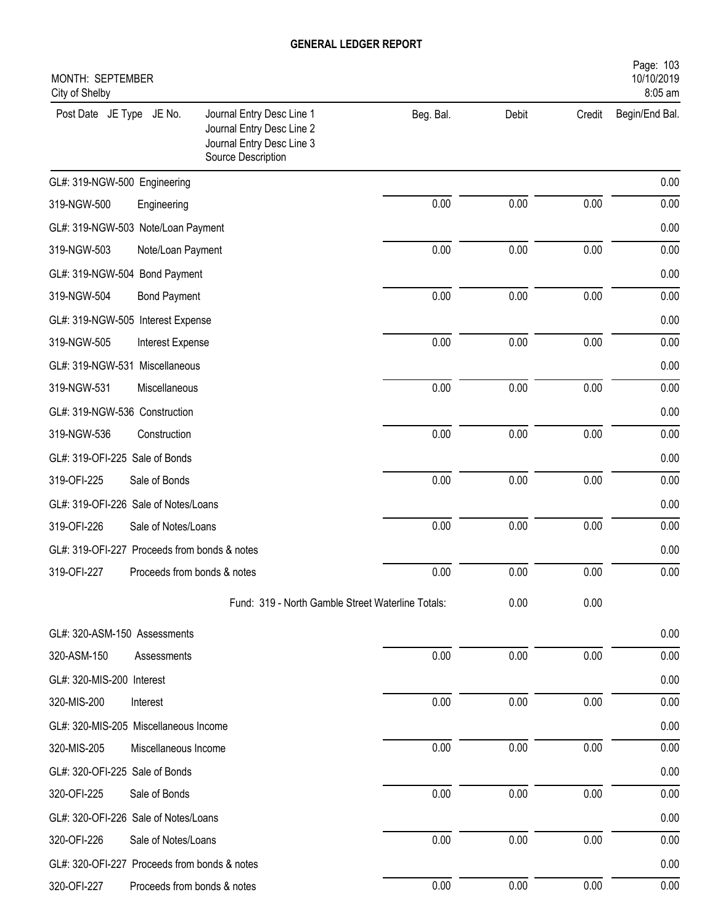| Page: 103<br>MONTH: SEPTEMBER<br>10/10/2019<br>City of Shelby<br>8:05 am |                             |                                                                                                           |           |       |        |                |  |
|--------------------------------------------------------------------------|-----------------------------|-----------------------------------------------------------------------------------------------------------|-----------|-------|--------|----------------|--|
| Post Date JE Type JE No.                                                 |                             | Journal Entry Desc Line 1<br>Journal Entry Desc Line 2<br>Journal Entry Desc Line 3<br>Source Description | Beg. Bal. | Debit | Credit | Begin/End Bal. |  |
| GL#: 319-NGW-500 Engineering                                             |                             |                                                                                                           |           |       |        | 0.00           |  |
| 319-NGW-500                                                              | Engineering                 |                                                                                                           | 0.00      | 0.00  | 0.00   | 0.00           |  |
| GL#: 319-NGW-503 Note/Loan Payment                                       |                             |                                                                                                           |           |       |        | 0.00           |  |
| 319-NGW-503                                                              | Note/Loan Payment           |                                                                                                           | 0.00      | 0.00  | 0.00   | 0.00           |  |
| GL#: 319-NGW-504 Bond Payment                                            |                             |                                                                                                           |           |       |        | 0.00           |  |
| 319-NGW-504                                                              | <b>Bond Payment</b>         |                                                                                                           | 0.00      | 0.00  | 0.00   | 0.00           |  |
| GL#: 319-NGW-505 Interest Expense                                        |                             |                                                                                                           |           |       |        | 0.00           |  |
| 319-NGW-505                                                              | Interest Expense            |                                                                                                           | 0.00      | 0.00  | 0.00   | 0.00           |  |
| GL#: 319-NGW-531                                                         | Miscellaneous               |                                                                                                           |           |       |        | 0.00           |  |
| 319-NGW-531                                                              | Miscellaneous               |                                                                                                           | 0.00      | 0.00  | 0.00   | 0.00           |  |
| GL#: 319-NGW-536 Construction                                            |                             |                                                                                                           |           |       |        | 0.00           |  |
| 319-NGW-536                                                              | Construction                |                                                                                                           | 0.00      | 0.00  | 0.00   | 0.00           |  |
| GL#: 319-OFI-225 Sale of Bonds                                           |                             |                                                                                                           |           |       |        | 0.00           |  |
| 319-OFI-225                                                              | Sale of Bonds               |                                                                                                           | 0.00      | 0.00  | 0.00   | 0.00           |  |
| GL#: 319-OFI-226 Sale of Notes/Loans                                     |                             |                                                                                                           |           |       |        | 0.00           |  |
| 319-OFI-226                                                              | Sale of Notes/Loans         |                                                                                                           | 0.00      | 0.00  | 0.00   | 0.00           |  |
| GL#: 319-OFI-227 Proceeds from bonds & notes                             |                             |                                                                                                           |           |       |        | 0.00           |  |
| 319-OFI-227                                                              | Proceeds from bonds & notes |                                                                                                           | 0.00      | 0.00  | 0.00   | 0.00           |  |
|                                                                          |                             | Fund: 319 - North Gamble Street Waterline Totals:                                                         |           | 0.00  | 0.00   |                |  |
| GL#: 320-ASM-150 Assessments                                             |                             |                                                                                                           |           |       |        | 0.00           |  |
| 320-ASM-150                                                              | Assessments                 |                                                                                                           | 0.00      | 0.00  | 0.00   | 0.00           |  |
| GL#: 320-MIS-200 Interest                                                |                             |                                                                                                           |           |       |        | 0.00           |  |
| 320-MIS-200                                                              | Interest                    |                                                                                                           | 0.00      | 0.00  | 0.00   | 0.00           |  |
| GL#: 320-MIS-205 Miscellaneous Income                                    |                             |                                                                                                           |           |       |        | 0.00           |  |
| 320-MIS-205                                                              | Miscellaneous Income        |                                                                                                           | 0.00      | 0.00  | 0.00   | 0.00           |  |
| GL#: 320-OFI-225 Sale of Bonds                                           |                             |                                                                                                           |           |       |        | 0.00           |  |
| 320-OFI-225                                                              | Sale of Bonds               |                                                                                                           | 0.00      | 0.00  | 0.00   | 0.00           |  |
| GL#: 320-OFI-226 Sale of Notes/Loans                                     |                             |                                                                                                           |           |       |        | 0.00           |  |
| 320-OFI-226                                                              | Sale of Notes/Loans         |                                                                                                           | 0.00      | 0.00  | 0.00   | 0.00           |  |
| GL#: 320-OFI-227 Proceeds from bonds & notes                             |                             |                                                                                                           |           |       |        | 0.00           |  |
| 320-OFI-227                                                              | Proceeds from bonds & notes |                                                                                                           | 0.00      | 0.00  | 0.00   | 0.00           |  |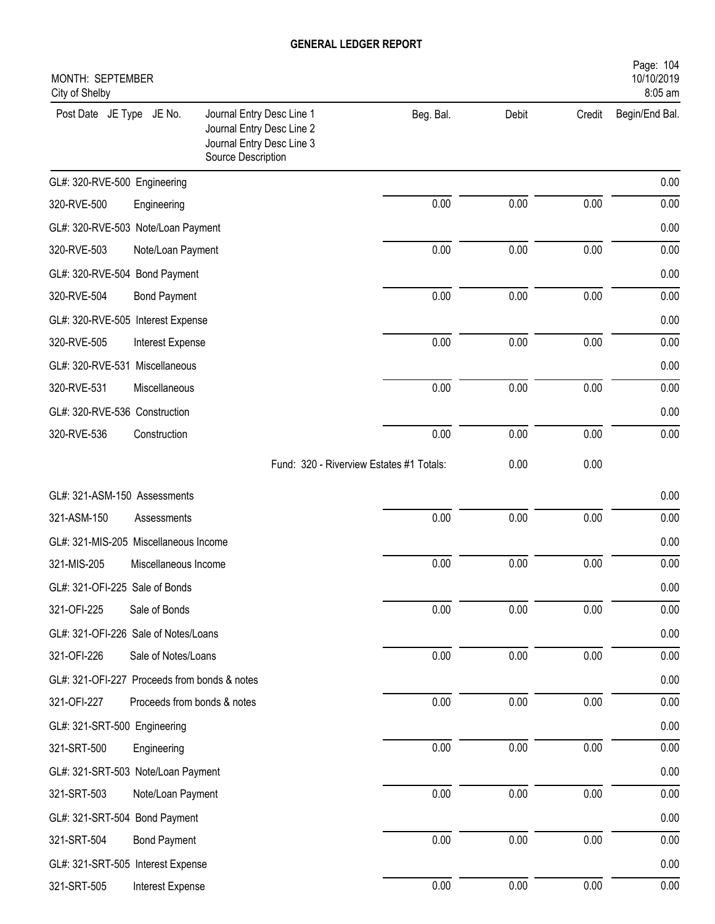| Page: 104<br>10/10/2019<br>MONTH: SEPTEMBER<br>8:05 am<br>City of Shelby |                                                                                                           |                                          |       |          |                |  |  |
|--------------------------------------------------------------------------|-----------------------------------------------------------------------------------------------------------|------------------------------------------|-------|----------|----------------|--|--|
| Post Date JE Type JE No.                                                 | Journal Entry Desc Line 1<br>Journal Entry Desc Line 2<br>Journal Entry Desc Line 3<br>Source Description | Beg. Bal.                                | Debit | Credit   | Begin/End Bal. |  |  |
| GL#: 320-RVE-500 Engineering                                             |                                                                                                           |                                          |       |          | 0.00           |  |  |
| 320-RVE-500                                                              | Engineering                                                                                               | 0.00                                     | 0.00  | 0.00     | 0.00           |  |  |
| GL#: 320-RVE-503 Note/Loan Payment                                       |                                                                                                           |                                          |       |          | 0.00           |  |  |
| 320-RVE-503                                                              | Note/Loan Payment                                                                                         | 0.00                                     | 0.00  | 0.00     | 0.00           |  |  |
| GL#: 320-RVE-504 Bond Payment                                            |                                                                                                           |                                          |       |          | 0.00           |  |  |
| 320-RVE-504                                                              | <b>Bond Payment</b>                                                                                       | 0.00                                     | 0.00  | 0.00     | 0.00           |  |  |
| GL#: 320-RVE-505 Interest Expense                                        |                                                                                                           |                                          |       |          | 0.00           |  |  |
| 320-RVE-505                                                              | Interest Expense                                                                                          | 0.00                                     | 0.00  | 0.00     | 0.00           |  |  |
| GL#: 320-RVE-531 Miscellaneous                                           |                                                                                                           |                                          |       |          | 0.00           |  |  |
| 320-RVE-531                                                              | Miscellaneous                                                                                             | 0.00                                     | 0.00  | 0.00     | 0.00           |  |  |
| GL#: 320-RVE-536 Construction                                            |                                                                                                           |                                          |       |          | 0.00           |  |  |
| 320-RVE-536                                                              | Construction                                                                                              | 0.00                                     | 0.00  | 0.00     | 0.00           |  |  |
|                                                                          |                                                                                                           | Fund: 320 - Riverview Estates #1 Totals: | 0.00  | 0.00     |                |  |  |
| GL#: 321-ASM-150 Assessments                                             |                                                                                                           |                                          |       |          | 0.00           |  |  |
| 321-ASM-150                                                              | Assessments                                                                                               | 0.00                                     | 0.00  | 0.00     | 0.00           |  |  |
| GL#: 321-MIS-205 Miscellaneous Income                                    |                                                                                                           |                                          |       |          | 0.00           |  |  |
| 321-MIS-205                                                              | Miscellaneous Income                                                                                      | 0.00                                     | 0.00  | 0.00     | 0.00           |  |  |
| GL#: 321-OFI-225 Sale of Bonds                                           |                                                                                                           |                                          |       |          | 0.00           |  |  |
| 321-OFI-225                                                              | Sale of Bonds                                                                                             | $0.00\,$                                 | 0.00  | $0.00\,$ | 0.00           |  |  |
| GL#: 321-OFI-226 Sale of Notes/Loans                                     |                                                                                                           |                                          |       |          | 0.00           |  |  |
| 321-OFI-226                                                              | Sale of Notes/Loans                                                                                       | 0.00                                     | 0.00  | 0.00     | 0.00           |  |  |
| GL#: 321-OFI-227 Proceeds from bonds & notes                             |                                                                                                           |                                          |       |          | 0.00           |  |  |
| 321-OFI-227                                                              | Proceeds from bonds & notes                                                                               | 0.00                                     | 0.00  | 0.00     | 0.00           |  |  |
| GL#: 321-SRT-500 Engineering                                             |                                                                                                           |                                          |       |          | 0.00           |  |  |
| 321-SRT-500                                                              | Engineering                                                                                               | 0.00                                     | 0.00  | 0.00     | 0.00           |  |  |
| GL#: 321-SRT-503 Note/Loan Payment                                       |                                                                                                           |                                          |       |          | 0.00           |  |  |
| 321-SRT-503                                                              | Note/Loan Payment                                                                                         | 0.00                                     | 0.00  | 0.00     | 0.00           |  |  |
| GL#: 321-SRT-504 Bond Payment                                            |                                                                                                           |                                          |       |          | 0.00           |  |  |
| 321-SRT-504                                                              | <b>Bond Payment</b>                                                                                       | 0.00                                     | 0.00  | 0.00     | 0.00           |  |  |
| GL#: 321-SRT-505 Interest Expense                                        |                                                                                                           |                                          |       |          | 0.00           |  |  |
| 321-SRT-505                                                              | Interest Expense                                                                                          | $0.00\,$                                 | 0.00  | 0.00     | 0.00           |  |  |
|                                                                          |                                                                                                           |                                          |       |          |                |  |  |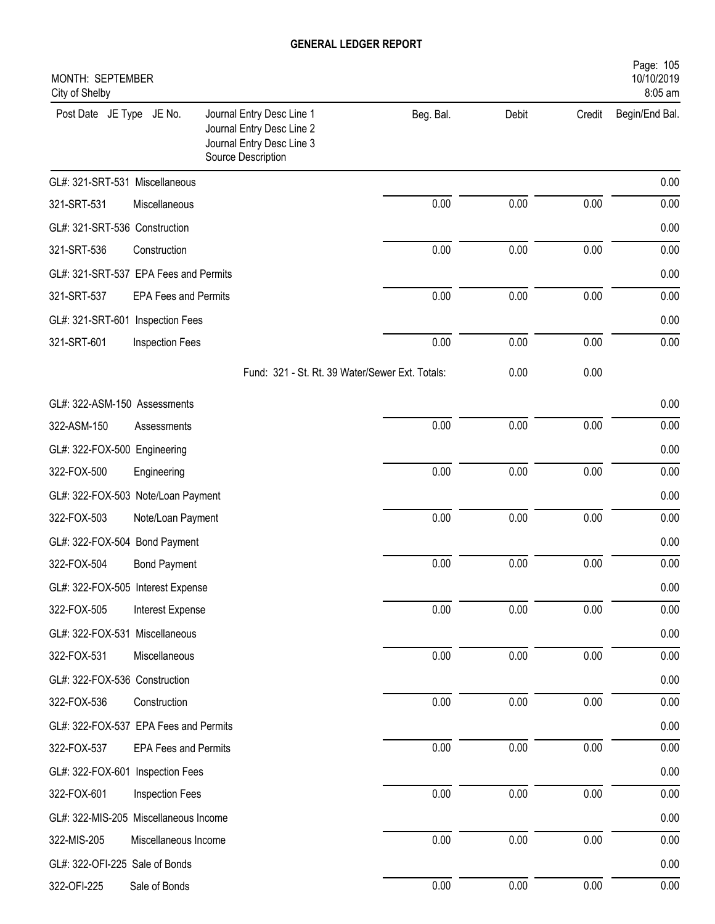| Page: 105<br>MONTH: SEPTEMBER<br>10/10/2019<br>8:05 am<br>City of Shelby |                             |                                                                                                           |           |       |        |                |
|--------------------------------------------------------------------------|-----------------------------|-----------------------------------------------------------------------------------------------------------|-----------|-------|--------|----------------|
| Post Date JE Type JE No.                                                 |                             | Journal Entry Desc Line 1<br>Journal Entry Desc Line 2<br>Journal Entry Desc Line 3<br>Source Description | Beg. Bal. | Debit | Credit | Begin/End Bal. |
| GL#: 321-SRT-531 Miscellaneous                                           |                             |                                                                                                           |           |       |        | 0.00           |
| 321-SRT-531                                                              | Miscellaneous               |                                                                                                           | 0.00      | 0.00  | 0.00   | 0.00           |
| GL#: 321-SRT-536 Construction                                            |                             |                                                                                                           |           |       |        | 0.00           |
| 321-SRT-536                                                              | Construction                |                                                                                                           | 0.00      | 0.00  | 0.00   | 0.00           |
| GL#: 321-SRT-537 EPA Fees and Permits                                    |                             |                                                                                                           |           |       |        | 0.00           |
| 321-SRT-537                                                              | <b>EPA Fees and Permits</b> |                                                                                                           | 0.00      | 0.00  | 0.00   | 0.00           |
| GL#: 321-SRT-601 Inspection Fees                                         |                             |                                                                                                           |           |       |        | 0.00           |
| 321-SRT-601                                                              | <b>Inspection Fees</b>      |                                                                                                           | 0.00      | 0.00  | 0.00   | 0.00           |
|                                                                          |                             | Fund: 321 - St. Rt. 39 Water/Sewer Ext. Totals:                                                           |           | 0.00  | 0.00   |                |
| GL#: 322-ASM-150 Assessments                                             |                             |                                                                                                           |           |       |        | 0.00           |
| 322-ASM-150                                                              | Assessments                 |                                                                                                           | 0.00      | 0.00  | 0.00   | 0.00           |
| GL#: 322-FOX-500 Engineering                                             |                             |                                                                                                           |           |       |        | 0.00           |
| 322-FOX-500                                                              | Engineering                 |                                                                                                           | 0.00      | 0.00  | 0.00   | 0.00           |
| GL#: 322-FOX-503 Note/Loan Payment                                       |                             |                                                                                                           |           |       |        | 0.00           |
| 322-FOX-503                                                              | Note/Loan Payment           |                                                                                                           | 0.00      | 0.00  | 0.00   | 0.00           |
| GL#: 322-FOX-504 Bond Payment                                            |                             |                                                                                                           |           |       |        | 0.00           |
| 322-FOX-504                                                              | <b>Bond Payment</b>         |                                                                                                           | 0.00      | 0.00  | 0.00   | 0.00           |
| GL#: 322-FOX-505 Interest Expense                                        |                             |                                                                                                           |           |       |        | 0.00           |
| 322-FOX-505                                                              | Interest Expense            |                                                                                                           | 0.00      | 0.00  | 0.00   | 0.00           |
| GL#: 322-FOX-531 Miscellaneous                                           |                             |                                                                                                           |           |       |        | 0.00           |
| 322-FOX-531                                                              | Miscellaneous               |                                                                                                           | 0.00      | 0.00  | 0.00   | 0.00           |
| GL#: 322-FOX-536 Construction                                            |                             |                                                                                                           |           |       |        | 0.00           |
| 322-FOX-536                                                              | Construction                |                                                                                                           | 0.00      | 0.00  | 0.00   | 0.00           |
| GL#: 322-FOX-537 EPA Fees and Permits                                    |                             |                                                                                                           |           |       |        | 0.00           |
| 322-FOX-537                                                              | <b>EPA Fees and Permits</b> |                                                                                                           | 0.00      | 0.00  | 0.00   | 0.00           |
| GL#: 322-FOX-601 Inspection Fees                                         |                             |                                                                                                           |           |       |        | 0.00           |
| 322-FOX-601                                                              | Inspection Fees             |                                                                                                           | 0.00      | 0.00  | 0.00   | 0.00           |
| GL#: 322-MIS-205 Miscellaneous Income                                    |                             |                                                                                                           |           |       |        | 0.00           |
| 322-MIS-205                                                              | Miscellaneous Income        |                                                                                                           | $0.00\,$  | 0.00  | 0.00   | 0.00           |
| GL#: 322-OFI-225 Sale of Bonds                                           |                             |                                                                                                           |           |       |        | 0.00           |
| 322-OFI-225                                                              | Sale of Bonds               |                                                                                                           | 0.00      | 0.00  | 0.00   | 0.00           |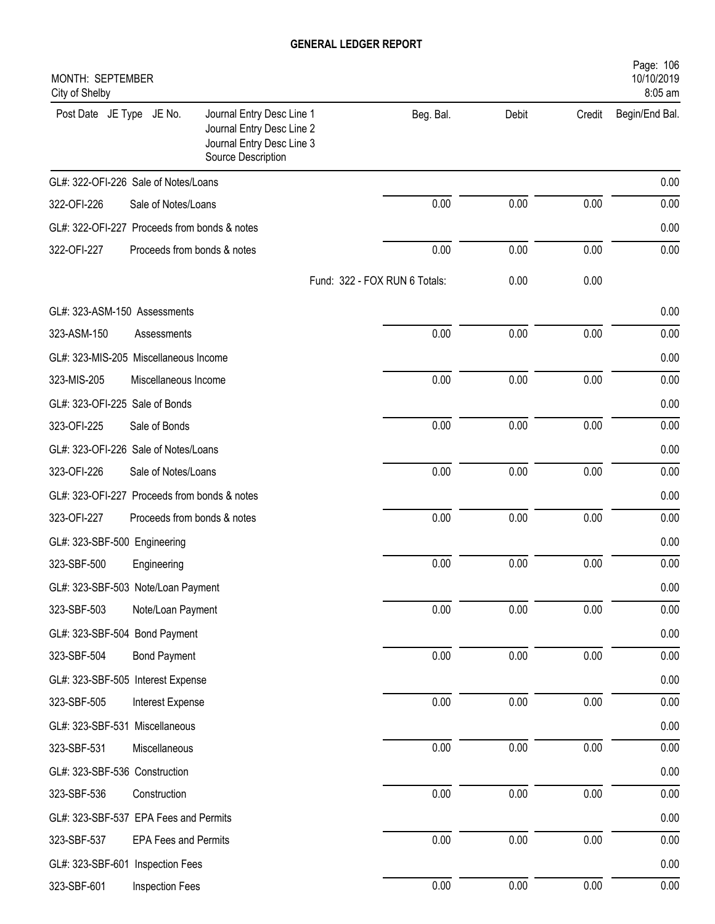| City of Shelby                               | Page: 106<br>MONTH: SEPTEMBER<br>10/10/2019<br>8:05 am |                                                                                                           |                               |       |          |                |  |
|----------------------------------------------|--------------------------------------------------------|-----------------------------------------------------------------------------------------------------------|-------------------------------|-------|----------|----------------|--|
| Post Date JE Type JE No.                     |                                                        | Journal Entry Desc Line 1<br>Journal Entry Desc Line 2<br>Journal Entry Desc Line 3<br>Source Description | Beg. Bal.                     | Debit | Credit   | Begin/End Bal. |  |
| GL#: 322-OFI-226 Sale of Notes/Loans         |                                                        |                                                                                                           |                               |       |          | 0.00           |  |
| 322-OFI-226                                  | Sale of Notes/Loans                                    |                                                                                                           | 0.00                          | 0.00  | 0.00     | 0.00           |  |
| GL#: 322-OFI-227 Proceeds from bonds & notes |                                                        |                                                                                                           |                               |       |          | 0.00           |  |
| 322-OFI-227                                  |                                                        | Proceeds from bonds & notes                                                                               | 0.00                          | 0.00  | 0.00     | 0.00           |  |
|                                              |                                                        |                                                                                                           | Fund: 322 - FOX RUN 6 Totals: | 0.00  | 0.00     |                |  |
| GL#: 323-ASM-150 Assessments                 |                                                        |                                                                                                           |                               |       |          | 0.00           |  |
| 323-ASM-150                                  | Assessments                                            |                                                                                                           | 0.00                          | 0.00  | 0.00     | 0.00           |  |
| GL#: 323-MIS-205 Miscellaneous Income        |                                                        |                                                                                                           |                               |       |          | 0.00           |  |
| 323-MIS-205                                  | Miscellaneous Income                                   |                                                                                                           | 0.00                          | 0.00  | 0.00     | 0.00           |  |
| GL#: 323-OFI-225 Sale of Bonds               |                                                        |                                                                                                           |                               |       |          | 0.00           |  |
| 323-OFI-225                                  | Sale of Bonds                                          |                                                                                                           | 0.00                          | 0.00  | 0.00     | 0.00           |  |
| GL#: 323-OFI-226 Sale of Notes/Loans         |                                                        |                                                                                                           |                               |       |          | 0.00           |  |
| 323-OFI-226                                  | Sale of Notes/Loans                                    |                                                                                                           | 0.00                          | 0.00  | 0.00     | 0.00           |  |
| GL#: 323-OFI-227 Proceeds from bonds & notes |                                                        |                                                                                                           |                               |       |          | 0.00           |  |
| 323-OFI-227                                  |                                                        | Proceeds from bonds & notes                                                                               | 0.00                          | 0.00  | 0.00     | 0.00           |  |
| GL#: 323-SBF-500 Engineering                 |                                                        |                                                                                                           |                               |       |          | 0.00           |  |
| 323-SBF-500                                  | Engineering                                            |                                                                                                           | 0.00                          | 0.00  | 0.00     | 0.00           |  |
| GL#: 323-SBF-503 Note/Loan Payment           |                                                        |                                                                                                           |                               |       |          | 0.00           |  |
| 323-SBF-503                                  | Note/Loan Payment                                      |                                                                                                           | 0.00                          | 0.00  | 0.00     | 0.00           |  |
| GL#: 323-SBF-504 Bond Payment                |                                                        |                                                                                                           |                               |       |          | 0.00           |  |
| 323-SBF-504                                  | <b>Bond Payment</b>                                    |                                                                                                           | 0.00                          | 0.00  | 0.00     | 0.00           |  |
| GL#: 323-SBF-505 Interest Expense            |                                                        |                                                                                                           |                               |       |          | 0.00           |  |
| 323-SBF-505                                  | Interest Expense                                       |                                                                                                           | 0.00                          | 0.00  | 0.00     | 0.00           |  |
| GL#: 323-SBF-531 Miscellaneous               |                                                        |                                                                                                           |                               |       |          | 0.00           |  |
| 323-SBF-531                                  | Miscellaneous                                          |                                                                                                           | 0.00                          | 0.00  | 0.00     | 0.00           |  |
| GL#: 323-SBF-536 Construction                |                                                        |                                                                                                           |                               |       |          | 0.00           |  |
| 323-SBF-536                                  | Construction                                           |                                                                                                           | 0.00                          | 0.00  | 0.00     | 0.00           |  |
| GL#: 323-SBF-537 EPA Fees and Permits        |                                                        |                                                                                                           |                               |       |          | 0.00           |  |
| 323-SBF-537                                  | <b>EPA Fees and Permits</b>                            |                                                                                                           | 0.00                          | 0.00  | $0.00\,$ | 0.00           |  |
| GL#: 323-SBF-601 Inspection Fees             |                                                        |                                                                                                           |                               |       |          | 0.00           |  |
| 323-SBF-601                                  | Inspection Fees                                        |                                                                                                           | 0.00                          | 0.00  | 0.00     | 0.00           |  |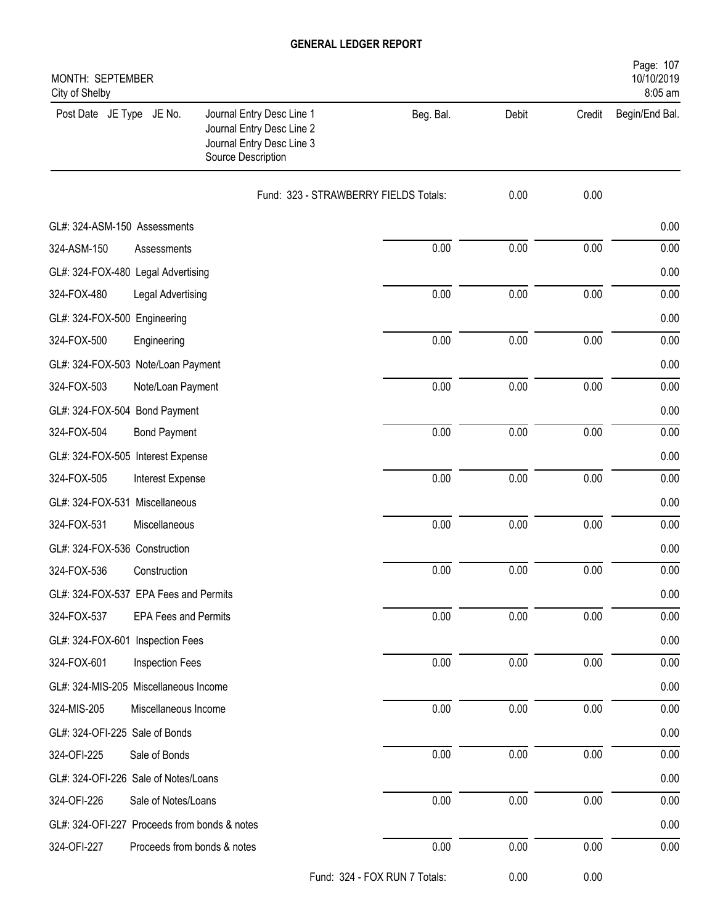| Page: 107<br>MONTH: SEPTEMBER<br>10/10/2019<br>8:05 am<br>City of Shelby |                             |                                                                                                           |                               |       |        |                |  |
|--------------------------------------------------------------------------|-----------------------------|-----------------------------------------------------------------------------------------------------------|-------------------------------|-------|--------|----------------|--|
| Post Date JE Type JE No.                                                 |                             | Journal Entry Desc Line 1<br>Journal Entry Desc Line 2<br>Journal Entry Desc Line 3<br>Source Description | Beg. Bal.                     | Debit | Credit | Begin/End Bal. |  |
|                                                                          |                             | Fund: 323 - STRAWBERRY FIELDS Totals:                                                                     |                               | 0.00  | 0.00   |                |  |
| GL#: 324-ASM-150 Assessments                                             |                             |                                                                                                           |                               |       |        | 0.00           |  |
| 324-ASM-150                                                              | Assessments                 |                                                                                                           | 0.00                          | 0.00  | 0.00   | 0.00           |  |
| GL#: 324-FOX-480 Legal Advertising                                       |                             |                                                                                                           |                               |       |        | 0.00           |  |
| 324-FOX-480                                                              | Legal Advertising           |                                                                                                           | 0.00                          | 0.00  | 0.00   | 0.00           |  |
| GL#: 324-FOX-500 Engineering                                             |                             |                                                                                                           |                               |       |        | 0.00           |  |
| 324-FOX-500                                                              | Engineering                 |                                                                                                           | 0.00                          | 0.00  | 0.00   | 0.00           |  |
| GL#: 324-FOX-503 Note/Loan Payment                                       |                             |                                                                                                           |                               |       |        | 0.00           |  |
| 324-FOX-503                                                              | Note/Loan Payment           |                                                                                                           | 0.00                          | 0.00  | 0.00   | 0.00           |  |
| GL#: 324-FOX-504 Bond Payment                                            |                             |                                                                                                           |                               |       |        | 0.00           |  |
| 324-FOX-504                                                              | <b>Bond Payment</b>         |                                                                                                           | 0.00                          | 0.00  | 0.00   | 0.00           |  |
| GL#: 324-FOX-505 Interest Expense                                        |                             |                                                                                                           |                               |       |        | 0.00           |  |
| 324-FOX-505                                                              | Interest Expense            |                                                                                                           | 0.00                          | 0.00  | 0.00   | 0.00           |  |
| GL#: 324-FOX-531 Miscellaneous                                           |                             |                                                                                                           |                               |       |        | 0.00           |  |
| 324-FOX-531                                                              | Miscellaneous               |                                                                                                           | 0.00                          | 0.00  | 0.00   | 0.00           |  |
| GL#: 324-FOX-536 Construction                                            |                             |                                                                                                           |                               |       |        | 0.00           |  |
| 324-FOX-536                                                              | Construction                |                                                                                                           | 0.00                          | 0.00  | 0.00   | 0.00           |  |
| GL#: 324-FOX-537 EPA Fees and Permits                                    |                             |                                                                                                           |                               |       |        | 0.00           |  |
| 324-FOX-537                                                              | <b>EPA Fees and Permits</b> |                                                                                                           | 0.00                          | 0.00  | 0.00   | 0.00           |  |
| GL#: 324-FOX-601 Inspection Fees                                         |                             |                                                                                                           |                               |       |        | 0.00           |  |
| 324-FOX-601                                                              | Inspection Fees             |                                                                                                           | 0.00                          | 0.00  | 0.00   | 0.00           |  |
| GL#: 324-MIS-205 Miscellaneous Income                                    |                             |                                                                                                           |                               |       |        | 0.00           |  |
| 324-MIS-205                                                              | Miscellaneous Income        |                                                                                                           | 0.00                          | 0.00  | 0.00   | 0.00           |  |
| GL#: 324-OFI-225 Sale of Bonds                                           |                             |                                                                                                           |                               |       |        | 0.00           |  |
| 324-OFI-225                                                              | Sale of Bonds               |                                                                                                           | 0.00                          | 0.00  | 0.00   | 0.00           |  |
| GL#: 324-OFI-226 Sale of Notes/Loans                                     |                             |                                                                                                           |                               |       |        | 0.00           |  |
| 324-OFI-226                                                              | Sale of Notes/Loans         |                                                                                                           | 0.00                          | 0.00  | 0.00   | 0.00           |  |
| GL#: 324-OFI-227 Proceeds from bonds & notes                             |                             |                                                                                                           |                               |       |        | 0.00           |  |
| 324-OFI-227                                                              | Proceeds from bonds & notes |                                                                                                           | 0.00                          | 0.00  | 0.00   | 0.00           |  |
|                                                                          |                             |                                                                                                           | Fund: 324 - FOX RUN 7 Totals: | 0.00  | 0.00   |                |  |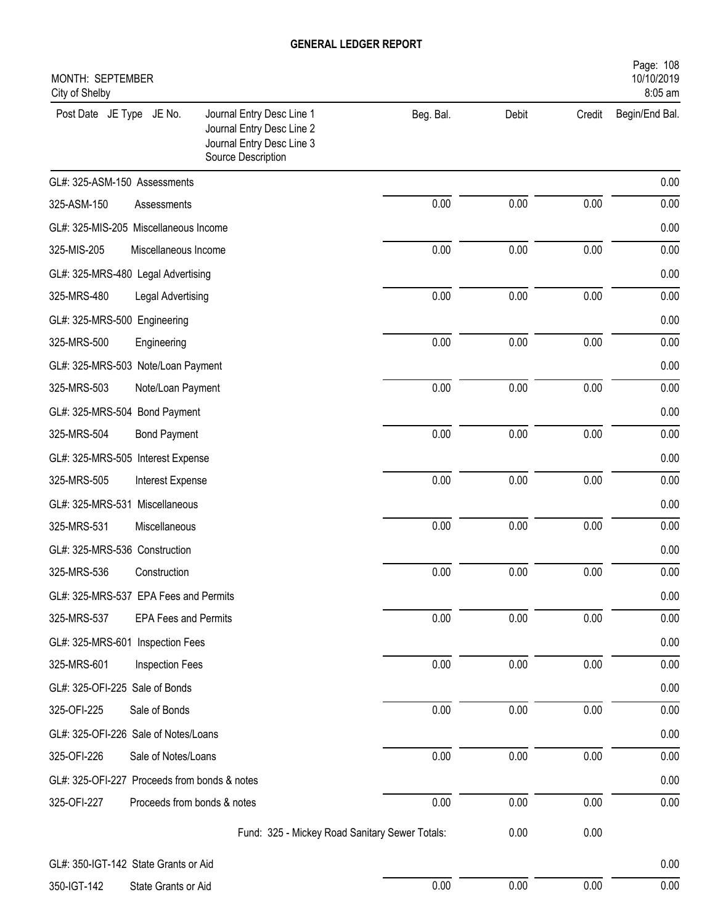| Page: 108<br>MONTH: SEPTEMBER<br>10/10/2019<br>8:05 am<br>City of Shelby |                                                                                                           |           |       |        |                |  |  |
|--------------------------------------------------------------------------|-----------------------------------------------------------------------------------------------------------|-----------|-------|--------|----------------|--|--|
| Post Date JE Type JE No.                                                 | Journal Entry Desc Line 1<br>Journal Entry Desc Line 2<br>Journal Entry Desc Line 3<br>Source Description | Beg. Bal. | Debit | Credit | Begin/End Bal. |  |  |
| GL#: 325-ASM-150 Assessments                                             |                                                                                                           |           |       |        | 0.00           |  |  |
| 325-ASM-150<br>Assessments                                               |                                                                                                           | 0.00      | 0.00  | 0.00   | 0.00           |  |  |
| GL#: 325-MIS-205 Miscellaneous Income                                    |                                                                                                           |           |       |        | 0.00           |  |  |
| 325-MIS-205<br>Miscellaneous Income                                      |                                                                                                           | 0.00      | 0.00  | 0.00   | 0.00           |  |  |
| GL#: 325-MRS-480 Legal Advertising                                       |                                                                                                           |           |       |        | 0.00           |  |  |
| 325-MRS-480<br>Legal Advertising                                         |                                                                                                           | 0.00      | 0.00  | 0.00   | 0.00           |  |  |
| GL#: 325-MRS-500 Engineering                                             |                                                                                                           |           |       |        | 0.00           |  |  |
| 325-MRS-500<br>Engineering                                               |                                                                                                           | 0.00      | 0.00  | 0.00   | 0.00           |  |  |
| GL#: 325-MRS-503 Note/Loan Payment                                       |                                                                                                           |           |       |        | 0.00           |  |  |
| 325-MRS-503<br>Note/Loan Payment                                         |                                                                                                           | 0.00      | 0.00  | 0.00   | 0.00           |  |  |
| GL#: 325-MRS-504 Bond Payment                                            |                                                                                                           |           |       |        | 0.00           |  |  |
| 325-MRS-504<br><b>Bond Payment</b>                                       |                                                                                                           | 0.00      | 0.00  | 0.00   | 0.00           |  |  |
| GL#: 325-MRS-505 Interest Expense                                        |                                                                                                           |           |       |        | 0.00           |  |  |
| 325-MRS-505<br>Interest Expense                                          |                                                                                                           | 0.00      | 0.00  | 0.00   | 0.00           |  |  |
| GL#: 325-MRS-531 Miscellaneous                                           |                                                                                                           |           |       |        | 0.00           |  |  |
| 325-MRS-531<br>Miscellaneous                                             |                                                                                                           | 0.00      | 0.00  | 0.00   | 0.00           |  |  |
| GL#: 325-MRS-536 Construction                                            |                                                                                                           |           |       |        | 0.00           |  |  |
| 325-MRS-536<br>Construction                                              |                                                                                                           | 0.00      | 0.00  | 0.00   | 0.00           |  |  |
| GL#: 325-MRS-537 EPA Fees and Permits                                    |                                                                                                           |           |       |        | 0.00           |  |  |
| 325-MRS-537<br><b>EPA Fees and Permits</b>                               |                                                                                                           | 0.00      | 0.00  | 0.00   | 0.00           |  |  |
| GL#: 325-MRS-601<br>Inspection Fees                                      |                                                                                                           |           |       |        | 0.00           |  |  |
| 325-MRS-601<br>Inspection Fees                                           |                                                                                                           | 0.00      | 0.00  | 0.00   | 0.00           |  |  |
| GL#: 325-OFI-225 Sale of Bonds                                           |                                                                                                           |           |       |        | 0.00           |  |  |
| 325-OFI-225<br>Sale of Bonds                                             |                                                                                                           | 0.00      | 0.00  | 0.00   | 0.00           |  |  |
| GL#: 325-OFI-226 Sale of Notes/Loans                                     |                                                                                                           |           |       |        | 0.00           |  |  |
| 325-OFI-226<br>Sale of Notes/Loans                                       |                                                                                                           | 0.00      | 0.00  | 0.00   | 0.00           |  |  |
| GL#: 325-OFI-227 Proceeds from bonds & notes                             |                                                                                                           |           |       |        | 0.00           |  |  |
| 325-OFI-227<br>Proceeds from bonds & notes                               |                                                                                                           | 0.00      | 0.00  | 0.00   | 0.00           |  |  |
|                                                                          | Fund: 325 - Mickey Road Sanitary Sewer Totals:                                                            |           | 0.00  | 0.00   |                |  |  |
| GL#: 350-IGT-142 State Grants or Aid                                     |                                                                                                           |           |       |        | 0.00           |  |  |
| 350-IGT-142<br>State Grants or Aid                                       |                                                                                                           | 0.00      | 0.00  | 0.00   | 0.00           |  |  |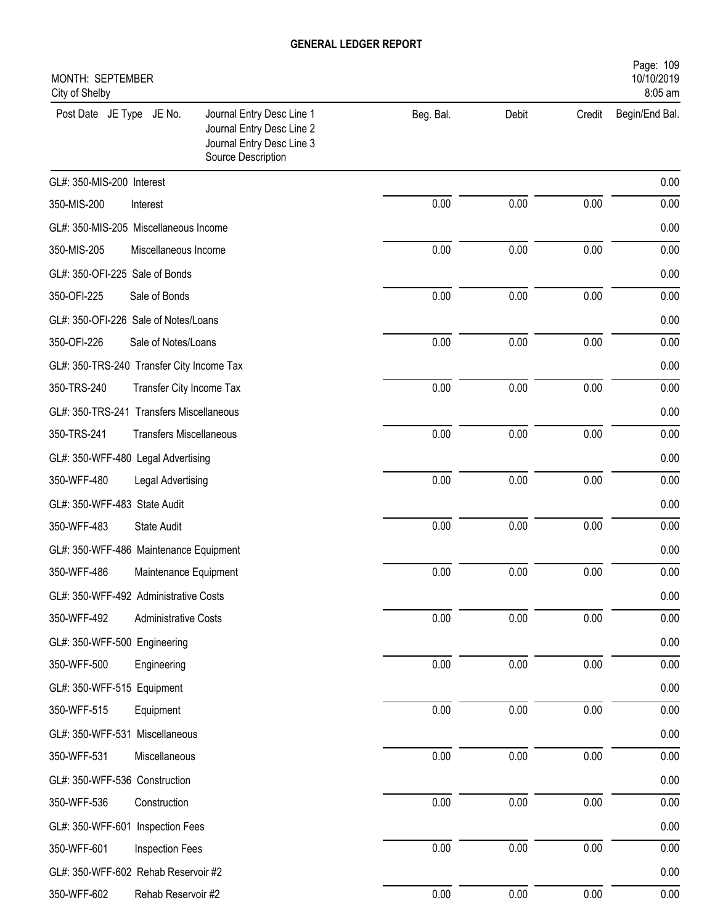| MONTH: SEPTEMBER<br>City of Shelby        |                                |                                                                                                           |           |       |          | Page: 109<br>10/10/2019<br>8:05 am |
|-------------------------------------------|--------------------------------|-----------------------------------------------------------------------------------------------------------|-----------|-------|----------|------------------------------------|
| Post Date JE Type JE No.                  |                                | Journal Entry Desc Line 1<br>Journal Entry Desc Line 2<br>Journal Entry Desc Line 3<br>Source Description | Beg. Bal. | Debit | Credit   | Begin/End Bal.                     |
| GL#: 350-MIS-200 Interest                 |                                |                                                                                                           |           |       |          | 0.00                               |
| 350-MIS-200                               | Interest                       |                                                                                                           | 0.00      | 0.00  | 0.00     | 0.00                               |
| GL#: 350-MIS-205 Miscellaneous Income     |                                |                                                                                                           |           |       |          | 0.00                               |
| 350-MIS-205                               | Miscellaneous Income           |                                                                                                           | 0.00      | 0.00  | 0.00     | 0.00                               |
| GL#: 350-OFI-225 Sale of Bonds            |                                |                                                                                                           |           |       |          | 0.00                               |
| 350-OFI-225                               | Sale of Bonds                  |                                                                                                           | 0.00      | 0.00  | 0.00     | 0.00                               |
| GL#: 350-OFI-226 Sale of Notes/Loans      |                                |                                                                                                           |           |       |          | 0.00                               |
| 350-OFI-226                               | Sale of Notes/Loans            |                                                                                                           | 0.00      | 0.00  | 0.00     | 0.00                               |
| GL#: 350-TRS-240 Transfer City Income Tax |                                |                                                                                                           |           |       |          | 0.00                               |
| 350-TRS-240                               | Transfer City Income Tax       |                                                                                                           | 0.00      | 0.00  | 0.00     | 0.00                               |
| GL#: 350-TRS-241 Transfers Miscellaneous  |                                |                                                                                                           |           |       |          | 0.00                               |
| 350-TRS-241                               | <b>Transfers Miscellaneous</b> |                                                                                                           | 0.00      | 0.00  | 0.00     | 0.00                               |
| GL#: 350-WFF-480 Legal Advertising        |                                |                                                                                                           |           |       |          | 0.00                               |
| 350-WFF-480                               | Legal Advertising              |                                                                                                           | 0.00      | 0.00  | 0.00     | 0.00                               |
| GL#: 350-WFF-483 State Audit              |                                |                                                                                                           |           |       |          | 0.00                               |
| 350-WFF-483                               | State Audit                    |                                                                                                           | 0.00      | 0.00  | 0.00     | 0.00                               |
| GL#: 350-WFF-486 Maintenance Equipment    |                                |                                                                                                           |           |       |          | 0.00                               |
| 350-WFF-486                               | Maintenance Equipment          |                                                                                                           | 0.00      | 0.00  | 0.00     | 0.00                               |
| GL#: 350-WFF-492 Administrative Costs     |                                |                                                                                                           |           |       |          | 0.00                               |
| 350-WFF-492                               | <b>Administrative Costs</b>    |                                                                                                           | 0.00      | 0.00  | $0.00\,$ | 0.00                               |
| GL#: 350-WFF-500 Engineering              |                                |                                                                                                           |           |       |          | 0.00                               |
| 350-WFF-500                               | Engineering                    |                                                                                                           | 0.00      | 0.00  | 0.00     | 0.00                               |
| GL#: 350-WFF-515 Equipment                |                                |                                                                                                           |           |       |          | 0.00                               |
| 350-WFF-515                               | Equipment                      |                                                                                                           | 0.00      | 0.00  | 0.00     | 0.00                               |
| GL#: 350-WFF-531 Miscellaneous            |                                |                                                                                                           |           |       |          | 0.00                               |
| 350-WFF-531                               | Miscellaneous                  |                                                                                                           | 0.00      | 0.00  | 0.00     | 0.00                               |
| GL#: 350-WFF-536 Construction             |                                |                                                                                                           |           |       |          | 0.00                               |
| 350-WFF-536                               | Construction                   |                                                                                                           | 0.00      | 0.00  | 0.00     | 0.00                               |
| GL#: 350-WFF-601 Inspection Fees          |                                |                                                                                                           |           |       |          | 0.00                               |
| 350-WFF-601                               | Inspection Fees                |                                                                                                           | 0.00      | 0.00  | 0.00     | 0.00                               |
| GL#: 350-WFF-602 Rehab Reservoir #2       |                                |                                                                                                           |           |       |          | 0.00                               |
| 350-WFF-602                               | Rehab Reservoir #2             |                                                                                                           | $0.00\,$  | 0.00  | 0.00     | $0.00\,$                           |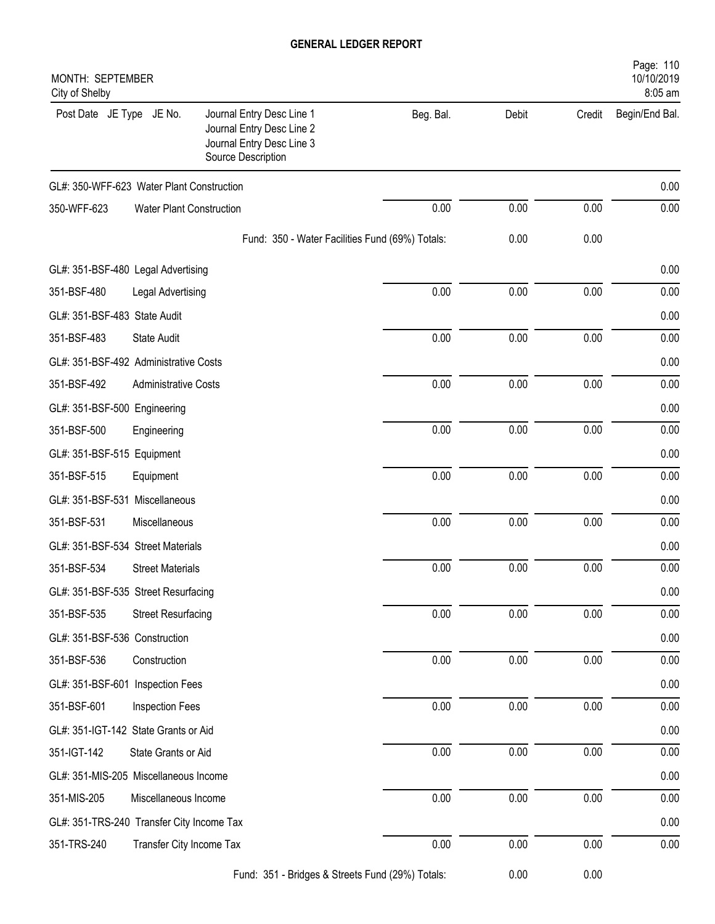| MONTH: SEPTEMBER<br>City of Shelby        |                             |                                                                                                           |           |       |          | Page: 110<br>10/10/2019<br>8:05 am |
|-------------------------------------------|-----------------------------|-----------------------------------------------------------------------------------------------------------|-----------|-------|----------|------------------------------------|
| Post Date JE Type JE No.                  |                             | Journal Entry Desc Line 1<br>Journal Entry Desc Line 2<br>Journal Entry Desc Line 3<br>Source Description | Beg. Bal. | Debit | Credit   | Begin/End Bal.                     |
| GL#: 350-WFF-623 Water Plant Construction |                             |                                                                                                           |           |       |          | 0.00                               |
| 350-WFF-623                               | Water Plant Construction    |                                                                                                           | 0.00      | 0.00  | 0.00     | 0.00                               |
|                                           |                             | Fund: 350 - Water Facilities Fund (69%) Totals:                                                           |           | 0.00  | 0.00     |                                    |
| GL#: 351-BSF-480 Legal Advertising        |                             |                                                                                                           |           |       |          | 0.00                               |
| 351-BSF-480                               | Legal Advertising           |                                                                                                           | 0.00      | 0.00  | 0.00     | 0.00                               |
| GL#: 351-BSF-483 State Audit              |                             |                                                                                                           |           |       |          | 0.00                               |
| 351-BSF-483                               | <b>State Audit</b>          |                                                                                                           | 0.00      | 0.00  | 0.00     | 0.00                               |
| GL#: 351-BSF-492 Administrative Costs     |                             |                                                                                                           |           |       |          | 0.00                               |
| 351-BSF-492                               | <b>Administrative Costs</b> |                                                                                                           | 0.00      | 0.00  | 0.00     | 0.00                               |
| GL#: 351-BSF-500 Engineering              |                             |                                                                                                           |           |       |          | 0.00                               |
| 351-BSF-500                               | Engineering                 |                                                                                                           | 0.00      | 0.00  | 0.00     | 0.00                               |
| GL#: 351-BSF-515 Equipment                |                             |                                                                                                           |           |       |          | 0.00                               |
| 351-BSF-515                               | Equipment                   |                                                                                                           | 0.00      | 0.00  | 0.00     | 0.00                               |
| GL#: 351-BSF-531 Miscellaneous            |                             |                                                                                                           |           |       |          | 0.00                               |
| 351-BSF-531                               | Miscellaneous               |                                                                                                           | 0.00      | 0.00  | 0.00     | 0.00                               |
| GL#: 351-BSF-534 Street Materials         |                             |                                                                                                           |           |       |          | 0.00                               |
| 351-BSF-534                               | <b>Street Materials</b>     |                                                                                                           | 0.00      | 0.00  | 0.00     | 0.00                               |
| GL#: 351-BSF-535 Street Resurfacing       |                             |                                                                                                           |           |       |          | 0.00                               |
| 351-BSF-535                               | <b>Street Resurfacing</b>   |                                                                                                           | 0.00      | 0.00  | 0.00     | 0.00                               |
| GL#: 351-BSF-536 Construction             |                             |                                                                                                           |           |       |          | 0.00                               |
| 351-BSF-536                               | Construction                |                                                                                                           | 0.00      | 0.00  | 0.00     | 0.00                               |
| GL#: 351-BSF-601 Inspection Fees          |                             |                                                                                                           |           |       |          | 0.00                               |
| 351-BSF-601                               | Inspection Fees             |                                                                                                           | 0.00      | 0.00  | 0.00     | 0.00                               |
| GL#: 351-IGT-142 State Grants or Aid      |                             |                                                                                                           |           |       |          | 0.00                               |
| 351-IGT-142                               | State Grants or Aid         |                                                                                                           | 0.00      | 0.00  | 0.00     | 0.00                               |
| GL#: 351-MIS-205 Miscellaneous Income     |                             |                                                                                                           |           |       |          | 0.00                               |
| 351-MIS-205                               | Miscellaneous Income        |                                                                                                           | 0.00      | 0.00  | $0.00\,$ | 0.00                               |
| GL#: 351-TRS-240 Transfer City Income Tax |                             |                                                                                                           |           |       |          | 0.00                               |
| 351-TRS-240                               | Transfer City Income Tax    |                                                                                                           | 0.00      | 0.00  | $0.00\,$ | 0.00                               |
|                                           |                             | 254 Dridges & Ctreate Fund (200/) Totals                                                                  |           | 0.00  | 0.00     |                                    |

Fund: 351 - Bridges & Streets Fund (29%) Totals: 0.00 0.00 0.00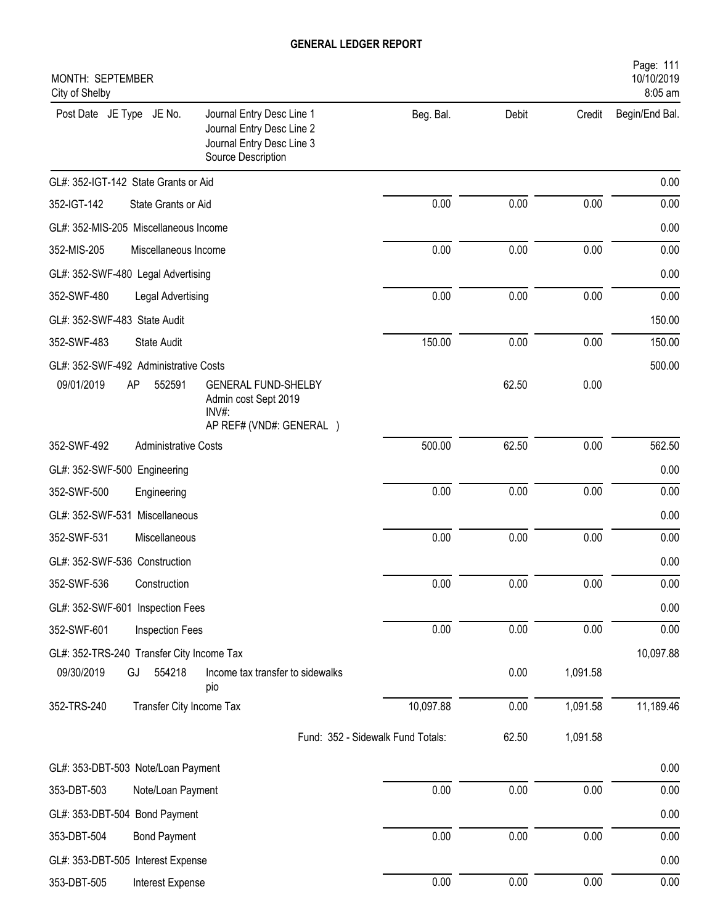| MONTH: SEPTEMBER<br>City of Shelby        |                             |                                                                                                           |                                   |       |          | Page: 111<br>10/10/2019<br>8:05 am |
|-------------------------------------------|-----------------------------|-----------------------------------------------------------------------------------------------------------|-----------------------------------|-------|----------|------------------------------------|
| Post Date JE Type JE No.                  |                             | Journal Entry Desc Line 1<br>Journal Entry Desc Line 2<br>Journal Entry Desc Line 3<br>Source Description | Beg. Bal.                         | Debit | Credit   | Begin/End Bal.                     |
| GL#: 352-IGT-142 State Grants or Aid      |                             |                                                                                                           |                                   |       |          | 0.00                               |
| 352-IGT-142                               | State Grants or Aid         |                                                                                                           | 0.00                              | 0.00  | 0.00     | 0.00                               |
| GL#: 352-MIS-205 Miscellaneous Income     |                             |                                                                                                           |                                   |       |          | 0.00                               |
| 352-MIS-205                               | Miscellaneous Income        |                                                                                                           | 0.00                              | 0.00  | 0.00     | 0.00                               |
| GL#: 352-SWF-480 Legal Advertising        |                             |                                                                                                           |                                   |       |          | 0.00                               |
| 352-SWF-480                               | Legal Advertising           |                                                                                                           | 0.00                              | 0.00  | 0.00     | 0.00                               |
| GL#: 352-SWF-483 State Audit              |                             |                                                                                                           |                                   |       |          | 150.00                             |
| 352-SWF-483                               | <b>State Audit</b>          |                                                                                                           | 150.00                            | 0.00  | 0.00     | 150.00                             |
| GL#: 352-SWF-492 Administrative Costs     |                             |                                                                                                           |                                   |       |          | 500.00                             |
| 09/01/2019                                | AP<br>552591                | <b>GENERAL FUND-SHELBY</b><br>Admin cost Sept 2019<br>$INV#$ :<br>AP REF# (VND#: GENERAL )                |                                   | 62.50 | 0.00     |                                    |
| 352-SWF-492                               | <b>Administrative Costs</b> |                                                                                                           | 500.00                            | 62.50 | 0.00     | 562.50                             |
| GL#: 352-SWF-500 Engineering              |                             |                                                                                                           |                                   |       |          | 0.00                               |
| 352-SWF-500                               | Engineering                 |                                                                                                           | 0.00                              | 0.00  | 0.00     | 0.00                               |
| GL#: 352-SWF-531 Miscellaneous            |                             |                                                                                                           |                                   |       |          | 0.00                               |
| 352-SWF-531                               | Miscellaneous               |                                                                                                           | 0.00                              | 0.00  | 0.00     | 0.00                               |
| GL#: 352-SWF-536 Construction             |                             |                                                                                                           |                                   |       |          | 0.00                               |
| 352-SWF-536                               | Construction                |                                                                                                           | 0.00                              | 0.00  | 0.00     | 0.00                               |
| GL#: 352-SWF-601 Inspection Fees          |                             |                                                                                                           |                                   |       |          | 0.00                               |
| 352-SWF-601                               | Inspection Fees             |                                                                                                           | 0.00                              | 0.00  | 0.00     | 0.00                               |
| GL#: 352-TRS-240 Transfer City Income Tax |                             |                                                                                                           |                                   |       |          | 10,097.88                          |
| 09/30/2019                                | 554218<br>GJ                | Income tax transfer to sidewalks<br>pio                                                                   |                                   | 0.00  | 1,091.58 |                                    |
| 352-TRS-240                               | Transfer City Income Tax    |                                                                                                           | 10,097.88                         | 0.00  | 1,091.58 | 11,189.46                          |
|                                           |                             |                                                                                                           | Fund: 352 - Sidewalk Fund Totals: | 62.50 | 1,091.58 |                                    |
| GL#: 353-DBT-503 Note/Loan Payment        |                             |                                                                                                           |                                   |       |          | 0.00                               |
| 353-DBT-503                               | Note/Loan Payment           |                                                                                                           | 0.00                              | 0.00  | 0.00     | 0.00                               |
| GL#: 353-DBT-504 Bond Payment             |                             |                                                                                                           |                                   |       |          | 0.00                               |
| 353-DBT-504                               | <b>Bond Payment</b>         |                                                                                                           | 0.00                              | 0.00  | 0.00     | 0.00                               |
| GL#: 353-DBT-505 Interest Expense         |                             |                                                                                                           |                                   |       |          | 0.00                               |
| 353-DBT-505                               | Interest Expense            |                                                                                                           | 0.00                              | 0.00  | 0.00     | 0.00                               |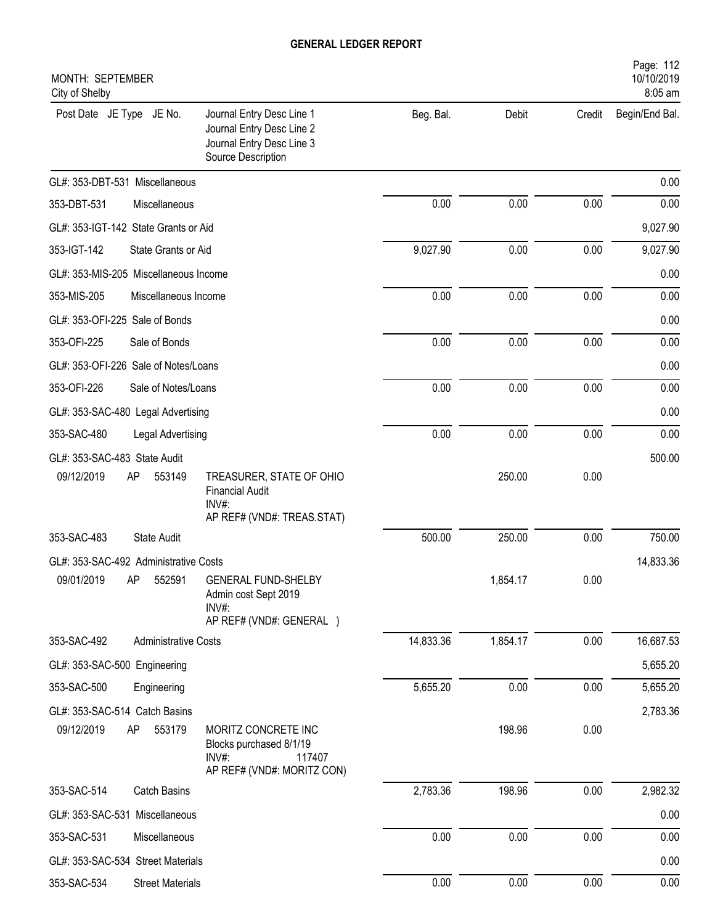| MONTH: SEPTEMBER<br>City of Shelby                                                                                                    |           |          |        | Page: 112<br>10/10/2019<br>8:05 am |
|---------------------------------------------------------------------------------------------------------------------------------------|-----------|----------|--------|------------------------------------|
| Post Date JE Type JE No.<br>Journal Entry Desc Line 1<br>Journal Entry Desc Line 2<br>Journal Entry Desc Line 3<br>Source Description | Beg. Bal. | Debit    | Credit | Begin/End Bal.                     |
| GL#: 353-DBT-531 Miscellaneous                                                                                                        |           |          |        | 0.00                               |
| 353-DBT-531<br>Miscellaneous                                                                                                          | 0.00      | 0.00     | 0.00   | 0.00                               |
| GL#: 353-IGT-142 State Grants or Aid                                                                                                  |           |          |        | 9,027.90                           |
| 353-IGT-142<br>State Grants or Aid                                                                                                    | 9,027.90  | 0.00     | 0.00   | 9,027.90                           |
| GL#: 353-MIS-205 Miscellaneous Income                                                                                                 |           |          |        | 0.00                               |
| 353-MIS-205<br>Miscellaneous Income                                                                                                   | 0.00      | 0.00     | 0.00   | 0.00                               |
| GL#: 353-OFI-225 Sale of Bonds                                                                                                        |           |          |        | 0.00                               |
| 353-OFI-225<br>Sale of Bonds                                                                                                          | 0.00      | 0.00     | 0.00   | 0.00                               |
| GL#: 353-OFI-226 Sale of Notes/Loans                                                                                                  |           |          |        | 0.00                               |
| 353-OFI-226<br>Sale of Notes/Loans                                                                                                    | 0.00      | 0.00     | 0.00   | 0.00                               |
| GL#: 353-SAC-480 Legal Advertising                                                                                                    |           |          |        | 0.00                               |
| 353-SAC-480<br>Legal Advertising                                                                                                      | 0.00      | 0.00     | 0.00   | 0.00                               |
| GL#: 353-SAC-483 State Audit                                                                                                          |           |          |        | 500.00                             |
| 09/12/2019<br>AP<br>553149<br>TREASURER, STATE OF OHIO<br><b>Financial Audit</b><br>INV#:<br>AP REF# (VND#: TREAS.STAT)               |           | 250.00   | 0.00   |                                    |
| 353-SAC-483<br><b>State Audit</b>                                                                                                     | 500.00    | 250.00   | 0.00   | 750.00                             |
| GL#: 353-SAC-492 Administrative Costs                                                                                                 |           |          |        | 14,833.36                          |
| 09/01/2019 AP 552591 GENERAL FUND-SHELBY<br>Admin cost Sept 2019<br>INV#:<br>AP REF# (VND#: GENERAL)                                  |           | 1,854.17 | 0.00   |                                    |
| 353-SAC-492<br><b>Administrative Costs</b>                                                                                            | 14,833.36 | 1,854.17 | 0.00   | 16,687.53                          |
| GL#: 353-SAC-500 Engineering                                                                                                          |           |          |        | 5,655.20                           |
| 353-SAC-500<br>Engineering                                                                                                            | 5,655.20  | 0.00     | 0.00   | 5,655.20                           |
| GL#: 353-SAC-514 Catch Basins                                                                                                         |           |          |        | 2,783.36                           |
| 09/12/2019<br>AP<br>553179<br>MORITZ CONCRETE INC<br>Blocks purchased 8/1/19<br>$INV#$ :<br>117407<br>AP REF# (VND#: MORITZ CON)      |           | 198.96   | 0.00   |                                    |
| 353-SAC-514<br><b>Catch Basins</b>                                                                                                    | 2,783.36  | 198.96   | 0.00   | 2,982.32                           |
| GL#: 353-SAC-531 Miscellaneous                                                                                                        |           |          |        | 0.00                               |
| 353-SAC-531<br>Miscellaneous                                                                                                          | 0.00      | 0.00     | 0.00   | 0.00                               |
| GL#: 353-SAC-534 Street Materials                                                                                                     |           |          |        | 0.00                               |
| 353-SAC-534<br><b>Street Materials</b>                                                                                                | 0.00      | 0.00     | 0.00   | 0.00                               |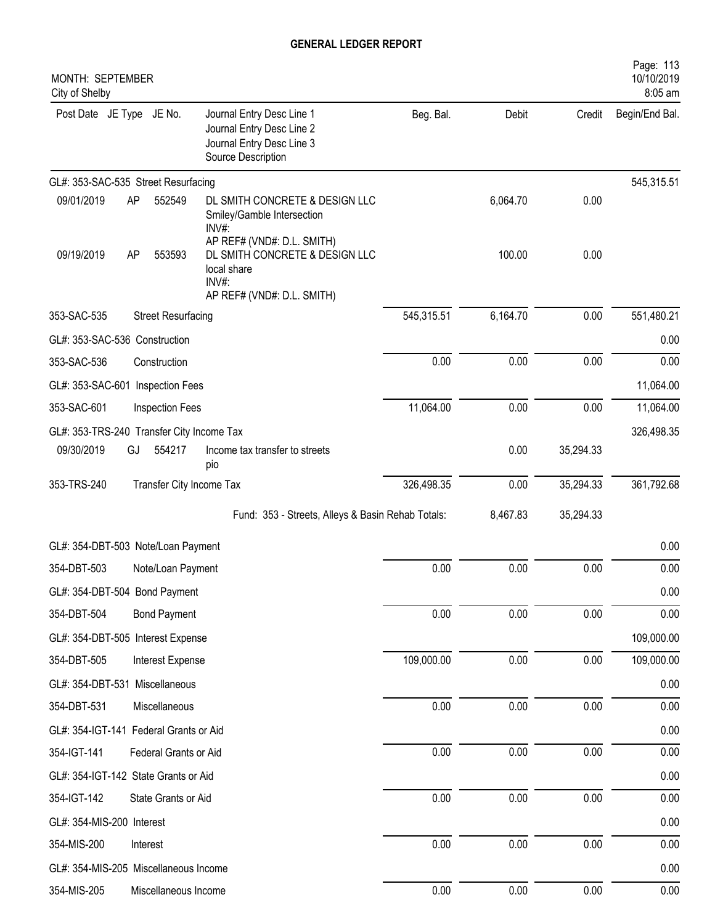| MONTH: SEPTEMBER<br>City of Shelby        |          |                           |                                                                                                                       |            |          |           | Page: 113<br>10/10/2019<br>8:05 am |
|-------------------------------------------|----------|---------------------------|-----------------------------------------------------------------------------------------------------------------------|------------|----------|-----------|------------------------------------|
| Post Date JE Type JE No.                  |          |                           | Journal Entry Desc Line 1<br>Journal Entry Desc Line 2<br>Journal Entry Desc Line 3<br>Source Description             | Beg. Bal.  | Debit    | Credit    | Begin/End Bal.                     |
| GL#: 353-SAC-535 Street Resurfacing       |          |                           |                                                                                                                       |            |          |           | 545,315.51                         |
| 09/01/2019                                | AP       | 552549                    | DL SMITH CONCRETE & DESIGN LLC<br>Smiley/Gamble Intersection<br>$INV#$ :                                              |            | 6,064.70 | 0.00      |                                    |
| 09/19/2019                                | AP       | 553593                    | AP REF# (VND#: D.L. SMITH)<br>DL SMITH CONCRETE & DESIGN LLC<br>local share<br>$INV#$ :<br>AP REF# (VND#: D.L. SMITH) |            | 100.00   | 0.00      |                                    |
| 353-SAC-535                               |          | <b>Street Resurfacing</b> |                                                                                                                       | 545,315.51 | 6,164.70 | 0.00      | 551,480.21                         |
| GL#: 353-SAC-536 Construction             |          |                           |                                                                                                                       |            |          |           | 0.00                               |
| 353-SAC-536                               |          | Construction              |                                                                                                                       | 0.00       | 0.00     | 0.00      | 0.00                               |
| GL#: 353-SAC-601 Inspection Fees          |          |                           |                                                                                                                       |            |          |           | 11,064.00                          |
| 353-SAC-601                               |          | <b>Inspection Fees</b>    |                                                                                                                       | 11,064.00  | 0.00     | 0.00      | 11,064.00                          |
| GL#: 353-TRS-240 Transfer City Income Tax |          |                           |                                                                                                                       |            |          |           | 326,498.35                         |
| 09/30/2019                                | GJ       | 554217                    | Income tax transfer to streets                                                                                        |            | 0.00     | 35,294.33 |                                    |
| 353-TRS-240                               |          | Transfer City Income Tax  | pio                                                                                                                   | 326,498.35 | 0.00     | 35,294.33 | 361,792.68                         |
|                                           |          |                           | Fund: 353 - Streets, Alleys & Basin Rehab Totals:                                                                     |            | 8,467.83 | 35,294.33 |                                    |
| GL#: 354-DBT-503 Note/Loan Payment        |          |                           |                                                                                                                       |            |          |           | 0.00                               |
| 354-DBT-503                               |          | Note/Loan Payment         |                                                                                                                       | 0.00       | 0.00     | 0.00      | 0.00                               |
| GL#: 354-DBT-504 Bond Payment             |          |                           |                                                                                                                       |            |          |           | 0.00                               |
| 354-DBT-504                               |          | <b>Bond Payment</b>       |                                                                                                                       | 0.00       | 0.00     | 0.00      | 0.00                               |
| GL#: 354-DBT-505 Interest Expense         |          |                           |                                                                                                                       |            |          |           | 109,000.00                         |
| 354-DBT-505                               |          | Interest Expense          |                                                                                                                       | 109,000.00 | 0.00     | 0.00      | 109,000.00                         |
| GL#: 354-DBT-531 Miscellaneous            |          |                           |                                                                                                                       |            |          |           | 0.00                               |
| 354-DBT-531                               |          | Miscellaneous             |                                                                                                                       | 0.00       | 0.00     | 0.00      | 0.00                               |
| GL#: 354-IGT-141 Federal Grants or Aid    |          |                           |                                                                                                                       |            |          |           | 0.00                               |
| 354-IGT-141                               |          | Federal Grants or Aid     |                                                                                                                       | 0.00       | 0.00     | 0.00      | 0.00                               |
| GL#: 354-IGT-142 State Grants or Aid      |          |                           |                                                                                                                       |            |          |           | 0.00                               |
| 354-IGT-142                               |          | State Grants or Aid       |                                                                                                                       | 0.00       | 0.00     | 0.00      | 0.00                               |
| GL#: 354-MIS-200 Interest                 |          |                           |                                                                                                                       |            |          |           | 0.00                               |
| 354-MIS-200                               | Interest |                           |                                                                                                                       | 0.00       | 0.00     | $0.00\,$  | 0.00                               |
| GL#: 354-MIS-205 Miscellaneous Income     |          |                           |                                                                                                                       |            |          |           | 0.00                               |
| 354-MIS-205                               |          | Miscellaneous Income      |                                                                                                                       | 0.00       | 0.00     | 0.00      | 0.00                               |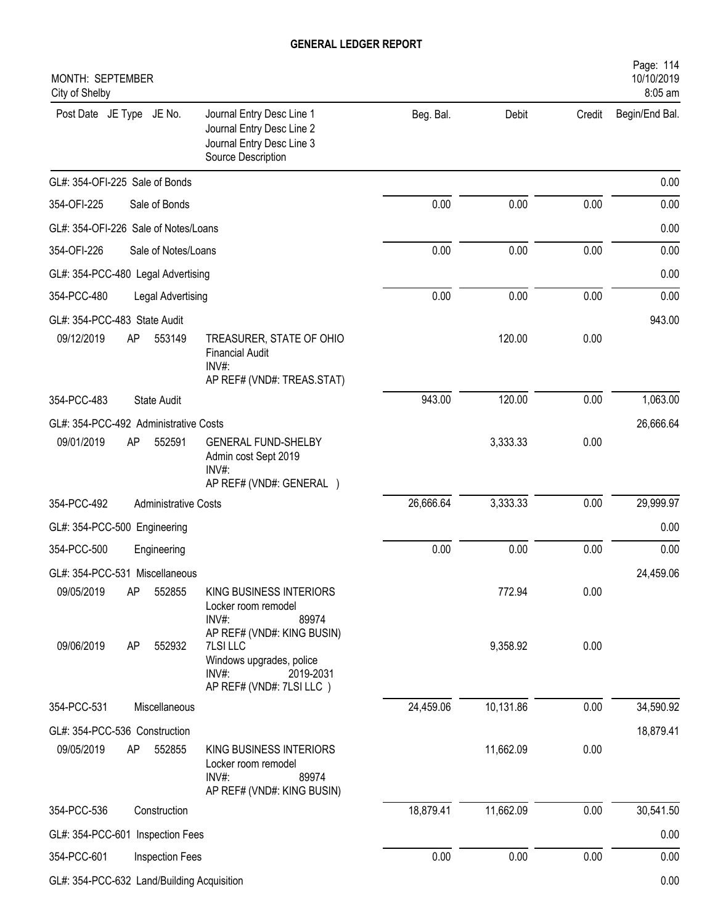| MONTH: SEPTEMBER<br>City of Shelby         |                                                                                                                         |           |           |        | Page: 114<br>10/10/2019<br>8:05 am |
|--------------------------------------------|-------------------------------------------------------------------------------------------------------------------------|-----------|-----------|--------|------------------------------------|
| Post Date JE Type JE No.                   | Journal Entry Desc Line 1<br>Journal Entry Desc Line 2<br>Journal Entry Desc Line 3<br>Source Description               | Beg. Bal. | Debit     | Credit | Begin/End Bal.                     |
| GL#: 354-OFI-225 Sale of Bonds             |                                                                                                                         |           |           |        | 0.00                               |
| 354-OFI-225<br>Sale of Bonds               |                                                                                                                         | 0.00      | 0.00      | 0.00   | 0.00                               |
| GL#: 354-OFI-226 Sale of Notes/Loans       |                                                                                                                         |           |           |        | 0.00                               |
| 354-OFI-226<br>Sale of Notes/Loans         |                                                                                                                         | 0.00      | 0.00      | 0.00   | 0.00                               |
| GL#: 354-PCC-480 Legal Advertising         |                                                                                                                         |           |           |        | 0.00                               |
| 354-PCC-480<br>Legal Advertising           |                                                                                                                         | 0.00      | 0.00      | 0.00   | 0.00                               |
| GL#: 354-PCC-483 State Audit               |                                                                                                                         |           |           |        | 943.00                             |
| 09/12/2019<br>553149<br>AP                 | TREASURER, STATE OF OHIO<br><b>Financial Audit</b><br>$INV#$ :                                                          |           | 120.00    | 0.00   |                                    |
|                                            | AP REF# (VND#: TREAS.STAT)                                                                                              |           |           |        |                                    |
| 354-PCC-483<br><b>State Audit</b>          |                                                                                                                         | 943.00    | 120.00    | 0.00   | 1,063.00                           |
| GL#: 354-PCC-492 Administrative Costs      |                                                                                                                         |           |           |        | 26,666.64                          |
| 09/01/2019<br>AP<br>552591                 | <b>GENERAL FUND-SHELBY</b><br>Admin cost Sept 2019<br>INV#:<br>AP REF# (VND#: GENERAL )                                 |           | 3,333.33  | 0.00   |                                    |
| 354-PCC-492<br><b>Administrative Costs</b> |                                                                                                                         | 26,666.64 | 3,333.33  | 0.00   | 29,999.97                          |
| GL#: 354-PCC-500 Engineering               |                                                                                                                         |           |           |        | 0.00                               |
| 354-PCC-500<br>Engineering                 |                                                                                                                         | 0.00      | 0.00      | 0.00   | 0.00                               |
| GL#: 354-PCC-531 Miscellaneous             |                                                                                                                         |           |           |        | 24,459.06                          |
| 09/05/2019<br>552855<br>AP                 | KING BUSINESS INTERIORS<br>Locker room remodel<br>$INV#$ :<br>89974                                                     |           | 772.94    | 0.00   |                                    |
| 09/06/2019<br>552932<br>AP                 | AP REF# (VND#: KING BUSIN)<br>7LSI LLC<br>Windows upgrades, police<br>$INV#$ :<br>2019-2031<br>AP REF# (VND#: 7LSI LLC) |           | 9,358.92  | 0.00   |                                    |
| 354-PCC-531<br>Miscellaneous               |                                                                                                                         | 24,459.06 | 10,131.86 | 0.00   | 34,590.92                          |
| GL#: 354-PCC-536 Construction              |                                                                                                                         |           |           |        | 18,879.41                          |
| 09/05/2019<br>AP<br>552855                 | KING BUSINESS INTERIORS<br>Locker room remodel<br>INV#:<br>89974<br>AP REF# (VND#: KING BUSIN)                          |           | 11,662.09 | 0.00   |                                    |
| 354-PCC-536<br>Construction                |                                                                                                                         | 18,879.41 | 11,662.09 | 0.00   | 30,541.50                          |
| GL#: 354-PCC-601 Inspection Fees           |                                                                                                                         |           |           |        | 0.00                               |
| 354-PCC-601<br>Inspection Fees             |                                                                                                                         | 0.00      | 0.00      | 0.00   | 0.00                               |
| GL#: 354-PCC-632 Land/Building Acquisition |                                                                                                                         |           |           |        | 0.00                               |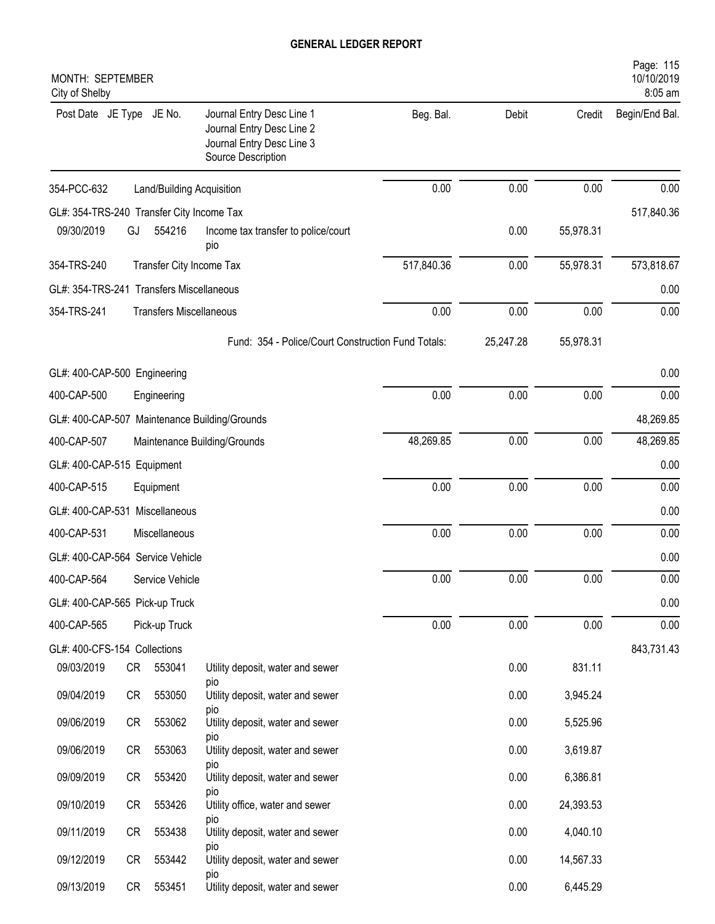| MONTH: SEPTEMBER<br>City of Shelby            |                                                                                                           |            |           |           | Page: 115<br>10/10/2019<br>8:05 am |
|-----------------------------------------------|-----------------------------------------------------------------------------------------------------------|------------|-----------|-----------|------------------------------------|
| Post Date JE Type JE No.                      | Journal Entry Desc Line 1<br>Journal Entry Desc Line 2<br>Journal Entry Desc Line 3<br>Source Description | Beg. Bal.  | Debit     | Credit    | Begin/End Bal.                     |
| 354-PCC-632<br>Land/Building Acquisition      |                                                                                                           | 0.00       | 0.00      | 0.00      | 0.00                               |
| GL#: 354-TRS-240 Transfer City Income Tax     |                                                                                                           |            |           |           | 517,840.36                         |
| 09/30/2019<br>554216<br>GJ                    | Income tax transfer to police/court<br>pio                                                                |            | 0.00      | 55,978.31 |                                    |
| 354-TRS-240<br>Transfer City Income Tax       |                                                                                                           | 517,840.36 | 0.00      | 55,978.31 | 573,818.67                         |
| GL#: 354-TRS-241 Transfers Miscellaneous      |                                                                                                           |            |           |           | 0.00                               |
| 354-TRS-241<br><b>Transfers Miscellaneous</b> |                                                                                                           | 0.00       | 0.00      | 0.00      | 0.00                               |
|                                               | Fund: 354 - Police/Court Construction Fund Totals:                                                        |            | 25,247.28 | 55,978.31 |                                    |
| GL#: 400-CAP-500 Engineering                  |                                                                                                           |            |           |           | 0.00                               |
| 400-CAP-500<br>Engineering                    |                                                                                                           | 0.00       | 0.00      | 0.00      | 0.00                               |
| GL#: 400-CAP-507 Maintenance Building/Grounds |                                                                                                           |            |           |           | 48,269.85                          |
| 400-CAP-507<br>Maintenance Building/Grounds   |                                                                                                           | 48,269.85  | 0.00      | 0.00      | 48,269.85                          |
| GL#: 400-CAP-515 Equipment                    |                                                                                                           |            |           |           | 0.00                               |
| 400-CAP-515<br>Equipment                      |                                                                                                           | 0.00       | 0.00      | 0.00      | 0.00                               |
| GL#: 400-CAP-531 Miscellaneous                |                                                                                                           |            |           |           | 0.00                               |
| 400-CAP-531<br>Miscellaneous                  |                                                                                                           | 0.00       | 0.00      | 0.00      | 0.00                               |
| GL#: 400-CAP-564 Service Vehicle              |                                                                                                           |            |           |           | 0.00                               |
| 400-CAP-564<br>Service Vehicle                |                                                                                                           | 0.00       | 0.00      | 0.00      | 0.00                               |
| GL#: 400-CAP-565 Pick-up Truck                |                                                                                                           |            |           |           | 0.00                               |
| 400-CAP-565<br>Pick-up Truck                  |                                                                                                           | 0.00       | 0.00      | 0.00      | 0.00                               |
| GL#: 400-CFS-154 Collections                  |                                                                                                           |            |           |           | 843,731.43                         |
| 09/03/2019<br>CR 553041                       | Utility deposit, water and sewer<br>pio                                                                   |            | 0.00      | 831.11    |                                    |
| 09/04/2019<br>553050<br>CR                    | Utility deposit, water and sewer                                                                          |            | 0.00      | 3,945.24  |                                    |
| 09/06/2019<br>553062<br>CR                    | pio<br>Utility deposit, water and sewer<br>pio                                                            |            | 0.00      | 5,525.96  |                                    |
| 09/06/2019<br>553063<br>CR                    | Utility deposit, water and sewer                                                                          |            | 0.00      | 3,619.87  |                                    |
| 09/09/2019<br>553420<br>CR                    | pio<br>Utility deposit, water and sewer                                                                   |            | 0.00      | 6,386.81  |                                    |
| 09/10/2019<br>553426<br>CR                    | pio<br>Utility office, water and sewer                                                                    |            | 0.00      | 24,393.53 |                                    |
| 09/11/2019<br>553438<br>CR                    | pio<br>Utility deposit, water and sewer<br>pio                                                            |            | 0.00      | 4,040.10  |                                    |
| 09/12/2019<br>553442<br>CR                    | Utility deposit, water and sewer                                                                          |            | 0.00      | 14,567.33 |                                    |
| 09/13/2019<br>553451<br>CR                    | pio<br>Utility deposit, water and sewer                                                                   |            | 0.00      | 6,445.29  |                                    |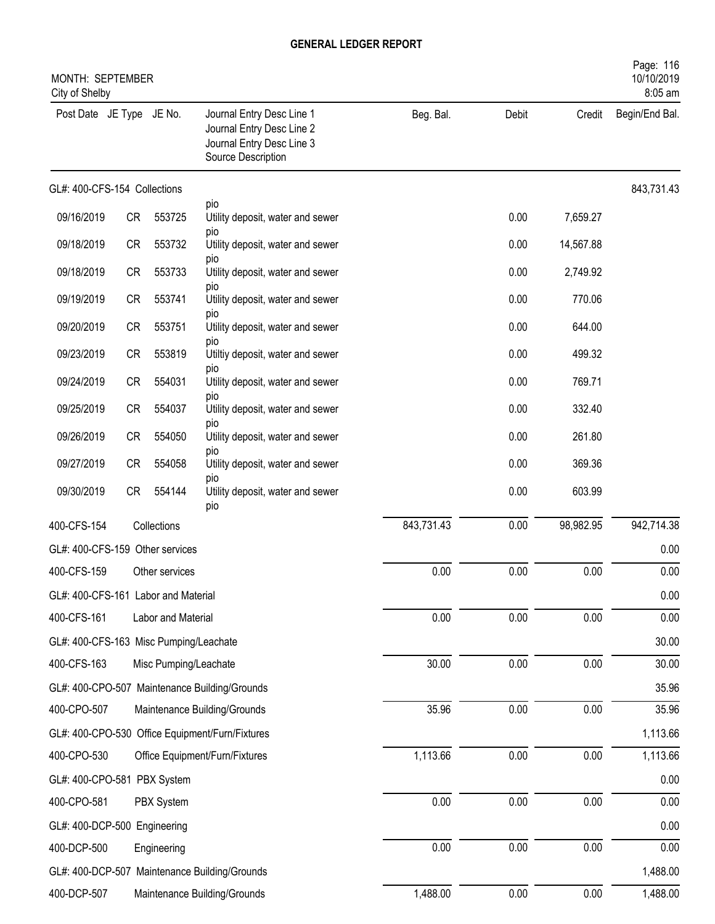| MONTH: SEPTEMBER<br>City of Shelby     |           |                       |                                                                                                           |            |       |           | Page: 116<br>10/10/2019<br>8:05 am |
|----------------------------------------|-----------|-----------------------|-----------------------------------------------------------------------------------------------------------|------------|-------|-----------|------------------------------------|
| Post Date JE Type JE No.               |           |                       | Journal Entry Desc Line 1<br>Journal Entry Desc Line 2<br>Journal Entry Desc Line 3<br>Source Description | Beg. Bal.  | Debit | Credit    | Begin/End Bal.                     |
| GL#: 400-CFS-154 Collections           |           |                       |                                                                                                           |            |       |           | 843,731.43                         |
| 09/16/2019                             | CR        | 553725                | pio<br>Utility deposit, water and sewer                                                                   |            | 0.00  | 7,659.27  |                                    |
| 09/18/2019                             | CR        | 553732                | pio<br>Utility deposit, water and sewer                                                                   |            | 0.00  | 14,567.88 |                                    |
| 09/18/2019                             | <b>CR</b> | 553733                | pio<br>Utility deposit, water and sewer                                                                   |            | 0.00  | 2,749.92  |                                    |
| 09/19/2019                             | <b>CR</b> | 553741                | pio<br>Utility deposit, water and sewer                                                                   |            | 0.00  | 770.06    |                                    |
| 09/20/2019                             | CR        | 553751                | pio<br>Utility deposit, water and sewer                                                                   |            | 0.00  | 644.00    |                                    |
| 09/23/2019                             | CR        | 553819                | pio<br>Utiltiy deposit, water and sewer                                                                   |            | 0.00  | 499.32    |                                    |
| 09/24/2019                             | <b>CR</b> | 554031                | pio<br>Utility deposit, water and sewer                                                                   |            | 0.00  | 769.71    |                                    |
|                                        |           |                       | pio                                                                                                       |            |       |           |                                    |
| 09/25/2019                             | <b>CR</b> | 554037                | Utility deposit, water and sewer<br>pio                                                                   |            | 0.00  | 332.40    |                                    |
| 09/26/2019                             | <b>CR</b> | 554050                | Utility deposit, water and sewer<br>pio                                                                   |            | 0.00  | 261.80    |                                    |
| 09/27/2019                             | CR        | 554058                | Utility deposit, water and sewer<br>pio                                                                   |            | 0.00  | 369.36    |                                    |
| 09/30/2019                             | <b>CR</b> | 554144                | Utility deposit, water and sewer<br>pio                                                                   |            | 0.00  | 603.99    |                                    |
| 400-CFS-154                            |           | Collections           |                                                                                                           | 843,731.43 | 0.00  | 98,982.95 | 942,714.38                         |
| GL#: 400-CFS-159 Other services        |           |                       |                                                                                                           |            |       |           | 0.00                               |
| 400-CFS-159                            |           | Other services        |                                                                                                           | 0.00       | 0.00  | 0.00      | 0.00                               |
| GL#: 400-CFS-161 Labor and Material    |           |                       |                                                                                                           |            |       |           | 0.00                               |
| 400-CFS-161                            |           | Labor and Material    |                                                                                                           | 0.00       | 0.00  | 0.00      | 0.00                               |
| GL#: 400-CFS-163 Misc Pumping/Leachate |           |                       |                                                                                                           |            |       |           | 30.00                              |
| 400-CFS-163                            |           | Misc Pumping/Leachate |                                                                                                           | 30.00      | 0.00  | $0.00\,$  | 30.00                              |
|                                        |           |                       | GL#: 400-CPO-507 Maintenance Building/Grounds                                                             |            |       |           | 35.96                              |
| 400-CPO-507                            |           |                       | Maintenance Building/Grounds                                                                              | 35.96      | 0.00  | 0.00      | 35.96                              |
|                                        |           |                       | GL#: 400-CPO-530 Office Equipment/Furn/Fixtures                                                           |            |       |           | 1,113.66                           |
| 400-CPO-530                            |           |                       | Office Equipment/Furn/Fixtures                                                                            | 1,113.66   | 0.00  | 0.00      | 1,113.66                           |
| GL#: 400-CPO-581 PBX System            |           |                       |                                                                                                           |            |       |           | 0.00                               |
| 400-CPO-581                            |           | PBX System            |                                                                                                           | 0.00       | 0.00  | 0.00      | 0.00                               |
| GL#: 400-DCP-500 Engineering           |           |                       |                                                                                                           |            |       |           | 0.00                               |
| 400-DCP-500                            |           | Engineering           |                                                                                                           | 0.00       | 0.00  | 0.00      | 0.00                               |
|                                        |           |                       | GL#: 400-DCP-507 Maintenance Building/Grounds                                                             |            |       |           | 1,488.00                           |
| 400-DCP-507                            |           |                       | Maintenance Building/Grounds                                                                              | 1,488.00   | 0.00  | 0.00      | 1,488.00                           |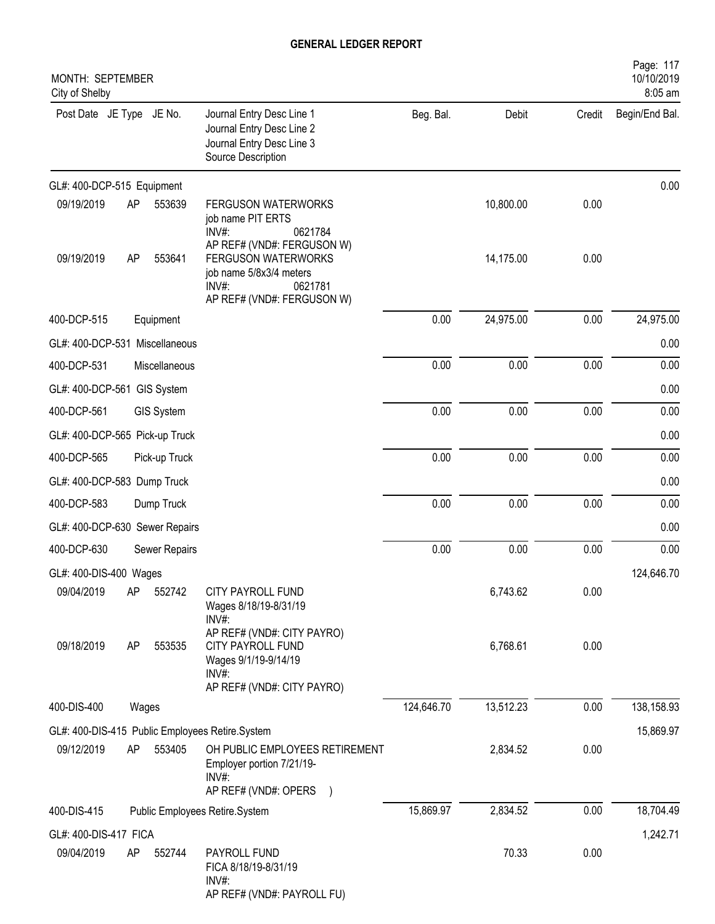| MONTH: SEPTEMBER<br>City of Shelby              |                                                                                                                              |            |           |        | Page: 117<br>10/10/2019<br>8:05 am |
|-------------------------------------------------|------------------------------------------------------------------------------------------------------------------------------|------------|-----------|--------|------------------------------------|
| Post Date JE Type JE No.                        | Journal Entry Desc Line 1<br>Journal Entry Desc Line 2<br>Journal Entry Desc Line 3<br>Source Description                    | Beg. Bal.  | Debit     | Credit | Begin/End Bal.                     |
| GL#: 400-DCP-515 Equipment                      |                                                                                                                              |            |           |        | 0.00                               |
| 09/19/2019<br>AP<br>553639<br>$INV#$ :          | <b>FERGUSON WATERWORKS</b><br>job name PIT ERTS<br>0621784                                                                   |            | 10,800.00 | 0.00   |                                    |
| 09/19/2019<br>AP<br>553641<br>INV#:             | AP REF# (VND#: FERGUSON W)<br><b>FERGUSON WATERWORKS</b><br>job name 5/8x3/4 meters<br>0621781<br>AP REF# (VND#: FERGUSON W) |            | 14,175.00 | 0.00   |                                    |
| 400-DCP-515<br>Equipment                        |                                                                                                                              | 0.00       | 24,975.00 | 0.00   | 24,975.00                          |
| GL#: 400-DCP-531 Miscellaneous                  |                                                                                                                              |            |           |        | 0.00                               |
| 400-DCP-531<br>Miscellaneous                    |                                                                                                                              | 0.00       | 0.00      | 0.00   | 0.00                               |
| GL#: 400-DCP-561 GIS System                     |                                                                                                                              |            |           |        | 0.00                               |
| 400-DCP-561<br><b>GIS System</b>                |                                                                                                                              | 0.00       | 0.00      | 0.00   | 0.00                               |
| GL#: 400-DCP-565 Pick-up Truck                  |                                                                                                                              |            |           |        | 0.00                               |
| 400-DCP-565<br>Pick-up Truck                    |                                                                                                                              | 0.00       | 0.00      | 0.00   | 0.00                               |
| GL#: 400-DCP-583 Dump Truck                     |                                                                                                                              |            |           |        | 0.00                               |
| 400-DCP-583<br>Dump Truck                       |                                                                                                                              | 0.00       | 0.00      | 0.00   | 0.00                               |
| GL#: 400-DCP-630 Sewer Repairs                  |                                                                                                                              |            |           |        | 0.00                               |
| 400-DCP-630<br>Sewer Repairs                    |                                                                                                                              | 0.00       | 0.00      | 0.00   | 0.00                               |
| GL#: 400-DIS-400 Wages                          |                                                                                                                              |            |           |        | 124,646.70                         |
| 09/04/2019<br>AP<br>552742<br>INV#:             | <b>CITY PAYROLL FUND</b><br>Wages 8/18/19-8/31/19                                                                            |            | 6,743.62  | 0.00   |                                    |
| 09/18/2019<br>553535<br>AP<br>INV#:             | AP REF# (VND#: CITY PAYRO)<br>CITY PAYROLL FUND<br>Wages 9/1/19-9/14/19<br>AP REF# (VND#: CITY PAYRO)                        |            | 6,768.61  | 0.00   |                                    |
| 400-DIS-400<br>Wages                            |                                                                                                                              | 124,646.70 | 13,512.23 | 0.00   | 138,158.93                         |
| GL#: 400-DIS-415 Public Employees Retire.System |                                                                                                                              |            |           |        | 15,869.97                          |
| 09/12/2019<br>AP<br>553405<br>INV#:             | OH PUBLIC EMPLOYEES RETIREMENT<br>Employer portion 7/21/19-<br>AP REF# (VND#: OPERS )                                        |            | 2,834.52  | 0.00   |                                    |
| 400-DIS-415<br>Public Employees Retire.System   |                                                                                                                              | 15,869.97  | 2,834.52  | 0.00   | 18,704.49                          |
| GL#: 400-DIS-417 FICA                           |                                                                                                                              |            |           |        | 1,242.71                           |
| 09/04/2019<br>AP<br>552744<br>INV#:             | PAYROLL FUND<br>FICA 8/18/19-8/31/19<br>AP REF# (VND#: PAYROLL FU)                                                           |            | 70.33     | 0.00   |                                    |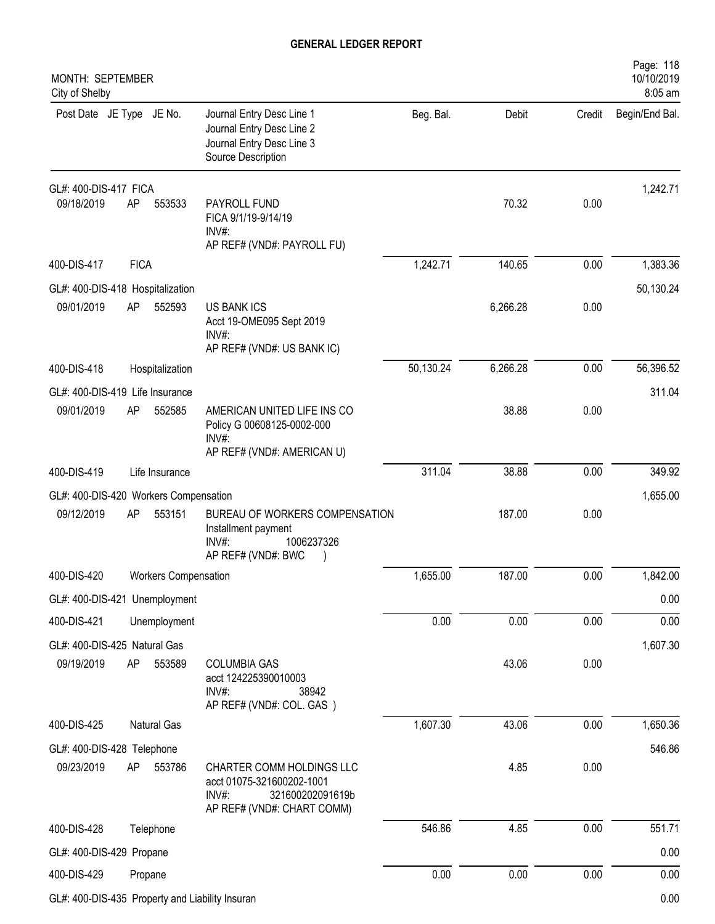| MONTH: SEPTEMBER<br>City of Shelby            |             |                             |                                                                                                                   |           |          |        | Page: 118<br>10/10/2019<br>8:05 am |
|-----------------------------------------------|-------------|-----------------------------|-------------------------------------------------------------------------------------------------------------------|-----------|----------|--------|------------------------------------|
| Post Date JE Type JE No.                      |             |                             | Journal Entry Desc Line 1<br>Journal Entry Desc Line 2<br>Journal Entry Desc Line 3<br>Source Description         | Beg. Bal. | Debit    | Credit | Begin/End Bal.                     |
| GL#: 400-DIS-417 FICA                         |             |                             |                                                                                                                   |           |          |        | 1,242.71                           |
| 09/18/2019                                    | AP          | 553533                      | PAYROLL FUND<br>FICA 9/1/19-9/14/19<br>$INV#$ :<br>AP REF# (VND#: PAYROLL FU)                                     |           | 70.32    | 0.00   |                                    |
| 400-DIS-417                                   | <b>FICA</b> |                             |                                                                                                                   | 1,242.71  | 140.65   | 0.00   | 1,383.36                           |
| GL#: 400-DIS-418 Hospitalization              |             |                             |                                                                                                                   |           |          |        | 50,130.24                          |
| 09/01/2019                                    | AP          | 552593                      | <b>US BANK ICS</b><br>Acct 19-OME095 Sept 2019<br>$INV#$ :                                                        |           | 6,266.28 | 0.00   |                                    |
| 400-DIS-418                                   |             |                             | AP REF# (VND#: US BANK IC)                                                                                        | 50,130.24 | 6,266.28 | 0.00   | 56,396.52                          |
|                                               |             | Hospitalization             |                                                                                                                   |           |          |        |                                    |
| GL#: 400-DIS-419 Life Insurance<br>09/01/2019 | AP          | 552585                      | AMERICAN UNITED LIFE INS CO<br>Policy G 00608125-0002-000<br>$INV#$ :                                             |           | 38.88    | 0.00   | 311.04                             |
|                                               |             |                             | AP REF# (VND#: AMERICAN U)                                                                                        |           |          |        |                                    |
| 400-DIS-419                                   |             | Life Insurance              |                                                                                                                   | 311.04    | 38.88    | 0.00   | 349.92                             |
| GL#: 400-DIS-420 Workers Compensation         |             |                             |                                                                                                                   |           |          |        | 1,655.00                           |
| 09/12/2019                                    | AP          | 553151                      | BUREAU OF WORKERS COMPENSATION<br>Installment payment<br>1006237326<br>INV#<br>AP REF# (VND#: BWC                 |           | 187.00   | 0.00   |                                    |
| 400-DIS-420                                   |             | <b>Workers Compensation</b> |                                                                                                                   | 1,655.00  | 187.00   | 0.00   | 1,842.00                           |
| GL#: 400-DIS-421 Unemployment                 |             |                             |                                                                                                                   |           |          |        | 0.00                               |
| 400-DIS-421                                   |             | Unemployment                |                                                                                                                   | 0.00      | 0.00     | 0.00   | 0.00                               |
| GL#: 400-DIS-425 Natural Gas                  |             |                             |                                                                                                                   |           |          |        | 1,607.30                           |
| 09/19/2019                                    | AP          | 553589                      | <b>COLUMBIA GAS</b><br>acct 124225390010003<br>INV#:<br>38942<br>AP REF# (VND#: COL. GAS)                         |           | 43.06    | 0.00   |                                    |
| 400-DIS-425                                   |             | Natural Gas                 |                                                                                                                   | 1,607.30  | 43.06    | 0.00   | 1,650.36                           |
| GL#: 400-DIS-428 Telephone                    |             |                             |                                                                                                                   |           |          |        | 546.86                             |
| 09/23/2019                                    | AP          | 553786                      | CHARTER COMM HOLDINGS LLC<br>acct 01075-321600202-1001<br>321600202091619b<br>INV#:<br>AP REF# (VND#: CHART COMM) |           | 4.85     | 0.00   |                                    |
| 400-DIS-428                                   |             | Telephone                   |                                                                                                                   | 546.86    | 4.85     | 0.00   | 551.71                             |
| GL#: 400-DIS-429 Propane                      |             |                             |                                                                                                                   |           |          |        | 0.00                               |
| 400-DIS-429                                   |             | Propane                     |                                                                                                                   | 0.00      | 0.00     | 0.00   | 0.00                               |
|                                               |             |                             |                                                                                                                   |           |          |        |                                    |

GL#: 400-DIS-435 Property and Liability Insuran 0.00 and the state of the state of the state of the state of the state of the state of the state of the state of the state of the state of the state of the state of the state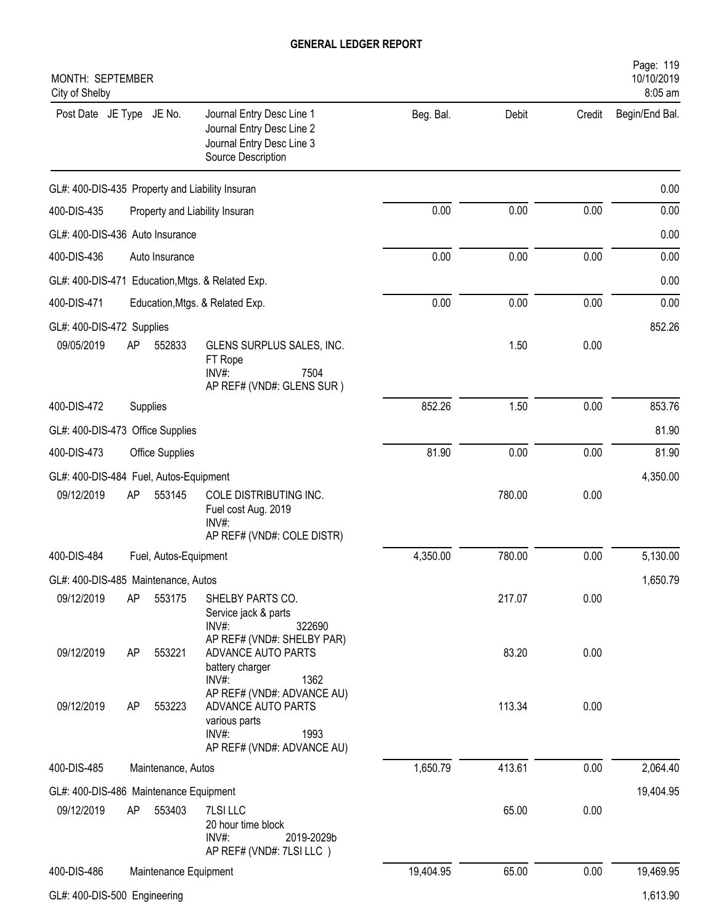| MONTH: SEPTEMBER<br>City of Shelby               |                                                                                                                  |           |        |        | Page: 119<br>10/10/2019<br>8:05 am |
|--------------------------------------------------|------------------------------------------------------------------------------------------------------------------|-----------|--------|--------|------------------------------------|
| Post Date JE Type JE No.                         | Journal Entry Desc Line 1<br>Journal Entry Desc Line 2<br>Journal Entry Desc Line 3<br>Source Description        | Beg. Bal. | Debit  | Credit | Begin/End Bal.                     |
| GL#: 400-DIS-435 Property and Liability Insuran  |                                                                                                                  |           |        |        | 0.00                               |
| 400-DIS-435                                      | Property and Liability Insuran                                                                                   | 0.00      | 0.00   | 0.00   | 0.00                               |
| GL#: 400-DIS-436 Auto Insurance                  |                                                                                                                  |           |        |        | 0.00                               |
| 400-DIS-436<br>Auto Insurance                    |                                                                                                                  | 0.00      | 0.00   | 0.00   | 0.00                               |
| GL#: 400-DIS-471 Education, Mtgs. & Related Exp. |                                                                                                                  |           |        |        | 0.00                               |
| 400-DIS-471                                      | Education, Mtgs. & Related Exp.                                                                                  | 0.00      | 0.00   | 0.00   | 0.00                               |
| GL#: 400-DIS-472 Supplies                        |                                                                                                                  |           |        |        | 852.26                             |
| 09/05/2019<br>AP<br>552833                       | GLENS SURPLUS SALES, INC.<br>FT Rope<br>INV#:<br>7504<br>AP REF# (VND#: GLENS SUR)                               |           | 1.50   | 0.00   |                                    |
| 400-DIS-472<br>Supplies                          |                                                                                                                  | 852.26    | 1.50   | 0.00   | 853.76                             |
| GL#: 400-DIS-473 Office Supplies                 |                                                                                                                  |           |        |        | 81.90                              |
| 400-DIS-473<br>Office Supplies                   |                                                                                                                  | 81.90     | 0.00   | 0.00   | 81.90                              |
| GL#: 400-DIS-484 Fuel, Autos-Equipment           |                                                                                                                  |           |        |        | 4,350.00                           |
| 09/12/2019<br>AP<br>553145                       | COLE DISTRIBUTING INC.<br>Fuel cost Aug. 2019<br>$INV#$ :<br>AP REF# (VND#: COLE DISTR)                          |           | 780.00 | 0.00   |                                    |
| 400-DIS-484<br>Fuel, Autos-Equipment             |                                                                                                                  | 4,350.00  | 780.00 | 0.00   | 5,130.00                           |
| GL#: 400-DIS-485 Maintenance, Autos              |                                                                                                                  |           |        |        | 1,650.79                           |
| 09/12/2019<br>AP<br>553175                       | SHELBY PARTS CO.<br>Service jack & parts<br>$INV#$ :<br>322690<br>AP REF# (VND#: SHELBY PAR)                     |           | 217.07 | 0.00   |                                    |
| 09/12/2019<br>553221<br>AP                       | ADVANCE AUTO PARTS<br>battery charger<br>$INV#$ :<br>1362                                                        |           | 83.20  | 0.00   |                                    |
| 09/12/2019<br>553223<br>AP                       | AP REF# (VND#: ADVANCE AU)<br>ADVANCE AUTO PARTS<br>various parts<br>INV#:<br>1993<br>AP REF# (VND#: ADVANCE AU) |           | 113.34 | 0.00   |                                    |
| 400-DIS-485<br>Maintenance, Autos                |                                                                                                                  | 1,650.79  | 413.61 | 0.00   | 2,064.40                           |
| GL#: 400-DIS-486 Maintenance Equipment           |                                                                                                                  |           |        |        | 19,404.95                          |
| 09/12/2019<br>AP<br>553403                       | 7LSI LLC<br>20 hour time block<br>INV#:<br>2019-2029b<br>AP REF# (VND#: 7LSI LLC)                                |           | 65.00  | 0.00   |                                    |
| 400-DIS-486                                      | Maintenance Equipment                                                                                            | 19,404.95 | 65.00  | 0.00   | 19,469.95                          |
| GL#: 400-DIS-500 Engineering                     |                                                                                                                  |           |        |        | 1,613.90                           |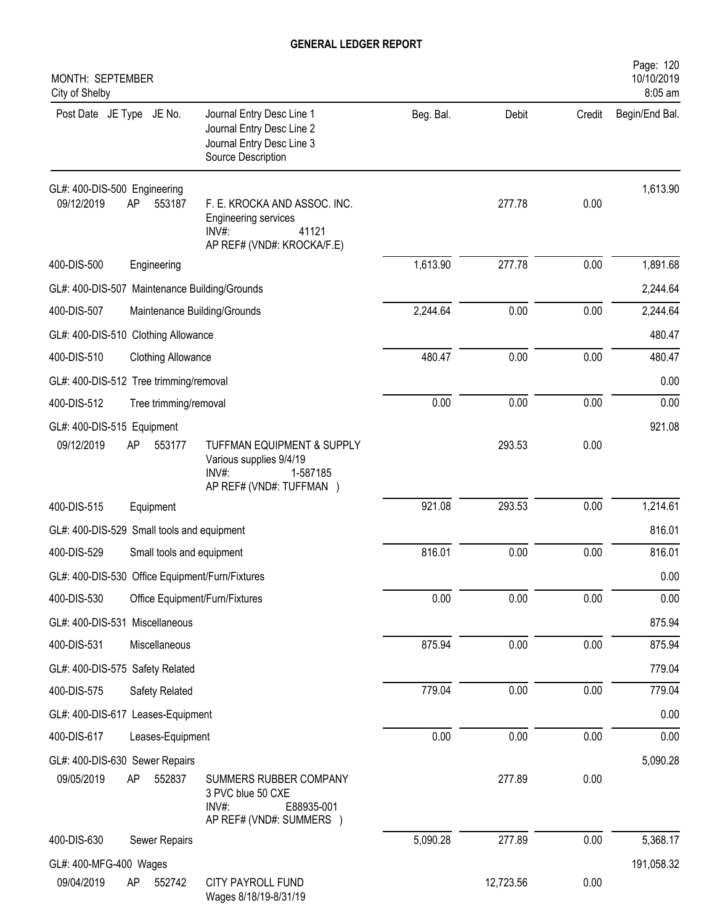| MONTH: SEPTEMBER<br>City of Shelby                         |                                                                                                                |           |           |        | Page: 120<br>10/10/2019<br>8:05 am |
|------------------------------------------------------------|----------------------------------------------------------------------------------------------------------------|-----------|-----------|--------|------------------------------------|
| Post Date JE Type JE No.                                   | Journal Entry Desc Line 1<br>Journal Entry Desc Line 2<br>Journal Entry Desc Line 3<br>Source Description      | Beg. Bal. | Debit     | Credit | Begin/End Bal.                     |
| GL#: 400-DIS-500 Engineering<br>09/12/2019<br>AP<br>553187 | F. E. KROCKA AND ASSOC. INC.<br><b>Engineering services</b><br>$INV#$ :<br>41121<br>AP REF# (VND#: KROCKA/F.E) |           | 277.78    | 0.00   | 1,613.90                           |
| 400-DIS-500<br>Engineering                                 |                                                                                                                | 1,613.90  | 277.78    | 0.00   | 1,891.68                           |
| GL#: 400-DIS-507 Maintenance Building/Grounds              |                                                                                                                |           |           |        | 2,244.64                           |
| 400-DIS-507                                                | Maintenance Building/Grounds                                                                                   | 2,244.64  | 0.00      | 0.00   | 2,244.64                           |
| GL#: 400-DIS-510 Clothing Allowance                        |                                                                                                                |           |           |        | 480.47                             |
| 400-DIS-510<br><b>Clothing Allowance</b>                   |                                                                                                                | 480.47    | 0.00      | 0.00   | 480.47                             |
| GL#: 400-DIS-512 Tree trimming/removal                     |                                                                                                                |           |           |        | 0.00                               |
| 400-DIS-512<br>Tree trimming/removal                       |                                                                                                                | 0.00      | 0.00      | 0.00   | 0.00                               |
| GL#: 400-DIS-515 Equipment                                 |                                                                                                                |           |           |        | 921.08                             |
| 09/12/2019<br>553177<br>AP                                 | TUFFMAN EQUIPMENT & SUPPLY<br>Various supplies 9/4/19<br>$INV#$ :<br>1-587185<br>AP REF# (VND#: TUFFMAN )      |           | 293.53    | 0.00   |                                    |
| 400-DIS-515<br>Equipment                                   |                                                                                                                | 921.08    | 293.53    | 0.00   | 1,214.61                           |
| GL#: 400-DIS-529 Small tools and equipment                 |                                                                                                                |           |           |        | 816.01                             |
| 400-DIS-529                                                | Small tools and equipment                                                                                      | 816.01    | 0.00      | 0.00   | 816.01                             |
| GL#: 400-DIS-530 Office Equipment/Furn/Fixtures            |                                                                                                                |           |           |        | 0.00                               |
| 400-DIS-530                                                | Office Equipment/Furn/Fixtures                                                                                 | 0.00      | 0.00      | 0.00   | 0.00                               |
| GL#: 400-DIS-531 Miscellaneous                             |                                                                                                                |           |           |        | 875.94                             |
| 400-DIS-531<br>Miscellaneous                               |                                                                                                                | 875.94    | 0.00      | 0.00   | 875.94                             |
| GL#: 400-DIS-575 Safety Related                            |                                                                                                                |           |           |        | 779.04                             |
| 400-DIS-575<br>Safety Related                              |                                                                                                                | 779.04    | 0.00      | 0.00   | 779.04                             |
| GL#: 400-DIS-617 Leases-Equipment                          |                                                                                                                |           |           |        | 0.00                               |
| 400-DIS-617<br>Leases-Equipment                            |                                                                                                                | 0.00      | 0.00      | 0.00   | 0.00                               |
| GL#: 400-DIS-630 Sewer Repairs                             |                                                                                                                |           |           |        | 5,090.28                           |
| AP<br>552837<br>09/05/2019                                 | SUMMERS RUBBER COMPANY<br>3 PVC blue 50 CXE<br>INV#:<br>E88935-001<br>AP REF# (VND#: SUMMERS )                 |           | 277.89    | 0.00   |                                    |
| 400-DIS-630<br>Sewer Repairs                               |                                                                                                                | 5,090.28  | 277.89    | 0.00   | 5,368.17                           |
| GL#: 400-MFG-400 Wages                                     |                                                                                                                |           |           |        | 191,058.32                         |
| 09/04/2019<br>AP<br>552742                                 | CITY PAYROLL FUND<br>Wages 8/18/19-8/31/19                                                                     |           | 12,723.56 | 0.00   |                                    |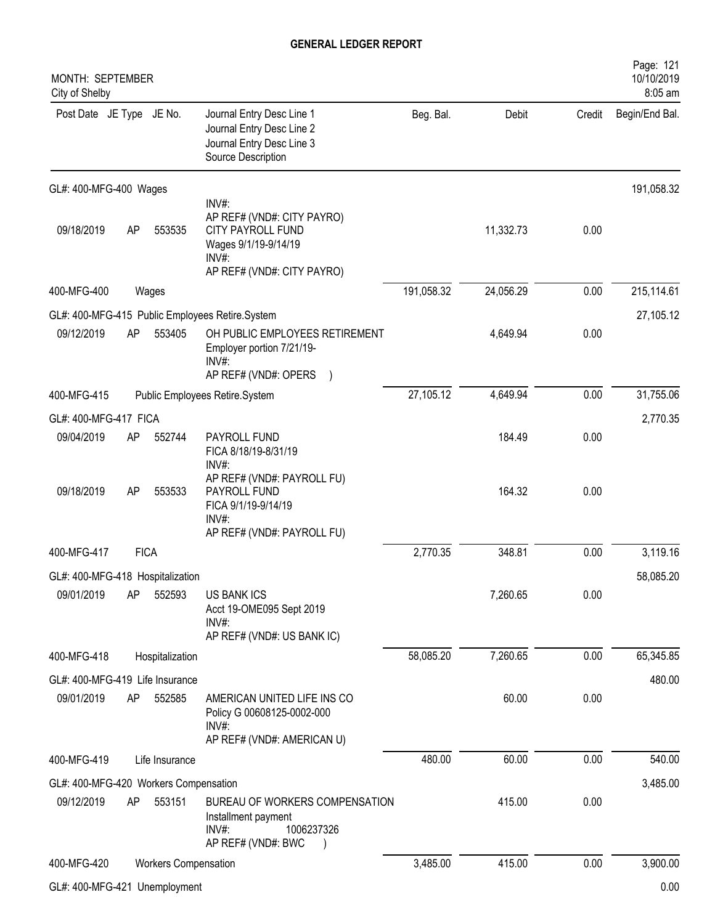| MONTH: SEPTEMBER<br>City of Shelby    |    |                             |                                                                                                                         |            |           |        | Page: 121<br>10/10/2019<br>8:05 am |
|---------------------------------------|----|-----------------------------|-------------------------------------------------------------------------------------------------------------------------|------------|-----------|--------|------------------------------------|
| Post Date JE Type JE No.              |    |                             | Journal Entry Desc Line 1<br>Journal Entry Desc Line 2<br>Journal Entry Desc Line 3<br>Source Description               | Beg. Bal.  | Debit     | Credit | Begin/End Bal.                     |
| GL#: 400-MFG-400 Wages                |    |                             |                                                                                                                         |            |           |        | 191,058.32                         |
| 09/18/2019                            | AP | 553535                      | INV#:<br>AP REF# (VND#: CITY PAYRO)<br>CITY PAYROLL FUND<br>Wages 9/1/19-9/14/19<br>INV#:<br>AP REF# (VND#: CITY PAYRO) |            | 11,332.73 | 0.00   |                                    |
| 400-MFG-400                           |    | Wages                       |                                                                                                                         | 191,058.32 | 24,056.29 | 0.00   | 215,114.61                         |
|                                       |    |                             | GL#: 400-MFG-415 Public Employees Retire.System                                                                         |            |           |        | 27,105.12                          |
| 09/12/2019                            | AP | 553405                      | OH PUBLIC EMPLOYEES RETIREMENT<br>Employer portion 7/21/19-<br>$INV#$ :<br>AP REF# (VND#: OPERS                         |            | 4,649.94  | 0.00   |                                    |
| 400-MFG-415                           |    |                             | Public Employees Retire.System                                                                                          | 27,105.12  | 4,649.94  | 0.00   | 31,755.06                          |
| GL#: 400-MFG-417 FICA                 |    |                             |                                                                                                                         |            |           |        | 2,770.35                           |
| 09/04/2019                            | AP | 552744                      | PAYROLL FUND<br>FICA 8/18/19-8/31/19<br>INV#:                                                                           |            | 184.49    | 0.00   |                                    |
| 09/18/2019                            | AP | 553533                      | AP REF# (VND#: PAYROLL FU)<br>PAYROLL FUND<br>FICA 9/1/19-9/14/19<br>INV#:<br>AP REF# (VND#: PAYROLL FU)                |            | 164.32    | 0.00   |                                    |
| 400-MFG-417                           |    | <b>FICA</b>                 |                                                                                                                         | 2,770.35   | 348.81    | 0.00   | 3,119.16                           |
| GL#: 400-MFG-418 Hospitalization      |    |                             |                                                                                                                         |            |           |        | 58,085.20                          |
| 09/01/2019                            | AP | 552593                      | <b>US BANK ICS</b><br>Acct 19-OME095 Sept 2019<br>$INV#$ :<br>AP REF# (VND#: US BANK IC)                                |            | 7,260.65  | 0.00   |                                    |
| 400-MFG-418                           |    | Hospitalization             |                                                                                                                         | 58,085.20  | 7,260.65  | 0.00   | 65,345.85                          |
| GL#: 400-MFG-419 Life Insurance       |    |                             |                                                                                                                         |            |           |        | 480.00                             |
| 09/01/2019                            | AP | 552585                      | AMERICAN UNITED LIFE INS CO<br>Policy G 00608125-0002-000<br>INV#:<br>AP REF# (VND#: AMERICAN U)                        |            | 60.00     | 0.00   |                                    |
| 400-MFG-419                           |    | Life Insurance              |                                                                                                                         | 480.00     | 60.00     | 0.00   | 540.00                             |
| GL#: 400-MFG-420 Workers Compensation |    |                             |                                                                                                                         |            |           |        | 3,485.00                           |
| 09/12/2019                            | AP | 553151                      | BUREAU OF WORKERS COMPENSATION<br>Installment payment<br>INV#:<br>1006237326<br>AP REF# (VND#: BWC                      |            | 415.00    | 0.00   |                                    |
| 400-MFG-420                           |    | <b>Workers Compensation</b> |                                                                                                                         | 3,485.00   | 415.00    | 0.00   | 3,900.00                           |
| GL#: 400-MFG-421 Unemployment         |    |                             |                                                                                                                         |            |           |        | 0.00                               |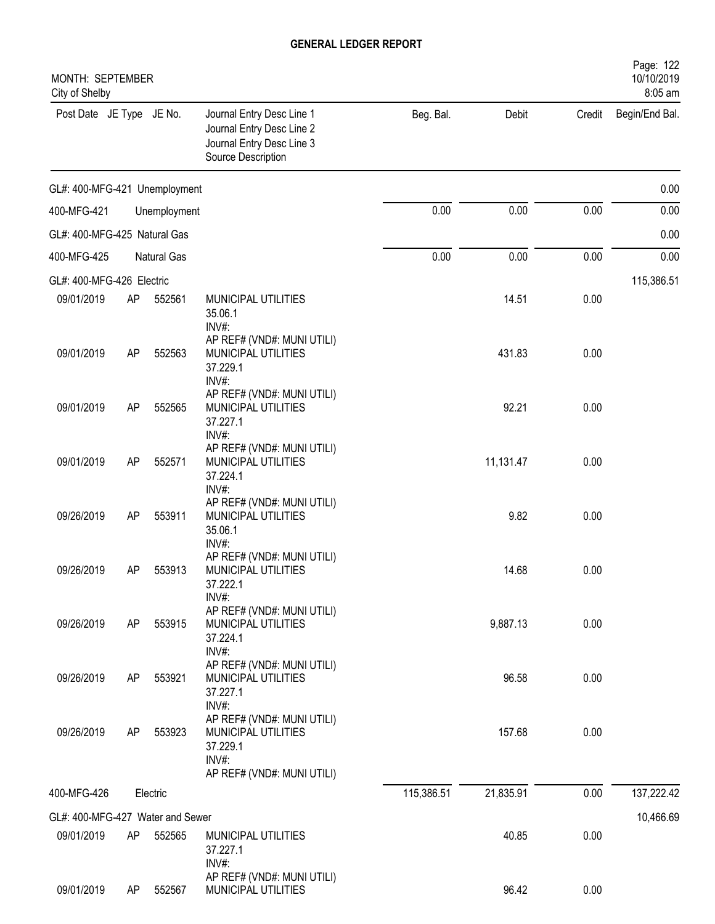| MONTH: SEPTEMBER<br>City of Shelby |    |              |                                                                                                           |            |           |        | Page: 122<br>10/10/2019<br>8:05 am |
|------------------------------------|----|--------------|-----------------------------------------------------------------------------------------------------------|------------|-----------|--------|------------------------------------|
| Post Date JE Type JE No.           |    |              | Journal Entry Desc Line 1<br>Journal Entry Desc Line 2<br>Journal Entry Desc Line 3<br>Source Description | Beg. Bal.  | Debit     | Credit | Begin/End Bal.                     |
| GL#: 400-MFG-421 Unemployment      |    |              |                                                                                                           |            |           |        | 0.00                               |
| 400-MFG-421                        |    | Unemployment |                                                                                                           | 0.00       | 0.00      | 0.00   | 0.00                               |
| GL#: 400-MFG-425 Natural Gas       |    |              |                                                                                                           |            |           |        | 0.00                               |
| 400-MFG-425                        |    | Natural Gas  |                                                                                                           | 0.00       | 0.00      | 0.00   | 0.00                               |
| GL#: 400-MFG-426 Electric          |    |              |                                                                                                           |            |           |        | 115,386.51                         |
| 09/01/2019                         | AP | 552561       | MUNICIPAL UTILITIES<br>35.06.1<br>INV#:                                                                   |            | 14.51     | 0.00   |                                    |
| 09/01/2019                         | AP | 552563       | AP REF# (VND#: MUNI UTILI)<br>MUNICIPAL UTILITIES<br>37.229.1                                             |            | 431.83    | 0.00   |                                    |
| 09/01/2019                         | AP | 552565       | INV#:<br>AP REF# (VND#: MUNI UTILI)<br>MUNICIPAL UTILITIES<br>37.227.1<br>INV#:                           |            | 92.21     | 0.00   |                                    |
| 09/01/2019                         | AP | 552571       | AP REF# (VND#: MUNI UTILI)<br>MUNICIPAL UTILITIES<br>37.224.1<br>INV#:                                    |            | 11,131.47 | 0.00   |                                    |
| 09/26/2019                         | AP | 553911       | AP REF# (VND#: MUNI UTILI)<br>MUNICIPAL UTILITIES<br>35.06.1<br>INV#:                                     |            | 9.82      | 0.00   |                                    |
| 09/26/2019                         | AP | 553913       | AP REF# (VND#: MUNI UTILI)<br>MUNICIPAL UTILITIES<br>37.222.1<br>INV#:                                    |            | 14.68     | 0.00   |                                    |
| 09/26/2019                         | AP | 553915       | AP REF# (VND#: MUNI UTILI)<br>MUNICIPAL UTILITIES<br>37.224.1<br>INV#:                                    |            | 9,887.13  | 0.00   |                                    |
| 09/26/2019                         | AP | 553921       | AP REF# (VND#: MUNI UTILI)<br>MUNICIPAL UTILITIES<br>37.227.1<br>INV#:                                    |            | 96.58     | 0.00   |                                    |
| 09/26/2019                         | AP | 553923       | AP REF# (VND#: MUNI UTILI)<br>MUNICIPAL UTILITIES<br>37.229.1<br>INV#:<br>AP REF# (VND#: MUNI UTILI)      |            | 157.68    | 0.00   |                                    |
| 400-MFG-426                        |    | Electric     |                                                                                                           | 115,386.51 | 21,835.91 | 0.00   | 137,222.42                         |
| GL#: 400-MFG-427 Water and Sewer   |    |              |                                                                                                           |            |           |        | 10,466.69                          |
| 09/01/2019                         | AP | 552565       | MUNICIPAL UTILITIES<br>37.227.1<br>INV#:                                                                  |            | 40.85     | 0.00   |                                    |
| 09/01/2019                         | AP | 552567       | AP REF# (VND#: MUNI UTILI)<br>MUNICIPAL UTILITIES                                                         |            | 96.42     | 0.00   |                                    |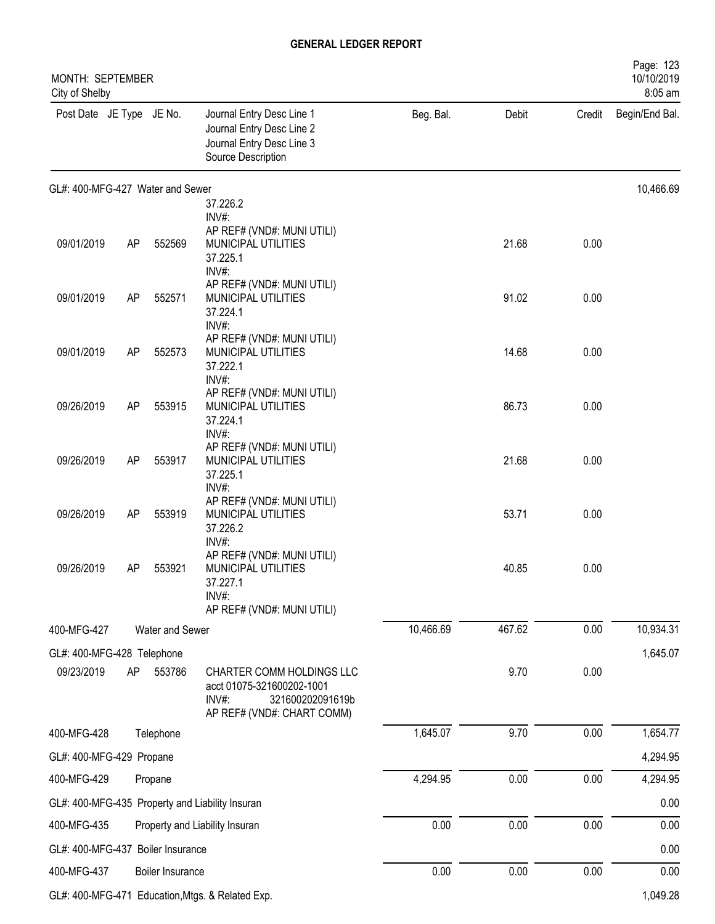| MONTH: SEPTEMBER<br>City of Shelby |    |                  | Page: 123<br>10/10/2019<br>8:05 am                                                                                |           |        |        |                |
|------------------------------------|----|------------------|-------------------------------------------------------------------------------------------------------------------|-----------|--------|--------|----------------|
| Post Date JE Type JE No.           |    |                  | Journal Entry Desc Line 1<br>Journal Entry Desc Line 2<br>Journal Entry Desc Line 3<br>Source Description         | Beg. Bal. | Debit  | Credit | Begin/End Bal. |
| GL#: 400-MFG-427 Water and Sewer   |    |                  |                                                                                                                   |           |        |        | 10,466.69      |
|                                    |    |                  | 37.226.2<br>INV#:                                                                                                 |           |        |        |                |
| 09/01/2019                         | AP | 552569           | AP REF# (VND#: MUNI UTILI)<br>MUNICIPAL UTILITIES<br>37.225.1<br>INV#:                                            |           | 21.68  | 0.00   |                |
| 09/01/2019                         | AP | 552571           | AP REF# (VND#: MUNI UTILI)<br>MUNICIPAL UTILITIES<br>37.224.1<br>INV#:                                            |           | 91.02  | 0.00   |                |
| 09/01/2019                         | AP | 552573           | AP REF# (VND#: MUNI UTILI)<br>MUNICIPAL UTILITIES<br>37.222.1<br>INV#:                                            |           | 14.68  | 0.00   |                |
| 09/26/2019                         | AP | 553915           | AP REF# (VND#: MUNI UTILI)<br>MUNICIPAL UTILITIES<br>37.224.1<br>INV#:                                            |           | 86.73  | 0.00   |                |
| 09/26/2019                         | AP | 553917           | AP REF# (VND#: MUNI UTILI)<br>MUNICIPAL UTILITIES<br>37.225.1<br>INV#:                                            |           | 21.68  | 0.00   |                |
| 09/26/2019                         | AP | 553919           | AP REF# (VND#: MUNI UTILI)<br>MUNICIPAL UTILITIES<br>37.226.2<br>INV#:                                            |           | 53.71  | 0.00   |                |
| 09/26/2019                         | AP | 553921           | AP REF# (VND#: MUNI UTILI)<br>MUNICIPAL UTILITIES<br>37.227.1<br>INV#:<br>AP REF# (VND#: MUNI UTILI)              |           | 40.85  | 0.00   |                |
| 400-MFG-427                        |    | Water and Sewer  |                                                                                                                   | 10,466.69 | 467.62 | 0.00   | 10,934.31      |
| GL#: 400-MFG-428 Telephone         |    |                  |                                                                                                                   |           |        |        | 1,645.07       |
| 09/23/2019                         | AP | 553786           | CHARTER COMM HOLDINGS LLC<br>acct 01075-321600202-1001<br>INV#:<br>321600202091619b<br>AP REF# (VND#: CHART COMM) |           | 9.70   | 0.00   |                |
| 400-MFG-428                        |    | Telephone        |                                                                                                                   | 1,645.07  | 9.70   | 0.00   | 1,654.77       |
| GL#: 400-MFG-429 Propane           |    |                  |                                                                                                                   |           |        |        | 4,294.95       |
| 400-MFG-429                        |    | Propane          |                                                                                                                   | 4,294.95  | 0.00   | 0.00   | 4,294.95       |
|                                    |    |                  | GL#: 400-MFG-435 Property and Liability Insuran                                                                   |           |        |        | 0.00           |
| 400-MFG-435                        |    |                  | Property and Liability Insuran                                                                                    | 0.00      | 0.00   | 0.00   | 0.00           |
| GL#: 400-MFG-437 Boiler Insurance  |    |                  |                                                                                                                   |           |        |        | 0.00           |
| 400-MFG-437                        |    | Boiler Insurance |                                                                                                                   | 0.00      | 0.00   | 0.00   | 0.00           |
|                                    |    |                  |                                                                                                                   |           |        |        |                |

GL#: 400-MFG-471 Education, Mtgs. & Related Exp. 1,049.28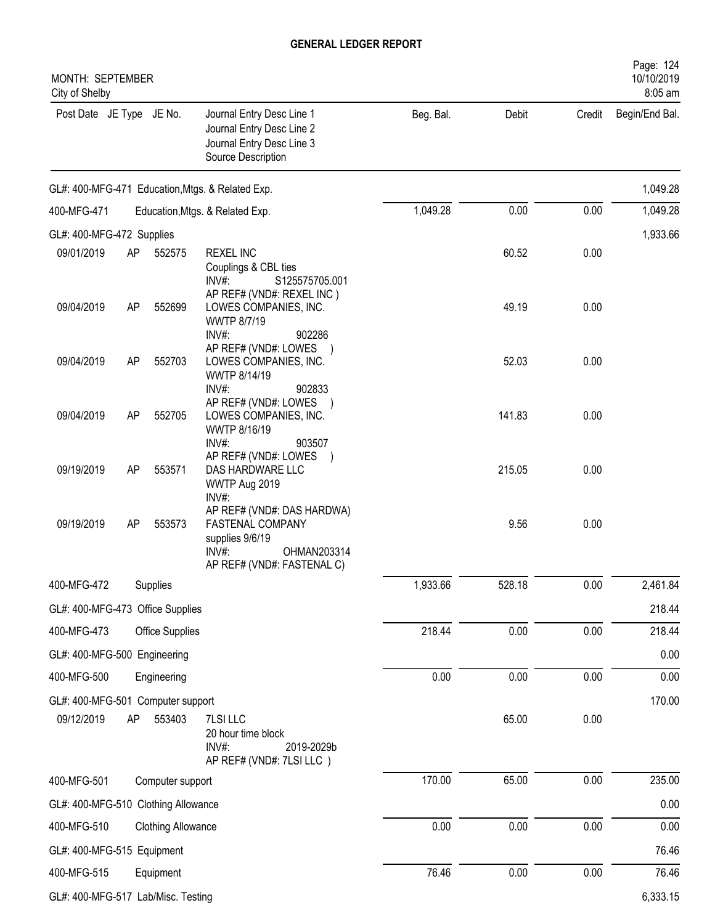| MONTH: SEPTEMBER<br>City of Shelby  |           |                                    |                                                                                                                         |           |        |        | Page: 124<br>10/10/2019<br>8:05 am |
|-------------------------------------|-----------|------------------------------------|-------------------------------------------------------------------------------------------------------------------------|-----------|--------|--------|------------------------------------|
| Post Date JE Type JE No.            |           |                                    | Journal Entry Desc Line 1<br>Journal Entry Desc Line 2<br>Journal Entry Desc Line 3<br>Source Description               | Beg. Bal. | Debit  | Credit | Begin/End Bal.                     |
|                                     |           |                                    | GL#: 400-MFG-471 Education, Mtgs. & Related Exp.                                                                        |           |        |        | 1,049.28                           |
| 400-MFG-471                         |           |                                    | Education, Mtgs. & Related Exp.                                                                                         | 1,049.28  | 0.00   | 0.00   | 1,049.28                           |
| GL#: 400-MFG-472 Supplies           |           |                                    |                                                                                                                         |           |        |        | 1,933.66                           |
| 09/01/2019                          | AP        | 552575                             | <b>REXEL INC</b><br>Couplings & CBL ties<br>$INV#$ :<br>S125575705.001                                                  |           | 60.52  | 0.00   |                                    |
| 09/04/2019                          | <b>AP</b> | 552699                             | AP REF# (VND#: REXEL INC)<br>LOWES COMPANIES, INC.<br>WWTP 8/7/19<br>INV#:<br>902286                                    |           | 49.19  | 0.00   |                                    |
| 09/04/2019                          | <b>AP</b> | 552703                             | AP REF# (VND#: LOWES )<br>LOWES COMPANIES, INC.<br>WWTP 8/14/19<br>$INV#$ :<br>902833                                   |           | 52.03  | 0.00   |                                    |
| 09/04/2019                          | AP        | 552705                             | AP REF# (VND#: LOWES<br>LOWES COMPANIES, INC.<br>WWTP 8/16/19<br>INV#:<br>903507                                        |           | 141.83 | 0.00   |                                    |
| 09/19/2019                          | <b>AP</b> | 553571                             | AP REF# (VND#: LOWES )<br>DAS HARDWARE LLC<br>WWTP Aug 2019<br>INV#:                                                    |           | 215.05 | 0.00   |                                    |
| 09/19/2019                          | AP        | 553573                             | AP REF# (VND#: DAS HARDWA)<br>FASTENAL COMPANY<br>supplies 9/6/19<br>INV#:<br>OHMAN203314<br>AP REF# (VND#: FASTENAL C) |           | 9.56   | 0.00   |                                    |
| 400-MFG-472                         |           | Supplies                           |                                                                                                                         | 1,933.66  | 528.18 | 0.00   | 2,461.84                           |
| GL#: 400-MFG-473 Office Supplies    |           |                                    |                                                                                                                         |           |        |        | 218.44                             |
| 400-MFG-473                         |           | Office Supplies                    |                                                                                                                         | 218.44    | 0.00   | 0.00   | 218.44                             |
| GL#: 400-MFG-500 Engineering        |           |                                    |                                                                                                                         |           |        |        | 0.00                               |
| 400-MFG-500                         |           | Engineering                        |                                                                                                                         | 0.00      | 0.00   | 0.00   | 0.00                               |
| GL#: 400-MFG-501 Computer support   |           |                                    |                                                                                                                         |           |        |        | 170.00                             |
| 09/12/2019                          | AP        | 553403                             | 7LSI LLC<br>20 hour time block<br>INV#:<br>2019-2029b<br>AP REF# (VND#: 7LSI LLC)                                       |           | 65.00  | 0.00   |                                    |
| 400-MFG-501                         |           | Computer support                   |                                                                                                                         | 170.00    | 65.00  | 0.00   | 235.00                             |
| GL#: 400-MFG-510 Clothing Allowance |           |                                    |                                                                                                                         |           |        |        | 0.00                               |
| 400-MFG-510                         |           | <b>Clothing Allowance</b>          |                                                                                                                         | 0.00      | 0.00   | 0.00   | 0.00                               |
| GL#: 400-MFG-515 Equipment          |           |                                    |                                                                                                                         |           |        |        | 76.46                              |
| 400-MFG-515                         |           | Equipment                          |                                                                                                                         | 76.46     | 0.00   | 0.00   | 76.46                              |
|                                     |           | GL#: 400-MFG-517 Lab/Misc. Testing |                                                                                                                         |           |        |        | 6,333.15                           |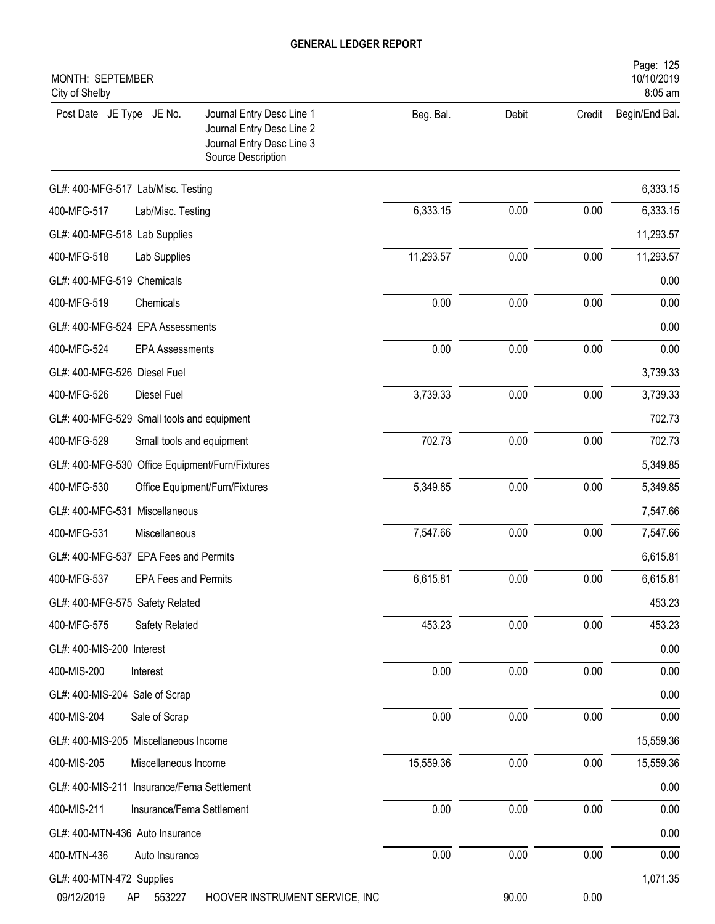| Page: 125<br>10/10/2019<br>MONTH: SEPTEMBER<br>8:05 am<br>City of Shelby                                                              |           |       |        |                |  |  |  |
|---------------------------------------------------------------------------------------------------------------------------------------|-----------|-------|--------|----------------|--|--|--|
| Post Date JE Type JE No.<br>Journal Entry Desc Line 1<br>Journal Entry Desc Line 2<br>Journal Entry Desc Line 3<br>Source Description | Beg. Bal. | Debit | Credit | Begin/End Bal. |  |  |  |
| GL#: 400-MFG-517 Lab/Misc. Testing                                                                                                    |           |       |        | 6,333.15       |  |  |  |
| 400-MFG-517<br>Lab/Misc. Testing                                                                                                      | 6,333.15  | 0.00  | 0.00   | 6,333.15       |  |  |  |
| GL#: 400-MFG-518 Lab Supplies                                                                                                         |           |       |        | 11,293.57      |  |  |  |
| 400-MFG-518<br>Lab Supplies                                                                                                           | 11,293.57 | 0.00  | 0.00   | 11,293.57      |  |  |  |
| GL#: 400-MFG-519 Chemicals                                                                                                            |           |       |        | 0.00           |  |  |  |
| 400-MFG-519<br>Chemicals                                                                                                              | 0.00      | 0.00  | 0.00   | 0.00           |  |  |  |
| GL#: 400-MFG-524 EPA Assessments                                                                                                      |           |       |        | 0.00           |  |  |  |
| 400-MFG-524<br><b>EPA Assessments</b>                                                                                                 | 0.00      | 0.00  | 0.00   | 0.00           |  |  |  |
| GL#: 400-MFG-526 Diesel Fuel                                                                                                          |           |       |        | 3,739.33       |  |  |  |
| 400-MFG-526<br>Diesel Fuel                                                                                                            | 3,739.33  | 0.00  | 0.00   | 3,739.33       |  |  |  |
| GL#: 400-MFG-529 Small tools and equipment                                                                                            |           |       |        | 702.73         |  |  |  |
| 400-MFG-529<br>Small tools and equipment                                                                                              | 702.73    | 0.00  | 0.00   | 702.73         |  |  |  |
| GL#: 400-MFG-530 Office Equipment/Furn/Fixtures                                                                                       |           |       |        | 5,349.85       |  |  |  |
| 400-MFG-530<br>Office Equipment/Furn/Fixtures                                                                                         | 5,349.85  | 0.00  | 0.00   | 5,349.85       |  |  |  |
| GL#: 400-MFG-531 Miscellaneous                                                                                                        |           |       |        | 7,547.66       |  |  |  |
| 400-MFG-531<br>Miscellaneous                                                                                                          | 7,547.66  | 0.00  | 0.00   | 7,547.66       |  |  |  |
| GL#: 400-MFG-537 EPA Fees and Permits                                                                                                 |           |       |        | 6,615.81       |  |  |  |
| 400-MFG-537<br><b>EPA Fees and Permits</b>                                                                                            | 6,615.81  | 0.00  | 0.00   | 6,615.81       |  |  |  |
| GL#: 400-MFG-575 Safety Related                                                                                                       |           |       |        | 453.23         |  |  |  |
| 400-MFG-575<br>Safety Related                                                                                                         | 453.23    | 0.00  | 0.00   | 453.23         |  |  |  |
| GL#: 400-MIS-200 Interest                                                                                                             |           |       |        | 0.00           |  |  |  |
| 400-MIS-200<br>Interest                                                                                                               | 0.00      | 0.00  | 0.00   | 0.00           |  |  |  |
| GL#: 400-MIS-204 Sale of Scrap                                                                                                        |           |       |        | 0.00           |  |  |  |
| 400-MIS-204<br>Sale of Scrap                                                                                                          | 0.00      | 0.00  | 0.00   | 0.00           |  |  |  |
| GL#: 400-MIS-205 Miscellaneous Income                                                                                                 |           |       |        | 15,559.36      |  |  |  |
| 400-MIS-205<br>Miscellaneous Income                                                                                                   | 15,559.36 | 0.00  | 0.00   | 15,559.36      |  |  |  |
| GL#: 400-MIS-211 Insurance/Fema Settlement                                                                                            |           |       |        | 0.00           |  |  |  |
| 400-MIS-211<br>Insurance/Fema Settlement                                                                                              | 0.00      | 0.00  | 0.00   | 0.00           |  |  |  |
| GL#: 400-MTN-436 Auto Insurance                                                                                                       |           |       |        | 0.00           |  |  |  |
| 400-MTN-436<br>Auto Insurance                                                                                                         | 0.00      | 0.00  | 0.00   | 0.00           |  |  |  |
| GL#: 400-MTN-472 Supplies                                                                                                             |           |       |        | 1,071.35       |  |  |  |
| 09/12/2019<br>HOOVER INSTRUMENT SERVICE, INC<br>553227<br>AP                                                                          |           | 90.00 | 0.00   |                |  |  |  |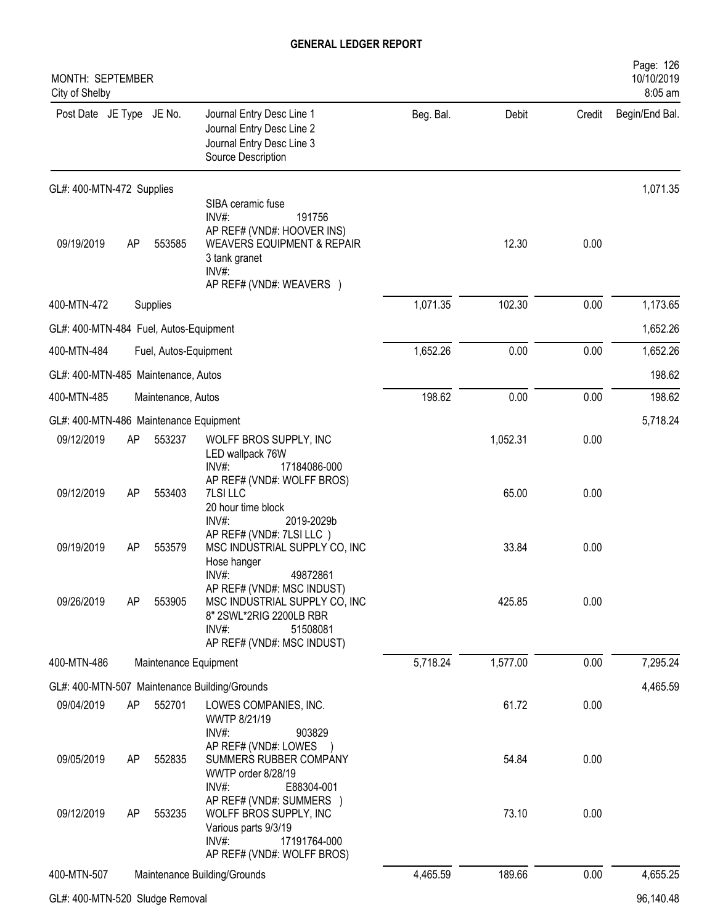| MONTH: SEPTEMBER<br>City of Shelby     |    |                       |                                                                                                                                                                      |           |          |          | Page: 126<br>10/10/2019<br>8:05 am |
|----------------------------------------|----|-----------------------|----------------------------------------------------------------------------------------------------------------------------------------------------------------------|-----------|----------|----------|------------------------------------|
| Post Date JE Type JE No.               |    |                       | Journal Entry Desc Line 1<br>Journal Entry Desc Line 2<br>Journal Entry Desc Line 3<br>Source Description                                                            | Beg. Bal. | Debit    | Credit   | Begin/End Bal.                     |
| GL#: 400-MTN-472 Supplies              |    |                       |                                                                                                                                                                      |           |          |          | 1,071.35                           |
| 09/19/2019                             | AP | 553585                | SIBA ceramic fuse<br>$INV#$ :<br>191756<br>AP REF# (VND#: HOOVER INS)<br><b>WEAVERS EQUIPMENT &amp; REPAIR</b><br>3 tank granet<br>INV#:<br>AP REF# (VND#: WEAVERS ) |           | 12.30    | 0.00     |                                    |
| 400-MTN-472                            |    | Supplies              |                                                                                                                                                                      | 1,071.35  | 102.30   | 0.00     | 1,173.65                           |
| GL#: 400-MTN-484 Fuel, Autos-Equipment |    |                       |                                                                                                                                                                      |           |          |          | 1,652.26                           |
| 400-MTN-484<br>Fuel, Autos-Equipment   |    |                       | 1,652.26                                                                                                                                                             | 0.00      | 0.00     | 1,652.26 |                                    |
| GL#: 400-MTN-485 Maintenance, Autos    |    |                       |                                                                                                                                                                      |           |          | 198.62   |                                    |
| 400-MTN-485<br>Maintenance, Autos      |    |                       | 198.62                                                                                                                                                               | 0.00      | 0.00     | 198.62   |                                    |
| GL#: 400-MTN-486 Maintenance Equipment |    |                       |                                                                                                                                                                      |           |          |          | 5,718.24                           |
| 09/12/2019                             | AP | 553237                | WOLFF BROS SUPPLY, INC<br>LED wallpack 76W<br>17184086-000<br>INV#:                                                                                                  |           | 1,052.31 | 0.00     |                                    |
| 09/12/2019                             | AP | 553403                | AP REF# (VND#: WOLFF BROS)<br>7LSI LLC<br>20 hour time block<br>2019-2029b<br>$INV#$ :                                                                               |           | 65.00    | 0.00     |                                    |
| 09/19/2019                             | AP | 553579                | AP REF# (VND#: 7LSI LLC)<br>MSC INDUSTRIAL SUPPLY CO, INC<br>Hose hanger                                                                                             |           | 33.84    | 0.00     |                                    |
| 09/26/2019                             | AP | 553905                | INV#:<br>49872861<br>AP REF# (VND#: MSC INDUST)<br>MSC INDUSTRIAL SUPPLY CO, INC<br>8" 2SWL*2RIG 2200LB RBR<br>INV#:<br>51508081<br>AP REF# (VND#: MSC INDUST)       |           | 425.85   | 0.00     |                                    |
| 400-MTN-486                            |    | Maintenance Equipment |                                                                                                                                                                      | 5,718.24  | 1,577.00 | 0.00     | 7,295.24                           |
|                                        |    |                       | GL#: 400-MTN-507 Maintenance Building/Grounds                                                                                                                        |           |          |          | 4,465.59                           |
| 09/04/2019                             | AP | 552701                | LOWES COMPANIES, INC.<br>WWTP 8/21/19<br>INV#:<br>903829                                                                                                             |           | 61.72    | 0.00     |                                    |
| 09/05/2019                             | AP | 552835                | AP REF# (VND#: LOWES<br>SUMMERS RUBBER COMPANY<br>WWTP order 8/28/19<br>$INV#$ :<br>E88304-001                                                                       |           | 54.84    | 0.00     |                                    |
| 09/12/2019                             | AP | 553235                | AP REF# (VND#: SUMMERS )<br>WOLFF BROS SUPPLY, INC<br>Various parts 9/3/19<br>$INV#$ :<br>17191764-000<br>AP REF# (VND#: WOLFF BROS)                                 |           | 73.10    | 0.00     |                                    |
| 400-MTN-507                            |    |                       | Maintenance Building/Grounds                                                                                                                                         | 4,465.59  | 189.66   | 0.00     | 4,655.25                           |
| GL#: 400-MTN-520 Sludge Removal        |    |                       |                                                                                                                                                                      |           |          |          | 96,140.48                          |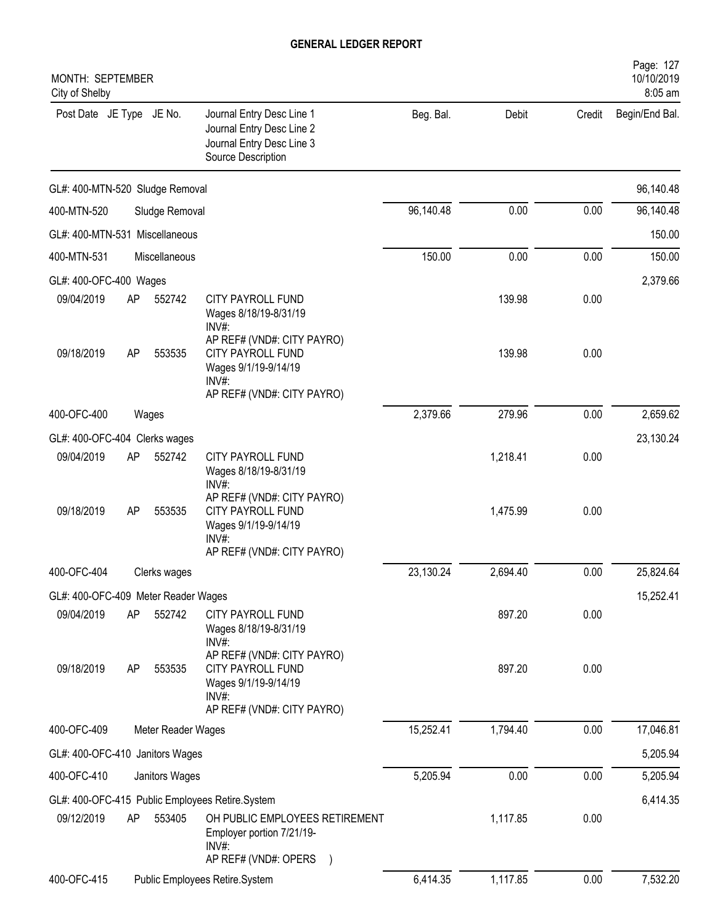| MONTH: SEPTEMBER<br>City of Shelby  |    |                    |                                                                                                                          |           |          |        | Page: 127<br>10/10/2019<br>8:05 am |
|-------------------------------------|----|--------------------|--------------------------------------------------------------------------------------------------------------------------|-----------|----------|--------|------------------------------------|
| Post Date JE Type JE No.            |    |                    | Journal Entry Desc Line 1<br>Journal Entry Desc Line 2<br>Journal Entry Desc Line 3<br>Source Description                | Beg. Bal. | Debit    | Credit | Begin/End Bal.                     |
| GL#: 400-MTN-520 Sludge Removal     |    |                    |                                                                                                                          |           |          |        | 96,140.48                          |
| 400-MTN-520                         |    | Sludge Removal     |                                                                                                                          | 96,140.48 | 0.00     | 0.00   | 96,140.48                          |
| GL#: 400-MTN-531 Miscellaneous      |    |                    |                                                                                                                          |           |          |        | 150.00                             |
| 400-MTN-531                         |    | Miscellaneous      |                                                                                                                          | 150.00    | 0.00     | 0.00   | 150.00                             |
| GL#: 400-OFC-400 Wages              |    |                    |                                                                                                                          |           |          |        | 2,379.66                           |
| 09/04/2019                          | AP | 552742             | <b>CITY PAYROLL FUND</b><br>Wages 8/18/19-8/31/19<br>INV#:                                                               |           | 139.98   | 0.00   |                                    |
| 09/18/2019                          | AP | 553535             | AP REF# (VND#: CITY PAYRO)<br><b>CITY PAYROLL FUND</b><br>Wages 9/1/19-9/14/19<br>$INV#$ :<br>AP REF# (VND#: CITY PAYRO) |           | 139.98   | 0.00   |                                    |
| 400-OFC-400                         |    | Wages              |                                                                                                                          | 2,379.66  | 279.96   | 0.00   | 2,659.62                           |
| GL#: 400-OFC-404 Clerks wages       |    |                    |                                                                                                                          |           |          |        | 23,130.24                          |
| 09/04/2019                          | AP | 552742             | <b>CITY PAYROLL FUND</b><br>Wages 8/18/19-8/31/19<br>INV#:                                                               |           | 1,218.41 | 0.00   |                                    |
| 09/18/2019                          | AP | 553535             | AP REF# (VND#: CITY PAYRO)<br><b>CITY PAYROLL FUND</b><br>Wages 9/1/19-9/14/19<br>$INV#$ :<br>AP REF# (VND#: CITY PAYRO) |           | 1,475.99 | 0.00   |                                    |
| 400-OFC-404                         |    | Clerks wages       |                                                                                                                          | 23,130.24 | 2,694.40 | 0.00   | 25,824.64                          |
| GL#: 400-OFC-409 Meter Reader Wages |    |                    |                                                                                                                          |           |          |        | 15,252.41                          |
| 09/04/2019                          | AP | 552742             | <b>CITY PAYROLL FUND</b><br>Wages 8/18/19-8/31/19<br>INV#:                                                               |           | 897.20   | 0.00   |                                    |
| 09/18/2019                          | AP | 553535             | AP REF# (VND#: CITY PAYRO)<br><b>CITY PAYROLL FUND</b><br>Wages 9/1/19-9/14/19<br>INV#:<br>AP REF# (VND#: CITY PAYRO)    |           | 897.20   | 0.00   |                                    |
| 400-OFC-409                         |    | Meter Reader Wages |                                                                                                                          | 15,252.41 | 1,794.40 | 0.00   | 17,046.81                          |
| GL#: 400-OFC-410 Janitors Wages     |    |                    |                                                                                                                          |           |          |        | 5,205.94                           |
| 400-OFC-410                         |    | Janitors Wages     |                                                                                                                          | 5,205.94  | 0.00     | 0.00   | 5,205.94                           |
|                                     |    |                    | GL#: 400-OFC-415 Public Employees Retire.System                                                                          |           |          |        | 6,414.35                           |
| 09/12/2019                          | AP | 553405             | OH PUBLIC EMPLOYEES RETIREMENT<br>Employer portion 7/21/19-<br>INV#:<br>AP REF# (VND#: OPERS                             |           | 1,117.85 | 0.00   |                                    |
| 400-OFC-415                         |    |                    | Public Employees Retire.System                                                                                           | 6,414.35  | 1,117.85 | 0.00   | 7,532.20                           |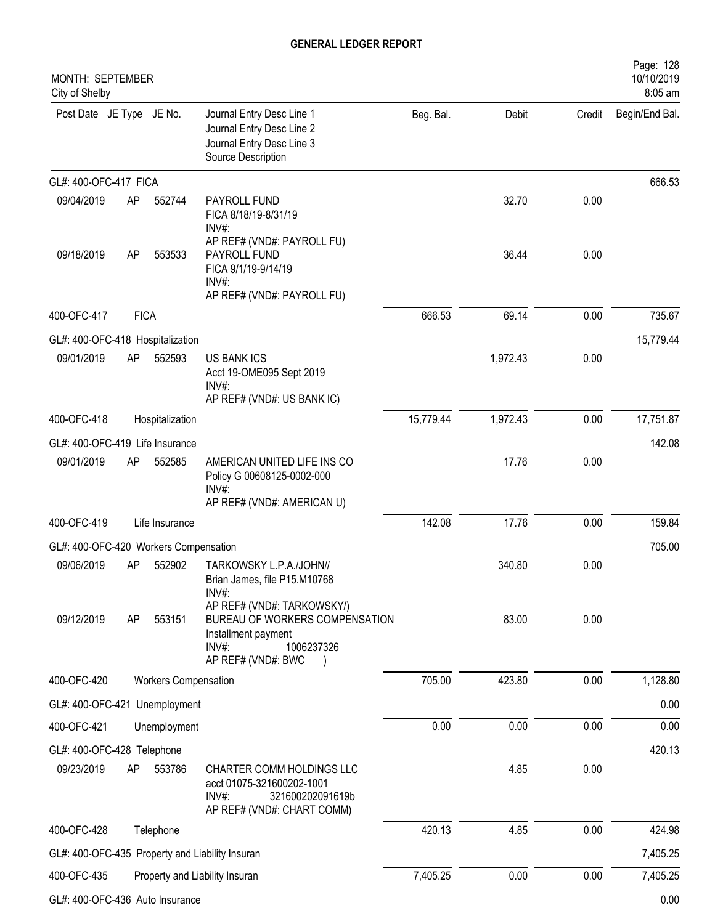| MONTH: SEPTEMBER                                |             |                             |                                                                                                                                  |           |          |        | Page: 128<br>10/10/2019   |
|-------------------------------------------------|-------------|-----------------------------|----------------------------------------------------------------------------------------------------------------------------------|-----------|----------|--------|---------------------------|
| City of Shelby<br>Post Date JE Type JE No.      |             |                             | Journal Entry Desc Line 1<br>Journal Entry Desc Line 2<br>Journal Entry Desc Line 3<br>Source Description                        | Beg. Bal. | Debit    | Credit | 8:05 am<br>Begin/End Bal. |
| GL#: 400-OFC-417 FICA                           |             |                             |                                                                                                                                  |           |          |        | 666.53                    |
| 09/04/2019                                      | AP          | 552744                      | PAYROLL FUND<br>FICA 8/18/19-8/31/19<br>INV#:                                                                                    |           | 32.70    | 0.00   |                           |
| 09/18/2019                                      | AP          | 553533                      | AP REF# (VND#: PAYROLL FU)<br>PAYROLL FUND<br>FICA 9/1/19-9/14/19<br>INV#:<br>AP REF# (VND#: PAYROLL FU)                         |           | 36.44    | 0.00   |                           |
| 400-OFC-417                                     | <b>FICA</b> |                             |                                                                                                                                  | 666.53    | 69.14    | 0.00   | 735.67                    |
| GL#: 400-OFC-418 Hospitalization                |             |                             |                                                                                                                                  |           |          |        | 15,779.44                 |
| 09/01/2019                                      | AP          | 552593                      | <b>US BANK ICS</b><br>Acct 19-OME095 Sept 2019<br>$INV#$ :<br>AP REF# (VND#: US BANK IC)                                         |           | 1,972.43 | 0.00   |                           |
| 400-OFC-418                                     |             | Hospitalization             |                                                                                                                                  | 15,779.44 | 1,972.43 | 0.00   | 17,751.87                 |
| GL#: 400-OFC-419 Life Insurance                 |             |                             |                                                                                                                                  |           |          |        | 142.08                    |
| 09/01/2019                                      | AP          | 552585                      | AMERICAN UNITED LIFE INS CO<br>Policy G 00608125-0002-000<br>INV#:<br>AP REF# (VND#: AMERICAN U)                                 |           | 17.76    | 0.00   |                           |
| 400-OFC-419                                     |             | Life Insurance              |                                                                                                                                  | 142.08    | 17.76    | 0.00   | 159.84                    |
| GL#: 400-OFC-420 Workers Compensation           |             |                             |                                                                                                                                  |           |          |        | 705.00                    |
| 09/06/2019                                      | AP          | 552902                      | TARKOWSKY L.P.A./JOHN//<br>Brian James, file P15.M10768<br>INV#:                                                                 |           | 340.80   | 0.00   |                           |
| 09/12/2019                                      | AP          | 553151                      | AP REF# (VND#: TARKOWSKY/)<br>BUREAU OF WORKERS COMPENSATION<br>Installment payment<br>INV#:<br>1006237326<br>AP REF# (VND#: BWC |           | 83.00    | 0.00   |                           |
| 400-OFC-420                                     |             | <b>Workers Compensation</b> |                                                                                                                                  | 705.00    | 423.80   | 0.00   | 1,128.80                  |
| GL#: 400-OFC-421 Unemployment                   |             |                             |                                                                                                                                  |           |          |        | 0.00                      |
| 400-OFC-421                                     |             | Unemployment                |                                                                                                                                  | 0.00      | 0.00     | 0.00   | 0.00                      |
| GL#: 400-OFC-428 Telephone                      |             |                             |                                                                                                                                  |           |          |        | 420.13                    |
| 09/23/2019                                      | AP          | 553786                      | CHARTER COMM HOLDINGS LLC<br>acct 01075-321600202-1001<br>321600202091619b<br>$INV#$ :<br>AP REF# (VND#: CHART COMM)             |           | 4.85     | 0.00   |                           |
| 400-OFC-428                                     |             | Telephone                   |                                                                                                                                  | 420.13    | 4.85     | 0.00   | 424.98                    |
| GL#: 400-OFC-435 Property and Liability Insuran |             |                             |                                                                                                                                  |           |          |        | 7,405.25                  |
| 400-OFC-435                                     |             |                             | Property and Liability Insuran                                                                                                   | 7,405.25  | 0.00     | 0.00   | 7,405.25                  |
| GL#: 400-OFC-436 Auto Insurance                 |             |                             |                                                                                                                                  |           |          |        | 0.00                      |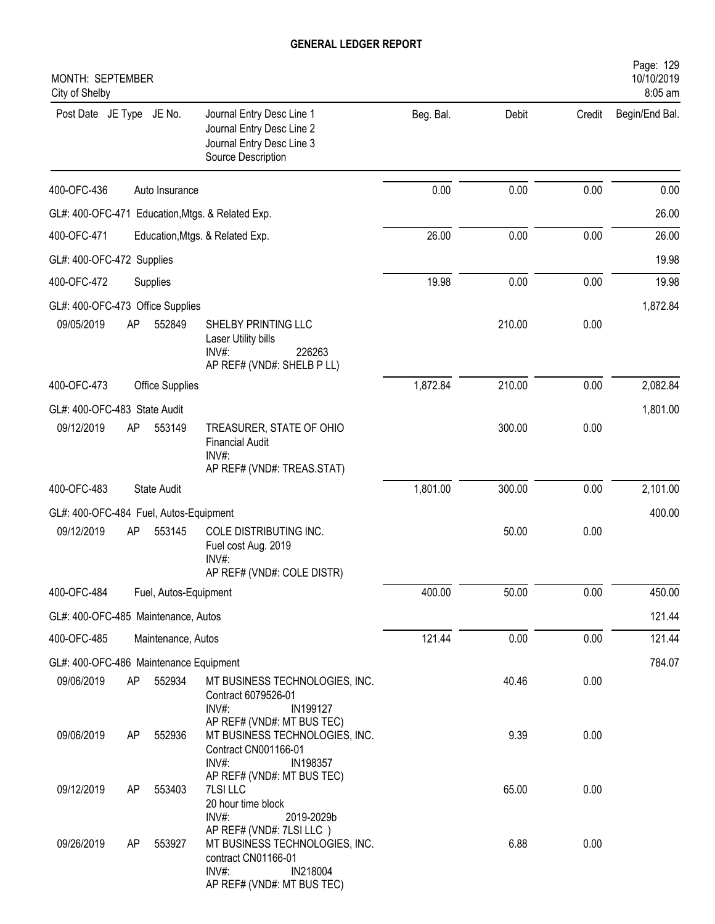| MONTH: SEPTEMBER<br>City of Shelby                   |    |                       |                                                                                                                                         |           |        |        | Page: 129<br>10/10/2019<br>8:05 am |
|------------------------------------------------------|----|-----------------------|-----------------------------------------------------------------------------------------------------------------------------------------|-----------|--------|--------|------------------------------------|
| Post Date JE Type JE No.                             |    |                       | Journal Entry Desc Line 1<br>Journal Entry Desc Line 2<br>Journal Entry Desc Line 3<br>Source Description                               | Beg. Bal. | Debit  | Credit | Begin/End Bal.                     |
| 400-OFC-436                                          |    | Auto Insurance        |                                                                                                                                         | 0.00      | 0.00   | 0.00   | 0.00                               |
|                                                      |    |                       | GL#: 400-OFC-471 Education, Mtgs. & Related Exp.                                                                                        |           |        |        | 26.00                              |
| 400-OFC-471                                          |    |                       | Education, Mtgs. & Related Exp.                                                                                                         | 26.00     | 0.00   | 0.00   | 26.00                              |
| GL#: 400-OFC-472 Supplies                            |    |                       |                                                                                                                                         |           |        |        | 19.98                              |
| 400-OFC-472                                          |    | Supplies              |                                                                                                                                         | 19.98     | 0.00   | 0.00   | 19.98                              |
| GL#: 400-OFC-473 Office Supplies                     |    |                       |                                                                                                                                         |           |        |        | 1,872.84                           |
| 09/05/2019                                           | AP | 552849                | SHELBY PRINTING LLC<br>Laser Utility bills<br>INV#:<br>226263<br>AP REF# (VND#: SHELB P LL)                                             |           | 210.00 | 0.00   |                                    |
| 400-OFC-473                                          |    | Office Supplies       |                                                                                                                                         | 1,872.84  | 210.00 | 0.00   | 2,082.84                           |
| GL#: 400-OFC-483 State Audit                         |    |                       |                                                                                                                                         |           |        |        | 1,801.00                           |
| 09/12/2019                                           | AP | 553149                | TREASURER, STATE OF OHIO<br><b>Financial Audit</b><br>$INV#$ :                                                                          |           | 300.00 | 0.00   |                                    |
| 400-OFC-483                                          |    | <b>State Audit</b>    | AP REF# (VND#: TREAS.STAT)                                                                                                              | 1,801.00  | 300.00 | 0.00   | 2,101.00                           |
|                                                      |    |                       |                                                                                                                                         |           |        |        |                                    |
| GL#: 400-OFC-484 Fuel, Autos-Equipment<br>09/12/2019 | AP | 553145                | COLE DISTRIBUTING INC.                                                                                                                  |           | 50.00  | 0.00   | 400.00                             |
|                                                      |    |                       | Fuel cost Aug. 2019<br>INV#:                                                                                                            |           |        |        |                                    |
| 400-OFC-484                                          |    |                       | AP REF# (VND#: COLE DISTR)                                                                                                              | 400.00    | 50.00  | 0.00   | 450.00                             |
|                                                      |    | Fuel, Autos-Equipment |                                                                                                                                         |           |        |        |                                    |
| GL#: 400-OFC-485 Maintenance, Autos                  |    |                       |                                                                                                                                         |           |        |        | 121.44                             |
| 400-OFC-485                                          |    | Maintenance, Autos    |                                                                                                                                         | 121.44    | 0.00   | 0.00   | 121.44                             |
| GL#: 400-OFC-486 Maintenance Equipment               |    |                       |                                                                                                                                         |           |        |        | 784.07                             |
| 09/06/2019                                           | AP | 552934                | MT BUSINESS TECHNOLOGIES, INC.<br>Contract 6079526-01<br>INV#:<br>IN199127<br>AP REF# (VND#: MT BUS TEC)                                |           | 40.46  | 0.00   |                                    |
| 09/06/2019                                           | AP | 552936                | MT BUSINESS TECHNOLOGIES, INC.<br>Contract CN001166-01<br>INV#:<br>IN198357                                                             |           | 9.39   | 0.00   |                                    |
| 09/12/2019                                           | AP | 553403                | AP REF# (VND#: MT BUS TEC)<br>7LSI LLC<br>20 hour time block<br>INV#:<br>2019-2029b                                                     |           | 65.00  | 0.00   |                                    |
| 09/26/2019                                           | AP | 553927                | AP REF# (VND#: 7LSI LLC)<br>MT BUSINESS TECHNOLOGIES, INC.<br>contract CN01166-01<br>$INV#$ :<br>IN218004<br>AP REF# (VND#: MT BUS TEC) |           | 6.88   | 0.00   |                                    |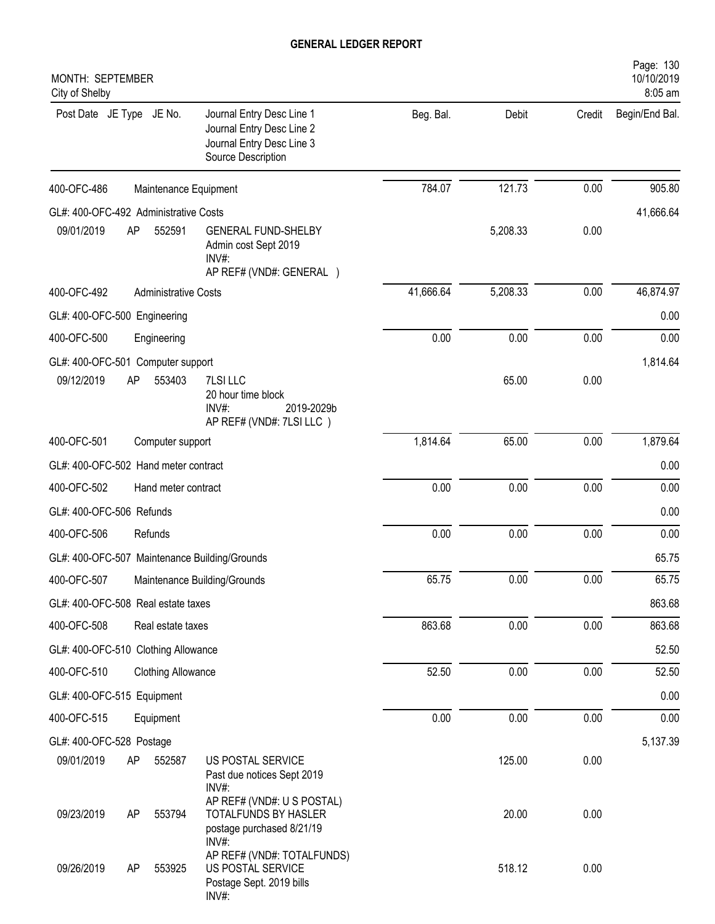| MONTH: SEPTEMBER<br>City of Shelby            |                                                                                                           |           |          |        | Page: 130<br>10/10/2019<br>8:05 am |
|-----------------------------------------------|-----------------------------------------------------------------------------------------------------------|-----------|----------|--------|------------------------------------|
| Post Date JE Type JE No.                      | Journal Entry Desc Line 1<br>Journal Entry Desc Line 2<br>Journal Entry Desc Line 3<br>Source Description | Beg. Bal. | Debit    | Credit | Begin/End Bal.                     |
| 400-OFC-486                                   | Maintenance Equipment                                                                                     | 784.07    | 121.73   | 0.00   | 905.80                             |
| GL#: 400-OFC-492 Administrative Costs         |                                                                                                           |           |          |        | 41,666.64                          |
| 09/01/2019<br>AP<br>552591                    | <b>GENERAL FUND-SHELBY</b><br>Admin cost Sept 2019<br>$INV#$ :<br>AP REF# (VND#: GENERAL )                |           | 5,208.33 | 0.00   |                                    |
| 400-OFC-492<br><b>Administrative Costs</b>    |                                                                                                           | 41,666.64 | 5,208.33 | 0.00   | 46,874.97                          |
| GL#: 400-OFC-500 Engineering                  |                                                                                                           |           |          |        | 0.00                               |
| 400-OFC-500<br>Engineering                    |                                                                                                           | 0.00      | 0.00     | 0.00   | 0.00                               |
| GL#: 400-OFC-501 Computer support             |                                                                                                           |           |          |        | 1,814.64                           |
| 09/12/2019<br>AP<br>553403                    | 7LSI LLC<br>20 hour time block<br>INV#:<br>2019-2029b<br>AP REF# (VND#: 7LSI LLC)                         |           | 65.00    | 0.00   |                                    |
| 400-OFC-501<br>Computer support               |                                                                                                           | 1,814.64  | 65.00    | 0.00   | 1,879.64                           |
| GL#: 400-OFC-502 Hand meter contract          |                                                                                                           |           |          |        | 0.00                               |
| 400-OFC-502<br>Hand meter contract            |                                                                                                           | 0.00      | 0.00     | 0.00   | 0.00                               |
| GL#: 400-OFC-506 Refunds                      |                                                                                                           |           |          |        | 0.00                               |
| 400-OFC-506<br>Refunds                        |                                                                                                           | 0.00      | 0.00     | 0.00   | 0.00                               |
| GL#: 400-OFC-507 Maintenance Building/Grounds |                                                                                                           |           |          |        | 65.75                              |
| 400-OFC-507                                   | Maintenance Building/Grounds                                                                              | 65.75     | 0.00     | 0.00   | 65.75                              |
| GL#: 400-OFC-508 Real estate taxes            |                                                                                                           |           |          |        | 863.68                             |
| 400-OFC-508<br>Real estate taxes              |                                                                                                           | 863.68    | 0.00     | 0.00   | 863.68                             |
| GL#: 400-OFC-510 Clothing Allowance           |                                                                                                           |           |          |        | 52.50                              |
| 400-OFC-510<br><b>Clothing Allowance</b>      |                                                                                                           | 52.50     | 0.00     | 0.00   | 52.50                              |
| GL#: 400-OFC-515 Equipment                    |                                                                                                           |           |          |        | 0.00                               |
| 400-OFC-515<br>Equipment                      |                                                                                                           | 0.00      | 0.00     | 0.00   | 0.00                               |
| GL#: 400-OFC-528 Postage                      |                                                                                                           |           |          |        | 5,137.39                           |
| 09/01/2019<br>552587<br>AP                    | US POSTAL SERVICE<br>Past due notices Sept 2019<br>$INV#$ :                                               |           | 125.00   | 0.00   |                                    |
| 09/23/2019<br>553794<br>AP                    | AP REF# (VND#: U S POSTAL)<br>TOTALFUNDS BY HASLER<br>postage purchased 8/21/19<br>INV#:                  |           | 20.00    | 0.00   |                                    |
| 09/26/2019<br>553925<br>AP                    | AP REF# (VND#: TOTALFUNDS)<br>US POSTAL SERVICE<br>Postage Sept. 2019 bills<br>INV#:                      |           | 518.12   | 0.00   |                                    |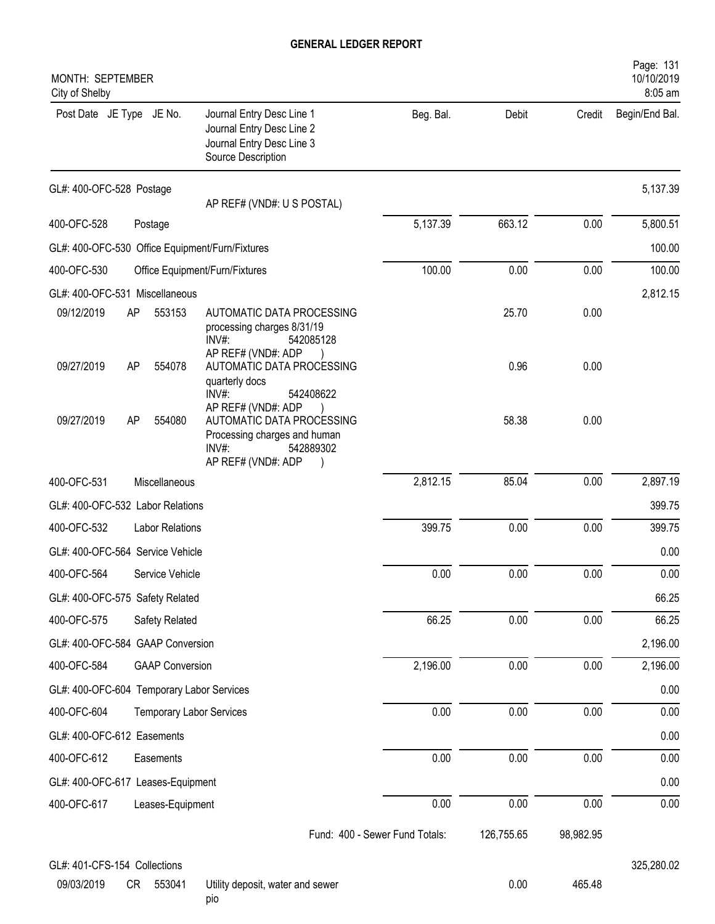| Page: 131<br>10/10/2019<br>8:05 am |        |        |           |                                                                                                                                |                                                 | MONTH: SEPTEMBER<br>City of Shelby |
|------------------------------------|--------|--------|-----------|--------------------------------------------------------------------------------------------------------------------------------|-------------------------------------------------|------------------------------------|
| Begin/End Bal.                     | Credit | Debit  | Beg. Bal. | Journal Entry Desc Line 1<br>Journal Entry Desc Line 2<br>Journal Entry Desc Line 3<br>Source Description                      |                                                 | Post Date JE Type JE No.           |
| 5,137.39                           |        |        |           | AP REF# (VND#: U S POSTAL)                                                                                                     |                                                 | GL#: 400-OFC-528 Postage           |
| 5,800.51                           | 0.00   | 663.12 | 5,137.39  |                                                                                                                                | Postage                                         | 400-OFC-528                        |
| 100.00                             |        |        |           |                                                                                                                                | GL#: 400-OFC-530 Office Equipment/Furn/Fixtures |                                    |
| 100.00                             | 0.00   | 0.00   | 100.00    |                                                                                                                                | Office Equipment/Furn/Fixtures                  | 400-OFC-530                        |
| 2,812.15                           |        |        |           |                                                                                                                                | GL#: 400-OFC-531 Miscellaneous                  |                                    |
|                                    | 0.00   | 25.70  |           | AUTOMATIC DATA PROCESSING<br>processing charges 8/31/19<br>$INV#$ :<br>542085128<br>AP REF# (VND#: ADP                         | 553153<br><b>AP</b>                             | 09/12/2019                         |
|                                    | 0.00   | 0.96   |           | AUTOMATIC DATA PROCESSING<br>quarterly docs<br>INV#:<br>542408622                                                              | 554078<br><b>AP</b>                             | 09/27/2019                         |
|                                    | 0.00   | 58.38  |           | AP REF# (VND#: ADP<br>AUTOMATIC DATA PROCESSING<br>Processing charges and human<br>$INV#$ :<br>542889302<br>AP REF# (VND#: ADP | 554080<br>AP                                    | 09/27/2019                         |
| 2,897.19                           | 0.00   | 85.04  | 2,812.15  |                                                                                                                                | Miscellaneous                                   | 400-OFC-531                        |
| 399.75                             |        |        |           |                                                                                                                                | GL#: 400-OFC-532 Labor Relations                |                                    |
| 399.75                             | 0.00   | 0.00   | 399.75    |                                                                                                                                | Labor Relations                                 | 400-OFC-532                        |
| 0.00                               |        |        |           |                                                                                                                                | GL#: 400-OFC-564 Service Vehicle                |                                    |
| 0.00                               | 0.00   | 0.00   | 0.00      |                                                                                                                                | Service Vehicle                                 | 400-OFC-564                        |
| 66.25                              |        |        |           |                                                                                                                                | GL#: 400-OFC-575 Safety Related                 |                                    |
| 66.25                              | 0.00   | 0.00   | 66.25     |                                                                                                                                | Safety Related                                  | 400-OFC-575                        |
| 2,196.00                           |        |        |           |                                                                                                                                | GL#: 400-OFC-584 GAAP Conversion                |                                    |
| 2,196.00                           | 0.00   | 0.00   | 2,196.00  |                                                                                                                                | <b>GAAP Conversion</b>                          | 400-OFC-584                        |
| 0.00                               |        |        |           |                                                                                                                                | GL#: 400-OFC-604 Temporary Labor Services       |                                    |
| 0.00                               | 0.00   | 0.00   | 0.00      |                                                                                                                                | <b>Temporary Labor Services</b>                 | 400-OFC-604                        |
| 0.00                               |        |        |           |                                                                                                                                |                                                 | GL#: 400-OFC-612 Easements         |
| 0.00                               | 0.00   | 0.00   | 0.00      |                                                                                                                                | Easements                                       | 400-OFC-612                        |
| 0.00                               |        |        |           |                                                                                                                                | GL#: 400-OFC-617 Leases-Equipment               |                                    |
| 0.00                               | 0.00   | 0.00   | 0.00      |                                                                                                                                | Leases-Equipment                                | 400-OFC-617                        |

GL#: 401-CFS-154 Collections 325,280.02

09/03/2019 CR 553041 Utility deposit, water and sewer 0.00 0.00 465.48 pio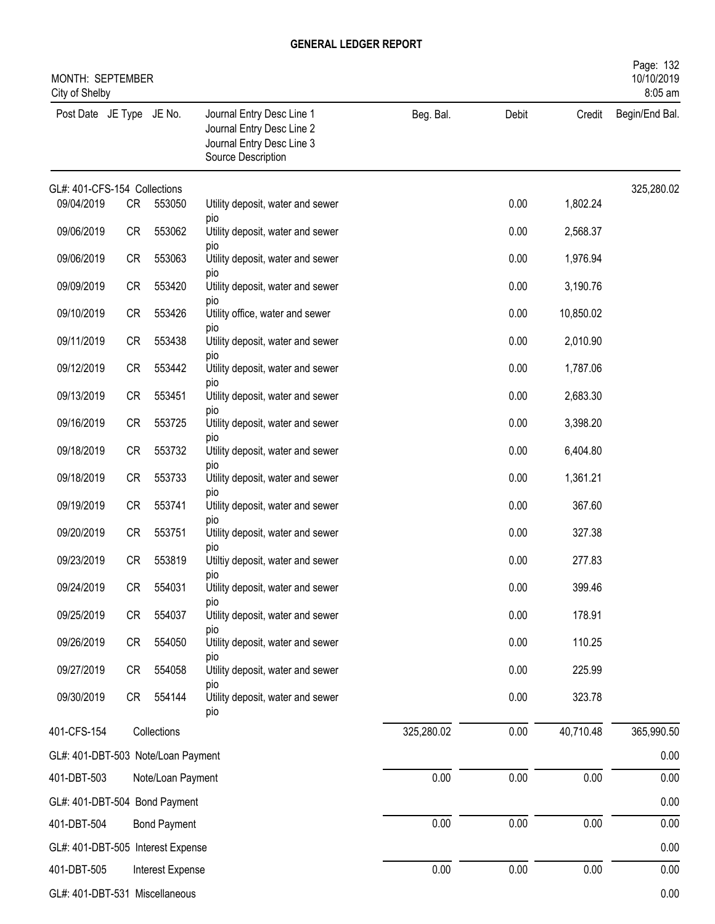| MONTH: SEPTEMBER<br>City of Shelby |           |                     |                                                                                                           |            |       |           | Page: 132<br>10/10/2019<br>8:05 am |
|------------------------------------|-----------|---------------------|-----------------------------------------------------------------------------------------------------------|------------|-------|-----------|------------------------------------|
| Post Date JE Type JE No.           |           |                     | Journal Entry Desc Line 1<br>Journal Entry Desc Line 2<br>Journal Entry Desc Line 3<br>Source Description | Beg. Bal.  | Debit | Credit    | Begin/End Bal.                     |
| GL#: 401-CFS-154 Collections       |           |                     |                                                                                                           |            |       |           | 325,280.02                         |
| 09/04/2019                         | CR        | 553050              | Utility deposit, water and sewer<br>pio                                                                   |            | 0.00  | 1,802.24  |                                    |
| 09/06/2019                         | CR        | 553062              | Utility deposit, water and sewer<br>pio                                                                   |            | 0.00  | 2,568.37  |                                    |
| 09/06/2019                         | CR        | 553063              | Utility deposit, water and sewer                                                                          |            | 0.00  | 1,976.94  |                                    |
| 09/09/2019                         | CR        | 553420              | pio<br>Utility deposit, water and sewer                                                                   |            | 0.00  | 3,190.76  |                                    |
| 09/10/2019                         | CR        | 553426              | pio<br>Utility office, water and sewer                                                                    |            | 0.00  | 10,850.02 |                                    |
| 09/11/2019                         | CR        | 553438              | pio<br>Utility deposit, water and sewer                                                                   |            | 0.00  | 2,010.90  |                                    |
| 09/12/2019                         | CR        | 553442              | pio<br>Utility deposit, water and sewer                                                                   |            | 0.00  | 1,787.06  |                                    |
| 09/13/2019                         | CR        | 553451              | pio<br>Utility deposit, water and sewer                                                                   |            | 0.00  | 2,683.30  |                                    |
| 09/16/2019                         | CR        | 553725              | pio<br>Utility deposit, water and sewer                                                                   |            | 0.00  | 3,398.20  |                                    |
|                                    |           |                     | pio                                                                                                       |            |       |           |                                    |
| 09/18/2019                         | CR        | 553732              | Utility deposit, water and sewer<br>pio                                                                   |            | 0.00  | 6,404.80  |                                    |
| 09/18/2019                         | CR        | 553733              | Utility deposit, water and sewer<br>pio                                                                   |            | 0.00  | 1,361.21  |                                    |
| 09/19/2019                         | <b>CR</b> | 553741              | Utility deposit, water and sewer<br>pio                                                                   |            | 0.00  | 367.60    |                                    |
| 09/20/2019                         | CR        | 553751              | Utility deposit, water and sewer                                                                          |            | 0.00  | 327.38    |                                    |
| 09/23/2019                         | CR        | 553819              | pio<br>Utiltiy deposit, water and sewer                                                                   |            | 0.00  | 277.83    |                                    |
| 09/24/2019                         | CR        | 554031              | pio<br>Utility deposit, water and sewer                                                                   |            | 0.00  | 399.46    |                                    |
| 09/25/2019                         | CR        | 554037              | pio<br>Utility deposit, water and sewer                                                                   |            | 0.00  | 178.91    |                                    |
| 09/26/2019                         | CR        | 554050              | pio<br>Utility deposit, water and sewer                                                                   |            | 0.00  | 110.25    |                                    |
| 09/27/2019                         | CR        | 554058              | pio<br>Utility deposit, water and sewer                                                                   |            | 0.00  | 225.99    |                                    |
| 09/30/2019                         | CR        | 554144              | pio<br>Utility deposit, water and sewer<br>pio                                                            |            | 0.00  | 323.78    |                                    |
| 401-CFS-154                        |           | Collections         |                                                                                                           | 325,280.02 | 0.00  | 40,710.48 | 365,990.50                         |
| GL#: 401-DBT-503 Note/Loan Payment |           |                     |                                                                                                           |            |       |           | 0.00                               |
| 401-DBT-503                        |           | Note/Loan Payment   |                                                                                                           | 0.00       | 0.00  | 0.00      | 0.00                               |
| GL#: 401-DBT-504 Bond Payment      |           |                     |                                                                                                           |            |       |           | 0.00                               |
| 401-DBT-504                        |           | <b>Bond Payment</b> |                                                                                                           | 0.00       | 0.00  | 0.00      | 0.00                               |
| GL#: 401-DBT-505 Interest Expense  |           |                     |                                                                                                           |            |       |           | 0.00                               |
| 401-DBT-505                        |           | Interest Expense    |                                                                                                           | 0.00       | 0.00  | 0.00      | 0.00                               |
| GL#: 401-DBT-531 Miscellaneous     |           |                     |                                                                                                           |            |       |           | 0.00                               |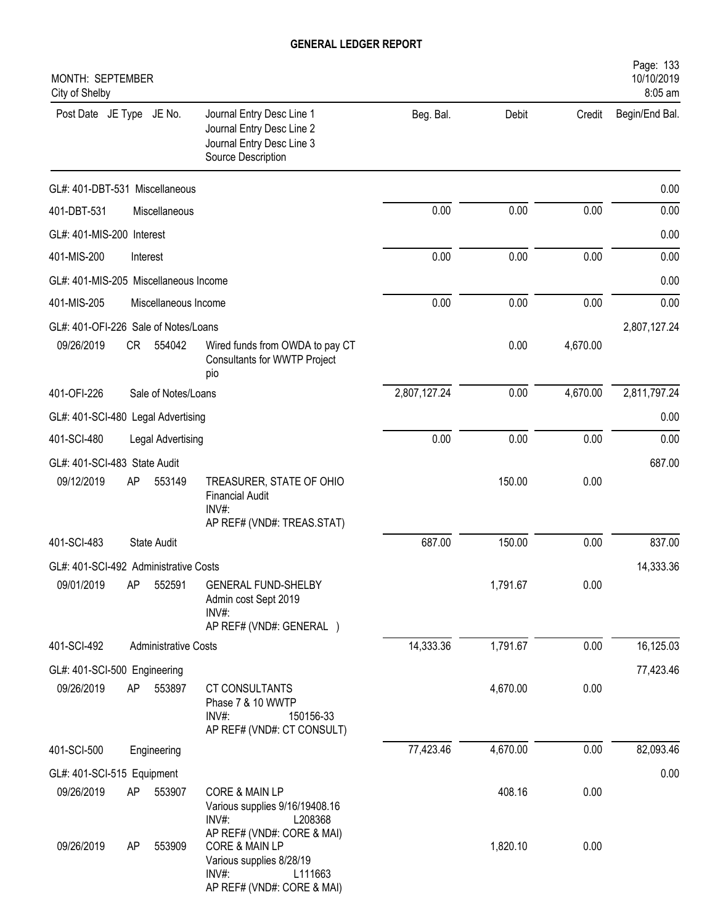| <b>MONTH: SEPTEMBER</b><br>City of Shelby  |    |                             |                                                                                                                                       |              |          |          | Page: 133<br>10/10/2019<br>8:05 am |
|--------------------------------------------|----|-----------------------------|---------------------------------------------------------------------------------------------------------------------------------------|--------------|----------|----------|------------------------------------|
| Post Date JE Type JE No.                   |    |                             | Journal Entry Desc Line 1<br>Journal Entry Desc Line 2<br>Journal Entry Desc Line 3<br>Source Description                             | Beg. Bal.    | Debit    | Credit   | Begin/End Bal.                     |
| GL#: 401-DBT-531 Miscellaneous             |    |                             |                                                                                                                                       |              |          |          | 0.00                               |
| 401-DBT-531                                |    | Miscellaneous               |                                                                                                                                       | 0.00         | 0.00     | 0.00     | 0.00                               |
| GL#: 401-MIS-200 Interest                  |    |                             |                                                                                                                                       |              |          |          | 0.00                               |
| 401-MIS-200                                |    | Interest                    |                                                                                                                                       | 0.00         | 0.00     | 0.00     | 0.00                               |
| GL#: 401-MIS-205 Miscellaneous Income      |    |                             |                                                                                                                                       |              |          |          | 0.00                               |
| 401-MIS-205                                |    | Miscellaneous Income        |                                                                                                                                       | 0.00         | 0.00     | 0.00     | 0.00                               |
| GL#: 401-OFI-226 Sale of Notes/Loans       |    |                             |                                                                                                                                       |              |          |          | 2,807,127.24                       |
| 09/26/2019                                 | CR | 554042                      | Wired funds from OWDA to pay CT<br><b>Consultants for WWTP Project</b><br>pio                                                         |              | 0.00     | 4,670.00 |                                    |
| 401-OFI-226                                |    | Sale of Notes/Loans         |                                                                                                                                       | 2,807,127.24 | 0.00     | 4,670.00 | 2,811,797.24                       |
| GL#: 401-SCI-480 Legal Advertising         |    |                             |                                                                                                                                       |              |          |          | 0.00                               |
| 401-SCI-480                                |    | Legal Advertising           |                                                                                                                                       | 0.00         | 0.00     | 0.00     | 0.00                               |
| GL#: 401-SCI-483 State Audit               |    |                             |                                                                                                                                       |              |          |          | 687.00                             |
| 09/12/2019                                 | AP | 553149                      | TREASURER, STATE OF OHIO<br><b>Financial Audit</b><br>INV#:                                                                           |              | 150.00   | 0.00     |                                    |
|                                            |    |                             | AP REF# (VND#: TREAS.STAT)                                                                                                            |              |          |          |                                    |
| 401-SCI-483                                |    | <b>State Audit</b>          |                                                                                                                                       | 687.00       | 150.00   | 0.00     | 837.00                             |
| GL#: 401-SCI-492 Administrative Costs      |    |                             |                                                                                                                                       |              |          |          | 14,333.36                          |
| 09/01/2019                                 | AP | 552591                      | <b>GENERAL FUND-SHELBY</b><br>Admin cost Sept 2019<br>INV#:                                                                           |              | 1,791.67 | 0.00     |                                    |
| 401-SCI-492                                |    | <b>Administrative Costs</b> | AP REF# (VND#: GENERAL)                                                                                                               | 14,333.36    | 1,791.67 | 0.00     | 16,125.03                          |
|                                            |    |                             |                                                                                                                                       |              |          |          |                                    |
| GL#: 401-SCI-500 Engineering<br>09/26/2019 | AP | 553897                      | CT CONSULTANTS<br>Phase 7 & 10 WWTP<br>INV#:<br>150156-33<br>AP REF# (VND#: CT CONSULT)                                               |              | 4,670.00 | 0.00     | 77,423.46                          |
| 401-SCI-500                                |    | Engineering                 |                                                                                                                                       | 77,423.46    | 4,670.00 | 0.00     | 82,093.46                          |
| GL#: 401-SCI-515 Equipment                 |    |                             |                                                                                                                                       |              |          |          | 0.00                               |
| 09/26/2019                                 | AP | 553907                      | CORE & MAIN LP<br>Various supplies 9/16/19408.16<br>INV#:<br>L208368                                                                  |              | 408.16   | 0.00     |                                    |
| 09/26/2019                                 | AP | 553909                      | AP REF# (VND#: CORE & MAI)<br><b>CORE &amp; MAIN LP</b><br>Various supplies 8/28/19<br>INV#:<br>L111663<br>AP REF# (VND#: CORE & MAI) |              | 1,820.10 | 0.00     |                                    |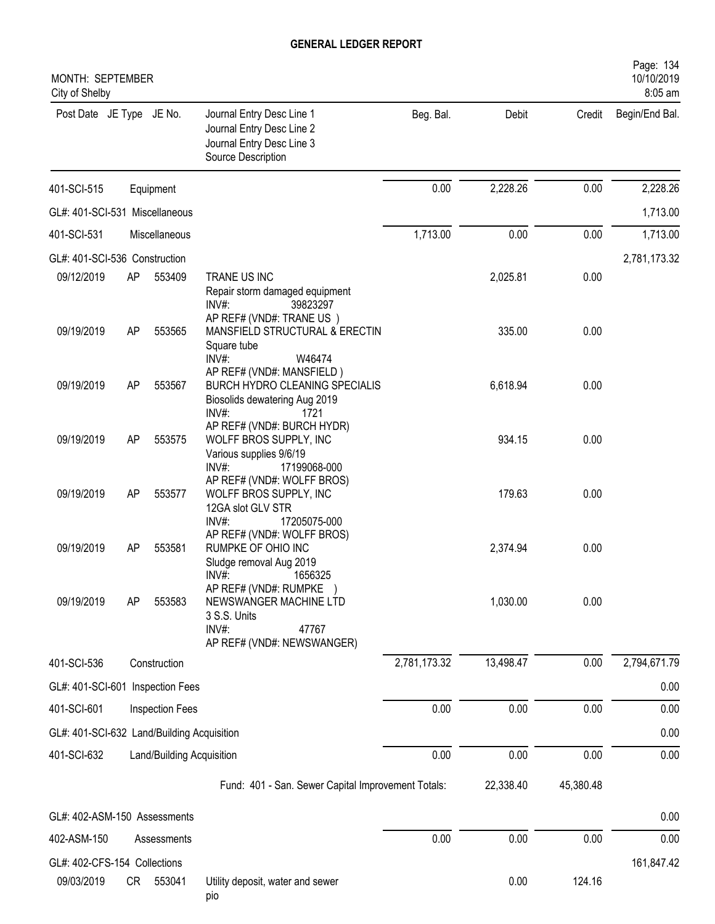| MONTH: SEPTEMBER<br>City of Shelby         |    |                           |                                                                                                                        |              |           |           | 10/10/2019<br>8:05 am |
|--------------------------------------------|----|---------------------------|------------------------------------------------------------------------------------------------------------------------|--------------|-----------|-----------|-----------------------|
| Post Date JE Type JE No.                   |    |                           | Journal Entry Desc Line 1<br>Journal Entry Desc Line 2<br>Journal Entry Desc Line 3<br>Source Description              | Beg. Bal.    | Debit     | Credit    | Begin/End Bal.        |
| 401-SCI-515                                |    | Equipment                 |                                                                                                                        | 0.00         | 2,228.26  | 0.00      | 2,228.26              |
| GL#: 401-SCI-531 Miscellaneous             |    |                           |                                                                                                                        |              |           |           | 1,713.00              |
| 401-SCI-531                                |    | Miscellaneous             |                                                                                                                        | 1,713.00     | 0.00      | 0.00      | 1,713.00              |
| GL#: 401-SCI-536 Construction              |    |                           |                                                                                                                        |              |           |           | 2,781,173.32          |
| 09/12/2019                                 | AP | 553409                    | TRANE US INC<br>Repair storm damaged equipment<br>$INV#$ :<br>39823297<br>AP REF# (VND#: TRANE US)                     |              | 2,025.81  | 0.00      |                       |
| 09/19/2019                                 | AP | 553565                    | MANSFIELD STRUCTURAL & ERECTIN<br>Square tube<br>INV#:<br>W46474                                                       |              | 335.00    | 0.00      |                       |
| 09/19/2019                                 | AP | 553567                    | AP REF# (VND#: MANSFIELD)<br>BURCH HYDRO CLEANING SPECIALIS<br>Biosolids dewatering Aug 2019<br>INV#:<br>1721          |              | 6,618.94  | 0.00      |                       |
| 09/19/2019                                 | AP | 553575                    | AP REF# (VND#: BURCH HYDR)<br>WOLFF BROS SUPPLY, INC<br>Various supplies 9/6/19<br>INV#:<br>17199068-000               |              | 934.15    | 0.00      |                       |
| 09/19/2019                                 | AP | 553577                    | AP REF# (VND#: WOLFF BROS)<br>WOLFF BROS SUPPLY, INC<br>12GA slot GLV STR<br>INV#:<br>17205075-000                     |              | 179.63    | 0.00      |                       |
| 09/19/2019                                 | AP | 553581                    | AP REF# (VND#: WOLFF BROS)<br>RUMPKE OF OHIO INC<br>Sludge removal Aug 2019<br>INV#:<br>1656325                        |              | 2,374.94  | 0.00      |                       |
| 09/19/2019                                 | AP | 553583                    | AP REF# (VND#: RUMPKE<br><b>NEWSWANGER MACHINE LTD</b><br>3 S.S. Units<br>INV#:<br>47767<br>AP REF# (VND#: NEWSWANGER) |              | 1,030.00  | 0.00      |                       |
| 401-SCI-536                                |    | Construction              |                                                                                                                        | 2,781,173.32 | 13,498.47 | 0.00      | 2,794,671.79          |
| GL#: 401-SCI-601 Inspection Fees           |    |                           |                                                                                                                        |              |           |           | 0.00                  |
| 401-SCI-601                                |    | <b>Inspection Fees</b>    |                                                                                                                        | 0.00         | 0.00      | 0.00      | 0.00                  |
| GL#: 401-SCI-632 Land/Building Acquisition |    |                           |                                                                                                                        |              |           |           | 0.00                  |
| 401-SCI-632                                |    | Land/Building Acquisition |                                                                                                                        | 0.00         | 0.00      | 0.00      | 0.00                  |
|                                            |    |                           | Fund: 401 - San. Sewer Capital Improvement Totals:                                                                     |              | 22,338.40 | 45,380.48 |                       |
| GL#: 402-ASM-150 Assessments               |    |                           |                                                                                                                        |              |           |           | 0.00                  |
| 402-ASM-150                                |    | Assessments               |                                                                                                                        | 0.00         | 0.00      | 0.00      | 0.00                  |
| GL#: 402-CFS-154 Collections               |    |                           |                                                                                                                        |              |           |           | 161,847.42            |
| 09/03/2019                                 |    | CR 553041                 | Utility deposit, water and sewer                                                                                       |              | 0.00      | 124.16    |                       |

pio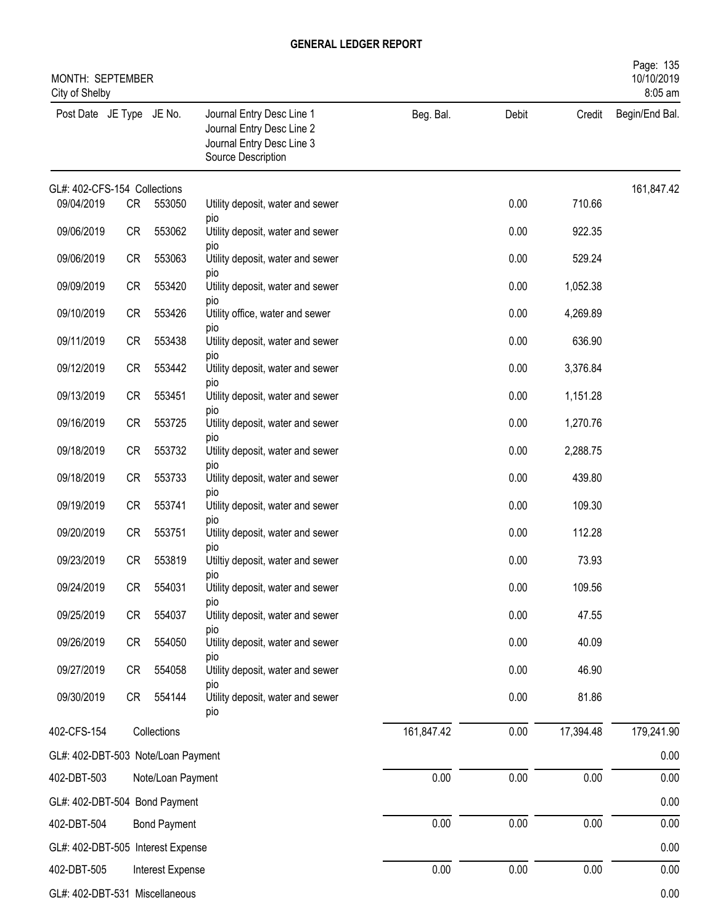| MONTH: SEPTEMBER<br>City of Shelby            |           |                     |                                                                                                           |            |       |           | Page: 135<br>10/10/2019<br>8:05 am |
|-----------------------------------------------|-----------|---------------------|-----------------------------------------------------------------------------------------------------------|------------|-------|-----------|------------------------------------|
| Post Date JE Type JE No.                      |           |                     | Journal Entry Desc Line 1<br>Journal Entry Desc Line 2<br>Journal Entry Desc Line 3<br>Source Description | Beg. Bal.  | Debit | Credit    | Begin/End Bal.                     |
| GL#: 402-CFS-154 Collections                  |           |                     |                                                                                                           |            |       |           | 161,847.42                         |
| 09/04/2019                                    | CR        | 553050              | Utility deposit, water and sewer<br>pio                                                                   |            | 0.00  | 710.66    |                                    |
| 09/06/2019                                    | CR        | 553062              | Utility deposit, water and sewer<br>pio                                                                   |            | 0.00  | 922.35    |                                    |
| 09/06/2019                                    | CR        | 553063              | Utility deposit, water and sewer                                                                          |            | 0.00  | 529.24    |                                    |
| 09/09/2019                                    | CR        | 553420              | pio<br>Utility deposit, water and sewer                                                                   |            | 0.00  | 1,052.38  |                                    |
| 09/10/2019                                    | CR        | 553426              | pio<br>Utility office, water and sewer                                                                    |            | 0.00  | 4,269.89  |                                    |
| 09/11/2019                                    | CR        | 553438              | pio<br>Utility deposit, water and sewer                                                                   |            | 0.00  | 636.90    |                                    |
| 09/12/2019                                    | CR        | 553442              | pio<br>Utility deposit, water and sewer                                                                   |            | 0.00  | 3,376.84  |                                    |
| 09/13/2019                                    | CR        | 553451              | pio<br>Utility deposit, water and sewer                                                                   |            | 0.00  | 1,151.28  |                                    |
| 09/16/2019                                    | CR        | 553725              | pio<br>Utility deposit, water and sewer                                                                   |            | 0.00  | 1,270.76  |                                    |
| 09/18/2019                                    | CR        | 553732              | pio<br>Utility deposit, water and sewer                                                                   |            | 0.00  | 2,288.75  |                                    |
|                                               |           |                     | pio                                                                                                       |            |       |           |                                    |
| 09/18/2019                                    | CR        | 553733              | Utility deposit, water and sewer<br>pio                                                                   |            | 0.00  | 439.80    |                                    |
| 09/19/2019                                    | CR        | 553741              | Utility deposit, water and sewer<br>pio                                                                   |            | 0.00  | 109.30    |                                    |
| 09/20/2019                                    | <b>CR</b> | 553751              | Utility deposit, water and sewer<br>pio                                                                   |            | 0.00  | 112.28    |                                    |
| 09/23/2019                                    | <b>CR</b> | 553819              | Utiltiy deposit, water and sewer<br>pio                                                                   |            | 0.00  | 73.93     |                                    |
| 09/24/2019                                    | CR        | 554031              | Utility deposit, water and sewer                                                                          |            | 0.00  | 109.56    |                                    |
| 09/25/2019                                    | CR        | 554037              | pio<br>Utility deposit, water and sewer                                                                   |            | 0.00  | 47.55     |                                    |
| 09/26/2019                                    | CR        | 554050              | pio<br>Utility deposit, water and sewer                                                                   |            | 0.00  | 40.09     |                                    |
| 09/27/2019                                    | CR        | 554058              | pio<br>Utility deposit, water and sewer                                                                   |            | 0.00  | 46.90     |                                    |
| 09/30/2019                                    | CR        | 554144              | pio<br>Utility deposit, water and sewer<br>pio                                                            |            | 0.00  | 81.86     |                                    |
| 402-CFS-154                                   |           | Collections         |                                                                                                           | 161,847.42 | 0.00  | 17,394.48 | 179,241.90                         |
| GL#: 402-DBT-503 Note/Loan Payment            |           |                     |                                                                                                           |            |       |           | 0.00                               |
| 402-DBT-503                                   |           | Note/Loan Payment   |                                                                                                           | 0.00       | 0.00  | 0.00      | 0.00                               |
| GL#: 402-DBT-504 Bond Payment                 |           |                     |                                                                                                           |            |       |           | 0.00                               |
| 402-DBT-504                                   |           | <b>Bond Payment</b> |                                                                                                           | 0.00       | 0.00  | 0.00      | 0.00                               |
| GL#: 402-DBT-505 Interest Expense             |           |                     |                                                                                                           |            |       |           | 0.00                               |
| 402-DBT-505<br>GL#: 402-DBT-531 Miscellaneous |           | Interest Expense    |                                                                                                           | 0.00       | 0.00  | 0.00      | 0.00<br>0.00                       |
|                                               |           |                     |                                                                                                           |            |       |           |                                    |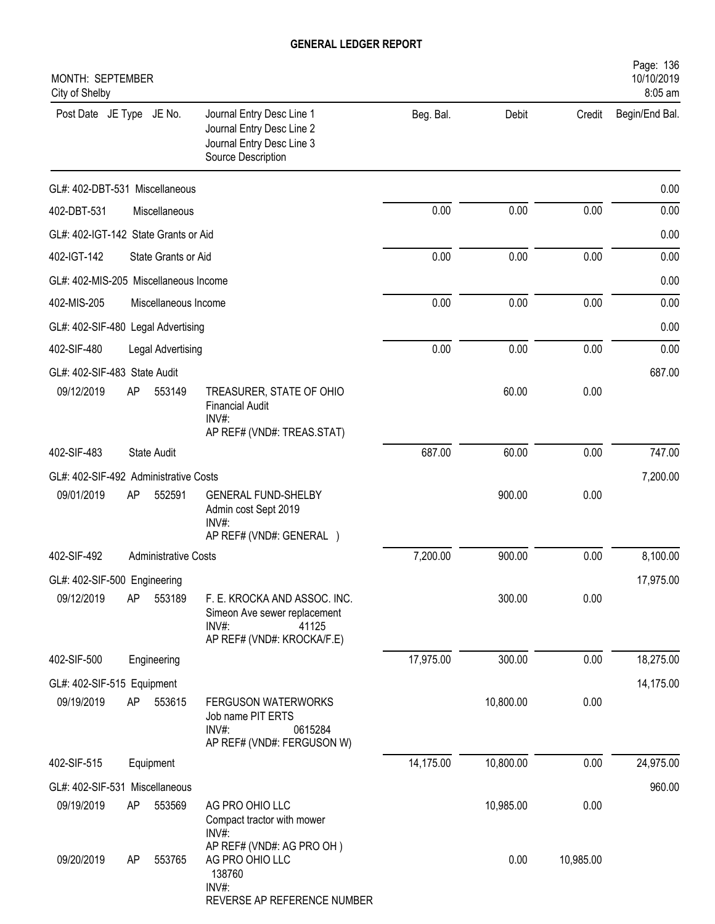| MONTH: SEPTEMBER<br>City of Shelby    |    |                             |                                                                                                                 |           |           |           | Page: 136<br>10/10/2019<br>8:05 am |
|---------------------------------------|----|-----------------------------|-----------------------------------------------------------------------------------------------------------------|-----------|-----------|-----------|------------------------------------|
| Post Date JE Type JE No.              |    |                             | Journal Entry Desc Line 1<br>Journal Entry Desc Line 2<br>Journal Entry Desc Line 3<br>Source Description       | Beg. Bal. | Debit     | Credit    | Begin/End Bal.                     |
| GL#: 402-DBT-531 Miscellaneous        |    |                             |                                                                                                                 |           |           |           | 0.00                               |
| 402-DBT-531                           |    | Miscellaneous               |                                                                                                                 | 0.00      | 0.00      | 0.00      | 0.00                               |
| GL#: 402-IGT-142 State Grants or Aid  |    |                             |                                                                                                                 |           |           |           | 0.00                               |
| 402-IGT-142                           |    | State Grants or Aid         |                                                                                                                 | 0.00      | 0.00      | 0.00      | 0.00                               |
| GL#: 402-MIS-205 Miscellaneous Income |    |                             |                                                                                                                 |           |           |           | 0.00                               |
| 402-MIS-205                           |    | Miscellaneous Income        |                                                                                                                 | 0.00      | 0.00      | 0.00      | 0.00                               |
| GL#: 402-SIF-480 Legal Advertising    |    |                             |                                                                                                                 |           |           |           | 0.00                               |
| 402-SIF-480                           |    | Legal Advertising           |                                                                                                                 | 0.00      | 0.00      | 0.00      | 0.00                               |
| GL#: 402-SIF-483 State Audit          |    |                             |                                                                                                                 |           |           |           | 687.00                             |
| 09/12/2019                            | AP | 553149                      | TREASURER, STATE OF OHIO<br><b>Financial Audit</b><br>$INV#$ :<br>AP REF# (VND#: TREAS.STAT)                    |           | 60.00     | 0.00      |                                    |
| 402-SIF-483                           |    | <b>State Audit</b>          |                                                                                                                 | 687.00    | 60.00     | 0.00      | 747.00                             |
| GL#: 402-SIF-492 Administrative Costs |    |                             |                                                                                                                 |           |           |           | 7,200.00                           |
| 09/01/2019                            | AP | 552591                      | <b>GENERAL FUND-SHELBY</b><br>Admin cost Sept 2019<br>$INV#$ :<br>AP REF# (VND#: GENERAL )                      |           | 900.00    | 0.00      |                                    |
| 402-SIF-492                           |    | <b>Administrative Costs</b> |                                                                                                                 | 7,200.00  | 900.00    | 0.00      | 8,100.00                           |
| GL#: 402-SIF-500 Engineering          |    |                             |                                                                                                                 |           |           |           | 17,975.00                          |
| 09/12/2019                            | AP | 553189                      | F. E. KROCKA AND ASSOC. INC.<br>Simeon Ave sewer replacement<br>$INV#$ :<br>41125<br>AP REF# (VND#: KROCKA/F.E) |           | 300.00    | 0.00      |                                    |
| 402-SIF-500                           |    | Engineering                 |                                                                                                                 | 17,975.00 | 300.00    | 0.00      | 18,275.00                          |
| GL#: 402-SIF-515 Equipment            |    |                             |                                                                                                                 |           |           |           | 14,175.00                          |
| 09/19/2019                            | AP | 553615                      | <b>FERGUSON WATERWORKS</b><br>Job name PIT ERTS<br>$INV#$ :<br>0615284<br>AP REF# (VND#: FERGUSON W)            |           | 10,800.00 | 0.00      |                                    |
| 402-SIF-515                           |    | Equipment                   |                                                                                                                 | 14,175.00 | 10,800.00 | 0.00      | 24,975.00                          |
| GL#: 402-SIF-531 Miscellaneous        |    |                             |                                                                                                                 |           |           |           | 960.00                             |
| 09/19/2019                            | AP | 553569                      | AG PRO OHIO LLC<br>Compact tractor with mower<br>INV#:                                                          |           | 10,985.00 | 0.00      |                                    |
| 09/20/2019                            | AP | 553765                      | AP REF# (VND#: AG PRO OH)<br>AG PRO OHIO LLC<br>138760<br>INV#:<br>REVERSE AP REFERENCE NUMBER                  |           | 0.00      | 10,985.00 |                                    |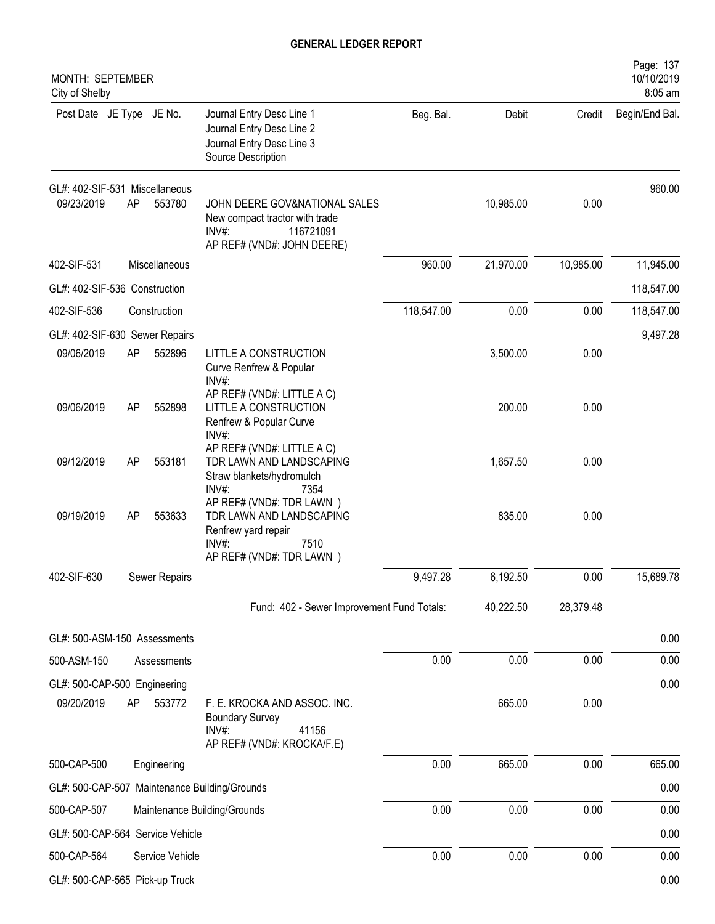| MONTH: SEPTEMBER<br>City of Shelby           |    |                 |                                                                                                                             |            |           |           | Page: 137<br>10/10/2019<br>8:05 am |
|----------------------------------------------|----|-----------------|-----------------------------------------------------------------------------------------------------------------------------|------------|-----------|-----------|------------------------------------|
| Post Date JE Type JE No.                     |    |                 | Journal Entry Desc Line 1<br>Journal Entry Desc Line 2<br>Journal Entry Desc Line 3<br>Source Description                   | Beg. Bal.  | Debit     | Credit    | Begin/End Bal.                     |
| GL#: 402-SIF-531 Miscellaneous<br>09/23/2019 | AP | 553780          | JOHN DEERE GOV&NATIONAL SALES<br>New compact tractor with trade<br>$INV#$ :<br>116721091<br>AP REF# (VND#: JOHN DEERE)      |            | 10,985.00 | 0.00      | 960.00                             |
| 402-SIF-531                                  |    | Miscellaneous   |                                                                                                                             | 960.00     | 21,970.00 | 10,985.00 | 11,945.00                          |
| GL#: 402-SIF-536 Construction                |    |                 |                                                                                                                             |            |           |           | 118,547.00                         |
| 402-SIF-536                                  |    | Construction    |                                                                                                                             | 118,547.00 | 0.00      | 0.00      | 118,547.00                         |
| GL#: 402-SIF-630 Sewer Repairs               |    |                 |                                                                                                                             |            |           |           | 9,497.28                           |
| 09/06/2019                                   | AP | 552896          | LITTLE A CONSTRUCTION<br>Curve Renfrew & Popular<br>INV#:                                                                   |            | 3,500.00  | 0.00      |                                    |
| 09/06/2019                                   | AP | 552898          | AP REF# (VND#: LITTLE A C)<br>LITTLE A CONSTRUCTION<br>Renfrew & Popular Curve<br>INV#:                                     |            | 200.00    | 0.00      |                                    |
| 09/12/2019                                   | AP | 553181          | AP REF# (VND#: LITTLE A C)<br>TDR LAWN AND LANDSCAPING<br>Straw blankets/hydromulch<br>INV#:<br>7354                        |            | 1,657.50  | 0.00      |                                    |
| 09/19/2019                                   | AP | 553633          | AP REF# (VND#: TDR LAWN)<br>TDR LAWN AND LANDSCAPING<br>Renfrew yard repair<br>$INV#$ :<br>7510<br>AP REF# (VND#: TDR LAWN) |            | 835.00    | 0.00      |                                    |
| 402-SIF-630                                  |    | Sewer Repairs   |                                                                                                                             | 9,497.28   | 6,192.50  | 0.00      | 15,689.78                          |
|                                              |    |                 | Fund: 402 - Sewer Improvement Fund Totals:                                                                                  |            | 40,222.50 | 28,379.48 |                                    |
| GL#: 500-ASM-150 Assessments                 |    |                 |                                                                                                                             |            |           |           | 0.00                               |
| 500-ASM-150                                  |    | Assessments     |                                                                                                                             | 0.00       | 0.00      | 0.00      | 0.00                               |
| GL#: 500-CAP-500 Engineering                 |    |                 |                                                                                                                             |            |           |           | 0.00                               |
| 09/20/2019                                   | AP | 553772          | F. E. KROCKA AND ASSOC. INC.<br><b>Boundary Survey</b><br>INV#:<br>41156<br>AP REF# (VND#: KROCKA/F.E)                      |            | 665.00    | 0.00      |                                    |
| 500-CAP-500                                  |    | Engineering     |                                                                                                                             | 0.00       | 665.00    | 0.00      | 665.00                             |
|                                              |    |                 | GL#: 500-CAP-507 Maintenance Building/Grounds                                                                               |            |           |           | 0.00                               |
| 500-CAP-507                                  |    |                 | Maintenance Building/Grounds                                                                                                | 0.00       | 0.00      | 0.00      | 0.00                               |
| GL#: 500-CAP-564 Service Vehicle             |    |                 |                                                                                                                             |            |           |           | 0.00                               |
| 500-CAP-564                                  |    | Service Vehicle |                                                                                                                             | 0.00       | 0.00      | 0.00      | 0.00                               |
| GL#: 500-CAP-565 Pick-up Truck               |    |                 |                                                                                                                             |            |           |           | 0.00                               |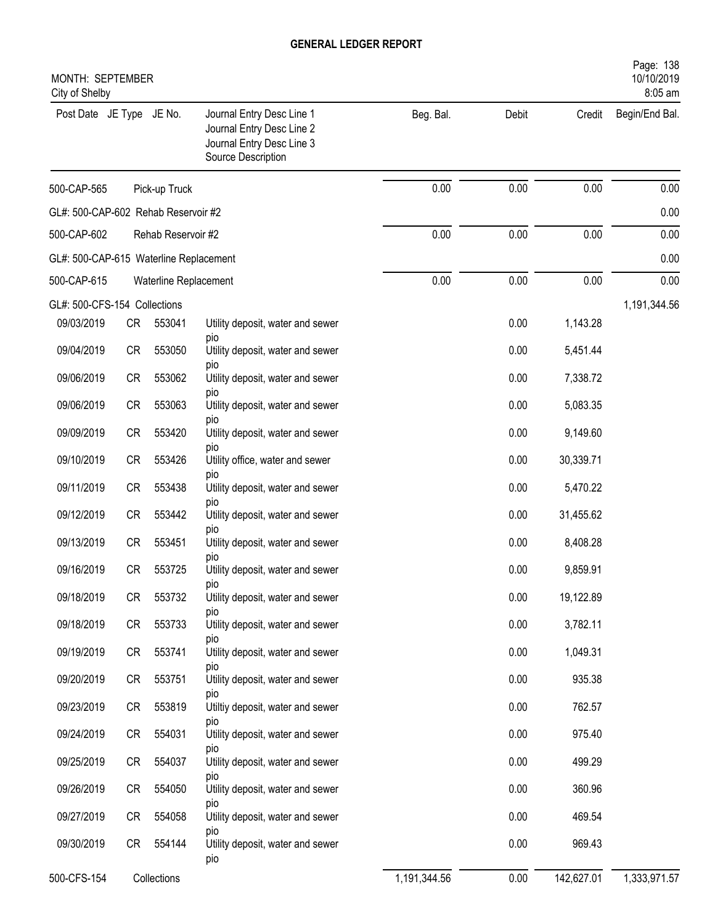| MONTH: SEPTEMBER<br>City of Shelby     |           |                       |                                                                                                           |              |       |            | Page: 138<br>10/10/2019<br>8:05 am |
|----------------------------------------|-----------|-----------------------|-----------------------------------------------------------------------------------------------------------|--------------|-------|------------|------------------------------------|
| Post Date JE Type JE No.               |           |                       | Journal Entry Desc Line 1<br>Journal Entry Desc Line 2<br>Journal Entry Desc Line 3<br>Source Description | Beg. Bal.    | Debit | Credit     | Begin/End Bal.                     |
| 500-CAP-565                            |           | Pick-up Truck         |                                                                                                           | 0.00         | 0.00  | 0.00       | 0.00                               |
| GL#: 500-CAP-602 Rehab Reservoir #2    |           |                       |                                                                                                           |              |       |            | 0.00                               |
| 500-CAP-602                            |           | Rehab Reservoir #2    |                                                                                                           | 0.00         | 0.00  | 0.00       | 0.00                               |
| GL#: 500-CAP-615 Waterline Replacement |           |                       |                                                                                                           |              |       |            | 0.00                               |
| 500-CAP-615                            |           | Waterline Replacement |                                                                                                           | 0.00         | 0.00  | 0.00       | 0.00                               |
| GL#: 500-CFS-154 Collections           |           |                       |                                                                                                           |              |       |            | 1,191,344.56                       |
| 09/03/2019                             | CR        | 553041                | Utility deposit, water and sewer                                                                          |              | 0.00  | 1,143.28   |                                    |
| 09/04/2019                             | CR        | 553050                | pio<br>Utility deposit, water and sewer                                                                   |              | 0.00  | 5,451.44   |                                    |
| 09/06/2019                             | <b>CR</b> | 553062                | pio<br>Utility deposit, water and sewer                                                                   |              | 0.00  | 7,338.72   |                                    |
| 09/06/2019                             | CR        | 553063                | pio<br>Utility deposit, water and sewer                                                                   |              | 0.00  | 5,083.35   |                                    |
| 09/09/2019                             | <b>CR</b> | 553420                | pio<br>Utility deposit, water and sewer                                                                   |              | 0.00  | 9,149.60   |                                    |
| 09/10/2019                             | <b>CR</b> | 553426                | pio<br>Utility office, water and sewer                                                                    |              | 0.00  | 30,339.71  |                                    |
| 09/11/2019                             | <b>CR</b> | 553438                | pio<br>Utility deposit, water and sewer                                                                   |              | 0.00  | 5,470.22   |                                    |
|                                        |           | 553442                | pio                                                                                                       |              |       |            |                                    |
| 09/12/2019                             | <b>CR</b> |                       | Utility deposit, water and sewer<br>DIO                                                                   |              | 0.00  | 31,455.62  |                                    |
| 09/13/2019                             | CR        | 553451                | Utility deposit, water and sewer<br>pio                                                                   |              | 0.00  | 8,408.28   |                                    |
| 09/16/2019                             | CR        | 553725                | Utility deposit, water and sewer                                                                          |              | 0.00  | 9,859.91   |                                    |
| 09/18/2019                             | CR        | 553732                | pio<br>Utility deposit, water and sewer                                                                   |              | 0.00  | 19,122.89  |                                    |
| 09/18/2019                             | CR        | 553733                | pio<br>Utility deposit, water and sewer                                                                   |              | 0.00  | 3,782.11   |                                    |
| 09/19/2019                             | CR        | 553741                | pio<br>Utility deposit, water and sewer                                                                   |              | 0.00  | 1,049.31   |                                    |
| 09/20/2019                             | CR        | 553751                | pio<br>Utility deposit, water and sewer                                                                   |              | 0.00  | 935.38     |                                    |
| 09/23/2019                             | CR        | 553819                | pio<br>Utiltiy deposit, water and sewer                                                                   |              | 0.00  | 762.57     |                                    |
| 09/24/2019                             | CR        | 554031                | pio<br>Utility deposit, water and sewer                                                                   |              | 0.00  | 975.40     |                                    |
|                                        |           |                       | pio                                                                                                       |              |       |            |                                    |
| 09/25/2019                             | CR        | 554037                | Utility deposit, water and sewer<br>pio                                                                   |              | 0.00  | 499.29     |                                    |
| 09/26/2019                             | CR        | 554050                | Utility deposit, water and sewer<br>pio                                                                   |              | 0.00  | 360.96     |                                    |
| 09/27/2019                             | CR        | 554058                | Utility deposit, water and sewer<br>pio                                                                   |              | 0.00  | 469.54     |                                    |
| 09/30/2019                             | CR        | 554144                | Utility deposit, water and sewer<br>pio                                                                   |              | 0.00  | 969.43     |                                    |
| 500-CFS-154                            |           | Collections           |                                                                                                           | 1,191,344.56 | 0.00  | 142,627.01 | 1,333,971.57                       |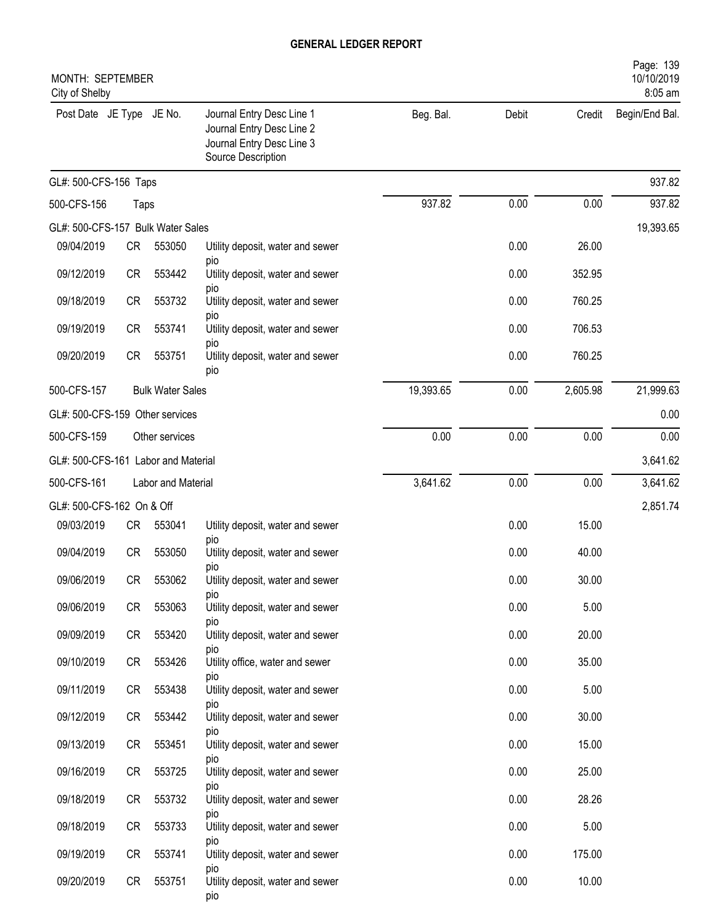| MONTH: SEPTEMBER<br>City of Shelby  |           |                         |                                                                                                           |           |       |          | Page: 139<br>10/10/2019<br>8:05 am |
|-------------------------------------|-----------|-------------------------|-----------------------------------------------------------------------------------------------------------|-----------|-------|----------|------------------------------------|
| Post Date JE Type JE No.            |           |                         | Journal Entry Desc Line 1<br>Journal Entry Desc Line 2<br>Journal Entry Desc Line 3<br>Source Description | Beg. Bal. | Debit | Credit   | Begin/End Bal.                     |
| GL#: 500-CFS-156 Taps               |           |                         |                                                                                                           |           |       |          | 937.82                             |
| 500-CFS-156                         | Taps      |                         |                                                                                                           | 937.82    | 0.00  | 0.00     | 937.82                             |
| GL#: 500-CFS-157 Bulk Water Sales   |           |                         |                                                                                                           |           |       |          | 19,393.65                          |
| 09/04/2019                          | CR        | 553050                  | Utility deposit, water and sewer                                                                          |           | 0.00  | 26.00    |                                    |
| 09/12/2019                          | <b>CR</b> | 553442                  | pio<br>Utility deposit, water and sewer                                                                   |           | 0.00  | 352.95   |                                    |
| 09/18/2019                          | <b>CR</b> | 553732                  | pio<br>Utility deposit, water and sewer                                                                   |           | 0.00  | 760.25   |                                    |
| 09/19/2019                          | <b>CR</b> | 553741                  | pio<br>Utility deposit, water and sewer                                                                   |           | 0.00  | 706.53   |                                    |
| 09/20/2019                          | <b>CR</b> | 553751                  | pio<br>Utility deposit, water and sewer<br>pio                                                            |           | 0.00  | 760.25   |                                    |
| 500-CFS-157                         |           | <b>Bulk Water Sales</b> |                                                                                                           | 19,393.65 | 0.00  | 2,605.98 | 21,999.63                          |
| GL#: 500-CFS-159 Other services     |           |                         |                                                                                                           |           |       |          | 0.00                               |
| 500-CFS-159                         |           | Other services          |                                                                                                           | 0.00      | 0.00  | 0.00     | 0.00                               |
| GL#: 500-CFS-161 Labor and Material |           |                         |                                                                                                           |           |       |          | 3,641.62                           |
| 500-CFS-161                         |           | Labor and Material      |                                                                                                           | 3,641.62  | 0.00  | 0.00     | 3,641.62                           |
| GL#: 500-CFS-162 On & Off           |           |                         |                                                                                                           |           |       |          | 2,851.74                           |
| 09/03/2019                          | <b>CR</b> | 553041                  | Utility deposit, water and sewer<br>pio                                                                   |           | 0.00  | 15.00    |                                    |
| 09/04/2019                          | <b>CR</b> | 553050                  | Utility deposit, water and sewer                                                                          |           | 0.00  | 40.00    |                                    |
| 09/06/2019                          | CR        | 553062                  | pio<br>Utility deposit, water and sewer<br>pio                                                            |           | 0.00  | 30.00    |                                    |
| 09/06/2019                          | <b>CR</b> | 553063                  | Utility deposit, water and sewer                                                                          |           | 0.00  | 5.00     |                                    |
| 09/09/2019                          | CR        | 553420                  | pio<br>Utility deposit, water and sewer<br>pio                                                            |           | 0.00  | 20.00    |                                    |
| 09/10/2019                          | CR        | 553426                  | Utility office, water and sewer                                                                           |           | 0.00  | 35.00    |                                    |
| 09/11/2019                          | CR        | 553438                  | pio<br>Utility deposit, water and sewer                                                                   |           | 0.00  | 5.00     |                                    |
| 09/12/2019                          | CR        | 553442                  | pio<br>Utility deposit, water and sewer                                                                   |           | 0.00  | 30.00    |                                    |
| 09/13/2019                          | CR        | 553451                  | DIO<br>Utility deposit, water and sewer                                                                   |           | 0.00  | 15.00    |                                    |
| 09/16/2019                          | CR        | 553725                  | pio<br>Utility deposit, water and sewer                                                                   |           | 0.00  | 25.00    |                                    |
| 09/18/2019                          | CR        | 553732                  | pio<br>Utility deposit, water and sewer                                                                   |           | 0.00  | 28.26    |                                    |
| 09/18/2019                          | CR        | 553733                  | pio<br>Utility deposit, water and sewer                                                                   |           | 0.00  | 5.00     |                                    |
| 09/19/2019                          | CR        | 553741                  | pio<br>Utility deposit, water and sewer                                                                   |           | 0.00  | 175.00   |                                    |
| 09/20/2019                          | CR        | 553751                  | pio<br>Utility deposit, water and sewer<br>pio                                                            |           | 0.00  | 10.00    |                                    |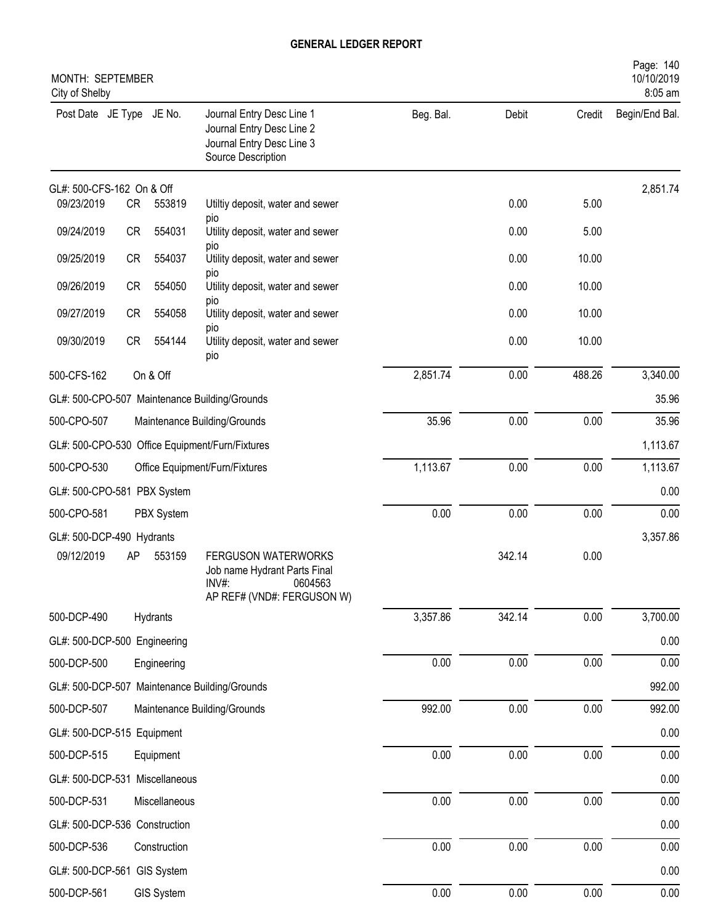| MONTH: SEPTEMBER<br>City of Shelby |           |               |                                                                                                                 |           |        |          | Page: 140<br>10/10/2019<br>8:05 am |
|------------------------------------|-----------|---------------|-----------------------------------------------------------------------------------------------------------------|-----------|--------|----------|------------------------------------|
| Post Date JE Type JE No.           |           |               | Journal Entry Desc Line 1<br>Journal Entry Desc Line 2<br>Journal Entry Desc Line 3<br>Source Description       | Beg. Bal. | Debit  | Credit   | Begin/End Bal.                     |
| GL#: 500-CFS-162 On & Off          |           |               |                                                                                                                 |           |        |          | 2,851.74                           |
| 09/23/2019                         | CR        | 553819        | Utiltiy deposit, water and sewer<br>pio                                                                         |           | 0.00   | 5.00     |                                    |
| 09/24/2019                         | <b>CR</b> | 554031        | Utility deposit, water and sewer                                                                                |           | 0.00   | 5.00     |                                    |
| 09/25/2019                         | <b>CR</b> | 554037        | pio<br>Utility deposit, water and sewer                                                                         |           | 0.00   | 10.00    |                                    |
| 09/26/2019                         | <b>CR</b> | 554050        | pio<br>Utility deposit, water and sewer                                                                         |           | 0.00   | 10.00    |                                    |
| 09/27/2019                         | <b>CR</b> | 554058        | pio<br>Utility deposit, water and sewer                                                                         |           | 0.00   | 10.00    |                                    |
| 09/30/2019                         | CR        | 554144        | pio<br>Utility deposit, water and sewer<br>pio                                                                  |           | 0.00   | 10.00    |                                    |
| 500-CFS-162                        |           | On & Off      |                                                                                                                 | 2,851.74  | 0.00   | 488.26   | 3,340.00                           |
|                                    |           |               | GL#: 500-CPO-507 Maintenance Building/Grounds                                                                   |           |        |          | 35.96                              |
| 500-CPO-507                        |           |               | Maintenance Building/Grounds                                                                                    | 35.96     | 0.00   | 0.00     | 35.96                              |
|                                    |           |               | GL#: 500-CPO-530 Office Equipment/Furn/Fixtures                                                                 |           |        |          | 1,113.67                           |
| 500-CPO-530                        |           |               | Office Equipment/Furn/Fixtures                                                                                  | 1,113.67  | 0.00   | 0.00     | 1,113.67                           |
| GL#: 500-CPO-581 PBX System        |           |               |                                                                                                                 |           |        |          | 0.00                               |
| 500-CPO-581                        |           | PBX System    |                                                                                                                 | 0.00      | 0.00   | 0.00     | 0.00                               |
| GL#: 500-DCP-490 Hydrants          |           |               |                                                                                                                 |           |        |          | 3,357.86                           |
| 09/12/2019                         | AP        | 553159        | <b>FERGUSON WATERWORKS</b><br>Job name Hydrant Parts Final<br>$INV#$ :<br>0604563<br>AP REF# (VND#: FERGUSON W) |           | 342.14 | 0.00     |                                    |
| 500-DCP-490                        |           | Hydrants      |                                                                                                                 | 3,357.86  | 342.14 | 0.00     | 3,700.00                           |
| GL#: 500-DCP-500 Engineering       |           |               |                                                                                                                 |           |        |          | 0.00                               |
| 500-DCP-500                        |           | Engineering   |                                                                                                                 | 0.00      | 0.00   | $0.00\,$ | 0.00                               |
|                                    |           |               | GL#: 500-DCP-507 Maintenance Building/Grounds                                                                   |           |        |          | 992.00                             |
| 500-DCP-507                        |           |               | Maintenance Building/Grounds                                                                                    | 992.00    | 0.00   | 0.00     | 992.00                             |
| GL#: 500-DCP-515 Equipment         |           |               |                                                                                                                 |           |        |          | 0.00                               |
| 500-DCP-515                        |           | Equipment     |                                                                                                                 | 0.00      | 0.00   | 0.00     | 0.00                               |
| GL#: 500-DCP-531 Miscellaneous     |           |               |                                                                                                                 |           |        |          | 0.00                               |
| 500-DCP-531                        |           | Miscellaneous |                                                                                                                 | 0.00      | 0.00   | 0.00     | 0.00                               |
| GL#: 500-DCP-536 Construction      |           |               |                                                                                                                 |           |        |          | 0.00                               |
| 500-DCP-536                        |           | Construction  |                                                                                                                 | 0.00      | 0.00   | 0.00     | 0.00                               |
| GL#: 500-DCP-561 GIS System        |           |               |                                                                                                                 |           |        |          | 0.00                               |
| 500-DCP-561                        |           | GIS System    |                                                                                                                 | $0.00\,$  | 0.00   | 0.00     | 0.00                               |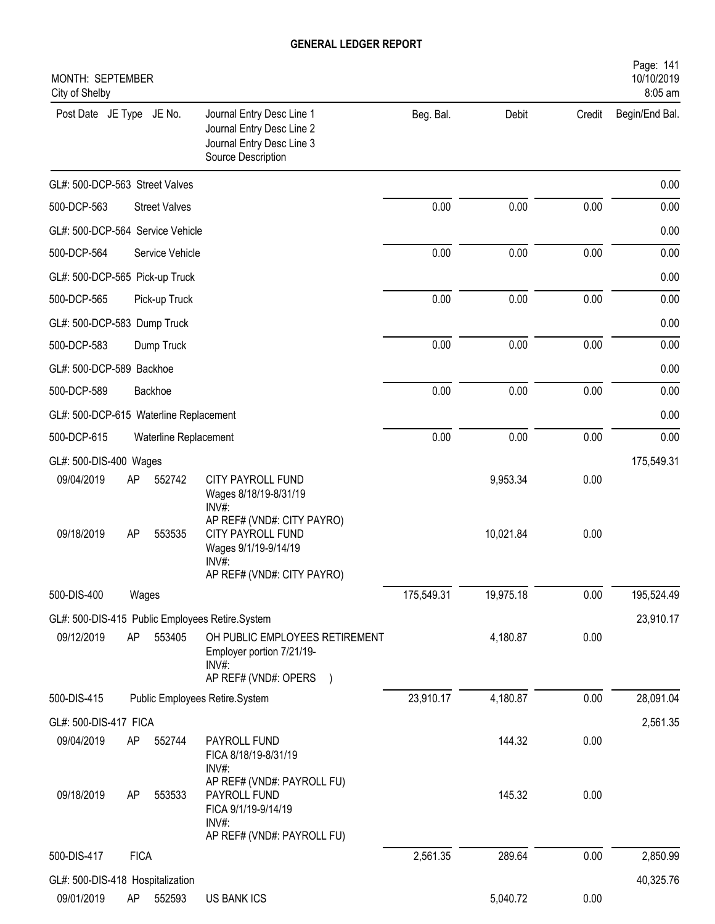| MONTH: SEPTEMBER<br>City of Shelby     |             |                       |                                                                                                                   |            |           |        | Page: 141<br>10/10/2019<br>8:05 am |
|----------------------------------------|-------------|-----------------------|-------------------------------------------------------------------------------------------------------------------|------------|-----------|--------|------------------------------------|
| Post Date JE Type JE No.               |             |                       | Journal Entry Desc Line 1<br>Journal Entry Desc Line 2<br>Journal Entry Desc Line 3<br>Source Description         | Beg. Bal.  | Debit     | Credit | Begin/End Bal.                     |
| GL#: 500-DCP-563 Street Valves         |             |                       |                                                                                                                   |            |           |        | 0.00                               |
| 500-DCP-563                            |             | <b>Street Valves</b>  |                                                                                                                   | 0.00       | 0.00      | 0.00   | 0.00                               |
| GL#: 500-DCP-564 Service Vehicle       |             |                       |                                                                                                                   |            |           |        | 0.00                               |
| 500-DCP-564                            |             | Service Vehicle       |                                                                                                                   | 0.00       | 0.00      | 0.00   | 0.00                               |
| GL#: 500-DCP-565 Pick-up Truck         |             |                       |                                                                                                                   |            |           |        | 0.00                               |
| 500-DCP-565                            |             | Pick-up Truck         |                                                                                                                   | 0.00       | 0.00      | 0.00   | 0.00                               |
| GL#: 500-DCP-583 Dump Truck            |             |                       |                                                                                                                   |            |           |        | 0.00                               |
| 500-DCP-583                            |             | Dump Truck            |                                                                                                                   | 0.00       | 0.00      | 0.00   | 0.00                               |
| GL#: 500-DCP-589 Backhoe               |             |                       |                                                                                                                   |            |           |        | 0.00                               |
| 500-DCP-589                            |             | Backhoe               |                                                                                                                   | 0.00       | 0.00      | 0.00   | 0.00                               |
| GL#: 500-DCP-615 Waterline Replacement |             |                       |                                                                                                                   |            |           |        | 0.00                               |
| 500-DCP-615                            |             | Waterline Replacement |                                                                                                                   | 0.00       | 0.00      | 0.00   | 0.00                               |
| GL#: 500-DIS-400 Wages                 |             |                       |                                                                                                                   |            |           |        | 175,549.31                         |
| 09/04/2019                             | AP          | 552742                | CITY PAYROLL FUND<br>Wages 8/18/19-8/31/19<br>INV#:                                                               |            | 9,953.34  | 0.00   |                                    |
| 09/18/2019                             | AP          | 553535                | AP REF# (VND#: CITY PAYRO)<br>CITY PAYROLL FUND<br>Wages 9/1/19-9/14/19<br>INV#:<br>AP REF# (VND#: CITY PAYRO)    |            | 10,021.84 | 0.00   |                                    |
| 500-DIS-400                            | Wages       |                       |                                                                                                                   | 175,549.31 | 19,975.18 | 0.00   | 195,524.49                         |
|                                        |             |                       | GL#: 500-DIS-415 Public Employees Retire.System                                                                   |            |           |        | 23,910.17                          |
| 09/12/2019                             | AP          | 553405                | OH PUBLIC EMPLOYEES RETIREMENT<br>Employer portion 7/21/19-<br>$INV#$ :                                           |            | 4,180.87  | 0.00   |                                    |
| 500-DIS-415                            |             |                       | AP REF# (VND#: OPERS )<br>Public Employees Retire.System                                                          | 23,910.17  | 4,180.87  | 0.00   | 28,091.04                          |
| GL#: 500-DIS-417 FICA                  |             |                       |                                                                                                                   |            |           |        | 2,561.35                           |
| 09/04/2019                             | AP          | 552744                | PAYROLL FUND<br>FICA 8/18/19-8/31/19                                                                              |            | 144.32    | 0.00   |                                    |
| 09/18/2019                             | AP          | 553533                | INV#:<br>AP REF# (VND#: PAYROLL FU)<br>PAYROLL FUND<br>FICA 9/1/19-9/14/19<br>INV#:<br>AP REF# (VND#: PAYROLL FU) |            | 145.32    | 0.00   |                                    |
| 500-DIS-417                            | <b>FICA</b> |                       |                                                                                                                   | 2,561.35   | 289.64    | 0.00   | 2,850.99                           |
| GL#: 500-DIS-418 Hospitalization       |             |                       |                                                                                                                   |            |           |        | 40,325.76                          |
| 09/01/2019                             | AP          | 552593                | US BANK ICS                                                                                                       |            | 5,040.72  | 0.00   |                                    |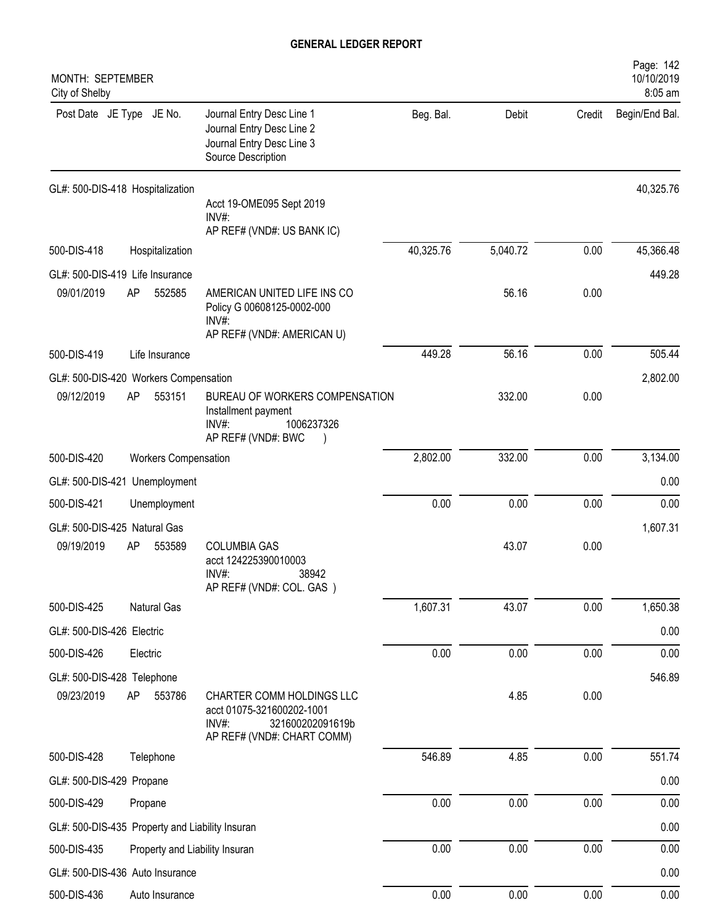| MONTH: SEPTEMBER<br>City of Shelby                  |                                |                                                                                                                   |           |          |        | Page: 142<br>10/10/2019<br>8:05 am |
|-----------------------------------------------------|--------------------------------|-------------------------------------------------------------------------------------------------------------------|-----------|----------|--------|------------------------------------|
| Post Date JE Type JE No.                            |                                | Journal Entry Desc Line 1<br>Journal Entry Desc Line 2<br>Journal Entry Desc Line 3<br>Source Description         | Beg. Bal. | Debit    | Credit | Begin/End Bal.                     |
| GL#: 500-DIS-418 Hospitalization                    |                                |                                                                                                                   |           |          |        | 40,325.76                          |
|                                                     |                                | Acct 19-OME095 Sept 2019<br>$INV#$ :<br>AP REF# (VND#: US BANK IC)                                                |           |          |        |                                    |
| 500-DIS-418                                         | Hospitalization                |                                                                                                                   | 40,325.76 | 5,040.72 | 0.00   | 45,366.48                          |
| GL#: 500-DIS-419 Life Insurance                     |                                |                                                                                                                   |           |          |        | 449.28                             |
| 09/01/2019                                          | AP<br>552585                   | AMERICAN UNITED LIFE INS CO<br>Policy G 00608125-0002-000<br>INV#:                                                |           | 56.16    | 0.00   |                                    |
|                                                     |                                | AP REF# (VND#: AMERICAN U)                                                                                        |           |          |        |                                    |
| 500-DIS-419                                         | Life Insurance                 |                                                                                                                   | 449.28    | 56.16    | 0.00   | 505.44                             |
| GL#: 500-DIS-420 Workers Compensation<br>09/12/2019 | 553151<br>AP                   | BUREAU OF WORKERS COMPENSATION                                                                                    |           | 332.00   | 0.00   | 2,802.00                           |
|                                                     |                                | Installment payment<br>1006237326<br>$INV#$ :<br>AP REF# (VND#: BWC                                               |           |          |        |                                    |
| 500-DIS-420                                         | <b>Workers Compensation</b>    |                                                                                                                   | 2,802.00  | 332.00   | 0.00   | 3,134.00                           |
| GL#: 500-DIS-421 Unemployment                       |                                |                                                                                                                   |           |          |        | 0.00                               |
| 500-DIS-421                                         | Unemployment                   |                                                                                                                   | 0.00      | 0.00     | 0.00   | 0.00                               |
| GL#: 500-DIS-425 Natural Gas                        |                                |                                                                                                                   |           |          |        | 1,607.31                           |
| 09/19/2019                                          | AP<br>553589                   | <b>COLUMBIA GAS</b><br>acct 124225390010003<br>INV#:<br>38942<br>AP REF# (VND#: COL. GAS)                         |           | 43.07    | 0.00   |                                    |
| 500-DIS-425                                         | Natural Gas                    |                                                                                                                   | 1,607.31  | 43.07    | 0.00   | 1,650.38                           |
| GL#: 500-DIS-426 Electric                           |                                |                                                                                                                   |           |          |        | 0.00                               |
| 500-DIS-426                                         | Electric                       |                                                                                                                   | 0.00      | 0.00     | 0.00   | 0.00                               |
| GL#: 500-DIS-428 Telephone                          |                                |                                                                                                                   |           |          |        | 546.89                             |
| 09/23/2019                                          | AP<br>553786                   | CHARTER COMM HOLDINGS LLC<br>acct 01075-321600202-1001<br>321600202091619b<br>INV#:<br>AP REF# (VND#: CHART COMM) |           | 4.85     | 0.00   |                                    |
| 500-DIS-428                                         | Telephone                      |                                                                                                                   | 546.89    | 4.85     | 0.00   | 551.74                             |
| GL#: 500-DIS-429 Propane                            |                                |                                                                                                                   |           |          |        | 0.00                               |
| 500-DIS-429                                         | Propane                        |                                                                                                                   | 0.00      | 0.00     | 0.00   | 0.00                               |
| GL#: 500-DIS-435 Property and Liability Insuran     |                                |                                                                                                                   |           |          |        | 0.00                               |
| 500-DIS-435                                         | Property and Liability Insuran |                                                                                                                   | 0.00      | 0.00     | 0.00   | 0.00                               |
| GL#: 500-DIS-436 Auto Insurance                     |                                |                                                                                                                   |           |          |        | 0.00                               |
| 500-DIS-436                                         | Auto Insurance                 |                                                                                                                   | $0.00\,$  | 0.00     | 0.00   | 0.00                               |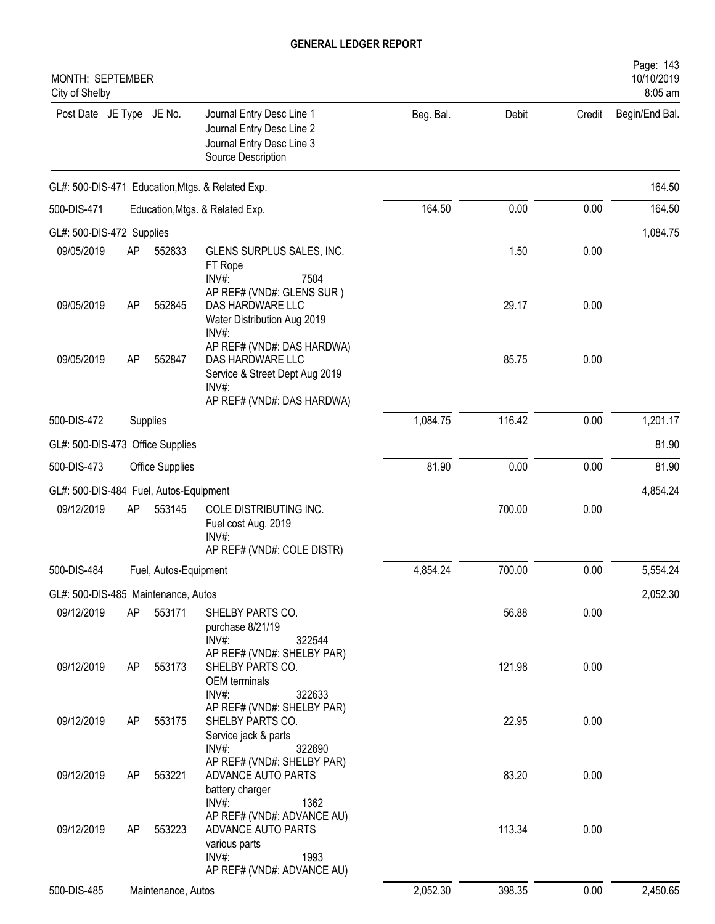| MONTH: SEPTEMBER<br>City of Shelby                   |    |                       |                                                                                                                                                            |           |        |        | Page: 143<br>10/10/2019<br>8:05 am |
|------------------------------------------------------|----|-----------------------|------------------------------------------------------------------------------------------------------------------------------------------------------------|-----------|--------|--------|------------------------------------|
| Post Date JE Type JE No.                             |    |                       | Journal Entry Desc Line 1<br>Journal Entry Desc Line 2<br>Journal Entry Desc Line 3<br>Source Description                                                  | Beg. Bal. | Debit  | Credit | Begin/End Bal.                     |
|                                                      |    |                       | GL#: 500-DIS-471 Education, Mtgs. & Related Exp.                                                                                                           |           |        |        | 164.50                             |
| 500-DIS-471                                          |    |                       | Education, Mtgs. & Related Exp.                                                                                                                            | 164.50    | 0.00   | 0.00   | 164.50                             |
| GL#: 500-DIS-472 Supplies                            |    |                       |                                                                                                                                                            |           |        |        | 1,084.75                           |
| 09/05/2019                                           | AP | 552833                | GLENS SURPLUS SALES, INC.<br>FT Rope<br>INV#:<br>7504                                                                                                      |           | 1.50   | 0.00   |                                    |
| 09/05/2019                                           | AP | 552845                | AP REF# (VND#: GLENS SUR)<br>DAS HARDWARE LLC<br>Water Distribution Aug 2019<br>INV#:                                                                      |           | 29.17  | 0.00   |                                    |
| 09/05/2019                                           | AP | 552847                | AP REF# (VND#: DAS HARDWA)<br>DAS HARDWARE LLC<br>Service & Street Dept Aug 2019<br>INV#:                                                                  |           | 85.75  | 0.00   |                                    |
| 500-DIS-472                                          |    | Supplies              | AP REF# (VND#: DAS HARDWA)                                                                                                                                 | 1,084.75  | 116.42 | 0.00   | 1,201.17                           |
| GL#: 500-DIS-473 Office Supplies                     |    |                       |                                                                                                                                                            |           |        |        | 81.90                              |
| 500-DIS-473                                          |    | Office Supplies       |                                                                                                                                                            | 81.90     | 0.00   | 0.00   | 81.90                              |
|                                                      |    |                       |                                                                                                                                                            |           |        |        |                                    |
| GL#: 500-DIS-484 Fuel, Autos-Equipment<br>09/12/2019 | AP | 553145                | COLE DISTRIBUTING INC.<br>Fuel cost Aug. 2019<br>$INV#$ :<br>AP REF# (VND#: COLE DISTR)                                                                    |           | 700.00 | 0.00   | 4,854.24                           |
| 500-DIS-484                                          |    | Fuel, Autos-Equipment |                                                                                                                                                            | 4,854.24  | 700.00 | 0.00   | 5,554.24                           |
| GL#: 500-DIS-485 Maintenance, Autos                  |    |                       |                                                                                                                                                            |           |        |        | 2,052.30                           |
| 09/12/2019                                           | AP | 553171                | SHELBY PARTS CO.<br>purchase 8/21/19<br>INV#:<br>322544                                                                                                    |           | 56.88  | 0.00   |                                    |
| 09/12/2019                                           | AP | 553173                | AP REF# (VND#: SHELBY PAR)<br>SHELBY PARTS CO.<br>OEM terminals<br>INV#:<br>322633                                                                         |           | 121.98 | 0.00   |                                    |
| 09/12/2019                                           | AP | 553175                | AP REF# (VND#: SHELBY PAR)<br>SHELBY PARTS CO.<br>Service jack & parts                                                                                     |           | 22.95  | 0.00   |                                    |
| 09/12/2019                                           | AP | 553221                | INV#:<br>322690<br>AP REF# (VND#: SHELBY PAR)<br>ADVANCE AUTO PARTS                                                                                        |           | 83.20  | 0.00   |                                    |
| 09/12/2019                                           | AP | 553223                | battery charger<br>$INV#$ :<br>1362<br>AP REF# (VND#: ADVANCE AU)<br>ADVANCE AUTO PARTS<br>various parts<br>$INV#$ :<br>1993<br>AP REF# (VND#: ADVANCE AU) |           | 113.34 | 0.00   |                                    |
| 500-DIS-485                                          |    | Maintenance, Autos    |                                                                                                                                                            | 2,052.30  | 398.35 | 0.00   | 2,450.65                           |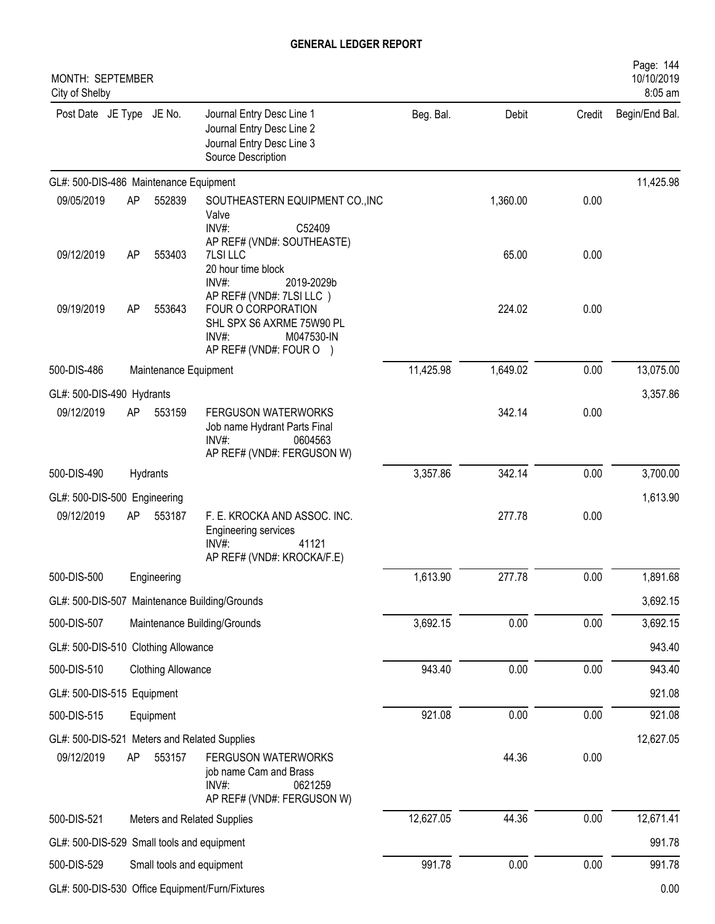| MONTH: SEPTEMBER<br>City of Shelby         |    |                           |                                                                                                                             |           |          |        | Page: 144<br>10/10/2019<br>8:05 am |
|--------------------------------------------|----|---------------------------|-----------------------------------------------------------------------------------------------------------------------------|-----------|----------|--------|------------------------------------|
| Post Date JE Type JE No.                   |    |                           | Journal Entry Desc Line 1<br>Journal Entry Desc Line 2<br>Journal Entry Desc Line 3<br>Source Description                   | Beg. Bal. | Debit    | Credit | Begin/End Bal.                     |
| GL#: 500-DIS-486 Maintenance Equipment     |    |                           |                                                                                                                             |           |          |        | 11,425.98                          |
| 09/05/2019                                 | AP | 552839                    | SOUTHEASTERN EQUIPMENT CO., INC<br>Valve<br>INV#:<br>C52409                                                                 |           | 1,360.00 | 0.00   |                                    |
| 09/12/2019                                 | AP | 553403                    | AP REF# (VND#: SOUTHEASTE)<br>7LSI LLC<br>20 hour time block<br>INV#:<br>2019-2029b                                         |           | 65.00    | 0.00   |                                    |
| 09/19/2019                                 | AP | 553643                    | AP REF# (VND#: 7LSI LLC)<br>FOUR O CORPORATION<br>SHL SPX S6 AXRME 75W90 PL<br>INV#:<br>M047530-IN<br>AP REF# (VND#: FOUR O |           | 224.02   | 0.00   |                                    |
| 500-DIS-486                                |    | Maintenance Equipment     |                                                                                                                             | 11,425.98 | 1,649.02 | 0.00   | 13,075.00                          |
| GL#: 500-DIS-490 Hydrants                  |    |                           |                                                                                                                             |           |          |        | 3,357.86                           |
| 09/12/2019                                 | AP | 553159                    | <b>FERGUSON WATERWORKS</b><br>Job name Hydrant Parts Final<br>INV#:<br>0604563<br>AP REF# (VND#: FERGUSON W)                |           | 342.14   | 0.00   |                                    |
| 500-DIS-490                                |    | Hydrants                  |                                                                                                                             | 3,357.86  | 342.14   | 0.00   | 3,700.00                           |
| GL#: 500-DIS-500 Engineering               |    |                           |                                                                                                                             |           |          |        | 1,613.90                           |
| 09/12/2019                                 | AP | 553187                    | F. E. KROCKA AND ASSOC. INC.<br><b>Engineering services</b><br>41121<br>$INV#$ :<br>AP REF# (VND#: KROCKA/F.E)              |           | 277.78   | 0.00   |                                    |
| 500-DIS-500                                |    | Engineering               |                                                                                                                             | 1,613.90  | 277.78   | 0.00   | 1,891.68                           |
|                                            |    |                           | GL#: 500-DIS-507 Maintenance Building/Grounds                                                                               |           |          |        | 3,692.15                           |
| 500-DIS-507                                |    |                           | Maintenance Building/Grounds                                                                                                | 3,692.15  | 0.00     | 0.00   | 3,692.15                           |
| GL#: 500-DIS-510 Clothing Allowance        |    |                           |                                                                                                                             |           |          |        | 943.40                             |
| 500-DIS-510                                |    | <b>Clothing Allowance</b> |                                                                                                                             | 943.40    | 0.00     | 0.00   | 943.40                             |
| GL#: 500-DIS-515 Equipment                 |    |                           |                                                                                                                             |           |          |        | 921.08                             |
| 500-DIS-515                                |    | Equipment                 |                                                                                                                             | 921.08    | 0.00     | 0.00   | 921.08                             |
|                                            |    |                           | GL#: 500-DIS-521 Meters and Related Supplies                                                                                |           |          |        | 12,627.05                          |
| 09/12/2019                                 | AP | 553157                    | FERGUSON WATERWORKS<br>job name Cam and Brass<br>INV#:<br>0621259<br>AP REF# (VND#: FERGUSON W)                             |           | 44.36    | 0.00   |                                    |
| 500-DIS-521                                |    |                           | Meters and Related Supplies                                                                                                 | 12,627.05 | 44.36    | 0.00   | 12,671.41                          |
| GL#: 500-DIS-529 Small tools and equipment |    |                           |                                                                                                                             |           |          |        | 991.78                             |
| 500-DIS-529                                |    |                           | Small tools and equipment                                                                                                   | 991.78    | 0.00     | 0.00   | 991.78                             |
|                                            |    |                           | GL#: 500-DIS-530 Office Equipment/Furn/Fixtures                                                                             |           |          |        | 0.00                               |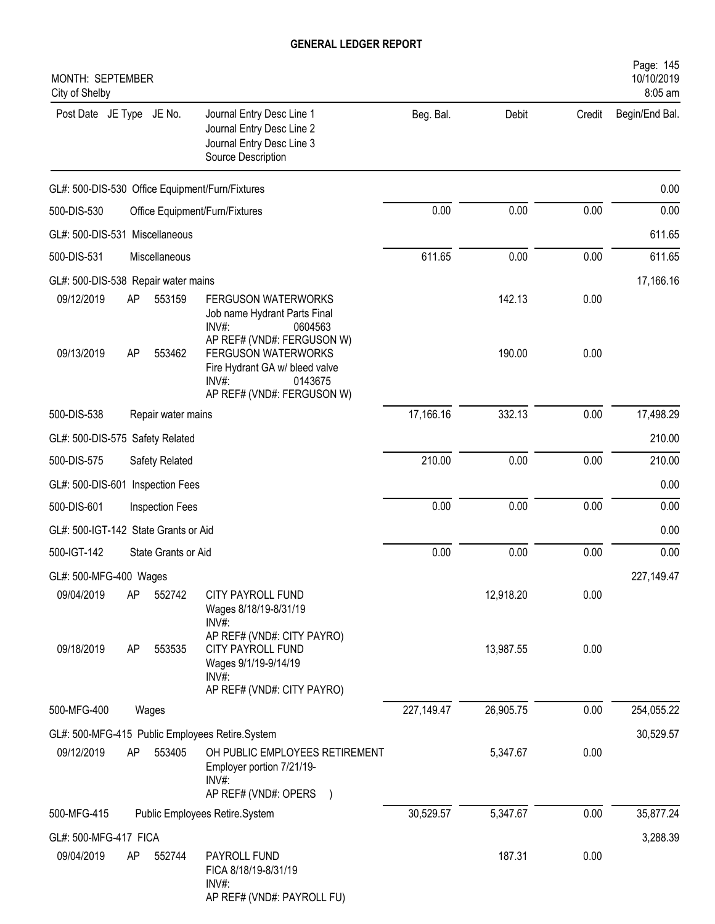| MONTH: SEPTEMBER<br>City of Shelby                                                                                                                  |            |           |        | Page: 145<br>10/10/2019<br>8:05 am |
|-----------------------------------------------------------------------------------------------------------------------------------------------------|------------|-----------|--------|------------------------------------|
| Post Date JE Type JE No.<br>Journal Entry Desc Line 1<br>Journal Entry Desc Line 2<br>Journal Entry Desc Line 3<br>Source Description               | Beg. Bal.  | Debit     | Credit | Begin/End Bal.                     |
| GL#: 500-DIS-530 Office Equipment/Furn/Fixtures                                                                                                     |            |           |        | 0.00                               |
| 500-DIS-530<br>Office Equipment/Furn/Fixtures                                                                                                       | 0.00       | 0.00      | 0.00   | 0.00                               |
| GL#: 500-DIS-531 Miscellaneous                                                                                                                      |            |           |        | 611.65                             |
| 500-DIS-531<br>Miscellaneous                                                                                                                        | 611.65     | 0.00      | 0.00   | 611.65                             |
| GL#: 500-DIS-538 Repair water mains                                                                                                                 |            |           |        | 17,166.16                          |
| 09/12/2019<br>553159<br><b>FERGUSON WATERWORKS</b><br>AP<br>Job name Hydrant Parts Final<br>INV#:<br>0604563<br>AP REF# (VND#: FERGUSON W)          |            | 142.13    | 0.00   |                                    |
| 09/13/2019<br>AP<br>553462<br>FERGUSON WATERWORKS<br>Fire Hydrant GA w/ bleed valve<br>INV#:<br>0143675<br>AP REF# (VND#: FERGUSON W)               |            | 190.00    | 0.00   |                                    |
| 500-DIS-538<br>Repair water mains                                                                                                                   | 17,166.16  | 332.13    | 0.00   | 17,498.29                          |
| GL#: 500-DIS-575 Safety Related                                                                                                                     |            |           |        | 210.00                             |
| 500-DIS-575<br>Safety Related                                                                                                                       | 210.00     | 0.00      | 0.00   | 210.00                             |
| GL#: 500-DIS-601 Inspection Fees                                                                                                                    |            |           |        | 0.00                               |
| 500-DIS-601<br>Inspection Fees                                                                                                                      | 0.00       | 0.00      | 0.00   | 0.00                               |
| GL#: 500-IGT-142 State Grants or Aid                                                                                                                |            |           |        | 0.00                               |
| 500-IGT-142<br>State Grants or Aid                                                                                                                  | 0.00       | 0.00      | 0.00   | 0.00                               |
| GL#: 500-MFG-400 Wages                                                                                                                              |            |           |        | 227,149.47                         |
| 09/04/2019<br>AP<br>552742<br>CITY PAYROLL FUND<br>Wages 8/18/19-8/31/19<br>INV#:                                                                   |            | 12,918.20 | 0.00   |                                    |
| AP REF# (VND#: CITY PAYRO)<br>09/18/2019<br><b>CITY PAYROLL FUND</b><br>553535<br>AP<br>Wages 9/1/19-9/14/19<br>INV#:<br>AP REF# (VND#: CITY PAYRO) |            | 13,987.55 | 0.00   |                                    |
| 500-MFG-400<br>Wages                                                                                                                                | 227,149.47 | 26,905.75 | 0.00   | 254,055.22                         |
| GL#: 500-MFG-415 Public Employees Retire.System                                                                                                     |            |           |        | 30,529.57                          |
| 09/12/2019<br>AP<br>553405<br>OH PUBLIC EMPLOYEES RETIREMENT<br>Employer portion 7/21/19-<br>$INV#$ :                                               |            | 5,347.67  | 0.00   |                                    |
| AP REF# (VND#: OPERS                                                                                                                                |            |           |        |                                    |
| Public Employees Retire.System<br>500-MFG-415                                                                                                       | 30,529.57  | 5,347.67  | 0.00   | 35,877.24                          |
| GL#: 500-MFG-417 FICA                                                                                                                               |            |           |        | 3,288.39                           |
| 09/04/2019<br>552744<br>PAYROLL FUND<br>AP<br>FICA 8/18/19-8/31/19<br>$INV#$ :<br>AP REF# (VND#: PAYROLL FU)                                        |            | 187.31    | 0.00   |                                    |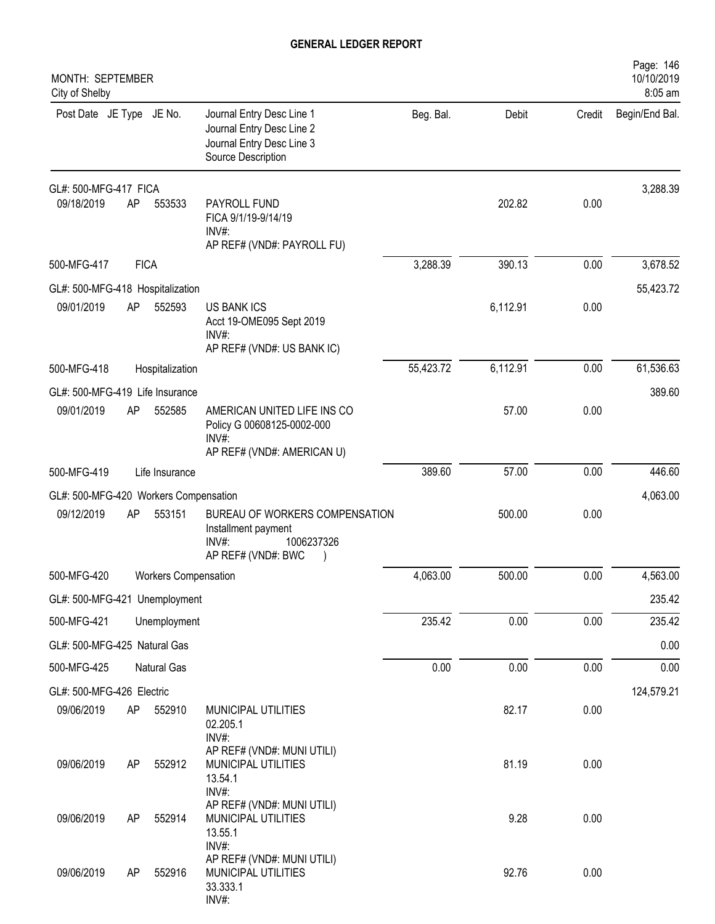| MONTH: SEPTEMBER<br>City of Shelby    |             |                             |                                                                                                           |           |          |        | Page: 146<br>10/10/2019<br>8:05 am |
|---------------------------------------|-------------|-----------------------------|-----------------------------------------------------------------------------------------------------------|-----------|----------|--------|------------------------------------|
| Post Date JE Type JE No.              |             |                             | Journal Entry Desc Line 1<br>Journal Entry Desc Line 2<br>Journal Entry Desc Line 3<br>Source Description | Beg. Bal. | Debit    | Credit | Begin/End Bal.                     |
| GL#: 500-MFG-417 FICA                 |             |                             |                                                                                                           |           |          |        | 3,288.39                           |
| 09/18/2019                            | AP          | 553533                      | PAYROLL FUND<br>FICA 9/1/19-9/14/19<br>$INV#$ :<br>AP REF# (VND#: PAYROLL FU)                             |           | 202.82   | 0.00   |                                    |
| 500-MFG-417                           | <b>FICA</b> |                             |                                                                                                           | 3,288.39  | 390.13   | 0.00   | 3,678.52                           |
| GL#: 500-MFG-418 Hospitalization      |             |                             |                                                                                                           |           |          |        | 55,423.72                          |
| 09/01/2019                            | AP          | 552593                      | <b>US BANK ICS</b><br>Acct 19-OME095 Sept 2019<br>INV#:<br>AP REF# (VND#: US BANK IC)                     |           | 6,112.91 | 0.00   |                                    |
| 500-MFG-418                           |             | Hospitalization             |                                                                                                           | 55,423.72 | 6,112.91 | 0.00   | 61,536.63                          |
| GL#: 500-MFG-419 Life Insurance       |             |                             |                                                                                                           |           |          |        | 389.60                             |
| 09/01/2019                            | AP          | 552585                      | AMERICAN UNITED LIFE INS CO<br>Policy G 00608125-0002-000<br>$INV#$ :<br>AP REF# (VND#: AMERICAN U)       |           | 57.00    | 0.00   |                                    |
| 500-MFG-419                           |             | Life Insurance              |                                                                                                           | 389.60    | 57.00    | 0.00   | 446.60                             |
| GL#: 500-MFG-420 Workers Compensation |             |                             |                                                                                                           |           |          |        | 4,063.00                           |
| 09/12/2019                            | AP          | 553151                      | BUREAU OF WORKERS COMPENSATION<br>Installment payment<br>1006237326<br>INV#<br>AP REF# (VND#: BWC         |           | 500.00   | 0.00   |                                    |
| 500-MFG-420                           |             | <b>Workers Compensation</b> |                                                                                                           | 4,063.00  | 500.00   | 0.00   | 4,563.00                           |
| GL#: 500-MFG-421 Unemployment         |             |                             |                                                                                                           |           |          |        | 235.42                             |
| 500-MFG-421                           |             | Unemployment                |                                                                                                           | 235.42    | 0.00     | 0.00   | 235.42                             |
| GL#: 500-MFG-425 Natural Gas          |             |                             |                                                                                                           |           |          |        | 0.00                               |
| 500-MFG-425                           |             | Natural Gas                 |                                                                                                           | 0.00      | 0.00     | 0.00   | 0.00                               |
| GL#: 500-MFG-426 Electric             |             |                             |                                                                                                           |           |          |        | 124,579.21                         |
| 09/06/2019                            | AP          | 552910                      | MUNICIPAL UTILITIES<br>02.205.1<br>INV#:                                                                  |           | 82.17    | 0.00   |                                    |
| 09/06/2019                            | AP          | 552912                      | AP REF# (VND#: MUNI UTILI)<br>MUNICIPAL UTILITIES<br>13.54.1<br>INV#:                                     |           | 81.19    | 0.00   |                                    |
| 09/06/2019                            | AP          | 552914                      | AP REF# (VND#: MUNI UTILI)<br>MUNICIPAL UTILITIES<br>13.55.1<br>INV#:                                     |           | 9.28     | 0.00   |                                    |
| 09/06/2019                            | AP          | 552916                      | AP REF# (VND#: MUNI UTILI)<br>MUNICIPAL UTILITIES<br>33.333.1<br>INV#:                                    |           | 92.76    | 0.00   |                                    |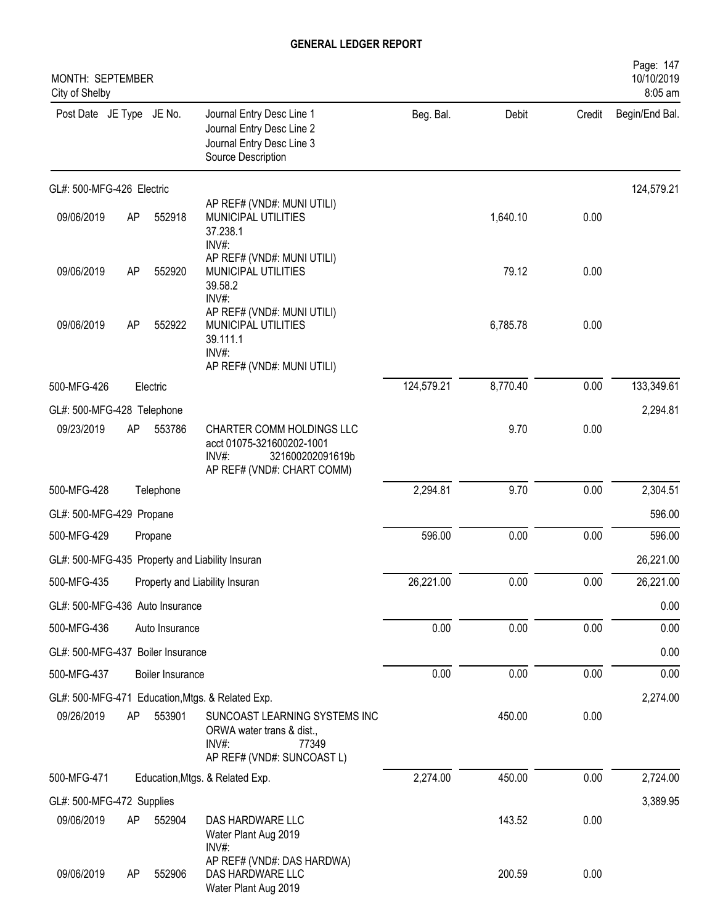| MONTH: SEPTEMBER<br>City of Shelby |    |                  |                                                                                                                   |            |          |        | Page: 147<br>10/10/2019<br>8:05 am |
|------------------------------------|----|------------------|-------------------------------------------------------------------------------------------------------------------|------------|----------|--------|------------------------------------|
| Post Date JE Type JE No.           |    |                  | Journal Entry Desc Line 1<br>Journal Entry Desc Line 2<br>Journal Entry Desc Line 3<br>Source Description         | Beg. Bal.  | Debit    | Credit | Begin/End Bal.                     |
| GL#: 500-MFG-426 Electric          |    |                  |                                                                                                                   |            |          |        | 124,579.21                         |
| 09/06/2019                         | AP | 552918           | AP REF# (VND#: MUNI UTILI)<br>MUNICIPAL UTILITIES<br>37.238.1<br>INV#:                                            |            | 1,640.10 | 0.00   |                                    |
| 09/06/2019                         | AP | 552920           | AP REF# (VND#: MUNI UTILI)<br>MUNICIPAL UTILITIES<br>39.58.2<br>INV#:                                             |            | 79.12    | 0.00   |                                    |
| 09/06/2019                         | AP | 552922           | AP REF# (VND#: MUNI UTILI)<br>MUNICIPAL UTILITIES<br>39.111.1<br>INV#:<br>AP REF# (VND#: MUNI UTILI)              |            | 6,785.78 | 0.00   |                                    |
| 500-MFG-426                        |    | Electric         |                                                                                                                   | 124,579.21 | 8,770.40 | 0.00   | 133,349.61                         |
| GL#: 500-MFG-428 Telephone         |    |                  |                                                                                                                   |            |          |        | 2,294.81                           |
| 09/23/2019                         | AP | 553786           | CHARTER COMM HOLDINGS LLC<br>acct 01075-321600202-1001<br>INV#:<br>321600202091619b<br>AP REF# (VND#: CHART COMM) |            | 9.70     | 0.00   |                                    |
| 500-MFG-428                        |    | Telephone        |                                                                                                                   | 2,294.81   | 9.70     | 0.00   | 2,304.51                           |
| GL#: 500-MFG-429 Propane           |    |                  |                                                                                                                   |            |          |        | 596.00                             |
| 500-MFG-429                        |    | Propane          |                                                                                                                   | 596.00     | 0.00     | 0.00   | 596.00                             |
|                                    |    |                  | GL#: 500-MFG-435 Property and Liability Insuran                                                                   |            |          |        | 26,221.00                          |
| 500-MFG-435                        |    |                  | Property and Liability Insuran                                                                                    | 26,221.00  | 0.00     | 0.00   | 26,221.00                          |
| GL#: 500-MFG-436 Auto Insurance    |    |                  |                                                                                                                   |            |          |        | 0.00                               |
| 500-MFG-436                        |    | Auto Insurance   |                                                                                                                   | 0.00       | 0.00     | 0.00   | 0.00                               |
| GL#: 500-MFG-437 Boiler Insurance  |    |                  |                                                                                                                   |            |          |        | 0.00                               |
| 500-MFG-437                        |    | Boiler Insurance |                                                                                                                   | 0.00       | 0.00     | 0.00   | 0.00                               |
|                                    |    |                  | GL#: 500-MFG-471 Education, Mtgs. & Related Exp.                                                                  |            |          |        | 2,274.00                           |
| 09/26/2019                         | AP | 553901           | SUNCOAST LEARNING SYSTEMS INC<br>ORWA water trans & dist.,<br>INV#:<br>77349<br>AP REF# (VND#: SUNCOAST L)        |            | 450.00   | 0.00   |                                    |
| 500-MFG-471                        |    |                  | Education, Mtgs. & Related Exp.                                                                                   | 2,274.00   | 450.00   | 0.00   | 2,724.00                           |
| GL#: 500-MFG-472 Supplies          |    |                  |                                                                                                                   |            |          |        | 3,389.95                           |
| 09/06/2019                         | AP | 552904           | DAS HARDWARE LLC<br>Water Plant Aug 2019<br>INV#:                                                                 |            | 143.52   | 0.00   |                                    |
| 09/06/2019                         | AP | 552906           | AP REF# (VND#: DAS HARDWA)<br>DAS HARDWARE LLC<br>Water Plant Aug 2019                                            |            | 200.59   | 0.00   |                                    |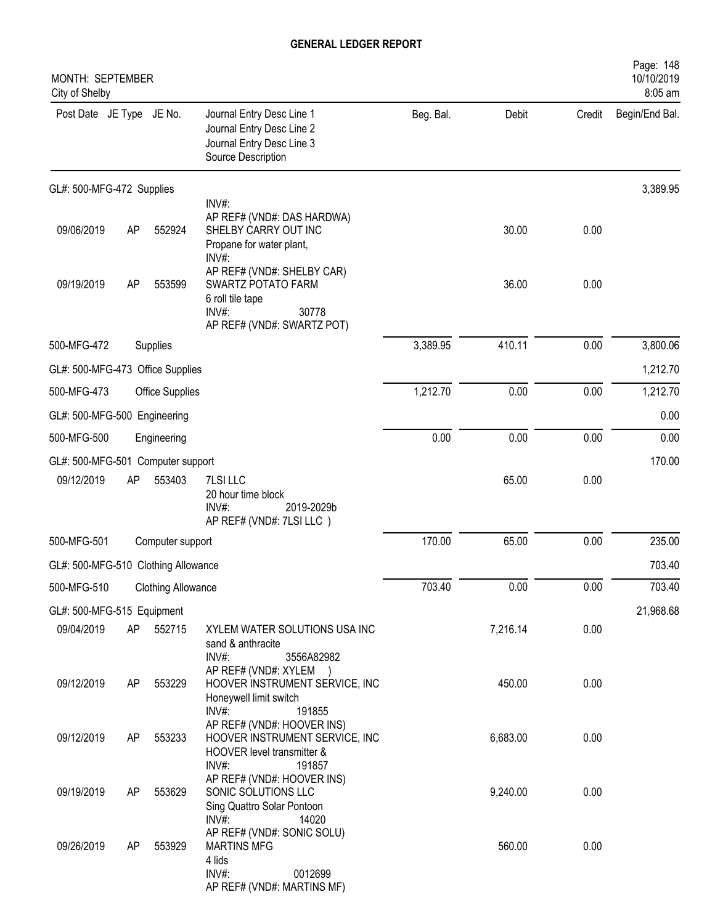| MONTH: SEPTEMBER<br>City of Shelby  |    |                           |                                                                                                                         |           |          |        | Page: 148<br>10/10/2019<br>8:05 am |
|-------------------------------------|----|---------------------------|-------------------------------------------------------------------------------------------------------------------------|-----------|----------|--------|------------------------------------|
| Post Date JE Type JE No.            |    |                           | Journal Entry Desc Line 1<br>Journal Entry Desc Line 2<br>Journal Entry Desc Line 3<br>Source Description               | Beg. Bal. | Debit    | Credit | Begin/End Bal.                     |
| GL#: 500-MFG-472 Supplies           |    |                           |                                                                                                                         |           |          |        | 3,389.95                           |
| 09/06/2019                          | AP | 552924                    | INV#:<br>AP REF# (VND#: DAS HARDWA)<br>SHELBY CARRY OUT INC<br>Propane for water plant,<br>INV#:                        |           | 30.00    | 0.00   |                                    |
| 09/19/2019                          | AP | 553599                    | AP REF# (VND#: SHELBY CAR)<br>SWARTZ POTATO FARM<br>6 roll tile tape<br>$INV#$ :<br>30778<br>AP REF# (VND#: SWARTZ POT) |           | 36.00    | 0.00   |                                    |
| 500-MFG-472                         |    | Supplies                  |                                                                                                                         | 3,389.95  | 410.11   | 0.00   | 3,800.06                           |
| GL#: 500-MFG-473 Office Supplies    |    |                           |                                                                                                                         |           |          |        | 1,212.70                           |
| 500-MFG-473                         |    | <b>Office Supplies</b>    |                                                                                                                         | 1,212.70  | 0.00     | 0.00   | 1,212.70                           |
| GL#: 500-MFG-500 Engineering        |    |                           |                                                                                                                         |           |          |        | 0.00                               |
| 500-MFG-500                         |    | Engineering               |                                                                                                                         | 0.00      | 0.00     | 0.00   | 0.00                               |
| GL#: 500-MFG-501                    |    | Computer support          |                                                                                                                         |           |          |        | 170.00                             |
| 09/12/2019                          | AP | 553403                    | 7LSI LLC<br>20 hour time block<br>$INV#$ :<br>2019-2029b<br>AP REF# (VND#: 7LSI LLC)                                    |           | 65.00    | 0.00   |                                    |
| 500-MFG-501                         |    | Computer support          |                                                                                                                         | 170.00    | 65.00    | 0.00   | 235.00                             |
| GL#: 500-MFG-510 Clothing Allowance |    |                           |                                                                                                                         |           |          |        | 703.40                             |
| 500-MFG-510                         |    | <b>Clothing Allowance</b> |                                                                                                                         | 703.40    | 0.00     | 0.00   | 703.40                             |
| GL#: 500-MFG-515 Equipment          |    |                           |                                                                                                                         |           |          |        | 21,968.68                          |
| 09/04/2019                          | AP | 552715                    | XYLEM WATER SOLUTIONS USA INC<br>sand & anthracite<br>INV#:<br>3556A82982                                               |           | 7,216.14 | 0.00   |                                    |
| 09/12/2019                          | AP | 553229                    | AP REF# (VND#: XYLEM )<br>HOOVER INSTRUMENT SERVICE, INC<br>Honeywell limit switch<br>INV#:<br>191855                   |           | 450.00   | 0.00   |                                    |
| 09/12/2019                          | AP | 553233                    | AP REF# (VND#: HOOVER INS)<br>HOOVER INSTRUMENT SERVICE, INC<br>HOOVER level transmitter &<br>$INV#$ :<br>191857        |           | 6,683.00 | 0.00   |                                    |
| 09/19/2019                          | AP | 553629                    | AP REF# (VND#: HOOVER INS)<br>SONIC SOLUTIONS LLC<br>Sing Quattro Solar Pontoon<br>INV#:<br>14020                       |           | 9,240.00 | 0.00   |                                    |
| 09/26/2019                          | AP | 553929                    | AP REF# (VND#: SONIC SOLU)<br><b>MARTINS MFG</b><br>4 lids<br>INV#:<br>0012699<br>AP REF# (VND#: MARTINS MF)            |           | 560.00   | 0.00   |                                    |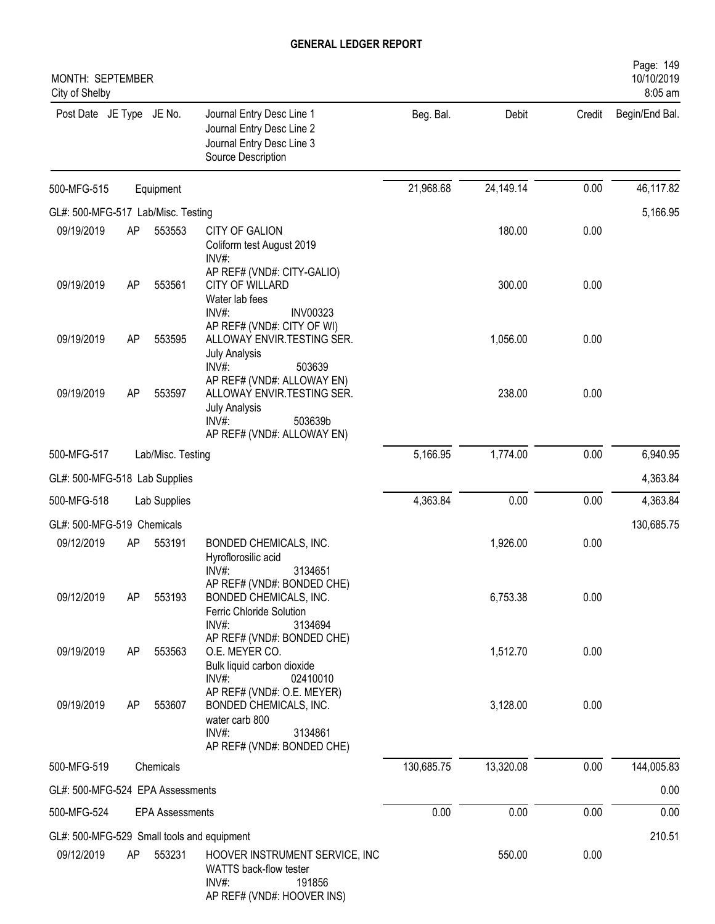| MONTH: SEPTEMBER<br>City of Shelby         |    |                        |                                                                                                                                    |            |           |        | Page: 149<br>10/10/2019<br>8:05 am |
|--------------------------------------------|----|------------------------|------------------------------------------------------------------------------------------------------------------------------------|------------|-----------|--------|------------------------------------|
| Post Date JE Type JE No.                   |    |                        | Journal Entry Desc Line 1<br>Journal Entry Desc Line 2<br>Journal Entry Desc Line 3<br>Source Description                          | Beg. Bal.  | Debit     | Credit | Begin/End Bal.                     |
| 500-MFG-515                                |    | Equipment              |                                                                                                                                    | 21,968.68  | 24,149.14 | 0.00   | 46,117.82                          |
| GL#: 500-MFG-517 Lab/Misc. Testing         |    |                        |                                                                                                                                    |            |           |        | 5,166.95                           |
| 09/19/2019                                 | AP | 553553                 | <b>CITY OF GALION</b><br>Coliform test August 2019<br>INV#:                                                                        |            | 180.00    | 0.00   |                                    |
| 09/19/2019                                 | AP | 553561                 | AP REF# (VND#: CITY-GALIO)<br><b>CITY OF WILLARD</b><br>Water lab fees<br>INV#:<br><b>INV00323</b>                                 |            | 300.00    | 0.00   |                                    |
| 09/19/2019                                 | AP | 553595                 | AP REF# (VND#: CITY OF WI)<br>ALLOWAY ENVIR.TESTING SER.<br><b>July Analysis</b><br>$INV#$ :<br>503639                             |            | 1,056.00  | 0.00   |                                    |
| 09/19/2019                                 | AP | 553597                 | AP REF# (VND#: ALLOWAY EN)<br>ALLOWAY ENVIR.TESTING SER.<br><b>July Analysis</b><br>INV#:<br>503639b<br>AP REF# (VND#: ALLOWAY EN) |            | 238.00    | 0.00   |                                    |
| 500-MFG-517                                |    | Lab/Misc. Testing      |                                                                                                                                    | 5,166.95   | 1,774.00  | 0.00   | 6,940.95                           |
| GL#: 500-MFG-518 Lab Supplies              |    |                        |                                                                                                                                    |            |           |        | 4,363.84                           |
| 500-MFG-518                                |    | Lab Supplies           |                                                                                                                                    | 4,363.84   | 0.00      | 0.00   | 4,363.84                           |
| GL#: 500-MFG-519 Chemicals                 |    |                        |                                                                                                                                    |            |           |        | 130,685.75                         |
| 09/12/2019                                 | AP | 553191                 | BONDED CHEMICALS, INC.<br>Hyroflorosilic acid<br>INV#:<br>3134651                                                                  |            | 1,926.00  | 0.00   |                                    |
| 09/12/2019                                 | AP | 553193                 | AP REF# (VND#: BONDED CHE)<br>BONDED CHEMICALS, INC.<br>Ferric Chloride Solution<br>INV#:<br>3134694                               |            | 6,753.38  | 0.00   |                                    |
| 09/19/2019                                 | AP | 553563                 | AP REF# (VND#: BONDED CHE)<br>O.E. MEYER CO.<br>Bulk liquid carbon dioxide<br>INV#:<br>02410010                                    |            | 1,512.70  | 0.00   |                                    |
| 09/19/2019                                 | AP | 553607                 | AP REF# (VND#: O.E. MEYER)<br>BONDED CHEMICALS, INC.<br>water carb 800<br>INV#:<br>3134861<br>AP REF# (VND#: BONDED CHE)           |            | 3,128.00  | 0.00   |                                    |
| 500-MFG-519                                |    | Chemicals              |                                                                                                                                    | 130,685.75 | 13,320.08 | 0.00   | 144,005.83                         |
| GL#: 500-MFG-524 EPA Assessments           |    |                        |                                                                                                                                    |            |           |        | 0.00                               |
| 500-MFG-524                                |    | <b>EPA Assessments</b> |                                                                                                                                    | 0.00       | 0.00      | 0.00   | 0.00                               |
| GL#: 500-MFG-529 Small tools and equipment |    |                        |                                                                                                                                    |            |           |        | 210.51                             |
| 09/12/2019                                 | AP | 553231                 | HOOVER INSTRUMENT SERVICE, INC<br>WATTS back-flow tester<br>INV#:<br>191856<br>AP REF# (VND#: HOOVER INS)                          |            | 550.00    | 0.00   |                                    |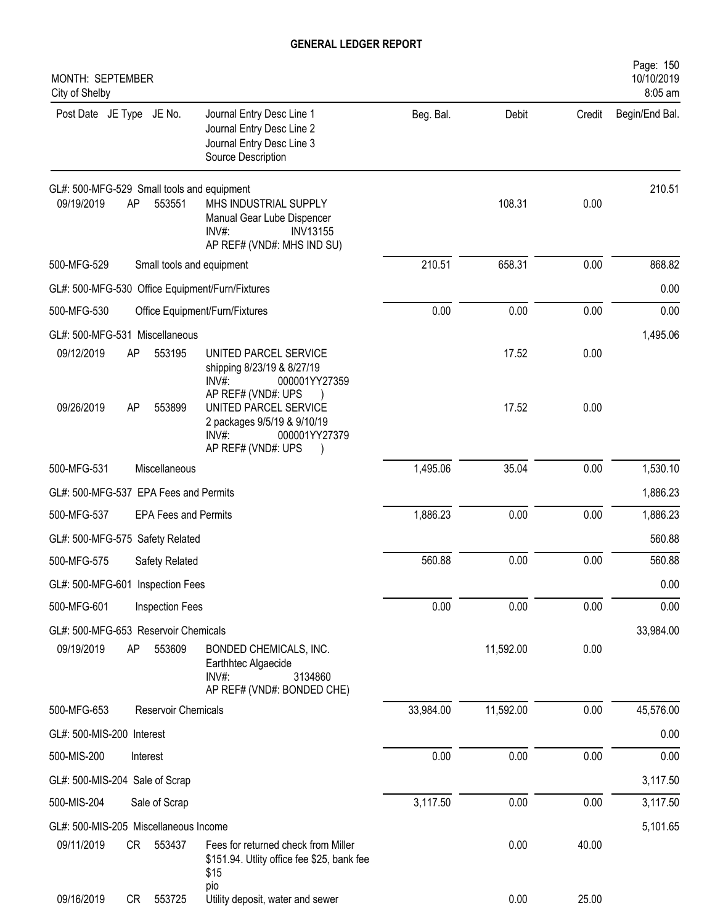| MONTH: SEPTEMBER<br>City of Shelby                                                                                                                                                        |           |           |        | Page: 150<br>10/10/2019<br>8:05 am |
|-------------------------------------------------------------------------------------------------------------------------------------------------------------------------------------------|-----------|-----------|--------|------------------------------------|
| Post Date JE Type JE No.<br>Journal Entry Desc Line 1<br>Journal Entry Desc Line 2<br>Journal Entry Desc Line 3<br>Source Description                                                     | Beg. Bal. | Debit     | Credit | Begin/End Bal.                     |
| GL#: 500-MFG-529 Small tools and equipment<br>AP<br>09/19/2019<br>553551<br>MHS INDUSTRIAL SUPPLY<br>Manual Gear Lube Dispencer<br>INV#:<br><b>INV13155</b><br>AP REF# (VND#: MHS IND SU) |           | 108.31    | 0.00   | 210.51                             |
| 500-MFG-529<br>Small tools and equipment                                                                                                                                                  | 210.51    | 658.31    | 0.00   | 868.82                             |
| GL#: 500-MFG-530 Office Equipment/Furn/Fixtures                                                                                                                                           |           |           |        | 0.00                               |
| 500-MFG-530<br>Office Equipment/Furn/Fixtures                                                                                                                                             | 0.00      | 0.00      | 0.00   | 0.00                               |
| GL#: 500-MFG-531 Miscellaneous                                                                                                                                                            |           |           |        | 1,495.06                           |
| 09/12/2019<br>AP<br>553195<br>UNITED PARCEL SERVICE<br>shipping 8/23/19 & 8/27/19<br>000001YY27359<br>INV#:<br>AP REF# (VND#: UPS                                                         |           | 17.52     | 0.00   |                                    |
| 09/26/2019<br>AP<br>553899<br>UNITED PARCEL SERVICE<br>2 packages 9/5/19 & 9/10/19<br>INV#:<br>000001YY27379<br>AP REF# (VND#: UPS                                                        |           | 17.52     | 0.00   |                                    |
| 500-MFG-531<br>Miscellaneous                                                                                                                                                              | 1,495.06  | 35.04     | 0.00   | 1,530.10                           |
| GL#: 500-MFG-537 EPA Fees and Permits                                                                                                                                                     |           |           |        | 1,886.23                           |
| 500-MFG-537<br><b>EPA Fees and Permits</b>                                                                                                                                                | 1,886.23  | 0.00      | 0.00   | 1,886.23                           |
| GL#: 500-MFG-575 Safety Related                                                                                                                                                           |           |           |        | 560.88                             |
| 500-MFG-575<br>Safety Related                                                                                                                                                             | 560.88    | 0.00      | 0.00   | 560.88                             |
| GL#: 500-MFG-601 Inspection Fees                                                                                                                                                          |           |           |        | 0.00                               |
| 500-MFG-601<br>Inspection Fees                                                                                                                                                            | 0.00      | 0.00      | 0.00   | 0.00                               |
| GL#: 500-MFG-653 Reservoir Chemicals                                                                                                                                                      |           |           |        | 33,984.00                          |
| 09/19/2019<br>AP<br>553609<br>BONDED CHEMICALS, INC.<br>Earthhtec Algaecide<br>INV#:<br>3134860<br>AP REF# (VND#: BONDED CHE)                                                             |           | 11,592.00 | 0.00   |                                    |
| 500-MFG-653<br>Reservoir Chemicals                                                                                                                                                        | 33,984.00 | 11,592.00 | 0.00   | 45,576.00                          |
| GL#: 500-MIS-200 Interest                                                                                                                                                                 |           |           |        | 0.00                               |
| 500-MIS-200<br>Interest                                                                                                                                                                   | 0.00      | 0.00      | 0.00   | 0.00                               |
| GL#: 500-MIS-204 Sale of Scrap                                                                                                                                                            |           |           |        | 3,117.50                           |
| 500-MIS-204<br>Sale of Scrap                                                                                                                                                              | 3,117.50  | 0.00      | 0.00   | 3,117.50                           |
| GL#: 500-MIS-205 Miscellaneous Income                                                                                                                                                     |           |           |        | 5,101.65                           |
| 09/11/2019<br>CR 553437<br>Fees for returned check from Miller<br>\$151.94. Utlity office fee \$25, bank fee<br>\$15                                                                      |           | 0.00      | 40.00  |                                    |
| pio<br>09/16/2019<br>553725<br>CR<br>Utility deposit, water and sewer                                                                                                                     |           | 0.00      | 25.00  |                                    |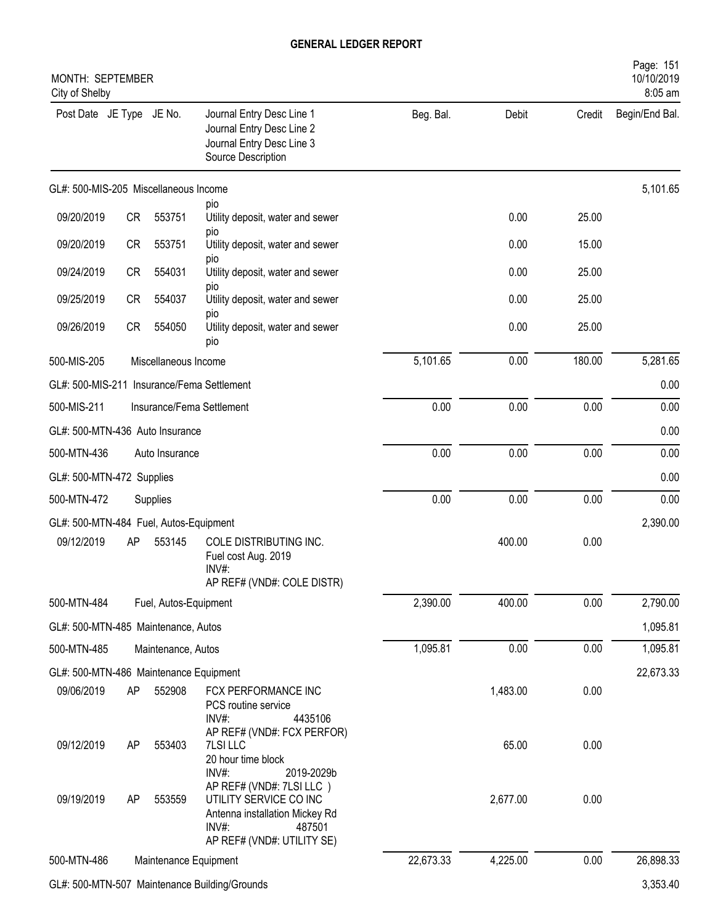| MONTH: SEPTEMBER<br>City of Shelby            |           |                       |                                                                                                                                          |           |          |          | Page: 151<br>10/10/2019<br>8:05 am |
|-----------------------------------------------|-----------|-----------------------|------------------------------------------------------------------------------------------------------------------------------------------|-----------|----------|----------|------------------------------------|
| Post Date JE Type JE No.                      |           |                       | Journal Entry Desc Line 1<br>Journal Entry Desc Line 2<br>Journal Entry Desc Line 3<br>Source Description                                | Beg. Bal. | Debit    | Credit   | Begin/End Bal.                     |
| GL#: 500-MIS-205 Miscellaneous Income         |           |                       |                                                                                                                                          |           |          |          | 5,101.65                           |
| 09/20/2019                                    | CR        | 553751                | pio<br>Utility deposit, water and sewer                                                                                                  |           | 0.00     | 25.00    |                                    |
| 09/20/2019                                    | <b>CR</b> | 553751                | pio<br>Utility deposit, water and sewer                                                                                                  |           | 0.00     | 15.00    |                                    |
| 09/24/2019                                    | <b>CR</b> | 554031                | pio<br>Utility deposit, water and sewer                                                                                                  |           | 0.00     | 25.00    |                                    |
| 09/25/2019                                    | <b>CR</b> | 554037                | pio<br>Utility deposit, water and sewer                                                                                                  |           | 0.00     | 25.00    |                                    |
| 09/26/2019                                    | <b>CR</b> | 554050                | pio<br>Utility deposit, water and sewer<br>pio                                                                                           |           | 0.00     | 25.00    |                                    |
| 500-MIS-205<br>Miscellaneous Income           |           |                       |                                                                                                                                          | 5,101.65  | 0.00     | 180.00   | 5,281.65                           |
|                                               |           |                       | GL#: 500-MIS-211 Insurance/Fema Settlement                                                                                               |           |          |          | 0.00                               |
| 500-MIS-211                                   |           |                       | Insurance/Fema Settlement                                                                                                                | 0.00      | 0.00     | 0.00     | 0.00                               |
| GL#: 500-MTN-436 Auto Insurance               |           |                       |                                                                                                                                          |           |          | 0.00     |                                    |
| 500-MTN-436                                   |           | Auto Insurance        |                                                                                                                                          | 0.00      | 0.00     | 0.00     | 0.00                               |
| GL#: 500-MTN-472 Supplies                     |           |                       |                                                                                                                                          |           |          |          | 0.00                               |
| 500-MTN-472                                   |           | Supplies              |                                                                                                                                          | 0.00      | 0.00     | 0.00     | 0.00                               |
| GL#: 500-MTN-484 Fuel, Autos-Equipment        |           |                       |                                                                                                                                          |           |          |          | 2,390.00                           |
| 09/12/2019                                    | AP        | 553145                | COLE DISTRIBUTING INC.<br>Fuel cost Aug. 2019<br>INV#:<br>AP REF# (VND#: COLE DISTR)                                                     |           | 400.00   | 0.00     |                                    |
| 500-MTN-484                                   |           | Fuel, Autos-Equipment |                                                                                                                                          | 2,390.00  | 400.00   | 0.00     | 2,790.00                           |
| GL#: 500-MTN-485 Maintenance, Autos           |           |                       |                                                                                                                                          |           |          |          | 1,095.81                           |
| 500-MTN-485                                   |           | Maintenance, Autos    |                                                                                                                                          | 1,095.81  | 0.00     | 0.00     | 1,095.81                           |
| GL#: 500-MTN-486 Maintenance Equipment        |           |                       |                                                                                                                                          |           |          |          | 22,673.33                          |
| 09/06/2019                                    | AP        | 552908                | FCX PERFORMANCE INC<br>PCS routine service<br>INV#:<br>4435106                                                                           |           | 1,483.00 | 0.00     |                                    |
| 09/12/2019                                    | AP        | 553403                | AP REF# (VND#: FCX PERFOR)<br><b>7LSILLC</b><br>20 hour time block<br>INV#:<br>2019-2029b                                                |           | 65.00    | 0.00     |                                    |
| 09/19/2019                                    | AP        | 553559                | AP REF# (VND#: 7LSI LLC)<br>UTILITY SERVICE CO INC<br>Antenna installation Mickey Rd<br>$INV#$ :<br>487501<br>AP REF# (VND#: UTILITY SE) |           | 2,677.00 | 0.00     |                                    |
| 500-MTN-486                                   |           | Maintenance Equipment |                                                                                                                                          | 22,673.33 | 4,225.00 | 0.00     | 26,898.33                          |
| GL#: 500-MTN-507 Maintenance Building/Grounds |           |                       |                                                                                                                                          |           |          | 3,353.40 |                                    |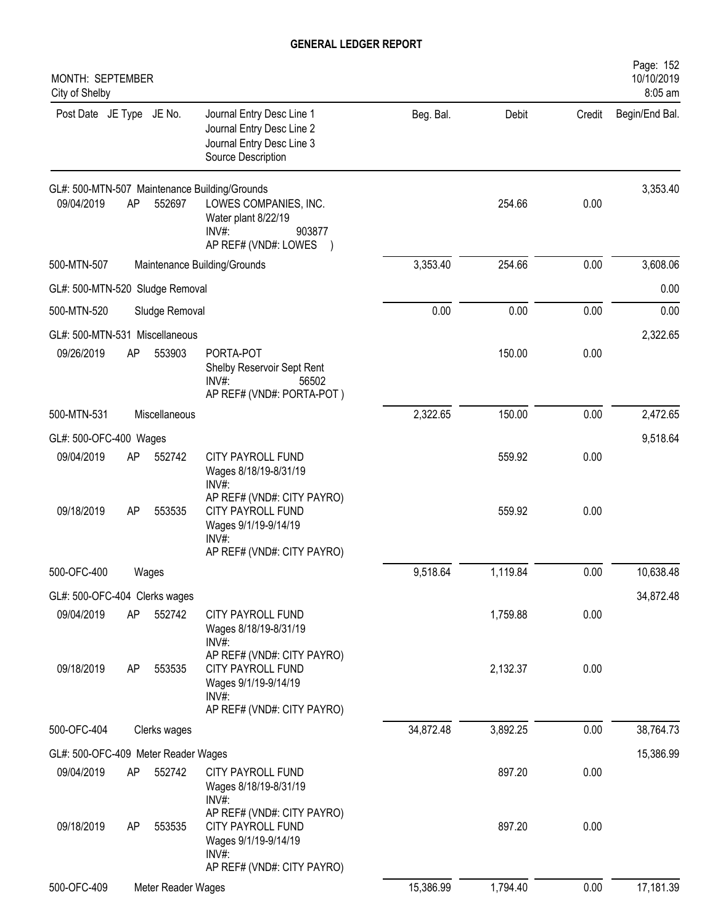| MONTH: SEPTEMBER<br>City of Shelby  |    |                    |                                                                                                                                          |           |          |        | Page: 152<br>10/10/2019<br>8:05 am |
|-------------------------------------|----|--------------------|------------------------------------------------------------------------------------------------------------------------------------------|-----------|----------|--------|------------------------------------|
| Post Date JE Type JE No.            |    |                    | Journal Entry Desc Line 1<br>Journal Entry Desc Line 2<br>Journal Entry Desc Line 3<br>Source Description                                | Beg. Bal. | Debit    | Credit | Begin/End Bal.                     |
| 09/04/2019                          | AP | 552697             | GL#: 500-MTN-507 Maintenance Building/Grounds<br>LOWES COMPANIES, INC.<br>Water plant 8/22/19<br>INV#:<br>903877<br>AP REF# (VND#: LOWES |           | 254.66   | 0.00   | 3,353.40                           |
| 500-MTN-507                         |    |                    | Maintenance Building/Grounds                                                                                                             | 3,353.40  | 254.66   | 0.00   | 3,608.06                           |
| GL#: 500-MTN-520 Sludge Removal     |    |                    |                                                                                                                                          |           |          |        | 0.00                               |
| 500-MTN-520                         |    | Sludge Removal     |                                                                                                                                          | 0.00      | 0.00     | 0.00   | 0.00                               |
| GL#: 500-MTN-531 Miscellaneous      |    |                    |                                                                                                                                          |           |          |        | 2,322.65                           |
| 09/26/2019                          | AP | 553903             | PORTA-POT<br>Shelby Reservoir Sept Rent<br>$INV#$ :<br>56502<br>AP REF# (VND#: PORTA-POT)                                                |           | 150.00   | 0.00   |                                    |
| 500-MTN-531                         |    | Miscellaneous      |                                                                                                                                          | 2,322.65  | 150.00   | 0.00   | 2,472.65                           |
| GL#: 500-OFC-400 Wages              |    |                    |                                                                                                                                          |           |          |        | 9,518.64                           |
| 09/04/2019                          | AP | 552742             | CITY PAYROLL FUND<br>Wages 8/18/19-8/31/19<br>INV#:                                                                                      |           | 559.92   | 0.00   |                                    |
| 09/18/2019                          | AP | 553535             | AP REF# (VND#: CITY PAYRO)<br>CITY PAYROLL FUND<br>Wages 9/1/19-9/14/19<br>$INV#$ :<br>AP REF# (VND#: CITY PAYRO)                        |           | 559.92   | 0.00   |                                    |
| 500-OFC-400                         |    | Wages              |                                                                                                                                          | 9,518.64  | 1,119.84 | 0.00   | 10,638.48                          |
| GL#: 500-OFC-404 Clerks wages       |    |                    |                                                                                                                                          |           |          |        | 34,872.48                          |
| 09/04/2019                          | AP | 552742             | CITY PAYROLL FUND<br>Wages 8/18/19-8/31/19<br>$INV#$ :                                                                                   |           | 1,759.88 | 0.00   |                                    |
| 09/18/2019                          | AP | 553535             | AP REF# (VND#: CITY PAYRO)<br><b>CITY PAYROLL FUND</b><br>Wages 9/1/19-9/14/19<br>$INV#$ :<br>AP REF# (VND#: CITY PAYRO)                 |           | 2,132.37 | 0.00   |                                    |
| 500-OFC-404                         |    | Clerks wages       |                                                                                                                                          | 34,872.48 | 3,892.25 | 0.00   | 38,764.73                          |
| GL#: 500-OFC-409 Meter Reader Wages |    |                    |                                                                                                                                          |           |          |        | 15,386.99                          |
| 09/04/2019                          | AP | 552742             | <b>CITY PAYROLL FUND</b><br>Wages 8/18/19-8/31/19<br>INV#:                                                                               |           | 897.20   | 0.00   |                                    |
| 09/18/2019                          | AP | 553535             | AP REF# (VND#: CITY PAYRO)<br>CITY PAYROLL FUND<br>Wages 9/1/19-9/14/19<br>INV#:<br>AP REF# (VND#: CITY PAYRO)                           |           | 897.20   | 0.00   |                                    |
| 500-OFC-409                         |    | Meter Reader Wages |                                                                                                                                          | 15,386.99 | 1,794.40 | 0.00   | 17,181.39                          |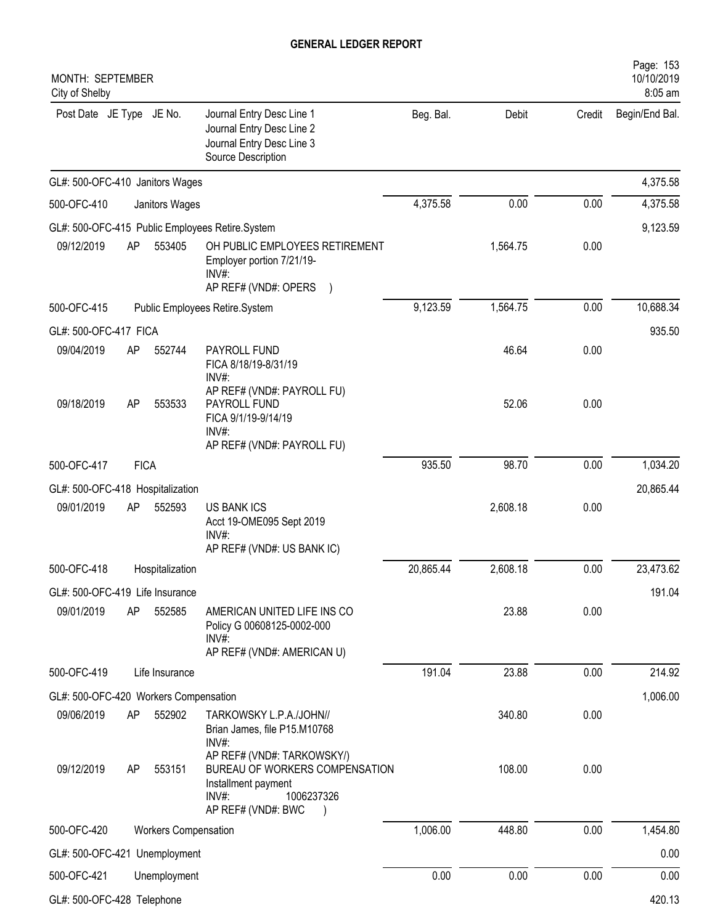| MONTH: SEPTEMBER<br>City of Shelby    |             |                             |                                                                                                                                  |           |          |        | Page: 153<br>10/10/2019<br>8:05 am |
|---------------------------------------|-------------|-----------------------------|----------------------------------------------------------------------------------------------------------------------------------|-----------|----------|--------|------------------------------------|
| Post Date JE Type JE No.              |             |                             | Journal Entry Desc Line 1<br>Journal Entry Desc Line 2<br>Journal Entry Desc Line 3<br>Source Description                        | Beg. Bal. | Debit    | Credit | Begin/End Bal.                     |
| GL#: 500-OFC-410 Janitors Wages       |             |                             |                                                                                                                                  |           |          |        | 4,375.58                           |
| 500-OFC-410                           |             | Janitors Wages              |                                                                                                                                  | 4,375.58  | 0.00     | 0.00   | 4,375.58                           |
|                                       |             |                             | GL#: 500-OFC-415 Public Employees Retire.System                                                                                  |           |          |        | 9,123.59                           |
| 09/12/2019                            | AP          | 553405                      | OH PUBLIC EMPLOYEES RETIREMENT<br>Employer portion 7/21/19-<br>$INV#$ :<br>AP REF# (VND#: OPERS )                                |           | 1,564.75 | 0.00   |                                    |
| 500-OFC-415                           |             |                             | Public Employees Retire.System                                                                                                   | 9,123.59  | 1,564.75 | 0.00   | 10,688.34                          |
| GL#: 500-OFC-417 FICA                 |             |                             |                                                                                                                                  |           |          |        | 935.50                             |
| 09/04/2019                            | AP          | 552744                      | PAYROLL FUND<br>FICA 8/18/19-8/31/19<br>INV#:                                                                                    |           | 46.64    | 0.00   |                                    |
| 09/18/2019                            | AP          | 553533                      | AP REF# (VND#: PAYROLL FU)<br>PAYROLL FUND<br>FICA 9/1/19-9/14/19<br>INV#:<br>AP REF# (VND#: PAYROLL FU)                         |           | 52.06    | 0.00   |                                    |
| 500-OFC-417                           | <b>FICA</b> |                             |                                                                                                                                  | 935.50    | 98.70    | 0.00   | 1,034.20                           |
| GL#: 500-OFC-418 Hospitalization      |             |                             |                                                                                                                                  |           |          |        | 20,865.44                          |
| 09/01/2019                            | AP          | 552593                      | <b>US BANK ICS</b><br>Acct 19-OME095 Sept 2019<br>$INV#$ :<br>AP REF# (VND#: US BANK IC)                                         |           | 2,608.18 | 0.00   |                                    |
| 500-OFC-418                           |             | Hospitalization             |                                                                                                                                  | 20,865.44 | 2,608.18 | 0.00   | 23,473.62                          |
| GL#: 500-OFC-419 Life Insurance       |             |                             |                                                                                                                                  |           |          |        | 191.04                             |
| 09/01/2019                            | AP          | 552585                      | AMERICAN UNITED LIFE INS CO<br>Policy G 00608125-0002-000<br>$INV#$ :<br>AP REF# (VND#: AMERICAN U)                              |           | 23.88    | 0.00   |                                    |
| 500-OFC-419                           |             | Life Insurance              |                                                                                                                                  | 191.04    | 23.88    | 0.00   | 214.92                             |
| GL#: 500-OFC-420 Workers Compensation |             |                             |                                                                                                                                  |           |          |        | 1,006.00                           |
| 09/06/2019                            | AP          | 552902                      | TARKOWSKY L.P.A./JOHN//<br>Brian James, file P15.M10768<br>INV#:                                                                 |           | 340.80   | 0.00   |                                    |
| 09/12/2019                            | AP          | 553151                      | AP REF# (VND#: TARKOWSKY/)<br>BUREAU OF WORKERS COMPENSATION<br>Installment payment<br>INV#:<br>1006237326<br>AP REF# (VND#: BWC |           | 108.00   | 0.00   |                                    |
| 500-OFC-420                           |             | <b>Workers Compensation</b> |                                                                                                                                  | 1,006.00  | 448.80   | 0.00   | 1,454.80                           |
| GL#: 500-OFC-421 Unemployment         |             |                             |                                                                                                                                  |           |          |        | 0.00                               |
| 500-OFC-421                           |             | Unemployment                |                                                                                                                                  | 0.00      | 0.00     | 0.00   | 0.00                               |
| GL#: 500-OFC-428 Telephone            |             |                             |                                                                                                                                  |           |          |        | 420.13                             |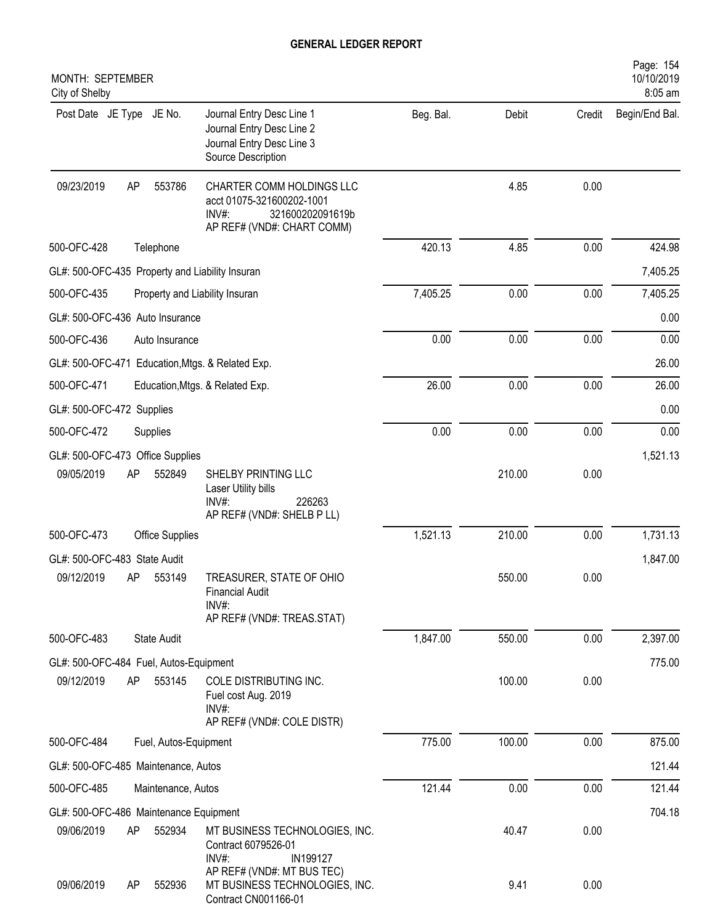| MONTH: SEPTEMBER<br>City of Shelby                                                                                                                 |           |        |        | Page: 154<br>10/10/2019<br>8:05 am |
|----------------------------------------------------------------------------------------------------------------------------------------------------|-----------|--------|--------|------------------------------------|
| Post Date JE Type JE No.<br>Journal Entry Desc Line 1<br>Journal Entry Desc Line 2<br>Journal Entry Desc Line 3<br>Source Description              | Beg. Bal. | Debit  | Credit | Begin/End Bal.                     |
| 09/23/2019<br>AP<br>CHARTER COMM HOLDINGS LLC<br>553786<br>acct 01075-321600202-1001<br>$INV#$ :<br>321600202091619b<br>AP REF# (VND#: CHART COMM) |           | 4.85   | 0.00   |                                    |
| 500-OFC-428<br>Telephone                                                                                                                           | 420.13    | 4.85   | 0.00   | 424.98                             |
| GL#: 500-OFC-435 Property and Liability Insuran                                                                                                    |           |        |        | 7,405.25                           |
| 500-OFC-435<br>Property and Liability Insuran                                                                                                      | 7,405.25  | 0.00   | 0.00   | 7,405.25                           |
| GL#: 500-OFC-436 Auto Insurance                                                                                                                    |           |        |        | 0.00                               |
| 500-OFC-436<br>Auto Insurance                                                                                                                      | 0.00      | 0.00   | 0.00   | 0.00                               |
| GL#: 500-OFC-471 Education, Mtgs. & Related Exp.                                                                                                   |           |        |        | 26.00                              |
| 500-OFC-471<br>Education, Mtgs. & Related Exp.                                                                                                     | 26.00     | 0.00   | 0.00   | 26.00                              |
| GL#: 500-OFC-472 Supplies                                                                                                                          |           |        |        | 0.00                               |
| 500-OFC-472<br>Supplies                                                                                                                            | 0.00      | 0.00   | 0.00   | 0.00                               |
| GL#: 500-OFC-473 Office Supplies                                                                                                                   |           |        |        | 1,521.13                           |
| 09/05/2019<br>AP<br>552849<br>SHELBY PRINTING LLC<br>Laser Utility bills<br>$INV#$ :<br>226263<br>AP REF# (VND#: SHELB P LL)                       |           | 210.00 | 0.00   |                                    |
| 500-OFC-473<br><b>Office Supplies</b>                                                                                                              | 1,521.13  | 210.00 | 0.00   | 1,731.13                           |
| GL#: 500-OFC-483 State Audit                                                                                                                       |           |        |        | 1,847.00                           |
| 09/12/2019<br>553149<br>TREASURER, STATE OF OHIO<br>AΡ<br><b>Financial Audit</b><br>INV#:<br>AP REF# (VND#: TREAS.STAT)                            |           | 550.00 | 0.00   |                                    |
| 500-OFC-483<br><b>State Audit</b>                                                                                                                  | 1,847.00  | 550.00 | 0.00   | 2,397.00                           |
| GL#: 500-OFC-484 Fuel, Autos-Equipment                                                                                                             |           |        |        | 775.00                             |
| 553145<br>09/12/2019<br>AP<br>COLE DISTRIBUTING INC.<br>Fuel cost Aug. 2019<br>INV#:                                                               |           | 100.00 | 0.00   |                                    |
| AP REF# (VND#: COLE DISTR)<br>500-OFC-484<br>Fuel, Autos-Equipment                                                                                 | 775.00    | 100.00 | 0.00   | 875.00                             |
| GL#: 500-OFC-485 Maintenance, Autos                                                                                                                |           |        |        | 121.44                             |
| 500-OFC-485<br>Maintenance, Autos                                                                                                                  | 121.44    | 0.00   | 0.00   | 121.44                             |
|                                                                                                                                                    |           |        |        | 704.18                             |
| GL#: 500-OFC-486 Maintenance Equipment<br>09/06/2019<br>AP<br>552934<br>MT BUSINESS TECHNOLOGIES, INC.<br>Contract 6079526-01<br>INV#:<br>IN199127 |           | 40.47  | 0.00   |                                    |
| AP REF# (VND#: MT BUS TEC)<br>09/06/2019<br>MT BUSINESS TECHNOLOGIES, INC.<br>552936<br>AP<br>Contract CN001166-01                                 |           | 9.41   | 0.00   |                                    |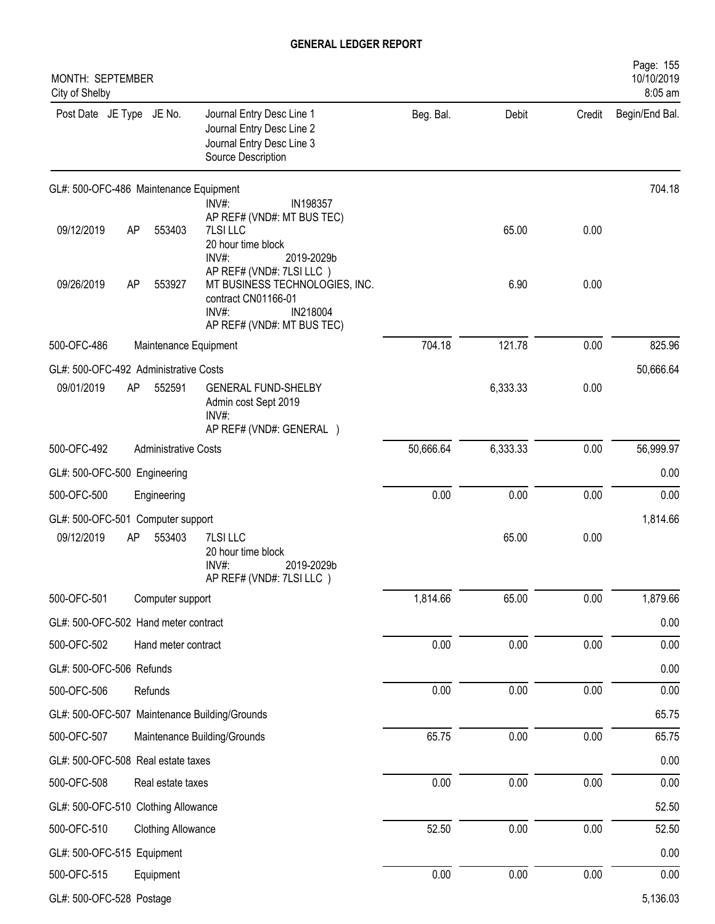| MONTH: SEPTEMBER<br>City of Shelby            |                             |                                                                                                                                      |           |          |          | Page: 155<br>10/10/2019<br>8:05 am |
|-----------------------------------------------|-----------------------------|--------------------------------------------------------------------------------------------------------------------------------------|-----------|----------|----------|------------------------------------|
| Post Date JE Type JE No.                      |                             | Journal Entry Desc Line 1<br>Journal Entry Desc Line 2<br>Journal Entry Desc Line 3<br>Source Description                            | Beg. Bal. | Debit    | Credit   | Begin/End Bal.                     |
| GL#: 500-OFC-486 Maintenance Equipment        |                             |                                                                                                                                      |           |          |          | 704.18                             |
| 09/12/2019                                    | AP<br>553403                | INV#:<br>IN198357<br>AP REF# (VND#: MT BUS TEC)<br>7LSI LLC<br>20 hour time block<br>INV#:<br>2019-2029b                             |           | 65.00    | 0.00     |                                    |
| 09/26/2019                                    | AP<br>553927                | AP REF# (VND#: 7LSI LLC)<br>MT BUSINESS TECHNOLOGIES, INC.<br>contract CN01166-01<br>INV#:<br>IN218004<br>AP REF# (VND#: MT BUS TEC) |           | 6.90     | 0.00     |                                    |
| 500-OFC-486                                   | Maintenance Equipment       |                                                                                                                                      | 704.18    | 121.78   | 0.00     | 825.96                             |
| GL#: 500-OFC-492 Administrative Costs         |                             |                                                                                                                                      |           |          |          | 50,666.64                          |
| 09/01/2019                                    | AP<br>552591                | <b>GENERAL FUND-SHELBY</b><br>Admin cost Sept 2019<br>$INV#$ :<br>AP REF# (VND#: GENERAL )                                           |           | 6,333.33 | 0.00     |                                    |
| 500-OFC-492                                   | <b>Administrative Costs</b> |                                                                                                                                      | 50,666.64 | 6,333.33 | 0.00     | 56,999.97                          |
| GL#: 500-OFC-500 Engineering                  |                             |                                                                                                                                      |           |          |          | 0.00                               |
| 500-OFC-500                                   | Engineering                 |                                                                                                                                      | 0.00      | 0.00     | 0.00     | 0.00                               |
| GL#: 500-OFC-501 Computer support             |                             |                                                                                                                                      |           |          |          | 1,814.66                           |
| 09/12/2019                                    | AP<br>553403                | 7LSI LLC<br>20 hour time block<br>$INV#$ :<br>2019-2029b<br>AP REF# (VND#: 7LSI LLC)                                                 |           | 65.00    | 0.00     |                                    |
| 500-OFC-501                                   | Computer support            |                                                                                                                                      | 1,814.66  | 65.00    | 0.00     | 1,879.66                           |
| GL#: 500-OFC-502 Hand meter contract          |                             |                                                                                                                                      |           |          |          | 0.00                               |
| 500-OFC-502                                   | Hand meter contract         |                                                                                                                                      | 0.00      | 0.00     | 0.00     | 0.00                               |
| GL#: 500-OFC-506 Refunds                      |                             |                                                                                                                                      |           |          |          | 0.00                               |
| 500-OFC-506                                   | Refunds                     |                                                                                                                                      | 0.00      | 0.00     | 0.00     | 0.00                               |
| GL#: 500-OFC-507 Maintenance Building/Grounds |                             |                                                                                                                                      |           |          |          | 65.75                              |
| 500-OFC-507                                   |                             | Maintenance Building/Grounds                                                                                                         | 65.75     | 0.00     | $0.00\,$ | 65.75                              |
| GL#: 500-OFC-508 Real estate taxes            |                             |                                                                                                                                      |           |          |          | 0.00                               |
| 500-OFC-508                                   | Real estate taxes           |                                                                                                                                      | 0.00      | 0.00     | 0.00     | 0.00                               |
| GL#: 500-OFC-510 Clothing Allowance           |                             |                                                                                                                                      |           |          |          | 52.50                              |
| 500-OFC-510                                   | <b>Clothing Allowance</b>   |                                                                                                                                      | 52.50     | 0.00     | 0.00     | 52.50                              |
| GL#: 500-OFC-515 Equipment                    |                             |                                                                                                                                      |           |          |          | 0.00                               |
| 500-OFC-515                                   | Equipment                   |                                                                                                                                      | 0.00      | 0.00     | $0.00\,$ | 0.00                               |
| GL#: 500-OFC-528 Postage                      |                             |                                                                                                                                      |           |          |          | 5,136.03                           |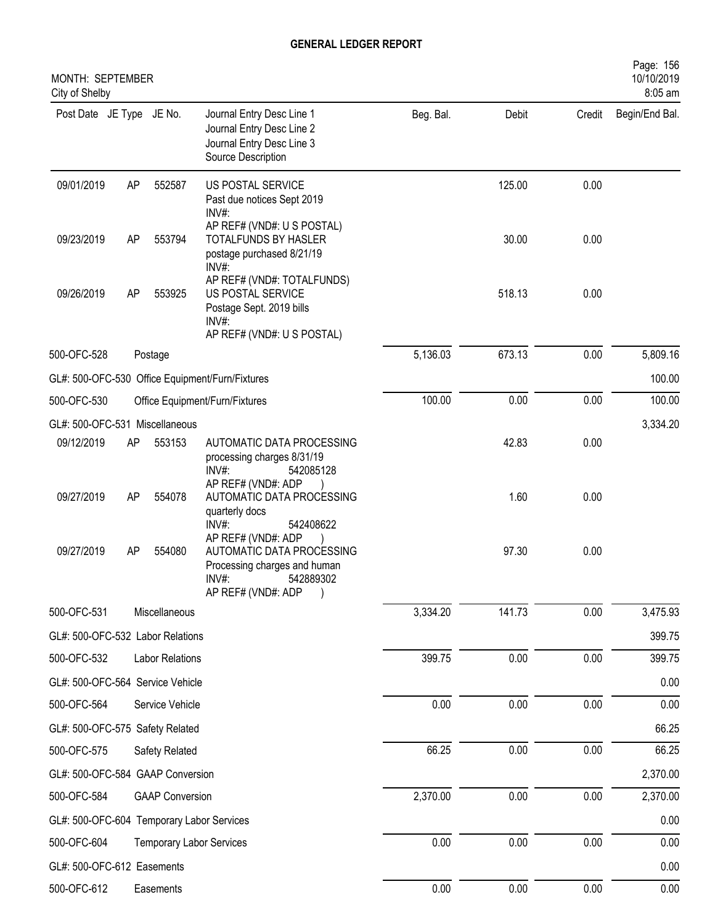| MONTH: SEPTEMBER<br>City of Shelby              |    |                                 |                                                                                                                                |           |        |        | Page: 156<br>10/10/2019<br>8:05 am |
|-------------------------------------------------|----|---------------------------------|--------------------------------------------------------------------------------------------------------------------------------|-----------|--------|--------|------------------------------------|
| Post Date JE Type JE No.                        |    |                                 | Journal Entry Desc Line 1<br>Journal Entry Desc Line 2<br>Journal Entry Desc Line 3<br>Source Description                      | Beg. Bal. | Debit  | Credit | Begin/End Bal.                     |
| 09/01/2019                                      | AP | 552587                          | US POSTAL SERVICE<br>Past due notices Sept 2019<br>INV#:                                                                       |           | 125.00 | 0.00   |                                    |
| 09/23/2019                                      | AP | 553794                          | AP REF# (VND#: U S POSTAL)<br>TOTALFUNDS BY HASLER<br>postage purchased 8/21/19<br>INV#:                                       |           | 30.00  | 0.00   |                                    |
| 09/26/2019                                      | AP | 553925                          | AP REF# (VND#: TOTALFUNDS)<br>US POSTAL SERVICE<br>Postage Sept. 2019 bills<br>INV#:<br>AP REF# (VND#: U S POSTAL)             |           | 518.13 | 0.00   |                                    |
| 500-OFC-528                                     |    | Postage                         |                                                                                                                                | 5,136.03  | 673.13 | 0.00   | 5,809.16                           |
| GL#: 500-OFC-530 Office Equipment/Furn/Fixtures |    |                                 |                                                                                                                                |           |        |        | 100.00                             |
| 500-OFC-530<br>Office Equipment/Furn/Fixtures   |    |                                 |                                                                                                                                | 100.00    | 0.00   | 0.00   | 100.00                             |
| GL#: 500-OFC-531 Miscellaneous                  |    |                                 |                                                                                                                                |           |        |        | 3,334.20                           |
| 09/12/2019                                      | AP | 553153                          | AUTOMATIC DATA PROCESSING<br>processing charges 8/31/19<br>INV#:<br>542085128                                                  |           | 42.83  | 0.00   |                                    |
| 09/27/2019                                      | AP | 554078                          | AP REF# (VND#: ADP<br>AUTOMATIC DATA PROCESSING<br>quarterly docs<br>INV#:<br>542408622                                        |           | 1.60   | 0.00   |                                    |
| 09/27/2019                                      | AP | 554080                          | AP REF# (VND#: ADP<br>AUTOMATIC DATA PROCESSING<br>Processing charges and human<br>$INV#$ :<br>542889302<br>AP REF# (VND#: ADP |           | 97.30  | 0.00   |                                    |
| 500-OFC-531                                     |    | Miscellaneous                   |                                                                                                                                | 3,334.20  | 141.73 | 0.00   | 3,475.93                           |
| GL#: 500-OFC-532 Labor Relations                |    |                                 |                                                                                                                                |           |        |        | 399.75                             |
| 500-OFC-532                                     |    | Labor Relations                 |                                                                                                                                | 399.75    | 0.00   | 0.00   | 399.75                             |
| GL#: 500-OFC-564 Service Vehicle                |    |                                 |                                                                                                                                |           |        |        | 0.00                               |
| 500-OFC-564                                     |    | Service Vehicle                 |                                                                                                                                | 0.00      | 0.00   | 0.00   | 0.00                               |
| GL#: 500-OFC-575 Safety Related                 |    |                                 |                                                                                                                                |           |        |        | 66.25                              |
| 500-OFC-575                                     |    | Safety Related                  |                                                                                                                                | 66.25     | 0.00   | 0.00   | 66.25                              |
| GL#: 500-OFC-584 GAAP Conversion                |    |                                 |                                                                                                                                |           |        |        | 2,370.00                           |
| 500-OFC-584                                     |    | <b>GAAP Conversion</b>          |                                                                                                                                | 2,370.00  | 0.00   | 0.00   | 2,370.00                           |
| GL#: 500-OFC-604 Temporary Labor Services       |    |                                 |                                                                                                                                |           |        |        | 0.00                               |
| 500-OFC-604                                     |    | <b>Temporary Labor Services</b> |                                                                                                                                | 0.00      | 0.00   | 0.00   | 0.00                               |
| GL#: 500-OFC-612 Easements                      |    |                                 |                                                                                                                                |           |        |        | 0.00                               |
| 500-OFC-612                                     |    | Easements                       |                                                                                                                                | 0.00      | 0.00   | 0.00   | 0.00                               |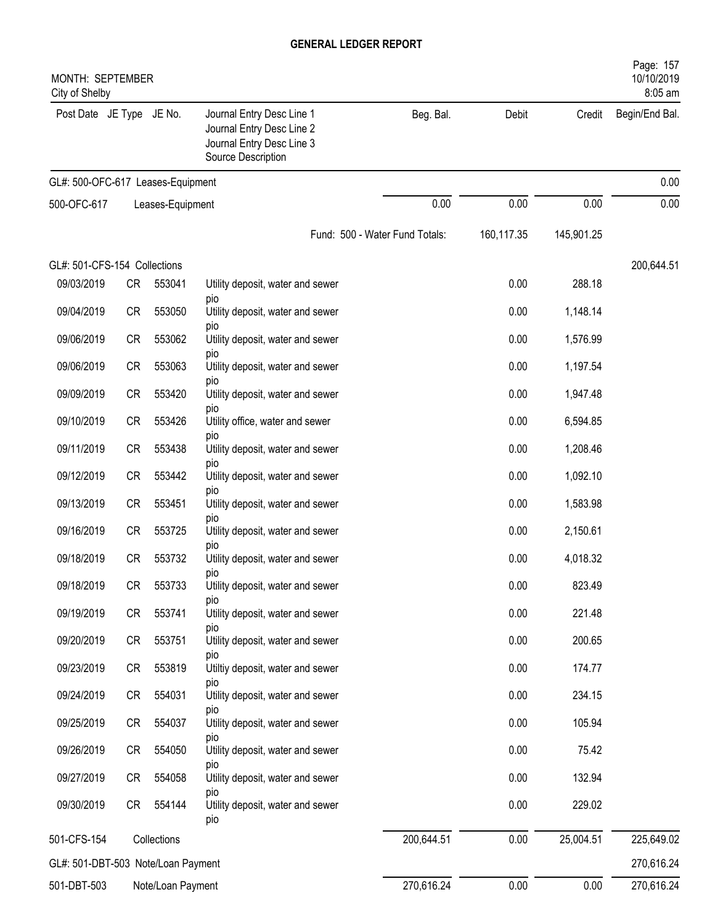| MONTH: SEPTEMBER<br>City of Shelby |           |                   |                                                                                                           |                                |            |            | Page: 157<br>10/10/2019<br>8:05 am |
|------------------------------------|-----------|-------------------|-----------------------------------------------------------------------------------------------------------|--------------------------------|------------|------------|------------------------------------|
| Post Date JE Type JE No.           |           |                   | Journal Entry Desc Line 1<br>Journal Entry Desc Line 2<br>Journal Entry Desc Line 3<br>Source Description | Beg. Bal.                      | Debit      | Credit     | Begin/End Bal.                     |
| GL#: 500-OFC-617 Leases-Equipment  |           |                   |                                                                                                           |                                |            |            | 0.00                               |
| 500-OFC-617                        |           | Leases-Equipment  |                                                                                                           | 0.00                           | 0.00       | 0.00       | 0.00                               |
|                                    |           |                   |                                                                                                           | Fund: 500 - Water Fund Totals: | 160,117.35 | 145,901.25 |                                    |
| GL#: 501-CFS-154 Collections       |           |                   |                                                                                                           |                                |            |            | 200,644.51                         |
| 09/03/2019                         | CR        | 553041            | Utility deposit, water and sewer                                                                          |                                | 0.00       | 288.18     |                                    |
| 09/04/2019                         | CR        | 553050            | pio<br>Utility deposit, water and sewer                                                                   |                                | 0.00       | 1,148.14   |                                    |
| 09/06/2019                         | CR        | 553062            | pio<br>Utility deposit, water and sewer                                                                   |                                | 0.00       | 1,576.99   |                                    |
| 09/06/2019                         | CR        | 553063            | pio<br>Utility deposit, water and sewer                                                                   |                                | 0.00       | 1,197.54   |                                    |
| 09/09/2019                         | CR        | 553420            | pio<br>Utility deposit, water and sewer                                                                   |                                | 0.00       | 1,947.48   |                                    |
| 09/10/2019                         | CR        | 553426            | pio<br>Utility office, water and sewer                                                                    |                                | 0.00       | 6,594.85   |                                    |
| 09/11/2019                         | CR        | 553438            | pio<br>Utility deposit, water and sewer                                                                   |                                | 0.00       | 1,208.46   |                                    |
| 09/12/2019                         | CR        | 553442            | pio<br>Utility deposit, water and sewer                                                                   |                                | 0.00       | 1,092.10   |                                    |
| 09/13/2019                         | CR        | 553451            | pio<br>Utility deposit, water and sewer                                                                   |                                | 0.00       | 1,583.98   |                                    |
| 09/16/2019                         | CR        | 553725            | pio                                                                                                       |                                | 0.00       |            |                                    |
|                                    |           |                   | Utility deposit, water and sewer<br>pio                                                                   |                                |            | 2,150.61   |                                    |
| 09/18/2019                         | <b>CR</b> | 553732            | Utility deposit, water and sewer<br>pio                                                                   |                                | 0.00       | 4,018.32   |                                    |
| 09/18/2019                         | CR        | 553733            | Utility deposit, water and sewer<br>pio                                                                   |                                | 0.00       | 823.49     |                                    |
| 09/19/2019                         | CR        | 553741            | Utility deposit, water and sewer<br>pio                                                                   |                                | 0.00       | 221.48     |                                    |
| 09/20/2019                         | CR        | 553751            | Utility deposit, water and sewer<br>pio                                                                   |                                | 0.00       | 200.65     |                                    |
| 09/23/2019                         | CR        | 553819            | Utiltiy deposit, water and sewer<br>pio                                                                   |                                | 0.00       | 174.77     |                                    |
| 09/24/2019                         | CR        | 554031            | Utility deposit, water and sewer                                                                          |                                | 0.00       | 234.15     |                                    |
| 09/25/2019                         | CR        | 554037            | pio<br>Utility deposit, water and sewer                                                                   |                                | 0.00       | 105.94     |                                    |
| 09/26/2019                         | CR        | 554050            | pio<br>Utility deposit, water and sewer                                                                   |                                | 0.00       | 75.42      |                                    |
| 09/27/2019                         | CR        | 554058            | pio<br>Utility deposit, water and sewer                                                                   |                                | 0.00       | 132.94     |                                    |
| 09/30/2019                         | CR        | 554144            | pio<br>Utility deposit, water and sewer<br>pio                                                            |                                | 0.00       | 229.02     |                                    |
| 501-CFS-154                        |           | Collections       |                                                                                                           | 200,644.51                     | 0.00       | 25,004.51  | 225,649.02                         |
| GL#: 501-DBT-503 Note/Loan Payment |           |                   |                                                                                                           |                                |            |            | 270,616.24                         |
| 501-DBT-503                        |           | Note/Loan Payment |                                                                                                           | 270,616.24                     | 0.00       | 0.00       | 270,616.24                         |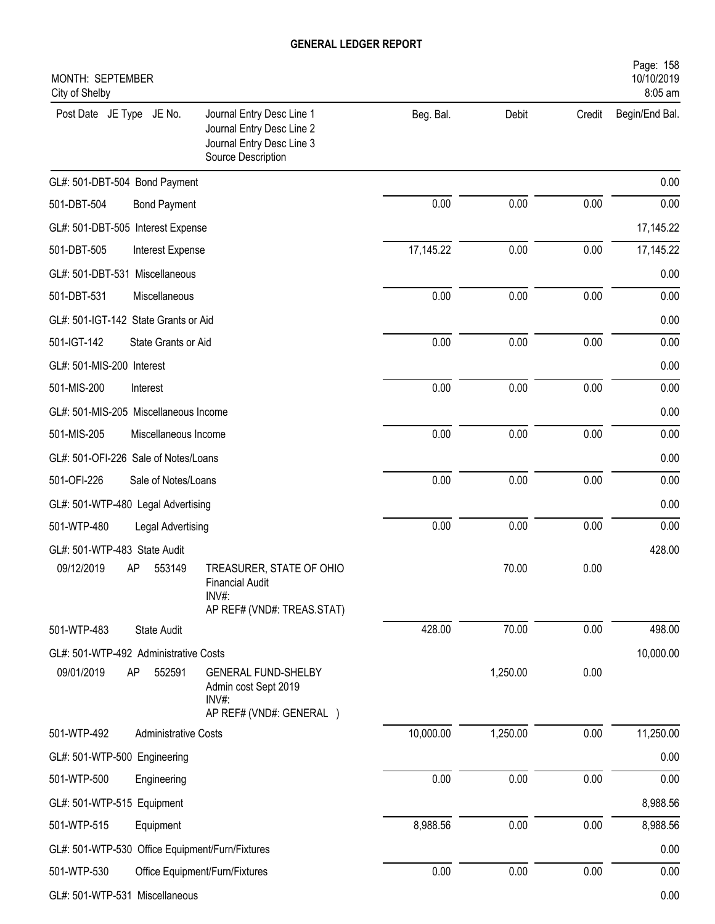| MONTH: SEPTEMBER<br>City of Shelby              |                                                                                                           |           |          |        | Page: 158<br>10/10/2019<br>8:05 am |
|-------------------------------------------------|-----------------------------------------------------------------------------------------------------------|-----------|----------|--------|------------------------------------|
| Post Date JE Type JE No.                        | Journal Entry Desc Line 1<br>Journal Entry Desc Line 2<br>Journal Entry Desc Line 3<br>Source Description | Beg. Bal. | Debit    | Credit | Begin/End Bal.                     |
| GL#: 501-DBT-504 Bond Payment                   |                                                                                                           |           |          |        | 0.00                               |
| 501-DBT-504<br><b>Bond Payment</b>              |                                                                                                           | 0.00      | 0.00     | 0.00   | 0.00                               |
| GL#: 501-DBT-505 Interest Expense               |                                                                                                           |           |          |        | 17,145.22                          |
| 501-DBT-505<br>Interest Expense                 |                                                                                                           | 17,145.22 | 0.00     | 0.00   | 17,145.22                          |
| GL#: 501-DBT-531 Miscellaneous                  |                                                                                                           |           |          |        | 0.00                               |
| 501-DBT-531<br>Miscellaneous                    |                                                                                                           | 0.00      | 0.00     | 0.00   | 0.00                               |
| GL#: 501-IGT-142 State Grants or Aid            |                                                                                                           |           |          |        | 0.00                               |
| 501-IGT-142<br>State Grants or Aid              |                                                                                                           | 0.00      | 0.00     | 0.00   | 0.00                               |
| GL#: 501-MIS-200 Interest                       |                                                                                                           |           |          |        | 0.00                               |
| 501-MIS-200<br>Interest                         |                                                                                                           | 0.00      | 0.00     | 0.00   | 0.00                               |
| GL#: 501-MIS-205 Miscellaneous Income           |                                                                                                           |           |          |        | 0.00                               |
| 501-MIS-205<br>Miscellaneous Income             |                                                                                                           | 0.00      | 0.00     | 0.00   | 0.00                               |
| GL#: 501-OFI-226 Sale of Notes/Loans            |                                                                                                           |           |          |        | 0.00                               |
| 501-OFI-226<br>Sale of Notes/Loans              |                                                                                                           | 0.00      | 0.00     | 0.00   | 0.00                               |
| GL#: 501-WTP-480 Legal Advertising              |                                                                                                           |           |          |        | 0.00                               |
| 501-WTP-480<br>Legal Advertising                |                                                                                                           | 0.00      | 0.00     | 0.00   | 0.00                               |
| GL#: 501-WTP-483 State Audit                    |                                                                                                           |           |          |        | 428.00                             |
| 09/12/2019<br>AP<br>553149                      | TREASURER, STATE OF OHIO<br><b>Financial Audit</b><br>INV#:<br>AP REF# (VND#: TREAS.STAT)                 |           | 70.00    | 0.00   |                                    |
| 501-WTP-483<br><b>State Audit</b>               |                                                                                                           | 428.00    | 70.00    | 0.00   | 498.00                             |
| GL#: 501-WTP-492 Administrative Costs           |                                                                                                           |           |          |        | 10,000.00                          |
| 09/01/2019<br>AP<br>552591                      | <b>GENERAL FUND-SHELBY</b><br>Admin cost Sept 2019<br>$INV#$ :<br>AP REF# (VND#: GENERAL )                |           | 1,250.00 | 0.00   |                                    |
| 501-WTP-492<br><b>Administrative Costs</b>      |                                                                                                           | 10,000.00 | 1,250.00 | 0.00   | 11,250.00                          |
| GL#: 501-WTP-500 Engineering                    |                                                                                                           |           |          |        | 0.00                               |
| 501-WTP-500<br>Engineering                      |                                                                                                           | 0.00      | 0.00     | 0.00   | 0.00                               |
| GL#: 501-WTP-515 Equipment                      |                                                                                                           |           |          |        | 8,988.56                           |
| 501-WTP-515<br>Equipment                        |                                                                                                           | 8,988.56  | 0.00     | 0.00   | 8,988.56                           |
| GL#: 501-WTP-530 Office Equipment/Furn/Fixtures |                                                                                                           |           |          |        | 0.00                               |
| 501-WTP-530                                     | Office Equipment/Furn/Fixtures                                                                            | 0.00      | 0.00     | 0.00   | 0.00                               |
| GL#: 501-WTP-531 Miscellaneous                  |                                                                                                           |           |          |        | 0.00                               |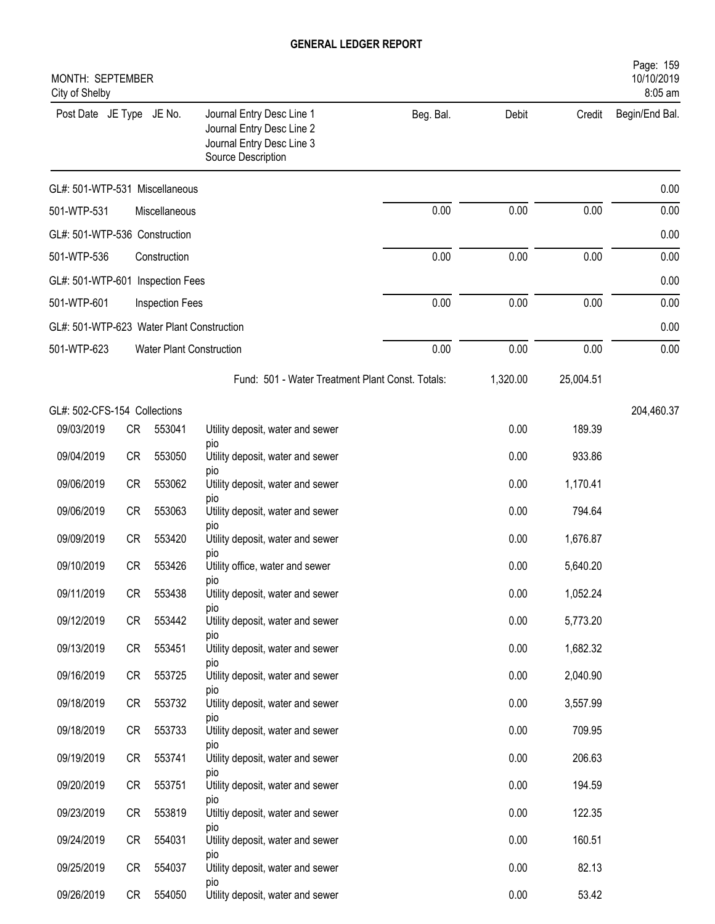| MONTH: SEPTEMBER<br>City of Shelby        |              |                          |                                                                                                           |           |          |           | Page: 159<br>10/10/2019<br>8:05 am |
|-------------------------------------------|--------------|--------------------------|-----------------------------------------------------------------------------------------------------------|-----------|----------|-----------|------------------------------------|
| Post Date JE Type JE No.                  |              |                          | Journal Entry Desc Line 1<br>Journal Entry Desc Line 2<br>Journal Entry Desc Line 3<br>Source Description | Beg. Bal. | Debit    | Credit    | Begin/End Bal.                     |
| GL#: 501-WTP-531 Miscellaneous            |              |                          |                                                                                                           |           |          |           | 0.00                               |
| 501-WTP-531                               |              | Miscellaneous            |                                                                                                           | 0.00      | 0.00     | 0.00      | 0.00                               |
| GL#: 501-WTP-536 Construction             |              |                          |                                                                                                           |           |          |           | 0.00                               |
| 501-WTP-536                               | Construction |                          |                                                                                                           |           | 0.00     | 0.00      | 0.00                               |
| GL#: 501-WTP-601 Inspection Fees          |              |                          |                                                                                                           |           |          |           | 0.00                               |
| 501-WTP-601                               |              | Inspection Fees          |                                                                                                           | 0.00      | 0.00     | 0.00      | 0.00                               |
| GL#: 501-WTP-623 Water Plant Construction |              |                          |                                                                                                           |           |          |           | 0.00                               |
| 501-WTP-623                               |              | Water Plant Construction |                                                                                                           | 0.00      | 0.00     | 0.00      | 0.00                               |
|                                           |              |                          | Fund: 501 - Water Treatment Plant Const. Totals:                                                          |           | 1,320.00 | 25,004.51 |                                    |
| GL#: 502-CFS-154 Collections              |              |                          |                                                                                                           |           |          |           | 204,460.37                         |
| 09/03/2019                                | CR           | 553041                   | Utility deposit, water and sewer                                                                          |           | 0.00     | 189.39    |                                    |
| 09/04/2019                                | <b>CR</b>    | 553050                   | pio<br>Utility deposit, water and sewer                                                                   |           | 0.00     | 933.86    |                                    |
| 09/06/2019                                | <b>CR</b>    | 553062                   | pio<br>Utility deposit, water and sewer                                                                   |           | 0.00     | 1,170.41  |                                    |
| 09/06/2019                                | <b>CR</b>    | 553063                   | pio<br>Utility deposit, water and sewer                                                                   |           | 0.00     | 794.64    |                                    |
| 09/09/2019                                | <b>CR</b>    | 553420                   | pio<br>Utility deposit, water and sewer                                                                   |           | 0.00     | 1,676.87  |                                    |
| 09/10/2019                                | <b>CR</b>    | 553426                   | pio<br>Utility office, water and sewer                                                                    |           | 0.00     | 5,640.20  |                                    |
| 09/11/2019                                | CR           | 553438                   | pio<br>Utility deposit, water and sewer                                                                   |           | 0.00     | 1,052.24  |                                    |
| 09/12/2019                                | CR           | 553442                   | pio<br>Utility deposit, water and sewer                                                                   |           | 0.00     | 5,773.20  |                                    |
| 09/13/2019                                | CR           | 553451                   | pio<br>Utility deposit, water and sewer                                                                   |           | 0.00     | 1,682.32  |                                    |
| 09/16/2019                                | CR           | 553725                   | pio<br>Utility deposit, water and sewer                                                                   |           | 0.00     | 2,040.90  |                                    |
| 09/18/2019                                | CR           | 553732                   | pio<br>Utility deposit, water and sewer                                                                   |           | 0.00     | 3,557.99  |                                    |
| 09/18/2019                                | CR           | 553733                   | DIO<br>Utility deposit, water and sewer                                                                   |           | 0.00     | 709.95    |                                    |
| 09/19/2019                                | CR           | 553741                   | pio<br>Utility deposit, water and sewer                                                                   |           | 0.00     | 206.63    |                                    |
| 09/20/2019                                | CR           | 553751                   | pio<br>Utility deposit, water and sewer                                                                   |           | 0.00     | 194.59    |                                    |
| 09/23/2019                                | CR           | 553819                   | pio<br>Utiltiy deposit, water and sewer                                                                   |           | 0.00     | 122.35    |                                    |
| 09/24/2019                                | CR           | 554031                   | pio<br>Utility deposit, water and sewer                                                                   |           | 0.00     | 160.51    |                                    |
| 09/25/2019                                | CR           | 554037                   | pio<br>Utility deposit, water and sewer                                                                   |           | 0.00     | 82.13     |                                    |
| 09/26/2019                                | CR           | 554050                   | pio<br>Utility deposit, water and sewer                                                                   |           | 0.00     | 53.42     |                                    |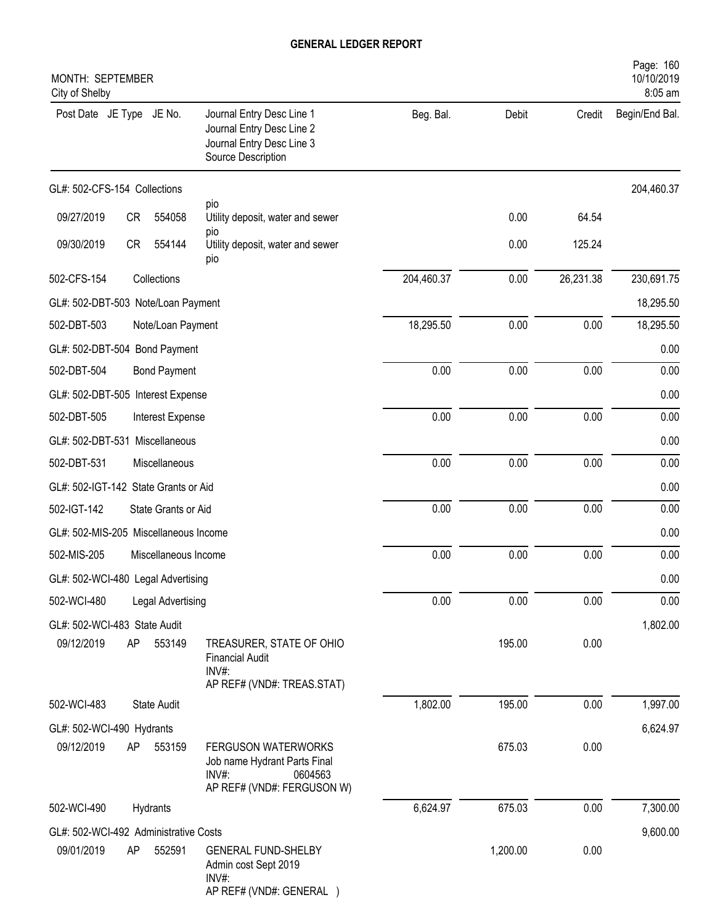| MONTH: SEPTEMBER<br>City of Shelby         |           |                      |                                                                                                                 |            |          |           | Page: 160<br>10/10/2019<br>8:05 am |
|--------------------------------------------|-----------|----------------------|-----------------------------------------------------------------------------------------------------------------|------------|----------|-----------|------------------------------------|
| Post Date JE Type JE No.                   |           |                      | Journal Entry Desc Line 1<br>Journal Entry Desc Line 2<br>Journal Entry Desc Line 3<br>Source Description       | Beg. Bal.  | Debit    | Credit    | Begin/End Bal.                     |
| GL#: 502-CFS-154 Collections               |           |                      |                                                                                                                 |            |          |           | 204,460.37                         |
| 09/27/2019                                 | <b>CR</b> | 554058               | pio<br>Utility deposit, water and sewer                                                                         |            | 0.00     | 64.54     |                                    |
| 09/30/2019                                 | CR        | 554144               | pio<br>Utility deposit, water and sewer<br>pio                                                                  |            | 0.00     | 125.24    |                                    |
| 502-CFS-154                                |           | Collections          |                                                                                                                 | 204,460.37 | 0.00     | 26,231.38 | 230,691.75                         |
| GL#: 502-DBT-503 Note/Loan Payment         |           |                      |                                                                                                                 |            |          |           | 18,295.50                          |
| 502-DBT-503                                |           | Note/Loan Payment    |                                                                                                                 | 18,295.50  | 0.00     | 0.00      | 18,295.50                          |
| GL#: 502-DBT-504 Bond Payment              |           |                      |                                                                                                                 |            |          |           | 0.00                               |
| 502-DBT-504                                |           | <b>Bond Payment</b>  |                                                                                                                 | 0.00       | 0.00     | 0.00      | 0.00                               |
| GL#: 502-DBT-505 Interest Expense          |           |                      |                                                                                                                 |            |          |           | 0.00                               |
| 502-DBT-505                                |           | Interest Expense     |                                                                                                                 | 0.00       | 0.00     | 0.00      | 0.00                               |
| GL#: 502-DBT-531 Miscellaneous             |           |                      |                                                                                                                 |            |          |           | 0.00                               |
| 502-DBT-531                                |           | Miscellaneous        |                                                                                                                 | 0.00       | 0.00     | 0.00      | 0.00                               |
| GL#: 502-IGT-142 State Grants or Aid       |           |                      |                                                                                                                 |            |          |           | 0.00                               |
| 502-IGT-142                                |           | State Grants or Aid  |                                                                                                                 | 0.00       | 0.00     | 0.00      | 0.00                               |
| GL#: 502-MIS-205 Miscellaneous Income      |           |                      |                                                                                                                 |            |          |           | 0.00                               |
| 502-MIS-205                                |           | Miscellaneous Income |                                                                                                                 | 0.00       | 0.00     | 0.00      | 0.00                               |
| GL#: 502-WCI-480 Legal Advertising         |           |                      |                                                                                                                 |            |          |           | 0.00                               |
| 502-WCI-480                                |           | Legal Advertising    |                                                                                                                 | 0.00       | 0.00     | 0.00      | 0.00                               |
| GL#: 502-WCI-483 State Audit<br>09/12/2019 | AP        | 553149               | TREASURER, STATE OF OHIO<br><b>Financial Audit</b><br>$INV#$ :                                                  |            | 195.00   | 0.00      | 1,802.00                           |
| 502-WCI-483                                |           | <b>State Audit</b>   | AP REF# (VND#: TREAS.STAT)                                                                                      | 1,802.00   | 195.00   | 0.00      | 1,997.00                           |
| GL#: 502-WCI-490 Hydrants                  |           |                      |                                                                                                                 |            |          |           | 6,624.97                           |
| 09/12/2019                                 | AP        | 553159               | <b>FERGUSON WATERWORKS</b><br>Job name Hydrant Parts Final<br>$INV#$ :<br>0604563<br>AP REF# (VND#: FERGUSON W) |            | 675.03   | 0.00      |                                    |
| 502-WCI-490                                |           | Hydrants             |                                                                                                                 | 6,624.97   | 675.03   | 0.00      | 7,300.00                           |
| GL#: 502-WCI-492 Administrative Costs      |           |                      |                                                                                                                 |            |          |           | 9,600.00                           |
| 09/01/2019                                 | AP        | 552591               | <b>GENERAL FUND-SHELBY</b><br>Admin cost Sept 2019<br>$INV#$ :<br>AP REF# (VND#: GENERAL )                      |            | 1,200.00 | 0.00      |                                    |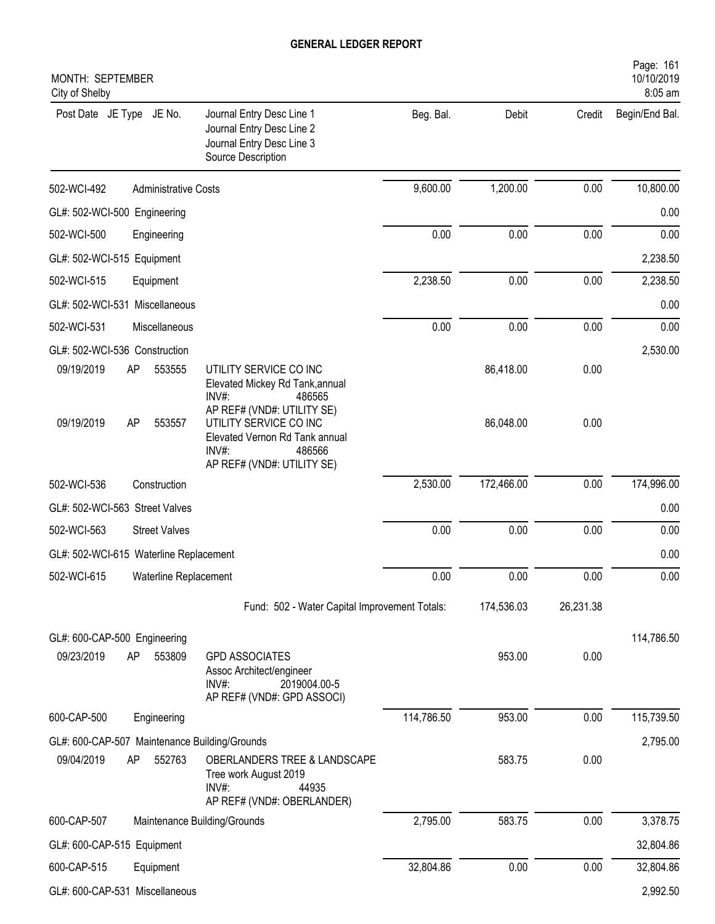| MONTH: SEPTEMBER<br>City of Shelby            |                                                                                                                                         |            |            |           | Page: 161<br>10/10/2019<br>8:05 am |
|-----------------------------------------------|-----------------------------------------------------------------------------------------------------------------------------------------|------------|------------|-----------|------------------------------------|
| Post Date JE Type JE No.                      | Journal Entry Desc Line 1<br>Journal Entry Desc Line 2<br>Journal Entry Desc Line 3<br>Source Description                               | Beg. Bal.  | Debit      | Credit    | Begin/End Bal.                     |
| 502-WCI-492<br><b>Administrative Costs</b>    |                                                                                                                                         | 9,600.00   | 1,200.00   | 0.00      | 10,800.00                          |
| GL#: 502-WCI-500 Engineering                  |                                                                                                                                         |            |            |           | 0.00                               |
| 502-WCI-500<br>Engineering                    |                                                                                                                                         | 0.00       | 0.00       | 0.00      | 0.00                               |
| GL#: 502-WCI-515 Equipment                    |                                                                                                                                         |            |            |           | 2,238.50                           |
| 502-WCI-515<br>Equipment                      |                                                                                                                                         | 2,238.50   | 0.00       | 0.00      | 2,238.50                           |
| GL#: 502-WCI-531 Miscellaneous                |                                                                                                                                         |            |            |           | 0.00                               |
| 502-WCI-531<br>Miscellaneous                  |                                                                                                                                         | 0.00       | 0.00       | 0.00      | 0.00                               |
| GL#: 502-WCI-536 Construction                 |                                                                                                                                         |            |            |           | 2,530.00                           |
| 09/19/2019<br>AP<br>553555                    | UTILITY SERVICE CO INC<br>Elevated Mickey Rd Tank, annual<br>$INV#$ :<br>486565                                                         |            | 86,418.00  | 0.00      |                                    |
| 09/19/2019<br>AP<br>553557                    | AP REF# (VND#: UTILITY SE)<br>UTILITY SERVICE CO INC<br>Elevated Vernon Rd Tank annual<br>INV#:<br>486566<br>AP REF# (VND#: UTILITY SE) |            | 86,048.00  | 0.00      |                                    |
| 502-WCI-536<br>Construction                   |                                                                                                                                         | 2,530.00   | 172,466.00 | 0.00      | 174,996.00                         |
| GL#: 502-WCI-563 Street Valves                |                                                                                                                                         |            |            |           | 0.00                               |
| 502-WCI-563<br><b>Street Valves</b>           |                                                                                                                                         | 0.00       | 0.00       | 0.00      | 0.00                               |
| GL#: 502-WCI-615 Waterline Replacement        |                                                                                                                                         |            |            |           | 0.00                               |
| 502-WCI-615<br>Waterline Replacement          |                                                                                                                                         | 0.00       | 0.00       | 0.00      | 0.00                               |
|                                               | Fund: 502 - Water Capital Improvement Totals:                                                                                           |            | 174,536.03 | 26,231.38 |                                    |
| GL#: 600-CAP-500 Engineering                  |                                                                                                                                         |            |            |           | 114,786.50                         |
| 09/23/2019<br>553809<br>AP                    | <b>GPD ASSOCIATES</b><br>Assoc Architect/engineer<br>$INV#$ :<br>2019004.00-5<br>AP REF# (VND#: GPD ASSOCI)                             |            | 953.00     | 0.00      |                                    |
| 600-CAP-500<br>Engineering                    |                                                                                                                                         | 114,786.50 | 953.00     | 0.00      | 115,739.50                         |
| GL#: 600-CAP-507 Maintenance Building/Grounds |                                                                                                                                         |            |            |           | 2,795.00                           |
| 09/04/2019<br>552763<br>AP                    | OBERLANDERS TREE & LANDSCAPE<br>Tree work August 2019<br>$INV#$ :<br>44935<br>AP REF# (VND#: OBERLANDER)                                |            | 583.75     | 0.00      |                                    |
| 600-CAP-507                                   | Maintenance Building/Grounds                                                                                                            | 2,795.00   | 583.75     | 0.00      | 3,378.75                           |
| GL#: 600-CAP-515 Equipment                    |                                                                                                                                         |            |            |           | 32,804.86                          |
| 600-CAP-515<br>Equipment                      |                                                                                                                                         | 32,804.86  | 0.00       | 0.00      | 32,804.86                          |
| GL#: 600-CAP-531 Miscellaneous                |                                                                                                                                         |            |            |           | 2,992.50                           |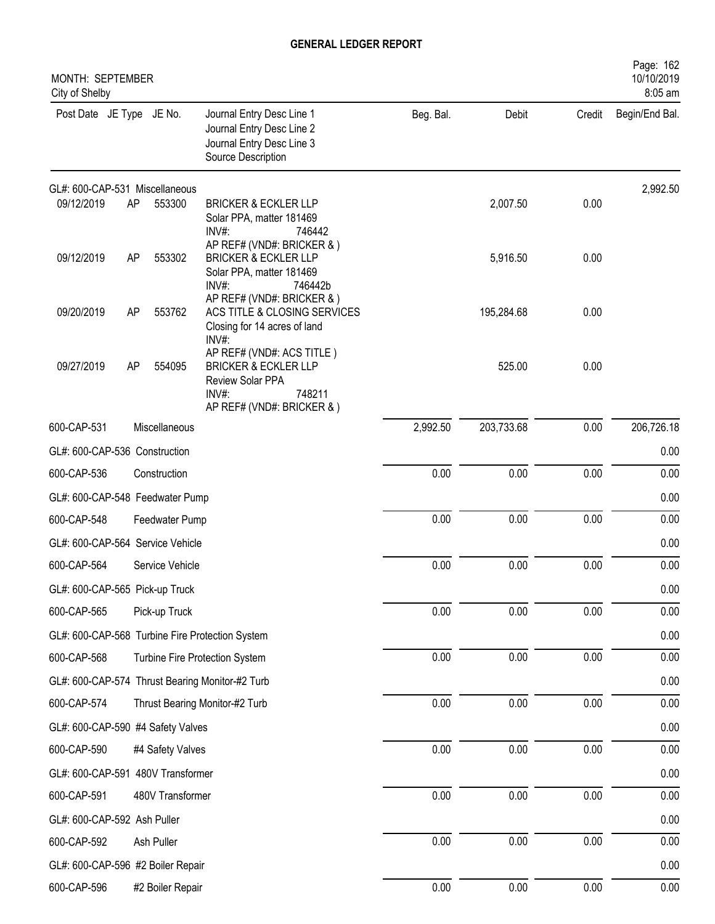| MONTH: SEPTEMBER<br>City of Shelby              |    |                  |                                                                                                                                   |           |            |          | Page: 162<br>10/10/2019<br>8:05 am |
|-------------------------------------------------|----|------------------|-----------------------------------------------------------------------------------------------------------------------------------|-----------|------------|----------|------------------------------------|
| Post Date JE Type JE No.                        |    |                  | Journal Entry Desc Line 1<br>Journal Entry Desc Line 2<br>Journal Entry Desc Line 3<br>Source Description                         | Beg. Bal. | Debit      | Credit   | Begin/End Bal.                     |
| GL#: 600-CAP-531 Miscellaneous                  |    |                  |                                                                                                                                   |           |            |          | 2,992.50                           |
| 09/12/2019                                      | AP | 553300           | <b>BRICKER &amp; ECKLER LLP</b><br>Solar PPA, matter 181469<br>$INV#$ :<br>746442                                                 |           | 2,007.50   | 0.00     |                                    |
| 09/12/2019                                      | AP | 553302           | AP REF# (VND#: BRICKER & )<br><b>BRICKER &amp; ECKLER LLP</b><br>Solar PPA, matter 181469<br>INV#:<br>746442b                     |           | 5,916.50   | 0.00     |                                    |
| 09/20/2019                                      | AP | 553762           | AP REF# (VND#: BRICKER & )<br>ACS TITLE & CLOSING SERVICES<br>Closing for 14 acres of land<br>INV#:                               |           | 195,284.68 | 0.00     |                                    |
| 09/27/2019                                      | AP | 554095           | AP REF# (VND#: ACS TITLE)<br><b>BRICKER &amp; ECKLER LLP</b><br>Review Solar PPA<br>INV#:<br>748211<br>AP REF# (VND#: BRICKER & ) |           | 525.00     | 0.00     |                                    |
| 600-CAP-531                                     |    | Miscellaneous    |                                                                                                                                   | 2,992.50  | 203,733.68 | 0.00     | 206,726.18                         |
| GL#: 600-CAP-536 Construction                   |    |                  |                                                                                                                                   |           |            |          | 0.00                               |
| 600-CAP-536                                     |    | Construction     |                                                                                                                                   | 0.00      | 0.00       | 0.00     | 0.00                               |
| GL#: 600-CAP-548 Feedwater Pump                 |    |                  |                                                                                                                                   |           |            |          | 0.00                               |
| 600-CAP-548                                     |    | Feedwater Pump   |                                                                                                                                   | 0.00      | 0.00       | 0.00     | 0.00                               |
| GL#: 600-CAP-564 Service Vehicle                |    |                  |                                                                                                                                   |           |            |          | 0.00                               |
| 600-CAP-564                                     |    | Service Vehicle  |                                                                                                                                   | 0.00      | 0.00       | 0.00     | 0.00                               |
| GL#: 600-CAP-565 Pick-up Truck                  |    |                  |                                                                                                                                   |           |            |          | 0.00                               |
| 600-CAP-565                                     |    | Pick-up Truck    |                                                                                                                                   | $0.00\,$  | 0.00       | 0.00     | 0.00                               |
| GL#: 600-CAP-568 Turbine Fire Protection System |    |                  |                                                                                                                                   |           |            |          | 0.00                               |
| 600-CAP-568                                     |    |                  | Turbine Fire Protection System                                                                                                    | 0.00      | 0.00       | 0.00     | 0.00                               |
| GL#: 600-CAP-574 Thrust Bearing Monitor-#2 Turb |    |                  |                                                                                                                                   |           |            |          | 0.00                               |
| 600-CAP-574                                     |    |                  | Thrust Bearing Monitor-#2 Turb                                                                                                    | 0.00      | 0.00       | $0.00\,$ | 0.00                               |
| GL#: 600-CAP-590 #4 Safety Valves               |    |                  |                                                                                                                                   |           |            |          | 0.00                               |
| 600-CAP-590                                     |    | #4 Safety Valves |                                                                                                                                   | $0.00\,$  | 0.00       | $0.00\,$ | 0.00                               |
| GL#: 600-CAP-591 480V Transformer               |    |                  |                                                                                                                                   |           |            |          | 0.00                               |
| 600-CAP-591                                     |    | 480V Transformer |                                                                                                                                   | $0.00\,$  | 0.00       | 0.00     | 0.00                               |
| GL#: 600-CAP-592 Ash Puller                     |    |                  |                                                                                                                                   |           |            |          | 0.00                               |
| 600-CAP-592                                     |    | Ash Puller       |                                                                                                                                   | $0.00\,$  | 0.00       | $0.00\,$ | 0.00                               |
| GL#: 600-CAP-596 #2 Boiler Repair               |    |                  |                                                                                                                                   |           |            |          | 0.00                               |
| 600-CAP-596                                     |    | #2 Boiler Repair |                                                                                                                                   | 0.00      | 0.00       | $0.00\,$ | 0.00                               |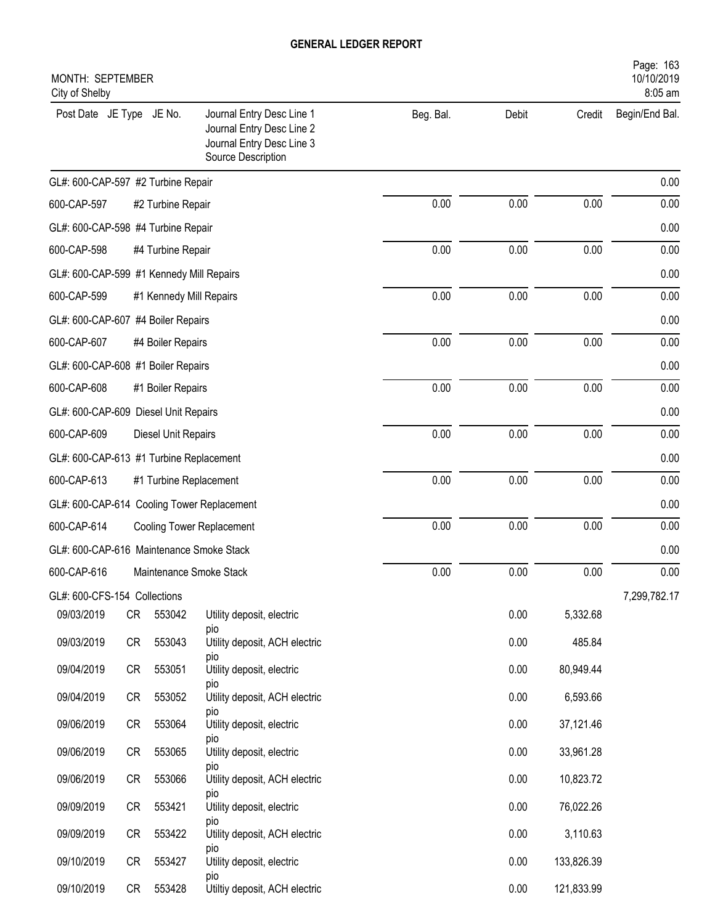| MONTH: SEPTEMBER<br>City of Shelby       |           |                         |                                                                                                           |           |       |            | Page: 163<br>10/10/2019<br>8:05 am |
|------------------------------------------|-----------|-------------------------|-----------------------------------------------------------------------------------------------------------|-----------|-------|------------|------------------------------------|
| Post Date JE Type JE No.                 |           |                         | Journal Entry Desc Line 1<br>Journal Entry Desc Line 2<br>Journal Entry Desc Line 3<br>Source Description | Beg. Bal. | Debit | Credit     | Begin/End Bal.                     |
| GL#: 600-CAP-597 #2 Turbine Repair       |           |                         |                                                                                                           |           |       |            | 0.00                               |
| 600-CAP-597                              |           | #2 Turbine Repair       |                                                                                                           | 0.00      | 0.00  | 0.00       | 0.00                               |
| GL#: 600-CAP-598 #4 Turbine Repair       |           |                         |                                                                                                           |           |       |            | 0.00                               |
| 600-CAP-598                              |           | #4 Turbine Repair       |                                                                                                           | 0.00      | 0.00  | 0.00       | 0.00                               |
| GL#: 600-CAP-599 #1 Kennedy Mill Repairs |           |                         |                                                                                                           |           |       |            | 0.00                               |
| 600-CAP-599                              |           | #1 Kennedy Mill Repairs |                                                                                                           | 0.00      | 0.00  | 0.00       | 0.00                               |
| GL#: 600-CAP-607 #4 Boiler Repairs       |           |                         |                                                                                                           |           |       |            | 0.00                               |
| 600-CAP-607                              |           | #4 Boiler Repairs       |                                                                                                           | 0.00      | 0.00  | 0.00       | 0.00                               |
| GL#: 600-CAP-608 #1 Boiler Repairs       |           |                         |                                                                                                           |           |       |            | 0.00                               |
| 600-CAP-608                              |           | #1 Boiler Repairs       |                                                                                                           | 0.00      | 0.00  | 0.00       | 0.00                               |
| GL#: 600-CAP-609 Diesel Unit Repairs     |           |                         |                                                                                                           |           |       |            | 0.00                               |
| 600-CAP-609                              |           | Diesel Unit Repairs     |                                                                                                           | 0.00      | 0.00  | 0.00       | 0.00                               |
| GL#: 600-CAP-613 #1 Turbine Replacement  |           |                         |                                                                                                           |           |       |            | 0.00                               |
| 600-CAP-613                              |           |                         | #1 Turbine Replacement                                                                                    | 0.00      | 0.00  | 0.00       | 0.00                               |
|                                          |           |                         | GL#: 600-CAP-614 Cooling Tower Replacement                                                                |           |       |            | 0.00                               |
| 600-CAP-614                              |           |                         | <b>Cooling Tower Replacement</b>                                                                          | 0.00      | 0.00  | 0.00       | 0.00                               |
| GL#: 600-CAP-616 Maintenance Smoke Stack |           |                         |                                                                                                           |           |       |            | 0.00                               |
| 600-CAP-616                              |           |                         | Maintenance Smoke Stack                                                                                   | 0.00      | 0.00  | 0.00       | 0.00                               |
| GL#: 600-CFS-154 Collections             |           |                         |                                                                                                           |           |       |            | 7,299,782.17                       |
| 09/03/2019                               | CR        | 553042                  | Utility deposit, electric                                                                                 |           | 0.00  | 5,332.68   |                                    |
| 09/03/2019                               | CR        | 553043                  | pio<br>Utility deposit, ACH electric                                                                      |           | 0.00  | 485.84     |                                    |
| 09/04/2019                               | CR        | 553051                  | pio<br>Utility deposit, electric<br>pio                                                                   |           | 0.00  | 80,949.44  |                                    |
| 09/04/2019                               | CR        | 553052                  | Utility deposit, ACH electric                                                                             |           | 0.00  | 6,593.66   |                                    |
| 09/06/2019                               | CR        | 553064                  | pio<br>Utility deposit, electric                                                                          |           | 0.00  | 37,121.46  |                                    |
| 09/06/2019                               | CR        | 553065                  | pio<br>Utility deposit, electric<br>pio                                                                   |           | 0.00  | 33,961.28  |                                    |
| 09/06/2019                               | CR        | 553066                  | Utility deposit, ACH electric                                                                             |           | 0.00  | 10,823.72  |                                    |
| 09/09/2019                               | CR        | 553421                  | pio<br>Utility deposit, electric                                                                          |           | 0.00  | 76,022.26  |                                    |
| 09/09/2019                               | <b>CR</b> | 553422                  | pio<br>Utility deposit, ACH electric                                                                      |           | 0.00  | 3,110.63   |                                    |
| 09/10/2019                               | CR        | 553427                  | pio<br>Utility deposit, electric                                                                          |           | 0.00  | 133,826.39 |                                    |
| 09/10/2019                               | CR        | 553428                  | pio<br>Utiltiy deposit, ACH electric                                                                      |           | 0.00  | 121,833.99 |                                    |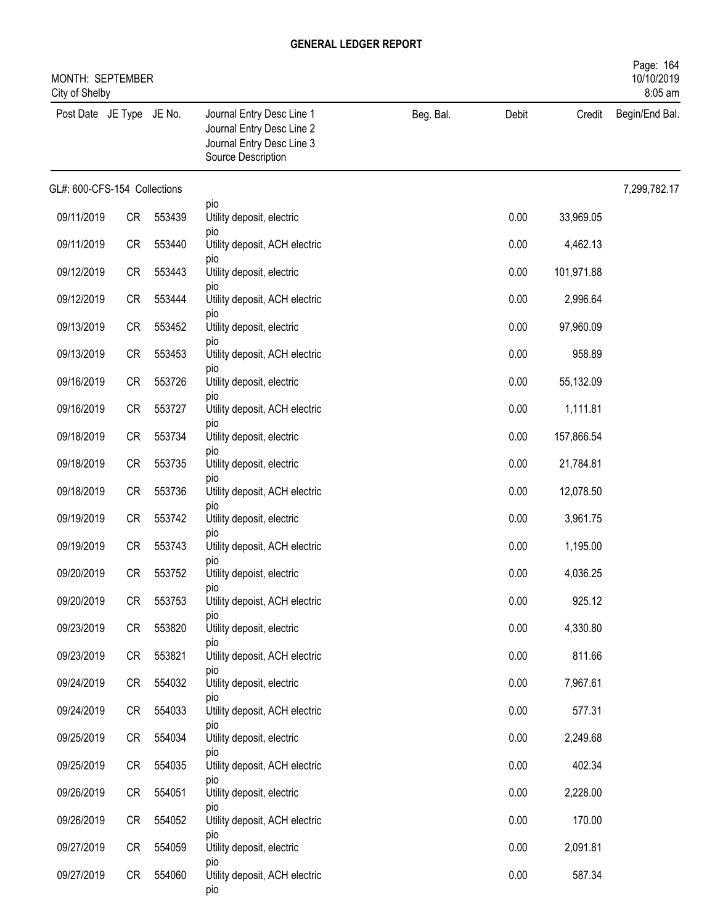|                              | MONTH: SEPTEMBER<br>City of Shelby |        |                                                                                                           |           |       |            |                |  |
|------------------------------|------------------------------------|--------|-----------------------------------------------------------------------------------------------------------|-----------|-------|------------|----------------|--|
| Post Date JE Type JE No.     |                                    |        | Journal Entry Desc Line 1<br>Journal Entry Desc Line 2<br>Journal Entry Desc Line 3<br>Source Description | Beg. Bal. | Debit | Credit     | Begin/End Bal. |  |
| GL#: 600-CFS-154 Collections |                                    |        |                                                                                                           |           |       |            | 7,299,782.17   |  |
| 09/11/2019                   | CR                                 | 553439 | pio<br>Utility deposit, electric                                                                          |           | 0.00  | 33,969.05  |                |  |
| 09/11/2019                   | CR                                 | 553440 | pio<br>Utility deposit, ACH electric                                                                      |           | 0.00  | 4,462.13   |                |  |
| 09/12/2019                   | CR                                 | 553443 | pio<br>Utility deposit, electric                                                                          |           | 0.00  | 101,971.88 |                |  |
| 09/12/2019                   | CR                                 | 553444 | pio<br>Utility deposit, ACH electric                                                                      |           | 0.00  | 2,996.64   |                |  |
| 09/13/2019                   | <b>CR</b>                          | 553452 | pio<br>Utility deposit, electric                                                                          |           | 0.00  | 97,960.09  |                |  |
| 09/13/2019                   | CR                                 | 553453 | pio<br>Utility deposit, ACH electric                                                                      |           | 0.00  | 958.89     |                |  |
| 09/16/2019                   | CR                                 | 553726 | pio<br>Utility deposit, electric                                                                          |           | 0.00  | 55,132.09  |                |  |
| 09/16/2019                   | CR                                 | 553727 | pio<br>Utility deposit, ACH electric                                                                      |           | 0.00  | 1,111.81   |                |  |
| 09/18/2019                   | CR                                 | 553734 | pio<br>Utility deposit, electric                                                                          |           | 0.00  | 157,866.54 |                |  |
| 09/18/2019                   | CR                                 | 553735 | pio<br>Utility deposit, electric                                                                          |           | 0.00  | 21,784.81  |                |  |
| 09/18/2019                   | <b>CR</b>                          | 553736 | pio<br>Utility deposit, ACH electric                                                                      |           | 0.00  | 12,078.50  |                |  |
| 09/19/2019                   | <b>CR</b>                          | 553742 | pio<br>Utility deposit, electric                                                                          |           | 0.00  | 3,961.75   |                |  |
| 09/19/2019                   | CR                                 | 553743 | pio<br>Utility deposit, ACH electric                                                                      |           | 0.00  | 1,195.00   |                |  |
| 09/20/2019                   | CR                                 | 553752 | pio<br>Utility depoist, electric                                                                          |           | 0.00  | 4,036.25   |                |  |
| 09/20/2019                   | <b>CR</b>                          | 553753 | pio<br>Utility depoist, ACH electric                                                                      |           | 0.00  | 925.12     |                |  |
| 09/23/2019                   | CR                                 | 553820 | pio<br>Utility deposit, electric                                                                          |           | 0.00  | 4,330.80   |                |  |
| 09/23/2019                   | CR                                 | 553821 | pio<br>Utility deposit, ACH electric                                                                      |           | 0.00  | 811.66     |                |  |
| 09/24/2019                   | CR                                 | 554032 | pio<br>Utility deposit, electric                                                                          |           | 0.00  | 7,967.61   |                |  |
| 09/24/2019                   | CR                                 | 554033 | pio<br>Utility deposit, ACH electric                                                                      |           | 0.00  | 577.31     |                |  |
| 09/25/2019                   | CR                                 | 554034 | pio<br>Utility deposit, electric                                                                          |           | 0.00  | 2,249.68   |                |  |
| 09/25/2019                   | CR                                 | 554035 | pio<br>Utility deposit, ACH electric                                                                      |           | 0.00  | 402.34     |                |  |
| 09/26/2019                   | CR                                 | 554051 | pio<br>Utility deposit, electric                                                                          |           | 0.00  | 2,228.00   |                |  |
| 09/26/2019                   | CR                                 | 554052 | pio<br>Utility deposit, ACH electric                                                                      |           | 0.00  | 170.00     |                |  |
| 09/27/2019                   | CR                                 | 554059 | pio<br>Utility deposit, electric                                                                          |           | 0.00  | 2,091.81   |                |  |
| 09/27/2019                   | CR                                 | 554060 | pio<br>Utility deposit, ACH electric<br>pio                                                               |           | 0.00  | 587.34     |                |  |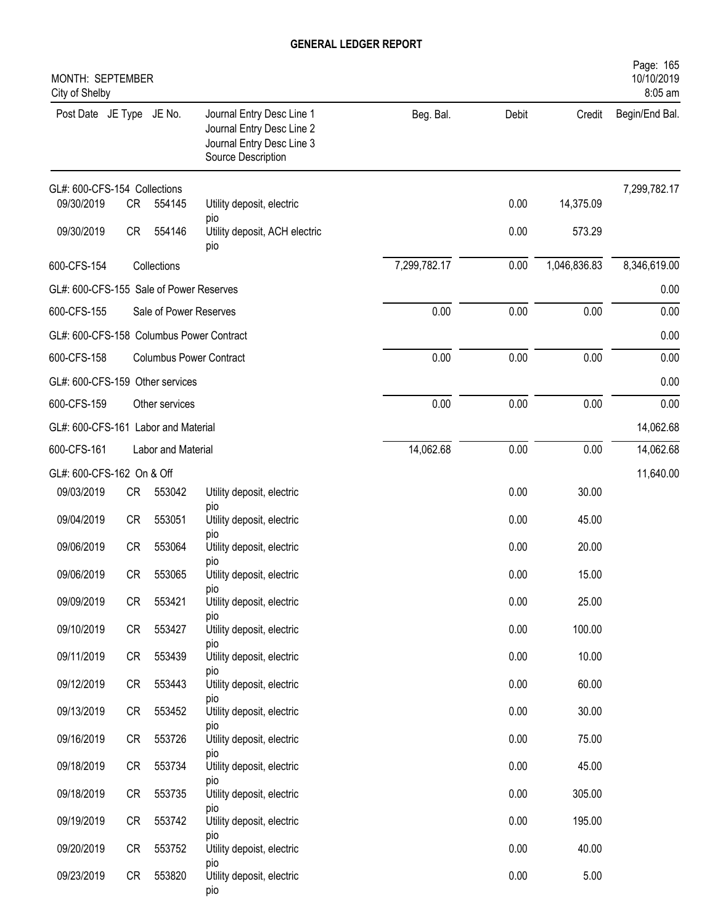| MONTH: SEPTEMBER<br>City of Shelby       |           |                        |                                                                                                           |              |       |              | Page: 165<br>10/10/2019<br>8:05 am |
|------------------------------------------|-----------|------------------------|-----------------------------------------------------------------------------------------------------------|--------------|-------|--------------|------------------------------------|
| Post Date JE Type JE No.                 |           |                        | Journal Entry Desc Line 1<br>Journal Entry Desc Line 2<br>Journal Entry Desc Line 3<br>Source Description | Beg. Bal.    | Debit | Credit       | Begin/End Bal.                     |
| GL#: 600-CFS-154 Collections             |           |                        |                                                                                                           |              |       |              | 7,299,782.17                       |
| 09/30/2019                               | <b>CR</b> | 554145                 | Utility deposit, electric<br>pio                                                                          |              | 0.00  | 14,375.09    |                                    |
| 09/30/2019                               | <b>CR</b> | 554146                 | Utility deposit, ACH electric<br>pio                                                                      |              | 0.00  | 573.29       |                                    |
| 600-CFS-154                              |           | Collections            |                                                                                                           | 7,299,782.17 | 0.00  | 1,046,836.83 | 8,346,619.00                       |
| GL#: 600-CFS-155 Sale of Power Reserves  |           |                        |                                                                                                           |              |       |              | 0.00                               |
| 600-CFS-155                              |           | Sale of Power Reserves |                                                                                                           | 0.00         | 0.00  | 0.00         | 0.00                               |
| GL#: 600-CFS-158 Columbus Power Contract |           |                        |                                                                                                           |              |       |              | 0.00                               |
| 600-CFS-158                              |           |                        | <b>Columbus Power Contract</b>                                                                            | 0.00         | 0.00  | 0.00         | 0.00                               |
| GL#: 600-CFS-159 Other services          |           |                        |                                                                                                           |              |       |              | 0.00                               |
| 600-CFS-159                              |           | Other services         |                                                                                                           | 0.00         | 0.00  | 0.00         | 0.00                               |
| GL#: 600-CFS-161 Labor and Material      |           |                        |                                                                                                           |              |       |              | 14,062.68                          |
| 600-CFS-161                              |           | Labor and Material     |                                                                                                           | 14,062.68    | 0.00  | 0.00         | 14,062.68                          |
| GL#: 600-CFS-162 On & Off                |           |                        |                                                                                                           |              |       |              | 11,640.00                          |
| 09/03/2019                               | CR        | 553042                 | Utility deposit, electric<br>pio                                                                          |              | 0.00  | 30.00        |                                    |
| 09/04/2019                               | <b>CR</b> | 553051                 | Utility deposit, electric                                                                                 |              | 0.00  | 45.00        |                                    |
| 09/06/2019                               | <b>CR</b> | 553064                 | pio<br>Utility deposit, electric<br>pio                                                                   |              | 0.00  | 20.00        |                                    |
| 09/06/2019                               | <b>CR</b> | 553065                 | Utility deposit, electric                                                                                 |              | 0.00  | 15.00        |                                    |
| 09/09/2019                               | <b>CR</b> | 553421                 | pio<br>Utility deposit, electric                                                                          |              | 0.00  | 25.00        |                                    |
| 09/10/2019                               | CR        | 553427                 | pio<br>Utility deposit, electric<br>pio                                                                   |              | 0.00  | 100.00       |                                    |
| 09/11/2019                               | CR        | 553439                 | Utility deposit, electric                                                                                 |              | 0.00  | 10.00        |                                    |
| 09/12/2019                               | CR        | 553443                 | pio<br>Utility deposit, electric                                                                          |              | 0.00  | 60.00        |                                    |
| 09/13/2019                               | CR        | 553452                 | pio<br>Utility deposit, electric                                                                          |              | 0.00  | 30.00        |                                    |
| 09/16/2019                               | CR        | 553726                 | pio<br>Utility deposit, electric                                                                          |              | 0.00  | 75.00        |                                    |
| 09/18/2019                               | CR        | 553734                 | pio<br>Utility deposit, electric                                                                          |              | 0.00  | 45.00        |                                    |
| 09/18/2019                               | CR        | 553735                 | pio<br>Utility deposit, electric                                                                          |              | 0.00  | 305.00       |                                    |
| 09/19/2019                               | CR        | 553742                 | pio<br>Utility deposit, electric                                                                          |              | 0.00  | 195.00       |                                    |
| 09/20/2019                               | CR        | 553752                 | pio<br>Utility depoist, electric                                                                          |              | 0.00  | 40.00        |                                    |
| 09/23/2019                               | CR        | 553820                 | pio<br>Utility deposit, electric<br>pio                                                                   |              | 0.00  | 5.00         |                                    |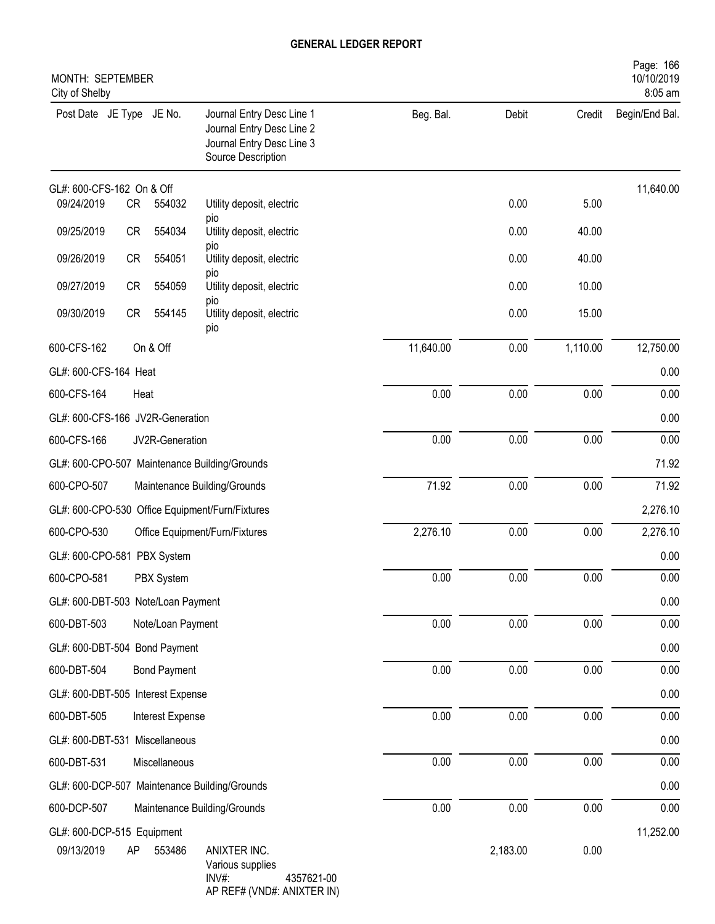| MONTH: SEPTEMBER<br>City of Shelby |           |                     |                                                                                                           |           |          |          | Page: 166<br>10/10/2019<br>8:05 am |
|------------------------------------|-----------|---------------------|-----------------------------------------------------------------------------------------------------------|-----------|----------|----------|------------------------------------|
| Post Date JE Type JE No.           |           |                     | Journal Entry Desc Line 1<br>Journal Entry Desc Line 2<br>Journal Entry Desc Line 3<br>Source Description | Beg. Bal. | Debit    | Credit   | Begin/End Bal.                     |
| GL#: 600-CFS-162 On & Off          |           |                     |                                                                                                           |           |          |          | 11,640.00                          |
| 09/24/2019                         | CR        | 554032              | Utility deposit, electric<br>pio                                                                          |           | 0.00     | 5.00     |                                    |
| 09/25/2019                         | CR        | 554034              | Utility deposit, electric                                                                                 |           | 0.00     | 40.00    |                                    |
| 09/26/2019                         | CR        | 554051              | pio<br>Utility deposit, electric                                                                          |           | 0.00     | 40.00    |                                    |
| 09/27/2019                         | <b>CR</b> | 554059              | pio<br>Utility deposit, electric                                                                          |           | 0.00     | 10.00    |                                    |
| 09/30/2019                         | CR        | 554145              | pio<br>Utility deposit, electric<br>pio                                                                   |           | 0.00     | 15.00    |                                    |
| 600-CFS-162                        |           | On & Off            |                                                                                                           | 11,640.00 | 0.00     | 1,110.00 | 12,750.00                          |
| GL#: 600-CFS-164 Heat              |           |                     |                                                                                                           |           |          |          | 0.00                               |
| 600-CFS-164                        | Heat      |                     |                                                                                                           | 0.00      | 0.00     | 0.00     | 0.00                               |
| GL#: 600-CFS-166 JV2R-Generation   |           |                     |                                                                                                           |           |          |          | 0.00                               |
| 600-CFS-166                        |           | JV2R-Generation     |                                                                                                           | 0.00      | 0.00     | 0.00     | 0.00                               |
|                                    |           |                     | GL#: 600-CPO-507 Maintenance Building/Grounds                                                             |           |          |          | 71.92                              |
| 600-CPO-507                        |           |                     | Maintenance Building/Grounds                                                                              | 71.92     | 0.00     | 0.00     | 71.92                              |
|                                    |           |                     | GL#: 600-CPO-530 Office Equipment/Furn/Fixtures                                                           |           |          |          | 2,276.10                           |
| 600-CPO-530                        |           |                     | Office Equipment/Furn/Fixtures                                                                            | 2,276.10  | 0.00     | 0.00     | 2,276.10                           |
| GL#: 600-CPO-581 PBX System        |           |                     |                                                                                                           |           |          |          | 0.00                               |
| 600-CPO-581                        |           | PBX System          |                                                                                                           | 0.00      | 0.00     | 0.00     | 0.00                               |
| GL#: 600-DBT-503 Note/Loan Payment |           |                     |                                                                                                           |           |          |          | 0.00                               |
| 600-DBT-503                        |           | Note/Loan Payment   |                                                                                                           | 0.00      | 0.00     | 0.00     | 0.00                               |
| GL#: 600-DBT-504 Bond Payment      |           |                     |                                                                                                           |           |          |          | 0.00                               |
| 600-DBT-504                        |           | <b>Bond Payment</b> |                                                                                                           | 0.00      | 0.00     | 0.00     | 0.00                               |
| GL#: 600-DBT-505 Interest Expense  |           |                     |                                                                                                           |           |          |          | 0.00                               |
| 600-DBT-505                        |           | Interest Expense    |                                                                                                           | 0.00      | 0.00     | 0.00     | 0.00                               |
| GL#: 600-DBT-531 Miscellaneous     |           |                     |                                                                                                           |           |          |          | $0.00\,$                           |
| 600-DBT-531                        |           | Miscellaneous       |                                                                                                           | 0.00      | 0.00     | $0.00\,$ | 0.00                               |
|                                    |           |                     | GL#: 600-DCP-507 Maintenance Building/Grounds                                                             |           |          |          | 0.00                               |
| 600-DCP-507                        |           |                     | Maintenance Building/Grounds                                                                              | 0.00      | 0.00     | 0.00     | 0.00                               |
| GL#: 600-DCP-515 Equipment         |           |                     |                                                                                                           |           |          |          | 11,252.00                          |
| 09/13/2019                         | AP        | 553486              | ANIXTER INC.<br>Various supplies<br>INV#:<br>4357621-00<br>AP REF# (VND#: ANIXTER IN)                     |           | 2,183.00 | 0.00     |                                    |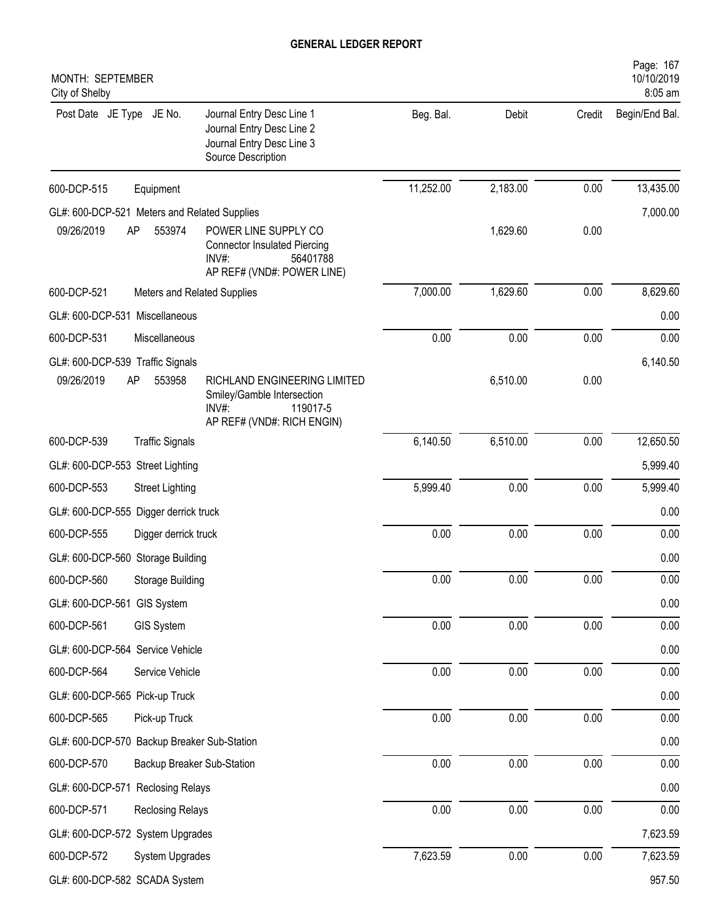| MONTH: SEPTEMBER<br>City of Shelby           |                             |                                                                                                                  |           |          |          | Page: 167<br>10/10/2019<br>8:05 am |
|----------------------------------------------|-----------------------------|------------------------------------------------------------------------------------------------------------------|-----------|----------|----------|------------------------------------|
| Post Date JE Type JE No.                     |                             | Journal Entry Desc Line 1<br>Journal Entry Desc Line 2<br>Journal Entry Desc Line 3<br>Source Description        | Beg. Bal. | Debit    | Credit   | Begin/End Bal.                     |
| 600-DCP-515                                  | Equipment                   |                                                                                                                  | 11,252.00 | 2,183.00 | 0.00     | 13,435.00                          |
| GL#: 600-DCP-521 Meters and Related Supplies |                             |                                                                                                                  |           |          |          | 7,000.00                           |
| 09/26/2019                                   | AP<br>553974                | POWER LINE SUPPLY CO<br><b>Connector Insulated Piercing</b><br>INV#:<br>56401788<br>AP REF# (VND#: POWER LINE)   |           | 1,629.60 | 0.00     |                                    |
| 600-DCP-521                                  | Meters and Related Supplies |                                                                                                                  | 7,000.00  | 1,629.60 | 0.00     | 8,629.60                           |
| GL#: 600-DCP-531 Miscellaneous               |                             |                                                                                                                  |           |          |          | 0.00                               |
| 600-DCP-531                                  | Miscellaneous               |                                                                                                                  | 0.00      | 0.00     | 0.00     | 0.00                               |
| GL#: 600-DCP-539 Traffic Signals             |                             |                                                                                                                  |           |          |          | 6,140.50                           |
| 09/26/2019                                   | AP<br>553958                | RICHLAND ENGINEERING LIMITED<br>Smiley/Gamble Intersection<br>$INV#$ :<br>119017-5<br>AP REF# (VND#: RICH ENGIN) |           | 6,510.00 | 0.00     |                                    |
| 600-DCP-539                                  | <b>Traffic Signals</b>      |                                                                                                                  | 6,140.50  | 6,510.00 | 0.00     | 12,650.50                          |
| GL#: 600-DCP-553 Street Lighting             |                             |                                                                                                                  |           |          |          | 5,999.40                           |
| 600-DCP-553                                  | <b>Street Lighting</b>      |                                                                                                                  | 5,999.40  | 0.00     | 0.00     | 5,999.40                           |
| GL#: 600-DCP-555 Digger derrick truck        |                             |                                                                                                                  |           |          |          | 0.00                               |
| 600-DCP-555                                  | Digger derrick truck        |                                                                                                                  | 0.00      | 0.00     | 0.00     | 0.00                               |
| GL#: 600-DCP-560 Storage Building            |                             |                                                                                                                  |           |          |          | 0.00                               |
| 600-DCP-560                                  | Storage Building            |                                                                                                                  | 0.00      | $0.00\,$ | $0.00\,$ | 0.00                               |
| GL#: 600-DCP-561 GIS System                  |                             |                                                                                                                  |           |          |          | 0.00                               |
| 600-DCP-561                                  | GIS System                  |                                                                                                                  | 0.00      | 0.00     | 0.00     | 0.00                               |
| GL#: 600-DCP-564 Service Vehicle             |                             |                                                                                                                  |           |          |          | 0.00                               |
| 600-DCP-564                                  | Service Vehicle             |                                                                                                                  | 0.00      | 0.00     | 0.00     | 0.00                               |
| GL#: 600-DCP-565 Pick-up Truck               |                             |                                                                                                                  |           |          |          | 0.00                               |
| 600-DCP-565                                  | Pick-up Truck               |                                                                                                                  | 0.00      | 0.00     | 0.00     | 0.00                               |
| GL#: 600-DCP-570 Backup Breaker Sub-Station  |                             |                                                                                                                  |           |          |          | 0.00                               |
| 600-DCP-570                                  | Backup Breaker Sub-Station  |                                                                                                                  | 0.00      | 0.00     | 0.00     | 0.00                               |
| GL#: 600-DCP-571 Reclosing Relays            |                             |                                                                                                                  |           |          |          | 0.00                               |
| 600-DCP-571                                  | <b>Reclosing Relays</b>     |                                                                                                                  | 0.00      | 0.00     | 0.00     | 0.00                               |
| GL#: 600-DCP-572 System Upgrades             |                             |                                                                                                                  |           |          |          | 7,623.59                           |
| 600-DCP-572                                  | System Upgrades             |                                                                                                                  | 7,623.59  | 0.00     | $0.00\,$ | 7,623.59                           |
| GL#: 600-DCP-582 SCADA System                |                             |                                                                                                                  |           |          |          | 957.50                             |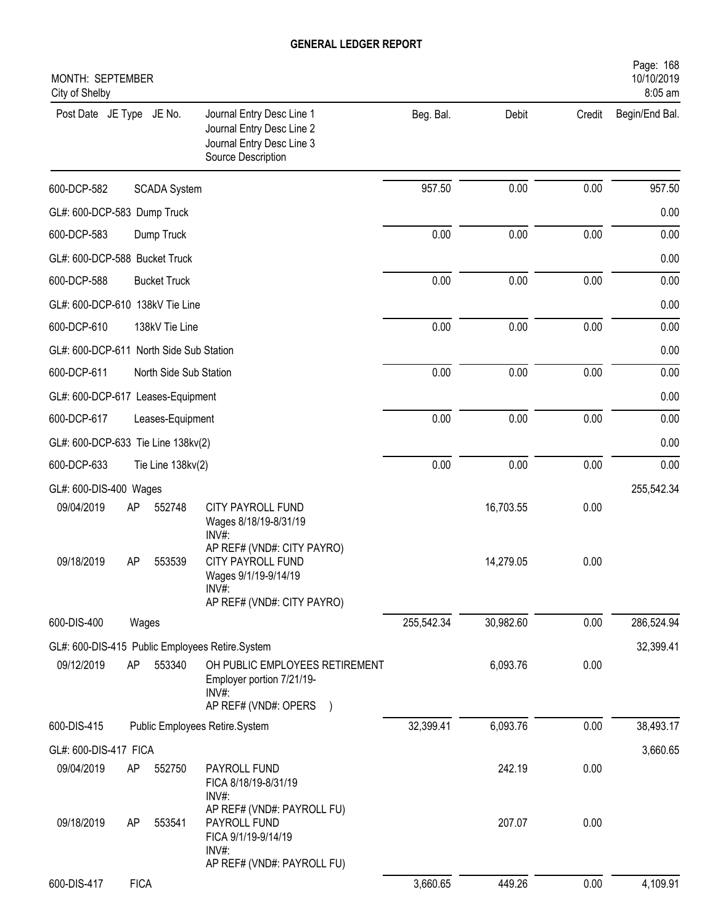| MONTH: SEPTEMBER<br>City of Shelby      |             |                        |                                                                                                           |            |           |        | Page: 168<br>10/10/2019<br>8:05 am |
|-----------------------------------------|-------------|------------------------|-----------------------------------------------------------------------------------------------------------|------------|-----------|--------|------------------------------------|
| Post Date JE Type JE No.                |             |                        | Journal Entry Desc Line 1<br>Journal Entry Desc Line 2<br>Journal Entry Desc Line 3<br>Source Description | Beg. Bal.  | Debit     | Credit | Begin/End Bal.                     |
| 600-DCP-582                             |             | <b>SCADA System</b>    |                                                                                                           | 957.50     | 0.00      | 0.00   | 957.50                             |
| GL#: 600-DCP-583 Dump Truck             |             |                        |                                                                                                           |            |           |        | 0.00                               |
| 600-DCP-583                             |             | Dump Truck             |                                                                                                           | 0.00       | 0.00      | 0.00   | 0.00                               |
| GL#: 600-DCP-588 Bucket Truck           |             |                        |                                                                                                           |            |           |        | 0.00                               |
| 600-DCP-588                             |             | <b>Bucket Truck</b>    |                                                                                                           | 0.00       | 0.00      | 0.00   | 0.00                               |
| GL#: 600-DCP-610 138kV Tie Line         |             |                        |                                                                                                           |            |           |        | 0.00                               |
| 600-DCP-610                             |             | 138kV Tie Line         |                                                                                                           | 0.00       | 0.00      | 0.00   | 0.00                               |
| GL#: 600-DCP-611 North Side Sub Station |             |                        |                                                                                                           |            |           |        | 0.00                               |
| 600-DCP-611                             |             | North Side Sub Station |                                                                                                           | 0.00       | 0.00      | 0.00   | 0.00                               |
| GL#: 600-DCP-617 Leases-Equipment       |             |                        |                                                                                                           |            |           |        | 0.00                               |
| 600-DCP-617                             |             | Leases-Equipment       |                                                                                                           | 0.00       | 0.00      | 0.00   | 0.00                               |
| GL#: 600-DCP-633 Tie Line 138kv(2)      |             |                        |                                                                                                           |            |           |        | 0.00                               |
| 600-DCP-633                             |             | Tie Line 138kv(2)      |                                                                                                           | 0.00       | 0.00      | 0.00   | 0.00                               |
| GL#: 600-DIS-400 Wages                  |             |                        |                                                                                                           |            |           |        | 255,542.34                         |
| 09/04/2019                              | AP          | 552748                 | <b>CITY PAYROLL FUND</b><br>Wages 8/18/19-8/31/19<br>INV#:<br>AP REF# (VND#: CITY PAYRO)                  |            | 16,703.55 | 0.00   |                                    |
| 09/18/2019                              | AP          | 553539                 | CITY PAYROLL FUND<br>Wages 9/1/19-9/14/19<br>INV#:<br>AP REF# (VND#: CITY PAYRO)                          |            | 14,279.05 | 0.00   |                                    |
| 600-DIS-400                             |             | Wages                  |                                                                                                           | 255,542.34 | 30,982.60 | 0.00   | 286,524.94                         |
|                                         |             |                        | GL#: 600-DIS-415 Public Employees Retire.System                                                           |            |           |        | 32,399.41                          |
| 09/12/2019                              | AP          | 553340                 | OH PUBLIC EMPLOYEES RETIREMENT<br>Employer portion 7/21/19-<br>INV#:<br>AP REF# (VND#: OPERS              |            | 6,093.76  | 0.00   |                                    |
| 600-DIS-415                             |             |                        | Public Employees Retire.System                                                                            | 32,399.41  | 6,093.76  | 0.00   | 38,493.17                          |
| GL#: 600-DIS-417 FICA                   |             |                        |                                                                                                           |            |           |        | 3,660.65                           |
| 09/04/2019                              | AP          | 552750                 | PAYROLL FUND<br>FICA 8/18/19-8/31/19<br>$INV#$ :                                                          |            | 242.19    | 0.00   |                                    |
| 09/18/2019                              | AP          | 553541                 | AP REF# (VND#: PAYROLL FU)<br>PAYROLL FUND<br>FICA 9/1/19-9/14/19<br>INV#:<br>AP REF# (VND#: PAYROLL FU)  |            | 207.07    | 0.00   |                                    |
| 600-DIS-417                             | <b>FICA</b> |                        |                                                                                                           | 3,660.65   | 449.26    | 0.00   | 4,109.91                           |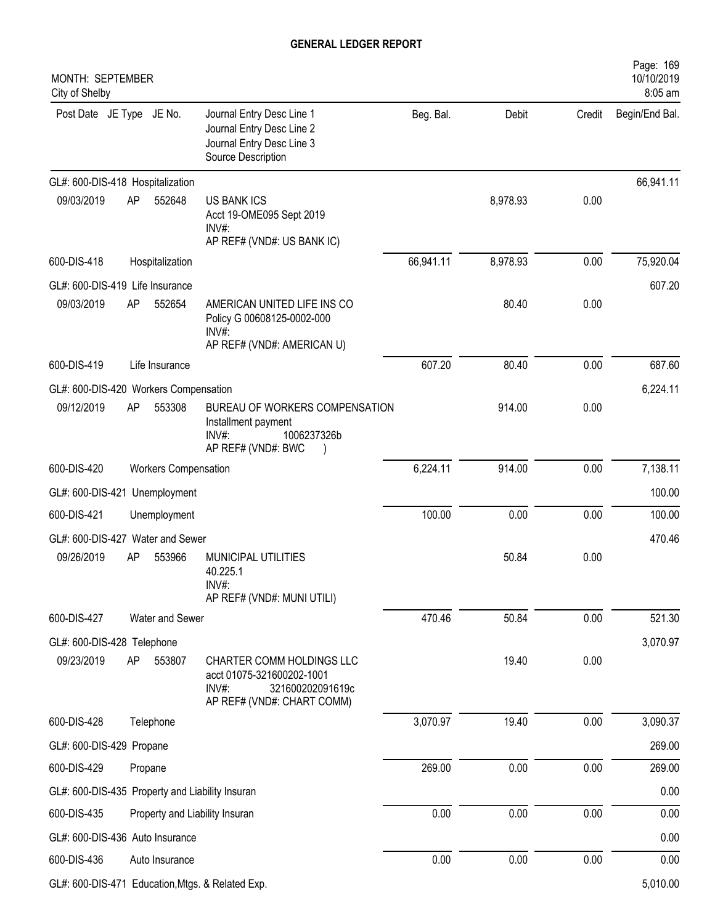| MONTH: SEPTEMBER<br>City of Shelby              |    |                                |                                                                                                                   |           |          |        | Page: 169<br>10/10/2019<br>8:05 am |
|-------------------------------------------------|----|--------------------------------|-------------------------------------------------------------------------------------------------------------------|-----------|----------|--------|------------------------------------|
| Post Date JE Type JE No.                        |    |                                | Journal Entry Desc Line 1<br>Journal Entry Desc Line 2<br>Journal Entry Desc Line 3<br>Source Description         | Beg. Bal. | Debit    | Credit | Begin/End Bal.                     |
| GL#: 600-DIS-418 Hospitalization                |    |                                |                                                                                                                   |           |          |        | 66,941.11                          |
| 09/03/2019                                      | AP | 552648                         | <b>US BANK ICS</b><br>Acct 19-OME095 Sept 2019<br>$INV#$ :<br>AP REF# (VND#: US BANK IC)                          |           | 8,978.93 | 0.00   |                                    |
| 600-DIS-418                                     |    | Hospitalization                |                                                                                                                   | 66,941.11 | 8,978.93 | 0.00   | 75,920.04                          |
| GL#: 600-DIS-419 Life Insurance                 |    |                                |                                                                                                                   |           |          |        | 607.20                             |
| 09/03/2019                                      | AP | 552654                         | AMERICAN UNITED LIFE INS CO<br>Policy G 00608125-0002-000<br>$INV#$ :<br>AP REF# (VND#: AMERICAN U)               |           | 80.40    | 0.00   |                                    |
| 600-DIS-419                                     |    | Life Insurance                 |                                                                                                                   | 607.20    | 80.40    | 0.00   | 687.60                             |
| GL#: 600-DIS-420 Workers Compensation           |    |                                |                                                                                                                   |           |          |        | 6,224.11                           |
| 09/12/2019                                      | AP | 553308                         | BUREAU OF WORKERS COMPENSATION<br>Installment payment<br>1006237326b<br>INV#:<br>AP REF# (VND#: BWC               |           | 914.00   | 0.00   |                                    |
| 600-DIS-420                                     |    | <b>Workers Compensation</b>    |                                                                                                                   | 6,224.11  | 914.00   | 0.00   | 7,138.11                           |
| GL#: 600-DIS-421                                |    | Unemployment                   |                                                                                                                   |           |          |        | 100.00                             |
| 600-DIS-421                                     |    | Unemployment                   |                                                                                                                   | 100.00    | 0.00     | 0.00   | 100.00                             |
| GL#: 600-DIS-427 Water and Sewer                |    |                                |                                                                                                                   |           |          |        | 470.46                             |
| 09/26/2019                                      | AP | 553966                         | MUNICIPAL UTILITIES<br>40.225.1<br>INV#<br>AP REF# (VND#: MUNI UTILI)                                             |           | 50.84    | 0.00   |                                    |
| 600-DIS-427                                     |    | Water and Sewer                |                                                                                                                   | 470.46    | 50.84    | 0.00   | 521.30                             |
| GL#: 600-DIS-428 Telephone                      |    |                                |                                                                                                                   |           |          |        | 3,070.97                           |
| 09/23/2019                                      | AP | 553807                         | CHARTER COMM HOLDINGS LLC<br>acct 01075-321600202-1001<br>INV#:<br>321600202091619c<br>AP REF# (VND#: CHART COMM) |           | 19.40    | 0.00   |                                    |
| 600-DIS-428                                     |    | Telephone                      |                                                                                                                   | 3,070.97  | 19.40    | 0.00   | 3,090.37                           |
| GL#: 600-DIS-429 Propane                        |    |                                |                                                                                                                   |           |          |        | 269.00                             |
| 600-DIS-429                                     |    | Propane                        |                                                                                                                   | 269.00    | 0.00     | 0.00   | 269.00                             |
| GL#: 600-DIS-435 Property and Liability Insuran |    |                                |                                                                                                                   |           |          |        | 0.00                               |
| 600-DIS-435                                     |    | Property and Liability Insuran |                                                                                                                   | 0.00      | 0.00     | 0.00   | 0.00                               |
| GL#: 600-DIS-436 Auto Insurance                 |    |                                |                                                                                                                   |           |          |        | 0.00                               |
| 600-DIS-436                                     |    | Auto Insurance                 |                                                                                                                   | 0.00      | 0.00     | 0.00   | 0.00                               |
|                                                 |    |                                | GL#: 600-DIS-471 Education, Mtgs. & Related Exp.                                                                  |           |          |        | 5,010.00                           |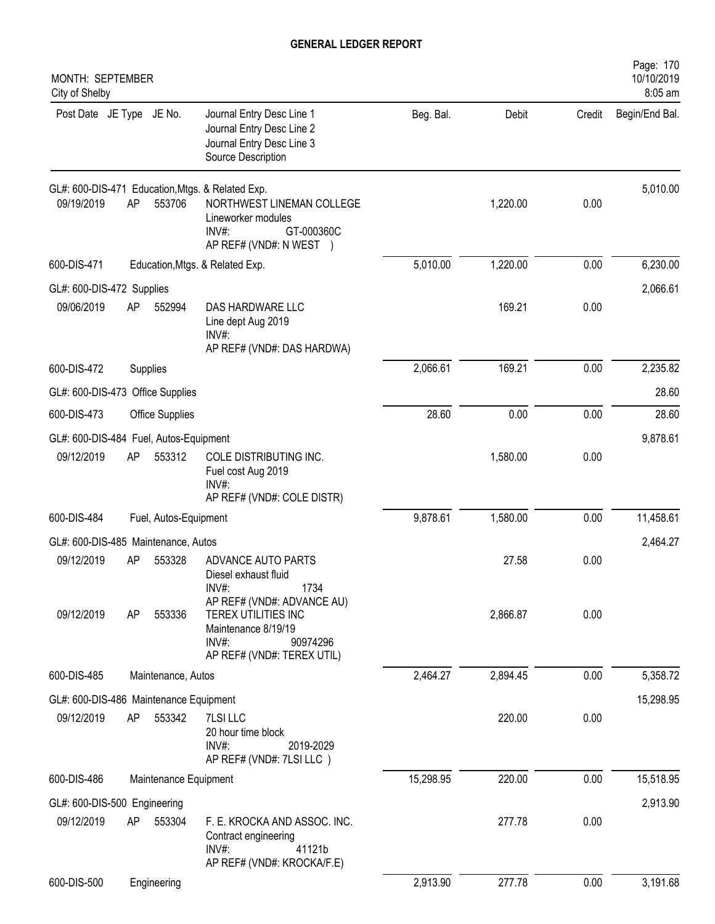| MONTH: SEPTEMBER<br>City of Shelby     |    |                       |                                                                                                                                |           |          |        | Page: 170<br>10/10/2019<br>8:05 am |
|----------------------------------------|----|-----------------------|--------------------------------------------------------------------------------------------------------------------------------|-----------|----------|--------|------------------------------------|
| Post Date JE Type JE No.               |    |                       | Journal Entry Desc Line 1<br>Journal Entry Desc Line 2<br>Journal Entry Desc Line 3<br>Source Description                      | Beg. Bal. | Debit    | Credit | Begin/End Bal.                     |
| 09/19/2019                             | AP | 553706                | GL#: 600-DIS-471 Education, Mtgs. & Related Exp.<br>NORTHWEST LINEMAN COLLEGE<br>Lineworker modules<br>GT-000360C<br>$INV#$ :  |           | 1,220.00 | 0.00   | 5,010.00                           |
| 600-DIS-471                            |    |                       | AP REF# (VND#: N WEST )<br>Education, Mtgs. & Related Exp.                                                                     | 5,010.00  | 1,220.00 | 0.00   | 6,230.00                           |
| GL#: 600-DIS-472 Supplies              |    |                       |                                                                                                                                |           |          |        | 2,066.61                           |
| 09/06/2019                             | AP | 552994                | DAS HARDWARE LLC<br>Line dept Aug 2019<br>INV#:<br>AP REF# (VND#: DAS HARDWA)                                                  |           | 169.21   | 0.00   |                                    |
| 600-DIS-472                            |    | Supplies              |                                                                                                                                | 2,066.61  | 169.21   | 0.00   | 2,235.82                           |
| GL#: 600-DIS-473 Office Supplies       |    |                       |                                                                                                                                |           |          |        | 28.60                              |
| 600-DIS-473                            |    | Office Supplies       |                                                                                                                                | 28.60     | 0.00     | 0.00   | 28.60                              |
| GL#: 600-DIS-484 Fuel, Autos-Equipment |    |                       |                                                                                                                                |           |          |        | 9,878.61                           |
| 09/12/2019                             | AP | 553312                | COLE DISTRIBUTING INC.<br>Fuel cost Aug 2019<br>$INV#$ :<br>AP REF# (VND#: COLE DISTR)                                         |           | 1,580.00 | 0.00   |                                    |
| 600-DIS-484<br>Fuel, Autos-Equipment   |    |                       |                                                                                                                                | 9,878.61  | 1,580.00 | 0.00   | 11,458.61                          |
| GL#: 600-DIS-485 Maintenance, Autos    |    |                       |                                                                                                                                |           |          |        | 2,464.27                           |
| 09/12/2019                             | AP | 553328                | ADVANCE AUTO PARTS<br>Diesel exhaust fluid<br>INV#:<br>1734                                                                    |           | 27.58    | 0.00   |                                    |
| 09/12/2019                             | AP | 553336                | AP REF# (VND#: ADVANCE AU)<br>TEREX UTILITIES INC<br>Maintenance 8/19/19<br>$INV#$ :<br>90974296<br>AP REF# (VND#: TEREX UTIL) |           | 2,866.87 | 0.00   |                                    |
| 600-DIS-485                            |    | Maintenance, Autos    |                                                                                                                                | 2,464.27  | 2,894.45 | 0.00   | 5,358.72                           |
| GL#: 600-DIS-486 Maintenance Equipment |    |                       |                                                                                                                                |           |          |        | 15,298.95                          |
| 09/12/2019                             | AP | 553342                | 7LSI LLC<br>20 hour time block<br>$INV#$ :<br>2019-2029<br>AP REF# (VND#: 7LSI LLC)                                            |           | 220.00   | 0.00   |                                    |
| 600-DIS-486                            |    | Maintenance Equipment |                                                                                                                                | 15,298.95 | 220.00   | 0.00   | 15,518.95                          |
| GL#: 600-DIS-500 Engineering           |    |                       |                                                                                                                                |           |          |        | 2,913.90                           |
| 09/12/2019                             | AP | 553304                | F. E. KROCKA AND ASSOC. INC.<br>Contract engineering<br>INV#:<br>41121b<br>AP REF# (VND#: KROCKA/F.E)                          |           | 277.78   | 0.00   |                                    |
| 600-DIS-500                            |    | Engineering           |                                                                                                                                | 2,913.90  | 277.78   | 0.00   | 3,191.68                           |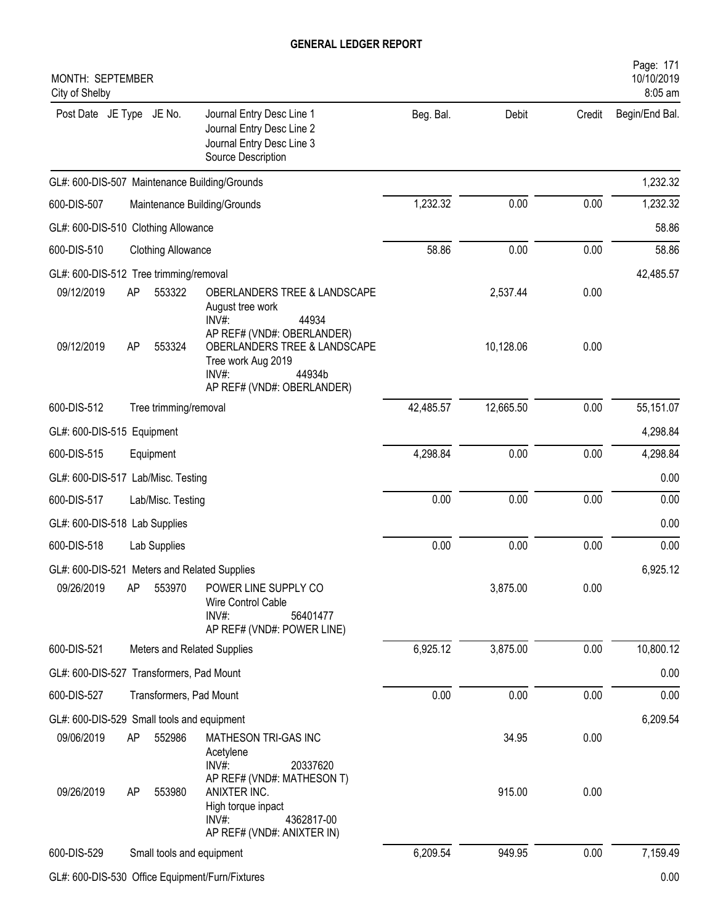| <b>MONTH: SEPTEMBER</b><br>City of Shelby                                                                                                                                                    |           |                       |              | Page: 171<br>10/10/2019<br>8:05 am |
|----------------------------------------------------------------------------------------------------------------------------------------------------------------------------------------------|-----------|-----------------------|--------------|------------------------------------|
| Post Date JE Type JE No.<br>Journal Entry Desc Line 1<br>Journal Entry Desc Line 2<br>Journal Entry Desc Line 3<br>Source Description                                                        | Beg. Bal. | Debit                 | Credit       | Begin/End Bal.                     |
| GL#: 600-DIS-507 Maintenance Building/Grounds                                                                                                                                                |           |                       |              | 1,232.32                           |
| 600-DIS-507<br>Maintenance Building/Grounds                                                                                                                                                  | 1,232.32  | 0.00                  | 0.00         | 1,232.32                           |
| GL#: 600-DIS-510 Clothing Allowance                                                                                                                                                          |           |                       |              | 58.86                              |
| 600-DIS-510<br><b>Clothing Allowance</b>                                                                                                                                                     | 58.86     | 0.00                  | 0.00         | 58.86                              |
| GL#: 600-DIS-512 Tree trimming/removal                                                                                                                                                       |           |                       |              | 42,485.57                          |
| 553322<br>09/12/2019<br>AP<br>OBERLANDERS TREE & LANDSCAPE<br>August tree work<br>INV#:<br>44934<br>AP REF# (VND#: OBERLANDER)<br>09/12/2019<br>AP<br>553324<br>OBERLANDERS TREE & LANDSCAPE |           | 2,537.44<br>10,128.06 | 0.00<br>0.00 |                                    |
| Tree work Aug 2019<br>$INV#$ :<br>44934b<br>AP REF# (VND#: OBERLANDER)                                                                                                                       |           |                       |              |                                    |
| 600-DIS-512<br>Tree trimming/removal                                                                                                                                                         | 42,485.57 | 12,665.50             | 0.00         | 55,151.07                          |
| GL#: 600-DIS-515 Equipment                                                                                                                                                                   |           |                       |              | 4,298.84                           |
| 600-DIS-515<br>Equipment                                                                                                                                                                     | 4,298.84  | 0.00                  | 0.00         | 4,298.84                           |
| GL#: 600-DIS-517 Lab/Misc. Testing                                                                                                                                                           |           |                       |              | 0.00                               |
| 600-DIS-517<br>Lab/Misc. Testing                                                                                                                                                             | 0.00      | 0.00                  | 0.00         | 0.00                               |
| GL#: 600-DIS-518 Lab Supplies                                                                                                                                                                |           |                       |              | 0.00                               |
| 600-DIS-518<br>Lab Supplies                                                                                                                                                                  | 0.00      | 0.00                  | 0.00         | 0.00                               |
| GL#: 600-DIS-521 Meters and Related Supplies                                                                                                                                                 |           |                       |              | 6,925.12                           |
| 09/26/2019<br>AP<br>553970<br>POWER LINE SUPPLY CO<br>Wire Control Cable<br>$INV#$ :<br>56401477<br>AP REF# (VND#: POWER LINE)                                                               |           | 3,875.00              | 0.00         |                                    |
| 600-DIS-521<br>Meters and Related Supplies                                                                                                                                                   | 6,925.12  | 3,875.00              | 0.00         | 10,800.12                          |
| GL#: 600-DIS-527 Transformers, Pad Mount                                                                                                                                                     |           |                       |              | 0.00                               |
| 600-DIS-527<br>Transformers, Pad Mount                                                                                                                                                       | 0.00      | 0.00                  | 0.00         | 0.00                               |
| GL#: 600-DIS-529 Small tools and equipment                                                                                                                                                   |           |                       |              | 6,209.54                           |
| 09/06/2019<br>AP<br>552986<br>MATHESON TRI-GAS INC<br>Acetylene<br>INV#:<br>20337620<br>AP REF# (VND#: MATHESON T)                                                                           |           | 34.95                 | 0.00         |                                    |
| 09/26/2019<br>ANIXTER INC.<br>AP<br>553980<br>High torque inpact<br>$INV#$ :<br>4362817-00<br>AP REF# (VND#: ANIXTER IN)                                                                     |           | 915.00                | 0.00         |                                    |
| 600-DIS-529<br>Small tools and equipment                                                                                                                                                     | 6,209.54  | 949.95                | 0.00         | 7,159.49                           |
|                                                                                                                                                                                              |           |                       |              |                                    |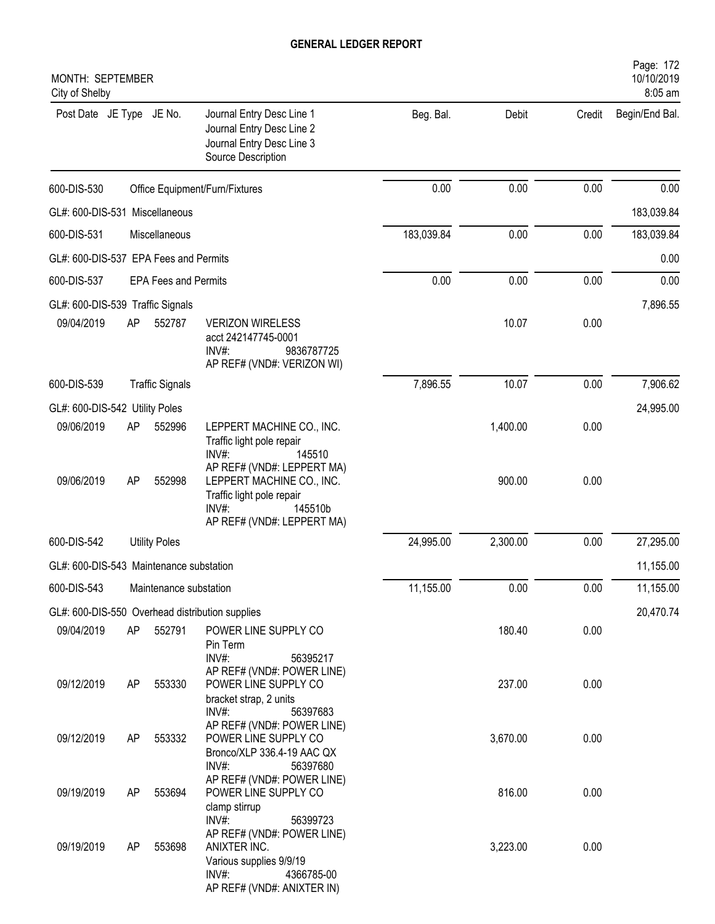| MONTH: SEPTEMBER<br>City of Shelby      |                      |                             |                                                                                                                                                 |            |          |        | Page: 172<br>10/10/2019<br>8:05 am |
|-----------------------------------------|----------------------|-----------------------------|-------------------------------------------------------------------------------------------------------------------------------------------------|------------|----------|--------|------------------------------------|
| Post Date JE Type JE No.                |                      |                             | Journal Entry Desc Line 1<br>Journal Entry Desc Line 2<br>Journal Entry Desc Line 3<br>Source Description                                       | Beg. Bal.  | Debit    | Credit | Begin/End Bal.                     |
| 600-DIS-530                             |                      |                             | Office Equipment/Furn/Fixtures                                                                                                                  | 0.00       | 0.00     | 0.00   | 0.00                               |
| GL#: 600-DIS-531 Miscellaneous          |                      |                             |                                                                                                                                                 |            |          |        | 183,039.84                         |
| 600-DIS-531                             |                      | Miscellaneous               |                                                                                                                                                 | 183,039.84 | 0.00     | 0.00   | 183,039.84                         |
| GL#: 600-DIS-537 EPA Fees and Permits   |                      |                             |                                                                                                                                                 |            |          |        | 0.00                               |
| 600-DIS-537                             |                      | <b>EPA Fees and Permits</b> |                                                                                                                                                 | 0.00       | 0.00     | 0.00   | 0.00                               |
| GL#: 600-DIS-539 Traffic Signals        |                      |                             |                                                                                                                                                 |            |          |        | 7,896.55                           |
| 09/04/2019                              | AP                   | 552787                      | <b>VERIZON WIRELESS</b><br>acct 242147745-0001<br>$INV#$ :<br>9836787725<br>AP REF# (VND#: VERIZON WI)                                          |            | 10.07    | 0.00   |                                    |
| 600-DIS-539                             |                      | <b>Traffic Signals</b>      |                                                                                                                                                 | 7,896.55   | 10.07    | 0.00   | 7,906.62                           |
| GL#: 600-DIS-542 Utility Poles          |                      |                             |                                                                                                                                                 |            |          |        | 24,995.00                          |
| 09/06/2019                              | AP                   | 552996                      | LEPPERT MACHINE CO., INC.<br>Traffic light pole repair<br>INV#:<br>145510<br>AP REF# (VND#: LEPPERT MA)                                         |            | 1,400.00 | 0.00   |                                    |
| 09/06/2019                              | AP                   | 552998                      | LEPPERT MACHINE CO., INC.<br>Traffic light pole repair<br>$INV#$ :<br>145510b<br>AP REF# (VND#: LEPPERT MA)                                     |            | 900.00   | 0.00   |                                    |
| 600-DIS-542                             | <b>Utility Poles</b> |                             |                                                                                                                                                 |            | 2,300.00 | 0.00   | 27,295.00                          |
| GL#: 600-DIS-543 Maintenance substation |                      |                             |                                                                                                                                                 |            |          |        | 11,155.00                          |
| 600-DIS-543                             |                      | Maintenance substation      |                                                                                                                                                 | 11,155.00  | 0.00     | 0.00   | 11,155.00                          |
|                                         |                      |                             | GL#: 600-DIS-550 Overhead distribution supplies                                                                                                 |            |          |        | 20,470.74                          |
| 09/04/2019                              | AP                   | 552791                      | POWER LINE SUPPLY CO<br>Pin Term<br>INV#:<br>56395217                                                                                           |            | 180.40   | 0.00   |                                    |
| 09/12/2019                              | AP                   | 553330                      | AP REF# (VND#: POWER LINE)<br>POWER LINE SUPPLY CO<br>bracket strap, 2 units<br>INV#:<br>56397683                                               |            | 237.00   | 0.00   |                                    |
| 09/12/2019                              | AP                   | 553332                      | AP REF# (VND#: POWER LINE)<br>POWER LINE SUPPLY CO<br>Bronco/XLP 336.4-19 AAC QX<br>$INV#$ :<br>56397680                                        |            | 3,670.00 | 0.00   |                                    |
| 09/19/2019                              | AP                   | 553694                      | AP REF# (VND#: POWER LINE)<br>POWER LINE SUPPLY CO<br>clamp stirrup                                                                             |            | 816.00   | 0.00   |                                    |
| 09/19/2019                              | AP                   | 553698                      | INV#:<br>56399723<br>AP REF# (VND#: POWER LINE)<br>ANIXTER INC.<br>Various supplies 9/9/19<br>INV#:<br>4366785-00<br>AP REF# (VND#: ANIXTER IN) |            | 3,223.00 | 0.00   |                                    |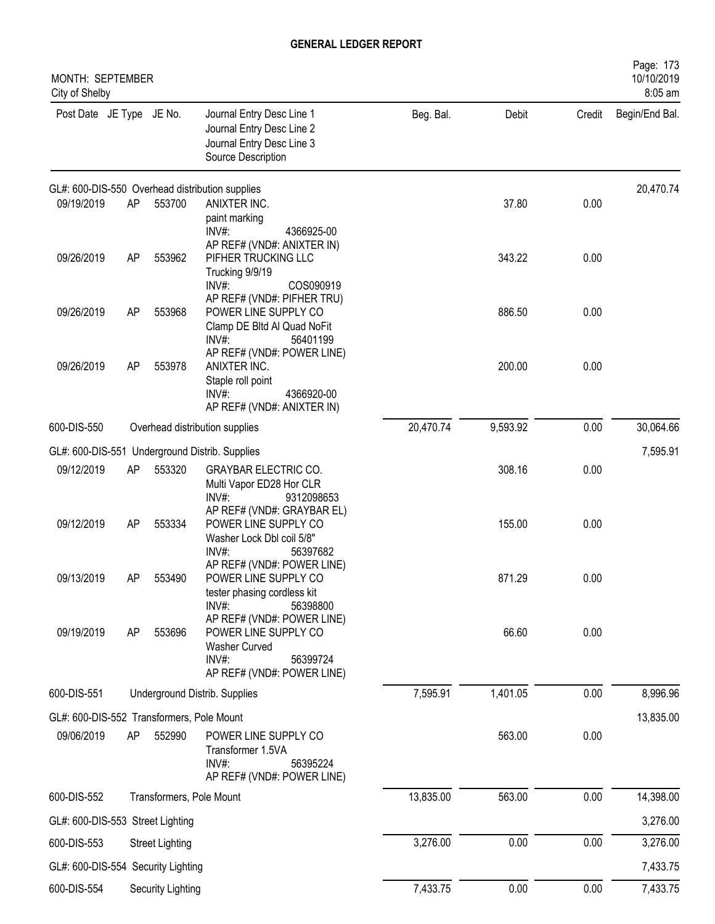| MONTH: SEPTEMBER<br>City of Shelby        |    |                          |                                                                                                                         |           |          |        | Page: 173<br>10/10/2019<br>8:05 am |
|-------------------------------------------|----|--------------------------|-------------------------------------------------------------------------------------------------------------------------|-----------|----------|--------|------------------------------------|
| Post Date JE Type JE No.                  |    |                          | Journal Entry Desc Line 1<br>Journal Entry Desc Line 2<br>Journal Entry Desc Line 3<br>Source Description               | Beg. Bal. | Debit    | Credit | Begin/End Bal.                     |
|                                           |    |                          | GL#: 600-DIS-550 Overhead distribution supplies                                                                         |           |          |        | 20,470.74                          |
| 09/19/2019                                | AP | 553700                   | ANIXTER INC.<br>paint marking<br>INV#:<br>4366925-00                                                                    |           | 37.80    | 0.00   |                                    |
| 09/26/2019                                | AP | 553962                   | AP REF# (VND#: ANIXTER IN)<br>PIFHER TRUCKING LLC<br>Trucking 9/9/19<br>$INV#$ :<br>COS090919                           |           | 343.22   | 0.00   |                                    |
| 09/26/2019                                | AP | 553968                   | AP REF# (VND#: PIFHER TRU)<br>POWER LINE SUPPLY CO<br>Clamp DE Bltd Al Quad NoFit<br>$INV#$ :<br>56401199               |           | 886.50   | 0.00   |                                    |
| 09/26/2019                                | AP | 553978                   | AP REF# (VND#: POWER LINE)<br>ANIXTER INC.<br>Staple roll point<br>$INV#$ :<br>4366920-00<br>AP REF# (VND#: ANIXTER IN) |           | 200.00   | 0.00   |                                    |
| 600-DIS-550                               |    |                          | Overhead distribution supplies                                                                                          | 20,470.74 | 9,593.92 | 0.00   | 30,064.66                          |
|                                           |    |                          | GL#: 600-DIS-551 Underground Distrib. Supplies                                                                          |           |          |        | 7,595.91                           |
| 09/12/2019                                | AP | 553320                   | <b>GRAYBAR ELECTRIC CO.</b><br>Multi Vapor ED28 Hor CLR<br>$INV#$ :<br>9312098653                                       |           | 308.16   | 0.00   |                                    |
| 09/12/2019                                | AP | 553334                   | AP REF# (VND#: GRAYBAR EL)<br>POWER LINE SUPPLY CO<br>Washer Lock Dbl coil 5/8"<br>$INV#$ :<br>56397682                 |           | 155.00   | 0.00   |                                    |
| 09/13/2019                                | AΡ | 553490                   | AP REF# (VND#: POWER LINE)<br>POWER LINE SUPPLY CO<br>tester phasing cordless kit<br>INV#:<br>56398800                  |           | 871.29   | 0.00   |                                    |
| 09/19/2019                                | AP | 553696                   | AP REF# (VND#: POWER LINE)<br>POWER LINE SUPPLY CO<br>Washer Curved<br>INV#:<br>56399724<br>AP REF# (VND#: POWER LINE)  |           | 66.60    | 0.00   |                                    |
| 600-DIS-551                               |    |                          | Underground Distrib. Supplies                                                                                           | 7,595.91  | 1,401.05 | 0.00   | 8,996.96                           |
| GL#: 600-DIS-552 Transformers, Pole Mount |    |                          |                                                                                                                         |           |          |        | 13,835.00                          |
| 09/06/2019                                | AP | 552990                   | POWER LINE SUPPLY CO<br>Transformer 1.5VA<br>$INV#$ :<br>56395224<br>AP REF# (VND#: POWER LINE)                         |           | 563.00   | 0.00   |                                    |
| 600-DIS-552                               |    | Transformers, Pole Mount |                                                                                                                         | 13,835.00 | 563.00   | 0.00   | 14,398.00                          |
| GL#: 600-DIS-553 Street Lighting          |    |                          |                                                                                                                         |           |          |        | 3,276.00                           |
| 600-DIS-553                               |    | <b>Street Lighting</b>   |                                                                                                                         | 3,276.00  | 0.00     | 0.00   | 3,276.00                           |
| GL#: 600-DIS-554 Security Lighting        |    |                          |                                                                                                                         |           |          |        | 7,433.75                           |
| 600-DIS-554                               |    | Security Lighting        |                                                                                                                         | 7,433.75  | 0.00     | 0.00   | 7,433.75                           |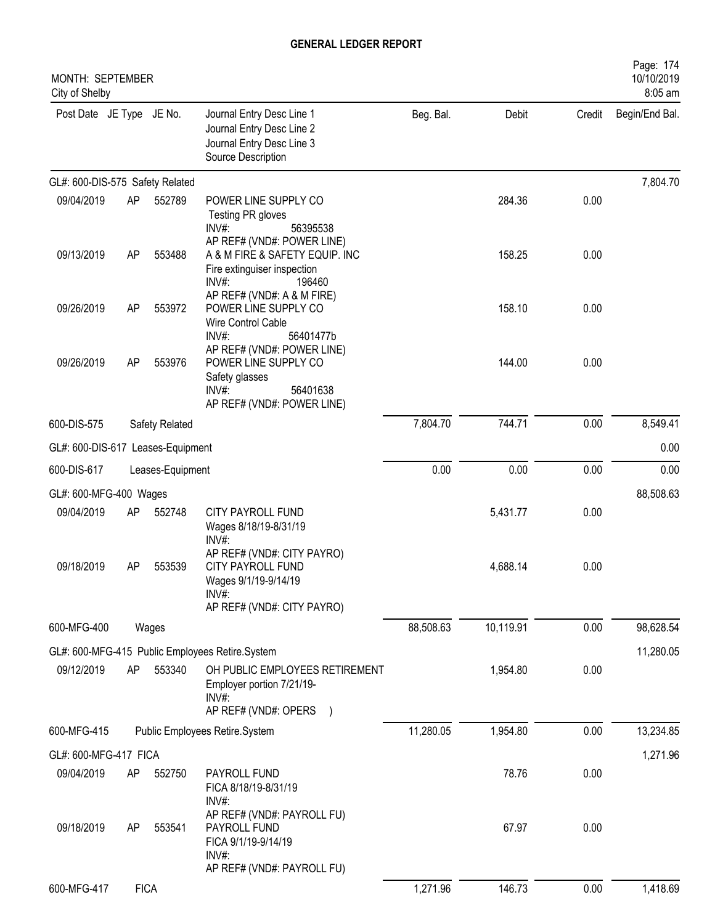| MONTH: SEPTEMBER<br>City of Shelby |    |                  |                                                                                                                            |           |           |        | Page: 174<br>10/10/2019<br>8:05 am |
|------------------------------------|----|------------------|----------------------------------------------------------------------------------------------------------------------------|-----------|-----------|--------|------------------------------------|
| Post Date JE Type JE No.           |    |                  | Journal Entry Desc Line 1<br>Journal Entry Desc Line 2<br>Journal Entry Desc Line 3<br>Source Description                  | Beg. Bal. | Debit     | Credit | Begin/End Bal.                     |
| GL#: 600-DIS-575 Safety Related    |    |                  |                                                                                                                            |           |           |        | 7,804.70                           |
| 09/04/2019                         | AP | 552789           | POWER LINE SUPPLY CO<br>Testing PR gloves<br>$INV#$ :<br>56395538                                                          |           | 284.36    | 0.00   |                                    |
| 09/13/2019                         | AP | 553488           | AP REF# (VND#: POWER LINE)<br>A & M FIRE & SAFETY EQUIP. INC<br>Fire extinguiser inspection<br>$INV#$ :<br>196460          |           | 158.25    | 0.00   |                                    |
| 09/26/2019                         | AP | 553972           | AP REF# (VND#: A & M FIRE)<br>POWER LINE SUPPLY CO<br>Wire Control Cable<br>INV#:<br>56401477b                             |           | 158.10    | 0.00   |                                    |
| 09/26/2019                         | AP | 553976           | AP REF# (VND#: POWER LINE)<br>POWER LINE SUPPLY CO<br>Safety glasses<br>$INV#$ :<br>56401638<br>AP REF# (VND#: POWER LINE) |           | 144.00    | 0.00   |                                    |
| 600-DIS-575                        |    | Safety Related   |                                                                                                                            | 7,804.70  | 744.71    | 0.00   | 8,549.41                           |
| GL#: 600-DIS-617 Leases-Equipment  |    |                  |                                                                                                                            |           |           |        | 0.00                               |
| 600-DIS-617                        |    | Leases-Equipment |                                                                                                                            | 0.00      | 0.00      | 0.00   | 0.00                               |
| GL#: 600-MFG-400 Wages             |    |                  |                                                                                                                            |           |           |        | 88,508.63                          |
| 09/04/2019                         | AP | 552748           | <b>CITY PAYROLL FUND</b><br>Wages 8/18/19-8/31/19<br>INV#                                                                  |           | 5,431.77  | 0.00   |                                    |
| 09/18/2019                         | AΡ | 553539           | AP REF# (VND#: CITY PAYRO)<br><b>CITY PAYROLL FUND</b><br>Wages 9/1/19-9/14/19<br>$INV#$ :<br>AP REF# (VND#: CITY PAYRO)   |           | 4,688.14  | 0.00   |                                    |
| 600-MFG-400                        |    | Wages            |                                                                                                                            | 88,508.63 | 10,119.91 | 0.00   | 98,628.54                          |
|                                    |    |                  | GL#: 600-MFG-415 Public Employees Retire.System                                                                            |           |           |        | 11,280.05                          |
| 09/12/2019                         | AP | 553340           | OH PUBLIC EMPLOYEES RETIREMENT<br>Employer portion 7/21/19-<br>$INV#$ :<br>AP REF# (VND#: OPERS )                          |           | 1,954.80  | 0.00   |                                    |
| 600-MFG-415                        |    |                  | Public Employees Retire.System                                                                                             | 11,280.05 | 1,954.80  | 0.00   | 13,234.85                          |
| GL#: 600-MFG-417 FICA              |    |                  |                                                                                                                            |           |           |        | 1,271.96                           |
| 09/04/2019                         | AP | 552750           | PAYROLL FUND<br>FICA 8/18/19-8/31/19<br>$INV#$ :                                                                           |           | 78.76     | 0.00   |                                    |
| 09/18/2019                         | AP | 553541           | AP REF# (VND#: PAYROLL FU)<br>PAYROLL FUND<br>FICA 9/1/19-9/14/19<br>INV#:<br>AP REF# (VND#: PAYROLL FU)                   |           | 67.97     | 0.00   |                                    |
| 600-MFG-417                        |    | <b>FICA</b>      |                                                                                                                            | 1,271.96  | 146.73    | 0.00   | 1,418.69                           |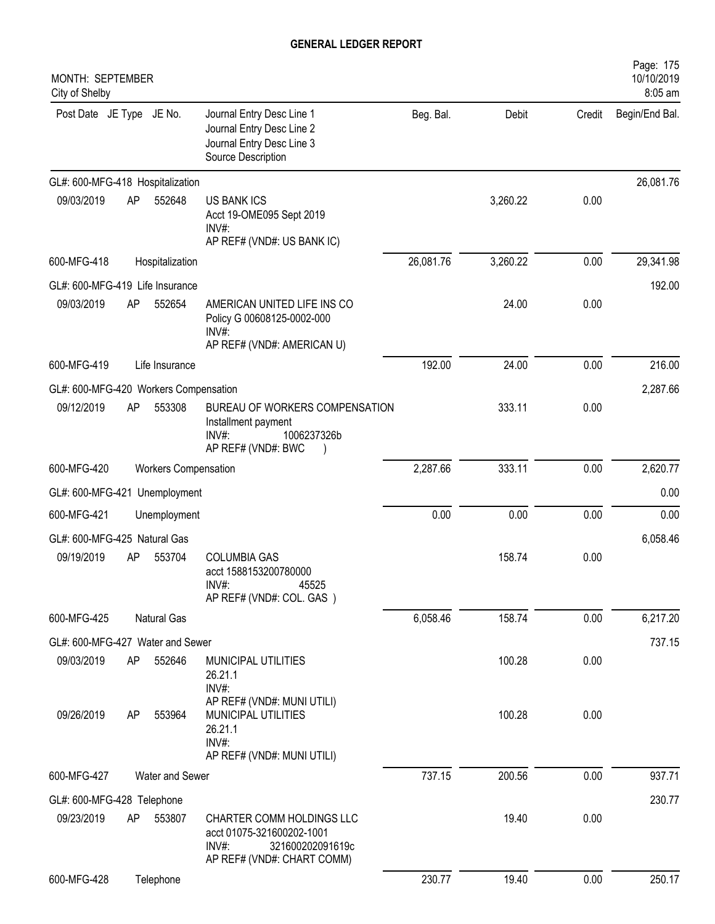| MONTH: SEPTEMBER<br>City of Shelby    |    |                             |                                                                                                                   |           |          |        | Page: 175<br>10/10/2019<br>8:05 am |
|---------------------------------------|----|-----------------------------|-------------------------------------------------------------------------------------------------------------------|-----------|----------|--------|------------------------------------|
| Post Date JE Type JE No.              |    |                             | Journal Entry Desc Line 1<br>Journal Entry Desc Line 2<br>Journal Entry Desc Line 3<br>Source Description         | Beg. Bal. | Debit    | Credit | Begin/End Bal.                     |
| GL#: 600-MFG-418 Hospitalization      |    |                             |                                                                                                                   |           |          |        | 26,081.76                          |
| 09/03/2019                            | AP | 552648                      | <b>US BANK ICS</b><br>Acct 19-OME095 Sept 2019<br>INV#:<br>AP REF# (VND#: US BANK IC)                             |           | 3,260.22 | 0.00   |                                    |
| 600-MFG-418                           |    | Hospitalization             |                                                                                                                   | 26,081.76 | 3,260.22 | 0.00   | 29,341.98                          |
| GL#: 600-MFG-419 Life Insurance       |    |                             |                                                                                                                   |           |          |        | 192.00                             |
| 09/03/2019                            | AP | 552654                      | AMERICAN UNITED LIFE INS CO<br>Policy G 00608125-0002-000<br>INV#:<br>AP REF# (VND#: AMERICAN U)                  |           | 24.00    | 0.00   |                                    |
| 600-MFG-419                           |    | Life Insurance              |                                                                                                                   | 192.00    | 24.00    | 0.00   | 216.00                             |
| GL#: 600-MFG-420 Workers Compensation |    |                             |                                                                                                                   |           |          |        | 2,287.66                           |
| 09/12/2019                            | AP | 553308                      | BUREAU OF WORKERS COMPENSATION<br>Installment payment<br>1006237326b<br>$INV#$ :<br>AP REF# (VND#: BWC            |           | 333.11   | 0.00   |                                    |
| 600-MFG-420                           |    | <b>Workers Compensation</b> |                                                                                                                   | 2,287.66  | 333.11   | 0.00   | 2,620.77                           |
| GL#: 600-MFG-421                      |    | Unemployment                |                                                                                                                   |           |          |        | 0.00                               |
| 600-MFG-421                           |    | Unemployment                |                                                                                                                   | 0.00      | 0.00     | 0.00   | 0.00                               |
| GL#: 600-MFG-425 Natural Gas          |    |                             |                                                                                                                   |           |          |        | 6,058.46                           |
| 09/19/2019                            | AP | 553704                      | <b>COLUMBIA GAS</b><br>acct 1588153200780000<br>INV#<br>45525<br>AP REF# (VND#: COL. GAS)                         |           | 158.74   | 0.00   |                                    |
| 600-MFG-425                           |    | Natural Gas                 |                                                                                                                   | 6,058.46  | 158.74   | 0.00   | 6,217.20                           |
| GL#: 600-MFG-427 Water and Sewer      |    |                             |                                                                                                                   |           |          |        | 737.15                             |
| 09/03/2019                            | AP | 552646                      | MUNICIPAL UTILITIES<br>26.21.1<br>INV#:                                                                           |           | 100.28   | 0.00   |                                    |
| 09/26/2019                            | AP | 553964                      | AP REF# (VND#: MUNI UTILI)<br>MUNICIPAL UTILITIES<br>26.21.1<br>INV#:<br>AP REF# (VND#: MUNI UTILI)               |           | 100.28   | 0.00   |                                    |
| 600-MFG-427                           |    | Water and Sewer             |                                                                                                                   | 737.15    | 200.56   | 0.00   | 937.71                             |
| GL#: 600-MFG-428 Telephone            |    |                             |                                                                                                                   |           |          |        | 230.77                             |
| 09/23/2019                            | AP | 553807                      | CHARTER COMM HOLDINGS LLC<br>acct 01075-321600202-1001<br>INV#:<br>321600202091619c<br>AP REF# (VND#: CHART COMM) |           | 19.40    | 0.00   |                                    |
| 600-MFG-428                           |    | Telephone                   |                                                                                                                   | 230.77    | 19.40    | 0.00   | 250.17                             |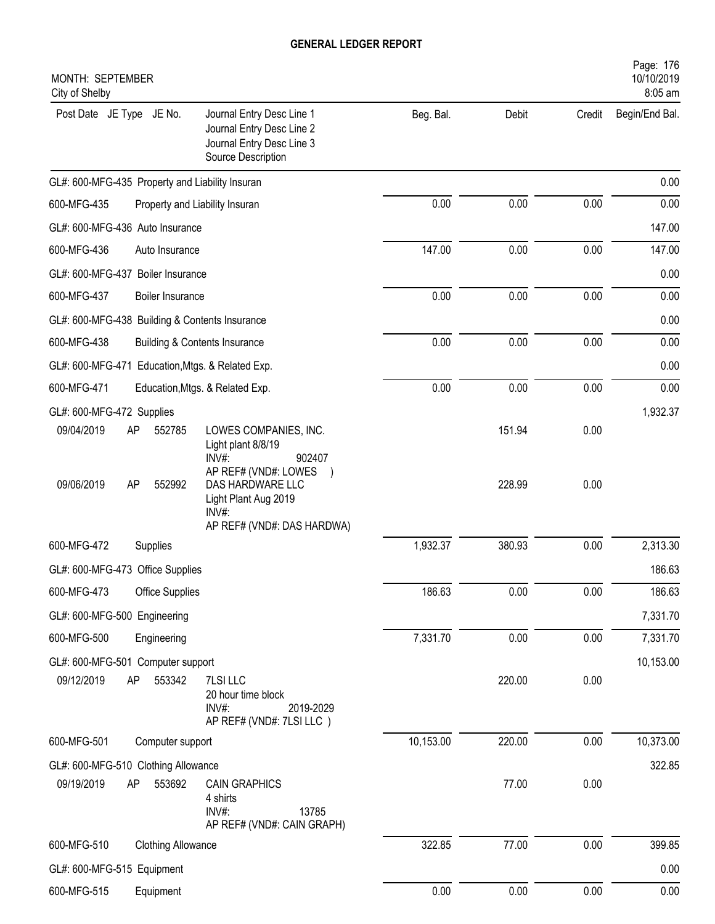| MONTH: SEPTEMBER<br>City of Shelby                      |                                                                                                           |           |        |        | Page: 176<br>10/10/2019<br>8:05 am |
|---------------------------------------------------------|-----------------------------------------------------------------------------------------------------------|-----------|--------|--------|------------------------------------|
| Post Date JE Type JE No.                                | Journal Entry Desc Line 1<br>Journal Entry Desc Line 2<br>Journal Entry Desc Line 3<br>Source Description | Beg. Bal. | Debit  | Credit | Begin/End Bal.                     |
| GL#: 600-MFG-435 Property and Liability Insuran         |                                                                                                           |           |        |        | 0.00                               |
| 600-MFG-435<br>Property and Liability Insuran           |                                                                                                           | 0.00      | 0.00   | 0.00   | 0.00                               |
| GL#: 600-MFG-436 Auto Insurance                         |                                                                                                           |           |        |        | 147.00                             |
| 600-MFG-436<br>Auto Insurance                           |                                                                                                           | 147.00    | 0.00   | 0.00   | 147.00                             |
| GL#: 600-MFG-437 Boiler Insurance                       |                                                                                                           |           |        |        | 0.00                               |
| 600-MFG-437<br>Boiler Insurance                         |                                                                                                           | 0.00      | 0.00   | 0.00   | 0.00                               |
| GL#: 600-MFG-438 Building & Contents Insurance          |                                                                                                           |           |        |        | 0.00                               |
| 600-MFG-438<br><b>Building &amp; Contents Insurance</b> |                                                                                                           | 0.00      | 0.00   | 0.00   | 0.00                               |
| GL#: 600-MFG-471<br>Education, Mtgs. & Related Exp.     |                                                                                                           |           |        |        | 0.00                               |
| 600-MFG-471<br>Education, Mtgs. & Related Exp.          |                                                                                                           | 0.00      | 0.00   | 0.00   | 0.00                               |
| GL#: 600-MFG-472 Supplies                               |                                                                                                           |           |        |        | 1,932.37                           |
| 09/04/2019<br>552785<br>AP                              | LOWES COMPANIES, INC.<br>Light plant 8/8/19<br>INV#:<br>902407                                            |           | 151.94 | 0.00   |                                    |
| 09/06/2019<br>552992<br>AP                              | AP REF# (VND#: LOWES<br>DAS HARDWARE LLC<br>Light Plant Aug 2019<br>INV#:                                 |           | 228.99 | 0.00   |                                    |
|                                                         | AP REF# (VND#: DAS HARDWA)                                                                                |           |        |        |                                    |
| 600-MFG-472<br>Supplies                                 |                                                                                                           | 1,932.37  | 380.93 | 0.00   | 2,313.30                           |
| GL#: 600-MFG-473 Office Supplies                        |                                                                                                           |           |        |        | 186.63                             |
| 600-MFG-473<br>Office Supplies                          |                                                                                                           | 186.63    | 0.00   | 0.00   | 186.63                             |
| GL#: 600-MFG-500 Engineering                            |                                                                                                           |           |        |        | 7,331.70                           |
| 600-MFG-500<br>Engineering                              |                                                                                                           | 7,331.70  | 0.00   | 0.00   | 7,331.70                           |
| GL#: 600-MFG-501 Computer support                       |                                                                                                           |           |        |        | 10,153.00                          |
| 09/12/2019<br>AP<br>553342                              | 7LSI LLC<br>20 hour time block<br>INV#:<br>2019-2029<br>AP REF# (VND#: 7LSI LLC)                          |           | 220.00 | 0.00   |                                    |
| 600-MFG-501<br>Computer support                         |                                                                                                           | 10,153.00 | 220.00 | 0.00   | 10,373.00                          |
| GL#: 600-MFG-510 Clothing Allowance                     |                                                                                                           |           |        |        | 322.85                             |
| 09/19/2019<br>553692<br>AP                              | <b>CAIN GRAPHICS</b><br>4 shirts<br>INV#:<br>13785<br>AP REF# (VND#: CAIN GRAPH)                          |           | 77.00  | 0.00   |                                    |
| 600-MFG-510<br><b>Clothing Allowance</b>                |                                                                                                           | 322.85    | 77.00  | 0.00   | 399.85                             |
| GL#: 600-MFG-515 Equipment                              |                                                                                                           |           |        |        | 0.00                               |
| 600-MFG-515<br>Equipment                                |                                                                                                           | 0.00      | 0.00   | 0.00   | 0.00                               |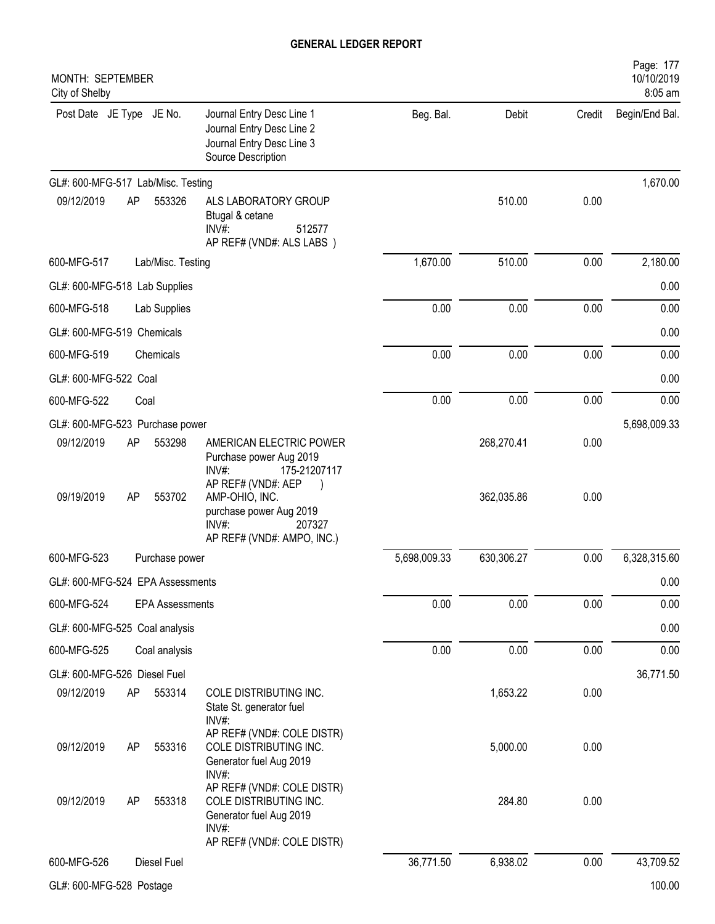| MONTH: SEPTEMBER<br>City of Shelby |          |                        |                                                                                                                                                                                                 |              |                          |              | Page: 177<br>10/10/2019<br>8:05 am |
|------------------------------------|----------|------------------------|-------------------------------------------------------------------------------------------------------------------------------------------------------------------------------------------------|--------------|--------------------------|--------------|------------------------------------|
| Post Date JE Type JE No.           |          |                        | Journal Entry Desc Line 1<br>Journal Entry Desc Line 2<br>Journal Entry Desc Line 3<br>Source Description                                                                                       | Beg. Bal.    | Debit                    | Credit       | Begin/End Bal.                     |
| GL#: 600-MFG-517 Lab/Misc. Testing |          |                        |                                                                                                                                                                                                 |              |                          |              | 1,670.00                           |
| 09/12/2019                         | AP       | 553326                 | ALS LABORATORY GROUP<br>Btugal & cetane<br>INV#:<br>512577<br>AP REF# (VND#: ALS LABS )                                                                                                         |              | 510.00                   | 0.00         |                                    |
| 600-MFG-517                        |          | Lab/Misc. Testing      |                                                                                                                                                                                                 | 1,670.00     | 510.00                   | 0.00         | 2,180.00                           |
| GL#: 600-MFG-518 Lab Supplies      |          |                        |                                                                                                                                                                                                 |              |                          |              | 0.00                               |
| 600-MFG-518                        |          | Lab Supplies           |                                                                                                                                                                                                 | 0.00         | 0.00                     | 0.00         | 0.00                               |
| GL#: 600-MFG-519 Chemicals         |          |                        |                                                                                                                                                                                                 |              |                          |              | 0.00                               |
| 600-MFG-519                        |          | Chemicals              |                                                                                                                                                                                                 | 0.00         | 0.00                     | 0.00         | 0.00                               |
| GL#: 600-MFG-522 Coal              |          |                        |                                                                                                                                                                                                 |              |                          |              | 0.00                               |
| 600-MFG-522                        | Coal     |                        |                                                                                                                                                                                                 | 0.00         | 0.00                     | 0.00         | 0.00                               |
| GL#: 600-MFG-523 Purchase power    |          |                        |                                                                                                                                                                                                 |              |                          |              | 5,698,009.33                       |
| 09/12/2019<br>09/19/2019           | AP<br>AP | 553298<br>553702       | AMERICAN ELECTRIC POWER<br>Purchase power Aug 2019<br>INV#:<br>175-21207117<br>AP REF# (VND#: AEP<br>AMP-OHIO, INC.<br>purchase power Aug 2019<br>207327<br>INV#:<br>AP REF# (VND#: AMPO, INC.) |              | 268,270.41<br>362,035.86 | 0.00<br>0.00 |                                    |
| 600-MFG-523                        |          | Purchase power         |                                                                                                                                                                                                 | 5,698,009.33 | 630,306.27               | 0.00         | 6,328,315.60                       |
| GL#: 600-MFG-524 EPA Assessments   |          |                        |                                                                                                                                                                                                 |              |                          |              | 0.00                               |
| 600-MFG-524                        |          | <b>EPA Assessments</b> |                                                                                                                                                                                                 | 0.00         | 0.00                     | 0.00         | 0.00                               |
| GL#: 600-MFG-525 Coal analysis     |          |                        |                                                                                                                                                                                                 |              |                          |              | 0.00                               |
| 600-MFG-525                        |          | Coal analysis          |                                                                                                                                                                                                 | 0.00         | 0.00                     | 0.00         | 0.00                               |
| GL#: 600-MFG-526 Diesel Fuel       |          |                        |                                                                                                                                                                                                 |              |                          |              | 36,771.50                          |
| 09/12/2019                         | AP       | 553314                 | COLE DISTRIBUTING INC.<br>State St. generator fuel<br>$INV#$ :                                                                                                                                  |              | 1,653.22                 | 0.00         |                                    |
| 09/12/2019                         | AP       | 553316                 | AP REF# (VND#: COLE DISTR)<br>COLE DISTRIBUTING INC.<br>Generator fuel Aug 2019<br>INV#:                                                                                                        |              | 5,000.00                 | 0.00         |                                    |
| 09/12/2019                         | AP       | 553318                 | AP REF# (VND#: COLE DISTR)<br>COLE DISTRIBUTING INC.<br>Generator fuel Aug 2019<br>INV#:<br>AP REF# (VND#: COLE DISTR)                                                                          |              | 284.80                   | 0.00         |                                    |
| 600-MFG-526                        |          | Diesel Fuel            |                                                                                                                                                                                                 | 36,771.50    | 6,938.02                 | 0.00         | 43,709.52                          |
| GL#: 600-MFG-528 Postage           |          |                        |                                                                                                                                                                                                 |              |                          |              | 100.00                             |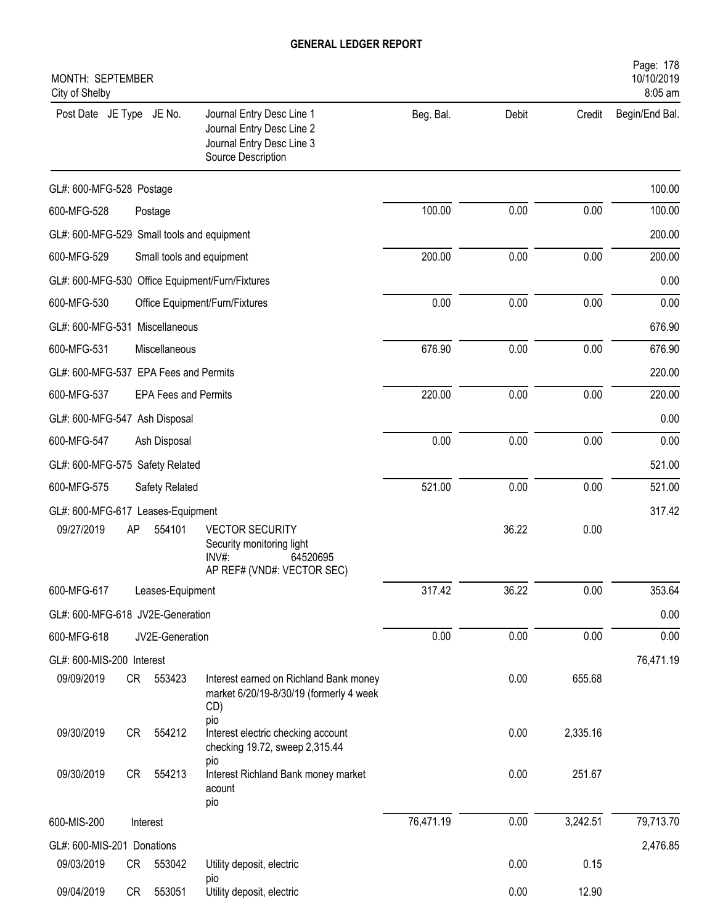| MONTH: SEPTEMBER<br>City of Shelby         |    |                             |                                                                                                           |           |       |          | Page: 178<br>10/10/2019<br>8:05 am |
|--------------------------------------------|----|-----------------------------|-----------------------------------------------------------------------------------------------------------|-----------|-------|----------|------------------------------------|
| Post Date JE Type JE No.                   |    |                             | Journal Entry Desc Line 1<br>Journal Entry Desc Line 2<br>Journal Entry Desc Line 3<br>Source Description | Beg. Bal. | Debit | Credit   | Begin/End Bal.                     |
| GL#: 600-MFG-528 Postage                   |    |                             |                                                                                                           |           |       |          | 100.00                             |
| 600-MFG-528                                |    | Postage                     |                                                                                                           | 100.00    | 0.00  | 0.00     | 100.00                             |
| GL#: 600-MFG-529 Small tools and equipment |    |                             |                                                                                                           |           |       |          | 200.00                             |
| 600-MFG-529                                |    |                             | Small tools and equipment                                                                                 | 200.00    | 0.00  | 0.00     | 200.00                             |
|                                            |    |                             | GL#: 600-MFG-530 Office Equipment/Furn/Fixtures                                                           |           |       |          | 0.00                               |
| 600-MFG-530                                |    |                             | Office Equipment/Furn/Fixtures                                                                            | 0.00      | 0.00  | 0.00     | 0.00                               |
| GL#: 600-MFG-531 Miscellaneous             |    |                             |                                                                                                           |           |       |          | 676.90                             |
| 600-MFG-531                                |    | Miscellaneous               |                                                                                                           | 676.90    | 0.00  | 0.00     | 676.90                             |
| GL#: 600-MFG-537 EPA Fees and Permits      |    |                             |                                                                                                           |           |       |          | 220.00                             |
| 600-MFG-537                                |    | <b>EPA Fees and Permits</b> |                                                                                                           | 220.00    | 0.00  | 0.00     | 220.00                             |
| GL#: 600-MFG-547 Ash Disposal              |    |                             |                                                                                                           |           |       |          | 0.00                               |
| 600-MFG-547                                |    | Ash Disposal                |                                                                                                           | 0.00      | 0.00  | 0.00     | 0.00                               |
| GL#: 600-MFG-575 Safety Related            |    |                             |                                                                                                           |           |       |          | 521.00                             |
| 600-MFG-575                                |    | Safety Related              |                                                                                                           | 521.00    | 0.00  | 0.00     | 521.00                             |
| GL#: 600-MFG-617 Leases-Equipment          |    |                             |                                                                                                           |           |       |          | 317.42                             |
| 09/27/2019                                 | AP | 554101                      | <b>VECTOR SECURITY</b><br>Security monitoring light<br>INV#:<br>64520695<br>AP REF# (VND#: VECTOR SEC)    |           | 36.22 | 0.00     |                                    |
| 600-MFG-617                                |    | Leases-Equipment            |                                                                                                           | 317.42    | 36.22 | 0.00     | 353.64                             |
| GL#: 600-MFG-618 JV2E-Generation           |    |                             |                                                                                                           |           |       |          | 0.00                               |
| 600-MFG-618                                |    | JV2E-Generation             |                                                                                                           | 0.00      | 0.00  | 0.00     | 0.00                               |
| GL#: 600-MIS-200 Interest                  |    |                             |                                                                                                           |           |       |          | 76,471.19                          |
| 09/09/2019                                 |    | CR 553423                   | Interest earned on Richland Bank money<br>market 6/20/19-8/30/19 (formerly 4 week<br>CD)<br>pio           |           | 0.00  | 655.68   |                                    |
| 09/30/2019                                 | CR | 554212                      | Interest electric checking account<br>checking 19.72, sweep 2,315.44                                      |           | 0.00  | 2,335.16 |                                    |
| 09/30/2019                                 | CR | 554213                      | pio<br>Interest Richland Bank money market<br>acount<br>pio                                               |           | 0.00  | 251.67   |                                    |
| 600-MIS-200                                |    | Interest                    |                                                                                                           | 76,471.19 | 0.00  | 3,242.51 | 79,713.70                          |
| GL#: 600-MIS-201 Donations                 |    |                             |                                                                                                           |           |       |          | 2,476.85                           |
| 09/03/2019                                 | CR | 553042                      | Utility deposit, electric                                                                                 |           | 0.00  | 0.15     |                                    |
| 09/04/2019                                 | CR | 553051                      | pio<br>Utility deposit, electric                                                                          |           | 0.00  | 12.90    |                                    |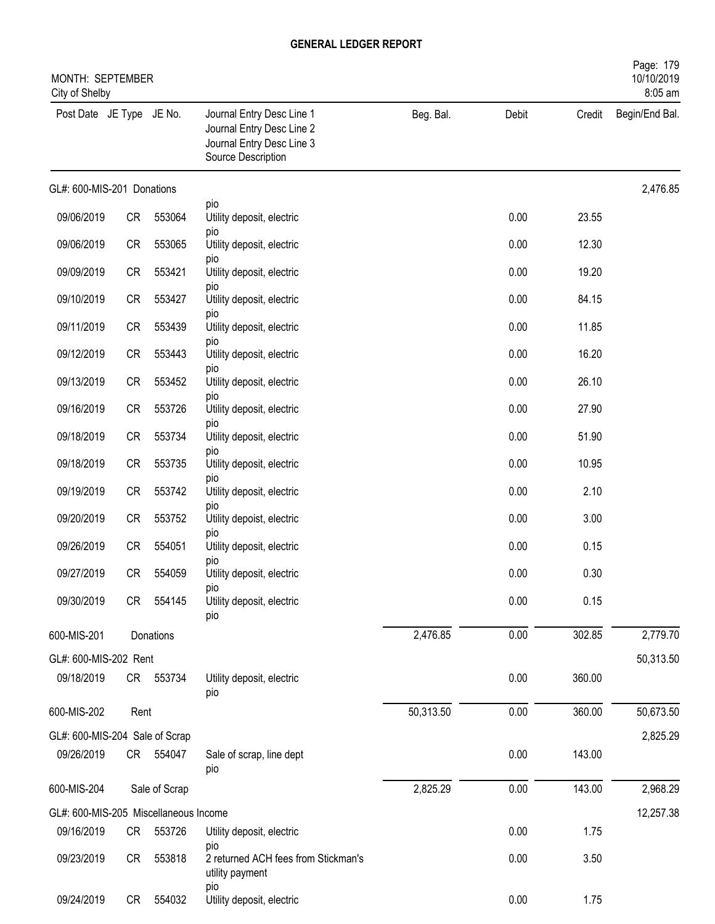| MONTH: SEPTEMBER<br>City of Shelby    |           |               |                                                                                                           |           |       |        | Page: 179<br>10/10/2019<br>8:05 am |
|---------------------------------------|-----------|---------------|-----------------------------------------------------------------------------------------------------------|-----------|-------|--------|------------------------------------|
| Post Date JE Type JE No.              |           |               | Journal Entry Desc Line 1<br>Journal Entry Desc Line 2<br>Journal Entry Desc Line 3<br>Source Description | Beg. Bal. | Debit | Credit | Begin/End Bal.                     |
| GL#: 600-MIS-201 Donations            |           |               |                                                                                                           |           |       |        | 2,476.85                           |
| 09/06/2019                            | <b>CR</b> | 553064        | pio<br>Utility deposit, electric                                                                          |           | 0.00  | 23.55  |                                    |
| 09/06/2019                            | <b>CR</b> | 553065        | pio<br>Utility deposit, electric                                                                          |           | 0.00  | 12.30  |                                    |
| 09/09/2019                            | CR        | 553421        | pio<br>Utility deposit, electric                                                                          |           | 0.00  | 19.20  |                                    |
| 09/10/2019                            | <b>CR</b> | 553427        | pio<br>Utility deposit, electric                                                                          |           | 0.00  | 84.15  |                                    |
| 09/11/2019                            | CR        | 553439        | pio<br>Utility deposit, electric                                                                          |           | 0.00  | 11.85  |                                    |
| 09/12/2019                            | CR        | 553443        | pio<br>Utility deposit, electric                                                                          |           | 0.00  | 16.20  |                                    |
| 09/13/2019                            | CR        | 553452        | pio<br>Utility deposit, electric                                                                          |           | 0.00  | 26.10  |                                    |
| 09/16/2019                            | CR        | 553726        | pio<br>Utility deposit, electric                                                                          |           | 0.00  | 27.90  |                                    |
| 09/18/2019                            | CR        | 553734        | pio<br>Utility deposit, electric                                                                          |           | 0.00  | 51.90  |                                    |
| 09/18/2019                            | CR        | 553735        | pio<br>Utility deposit, electric                                                                          |           | 0.00  | 10.95  |                                    |
| 09/19/2019                            | CR        | 553742        | pio<br>Utility deposit, electric                                                                          |           | 0.00  | 2.10   |                                    |
| 09/20/2019                            | CR        | 553752        | pio<br>Utility depoist, electric                                                                          |           | 0.00  | 3.00   |                                    |
| 09/26/2019                            | <b>CR</b> | 554051        | pio<br>Utility deposit, electric                                                                          |           | 0.00  | 0.15   |                                    |
| 09/27/2019                            | <b>CR</b> | 554059        | pio<br>Utility deposit, electric                                                                          |           | 0.00  | 0.30   |                                    |
| 09/30/2019                            | <b>CR</b> | 554145        | pio<br>Utility deposit, electric<br>pio                                                                   |           | 0.00  | 0.15   |                                    |
| 600-MIS-201                           |           | Donations     |                                                                                                           | 2,476.85  | 0.00  | 302.85 | 2,779.70                           |
| GL#: 600-MIS-202 Rent                 |           |               |                                                                                                           |           |       |        | 50,313.50                          |
| 09/18/2019                            |           | CR 553734     | Utility deposit, electric<br>pio                                                                          |           | 0.00  | 360.00 |                                    |
| 600-MIS-202                           | Rent      |               |                                                                                                           | 50,313.50 | 0.00  | 360.00 | 50,673.50                          |
| GL#: 600-MIS-204 Sale of Scrap        |           |               |                                                                                                           |           |       |        | 2,825.29                           |
| 09/26/2019                            |           | CR 554047     | Sale of scrap, line dept<br>pio                                                                           |           | 0.00  | 143.00 |                                    |
| 600-MIS-204                           |           | Sale of Scrap |                                                                                                           | 2,825.29  | 0.00  | 143.00 | 2,968.29                           |
| GL#: 600-MIS-205 Miscellaneous Income |           |               |                                                                                                           |           |       |        | 12,257.38                          |
| 09/16/2019                            | CR        | 553726        | Utility deposit, electric                                                                                 |           | 0.00  | 1.75   |                                    |
| 09/23/2019                            | CR        | 553818        | pio<br>2 returned ACH fees from Stickman's<br>utility payment                                             |           | 0.00  | 3.50   |                                    |
| 09/24/2019                            | <b>CR</b> | 554032        | pio<br>Utility deposit, electric                                                                          |           | 0.00  | 1.75   |                                    |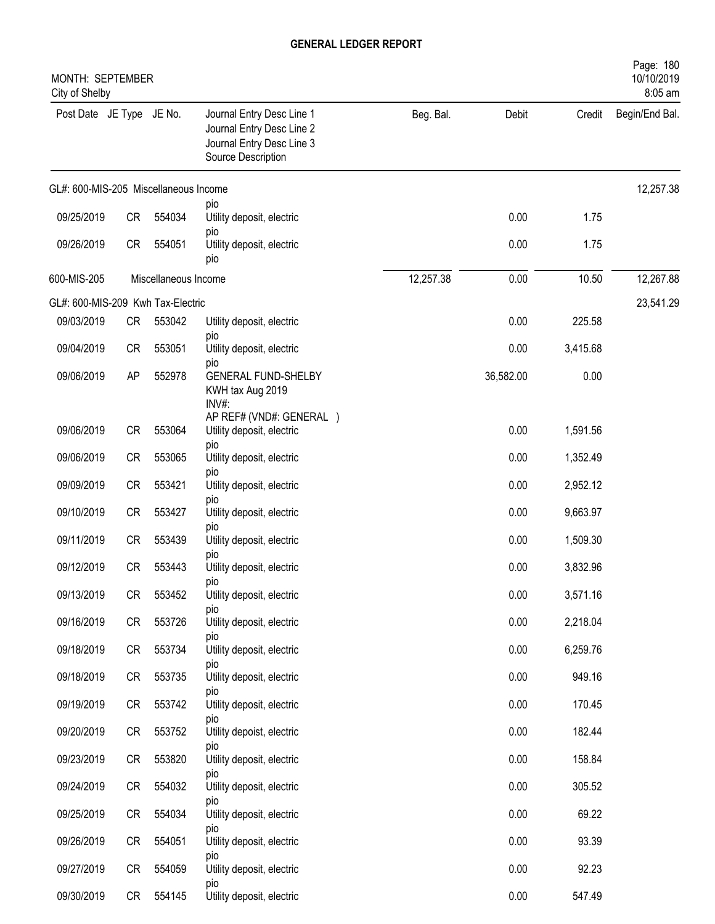| MONTH: SEPTEMBER<br>City of Shelby    |           |                      |                                                                                                           |           |           |          | Page: 180<br>10/10/2019<br>8:05 am |
|---------------------------------------|-----------|----------------------|-----------------------------------------------------------------------------------------------------------|-----------|-----------|----------|------------------------------------|
| Post Date JE Type JE No.              |           |                      | Journal Entry Desc Line 1<br>Journal Entry Desc Line 2<br>Journal Entry Desc Line 3<br>Source Description | Beg. Bal. | Debit     | Credit   | Begin/End Bal.                     |
| GL#: 600-MIS-205 Miscellaneous Income |           |                      |                                                                                                           |           |           |          | 12,257.38                          |
| 09/25/2019                            | <b>CR</b> | 554034               | pio<br>Utility deposit, electric                                                                          |           | 0.00      | 1.75     |                                    |
| 09/26/2019                            | CR        | 554051               | pio<br>Utility deposit, electric<br>pio                                                                   |           | 0.00      | 1.75     |                                    |
| 600-MIS-205                           |           | Miscellaneous Income |                                                                                                           | 12,257.38 | 0.00      | 10.50    | 12,267.88                          |
| GL#: 600-MIS-209 Kwh Tax-Electric     |           |                      |                                                                                                           |           |           |          | 23,541.29                          |
| 09/03/2019                            | CR        | 553042               | Utility deposit, electric<br>pio                                                                          |           | 0.00      | 225.58   |                                    |
| 09/04/2019                            | <b>CR</b> | 553051               | Utility deposit, electric<br>pio                                                                          |           | 0.00      | 3,415.68 |                                    |
| 09/06/2019                            | AP        | 552978               | <b>GENERAL FUND-SHELBY</b><br>KWH tax Aug 2019<br>INV#:                                                   |           | 36,582.00 | 0.00     |                                    |
| 09/06/2019                            | <b>CR</b> | 553064               | AP REF# (VND#: GENERAL )<br>Utility deposit, electric                                                     |           | 0.00      | 1,591.56 |                                    |
| 09/06/2019                            | <b>CR</b> | 553065               | pio<br>Utility deposit, electric                                                                          |           | 0.00      | 1,352.49 |                                    |
| 09/09/2019                            | <b>CR</b> | 553421               | pio<br>Utility deposit, electric                                                                          |           | 0.00      | 2,952.12 |                                    |
| 09/10/2019                            | <b>CR</b> | 553427               | pio<br>Utility deposit, electric                                                                          |           | 0.00      | 9,663.97 |                                    |
| 09/11/2019                            | <b>CR</b> | 553439               | pio<br>Utility deposit, electric                                                                          |           | 0.00      | 1,509.30 |                                    |
| 09/12/2019                            | <b>CR</b> | 553443               | pio<br>Utility deposit, electric                                                                          |           | 0.00      | 3,832.96 |                                    |
| 09/13/2019                            | CR        | 553452               | pio<br>Utility deposit, electric                                                                          |           | 0.00      | 3,571.16 |                                    |
| 09/16/2019                            | CR        | 553726               | pio<br>Utility deposit, electric                                                                          |           | 0.00      | 2,218.04 |                                    |
| 09/18/2019                            | CR        | 553734               | pio<br>Utility deposit, electric                                                                          |           | 0.00      | 6,259.76 |                                    |
| 09/18/2019                            | CR        | 553735               | pio<br>Utility deposit, electric                                                                          |           | 0.00      | 949.16   |                                    |
| 09/19/2019                            | CR        | 553742               | pio<br>Utility deposit, electric                                                                          |           | 0.00      | 170.45   |                                    |
| 09/20/2019                            | CR        | 553752               | pio<br>Utility depoist, electric                                                                          |           | 0.00      | 182.44   |                                    |
| 09/23/2019                            | CR        | 553820               | pio<br>Utility deposit, electric                                                                          |           | 0.00      | 158.84   |                                    |
| 09/24/2019                            | CR        | 554032               | pio<br>Utility deposit, electric                                                                          |           | 0.00      | 305.52   |                                    |
| 09/25/2019                            | CR        | 554034               | pio<br>Utility deposit, electric                                                                          |           | 0.00      | 69.22    |                                    |
| 09/26/2019                            | CR        | 554051               | pio<br>Utility deposit, electric                                                                          |           | 0.00      | 93.39    |                                    |
| 09/27/2019                            | CR        | 554059               | pio<br>Utility deposit, electric                                                                          |           | 0.00      | 92.23    |                                    |
| 09/30/2019                            | CR        | 554145               | pio<br>Utility deposit, electric                                                                          |           | 0.00      | 547.49   |                                    |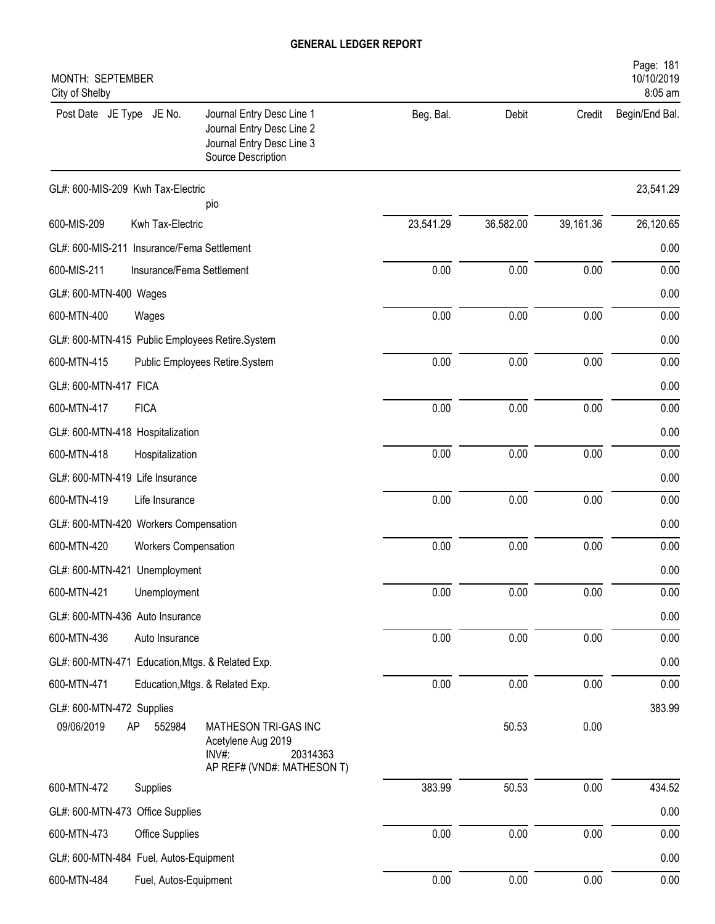| MONTH: SEPTEMBER<br>City of Shelby                                                                                                                       |           |           |           | Page: 181<br>10/10/2019<br>8:05 am |
|----------------------------------------------------------------------------------------------------------------------------------------------------------|-----------|-----------|-----------|------------------------------------|
| Post Date JE Type JE No.<br>Journal Entry Desc Line 1<br>Journal Entry Desc Line 2<br>Journal Entry Desc Line 3<br>Source Description                    | Beg. Bal. | Debit     | Credit    | Begin/End Bal.                     |
| GL#: 600-MIS-209 Kwh Tax-Electric                                                                                                                        |           |           |           | 23,541.29                          |
| pio<br>600-MIS-209<br>Kwh Tax-Electric                                                                                                                   | 23,541.29 | 36,582.00 | 39,161.36 | 26,120.65                          |
| GL#: 600-MIS-211 Insurance/Fema Settlement                                                                                                               |           |           |           | 0.00                               |
| 600-MIS-211<br>Insurance/Fema Settlement                                                                                                                 | 0.00      | 0.00      | 0.00      | 0.00                               |
| GL#: 600-MTN-400 Wages                                                                                                                                   |           |           |           | 0.00                               |
| 600-MTN-400<br>Wages                                                                                                                                     | 0.00      | 0.00      | 0.00      | 0.00                               |
|                                                                                                                                                          |           |           |           | 0.00                               |
| GL#: 600-MTN-415 Public Employees Retire.System<br>600-MTN-415<br>Public Employees Retire.System                                                         | 0.00      | 0.00      | 0.00      | 0.00                               |
| GL#: 600-MTN-417 FICA                                                                                                                                    |           |           |           | 0.00                               |
| <b>FICA</b><br>600-MTN-417                                                                                                                               | 0.00      | 0.00      | 0.00      | 0.00                               |
| GL#: 600-MTN-418 Hospitalization                                                                                                                         |           |           |           | 0.00                               |
| 600-MTN-418<br>Hospitalization                                                                                                                           | 0.00      | 0.00      | 0.00      | 0.00                               |
| GL#: 600-MTN-419 Life Insurance                                                                                                                          |           |           |           | 0.00                               |
| 600-MTN-419<br>Life Insurance                                                                                                                            | 0.00      | 0.00      | 0.00      | 0.00                               |
|                                                                                                                                                          |           |           |           |                                    |
| GL#: 600-MTN-420 Workers Compensation<br>600-MTN-420                                                                                                     | 0.00      | 0.00      | 0.00      | 0.00<br>0.00                       |
| <b>Workers Compensation</b>                                                                                                                              |           |           |           |                                    |
| GL#: 600-MTN-421 Unemployment<br>600-MTN-421                                                                                                             | 0.00      | 0.00      | 0.00      | 0.00<br>0.00                       |
| Unemployment                                                                                                                                             |           |           |           |                                    |
| GL#: 600-MTN-436 Auto Insurance                                                                                                                          | $0.00\,$  |           | $0.00\,$  | 0.00<br>0.00                       |
| 600-MTN-436<br>Auto Insurance                                                                                                                            |           | 0.00      |           |                                    |
| GL#: 600-MTN-471 Education, Mtgs. & Related Exp.                                                                                                         |           |           |           | 0.00                               |
| 600-MTN-471<br>Education, Mtgs. & Related Exp.                                                                                                           | $0.00\,$  | 0.00      | 0.00      | 0.00                               |
| GL#: 600-MTN-472 Supplies<br>09/06/2019<br>AP<br>552984<br>MATHESON TRI-GAS INC<br>Acetylene Aug 2019<br>INV#:<br>20314363<br>AP REF# (VND#: MATHESON T) |           | 50.53     | 0.00      | 383.99                             |
| 600-MTN-472<br>Supplies                                                                                                                                  | 383.99    | 50.53     | 0.00      | 434.52                             |
| GL#: 600-MTN-473 Office Supplies                                                                                                                         |           |           |           | 0.00                               |
| 600-MTN-473<br>Office Supplies                                                                                                                           | $0.00\,$  | 0.00      | 0.00      | 0.00                               |
| GL#: 600-MTN-484 Fuel, Autos-Equipment                                                                                                                   |           |           |           | 0.00                               |
| 600-MTN-484<br>Fuel, Autos-Equipment                                                                                                                     | 0.00      | 0.00      | 0.00      | 0.00                               |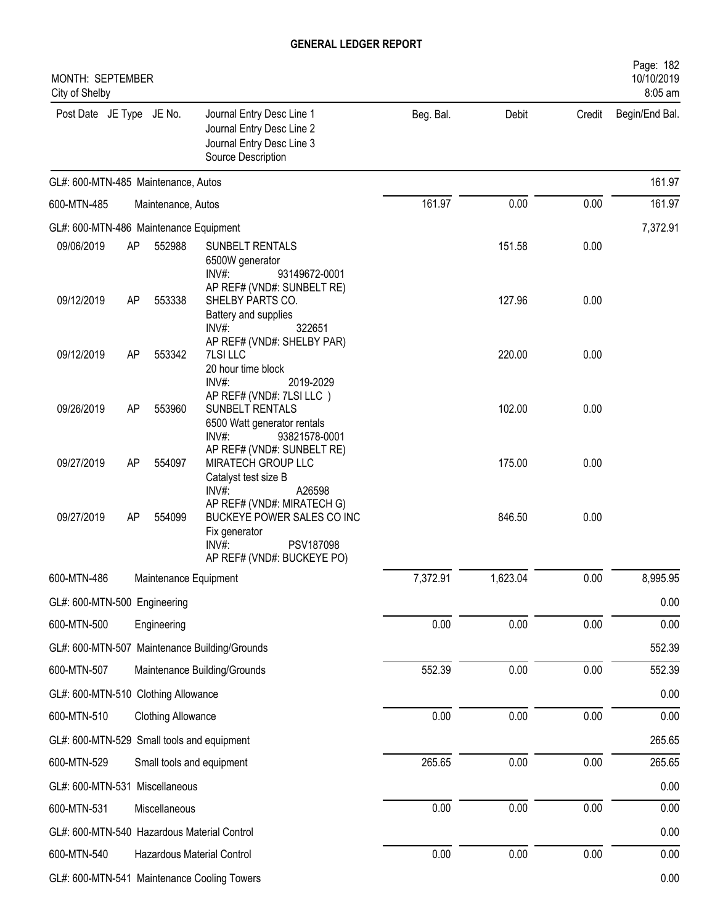| MONTH: SEPTEMBER<br>City of Shelby     |    |                           |                                                                                                                                  |           |          |        | Page: 182<br>10/10/2019<br>8:05 am |
|----------------------------------------|----|---------------------------|----------------------------------------------------------------------------------------------------------------------------------|-----------|----------|--------|------------------------------------|
| Post Date JE Type JE No.               |    |                           | Journal Entry Desc Line 1<br>Journal Entry Desc Line 2<br>Journal Entry Desc Line 3<br>Source Description                        | Beg. Bal. | Debit    | Credit | Begin/End Bal.                     |
| GL#: 600-MTN-485 Maintenance, Autos    |    |                           |                                                                                                                                  |           |          |        | 161.97                             |
| 600-MTN-485                            |    | Maintenance, Autos        |                                                                                                                                  | 161.97    | 0.00     | 0.00   | 161.97                             |
| GL#: 600-MTN-486 Maintenance Equipment |    |                           |                                                                                                                                  |           |          |        | 7,372.91                           |
| 09/06/2019                             | AP | 552988                    | SUNBELT RENTALS<br>6500W generator<br>INV#:<br>93149672-0001                                                                     |           | 151.58   | 0.00   |                                    |
| 09/12/2019                             | AP | 553338                    | AP REF# (VND#: SUNBELT RE)<br>SHELBY PARTS CO.<br>Battery and supplies<br>$INV#$ :<br>322651                                     |           | 127.96   | 0.00   |                                    |
| 09/12/2019                             | AP | 553342                    | AP REF# (VND#: SHELBY PAR)<br>7LSI LLC<br>20 hour time block<br>INV#:<br>2019-2029                                               |           | 220.00   | 0.00   |                                    |
| 09/26/2019                             | AP | 553960                    | AP REF# (VND#: 7LSI LLC)<br>SUNBELT RENTALS<br>6500 Watt generator rentals<br>INV#:<br>93821578-0001                             |           | 102.00   | 0.00   |                                    |
| 09/27/2019                             | AP | 554097                    | AP REF# (VND#: SUNBELT RE)<br>MIRATECH GROUP LLC<br>Catalyst test size B<br>INV#:<br>A26598                                      |           | 175.00   | 0.00   |                                    |
| 09/27/2019                             | AP | 554099                    | AP REF# (VND#: MIRATECH G)<br>BUCKEYE POWER SALES CO INC<br>Fix generator<br>$INV#$ :<br>PSV187098<br>AP REF# (VND#: BUCKEYE PO) |           | 846.50   | 0.00   |                                    |
| 600-MTN-486                            |    | Maintenance Equipment     |                                                                                                                                  | 7,372.91  | 1,623.04 | 0.00   | 8,995.95                           |
| GL#: 600-MTN-500 Engineering           |    |                           |                                                                                                                                  |           |          |        | 0.00                               |
| 600-MTN-500                            |    | Engineering               |                                                                                                                                  | 0.00      | 0.00     | 0.00   | 0.00                               |
|                                        |    |                           | GL#: 600-MTN-507 Maintenance Building/Grounds                                                                                    |           |          |        | 552.39                             |
| 600-MTN-507                            |    |                           | Maintenance Building/Grounds                                                                                                     | 552.39    | 0.00     | 0.00   | 552.39                             |
| GL#: 600-MTN-510 Clothing Allowance    |    |                           |                                                                                                                                  |           |          |        | 0.00                               |
| 600-MTN-510                            |    | <b>Clothing Allowance</b> |                                                                                                                                  | 0.00      | 0.00     | 0.00   | 0.00                               |
|                                        |    |                           | GL#: 600-MTN-529 Small tools and equipment                                                                                       |           |          |        | 265.65                             |
| 600-MTN-529                            |    |                           | Small tools and equipment                                                                                                        | 265.65    | 0.00     | 0.00   | 265.65                             |
| GL#: 600-MTN-531 Miscellaneous         |    |                           |                                                                                                                                  |           |          |        | 0.00                               |
| 600-MTN-531                            |    | Miscellaneous             |                                                                                                                                  | $0.00\,$  | 0.00     | 0.00   | 0.00                               |
|                                        |    |                           | GL#: 600-MTN-540 Hazardous Material Control                                                                                      |           |          |        | 0.00                               |
| 600-MTN-540                            |    |                           | Hazardous Material Control                                                                                                       | 0.00      | 0.00     | 0.00   | 0.00                               |
|                                        |    |                           | GL#: 600-MTN-541 Maintenance Cooling Towers                                                                                      |           |          |        | 0.00                               |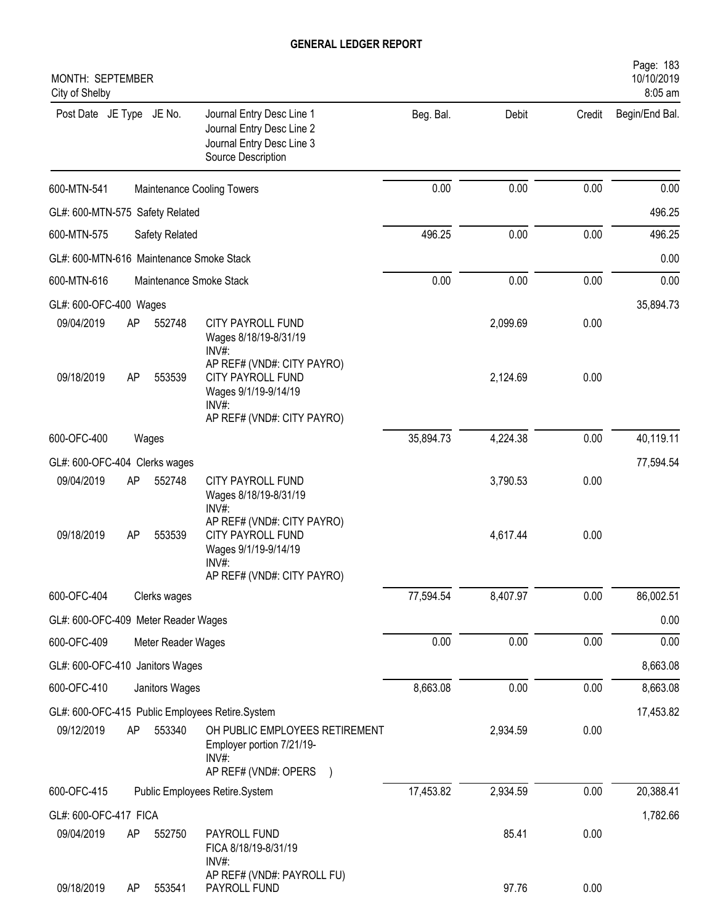| MONTH: SEPTEMBER<br>City of Shelby       |    |                    |                                                                                                           |           |          |        | Page: 183<br>10/10/2019<br>8:05 am |
|------------------------------------------|----|--------------------|-----------------------------------------------------------------------------------------------------------|-----------|----------|--------|------------------------------------|
| Post Date JE Type JE No.                 |    |                    | Journal Entry Desc Line 1<br>Journal Entry Desc Line 2<br>Journal Entry Desc Line 3<br>Source Description | Beg. Bal. | Debit    | Credit | Begin/End Bal.                     |
| 600-MTN-541                              |    |                    | Maintenance Cooling Towers                                                                                | 0.00      | 0.00     | 0.00   | 0.00                               |
| GL#: 600-MTN-575 Safety Related          |    |                    |                                                                                                           |           |          |        | 496.25                             |
| 600-MTN-575                              |    | Safety Related     |                                                                                                           | 496.25    | 0.00     | 0.00   | 496.25                             |
| GL#: 600-MTN-616 Maintenance Smoke Stack |    |                    |                                                                                                           |           |          |        | 0.00                               |
| 600-MTN-616                              |    |                    | Maintenance Smoke Stack                                                                                   | 0.00      | 0.00     | 0.00   | 0.00                               |
| GL#: 600-OFC-400 Wages                   |    |                    |                                                                                                           |           |          |        | 35,894.73                          |
| 09/04/2019                               | AP | 552748             | CITY PAYROLL FUND<br>Wages 8/18/19-8/31/19<br>INV#:                                                       |           | 2,099.69 | 0.00   |                                    |
| 09/18/2019                               | AP | 553539             | AP REF# (VND#: CITY PAYRO)<br><b>CITY PAYROLL FUND</b><br>Wages 9/1/19-9/14/19<br>INV#:                   |           | 2,124.69 | 0.00   |                                    |
|                                          |    |                    | AP REF# (VND#: CITY PAYRO)                                                                                |           |          |        |                                    |
| 600-OFC-400                              |    | Wages              |                                                                                                           | 35,894.73 | 4,224.38 | 0.00   | 40,119.11                          |
| GL#: 600-OFC-404 Clerks wages            |    |                    |                                                                                                           |           |          |        | 77,594.54                          |
| 09/04/2019                               | AP | 552748             | CITY PAYROLL FUND<br>Wages 8/18/19-8/31/19<br>$INV#$ :                                                    |           | 3,790.53 | 0.00   |                                    |
| 09/18/2019                               | AP | 553539             | AP REF# (VND#: CITY PAYRO)<br><b>CITY PAYROLL FUND</b><br>Wages 9/1/19-9/14/19<br>INV#:                   |           | 4,617.44 | 0.00   |                                    |
|                                          |    |                    | AP REF# (VND#: CITY PAYRO)                                                                                |           |          |        |                                    |
| 600-OFC-404                              |    | Clerks wages       |                                                                                                           | 77,594.54 | 8,407.97 | 0.00   | 86,002.51                          |
| GL#: 600-OFC-409 Meter Reader Wages      |    |                    |                                                                                                           |           |          |        | 0.00                               |
| 600-OFC-409                              |    | Meter Reader Wages |                                                                                                           | 0.00      | 0.00     | 0.00   | 0.00                               |
| GL#: 600-OFC-410 Janitors Wages          |    |                    |                                                                                                           |           |          |        | 8,663.08                           |
| 600-OFC-410                              |    | Janitors Wages     |                                                                                                           | 8,663.08  | 0.00     | 0.00   | 8,663.08                           |
|                                          |    |                    | GL#: 600-OFC-415 Public Employees Retire.System                                                           |           |          |        | 17,453.82                          |
| 09/12/2019                               | AP | 553340             | OH PUBLIC EMPLOYEES RETIREMENT<br>Employer portion 7/21/19-<br>INV#:<br>AP REF# (VND#: OPERS              |           | 2,934.59 | 0.00   |                                    |
| 600-OFC-415                              |    |                    | Public Employees Retire.System                                                                            | 17,453.82 | 2,934.59 | 0.00   | 20,388.41                          |
| GL#: 600-OFC-417 FICA                    |    |                    |                                                                                                           |           |          |        | 1,782.66                           |
| 09/04/2019                               | AP | 552750             | PAYROLL FUND<br>FICA 8/18/19-8/31/19                                                                      |           | 85.41    | 0.00   |                                    |
| 09/18/2019                               | AP | 553541             | INV#:<br>AP REF# (VND#: PAYROLL FU)<br>PAYROLL FUND                                                       |           | 97.76    | 0.00   |                                    |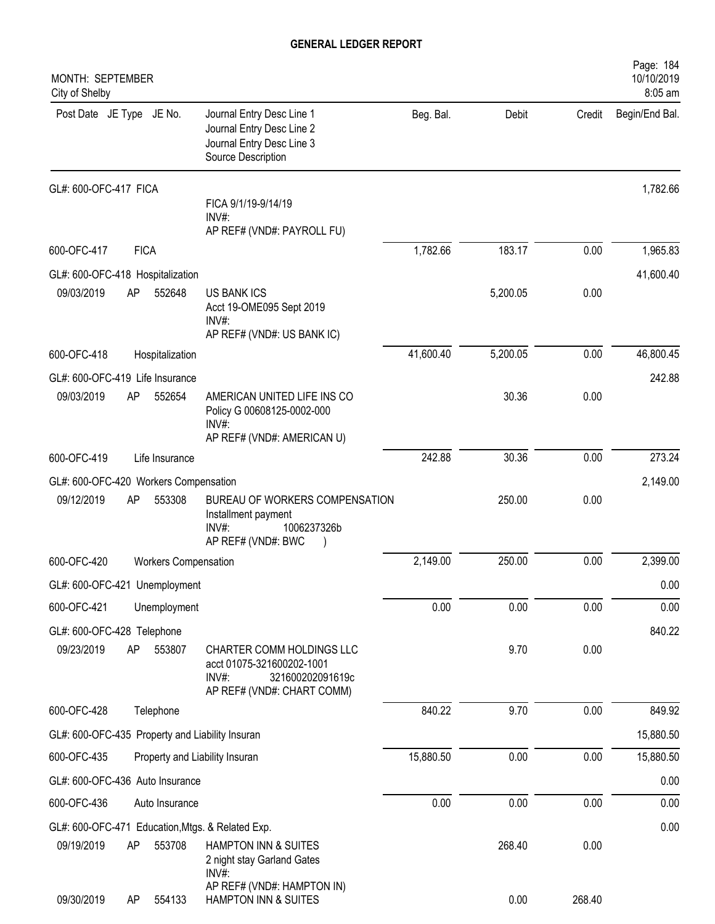| MONTH: SEPTEMBER<br>City of Shelby                                                                                                              |           |              |        | Page: 184<br>10/10/2019<br>8:05 am |
|-------------------------------------------------------------------------------------------------------------------------------------------------|-----------|--------------|--------|------------------------------------|
| Journal Entry Desc Line 1<br>Post Date JE Type JE No.<br>Journal Entry Desc Line 2<br>Journal Entry Desc Line 3<br>Source Description           | Beg. Bal. | <b>Debit</b> | Credit | Begin/End Bal.                     |
| GL#: 600-OFC-417 FICA<br>FICA 9/1/19-9/14/19<br>$INV#$ :                                                                                        |           |              |        | 1,782.66                           |
| AP REF# (VND#: PAYROLL FU)                                                                                                                      |           |              |        |                                    |
| 600-OFC-417<br><b>FICA</b>                                                                                                                      | 1,782.66  | 183.17       | 0.00   | 1,965.83                           |
| GL#: 600-OFC-418 Hospitalization                                                                                                                |           |              |        | 41,600.40                          |
| 09/03/2019<br>AP<br>552648<br><b>US BANK ICS</b><br>Acct 19-OME095 Sept 2019<br>$INV#$ :                                                        |           | 5,200.05     | 0.00   |                                    |
| AP REF# (VND#: US BANK IC)                                                                                                                      |           |              |        |                                    |
| 600-OFC-418<br>Hospitalization                                                                                                                  | 41,600.40 | 5,200.05     | 0.00   | 46,800.45                          |
| GL#: 600-OFC-419 Life Insurance                                                                                                                 |           |              |        | 242.88                             |
| 09/03/2019<br>AP<br>AMERICAN UNITED LIFE INS CO<br>552654<br>Policy G 00608125-0002-000<br>INV#:                                                |           | 30.36        | 0.00   |                                    |
| AP REF# (VND#: AMERICAN U)                                                                                                                      |           |              |        |                                    |
| 600-OFC-419<br>Life Insurance                                                                                                                   | 242.88    | 30.36        | 0.00   | 273.24                             |
| GL#: 600-OFC-420 Workers Compensation                                                                                                           |           |              |        | 2,149.00                           |
| 09/12/2019<br>AP<br>553308<br>BUREAU OF WORKERS COMPENSATION<br>Installment payment<br>INV#:<br>1006237326b<br>AP REF# (VND#: BWC               |           | 250.00       | 0.00   |                                    |
| 600-OFC-420<br><b>Workers Compensation</b>                                                                                                      | 2,149.00  | 250.00       | 0.00   | 2,399.00                           |
| GL#: 600-OFC-421 Unemployment                                                                                                                   |           |              |        | 0.00                               |
| 600-OFC-421<br>Unemployment                                                                                                                     | 0.00      | 0.00         | 0.00   | 0.00                               |
| GL#: 600-OFC-428 Telephone                                                                                                                      |           |              |        | 840.22                             |
| AP<br>09/23/2019<br>553807<br>CHARTER COMM HOLDINGS LLC<br>acct 01075-321600202-1001<br>INV#:<br>321600202091619c<br>AP REF# (VND#: CHART COMM) |           | 9.70         | 0.00   |                                    |
| 600-OFC-428<br>Telephone                                                                                                                        | 840.22    | 9.70         | 0.00   | 849.92                             |
| GL#: 600-OFC-435 Property and Liability Insuran                                                                                                 |           |              |        | 15,880.50                          |
| 600-OFC-435<br>Property and Liability Insuran                                                                                                   | 15,880.50 | 0.00         | 0.00   | 15,880.50                          |
| GL#: 600-OFC-436 Auto Insurance                                                                                                                 |           |              |        | 0.00                               |
| 600-OFC-436<br>Auto Insurance                                                                                                                   | 0.00      | 0.00         | 0.00   | 0.00                               |
| GL#: 600-OFC-471 Education, Mtgs. & Related Exp.                                                                                                |           |              |        | 0.00                               |
| 09/19/2019<br>AP<br>553708<br>HAMPTON INN & SUITES<br>2 night stay Garland Gates                                                                |           | 268.40       | 0.00   |                                    |
| INV#:<br>AP REF# (VND#: HAMPTON IN)<br>09/30/2019<br>HAMPTON INN & SUITES<br>554133<br>AP                                                       |           | 0.00         | 268.40 |                                    |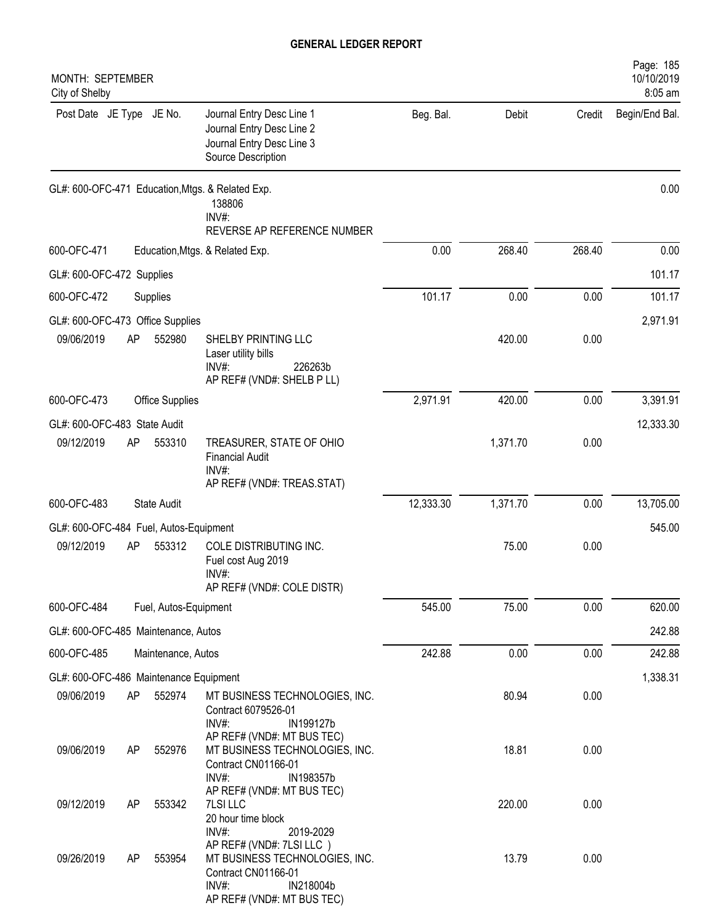| MONTH: SEPTEMBER<br>City of Shelby     |    |                        |                                                                                                                                       |           |          |        | Page: 185<br>10/10/2019<br>8:05 am |
|----------------------------------------|----|------------------------|---------------------------------------------------------------------------------------------------------------------------------------|-----------|----------|--------|------------------------------------|
| Post Date JE Type JE No.               |    |                        | Journal Entry Desc Line 1<br>Journal Entry Desc Line 2<br>Journal Entry Desc Line 3<br>Source Description                             | Beg. Bal. | Debit    | Credit | Begin/End Bal.                     |
|                                        |    |                        | GL#: 600-OFC-471 Education, Mtgs. & Related Exp.<br>138806<br>INV#:<br>REVERSE AP REFERENCE NUMBER                                    |           |          |        | 0.00                               |
| 600-OFC-471                            |    |                        | Education, Mtgs. & Related Exp.                                                                                                       | 0.00      | 268.40   | 268.40 | 0.00                               |
| GL#: 600-OFC-472 Supplies              |    |                        |                                                                                                                                       |           |          |        | 101.17                             |
| 600-OFC-472                            |    | Supplies               |                                                                                                                                       | 101.17    | 0.00     | 0.00   | 101.17                             |
| GL#: 600-OFC-473 Office Supplies       |    |                        |                                                                                                                                       |           |          |        | 2,971.91                           |
| 09/06/2019                             | AP | 552980                 | SHELBY PRINTING LLC<br>Laser utility bills<br>$INV#$ :<br>226263b<br>AP REF# (VND#: SHELB P LL)                                       |           | 420.00   | 0.00   |                                    |
| 600-OFC-473                            |    | <b>Office Supplies</b> |                                                                                                                                       | 2,971.91  | 420.00   | 0.00   | 3,391.91                           |
| GL#: 600-OFC-483 State Audit           |    |                        |                                                                                                                                       |           |          |        | 12,333.30                          |
| 09/12/2019                             | AP | 553310                 | TREASURER, STATE OF OHIO<br><b>Financial Audit</b><br>$INV#$ :<br>AP REF# (VND#: TREAS.STAT)                                          |           | 1,371.70 | 0.00   |                                    |
| 600-OFC-483                            |    | <b>State Audit</b>     |                                                                                                                                       | 12,333.30 | 1,371.70 | 0.00   | 13,705.00                          |
| GL#: 600-OFC-484 Fuel, Autos-Equipment |    |                        |                                                                                                                                       |           |          |        | 545.00                             |
| 09/12/2019                             | AP | 553312                 | COLE DISTRIBUTING INC.<br>Fuel cost Aug 2019<br>INV#:<br>AP REF# (VND#: COLE DISTR)                                                   |           | 75.00    | 0.00   |                                    |
| 600-OFC-484                            |    | Fuel, Autos-Equipment  |                                                                                                                                       | 545.00    | 75.00    | 0.00   | 620.00                             |
| GL#: 600-OFC-485 Maintenance, Autos    |    |                        |                                                                                                                                       |           |          |        | 242.88                             |
| 600-OFC-485                            |    | Maintenance, Autos     |                                                                                                                                       | 242.88    | 0.00     | 0.00   | 242.88                             |
| GL#: 600-OFC-486 Maintenance Equipment |    |                        |                                                                                                                                       |           |          |        | 1,338.31                           |
| 09/06/2019                             | AP | 552974                 | MT BUSINESS TECHNOLOGIES, INC.<br>Contract 6079526-01<br>INV#:<br>IN199127b                                                           |           | 80.94    | 0.00   |                                    |
| 09/06/2019                             | AP | 552976                 | AP REF# (VND#: MT BUS TEC)<br>MT BUSINESS TECHNOLOGIES, INC.<br>Contract CN01166-01<br>IN198357b<br>INV#                              |           | 18.81    | 0.00   |                                    |
| 09/12/2019                             | AP | 553342                 | AP REF# (VND#: MT BUS TEC)<br>7LSI LLC<br>20 hour time block<br>INV#:<br>2019-2029                                                    |           | 220.00   | 0.00   |                                    |
| 09/26/2019                             | AP | 553954                 | AP REF# (VND#: 7LSI LLC)<br>MT BUSINESS TECHNOLOGIES, INC.<br>Contract CN01166-01<br>INV#:<br>IN218004b<br>AP REF# (VND#: MT BUS TEC) |           | 13.79    | 0.00   |                                    |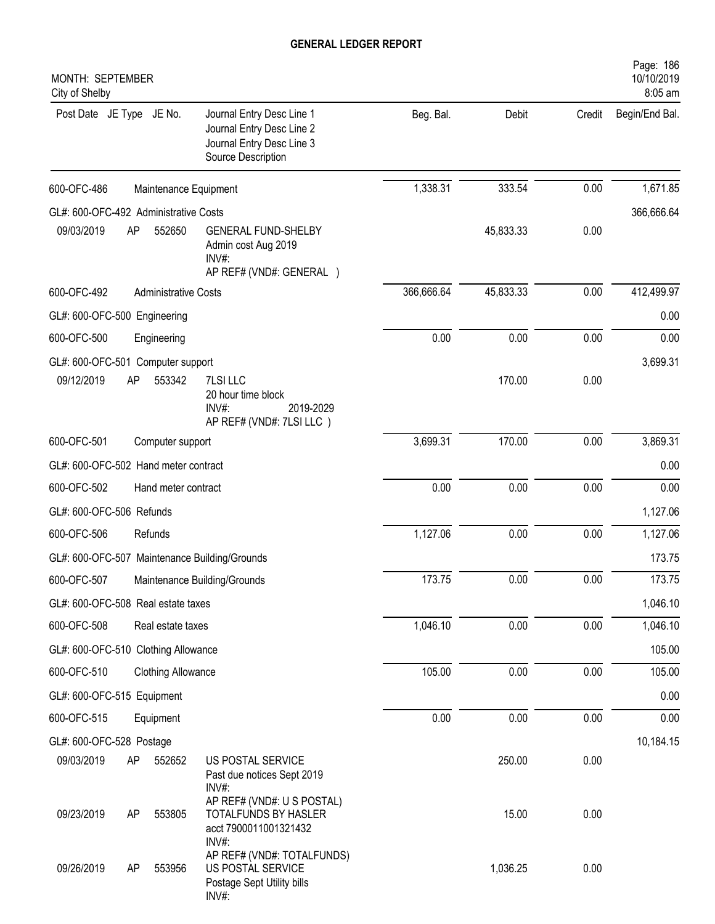| MONTH: SEPTEMBER<br>City of Shelby            |                                                                                                           |            |           |        | 10/10/2019<br>8:05 am |
|-----------------------------------------------|-----------------------------------------------------------------------------------------------------------|------------|-----------|--------|-----------------------|
| Post Date JE Type JE No.                      | Journal Entry Desc Line 1<br>Journal Entry Desc Line 2<br>Journal Entry Desc Line 3<br>Source Description | Beg. Bal.  | Debit     | Credit | Begin/End Bal.        |
| 600-OFC-486                                   | Maintenance Equipment                                                                                     | 1,338.31   | 333.54    | 0.00   | 1,671.85              |
| GL#: 600-OFC-492 Administrative Costs         |                                                                                                           |            |           |        | 366,666.64            |
| 09/03/2019<br>552650<br>AP                    | <b>GENERAL FUND-SHELBY</b><br>Admin cost Aug 2019<br>INV#:<br>AP REF# (VND#: GENERAL )                    |            | 45,833.33 | 0.00   |                       |
| 600-OFC-492<br><b>Administrative Costs</b>    |                                                                                                           | 366,666.64 | 45,833.33 | 0.00   | 412,499.97            |
| GL#: 600-OFC-500 Engineering                  |                                                                                                           |            |           |        | 0.00                  |
| 600-OFC-500<br>Engineering                    |                                                                                                           | 0.00       | 0.00      | 0.00   | 0.00                  |
| GL#: 600-OFC-501 Computer support             |                                                                                                           |            |           |        | 3,699.31              |
| 09/12/2019<br>553342<br>AP                    | 7LSI LLC<br>20 hour time block<br>INV#:<br>2019-2029<br>AP REF# (VND#: 7LSI LLC)                          |            | 170.00    | 0.00   |                       |
| 600-OFC-501<br>Computer support               |                                                                                                           | 3,699.31   | 170.00    | 0.00   | 3,869.31              |
| GL#: 600-OFC-502 Hand meter contract          |                                                                                                           |            |           |        | 0.00                  |
| 600-OFC-502<br>Hand meter contract            |                                                                                                           | 0.00       | 0.00      | 0.00   | 0.00                  |
| GL#: 600-OFC-506 Refunds                      |                                                                                                           |            |           |        | 1,127.06              |
| 600-OFC-506<br>Refunds                        |                                                                                                           | 1,127.06   | 0.00      | 0.00   | 1,127.06              |
| GL#: 600-OFC-507 Maintenance Building/Grounds |                                                                                                           |            |           |        | 173.75                |
| 600-OFC-507                                   | Maintenance Building/Grounds                                                                              | 173.75     | 0.00      | 0.00   | 173.75                |
| GL#: 600-OFC-508 Real estate taxes            |                                                                                                           |            |           |        | 1,046.10              |
| 600-OFC-508<br>Real estate taxes              |                                                                                                           | 1,046.10   | 0.00      | 0.00   | 1,046.10              |
| GL#: 600-OFC-510 Clothing Allowance           |                                                                                                           |            |           |        | 105.00                |
| 600-OFC-510<br><b>Clothing Allowance</b>      |                                                                                                           | 105.00     | 0.00      | 0.00   | 105.00                |
| GL#: 600-OFC-515 Equipment                    |                                                                                                           |            |           |        | 0.00                  |
| 600-OFC-515<br>Equipment                      |                                                                                                           | 0.00       | 0.00      | 0.00   | 0.00                  |
| GL#: 600-OFC-528 Postage                      |                                                                                                           |            |           |        | 10,184.15             |
| 09/03/2019<br>552652<br>AP                    | US POSTAL SERVICE<br>Past due notices Sept 2019<br>$INV#$ :                                               |            | 250.00    | 0.00   |                       |
| 09/23/2019<br>AP<br>553805                    | AP REF# (VND#: U S POSTAL)<br>TOTALFUNDS BY HASLER<br>acct 7900011001321432<br>INV#:                      |            | 15.00     | 0.00   |                       |
| 09/26/2019<br>553956<br>AP                    | AP REF# (VND#: TOTALFUNDS)<br>US POSTAL SERVICE<br>Postage Sept Utility bills<br>INV#:                    |            | 1,036.25  | 0.00   |                       |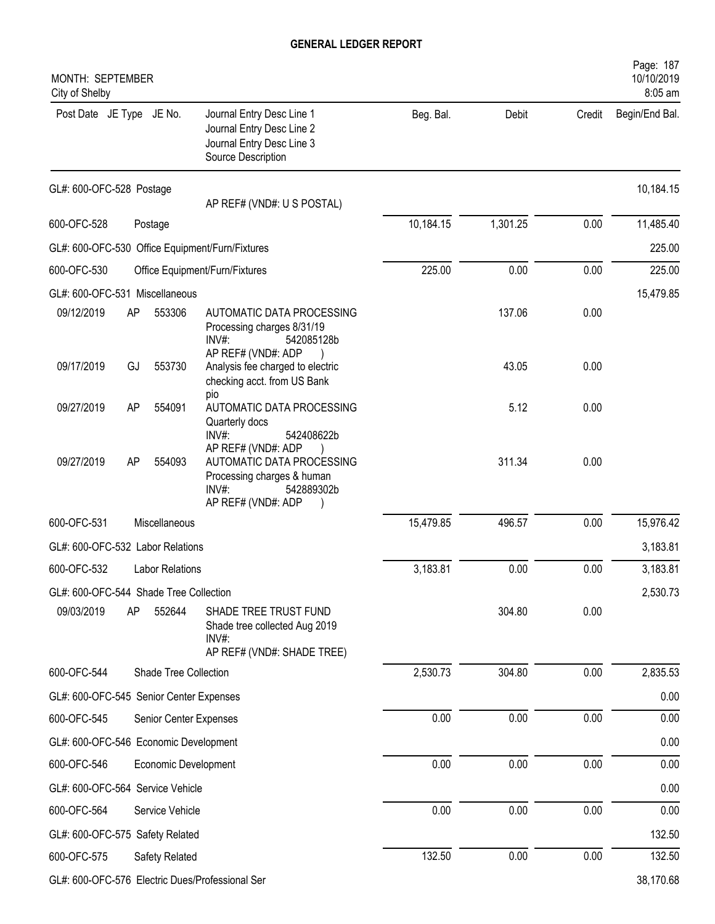| MONTH: SEPTEMBER<br>City of Shelby      |    |                        |                                                                                                                               |           |          |        | Page: 187<br>10/10/2019<br>8:05 am |
|-----------------------------------------|----|------------------------|-------------------------------------------------------------------------------------------------------------------------------|-----------|----------|--------|------------------------------------|
| Post Date JE Type JE No.                |    |                        | Journal Entry Desc Line 1<br>Journal Entry Desc Line 2<br>Journal Entry Desc Line 3<br>Source Description                     | Beg. Bal. | Debit    | Credit | Begin/End Bal.                     |
| GL#: 600-OFC-528 Postage                |    |                        | AP REF# (VND#: U S POSTAL)                                                                                                    |           |          |        | 10,184.15                          |
| 600-OFC-528                             |    | Postage                |                                                                                                                               | 10,184.15 | 1,301.25 | 0.00   | 11,485.40                          |
|                                         |    |                        | GL#: 600-OFC-530 Office Equipment/Furn/Fixtures                                                                               |           |          |        | 225.00                             |
| 600-OFC-530                             |    |                        | Office Equipment/Furn/Fixtures                                                                                                | 225.00    | 0.00     | 0.00   | 225.00                             |
| GL#: 600-OFC-531 Miscellaneous          |    |                        |                                                                                                                               |           |          |        | 15,479.85                          |
| 09/12/2019                              | AP | 553306                 | AUTOMATIC DATA PROCESSING<br>Processing charges 8/31/19<br>$INV#$ :<br>542085128b<br>AP REF# (VND#: ADP                       |           | 137.06   | 0.00   |                                    |
| 09/17/2019                              | GJ | 553730                 | Analysis fee charged to electric<br>checking acct. from US Bank<br>pio                                                        |           | 43.05    | 0.00   |                                    |
| 09/27/2019                              | AP | 554091                 | AUTOMATIC DATA PROCESSING<br>Quarterly docs<br>INV#:<br>542408622b                                                            |           | 5.12     | 0.00   |                                    |
| 09/27/2019                              | AP | 554093                 | AP REF# (VND#: ADP<br>AUTOMATIC DATA PROCESSING<br>Processing charges & human<br>$INV#$ :<br>542889302b<br>AP REF# (VND#: ADP |           | 311.34   | 0.00   |                                    |
| 600-OFC-531                             |    | Miscellaneous          |                                                                                                                               | 15,479.85 | 496.57   | 0.00   | 15,976.42                          |
| GL#: 600-OFC-532 Labor Relations        |    |                        |                                                                                                                               |           |          |        | 3,183.81                           |
| 600-OFC-532                             |    | <b>Labor Relations</b> |                                                                                                                               | 3,183.81  | 0.00     | 0.00   | 3,183.81                           |
| GL#: 600-OFC-544 Shade Tree Collection  |    |                        |                                                                                                                               |           |          |        | 2,530.73                           |
| 09/03/2019                              | AP | 552644                 | SHADE TREE TRUST FUND<br>Shade tree collected Aug 2019<br>INV#:<br>AP REF# (VND#: SHADE TREE)                                 |           | 304.80   | 0.00   |                                    |
| 600-OFC-544                             |    | Shade Tree Collection  |                                                                                                                               | 2,530.73  | 304.80   | 0.00   | 2,835.53                           |
| GL#: 600-OFC-545 Senior Center Expenses |    |                        |                                                                                                                               |           |          |        | 0.00                               |
| 600-OFC-545                             |    | Senior Center Expenses |                                                                                                                               | 0.00      | 0.00     | 0.00   | 0.00                               |
| GL#: 600-OFC-546 Economic Development   |    |                        |                                                                                                                               |           |          |        | 0.00                               |
| 600-OFC-546                             |    | Economic Development   |                                                                                                                               | 0.00      | 0.00     | 0.00   | 0.00                               |
| GL#: 600-OFC-564 Service Vehicle        |    |                        |                                                                                                                               |           |          |        | 0.00                               |
| 600-OFC-564                             |    | Service Vehicle        |                                                                                                                               | 0.00      | 0.00     | 0.00   | 0.00                               |
| GL#: 600-OFC-575 Safety Related         |    |                        |                                                                                                                               |           |          |        | 132.50                             |
| 600-OFC-575                             |    | Safety Related         |                                                                                                                               | 132.50    | 0.00     | 0.00   | 132.50                             |
|                                         |    |                        | GL#: 600-OFC-576 Electric Dues/Professional Ser                                                                               |           |          |        | 38,170.68                          |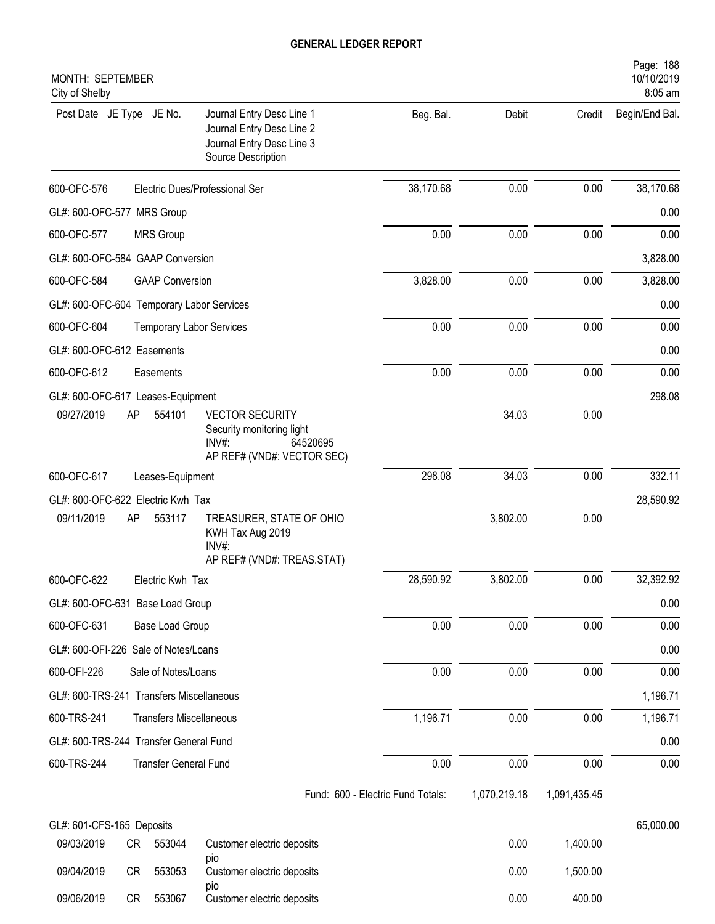| Post Date JE Type JE No.<br>Journal Entry Desc Line 1<br>Beg. Bal.<br>Debit<br>Credit<br>Journal Entry Desc Line 2<br>Journal Entry Desc Line 3<br>Source Description<br>0.00<br>38,170.68<br>0.00<br>Electric Dues/Professional Ser<br>0.00<br>0.00<br>0.00<br><b>MRS Group</b><br>3,828.00<br>0.00<br>0.00<br><b>GAAP Conversion</b><br>0.00<br>0.00<br>0.00<br><b>Temporary Labor Services</b><br>0.00<br>0.00<br>0.00<br>Easements<br>09/27/2019<br>AP<br>554101<br><b>VECTOR SECURITY</b><br>34.03<br>0.00<br>Security monitoring light<br>INV#:<br>64520695<br>AP REF# (VND#: VECTOR SEC)<br>298.08<br>34.03<br>0.00<br>Leases-Equipment<br>09/11/2019<br>AP<br>553117<br>3,802.00<br>0.00<br>TREASURER, STATE OF OHIO<br>KWH Tax Aug 2019<br>INV#:<br>AP REF# (VND#: TREAS.STAT)<br>28,590.92<br>3,802.00<br>0.00<br>Electric Kwh Tax<br>0.00<br>0.00<br>0.00<br>Base Load Group<br>0.00<br>0.00<br>0.00<br>Sale of Notes/Loans<br>1,196.71<br>0.00<br>0.00<br><b>Transfers Miscellaneous</b><br>0.00<br>$0.00\,$<br>0.00<br><b>Transfer General Fund</b><br>1,070,219.18<br>Fund: 600 - Electric Fund Totals:<br>1,091,435.45<br>65,000.00<br>09/03/2019<br>0.00<br>1,400.00<br>CR<br>553044<br>Customer electric deposits<br>pio<br>09/04/2019<br>553053<br>0.00<br>1,500.00<br>CR<br>Customer electric deposits<br>pio | MONTH: SEPTEMBER<br>City of Shelby                       |      |        | Page: 188<br>10/10/2019<br>8:05 am |
|----------------------------------------------------------------------------------------------------------------------------------------------------------------------------------------------------------------------------------------------------------------------------------------------------------------------------------------------------------------------------------------------------------------------------------------------------------------------------------------------------------------------------------------------------------------------------------------------------------------------------------------------------------------------------------------------------------------------------------------------------------------------------------------------------------------------------------------------------------------------------------------------------------------------------------------------------------------------------------------------------------------------------------------------------------------------------------------------------------------------------------------------------------------------------------------------------------------------------------------------------------------------------------------------------------------------------------|----------------------------------------------------------|------|--------|------------------------------------|
|                                                                                                                                                                                                                                                                                                                                                                                                                                                                                                                                                                                                                                                                                                                                                                                                                                                                                                                                                                                                                                                                                                                                                                                                                                                                                                                                  |                                                          |      |        | Begin/End Bal.                     |
| GL#: 600-OFC-577 MRS Group<br>600-OFC-577<br>GL#: 600-OFC-584 GAAP Conversion<br>600-OFC-584<br>GL#: 600-OFC-604 Temporary Labor Services<br>600-OFC-604<br>GL#: 600-OFC-612 Easements<br>600-OFC-612<br>GL#: 600-OFC-617 Leases-Equipment<br>600-OFC-617<br>GL#: 600-OFC-622 Electric Kwh Tax<br>600-OFC-622<br>GL#: 600-OFC-631 Base Load Group<br>600-OFC-631<br>GL#: 600-OFI-226 Sale of Notes/Loans<br>600-OFI-226<br>GL#: 600-TRS-241 Transfers Miscellaneous<br>600-TRS-241<br>GL#: 600-TRS-244 Transfer General Fund<br>600-TRS-244<br>GL#: 601-CFS-165 Deposits                                                                                                                                                                                                                                                                                                                                                                                                                                                                                                                                                                                                                                                                                                                                                         | 600-OFC-576                                              |      |        | 38,170.68                          |
|                                                                                                                                                                                                                                                                                                                                                                                                                                                                                                                                                                                                                                                                                                                                                                                                                                                                                                                                                                                                                                                                                                                                                                                                                                                                                                                                  |                                                          |      |        | 0.00                               |
|                                                                                                                                                                                                                                                                                                                                                                                                                                                                                                                                                                                                                                                                                                                                                                                                                                                                                                                                                                                                                                                                                                                                                                                                                                                                                                                                  |                                                          |      |        | 0.00                               |
|                                                                                                                                                                                                                                                                                                                                                                                                                                                                                                                                                                                                                                                                                                                                                                                                                                                                                                                                                                                                                                                                                                                                                                                                                                                                                                                                  |                                                          |      |        | 3,828.00                           |
|                                                                                                                                                                                                                                                                                                                                                                                                                                                                                                                                                                                                                                                                                                                                                                                                                                                                                                                                                                                                                                                                                                                                                                                                                                                                                                                                  |                                                          |      |        | 3,828.00                           |
|                                                                                                                                                                                                                                                                                                                                                                                                                                                                                                                                                                                                                                                                                                                                                                                                                                                                                                                                                                                                                                                                                                                                                                                                                                                                                                                                  |                                                          |      |        | 0.00                               |
|                                                                                                                                                                                                                                                                                                                                                                                                                                                                                                                                                                                                                                                                                                                                                                                                                                                                                                                                                                                                                                                                                                                                                                                                                                                                                                                                  |                                                          |      |        | 0.00                               |
|                                                                                                                                                                                                                                                                                                                                                                                                                                                                                                                                                                                                                                                                                                                                                                                                                                                                                                                                                                                                                                                                                                                                                                                                                                                                                                                                  |                                                          |      |        | 0.00                               |
|                                                                                                                                                                                                                                                                                                                                                                                                                                                                                                                                                                                                                                                                                                                                                                                                                                                                                                                                                                                                                                                                                                                                                                                                                                                                                                                                  |                                                          |      |        | 0.00                               |
|                                                                                                                                                                                                                                                                                                                                                                                                                                                                                                                                                                                                                                                                                                                                                                                                                                                                                                                                                                                                                                                                                                                                                                                                                                                                                                                                  |                                                          |      |        | 298.08                             |
|                                                                                                                                                                                                                                                                                                                                                                                                                                                                                                                                                                                                                                                                                                                                                                                                                                                                                                                                                                                                                                                                                                                                                                                                                                                                                                                                  |                                                          |      |        |                                    |
|                                                                                                                                                                                                                                                                                                                                                                                                                                                                                                                                                                                                                                                                                                                                                                                                                                                                                                                                                                                                                                                                                                                                                                                                                                                                                                                                  |                                                          |      |        | 332.11                             |
|                                                                                                                                                                                                                                                                                                                                                                                                                                                                                                                                                                                                                                                                                                                                                                                                                                                                                                                                                                                                                                                                                                                                                                                                                                                                                                                                  |                                                          |      |        | 28,590.92                          |
|                                                                                                                                                                                                                                                                                                                                                                                                                                                                                                                                                                                                                                                                                                                                                                                                                                                                                                                                                                                                                                                                                                                                                                                                                                                                                                                                  |                                                          |      |        |                                    |
|                                                                                                                                                                                                                                                                                                                                                                                                                                                                                                                                                                                                                                                                                                                                                                                                                                                                                                                                                                                                                                                                                                                                                                                                                                                                                                                                  |                                                          |      |        | 32,392.92                          |
|                                                                                                                                                                                                                                                                                                                                                                                                                                                                                                                                                                                                                                                                                                                                                                                                                                                                                                                                                                                                                                                                                                                                                                                                                                                                                                                                  |                                                          |      |        | 0.00                               |
|                                                                                                                                                                                                                                                                                                                                                                                                                                                                                                                                                                                                                                                                                                                                                                                                                                                                                                                                                                                                                                                                                                                                                                                                                                                                                                                                  |                                                          |      |        | 0.00                               |
|                                                                                                                                                                                                                                                                                                                                                                                                                                                                                                                                                                                                                                                                                                                                                                                                                                                                                                                                                                                                                                                                                                                                                                                                                                                                                                                                  |                                                          |      |        | 0.00                               |
|                                                                                                                                                                                                                                                                                                                                                                                                                                                                                                                                                                                                                                                                                                                                                                                                                                                                                                                                                                                                                                                                                                                                                                                                                                                                                                                                  |                                                          |      |        | 0.00                               |
|                                                                                                                                                                                                                                                                                                                                                                                                                                                                                                                                                                                                                                                                                                                                                                                                                                                                                                                                                                                                                                                                                                                                                                                                                                                                                                                                  |                                                          |      |        | 1,196.71                           |
|                                                                                                                                                                                                                                                                                                                                                                                                                                                                                                                                                                                                                                                                                                                                                                                                                                                                                                                                                                                                                                                                                                                                                                                                                                                                                                                                  |                                                          |      |        | 1,196.71                           |
|                                                                                                                                                                                                                                                                                                                                                                                                                                                                                                                                                                                                                                                                                                                                                                                                                                                                                                                                                                                                                                                                                                                                                                                                                                                                                                                                  |                                                          |      |        | 0.00                               |
|                                                                                                                                                                                                                                                                                                                                                                                                                                                                                                                                                                                                                                                                                                                                                                                                                                                                                                                                                                                                                                                                                                                                                                                                                                                                                                                                  |                                                          |      |        | 0.00                               |
|                                                                                                                                                                                                                                                                                                                                                                                                                                                                                                                                                                                                                                                                                                                                                                                                                                                                                                                                                                                                                                                                                                                                                                                                                                                                                                                                  |                                                          |      |        |                                    |
|                                                                                                                                                                                                                                                                                                                                                                                                                                                                                                                                                                                                                                                                                                                                                                                                                                                                                                                                                                                                                                                                                                                                                                                                                                                                                                                                  |                                                          |      |        |                                    |
|                                                                                                                                                                                                                                                                                                                                                                                                                                                                                                                                                                                                                                                                                                                                                                                                                                                                                                                                                                                                                                                                                                                                                                                                                                                                                                                                  |                                                          |      |        |                                    |
|                                                                                                                                                                                                                                                                                                                                                                                                                                                                                                                                                                                                                                                                                                                                                                                                                                                                                                                                                                                                                                                                                                                                                                                                                                                                                                                                  |                                                          |      |        |                                    |
|                                                                                                                                                                                                                                                                                                                                                                                                                                                                                                                                                                                                                                                                                                                                                                                                                                                                                                                                                                                                                                                                                                                                                                                                                                                                                                                                  | 09/06/2019<br>Customer electric deposits<br>553067<br>CR | 0.00 | 400.00 |                                    |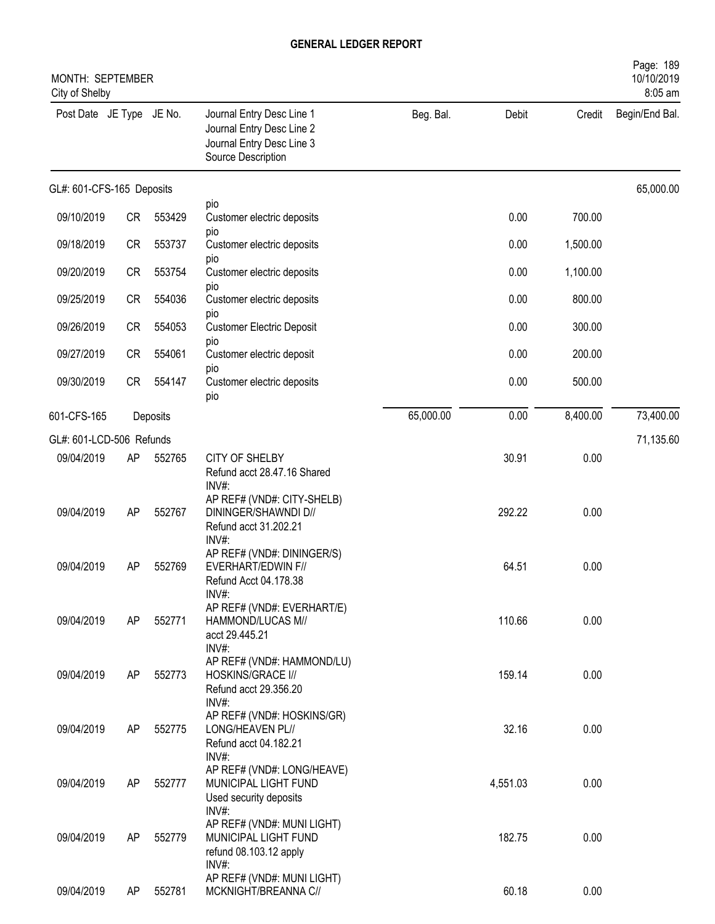| MONTH: SEPTEMBER<br>City of Shelby |           |          |                                                                                                           |           |          |          | Page: 189<br>10/10/2019<br>8:05 am |
|------------------------------------|-----------|----------|-----------------------------------------------------------------------------------------------------------|-----------|----------|----------|------------------------------------|
| Post Date JE Type JE No.           |           |          | Journal Entry Desc Line 1<br>Journal Entry Desc Line 2<br>Journal Entry Desc Line 3<br>Source Description | Beg. Bal. | Debit    | Credit   | Begin/End Bal.                     |
| GL#: 601-CFS-165 Deposits          |           |          |                                                                                                           |           |          |          | 65,000.00                          |
| 09/10/2019                         | CR        | 553429   | pio<br>Customer electric deposits                                                                         |           | 0.00     | 700.00   |                                    |
| 09/18/2019                         | <b>CR</b> | 553737   | pio<br>Customer electric deposits                                                                         |           | 0.00     | 1,500.00 |                                    |
| 09/20/2019                         | <b>CR</b> | 553754   | pio<br>Customer electric deposits                                                                         |           | 0.00     | 1,100.00 |                                    |
| 09/25/2019                         | <b>CR</b> | 554036   | pio<br>Customer electric deposits                                                                         |           | 0.00     | 800.00   |                                    |
| 09/26/2019                         | <b>CR</b> | 554053   | pio<br><b>Customer Electric Deposit</b>                                                                   |           | 0.00     | 300.00   |                                    |
| 09/27/2019                         | <b>CR</b> | 554061   | pio<br>Customer electric deposit                                                                          |           | 0.00     | 200.00   |                                    |
| 09/30/2019                         | <b>CR</b> | 554147   | pio<br>Customer electric deposits<br>pio                                                                  |           | 0.00     | 500.00   |                                    |
| 601-CFS-165                        |           | Deposits |                                                                                                           | 65,000.00 | 0.00     | 8,400.00 | 73,400.00                          |
| GL#: 601-LCD-506 Refunds           |           |          |                                                                                                           |           |          |          | 71,135.60                          |
| 09/04/2019                         | AP        | 552765   | <b>CITY OF SHELBY</b><br>Refund acct 28.47.16 Shared<br>INV#:                                             |           | 30.91    | 0.00     |                                    |
| 09/04/2019                         | AP        | 552767   | AP REF# (VND#: CITY-SHELB)<br>DININGER/SHAWNDI D//<br>Refund acct 31.202.21<br>$INV#$ :                   |           | 292.22   | 0.00     |                                    |
| 09/04/2019                         | AP        | 552769   | AP REF# (VND#: DININGER/S)<br>EVERHART/EDWIN F//<br>Refund Acct 04.178.38<br>INV#:                        |           | 64.51    | 0.00     |                                    |
| 09/04/2019                         | AP        | 552771   | AP REF# (VND#: EVERHART/E)<br>HAMMOND/LUCAS M//<br>acct 29.445.21<br>INV#:                                |           | 110.66   | 0.00     |                                    |
| 09/04/2019                         | AP        | 552773   | AP REF# (VND#: HAMMOND/LU)<br>HOSKINS/GRACE I//<br>Refund acct 29.356.20<br>INV#:                         |           | 159.14   | 0.00     |                                    |
| 09/04/2019                         | AP        | 552775   | AP REF# (VND#: HOSKINS/GR)<br>LONG/HEAVEN PL//<br>Refund acct 04.182.21<br>INV#:                          |           | 32.16    | 0.00     |                                    |
| 09/04/2019                         | AP        | 552777   | AP REF# (VND#: LONG/HEAVE)<br>MUNICIPAL LIGHT FUND<br>Used security deposits                              |           | 4,551.03 | 0.00     |                                    |
| 09/04/2019                         | AP        | 552779   | INV#:<br>AP REF# (VND#: MUNI LIGHT)<br>MUNICIPAL LIGHT FUND<br>refund 08.103.12 apply                     |           | 182.75   | 0.00     |                                    |
| 09/04/2019                         | AP        | 552781   | INV#:<br>AP REF# (VND#: MUNI LIGHT)<br>MCKNIGHT/BREANNA C//                                               |           | 60.18    | 0.00     |                                    |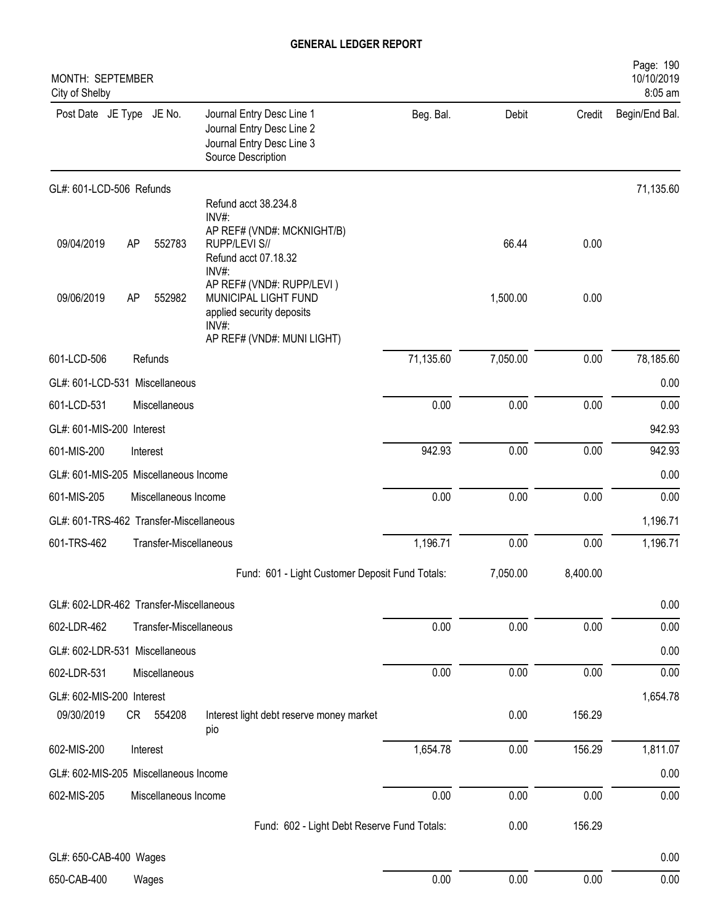| MONTH: SEPTEMBER<br>City of Shelby                                                                                                                     |           |          |          | Page: 190<br>10/10/2019<br>8:05 am |
|--------------------------------------------------------------------------------------------------------------------------------------------------------|-----------|----------|----------|------------------------------------|
| Post Date JE Type JE No.<br>Journal Entry Desc Line 1<br>Journal Entry Desc Line 2<br>Journal Entry Desc Line 3<br>Source Description                  | Beg. Bal. | Debit    | Credit   | Begin/End Bal.                     |
| GL#: 601-LCD-506 Refunds                                                                                                                               |           |          |          | 71,135.60                          |
| Refund acct 38.234.8<br>INV#:<br>AP REF# (VND#: MCKNIGHT/B)<br>09/04/2019<br>RUPP/LEVI S//<br>AP<br>552783<br>Refund acct 07.18.32<br>INV#:            |           | 66.44    | 0.00     |                                    |
| AP REF# (VND#: RUPP/LEVI)<br>09/06/2019<br>AP<br>552982<br>MUNICIPAL LIGHT FUND<br>applied security deposits<br>$INV#$ :<br>AP REF# (VND#: MUNI LIGHT) |           | 1,500.00 | 0.00     |                                    |
| 601-LCD-506<br>Refunds                                                                                                                                 | 71,135.60 | 7,050.00 | 0.00     | 78,185.60                          |
| GL#: 601-LCD-531 Miscellaneous                                                                                                                         |           |          |          | 0.00                               |
| 601-LCD-531<br>Miscellaneous                                                                                                                           | 0.00      | 0.00     | 0.00     | 0.00                               |
| GL#: 601-MIS-200 Interest                                                                                                                              |           |          |          | 942.93                             |
| 601-MIS-200<br>Interest                                                                                                                                | 942.93    | 0.00     | 0.00     | 942.93                             |
| GL#: 601-MIS-205 Miscellaneous Income                                                                                                                  |           |          |          | 0.00                               |
| 601-MIS-205<br>Miscellaneous Income                                                                                                                    | 0.00      | 0.00     | 0.00     | 0.00                               |
| GL#: 601-TRS-462 Transfer-Miscellaneous                                                                                                                |           |          |          | 1,196.71                           |
| 601-TRS-462<br>Transfer-Miscellaneous                                                                                                                  | 1,196.71  | 0.00     | 0.00     | 1,196.71                           |
| Fund: 601 - Light Customer Deposit Fund Totals:                                                                                                        |           | 7,050.00 | 8,400.00 |                                    |
| GL#: 602-LDR-462 Transfer-Miscellaneous                                                                                                                |           |          |          | 0.00                               |
| 602-LDR-462<br>Transfer-Miscellaneous                                                                                                                  | 0.00      | 0.00     | 0.00     | 0.00                               |
| GL#: 602-LDR-531 Miscellaneous                                                                                                                         |           |          |          | 0.00                               |
| 602-LDR-531<br>Miscellaneous                                                                                                                           | 0.00      | 0.00     | 0.00     | 0.00                               |
| GL#: 602-MIS-200 Interest<br>09/30/2019<br>554208<br>Interest light debt reserve money market<br>CR<br>pio                                             |           | 0.00     | 156.29   | 1,654.78                           |
| 602-MIS-200<br>Interest                                                                                                                                | 1,654.78  | 0.00     | 156.29   | 1,811.07                           |
| GL#: 602-MIS-205 Miscellaneous Income                                                                                                                  |           |          |          | 0.00                               |
| 602-MIS-205<br>Miscellaneous Income                                                                                                                    | 0.00      | 0.00     | 0.00     | 0.00                               |
| Fund: 602 - Light Debt Reserve Fund Totals:                                                                                                            |           | 0.00     | 156.29   |                                    |
|                                                                                                                                                        |           |          |          |                                    |
| GL#: 650-CAB-400 Wages<br>650-CAB-400                                                                                                                  | 0.00      | 0.00     | 0.00     | 0.00<br>0.00                       |
| Wages                                                                                                                                                  |           |          |          |                                    |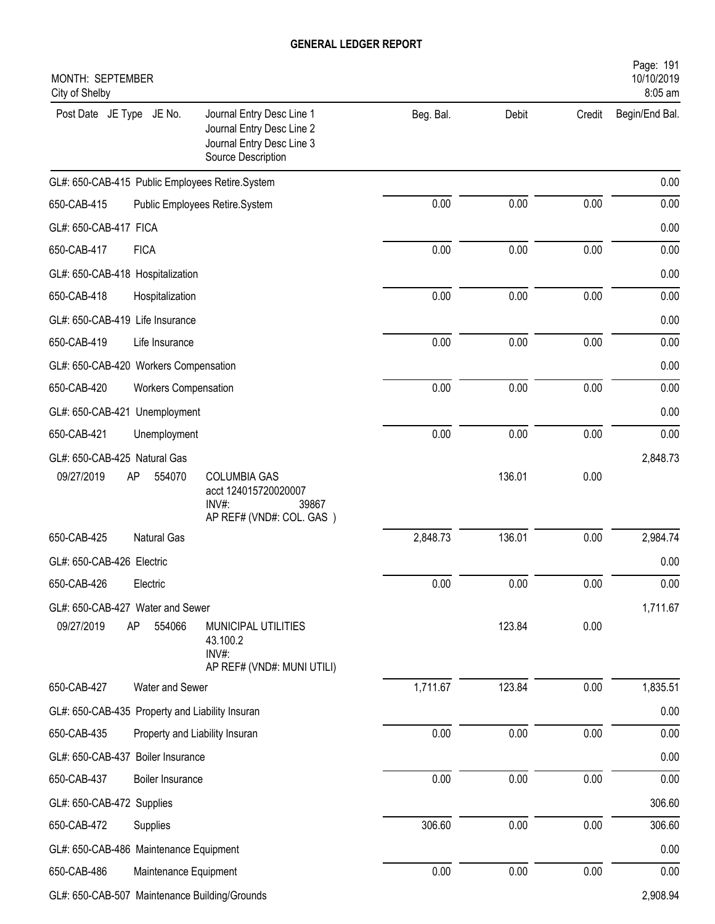| MONTH: SEPTEMBER<br>City of Shelby              |                                                                                                           |           |        |        | Page: 191<br>10/10/2019<br>8:05 am |
|-------------------------------------------------|-----------------------------------------------------------------------------------------------------------|-----------|--------|--------|------------------------------------|
| Post Date JE Type JE No.                        | Journal Entry Desc Line 1<br>Journal Entry Desc Line 2<br>Journal Entry Desc Line 3<br>Source Description | Beg. Bal. | Debit  | Credit | Begin/End Bal.                     |
| GL#: 650-CAB-415 Public Employees Retire.System |                                                                                                           |           |        |        | 0.00                               |
| 650-CAB-415                                     | Public Employees Retire.System                                                                            | 0.00      | 0.00   | 0.00   | 0.00                               |
| GL#: 650-CAB-417 FICA                           |                                                                                                           |           |        |        | 0.00                               |
| 650-CAB-417<br><b>FICA</b>                      |                                                                                                           | 0.00      | 0.00   | 0.00   | 0.00                               |
| GL#: 650-CAB-418 Hospitalization                |                                                                                                           |           |        |        | 0.00                               |
| 650-CAB-418<br>Hospitalization                  |                                                                                                           | 0.00      | 0.00   | 0.00   | 0.00                               |
| GL#: 650-CAB-419 Life Insurance                 |                                                                                                           |           |        |        | 0.00                               |
| 650-CAB-419<br>Life Insurance                   |                                                                                                           | 0.00      | 0.00   | 0.00   | 0.00                               |
| GL#: 650-CAB-420 Workers Compensation           |                                                                                                           |           |        |        | 0.00                               |
| 650-CAB-420<br>Workers Compensation             |                                                                                                           | 0.00      | 0.00   | 0.00   | 0.00                               |
| GL#: 650-CAB-421 Unemployment                   |                                                                                                           |           |        |        | 0.00                               |
| 650-CAB-421<br>Unemployment                     |                                                                                                           | 0.00      | 0.00   | 0.00   | 0.00                               |
| GL#: 650-CAB-425 Natural Gas                    |                                                                                                           |           |        |        | 2,848.73                           |
| 09/27/2019<br>AP<br>554070                      | <b>COLUMBIA GAS</b><br>acct 124015720020007<br>$INV#$ :<br>39867<br>AP REF# (VND#: COL. GAS)              |           | 136.01 | 0.00   |                                    |
| <b>Natural Gas</b><br>650-CAB-425               |                                                                                                           | 2,848.73  | 136.01 | 0.00   | 2,984.74                           |
| GL#: 650-CAB-426 Electric                       |                                                                                                           |           |        |        | 0.00                               |
| 650-CAB-426<br>Electric                         |                                                                                                           | 0.00      | 0.00   | 0.00   | 0.00                               |
| GL#: 650-CAB-427 Water and Sewer                |                                                                                                           |           |        |        | 1,711.67                           |
| 09/27/2019<br>AP<br>554066                      | MUNICIPAL UTILITIES<br>43.100.2<br>INV#:<br>AP REF# (VND#: MUNI UTILI)                                    |           | 123.84 | 0.00   |                                    |
| Water and Sewer<br>650-CAB-427                  |                                                                                                           | 1,711.67  | 123.84 | 0.00   | 1,835.51                           |
| GL#: 650-CAB-435 Property and Liability Insuran |                                                                                                           |           |        |        | 0.00                               |
| 650-CAB-435                                     | Property and Liability Insuran                                                                            | 0.00      | 0.00   | 0.00   | 0.00                               |
| GL#: 650-CAB-437 Boiler Insurance               |                                                                                                           |           |        |        | 0.00                               |
| 650-CAB-437<br>Boiler Insurance                 |                                                                                                           | 0.00      | 0.00   | 0.00   | 0.00                               |
| GL#: 650-CAB-472 Supplies                       |                                                                                                           |           |        |        | 306.60                             |
| 650-CAB-472<br>Supplies                         |                                                                                                           | 306.60    | 0.00   | 0.00   | 306.60                             |
| GL#: 650-CAB-486 Maintenance Equipment          |                                                                                                           |           |        |        | 0.00                               |
| 650-CAB-486<br>Maintenance Equipment            |                                                                                                           | 0.00      | 0.00   | 0.00   | 0.00                               |
| GL#: 650-CAB-507 Maintenance Building/Grounds   |                                                                                                           |           |        |        | 2,908.94                           |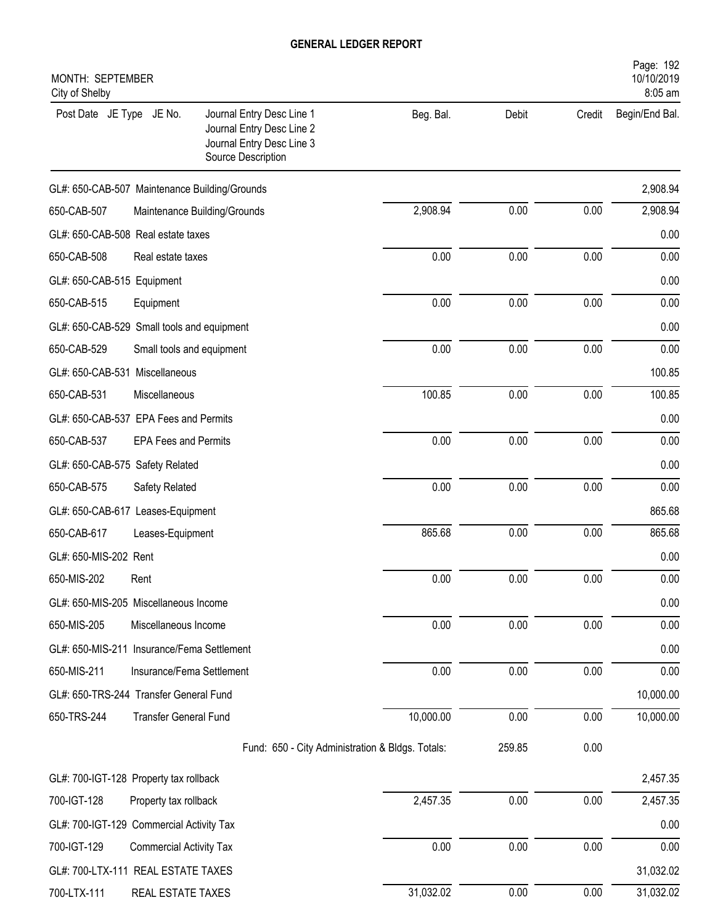| MONTH: SEPTEMBER<br>City of Shelby            |                                |                                                                                                           |           |        |        | Page: 192<br>10/10/2019<br>8:05 am |
|-----------------------------------------------|--------------------------------|-----------------------------------------------------------------------------------------------------------|-----------|--------|--------|------------------------------------|
| Post Date JE Type JE No.                      |                                | Journal Entry Desc Line 1<br>Journal Entry Desc Line 2<br>Journal Entry Desc Line 3<br>Source Description | Beg. Bal. | Debit  | Credit | Begin/End Bal.                     |
| GL#: 650-CAB-507 Maintenance Building/Grounds |                                |                                                                                                           |           |        |        | 2,908.94                           |
| 650-CAB-507                                   |                                | Maintenance Building/Grounds                                                                              | 2,908.94  | 0.00   | 0.00   | 2,908.94                           |
| GL#: 650-CAB-508 Real estate taxes            |                                |                                                                                                           |           |        |        | 0.00                               |
| 650-CAB-508                                   | Real estate taxes              |                                                                                                           | 0.00      | 0.00   | 0.00   | 0.00                               |
| GL#: 650-CAB-515 Equipment                    |                                |                                                                                                           |           |        |        | 0.00                               |
| 650-CAB-515                                   | Equipment                      |                                                                                                           | 0.00      | 0.00   | 0.00   | 0.00                               |
| GL#: 650-CAB-529 Small tools and equipment    |                                |                                                                                                           |           |        |        | 0.00                               |
| 650-CAB-529                                   | Small tools and equipment      |                                                                                                           | 0.00      | 0.00   | 0.00   | 0.00                               |
| GL#: 650-CAB-531 Miscellaneous                |                                |                                                                                                           |           |        |        | 100.85                             |
| 650-CAB-531                                   | Miscellaneous                  |                                                                                                           | 100.85    | 0.00   | 0.00   | 100.85                             |
| GL#: 650-CAB-537 EPA Fees and Permits         |                                |                                                                                                           |           |        |        | 0.00                               |
| 650-CAB-537                                   | <b>EPA Fees and Permits</b>    |                                                                                                           | 0.00      | 0.00   | 0.00   | 0.00                               |
| GL#: 650-CAB-575 Safety Related               |                                |                                                                                                           |           |        |        | 0.00                               |
| 650-CAB-575                                   | Safety Related                 |                                                                                                           | 0.00      | 0.00   | 0.00   | 0.00                               |
| GL#: 650-CAB-617 Leases-Equipment             |                                |                                                                                                           |           |        |        | 865.68                             |
| 650-CAB-617                                   | Leases-Equipment               |                                                                                                           | 865.68    | 0.00   | 0.00   | 865.68                             |
| GL#: 650-MIS-202 Rent                         |                                |                                                                                                           |           |        |        | 0.00                               |
| 650-MIS-202                                   | Rent                           |                                                                                                           | 0.00      | 0.00   | 0.00   | 0.00                               |
| GL#: 650-MIS-205 Miscellaneous Income         |                                |                                                                                                           |           |        |        | 0.00                               |
| 650-MIS-205                                   | Miscellaneous Income           |                                                                                                           | 0.00      | 0.00   | 0.00   | 0.00                               |
| GL#: 650-MIS-211 Insurance/Fema Settlement    |                                |                                                                                                           |           |        |        | 0.00                               |
| 650-MIS-211                                   | Insurance/Fema Settlement      |                                                                                                           | 0.00      | 0.00   | 0.00   | 0.00                               |
| GL#: 650-TRS-244 Transfer General Fund        |                                |                                                                                                           |           |        |        | 10,000.00                          |
| 650-TRS-244                                   | <b>Transfer General Fund</b>   |                                                                                                           | 10,000.00 | 0.00   | 0.00   | 10,000.00                          |
|                                               |                                | Fund: 650 - City Administration & Bldgs. Totals:                                                          |           | 259.85 | 0.00   |                                    |
| GL#: 700-IGT-128 Property tax rollback        |                                |                                                                                                           |           |        |        | 2,457.35                           |
| 700-IGT-128                                   | Property tax rollback          |                                                                                                           | 2,457.35  | 0.00   | 0.00   | 2,457.35                           |
| GL#: 700-IGT-129 Commercial Activity Tax      |                                |                                                                                                           |           |        |        | 0.00                               |
| 700-IGT-129                                   | <b>Commercial Activity Tax</b> |                                                                                                           | 0.00      | 0.00   | 0.00   | 0.00                               |
| GL#: 700-LTX-111 REAL ESTATE TAXES            |                                |                                                                                                           |           |        |        | 31,032.02                          |
| 700-LTX-111                                   | REAL ESTATE TAXES              |                                                                                                           | 31,032.02 | 0.00   | 0.00   | 31,032.02                          |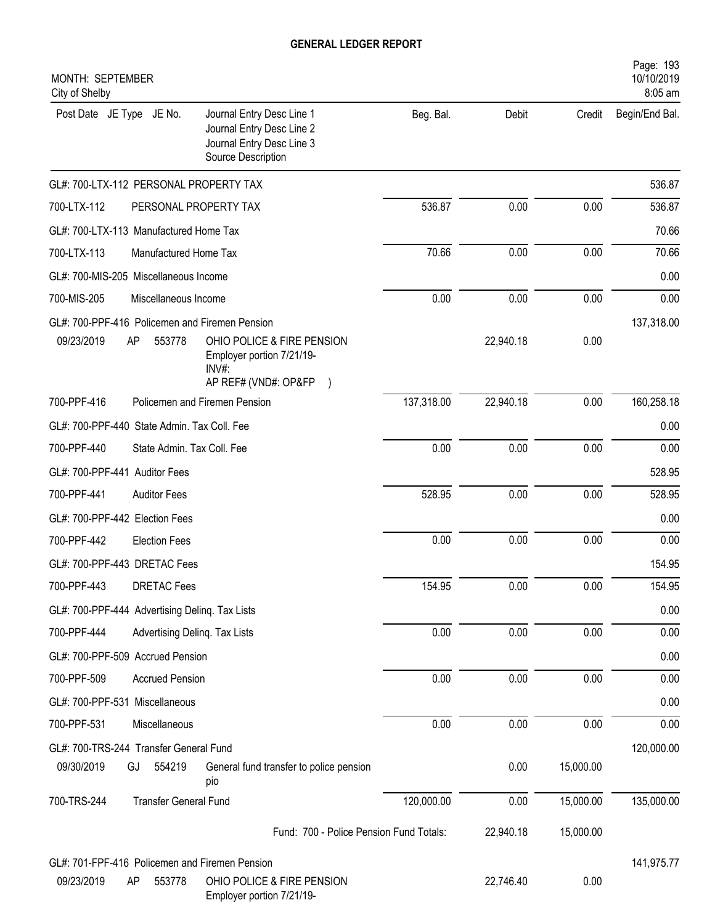| MONTH: SEPTEMBER<br>City of Shelby                                                                                                    |            |           |           | Page: 193<br>10/10/2019<br>8:05 am |
|---------------------------------------------------------------------------------------------------------------------------------------|------------|-----------|-----------|------------------------------------|
| Post Date JE Type JE No.<br>Journal Entry Desc Line 1<br>Journal Entry Desc Line 2<br>Journal Entry Desc Line 3<br>Source Description | Beg. Bal.  | Debit     | Credit    | Begin/End Bal.                     |
| GL#: 700-LTX-112 PERSONAL PROPERTY TAX                                                                                                |            |           |           | 536.87                             |
| 700-LTX-112<br>PERSONAL PROPERTY TAX                                                                                                  | 536.87     | 0.00      | 0.00      | 536.87                             |
| GL#: 700-LTX-113 Manufactured Home Tax                                                                                                |            |           |           | 70.66                              |
| 700-LTX-113<br>Manufactured Home Tax                                                                                                  | 70.66      | 0.00      | 0.00      | 70.66                              |
| GL#: 700-MIS-205 Miscellaneous Income                                                                                                 |            |           |           | 0.00                               |
| 700-MIS-205<br>Miscellaneous Income                                                                                                   | 0.00       | 0.00      | 0.00      | 0.00                               |
| GL#: 700-PPF-416 Policemen and Firemen Pension                                                                                        |            |           |           | 137,318.00                         |
| 09/23/2019<br>OHIO POLICE & FIRE PENSION<br>AP<br>553778<br>Employer portion 7/21/19-<br>INV#:<br>AP REF# (VND#: OP&FP                |            | 22,940.18 | 0.00      |                                    |
| 700-PPF-416<br>Policemen and Firemen Pension                                                                                          | 137,318.00 | 22,940.18 | 0.00      | 160,258.18                         |
| GL#: 700-PPF-440 State Admin. Tax Coll. Fee                                                                                           |            |           |           | 0.00                               |
| 700-PPF-440<br>State Admin. Tax Coll. Fee                                                                                             | 0.00       | 0.00      | 0.00      | 0.00                               |
| GL#: 700-PPF-441 Auditor Fees                                                                                                         |            |           |           | 528.95                             |
| 700-PPF-441<br><b>Auditor Fees</b>                                                                                                    | 528.95     | 0.00      | 0.00      | 528.95                             |
| GL#: 700-PPF-442 Election Fees                                                                                                        |            |           |           | 0.00                               |
| 700-PPF-442<br><b>Election Fees</b>                                                                                                   | 0.00       | 0.00      | 0.00      | 0.00                               |
| GL#: 700-PPF-443 DRETAC Fees                                                                                                          |            |           |           | 154.95                             |
| 700-PPF-443<br><b>DRETAC Fees</b>                                                                                                     | 154.95     | 0.00      | 0.00      | 154.95                             |
| GL#: 700-PPF-444 Advertising Delinq. Tax Lists                                                                                        |            |           |           | 0.00                               |
| 700-PPF-444<br>Advertising Delinq. Tax Lists                                                                                          | 0.00       | 0.00      | 0.00      | 0.00                               |
| GL#: 700-PPF-509 Accrued Pension                                                                                                      |            |           |           | 0.00                               |
| 700-PPF-509<br><b>Accrued Pension</b>                                                                                                 | 0.00       | 0.00      | 0.00      | 0.00                               |
| GL#: 700-PPF-531 Miscellaneous                                                                                                        |            |           |           | 0.00                               |
| 700-PPF-531<br>Miscellaneous                                                                                                          | 0.00       | 0.00      | 0.00      | 0.00                               |
| GL#: 700-TRS-244 Transfer General Fund                                                                                                |            |           |           | 120,000.00                         |
| 09/30/2019<br>554219<br>GJ<br>General fund transfer to police pension<br>pio                                                          |            | 0.00      | 15,000.00 |                                    |
| <b>Transfer General Fund</b><br>700-TRS-244                                                                                           | 120,000.00 | 0.00      | 15,000.00 | 135,000.00                         |
| Fund: 700 - Police Pension Fund Totals:                                                                                               |            | 22,940.18 | 15,000.00 |                                    |
| GL#: 701-FPF-416 Policemen and Firemen Pension                                                                                        |            |           |           | 141,975.77                         |
| 09/23/2019<br>OHIO POLICE & FIRE PENSION<br>553778<br>AP<br>Employer portion 7/21/19-                                                 |            | 22,746.40 | 0.00      |                                    |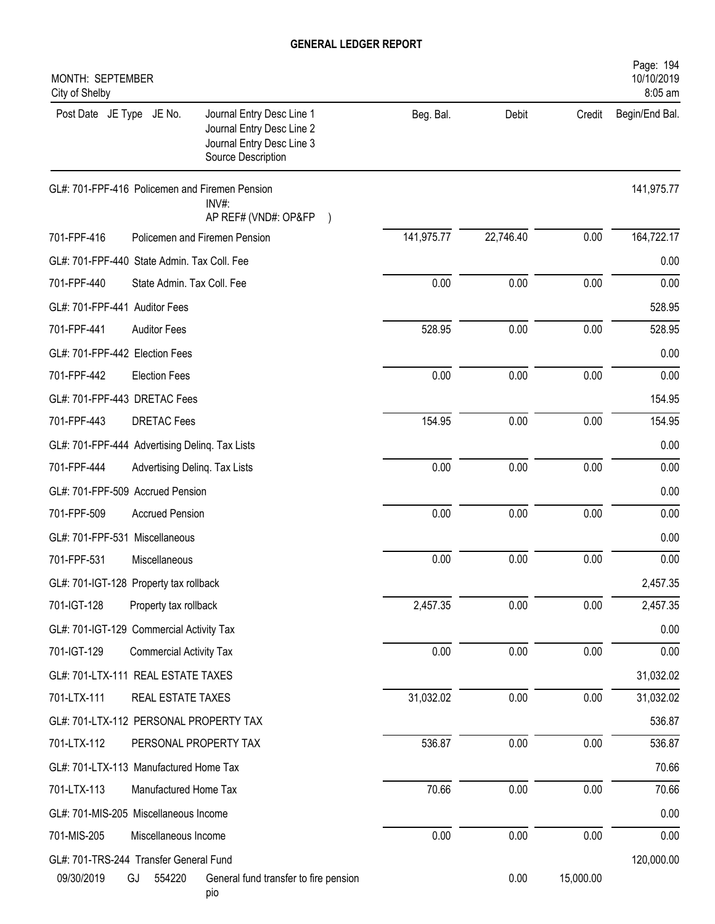| MONTH: SEPTEMBER<br>City of Shelby                                                                                                    |            |           |           | Page: 194<br>10/10/2019<br>8:05 am |
|---------------------------------------------------------------------------------------------------------------------------------------|------------|-----------|-----------|------------------------------------|
| Post Date JE Type JE No.<br>Journal Entry Desc Line 1<br>Journal Entry Desc Line 2<br>Journal Entry Desc Line 3<br>Source Description | Beg. Bal.  | Debit     | Credit    | Begin/End Bal.                     |
| GL#: 701-FPF-416 Policemen and Firemen Pension<br>INV#:<br>AP REF# (VND#: OP&FP)                                                      |            |           |           | 141,975.77                         |
| 701-FPF-416<br>Policemen and Firemen Pension                                                                                          | 141,975.77 | 22,746.40 | 0.00      | 164,722.17                         |
| GL#: 701-FPF-440 State Admin. Tax Coll. Fee                                                                                           |            |           |           | 0.00                               |
| 701-FPF-440<br>State Admin. Tax Coll. Fee                                                                                             | 0.00       | 0.00      | 0.00      | 0.00                               |
| GL#: 701-FPF-441 Auditor Fees                                                                                                         |            |           |           | 528.95                             |
| 701-FPF-441<br><b>Auditor Fees</b>                                                                                                    | 528.95     | 0.00      | 0.00      | 528.95                             |
| GL#: 701-FPF-442 Election Fees                                                                                                        |            |           |           | 0.00                               |
| 701-FPF-442<br><b>Election Fees</b>                                                                                                   | 0.00       | 0.00      | 0.00      | 0.00                               |
| GL#: 701-FPF-443 DRETAC Fees                                                                                                          |            |           |           | 154.95                             |
| 701-FPF-443<br><b>DRETAC Fees</b>                                                                                                     | 154.95     | 0.00      | 0.00      | 154.95                             |
| GL#: 701-FPF-444 Advertising Deling. Tax Lists                                                                                        |            |           |           | 0.00                               |
| 701-FPF-444<br>Advertising Deling. Tax Lists                                                                                          | 0.00       | 0.00      | 0.00      | 0.00                               |
| GL#: 701-FPF-509 Accrued Pension                                                                                                      |            |           |           | 0.00                               |
| 701-FPF-509<br><b>Accrued Pension</b>                                                                                                 | 0.00       | 0.00      | 0.00      | 0.00                               |
| GL#: 701-FPF-531 Miscellaneous                                                                                                        |            |           |           | 0.00                               |
| 701-FPF-531<br>Miscellaneous                                                                                                          | 0.00       | 0.00      | 0.00      | 0.00                               |
| GL#: 701-IGT-128 Property tax rollback                                                                                                |            |           |           | 2,457.35                           |
| 701-IGT-128<br>Property tax rollback                                                                                                  | 2,457.35   | 0.00      | 0.00      | 2,457.35                           |
| GL#: 701-IGT-129 Commercial Activity Tax                                                                                              |            |           |           | 0.00                               |
| 701-IGT-129<br><b>Commercial Activity Tax</b>                                                                                         | 0.00       | 0.00      | $0.00\,$  | 0.00                               |
| GL#: 701-LTX-111 REAL ESTATE TAXES                                                                                                    |            |           |           | 31,032.02                          |
| 701-LTX-111<br>REAL ESTATE TAXES                                                                                                      | 31,032.02  | 0.00      | 0.00      | 31,032.02                          |
| GL#: 701-LTX-112 PERSONAL PROPERTY TAX                                                                                                |            |           |           | 536.87                             |
| 701-LTX-112<br>PERSONAL PROPERTY TAX                                                                                                  | 536.87     | 0.00      | 0.00      | 536.87                             |
| GL#: 701-LTX-113 Manufactured Home Tax                                                                                                |            |           |           | 70.66                              |
| 701-LTX-113<br>Manufactured Home Tax                                                                                                  | 70.66      | 0.00      | 0.00      | 70.66                              |
| GL#: 701-MIS-205 Miscellaneous Income                                                                                                 |            |           |           | 0.00                               |
| 701-MIS-205<br>Miscellaneous Income                                                                                                   | 0.00       | 0.00      | 0.00      | 0.00                               |
| GL#: 701-TRS-244 Transfer General Fund                                                                                                |            |           |           | 120,000.00                         |
| 09/30/2019<br>GJ<br>554220<br>General fund transfer to fire pension<br>pio                                                            |            | 0.00      | 15,000.00 |                                    |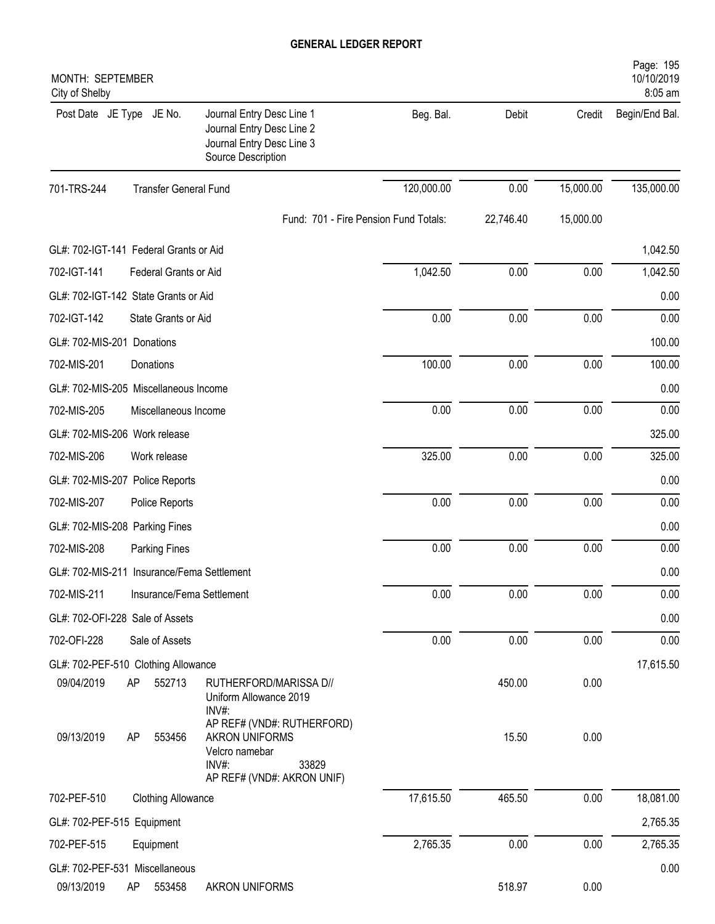| MONTH: SEPTEMBER<br>City of Shelby         |                              |                                                                                                                       |                                       |           |           | Page: 195<br>10/10/2019<br>8:05 am |
|--------------------------------------------|------------------------------|-----------------------------------------------------------------------------------------------------------------------|---------------------------------------|-----------|-----------|------------------------------------|
| Post Date JE Type JE No.                   |                              | Journal Entry Desc Line 1<br>Journal Entry Desc Line 2<br>Journal Entry Desc Line 3<br>Source Description             | Beg. Bal.                             | Debit     | Credit    | Begin/End Bal.                     |
| 701-TRS-244                                | <b>Transfer General Fund</b> |                                                                                                                       | 120,000.00                            | 0.00      | 15,000.00 | 135,000.00                         |
|                                            |                              |                                                                                                                       | Fund: 701 - Fire Pension Fund Totals: | 22,746.40 | 15,000.00 |                                    |
| GL#: 702-IGT-141 Federal Grants or Aid     |                              |                                                                                                                       |                                       |           |           | 1,042.50                           |
| 702-IGT-141                                | Federal Grants or Aid        |                                                                                                                       | 1,042.50                              | 0.00      | 0.00      | 1,042.50                           |
| GL#: 702-IGT-142 State Grants or Aid       |                              |                                                                                                                       |                                       |           |           | 0.00                               |
| 702-IGT-142                                | State Grants or Aid          |                                                                                                                       | 0.00                                  | 0.00      | 0.00      | 0.00                               |
| GL#: 702-MIS-201 Donations                 |                              |                                                                                                                       |                                       |           |           | 100.00                             |
| 702-MIS-201                                | Donations                    |                                                                                                                       | 100.00                                | 0.00      | 0.00      | 100.00                             |
| GL#: 702-MIS-205 Miscellaneous Income      |                              |                                                                                                                       |                                       |           |           | 0.00                               |
| 702-MIS-205                                | Miscellaneous Income         |                                                                                                                       | 0.00                                  | 0.00      | 0.00      | 0.00                               |
| GL#: 702-MIS-206 Work release              |                              |                                                                                                                       |                                       |           |           | 325.00                             |
| 702-MIS-206                                | Work release                 |                                                                                                                       | 325.00                                | 0.00      | 0.00      | 325.00                             |
| GL#: 702-MIS-207 Police Reports            |                              |                                                                                                                       |                                       |           |           | 0.00                               |
| 702-MIS-207                                | Police Reports               |                                                                                                                       | 0.00                                  | 0.00      | 0.00      | 0.00                               |
| GL#: 702-MIS-208 Parking Fines             |                              |                                                                                                                       |                                       |           |           | 0.00                               |
| 702-MIS-208                                | <b>Parking Fines</b>         |                                                                                                                       | 0.00                                  | 0.00      | 0.00      | 0.00                               |
| GL#: 702-MIS-211 Insurance/Fema Settlement |                              |                                                                                                                       |                                       |           |           | 0.00                               |
| 702-MIS-211                                | Insurance/Fema Settlement    |                                                                                                                       | 0.00                                  | 0.00      | 0.00      | 0.00                               |
| GL#: 702-OFI-228 Sale of Assets            |                              |                                                                                                                       |                                       |           |           | 0.00                               |
| 702-OFI-228                                | Sale of Assets               |                                                                                                                       | 0.00                                  | 0.00      | 0.00      | 0.00                               |
| GL#: 702-PEF-510 Clothing Allowance        |                              |                                                                                                                       |                                       |           |           | 17,615.50                          |
| 09/04/2019                                 | AP<br>552713                 | RUTHERFORD/MARISSA D//<br>Uniform Allowance 2019<br>$INV#$ :                                                          |                                       | 450.00    | 0.00      |                                    |
| 09/13/2019                                 | AP<br>553456                 | AP REF# (VND#: RUTHERFORD)<br><b>AKRON UNIFORMS</b><br>Velcro namebar<br>INV#:<br>33829<br>AP REF# (VND#: AKRON UNIF) |                                       | 15.50     | 0.00      |                                    |
| 702-PEF-510                                | <b>Clothing Allowance</b>    |                                                                                                                       | 17,615.50                             | 465.50    | 0.00      | 18,081.00                          |
| GL#: 702-PEF-515 Equipment                 |                              |                                                                                                                       |                                       |           |           | 2,765.35                           |
| 702-PEF-515                                | Equipment                    |                                                                                                                       | 2,765.35                              | 0.00      | 0.00      | 2,765.35                           |
| GL#: 702-PEF-531 Miscellaneous             |                              |                                                                                                                       |                                       |           |           | 0.00                               |
| 09/13/2019                                 | 553458<br>AP                 | <b>AKRON UNIFORMS</b>                                                                                                 |                                       | 518.97    | 0.00      |                                    |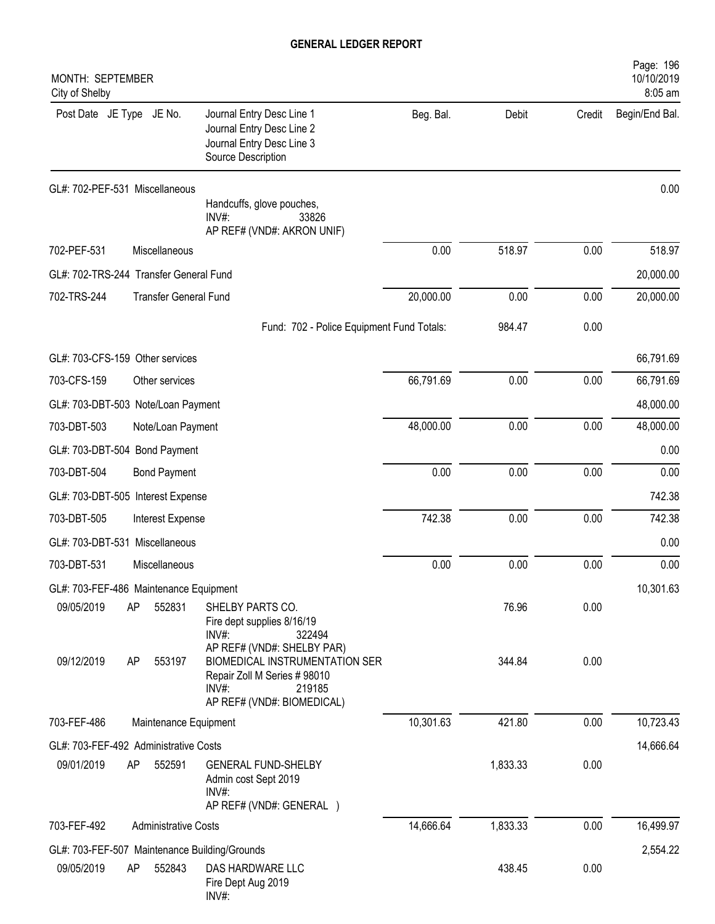| MONTH: SEPTEMBER<br>City of Shelby                                                                                                                                                    |           |          |        | Page: 196<br>10/10/2019<br>8:05 am |
|---------------------------------------------------------------------------------------------------------------------------------------------------------------------------------------|-----------|----------|--------|------------------------------------|
| Post Date JE Type JE No.<br>Journal Entry Desc Line 1<br>Journal Entry Desc Line 2<br>Journal Entry Desc Line 3<br>Source Description                                                 | Beg. Bal. | Debit    | Credit | Begin/End Bal.                     |
| GL#: 702-PEF-531 Miscellaneous<br>Handcuffs, glove pouches,<br>$INV#$ :<br>33826<br>AP REF# (VND#: AKRON UNIF)                                                                        |           |          |        | 0.00                               |
| 702-PEF-531<br>Miscellaneous                                                                                                                                                          | 0.00      | 518.97   | 0.00   | 518.97                             |
| GL#: 702-TRS-244 Transfer General Fund                                                                                                                                                |           |          |        | 20,000.00                          |
| <b>Transfer General Fund</b><br>702-TRS-244                                                                                                                                           | 20,000.00 | 0.00     | 0.00   | 20,000.00                          |
| Fund: 702 - Police Equipment Fund Totals:                                                                                                                                             |           | 984.47   | 0.00   |                                    |
| GL#: 703-CFS-159 Other services                                                                                                                                                       |           |          |        | 66,791.69                          |
| 703-CFS-159<br>Other services                                                                                                                                                         | 66,791.69 | 0.00     | 0.00   | 66,791.69                          |
| GL#: 703-DBT-503 Note/Loan Payment                                                                                                                                                    |           |          |        | 48,000.00                          |
| 703-DBT-503<br>Note/Loan Payment                                                                                                                                                      | 48,000.00 | 0.00     | 0.00   | 48,000.00                          |
| GL#: 703-DBT-504 Bond Payment                                                                                                                                                         |           |          |        | 0.00                               |
| 703-DBT-504<br><b>Bond Payment</b>                                                                                                                                                    | 0.00      | 0.00     | 0.00   | 0.00                               |
| GL#: 703-DBT-505 Interest Expense                                                                                                                                                     |           |          |        | 742.38                             |
| 703-DBT-505<br>Interest Expense                                                                                                                                                       | 742.38    | 0.00     | 0.00   | 742.38                             |
| GL#: 703-DBT-531 Miscellaneous                                                                                                                                                        |           |          |        | 0.00                               |
| 703-DBT-531<br>Miscellaneous                                                                                                                                                          | 0.00      | 0.00     | 0.00   | 0.00                               |
| GL#: 703-FEF-486 Maintenance Equipment                                                                                                                                                |           |          |        | 10,301.63                          |
| 09/05/2019<br>AP<br>552831<br>SHELBY PARTS CO.<br>Fire dept supplies 8/16/19<br>INV#:<br>322494                                                                                       |           | 76.96    | 0.00   |                                    |
| AP REF# (VND#: SHELBY PAR)<br><b>BIOMEDICAL INSTRUMENTATION SER</b><br>09/12/2019<br>553197<br>AP<br>Repair Zoll M Series # 98010<br>$INV#$ :<br>219185<br>AP REF# (VND#: BIOMEDICAL) |           | 344.84   | 0.00   |                                    |
| 703-FEF-486<br>Maintenance Equipment                                                                                                                                                  | 10,301.63 | 421.80   | 0.00   | 10,723.43                          |
| GL#: 703-FEF-492 Administrative Costs                                                                                                                                                 |           |          |        | 14,666.64                          |
| 09/01/2019<br>AP<br>552591<br><b>GENERAL FUND-SHELBY</b><br>Admin cost Sept 2019<br>INV#:<br>AP REF# (VND#: GENERAL)                                                                  |           | 1,833.33 | 0.00   |                                    |
| 703-FEF-492<br><b>Administrative Costs</b>                                                                                                                                            | 14,666.64 | 1,833.33 | 0.00   | 16,499.97                          |
| GL#: 703-FEF-507 Maintenance Building/Grounds                                                                                                                                         |           |          |        | 2,554.22                           |
| 09/05/2019<br>552843<br>AP<br>DAS HARDWARE LLC<br>Fire Dept Aug 2019<br>INV#:                                                                                                         |           | 438.45   | 0.00   |                                    |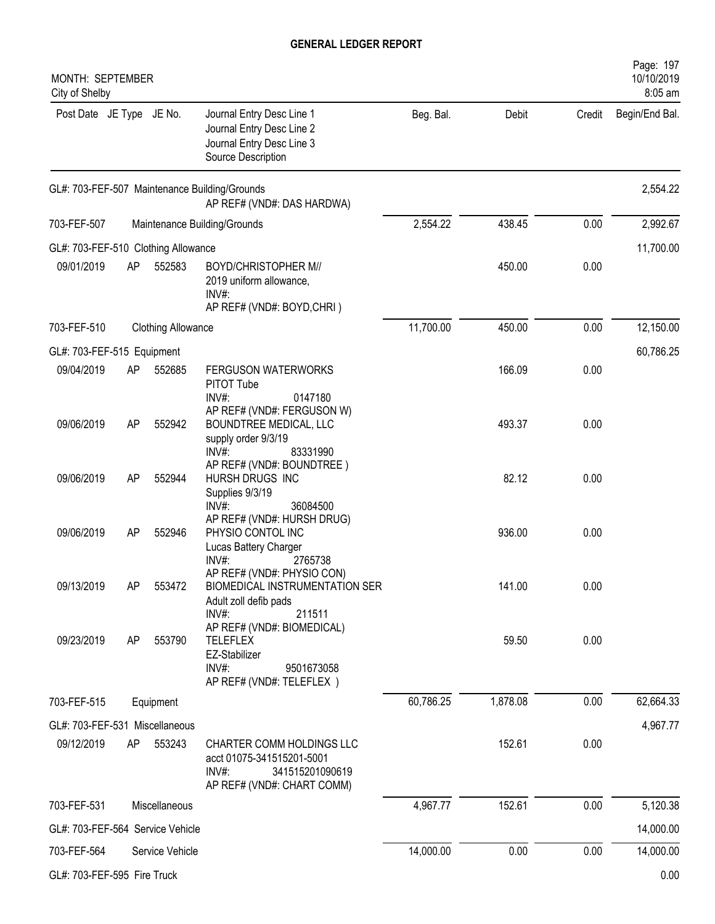| MONTH: SEPTEMBER<br>City of Shelby  |    |                           |                                                                                                                      |           |          |        | Page: 197<br>10/10/2019<br>8:05 am |
|-------------------------------------|----|---------------------------|----------------------------------------------------------------------------------------------------------------------|-----------|----------|--------|------------------------------------|
| Post Date JE Type JE No.            |    |                           | Journal Entry Desc Line 1<br>Journal Entry Desc Line 2<br>Journal Entry Desc Line 3<br>Source Description            | Beg. Bal. | Debit    | Credit | Begin/End Bal.                     |
|                                     |    |                           | GL#: 703-FEF-507 Maintenance Building/Grounds<br>AP REF# (VND#: DAS HARDWA)                                          |           |          |        | 2,554.22                           |
| 703-FEF-507                         |    |                           | Maintenance Building/Grounds                                                                                         | 2,554.22  | 438.45   | 0.00   | 2,992.67                           |
| GL#: 703-FEF-510 Clothing Allowance |    |                           |                                                                                                                      |           |          |        | 11,700.00                          |
| 09/01/2019                          | AP | 552583                    | <b>BOYD/CHRISTOPHER M//</b><br>2019 uniform allowance,<br>$INV#$ :<br>AP REF# (VND#: BOYD,CHRI)                      |           | 450.00   | 0.00   |                                    |
| 703-FEF-510                         |    | <b>Clothing Allowance</b> |                                                                                                                      | 11,700.00 | 450.00   | 0.00   | 12,150.00                          |
| GL#: 703-FEF-515 Equipment          |    |                           |                                                                                                                      |           |          |        | 60,786.25                          |
| 09/04/2019                          | AP | 552685                    | FERGUSON WATERWORKS<br>PITOT Tube<br>INV#:<br>0147180                                                                |           | 166.09   | 0.00   |                                    |
| 09/06/2019                          | AP | 552942                    | AP REF# (VND#: FERGUSON W)<br>BOUNDTREE MEDICAL, LLC<br>supply order 9/3/19<br>$INV#$ :<br>83331990                  |           | 493.37   | 0.00   |                                    |
| 09/06/2019                          | AP | 552944                    | AP REF# (VND#: BOUNDTREE)<br>HURSH DRUGS INC<br>Supplies 9/3/19<br>$INV#$ :<br>36084500                              |           | 82.12    | 0.00   |                                    |
| 09/06/2019                          | AP | 552946                    | AP REF# (VND#: HURSH DRUG)<br>PHYSIO CONTOL INC<br>Lucas Battery Charger<br>$INV#$ :<br>2765738                      |           | 936.00   | 0.00   |                                    |
| 09/13/2019                          | AP | 553472                    | AP REF# (VND#: PHYSIO CON)<br><b>BIOMEDICAL INSTRUMENTATION SER</b><br>Adult zoll defib pads<br>INV#:<br>211511      |           | 141.00   | 0.00   |                                    |
| 09/23/2019                          | AP | 553790                    | AP REF# (VND#: BIOMEDICAL)<br><b>TELEFLEX</b><br>EZ-Stabilizer<br>$INV#$ :<br>9501673058<br>AP REF# (VND#: TELEFLEX) |           | 59.50    | 0.00   |                                    |
| 703-FEF-515                         |    | Equipment                 |                                                                                                                      | 60,786.25 | 1,878.08 | 0.00   | 62,664.33                          |
| GL#: 703-FEF-531 Miscellaneous      |    |                           |                                                                                                                      |           |          |        | 4,967.77                           |
| 09/12/2019                          | AP | 553243                    | CHARTER COMM HOLDINGS LLC<br>acct 01075-341515201-5001<br>$INV#$ :<br>341515201090619<br>AP REF# (VND#: CHART COMM)  |           | 152.61   | 0.00   |                                    |
| 703-FEF-531                         |    | Miscellaneous             |                                                                                                                      | 4,967.77  | 152.61   | 0.00   | 5,120.38                           |
| GL#: 703-FEF-564 Service Vehicle    |    |                           |                                                                                                                      |           |          |        | 14,000.00                          |
| 703-FEF-564                         |    | Service Vehicle           |                                                                                                                      | 14,000.00 | 0.00     | 0.00   | 14,000.00                          |
| GL#: 703-FEF-595 Fire Truck         |    |                           |                                                                                                                      |           |          |        | 0.00                               |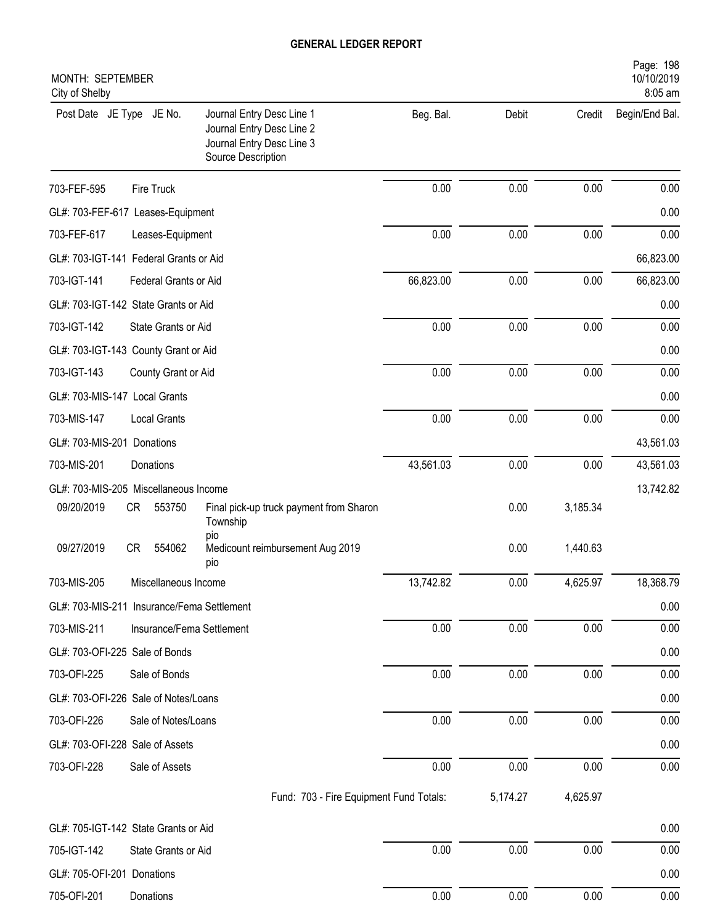| MONTH: SEPTEMBER<br>City of Shelby         |                           |                                                                                                           |           |          |          | Page: 198<br>10/10/2019<br>8:05 am |
|--------------------------------------------|---------------------------|-----------------------------------------------------------------------------------------------------------|-----------|----------|----------|------------------------------------|
| Post Date JE Type JE No.                   |                           | Journal Entry Desc Line 1<br>Journal Entry Desc Line 2<br>Journal Entry Desc Line 3<br>Source Description | Beg. Bal. | Debit    | Credit   | Begin/End Bal.                     |
| 703-FEF-595                                | Fire Truck                |                                                                                                           | 0.00      | 0.00     | 0.00     | 0.00                               |
| GL#: 703-FEF-617 Leases-Equipment          |                           |                                                                                                           |           |          |          | 0.00                               |
| 703-FEF-617                                | Leases-Equipment          |                                                                                                           | 0.00      | 0.00     | 0.00     | 0.00                               |
| GL#: 703-IGT-141 Federal Grants or Aid     |                           |                                                                                                           |           |          |          | 66,823.00                          |
| 703-IGT-141                                | Federal Grants or Aid     |                                                                                                           | 66,823.00 | 0.00     | 0.00     | 66,823.00                          |
| GL#: 703-IGT-142 State Grants or Aid       |                           |                                                                                                           |           |          |          | 0.00                               |
| 703-IGT-142                                | State Grants or Aid       |                                                                                                           | 0.00      | 0.00     | 0.00     | 0.00                               |
| GL#: 703-IGT-143 County Grant or Aid       |                           |                                                                                                           |           |          |          | 0.00                               |
| 703-IGT-143                                | County Grant or Aid       |                                                                                                           | 0.00      | 0.00     | 0.00     | 0.00                               |
| GL#: 703-MIS-147 Local Grants              |                           |                                                                                                           |           |          |          | 0.00                               |
| 703-MIS-147                                | <b>Local Grants</b>       |                                                                                                           | 0.00      | 0.00     | 0.00     | 0.00                               |
| GL#: 703-MIS-201 Donations                 |                           |                                                                                                           |           |          |          | 43,561.03                          |
| 703-MIS-201                                | Donations                 |                                                                                                           | 43,561.03 | 0.00     | 0.00     | 43,561.03                          |
| GL#: 703-MIS-205 Miscellaneous Income      |                           |                                                                                                           |           |          |          | 13,742.82                          |
| 09/20/2019                                 | CR<br>553750              | Final pick-up truck payment from Sharon<br>Township<br>pio                                                |           | 0.00     | 3,185.34 |                                    |
| 09/27/2019                                 | <b>CR</b><br>554062       | Medicount reimbursement Aug 2019<br>pio                                                                   |           | 0.00     | 1,440.63 |                                    |
| 703-MIS-205                                | Miscellaneous Income      |                                                                                                           | 13,742.82 | 0.00     | 4,625.97 | 18,368.79                          |
| GL#: 703-MIS-211 Insurance/Fema Settlement |                           |                                                                                                           |           |          |          | 0.00                               |
| 703-MIS-211                                | Insurance/Fema Settlement |                                                                                                           | 0.00      | 0.00     | 0.00     | 0.00                               |
| GL#: 703-OFI-225 Sale of Bonds             |                           |                                                                                                           |           |          |          | 0.00                               |
| 703-OFI-225                                | Sale of Bonds             |                                                                                                           | 0.00      | 0.00     | 0.00     | 0.00                               |
| GL#: 703-OFI-226 Sale of Notes/Loans       |                           |                                                                                                           |           |          |          | 0.00                               |
| 703-OFI-226                                | Sale of Notes/Loans       |                                                                                                           | 0.00      | 0.00     | 0.00     | 0.00                               |
| GL#: 703-OFI-228 Sale of Assets            |                           |                                                                                                           |           |          |          | 0.00                               |
| 703-OFI-228                                | Sale of Assets            |                                                                                                           | 0.00      | 0.00     | 0.00     | 0.00                               |
|                                            |                           | Fund: 703 - Fire Equipment Fund Totals:                                                                   |           | 5,174.27 | 4,625.97 |                                    |
| GL#: 705-IGT-142 State Grants or Aid       |                           |                                                                                                           |           |          |          | 0.00                               |
| 705-IGT-142                                | State Grants or Aid       |                                                                                                           | 0.00      | 0.00     | 0.00     | 0.00                               |
| GL#: 705-OFI-201 Donations                 |                           |                                                                                                           |           |          |          | 0.00                               |
| 705-OFI-201                                | Donations                 |                                                                                                           | 0.00      | 0.00     | 0.00     | 0.00                               |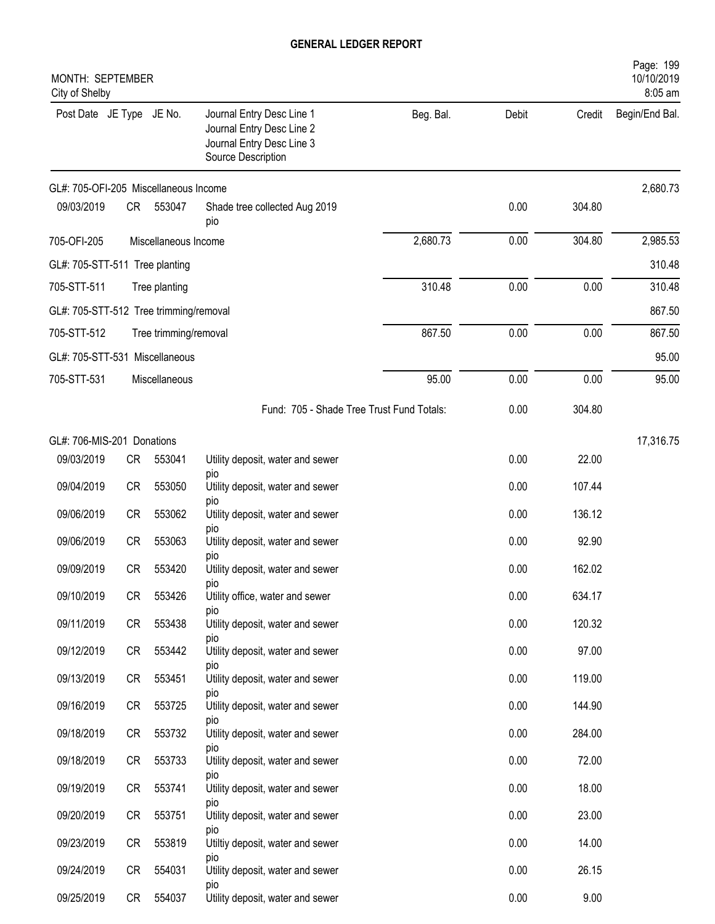| MONTH: SEPTEMBER<br>City of Shelby     |           |                       |                                                                                                           |           |       |        | Page: 199<br>10/10/2019<br>8:05 am |
|----------------------------------------|-----------|-----------------------|-----------------------------------------------------------------------------------------------------------|-----------|-------|--------|------------------------------------|
| Post Date JE Type JE No.               |           |                       | Journal Entry Desc Line 1<br>Journal Entry Desc Line 2<br>Journal Entry Desc Line 3<br>Source Description | Beg. Bal. | Debit | Credit | Begin/End Bal.                     |
| GL#: 705-OFI-205 Miscellaneous Income  |           |                       |                                                                                                           |           |       |        | 2,680.73                           |
| 09/03/2019                             | CR        | 553047                | Shade tree collected Aug 2019<br>pio                                                                      |           | 0.00  | 304.80 |                                    |
| 705-OFI-205                            |           | Miscellaneous Income  |                                                                                                           | 2,680.73  | 0.00  | 304.80 | 2,985.53                           |
| GL#: 705-STT-511 Tree planting         |           |                       |                                                                                                           |           |       |        | 310.48                             |
| 705-STT-511                            |           | Tree planting         |                                                                                                           | 310.48    | 0.00  | 0.00   | 310.48                             |
| GL#: 705-STT-512 Tree trimming/removal |           |                       |                                                                                                           |           |       |        | 867.50                             |
| 705-STT-512                            |           | Tree trimming/removal |                                                                                                           | 867.50    | 0.00  | 0.00   | 867.50                             |
| GL#: 705-STT-531 Miscellaneous         |           |                       |                                                                                                           |           |       |        | 95.00                              |
| 705-STT-531                            |           | Miscellaneous         |                                                                                                           | 95.00     | 0.00  | 0.00   | 95.00                              |
|                                        |           |                       | Fund: 705 - Shade Tree Trust Fund Totals:                                                                 |           | 0.00  | 304.80 |                                    |
| GL#: 706-MIS-201 Donations             |           |                       |                                                                                                           |           |       |        | 17,316.75                          |
| 09/03/2019                             | <b>CR</b> | 553041                | Utility deposit, water and sewer<br>pio                                                                   |           | 0.00  | 22.00  |                                    |
| 09/04/2019                             | <b>CR</b> | 553050                | Utility deposit, water and sewer                                                                          |           | 0.00  | 107.44 |                                    |
| 09/06/2019                             | <b>CR</b> | 553062                | pio<br>Utility deposit, water and sewer                                                                   |           | 0.00  | 136.12 |                                    |
| 09/06/2019                             | <b>CR</b> | 553063                | pio<br>Utility deposit, water and sewer                                                                   |           | 0.00  | 92.90  |                                    |
| 09/09/2019                             | CR        | 553420                | pio<br>Utility deposit, water and sewer                                                                   |           | 0.00  | 162.02 |                                    |
| 09/10/2019                             | CR        | 553426                | pio<br>Utility office, water and sewer                                                                    |           | 0.00  | 634.17 |                                    |
| 09/11/2019                             | CR        | 553438                | pio<br>Utility deposit, water and sewer                                                                   |           | 0.00  | 120.32 |                                    |
| 09/12/2019                             | CR        | 553442                | pio<br>Utility deposit, water and sewer                                                                   |           | 0.00  | 97.00  |                                    |
| 09/13/2019                             | CR        | 553451                | pio<br>Utility deposit, water and sewer                                                                   |           | 0.00  | 119.00 |                                    |
| 09/16/2019                             | CR        | 553725                | pio<br>Utility deposit, water and sewer                                                                   |           | 0.00  | 144.90 |                                    |
| 09/18/2019                             | CR        | 553732                | pio<br>Utility deposit, water and sewer                                                                   |           | 0.00  | 284.00 |                                    |
| 09/18/2019                             | CR        | 553733                | pio<br>Utility deposit, water and sewer                                                                   |           | 0.00  | 72.00  |                                    |
| 09/19/2019                             | CR        | 553741                | pio<br>Utility deposit, water and sewer                                                                   |           | 0.00  | 18.00  |                                    |
| 09/20/2019                             | CR        | 553751                | pio<br>Utility deposit, water and sewer                                                                   |           | 0.00  | 23.00  |                                    |
| 09/23/2019                             | CR        | 553819                | pio<br>Utiltiy deposit, water and sewer                                                                   |           | 0.00  | 14.00  |                                    |
| 09/24/2019                             | CR        | 554031                | pio<br>Utility deposit, water and sewer                                                                   |           | 0.00  | 26.15  |                                    |
|                                        |           |                       | DIO                                                                                                       |           |       |        |                                    |
| 09/25/2019                             | CR        | 554037                | Utility deposit, water and sewer                                                                          |           | 0.00  | 9.00   |                                    |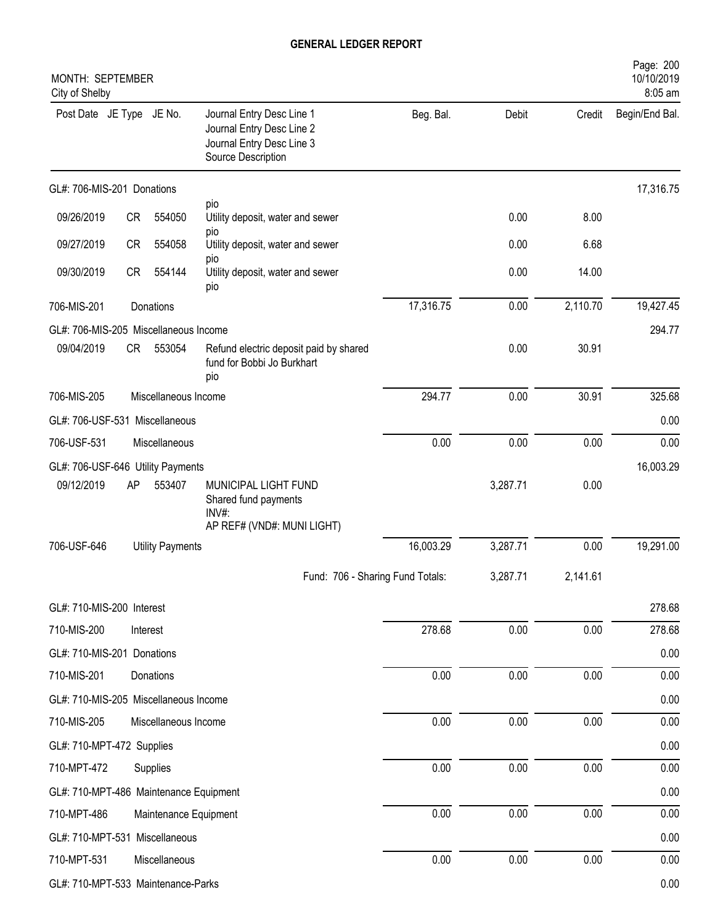| MONTH: SEPTEMBER<br>City of Shelby     |           |                         |                                                                                                           |           |          |          | Page: 200<br>10/10/2019<br>8:05 am |
|----------------------------------------|-----------|-------------------------|-----------------------------------------------------------------------------------------------------------|-----------|----------|----------|------------------------------------|
| Post Date JE Type JE No.               |           |                         | Journal Entry Desc Line 1<br>Journal Entry Desc Line 2<br>Journal Entry Desc Line 3<br>Source Description | Beg. Bal. | Debit    | Credit   | Begin/End Bal.                     |
| GL#: 706-MIS-201 Donations             |           |                         |                                                                                                           |           |          |          | 17,316.75                          |
| 09/26/2019                             | CR        | 554050                  | pio<br>Utility deposit, water and sewer                                                                   |           | 0.00     | 8.00     |                                    |
| 09/27/2019                             | <b>CR</b> | 554058                  | pio<br>Utility deposit, water and sewer                                                                   |           | 0.00     | 6.68     |                                    |
| 09/30/2019                             | CR        | 554144                  | pio<br>Utility deposit, water and sewer<br>pio                                                            |           | 0.00     | 14.00    |                                    |
| 706-MIS-201                            |           | Donations               |                                                                                                           | 17,316.75 | 0.00     | 2,110.70 | 19,427.45                          |
| GL#: 706-MIS-205 Miscellaneous Income  |           |                         |                                                                                                           |           |          |          | 294.77                             |
| 09/04/2019                             | CR        | 553054                  | Refund electric deposit paid by shared<br>fund for Bobbi Jo Burkhart<br>pio                               |           | 0.00     | 30.91    |                                    |
| 706-MIS-205                            |           | Miscellaneous Income    |                                                                                                           | 294.77    | 0.00     | 30.91    | 325.68                             |
| GL#: 706-USF-531 Miscellaneous         |           |                         |                                                                                                           |           |          |          | 0.00                               |
| 706-USF-531                            |           | Miscellaneous           |                                                                                                           | 0.00      | 0.00     | 0.00     | 0.00                               |
| GL#: 706-USF-646 Utility Payments      |           |                         |                                                                                                           |           |          |          | 16,003.29                          |
| 09/12/2019                             | AP        | 553407                  | MUNICIPAL LIGHT FUND<br>Shared fund payments<br>INV#:                                                     |           | 3,287.71 | 0.00     |                                    |
| 706-USF-646                            |           |                         | AP REF# (VND#: MUNI LIGHT)                                                                                | 16,003.29 | 3,287.71 | 0.00     | 19,291.00                          |
|                                        |           | <b>Utility Payments</b> |                                                                                                           |           |          |          |                                    |
|                                        |           |                         | Fund: 706 - Sharing Fund Totals:                                                                          |           | 3,287.71 | 2,141.61 |                                    |
| GL#: 710-MIS-200 Interest              |           |                         |                                                                                                           |           |          |          | 278.68                             |
| 710-MIS-200                            |           | Interest                |                                                                                                           | 278.68    | 0.00     | 0.00     | 278.68                             |
| GL#: 710-MIS-201 Donations             |           |                         |                                                                                                           |           |          |          | 0.00                               |
| 710-MIS-201                            |           | Donations               |                                                                                                           | 0.00      | 0.00     | 0.00     | 0.00                               |
| GL#: 710-MIS-205 Miscellaneous Income  |           |                         |                                                                                                           |           |          |          | 0.00                               |
| 710-MIS-205                            |           | Miscellaneous Income    |                                                                                                           | 0.00      | 0.00     | 0.00     | 0.00                               |
| GL#: 710-MPT-472 Supplies              |           |                         |                                                                                                           |           |          |          | 0.00                               |
| 710-MPT-472                            |           | Supplies                |                                                                                                           | 0.00      | 0.00     | 0.00     | 0.00                               |
| GL#: 710-MPT-486 Maintenance Equipment |           |                         |                                                                                                           |           |          |          | 0.00                               |
| 710-MPT-486                            |           | Maintenance Equipment   |                                                                                                           | 0.00      | 0.00     | 0.00     | 0.00                               |
| GL#: 710-MPT-531 Miscellaneous         |           |                         |                                                                                                           |           |          |          | 0.00                               |
| 710-MPT-531                            |           | Miscellaneous           |                                                                                                           | $0.00\,$  | 0.00     | $0.00\,$ | 0.00                               |
| GL#: 710-MPT-533 Maintenance-Parks     |           |                         |                                                                                                           |           |          |          | 0.00                               |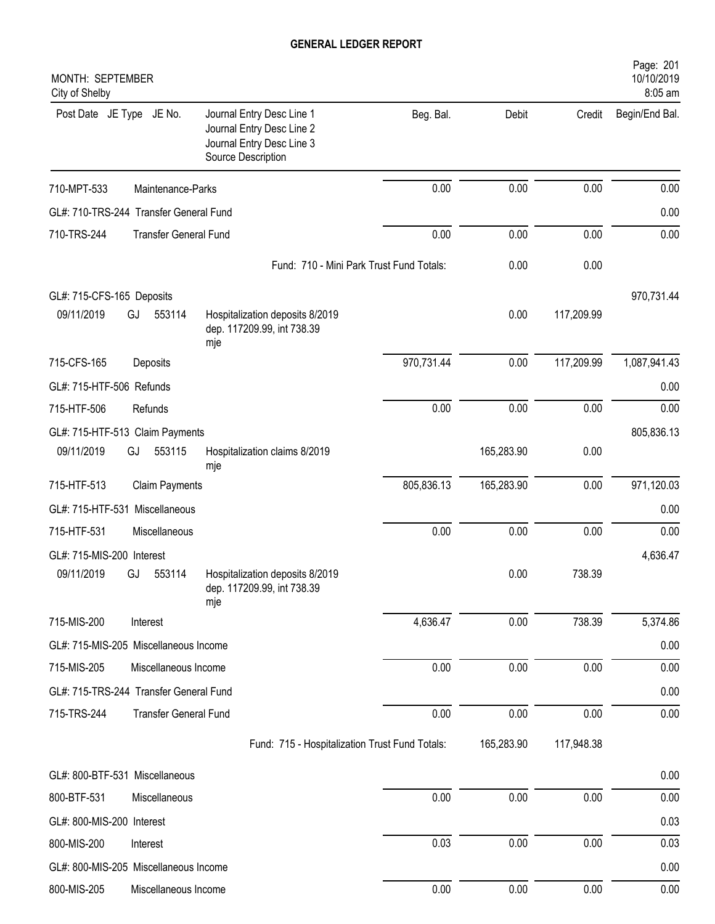| MONTH: SEPTEMBER<br>City of Shelby     |                              |                                                                                                           |            |            |            | Page: 201<br>10/10/2019<br>8:05 am |
|----------------------------------------|------------------------------|-----------------------------------------------------------------------------------------------------------|------------|------------|------------|------------------------------------|
| Post Date JE Type JE No.               |                              | Journal Entry Desc Line 1<br>Journal Entry Desc Line 2<br>Journal Entry Desc Line 3<br>Source Description | Beg. Bal.  | Debit      | Credit     | Begin/End Bal.                     |
| 710-MPT-533                            | Maintenance-Parks            |                                                                                                           | 0.00       | 0.00       | 0.00       | 0.00                               |
| GL#: 710-TRS-244 Transfer General Fund |                              |                                                                                                           |            |            |            | 0.00                               |
| 710-TRS-244                            | <b>Transfer General Fund</b> |                                                                                                           | 0.00       | 0.00       | 0.00       | 0.00                               |
|                                        |                              | Fund: 710 - Mini Park Trust Fund Totals:                                                                  |            | 0.00       | 0.00       |                                    |
| GL#: 715-CFS-165 Deposits              |                              |                                                                                                           |            |            |            | 970,731.44                         |
| 09/11/2019                             | GJ<br>553114                 | Hospitalization deposits 8/2019<br>dep. 117209.99, int 738.39<br>mje                                      |            | 0.00       | 117,209.99 |                                    |
| 715-CFS-165                            | Deposits                     |                                                                                                           | 970,731.44 | 0.00       | 117,209.99 | 1,087,941.43                       |
| GL#: 715-HTF-506 Refunds               |                              |                                                                                                           |            |            |            | 0.00                               |
| 715-HTF-506                            | Refunds                      |                                                                                                           | 0.00       | 0.00       | 0.00       | 0.00                               |
| GL#: 715-HTF-513 Claim Payments        |                              |                                                                                                           |            |            |            | 805,836.13                         |
| 09/11/2019                             | 553115<br>GJ                 | Hospitalization claims 8/2019<br>mje                                                                      |            | 165,283.90 | 0.00       |                                    |
| 715-HTF-513                            | <b>Claim Payments</b>        |                                                                                                           | 805,836.13 | 165,283.90 | 0.00       | 971,120.03                         |
| GL#: 715-HTF-531 Miscellaneous         |                              |                                                                                                           |            |            |            | 0.00                               |
| 715-HTF-531                            | Miscellaneous                |                                                                                                           | 0.00       | 0.00       | 0.00       | 0.00                               |
| GL#: 715-MIS-200 Interest              |                              |                                                                                                           |            |            |            | 4,636.47                           |
| 09/11/2019                             | 553114<br>GJ                 | Hospitalization deposits 8/2019<br>dep. 117209.99, int 738.39<br>mje                                      |            | 0.00       | 738.39     |                                    |
| 715-MIS-200                            | Interest                     |                                                                                                           | 4,636.47   | 0.00       | 738.39     | 5,374.86                           |
| GL#: 715-MIS-205 Miscellaneous Income  |                              |                                                                                                           |            |            |            | 0.00                               |
| 715-MIS-205                            | Miscellaneous Income         |                                                                                                           | 0.00       | 0.00       | 0.00       | 0.00                               |
| GL#: 715-TRS-244 Transfer General Fund |                              |                                                                                                           |            |            |            | 0.00                               |
| 715-TRS-244                            | <b>Transfer General Fund</b> |                                                                                                           | 0.00       | 0.00       | 0.00       | 0.00                               |
|                                        |                              | Fund: 715 - Hospitalization Trust Fund Totals:                                                            |            | 165,283.90 | 117,948.38 |                                    |
| GL#: 800-BTF-531 Miscellaneous         |                              |                                                                                                           |            |            |            | 0.00                               |
| 800-BTF-531                            | Miscellaneous                |                                                                                                           | 0.00       | 0.00       | 0.00       | 0.00                               |
| GL#: 800-MIS-200 Interest              |                              |                                                                                                           |            |            |            | 0.03                               |
| 800-MIS-200                            | Interest                     |                                                                                                           | 0.03       | 0.00       | 0.00       | 0.03                               |
| GL#: 800-MIS-205 Miscellaneous Income  |                              |                                                                                                           |            |            |            | 0.00                               |
| 800-MIS-205                            | Miscellaneous Income         |                                                                                                           | 0.00       | 0.00       | 0.00       | 0.00                               |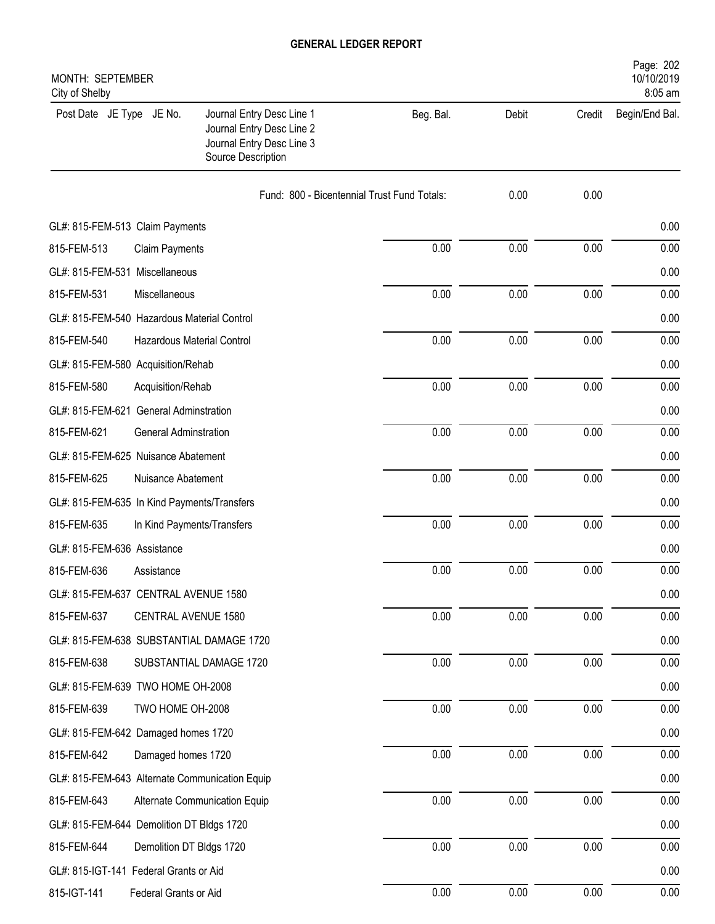| MONTH: SEPTEMBER<br>City of Shelby             |                                                                                                           |           |       |        | Page: 202<br>10/10/2019<br>8:05 am |
|------------------------------------------------|-----------------------------------------------------------------------------------------------------------|-----------|-------|--------|------------------------------------|
| Post Date JE Type JE No.                       | Journal Entry Desc Line 1<br>Journal Entry Desc Line 2<br>Journal Entry Desc Line 3<br>Source Description | Beg. Bal. | Debit | Credit | Begin/End Bal.                     |
|                                                | Fund: 800 - Bicentennial Trust Fund Totals:                                                               |           | 0.00  | 0.00   |                                    |
| GL#: 815-FEM-513 Claim Payments                |                                                                                                           |           |       |        | 0.00                               |
| 815-FEM-513<br><b>Claim Payments</b>           |                                                                                                           | 0.00      | 0.00  | 0.00   | 0.00                               |
| GL#: 815-FEM-531 Miscellaneous                 |                                                                                                           |           |       |        | 0.00                               |
| 815-FEM-531<br>Miscellaneous                   |                                                                                                           | 0.00      | 0.00  | 0.00   | 0.00                               |
| GL#: 815-FEM-540 Hazardous Material Control    |                                                                                                           |           |       |        | 0.00                               |
| 815-FEM-540                                    | Hazardous Material Control                                                                                | 0.00      | 0.00  | 0.00   | 0.00                               |
| GL#: 815-FEM-580 Acquisition/Rehab             |                                                                                                           |           |       |        | 0.00                               |
| 815-FEM-580<br>Acquisition/Rehab               |                                                                                                           | 0.00      | 0.00  | 0.00   | 0.00                               |
| GL#: 815-FEM-621 General Adminstration         |                                                                                                           |           |       |        | 0.00                               |
| 815-FEM-621<br>General Adminstration           |                                                                                                           | 0.00      | 0.00  | 0.00   | 0.00                               |
| GL#: 815-FEM-625 Nuisance Abatement            |                                                                                                           |           |       |        | 0.00                               |
| 815-FEM-625<br>Nuisance Abatement              |                                                                                                           | 0.00      | 0.00  | 0.00   | 0.00                               |
| GL#: 815-FEM-635 In Kind Payments/Transfers    |                                                                                                           |           |       |        | 0.00                               |
| 815-FEM-635                                    | In Kind Payments/Transfers                                                                                | 0.00      | 0.00  | 0.00   | 0.00                               |
| GL#: 815-FEM-636 Assistance                    |                                                                                                           |           |       |        | 0.00                               |
| 815-FEM-636<br>Assistance                      |                                                                                                           | 0.00      | 0.00  | 0.00   | 0.00                               |
| GL#: 815-FEM-637 CENTRAL AVENUE 1580           |                                                                                                           |           |       |        | 0.00                               |
| 815-FEM-637                                    | CENTRAL AVENUE 1580                                                                                       | 0.00      | 0.00  | 0.00   | 0.00                               |
| GL#: 815-FEM-638 SUBSTANTIAL DAMAGE 1720       |                                                                                                           |           |       |        | 0.00                               |
| 815-FEM-638                                    | SUBSTANTIAL DAMAGE 1720                                                                                   | 0.00      | 0.00  | 0.00   | 0.00                               |
| GL#: 815-FEM-639 TWO HOME OH-2008              |                                                                                                           |           |       |        | 0.00                               |
| 815-FEM-639<br>TWO HOME OH-2008                |                                                                                                           | 0.00      | 0.00  | 0.00   | 0.00                               |
| GL#: 815-FEM-642 Damaged homes 1720            |                                                                                                           |           |       |        | 0.00                               |
| 815-FEM-642<br>Damaged homes 1720              |                                                                                                           | 0.00      | 0.00  | 0.00   | 0.00                               |
| GL#: 815-FEM-643 Alternate Communication Equip |                                                                                                           |           |       |        | 0.00                               |
| 815-FEM-643                                    | Alternate Communication Equip                                                                             | 0.00      | 0.00  | 0.00   | 0.00                               |
| GL#: 815-FEM-644 Demolition DT Bldgs 1720      |                                                                                                           |           |       |        | 0.00                               |
| 815-FEM-644                                    | Demolition DT Bldgs 1720                                                                                  | 0.00      | 0.00  | 0.00   | 0.00                               |
| GL#: 815-IGT-141 Federal Grants or Aid         |                                                                                                           |           |       |        | 0.00                               |
| 815-IGT-141<br>Federal Grants or Aid           |                                                                                                           | 0.00      | 0.00  | 0.00   | 0.00                               |